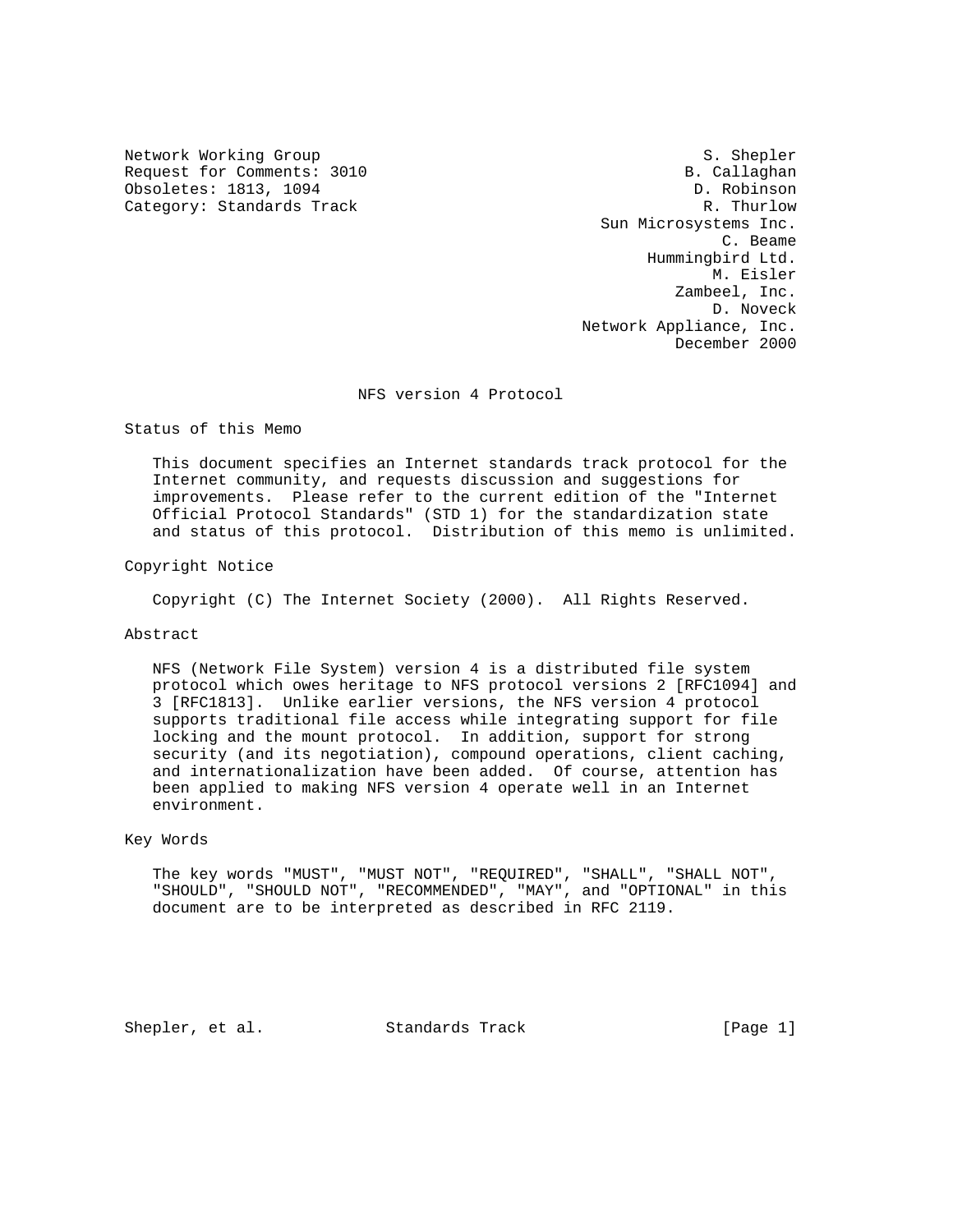Network Working Group S. Shepler Request for Comments: 3010 B. Callaghan B. Callaghan B. Callaghan B. Callaghan B. Callaghan Obsoletes: 1813, 1094<br>Category: Standards Track Category: Standards Track Category: Standards Track

 Sun Microsystems Inc. C. Beame Hummingbird Ltd. M. Eisler Zambeel, Inc. D. Noveck Network Appliance, Inc. December 2000

NFS version 4 Protocol

Status of this Memo

 This document specifies an Internet standards track protocol for the Internet community, and requests discussion and suggestions for improvements. Please refer to the current edition of the "Internet Official Protocol Standards" (STD 1) for the standardization state and status of this protocol. Distribution of this memo is unlimited.

Copyright Notice

Copyright (C) The Internet Society (2000). All Rights Reserved.

## Abstract

 NFS (Network File System) version 4 is a distributed file system protocol which owes heritage to NFS protocol versions 2 [RFC1094] and 3 [RFC1813]. Unlike earlier versions, the NFS version 4 protocol supports traditional file access while integrating support for file locking and the mount protocol. In addition, support for strong security (and its negotiation), compound operations, client caching, and internationalization have been added. Of course, attention has been applied to making NFS version 4 operate well in an Internet environment.

#### Key Words

 The key words "MUST", "MUST NOT", "REQUIRED", "SHALL", "SHALL NOT", "SHOULD", "SHOULD NOT", "RECOMMENDED", "MAY", and "OPTIONAL" in this document are to be interpreted as described in RFC 2119.

Shepler, et al. Standards Track [Page 1]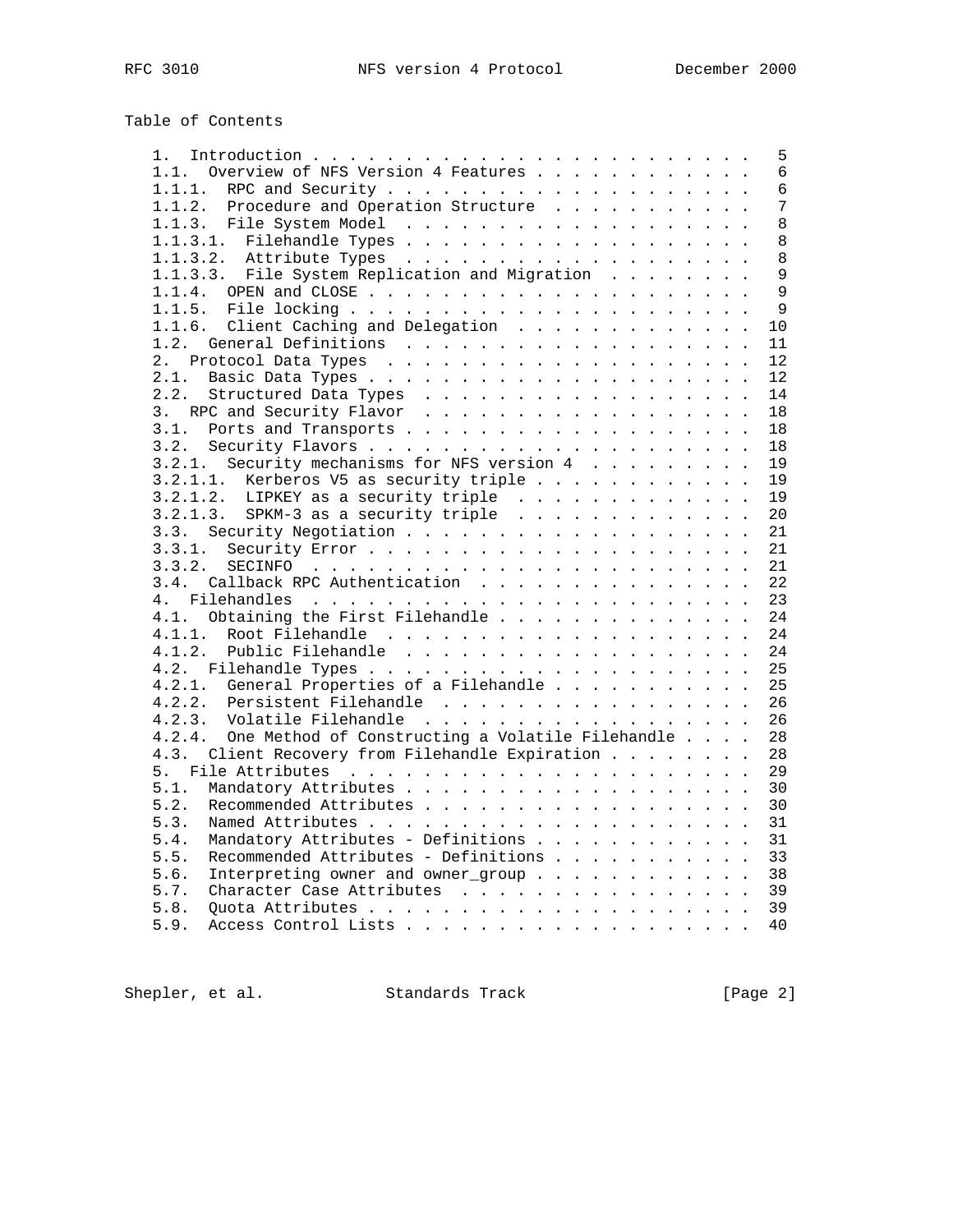# Table of Contents

|                                                         | 5  |
|---------------------------------------------------------|----|
| 1.1. Overview of NFS Version 4 Features                 | 6  |
| 1.1.1.                                                  | 6  |
| 1.1.2. Procedure and Operation Structure                | 7  |
|                                                         | 8  |
|                                                         | 8  |
|                                                         | 8  |
| 1.1.3.3. File System Replication and Migration          | 9  |
|                                                         | 9  |
|                                                         | 9  |
| 1.1.6. Client Caching and Delegation                    | 10 |
|                                                         | 11 |
|                                                         | 12 |
| 2.1.                                                    | 12 |
| 2.2.<br>Structured Data Types                           | 14 |
|                                                         | 18 |
|                                                         | 18 |
|                                                         | 18 |
| 3.2.1. Security mechanisms for NFS version 4            | 19 |
|                                                         |    |
|                                                         | 19 |
|                                                         | 19 |
|                                                         | 20 |
|                                                         | 21 |
|                                                         | 21 |
| 3.3.2.                                                  | 21 |
| 3.4. Callback RPC Authentication                        | 22 |
| 4.                                                      | 23 |
| 4.1. Obtaining the First Filehandle                     | 24 |
| 4.1.1.                                                  | 24 |
| 4.1.2.                                                  | 24 |
|                                                         | 25 |
| 4.2.1. General Properties of a Filehandle               | 25 |
| Persistent Filehandle<br>4.2.2.                         | 26 |
| Volatile Filehandle<br>4.2.3.                           | 26 |
| 4.2.4. One Method of Constructing a Volatile Filehandle | 28 |
| 4.3. Client Recovery from Filehandle Expiration         | 28 |
| 5.                                                      | 29 |
| 5.1.                                                    | 30 |
| 5.2.                                                    | 30 |
| 5.3.                                                    | 31 |
| Mandatory Attributes - Definitions<br>5.4.              | 31 |
| Recommended Attributes - Definitions<br>5.5.            | 33 |
| 5.6.<br>Interpreting owner and owner_group              | 38 |
| 5.7.<br>Character Case Attributes                       | 39 |
| 5.8.                                                    | 39 |
| 5.9.                                                    | 40 |
|                                                         |    |

Shepler, et al. Standards Track [Page 2]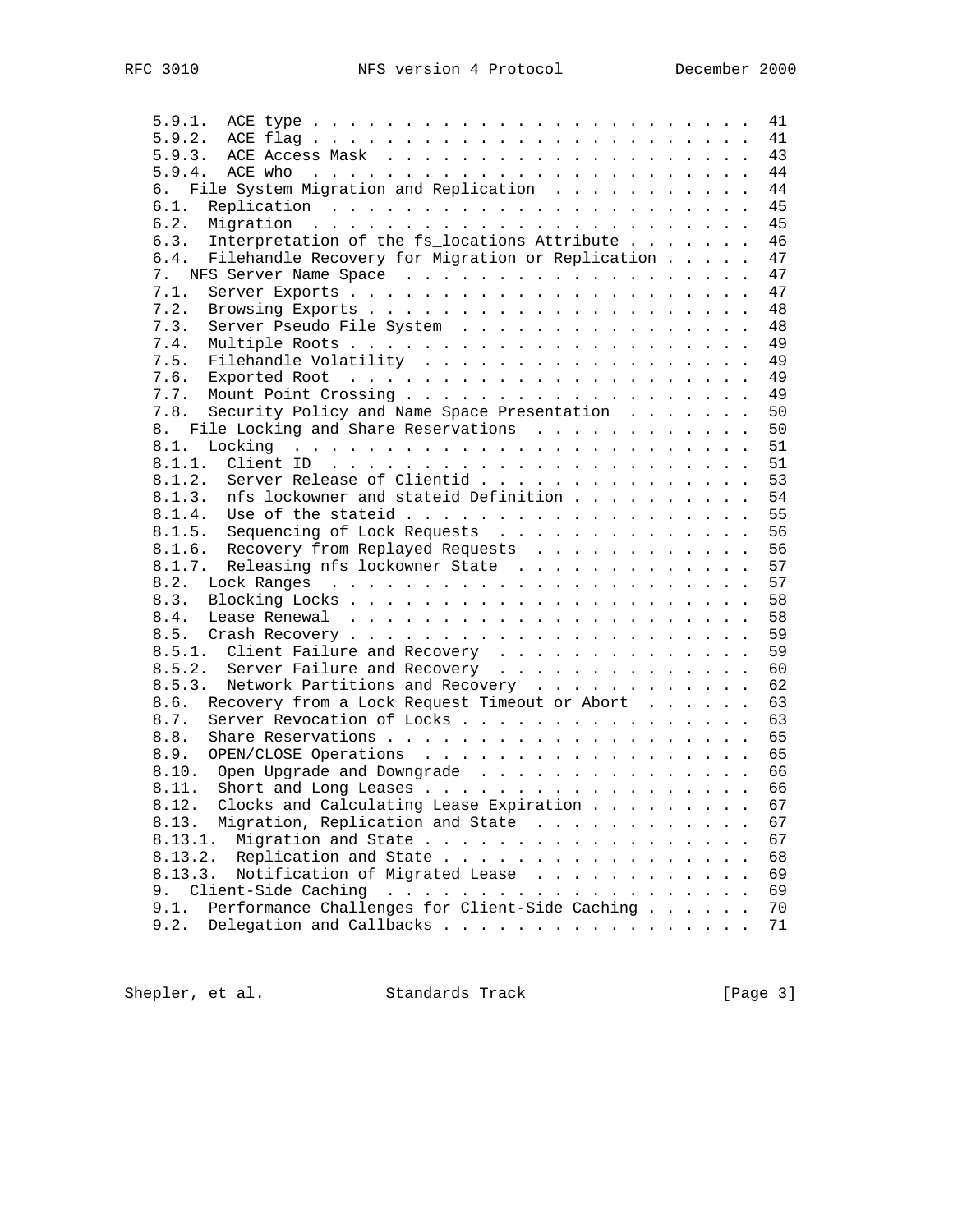| 5.9.1.                                                   | 41 |
|----------------------------------------------------------|----|
| 5.9.2. ACE flag                                          | 41 |
|                                                          | 43 |
|                                                          | 44 |
| File System Migration and Replication<br>б.              | 44 |
| 6.1.                                                     | 45 |
| 6.2.                                                     | 45 |
|                                                          | 46 |
| Interpretation of the fs_locations Attribute<br>6.3.     |    |
| 6.4.<br>Filehandle Recovery for Migration or Replication | 47 |
|                                                          | 47 |
| 7.1.                                                     | 47 |
| 7.2.                                                     | 48 |
| 7.3.<br>Server Pseudo File System                        | 48 |
| 7.4.                                                     | 49 |
| 7.5.<br>Filehandle Volatility                            | 49 |
| 7.6.                                                     | 49 |
| 7.7.                                                     | 49 |
|                                                          |    |
| Security Policy and Name Space Presentation<br>7.8.      | 50 |
| File Locking and Share Reservations<br>8.                | 50 |
| 8.1.                                                     | 51 |
|                                                          | 51 |
| Server Release of Clientid<br>8.1.2.                     | 53 |
| nfs_lockowner and stateid Definition<br>8.1.3.           | 54 |
| 8.1.4.                                                   | 55 |
| Sequencing of Lock Requests<br>8.1.5.                    | 56 |
|                                                          | 56 |
| 8.1.6. Recovery from Replayed Requests                   |    |
| 8.1.7.<br>Releasing nfs_lockowner State                  | 57 |
| 8.2.                                                     | 57 |
| 8.3.                                                     | 58 |
| 8.4.                                                     | 58 |
| 8.5.                                                     | 59 |
| 8.5.1. Client Failure and Recovery                       | 59 |
| 8.5.2.<br>Server Failure and Recovery                    | 60 |
| Network Partitions and Recovery<br>8.5.3.                | 62 |
| Recovery from a Lock Request Timeout or Abort<br>8.6.    | 63 |
|                                                          |    |
| Server Revocation of Locks<br>8.7.                       | 63 |
| 8.8.                                                     | 65 |
| 8.9.<br>OPEN/CLOSE Operations                            | 65 |
| 8.10. Open Upgrade and Downgrade                         | 66 |
|                                                          | 66 |
| 8.12. Clocks and Calculating Lease Expiration            | 67 |
| Migration, Replication and State<br>8.13.                | 67 |
| 8.13.1.<br>Migration and State                           | 67 |
| 8.13.2.<br>Replication and State                         | 68 |
|                                                          |    |
| 8.13.3.<br>Notification of Migrated Lease                | 69 |
| 9.                                                       | 69 |
| Performance Challenges for Client-Side Caching<br>9.1.   | 70 |
| 9.2.<br>Delegation and Callbacks                         | 71 |

Shepler, et al. Standards Track [Page 3]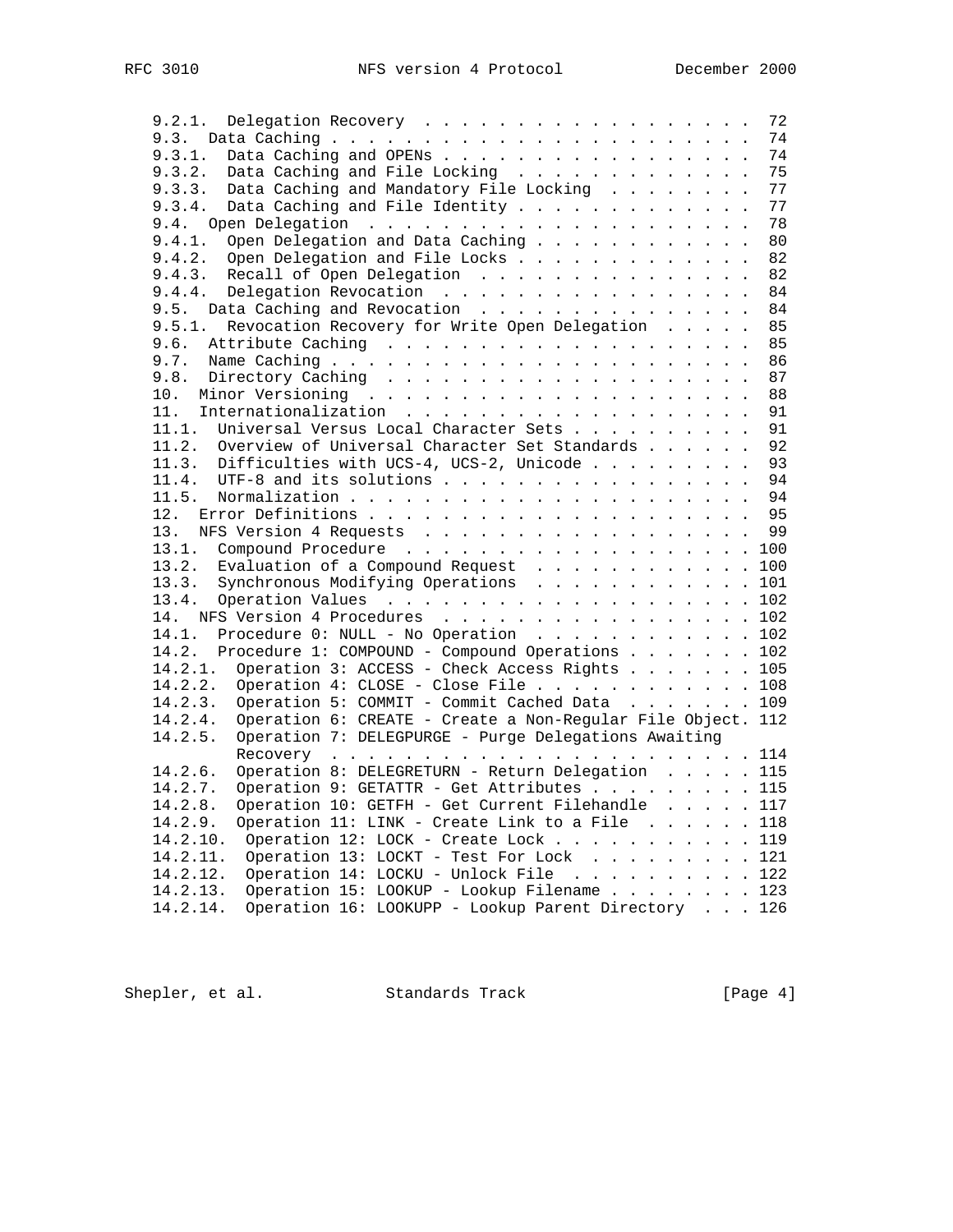| Delegation Recovery<br>9.2.1.                                                | 72  |
|------------------------------------------------------------------------------|-----|
| 9.3.                                                                         | 74  |
| Data Caching and OPENs<br>9.3.1.                                             | 74  |
| Data Caching and File Locking<br>9.3.2.                                      | 75  |
| Data Caching and Mandatory File Locking<br>9.3.3.                            | 77  |
| Data Caching and File Identity<br>9.3.4.                                     | 77  |
| 9.4.                                                                         | 78  |
| 9.4.1.<br>Open Delegation and Data Caching                                   | 80  |
| 9.4.2.<br>Open Delegation and File Locks                                     | 82  |
| Recall of Open Delegation<br>9.4.3.                                          | 82  |
| Delegation Revocation<br>9.4.4.                                              | 84  |
| 9.5.<br>Data Caching and Revocation                                          | 84  |
| Revocation Recovery for Write Open Delegation<br>9.5.1.                      | 85  |
| 9.6.                                                                         | 85  |
| 9.7.                                                                         | 86  |
| 9.8.                                                                         | 87  |
| 10.                                                                          | 88  |
| 11.                                                                          | 91  |
| Universal Versus Local Character Sets<br>11.1.                               | 91  |
| 11.2.<br>Overview of Universal Character Set Standards                       | 92  |
| 11.3. Difficulties with UCS-4, UCS-2, Unicode                                | 93  |
| UTF-8 and its solutions<br>11.4.                                             | 94  |
| 11.5.                                                                        | 94  |
| 12.                                                                          | 95  |
| 13.                                                                          | 99  |
| NFS Version 4 Requests<br>Compound Procedure 100<br>13.1.                    |     |
| 13.2.                                                                        |     |
| Evaluation of a Compound Request 100<br>Synchronous Modifying Operations 101 |     |
| 13.3.<br>13.4.                                                               | 102 |
|                                                                              |     |
| 14. NFS Version 4 Procedures 102<br>14.1.                                    |     |
| Procedure 0: NULL - No Operation 102<br>14.2.                                |     |
| Procedure 1: COMPOUND - Compound Operations 102                              |     |
| Operation 3: ACCESS - Check Access Rights 105<br>14.2.1.                     |     |
| Operation 4: CLOSE - Close File 108<br>14.2.2.                               |     |
| 14.2.3.<br>Operation 5: COMMIT - Commit Cached Data 109                      |     |
| 14.2.4.<br>Operation 6: CREATE - Create a Non-Regular File Object. 112       |     |
| Operation 7: DELEGPURGE - Purge Delegations Awaiting<br>14.2.5.              |     |
|                                                                              |     |
| Operation 8: DELEGRETURN - Return Delegation 115<br>14.2.6.                  |     |
| 14.2.7.<br>Operation 9: GETATTR - Get Attributes 115                         |     |
| Operation 10: GETFH - Get Current Filehandle 117<br>14.2.8.                  |     |
| Operation 11: LINK - Create Link to a File 118<br>14.2.9.                    |     |
| Operation 12: LOCK - Create Lock 119<br>14.2.10.                             |     |
| Operation 13: LOCKT - Test For Lock 121<br>14.2.11.                          |     |
| 14.2.12.<br>Operation 14: LOCKU - Unlock File 122                            |     |
| Operation 15: LOOKUP - Lookup Filename 123<br>14.2.13.                       |     |
| Operation 16: LOOKUPP - Lookup Parent Directory 126<br>14.2.14.              |     |

Shepler, et al. Standards Track [Page 4]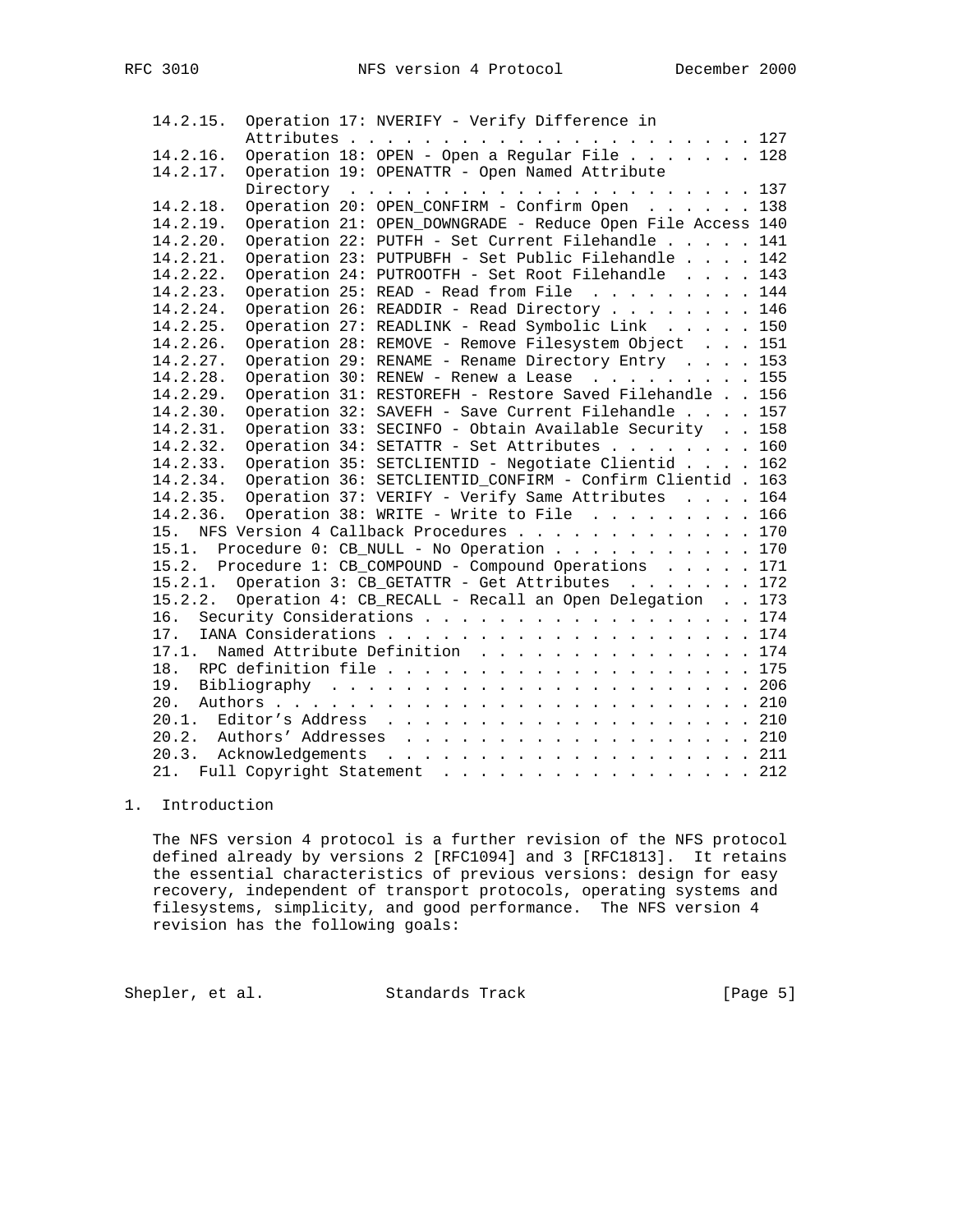| 14.2.15. | Operation 17: NVERIFY - Verify Difference in                   |  |  |  |  |  |  |
|----------|----------------------------------------------------------------|--|--|--|--|--|--|
|          |                                                                |  |  |  |  |  |  |
| 14.2.16. | Operation 18: OPEN - Open a Regular File 128                   |  |  |  |  |  |  |
| 14.2.17. | Operation 19: OPENATTR - Open Named Attribute                  |  |  |  |  |  |  |
|          |                                                                |  |  |  |  |  |  |
| 14.2.18. | Operation 20: OPEN_CONFIRM - Confirm Open 138                  |  |  |  |  |  |  |
| 14.2.19. | Operation 21: OPEN_DOWNGRADE - Reduce Open File Access 140     |  |  |  |  |  |  |
| 14.2.20. | Operation 22: PUTFH - Set Current Filehandle 141               |  |  |  |  |  |  |
| 14.2.21. | Operation 23: PUTPUBFH - Set Public Filehandle 142             |  |  |  |  |  |  |
| 14.2.22. | Operation 24: PUTROOTFH - Set Root Filehandle 143              |  |  |  |  |  |  |
| 14.2.23. | Operation 25: READ - Read from File 144                        |  |  |  |  |  |  |
| 14.2.24. | Operation 26: READDIR - Read Directory 146                     |  |  |  |  |  |  |
| 14.2.25. | Operation 27: READLINK - Read Symbolic Link 150                |  |  |  |  |  |  |
| 14.2.26. | Operation 28: REMOVE - Remove Filesystem Object 151            |  |  |  |  |  |  |
| 14.2.27. | Operation 29: RENAME - Rename Directory Entry 153              |  |  |  |  |  |  |
| 14.2.28. | Operation 30: RENEW - Renew a Lease $\ldots$ 155               |  |  |  |  |  |  |
| 14.2.29. | Operation 31: RESTOREFH - Restore Saved Filehandle 156         |  |  |  |  |  |  |
| 14.2.30. | Operation 32: SAVEFH - Save Current Filehandle 157             |  |  |  |  |  |  |
| 14.2.31. | Operation 33: SECINFO - Obtain Available Security 158          |  |  |  |  |  |  |
| 14.2.32. | Operation 34: SETATTR - Set Attributes 160                     |  |  |  |  |  |  |
| 14.2.33. | Operation 35: SETCLIENTID - Negotiate Clientid 162             |  |  |  |  |  |  |
| 14.2.34. | Operation 36: SETCLIENTID_CONFIRM - Confirm Clientid . 163     |  |  |  |  |  |  |
|          | 14.2.35. Operation 37: VERIFY - Verify Same Attributes 164     |  |  |  |  |  |  |
|          | 14.2.36. Operation 38: WRITE - Write to File 166               |  |  |  |  |  |  |
|          | 15. NFS Version 4 Callback Procedures 170                      |  |  |  |  |  |  |
|          | 15.1. Procedure 0: CB_NULL - No Operation 170                  |  |  |  |  |  |  |
|          | 15.2. Procedure 1: CB_COMPOUND - Compound Operations 171       |  |  |  |  |  |  |
|          | 15.2.1. Operation 3: CB_GETATTR - Get Attributes 172           |  |  |  |  |  |  |
|          | 15.2.2. Operation 4: CB_RECALL - Recall an Open Delegation 173 |  |  |  |  |  |  |
|          | 16. Security Considerations 174                                |  |  |  |  |  |  |
|          |                                                                |  |  |  |  |  |  |
| 17.1.    | Named Attribute Definition 174                                 |  |  |  |  |  |  |
|          |                                                                |  |  |  |  |  |  |
|          |                                                                |  |  |  |  |  |  |
| 20.      |                                                                |  |  |  |  |  |  |
|          |                                                                |  |  |  |  |  |  |
|          |                                                                |  |  |  |  |  |  |
|          |                                                                |  |  |  |  |  |  |
| 21.      | Full Copyright Statement 212                                   |  |  |  |  |  |  |

# 1. Introduction

 The NFS version 4 protocol is a further revision of the NFS protocol defined already by versions 2 [RFC1094] and 3 [RFC1813]. It retains the essential characteristics of previous versions: design for easy recovery, independent of transport protocols, operating systems and filesystems, simplicity, and good performance. The NFS version 4 revision has the following goals:

Shepler, et al. Standards Track [Page 5]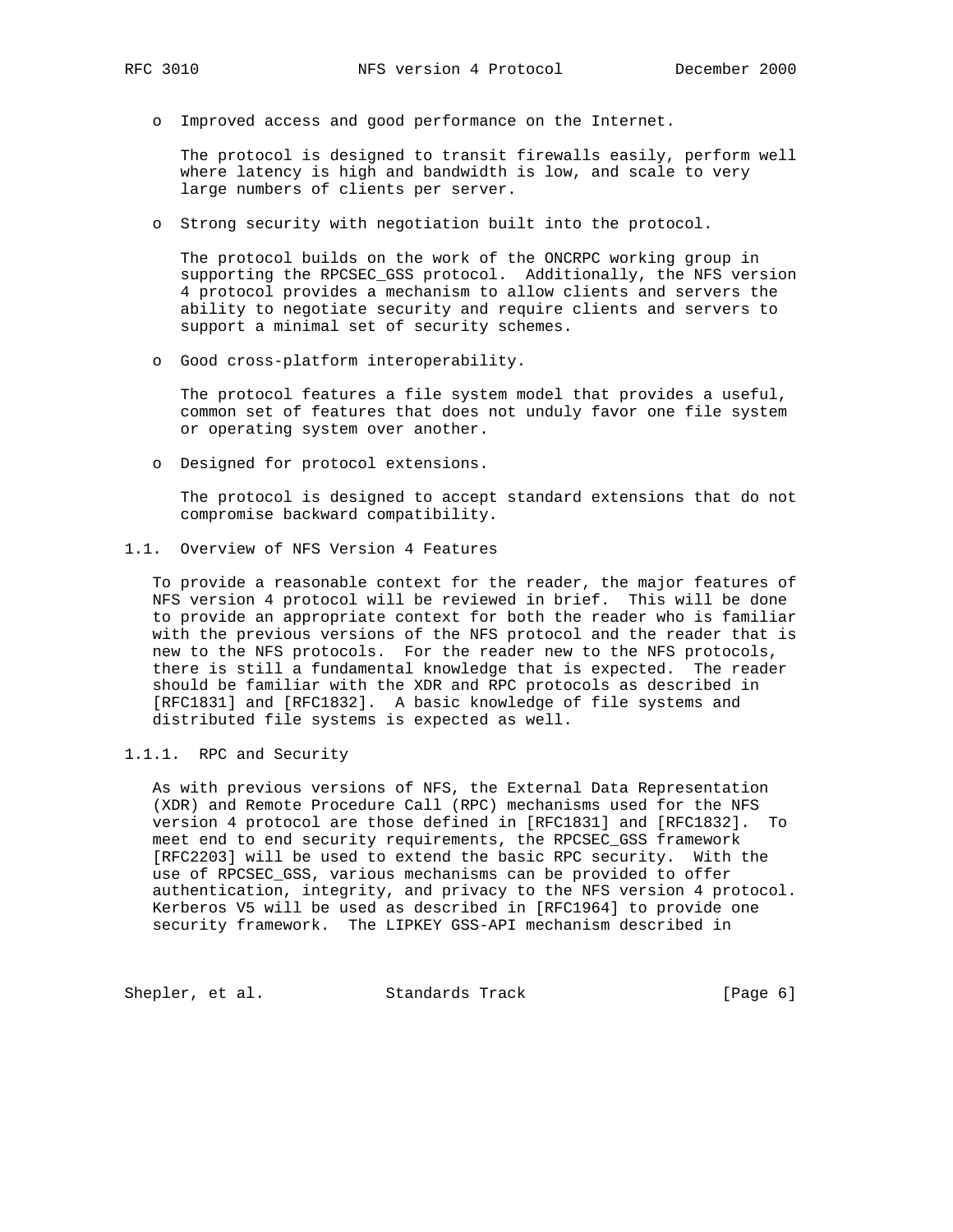o Improved access and good performance on the Internet.

 The protocol is designed to transit firewalls easily, perform well where latency is high and bandwidth is low, and scale to very large numbers of clients per server.

o Strong security with negotiation built into the protocol.

 The protocol builds on the work of the ONCRPC working group in supporting the RPCSEC\_GSS protocol. Additionally, the NFS version 4 protocol provides a mechanism to allow clients and servers the ability to negotiate security and require clients and servers to support a minimal set of security schemes.

o Good cross-platform interoperability.

 The protocol features a file system model that provides a useful, common set of features that does not unduly favor one file system or operating system over another.

o Designed for protocol extensions.

 The protocol is designed to accept standard extensions that do not compromise backward compatibility.

1.1. Overview of NFS Version 4 Features

 To provide a reasonable context for the reader, the major features of NFS version 4 protocol will be reviewed in brief. This will be done to provide an appropriate context for both the reader who is familiar with the previous versions of the NFS protocol and the reader that is new to the NFS protocols. For the reader new to the NFS protocols, there is still a fundamental knowledge that is expected. The reader should be familiar with the XDR and RPC protocols as described in [RFC1831] and [RFC1832]. A basic knowledge of file systems and distributed file systems is expected as well.

1.1.1. RPC and Security

 As with previous versions of NFS, the External Data Representation (XDR) and Remote Procedure Call (RPC) mechanisms used for the NFS version 4 protocol are those defined in [RFC1831] and [RFC1832]. To meet end to end security requirements, the RPCSEC\_GSS framework [RFC2203] will be used to extend the basic RPC security. With the use of RPCSEC\_GSS, various mechanisms can be provided to offer authentication, integrity, and privacy to the NFS version 4 protocol. Kerberos V5 will be used as described in [RFC1964] to provide one security framework. The LIPKEY GSS-API mechanism described in

Shepler, et al. Standards Track [Page 6]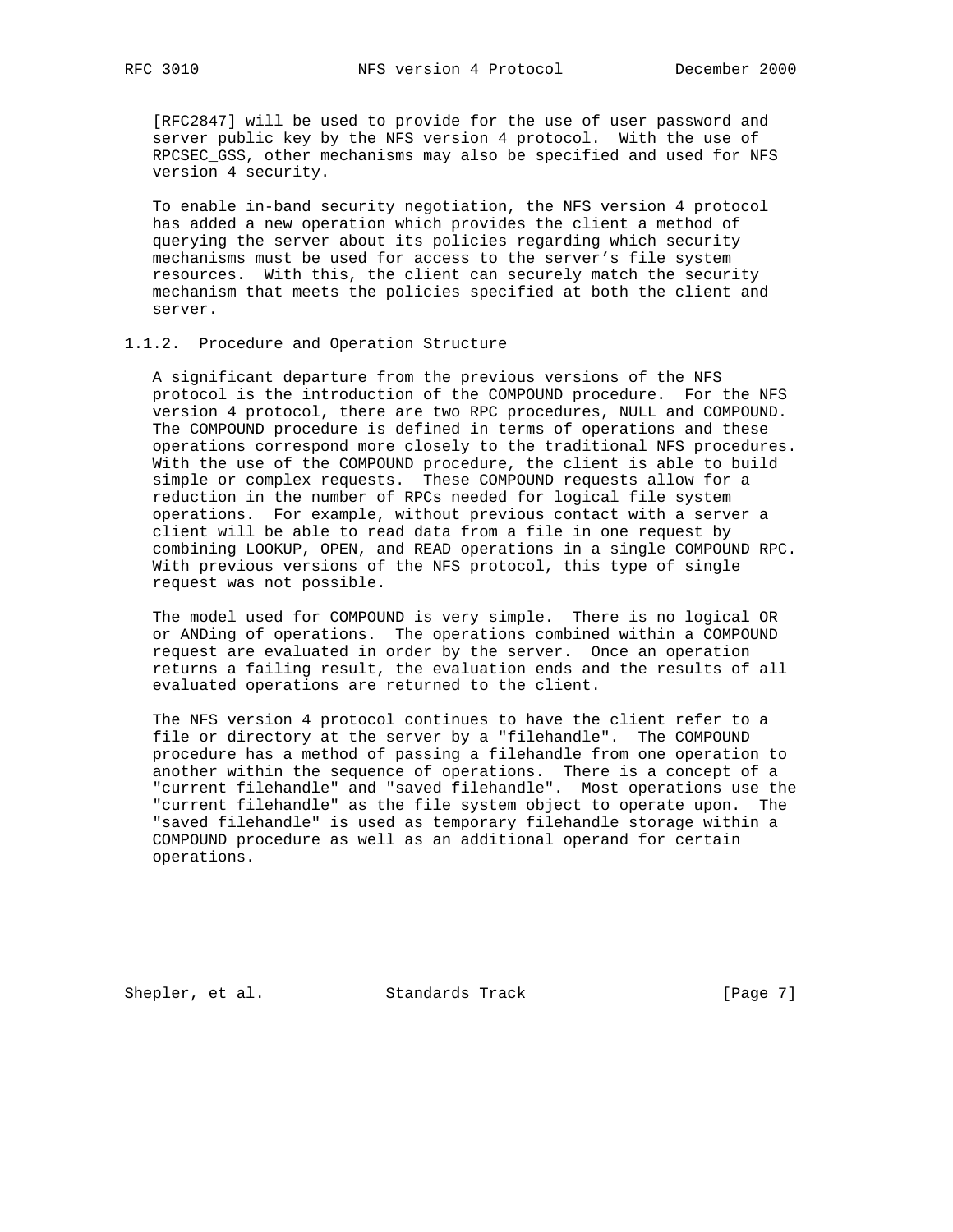[RFC2847] will be used to provide for the use of user password and server public key by the NFS version 4 protocol. With the use of RPCSEC\_GSS, other mechanisms may also be specified and used for NFS version 4 security.

 To enable in-band security negotiation, the NFS version 4 protocol has added a new operation which provides the client a method of querying the server about its policies regarding which security mechanisms must be used for access to the server's file system resources. With this, the client can securely match the security mechanism that meets the policies specified at both the client and server.

## 1.1.2. Procedure and Operation Structure

 A significant departure from the previous versions of the NFS protocol is the introduction of the COMPOUND procedure. For the NFS version 4 protocol, there are two RPC procedures, NULL and COMPOUND. The COMPOUND procedure is defined in terms of operations and these operations correspond more closely to the traditional NFS procedures. With the use of the COMPOUND procedure, the client is able to build simple or complex requests. These COMPOUND requests allow for a reduction in the number of RPCs needed for logical file system operations. For example, without previous contact with a server a client will be able to read data from a file in one request by combining LOOKUP, OPEN, and READ operations in a single COMPOUND RPC. With previous versions of the NFS protocol, this type of single request was not possible.

 The model used for COMPOUND is very simple. There is no logical OR or ANDing of operations. The operations combined within a COMPOUND request are evaluated in order by the server. Once an operation returns a failing result, the evaluation ends and the results of all evaluated operations are returned to the client.

 The NFS version 4 protocol continues to have the client refer to a file or directory at the server by a "filehandle". The COMPOUND procedure has a method of passing a filehandle from one operation to another within the sequence of operations. There is a concept of a "current filehandle" and "saved filehandle". Most operations use the "current filehandle" as the file system object to operate upon. The "saved filehandle" is used as temporary filehandle storage within a COMPOUND procedure as well as an additional operand for certain operations.

Shepler, et al. Standards Track [Page 7]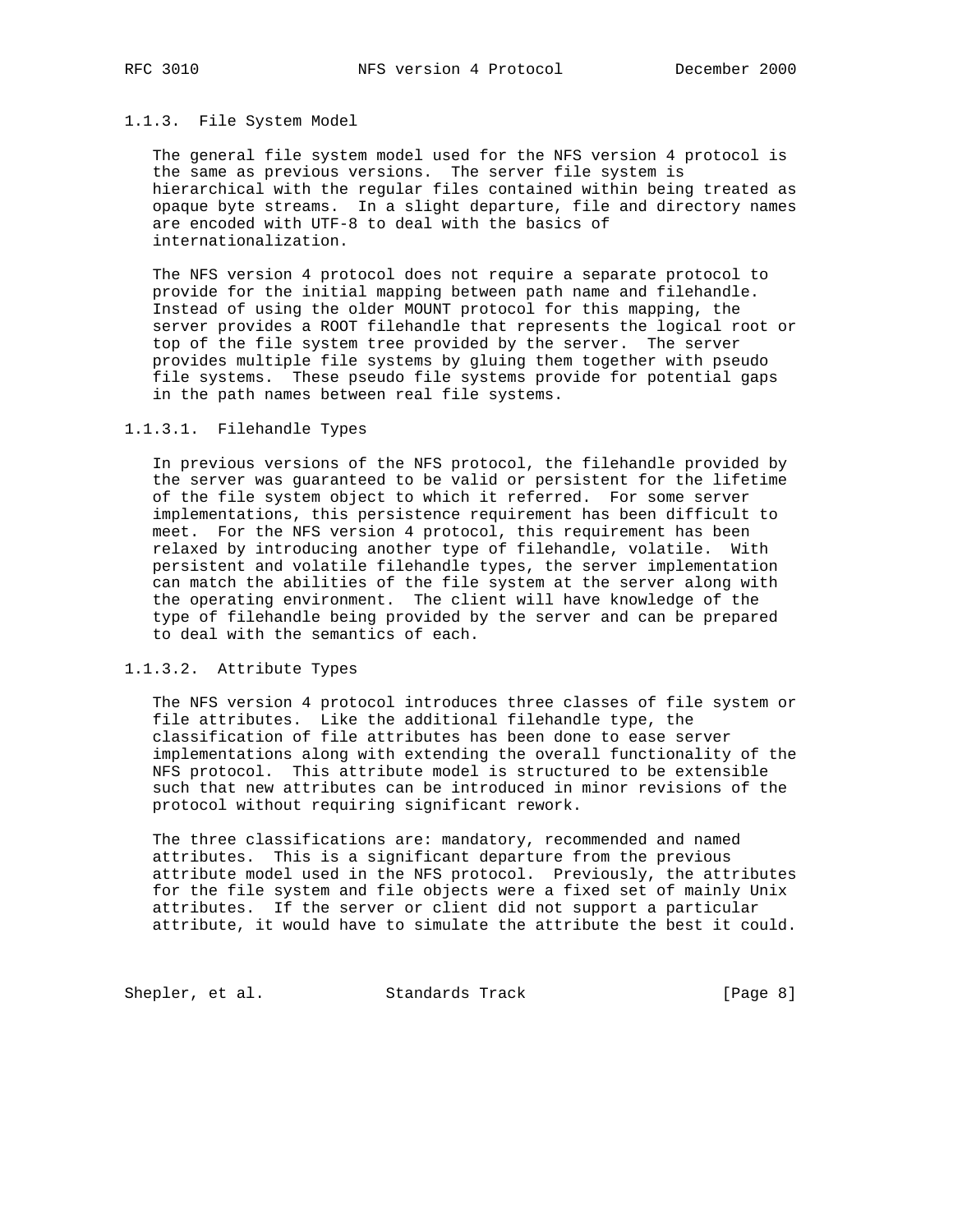## 1.1.3. File System Model

 The general file system model used for the NFS version 4 protocol is the same as previous versions. The server file system is hierarchical with the regular files contained within being treated as opaque byte streams. In a slight departure, file and directory names are encoded with UTF-8 to deal with the basics of internationalization.

 The NFS version 4 protocol does not require a separate protocol to provide for the initial mapping between path name and filehandle. Instead of using the older MOUNT protocol for this mapping, the server provides a ROOT filehandle that represents the logical root or top of the file system tree provided by the server. The server provides multiple file systems by gluing them together with pseudo file systems. These pseudo file systems provide for potential gaps in the path names between real file systems.

#### 1.1.3.1. Filehandle Types

 In previous versions of the NFS protocol, the filehandle provided by the server was guaranteed to be valid or persistent for the lifetime of the file system object to which it referred. For some server implementations, this persistence requirement has been difficult to meet. For the NFS version 4 protocol, this requirement has been relaxed by introducing another type of filehandle, volatile. With persistent and volatile filehandle types, the server implementation can match the abilities of the file system at the server along with the operating environment. The client will have knowledge of the type of filehandle being provided by the server and can be prepared to deal with the semantics of each.

#### 1.1.3.2. Attribute Types

 The NFS version 4 protocol introduces three classes of file system or file attributes. Like the additional filehandle type, the classification of file attributes has been done to ease server implementations along with extending the overall functionality of the NFS protocol. This attribute model is structured to be extensible such that new attributes can be introduced in minor revisions of the protocol without requiring significant rework.

 The three classifications are: mandatory, recommended and named attributes. This is a significant departure from the previous attribute model used in the NFS protocol. Previously, the attributes for the file system and file objects were a fixed set of mainly Unix attributes. If the server or client did not support a particular attribute, it would have to simulate the attribute the best it could.

Shepler, et al. Standards Track [Page 8]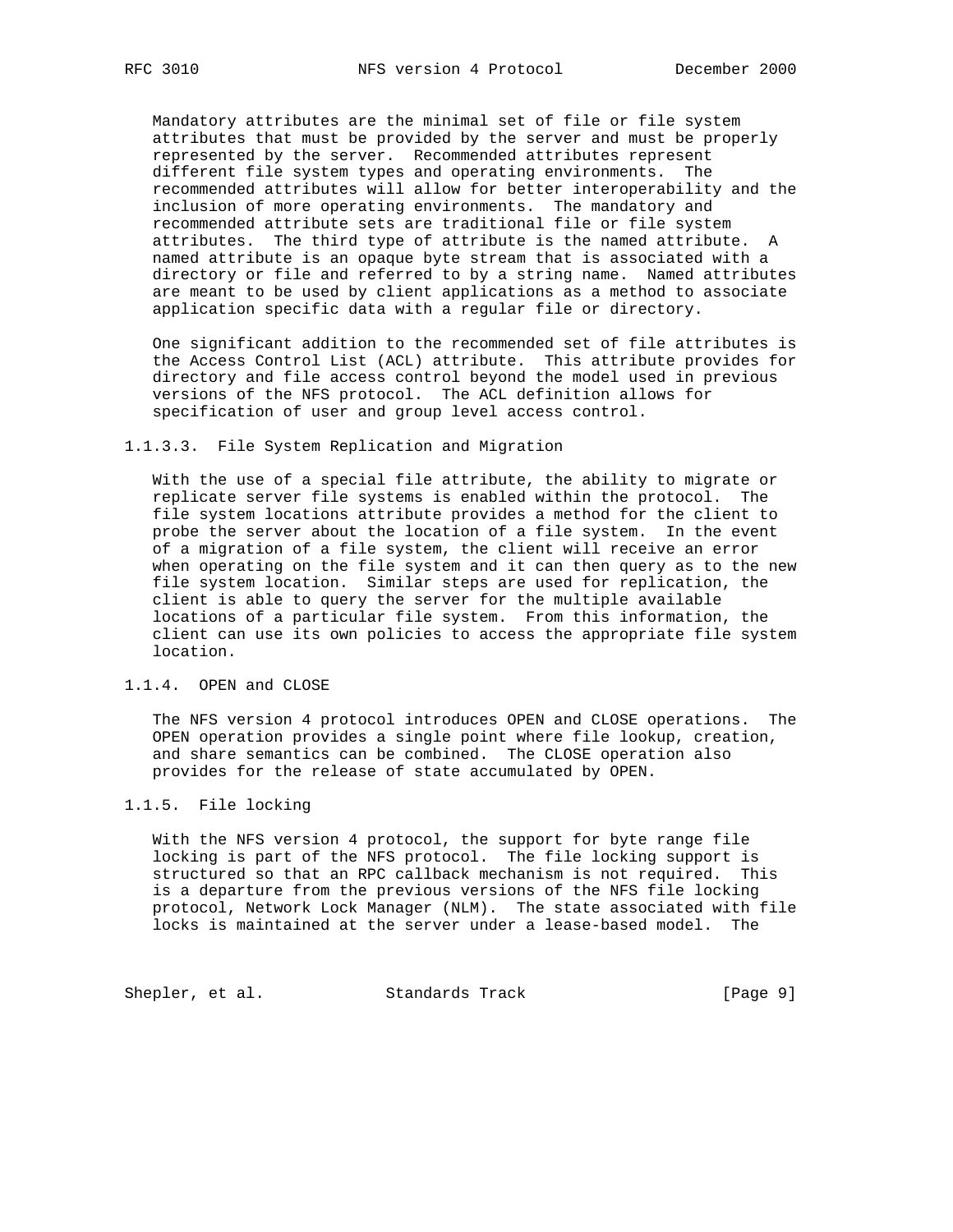Mandatory attributes are the minimal set of file or file system attributes that must be provided by the server and must be properly represented by the server. Recommended attributes represent different file system types and operating environments. The recommended attributes will allow for better interoperability and the inclusion of more operating environments. The mandatory and recommended attribute sets are traditional file or file system attributes. The third type of attribute is the named attribute. A named attribute is an opaque byte stream that is associated with a directory or file and referred to by a string name. Named attributes are meant to be used by client applications as a method to associate application specific data with a regular file or directory.

 One significant addition to the recommended set of file attributes is the Access Control List (ACL) attribute. This attribute provides for directory and file access control beyond the model used in previous versions of the NFS protocol. The ACL definition allows for specification of user and group level access control.

#### 1.1.3.3. File System Replication and Migration

 With the use of a special file attribute, the ability to migrate or replicate server file systems is enabled within the protocol. The file system locations attribute provides a method for the client to probe the server about the location of a file system. In the event of a migration of a file system, the client will receive an error when operating on the file system and it can then query as to the new file system location. Similar steps are used for replication, the client is able to query the server for the multiple available locations of a particular file system. From this information, the client can use its own policies to access the appropriate file system location.

## 1.1.4. OPEN and CLOSE

 The NFS version 4 protocol introduces OPEN and CLOSE operations. The OPEN operation provides a single point where file lookup, creation, and share semantics can be combined. The CLOSE operation also provides for the release of state accumulated by OPEN.

## 1.1.5. File locking

 With the NFS version 4 protocol, the support for byte range file locking is part of the NFS protocol. The file locking support is structured so that an RPC callback mechanism is not required. This is a departure from the previous versions of the NFS file locking protocol, Network Lock Manager (NLM). The state associated with file locks is maintained at the server under a lease-based model. The

Shepler, et al. Standards Track [Page 9]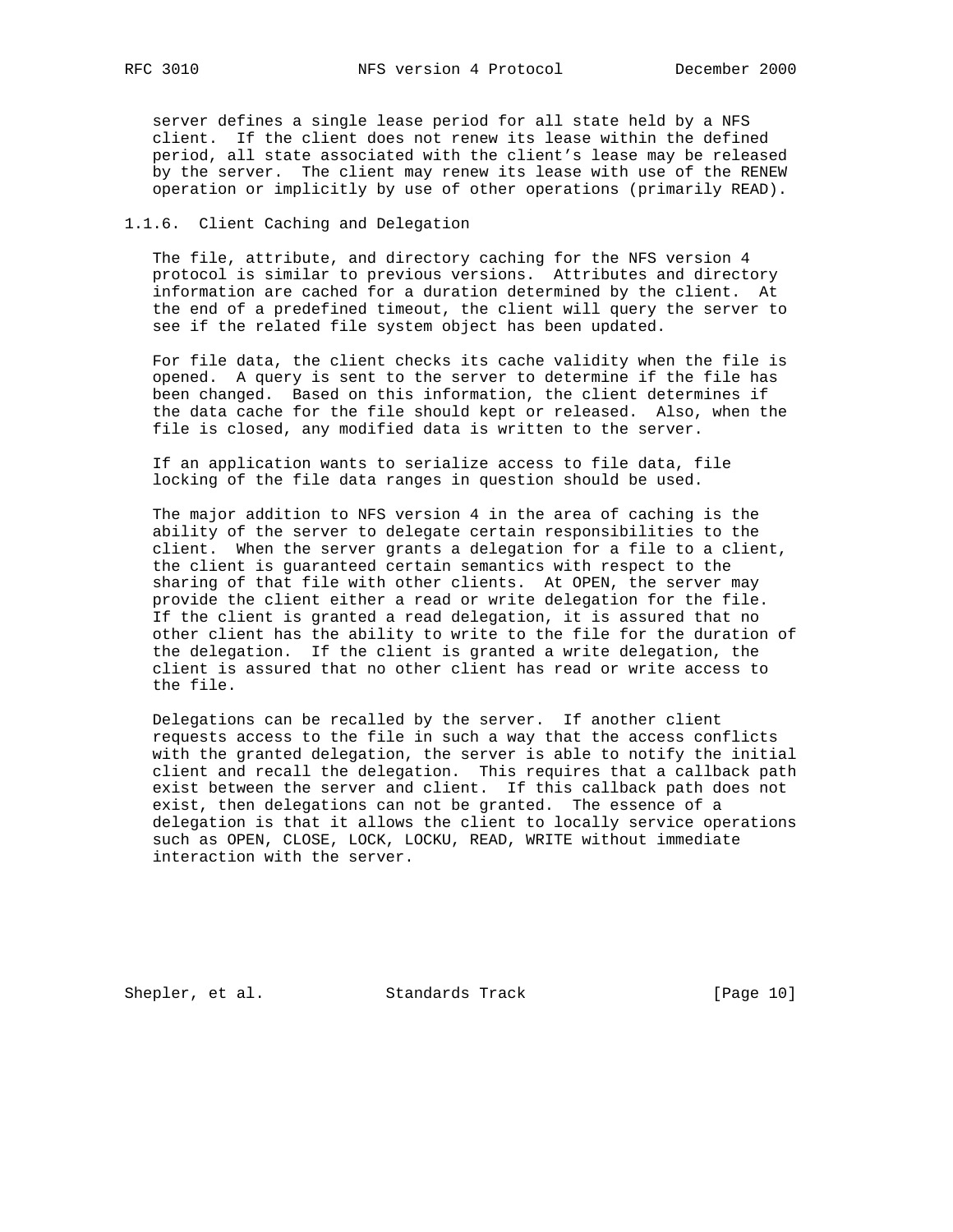server defines a single lease period for all state held by a NFS client. If the client does not renew its lease within the defined period, all state associated with the client's lease may be released by the server. The client may renew its lease with use of the RENEW operation or implicitly by use of other operations (primarily READ).

## 1.1.6. Client Caching and Delegation

 The file, attribute, and directory caching for the NFS version 4 protocol is similar to previous versions. Attributes and directory information are cached for a duration determined by the client. At the end of a predefined timeout, the client will query the server to see if the related file system object has been updated.

 For file data, the client checks its cache validity when the file is opened. A query is sent to the server to determine if the file has been changed. Based on this information, the client determines if the data cache for the file should kept or released. Also, when the file is closed, any modified data is written to the server.

 If an application wants to serialize access to file data, file locking of the file data ranges in question should be used.

 The major addition to NFS version 4 in the area of caching is the ability of the server to delegate certain responsibilities to the client. When the server grants a delegation for a file to a client, the client is guaranteed certain semantics with respect to the sharing of that file with other clients. At OPEN, the server may provide the client either a read or write delegation for the file. If the client is granted a read delegation, it is assured that no other client has the ability to write to the file for the duration of the delegation. If the client is granted a write delegation, the client is assured that no other client has read or write access to the file.

 Delegations can be recalled by the server. If another client requests access to the file in such a way that the access conflicts with the granted delegation, the server is able to notify the initial client and recall the delegation. This requires that a callback path exist between the server and client. If this callback path does not exist, then delegations can not be granted. The essence of a delegation is that it allows the client to locally service operations such as OPEN, CLOSE, LOCK, LOCKU, READ, WRITE without immediate interaction with the server.

Shepler, et al. Standards Track [Page 10]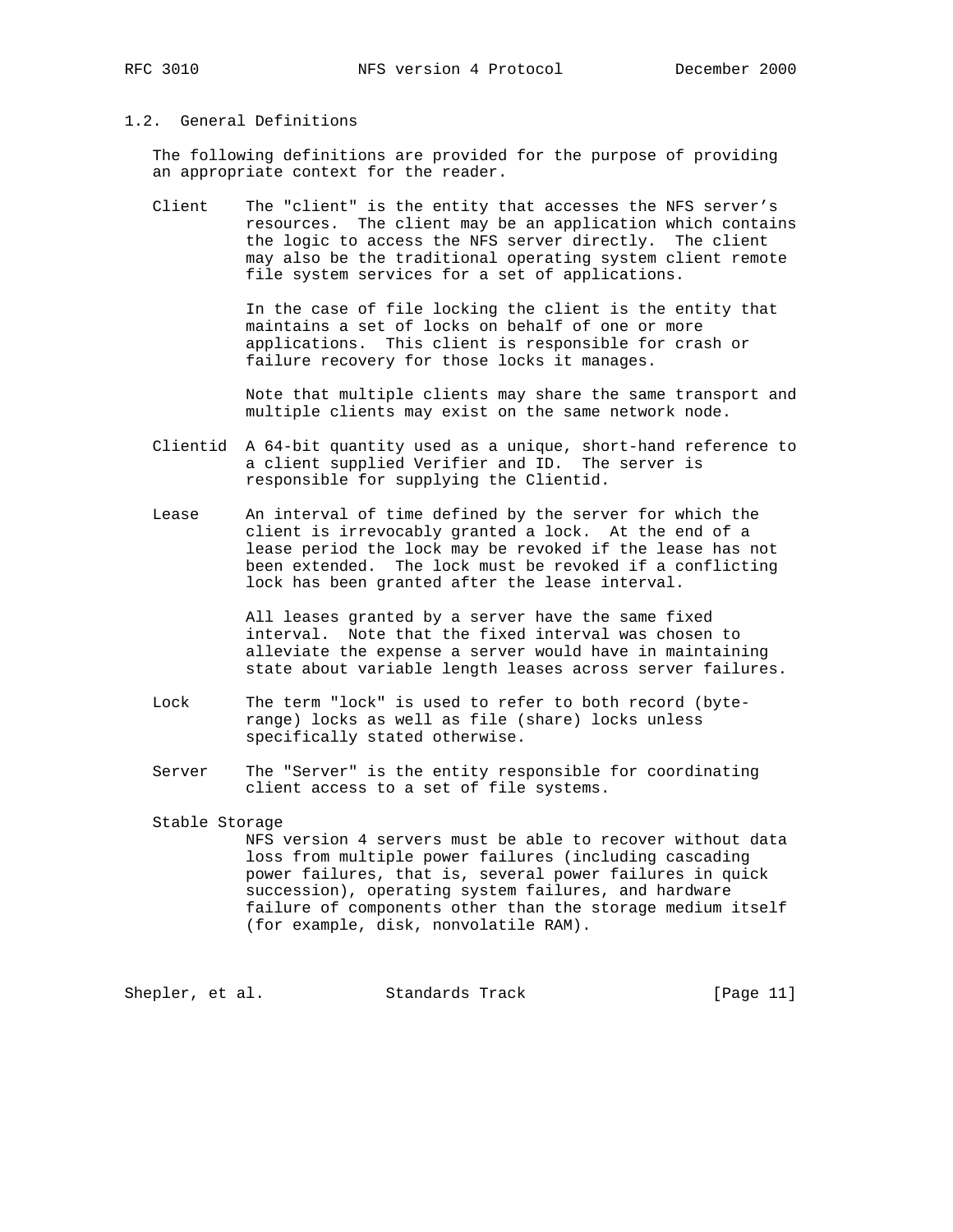# 1.2. General Definitions

 The following definitions are provided for the purpose of providing an appropriate context for the reader.

 Client The "client" is the entity that accesses the NFS server's resources. The client may be an application which contains the logic to access the NFS server directly. The client may also be the traditional operating system client remote file system services for a set of applications.

> In the case of file locking the client is the entity that maintains a set of locks on behalf of one or more applications. This client is responsible for crash or failure recovery for those locks it manages.

 Note that multiple clients may share the same transport and multiple clients may exist on the same network node.

 Clientid A 64-bit quantity used as a unique, short-hand reference to a client supplied Verifier and ID. The server is responsible for supplying the Clientid.

 Lease An interval of time defined by the server for which the client is irrevocably granted a lock. At the end of a lease period the lock may be revoked if the lease has not been extended. The lock must be revoked if a conflicting lock has been granted after the lease interval.

> All leases granted by a server have the same fixed interval. Note that the fixed interval was chosen to alleviate the expense a server would have in maintaining state about variable length leases across server failures.

- Lock The term "lock" is used to refer to both record (byte range) locks as well as file (share) locks unless specifically stated otherwise.
- Server The "Server" is the entity responsible for coordinating client access to a set of file systems.

## Stable Storage NFS version 4 servers must be able to recover without data loss from multiple power failures (including cascading power failures, that is, several power failures in quick succession), operating system failures, and hardware failure of components other than the storage medium itself (for example, disk, nonvolatile RAM).

Shepler, et al. Standards Track [Page 11]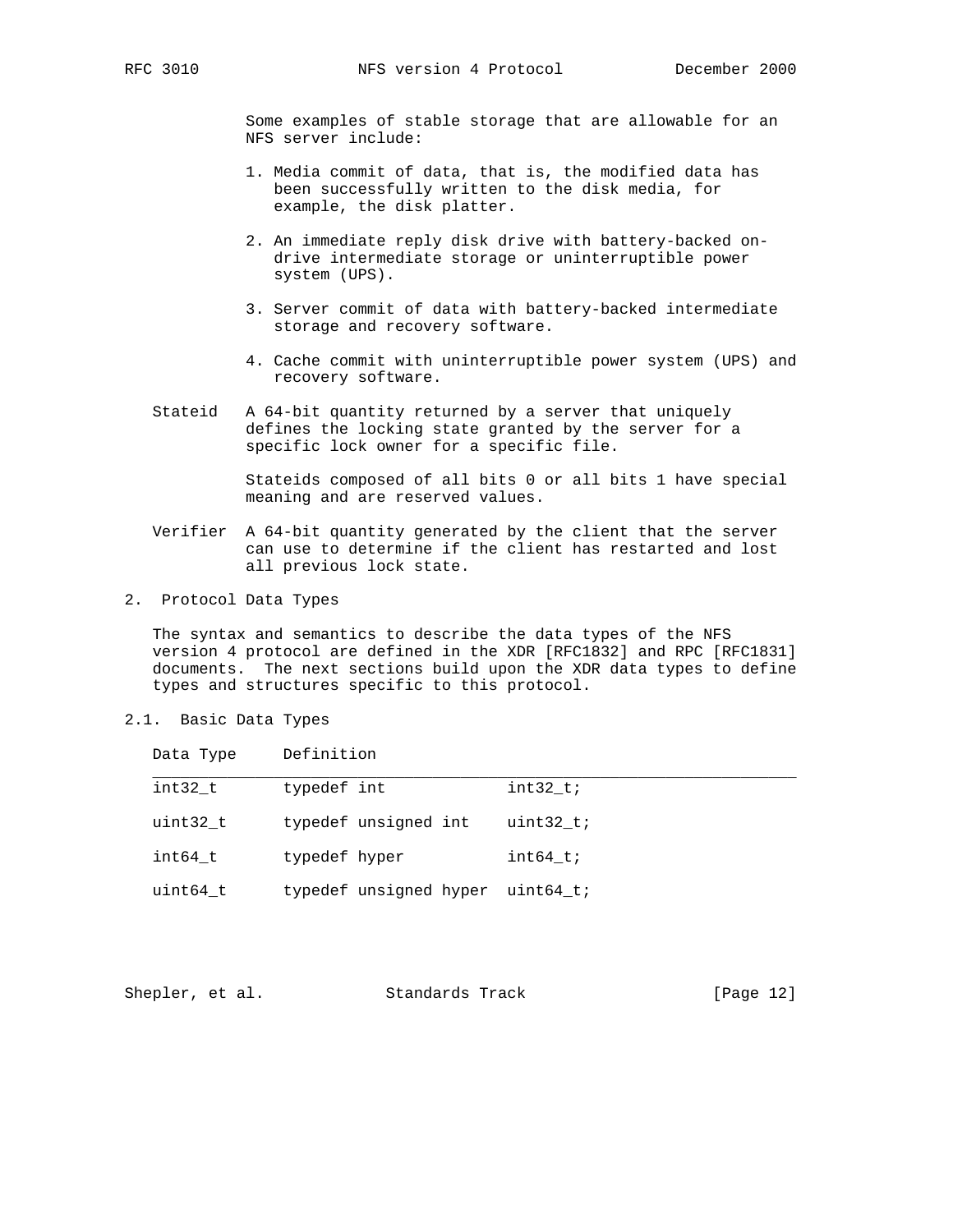Some examples of stable storage that are allowable for an NFS server include:

- 1. Media commit of data, that is, the modified data has been successfully written to the disk media, for example, the disk platter.
- 2. An immediate reply disk drive with battery-backed on drive intermediate storage or uninterruptible power system (UPS).
- 3. Server commit of data with battery-backed intermediate storage and recovery software.
- 4. Cache commit with uninterruptible power system (UPS) and recovery software.
- Stateid A 64-bit quantity returned by a server that uniquely defines the locking state granted by the server for a specific lock owner for a specific file.

 Stateids composed of all bits 0 or all bits 1 have special meaning and are reserved values.

- Verifier A 64-bit quantity generated by the client that the server can use to determine if the client has restarted and lost all previous lock state.
- 2. Protocol Data Types

 The syntax and semantics to describe the data types of the NFS version 4 protocol are defined in the XDR [RFC1832] and RPC [RFC1831] documents. The next sections build upon the XDR data types to define types and structures specific to this protocol.

2.1. Basic Data Types

| Data Type | Definition             |            |
|-----------|------------------------|------------|
| int32 t   | typedef int            | int32 ti   |
| uint32 t  | typedef unsigned int   | $uint32_t$ |
| int64 t   | typedef hyper          | $int64$ t; |
| uint64 t  | typedef unsigned hyper | uint64 t;  |

|  | Shepler, et al. | Standards Track | [Page 12] |
|--|-----------------|-----------------|-----------|
|--|-----------------|-----------------|-----------|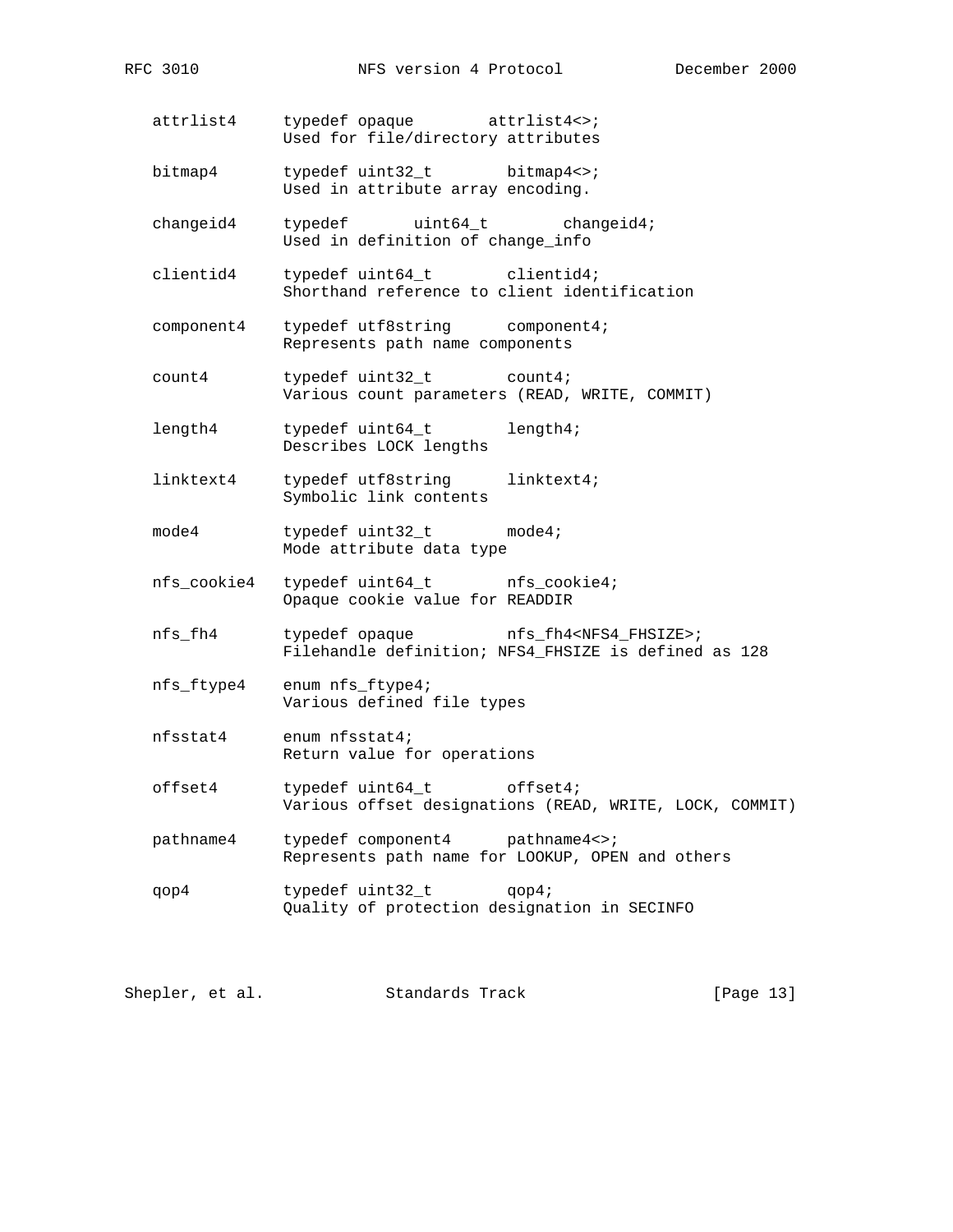- attrlist4 typedef opaque attrlist4<>; Used for file/directory attributes
- bitmap4 typedef uint32\_t bitmap4<>; Used in attribute array encoding.
- changeid4 typedef uint64\_t changeid4; Used in definition of change\_info
- clientid4 typedef uint64\_t clientid4; Shorthand reference to client identification
- component4 typedef utf8string component4; Represents path name components
- count4 typedef uint32\_t count4; Various count parameters (READ, WRITE, COMMIT)
- length4 typedef uint64\_t length4; Describes LOCK lengths
- linktext4 typedef utf8string linktext4; Symbolic link contents
- mode4 typedef uint32\_t mode4; Mode attribute data type
- nfs\_cookie4 typedef uint64\_t nfs\_cookie4; Opaque cookie value for READDIR
- nfs\_fh4 typedef opaque nfs\_fh4<NFS4\_FHSIZE>; Filehandle definition; NFS4\_FHSIZE is defined as 128
- nfs\_ftype4 enum nfs\_ftype4; Various defined file types
- nfsstat4 enum nfsstat4; Return value for operations
- offset4 typedef uint64\_t offset4; Various offset designations (READ, WRITE, LOCK, COMMIT)
- pathname4 typedef component4 pathname4<>; Represents path name for LOOKUP, OPEN and others
- qop4 typedef uint32\_t qop4; Quality of protection designation in SECINFO

Shepler, et al. Standards Track [Page 13]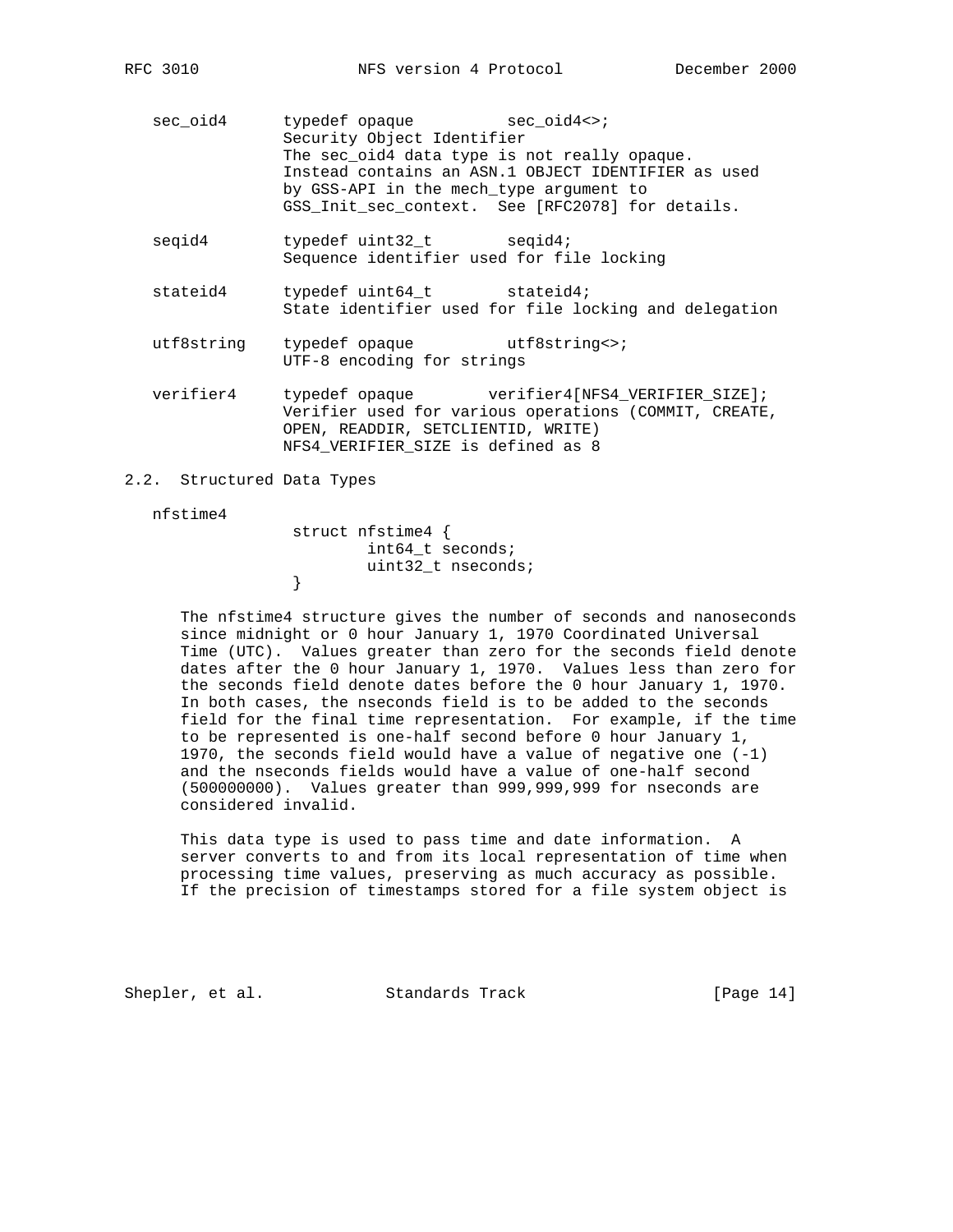sec\_oid4 typedef opaque sec\_oid4<>; Security Object Identifier The sec\_oid4 data type is not really opaque. Instead contains an ASN.1 OBJECT IDENTIFIER as used by GSS-API in the mech\_type argument to GSS\_Init\_sec\_context. See [RFC2078] for details.

seqid4 typedef uint32\_t seqid4; Sequence identifier used for file locking

stateid4 typedef uint64\_t stateid4; State identifier used for file locking and delegation

utf8string typedef opaque utf8string<>; UTF-8 encoding for strings

 verifier4 typedef opaque verifier4[NFS4\_VERIFIER\_SIZE]; Verifier used for various operations (COMMIT, CREATE, OPEN, READDIR, SETCLIENTID, WRITE) NFS4\_VERIFIER\_SIZE is defined as 8

## 2.2. Structured Data Types

#### nfstime4

}

 struct nfstime4 { int64\_t seconds; uint32\_t nseconds;<br>}

 The nfstime4 structure gives the number of seconds and nanoseconds since midnight or 0 hour January 1, 1970 Coordinated Universal Time (UTC). Values greater than zero for the seconds field denote dates after the 0 hour January 1, 1970. Values less than zero for the seconds field denote dates before the 0 hour January 1, 1970. In both cases, the nseconds field is to be added to the seconds field for the final time representation. For example, if the time to be represented is one-half second before 0 hour January 1, 1970, the seconds field would have a value of negative one (-1) and the nseconds fields would have a value of one-half second (500000000). Values greater than 999,999,999 for nseconds are considered invalid.

 This data type is used to pass time and date information. A server converts to and from its local representation of time when processing time values, preserving as much accuracy as possible. If the precision of timestamps stored for a file system object is

Shepler, et al. Standards Track [Page 14]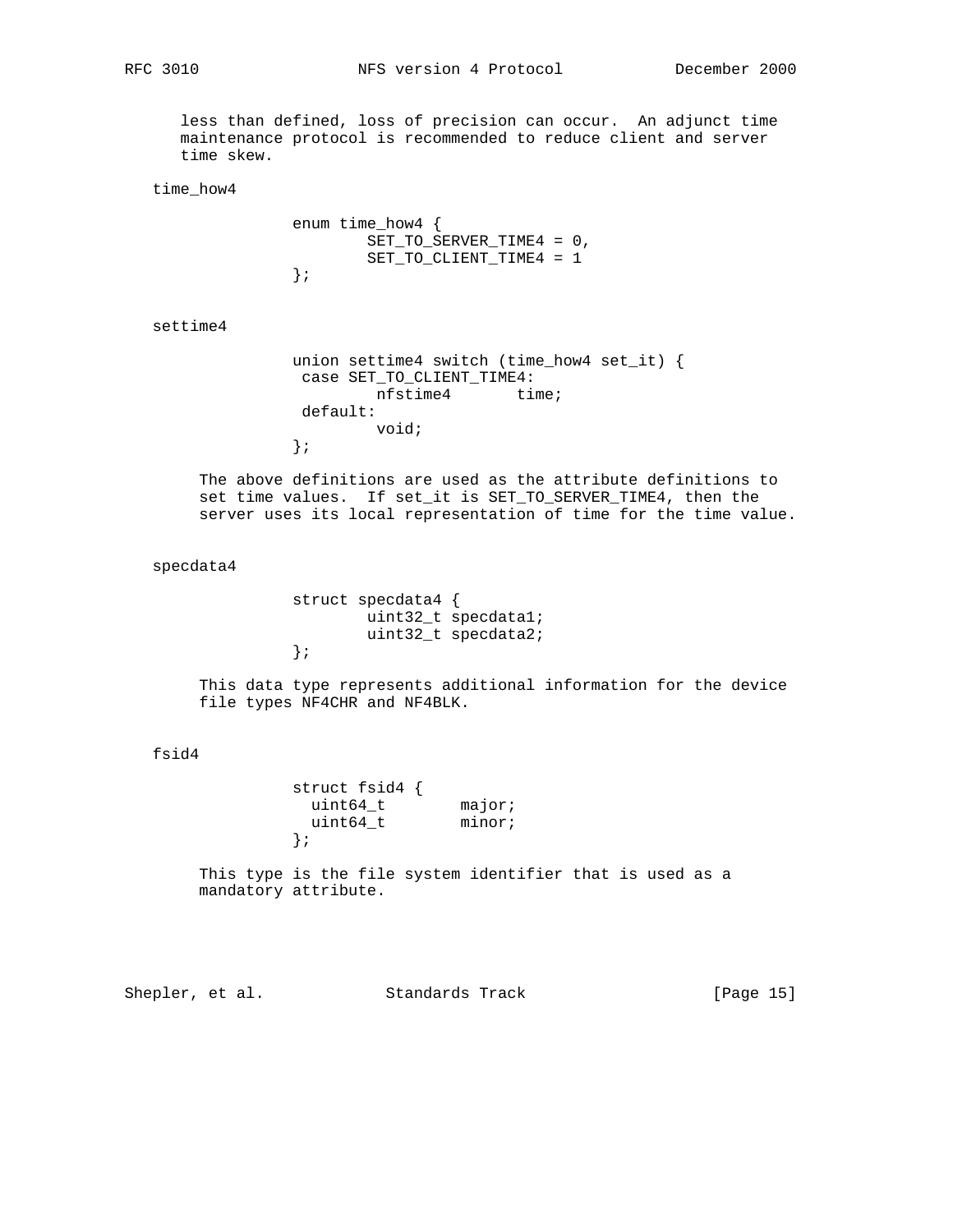RFC 3010 NFS version 4 Protocol December 2000

 less than defined, loss of precision can occur. An adjunct time maintenance protocol is recommended to reduce client and server time skew.

time\_how4

```
 enum time_how4 {
            SET_TO_SERVER_TIME4 = 0,
           SET_TO_CLIENT_TIME4 = 1
};
```
settime4

```
 union settime4 switch (time_how4 set_it) {
case SET_TO_CLIENT_TIME4:
        nfstime4 time;
default:
        void;
};
```
 The above definitions are used as the attribute definitions to set time values. If set\_it is SET\_TO\_SERVER\_TIME4, then the server uses its local representation of time for the time value.

## specdata4

```
 struct specdata4 {
        uint32_t specdata1;
        uint32_t specdata2;
};
```
 This data type represents additional information for the device file types NF4CHR and NF4BLK.

## fsid4

 struct fsid4 { uint64\_t major; uint64\_t minor; };

> This type is the file system identifier that is used as a mandatory attribute.

Shepler, et al. Standards Track [Page 15]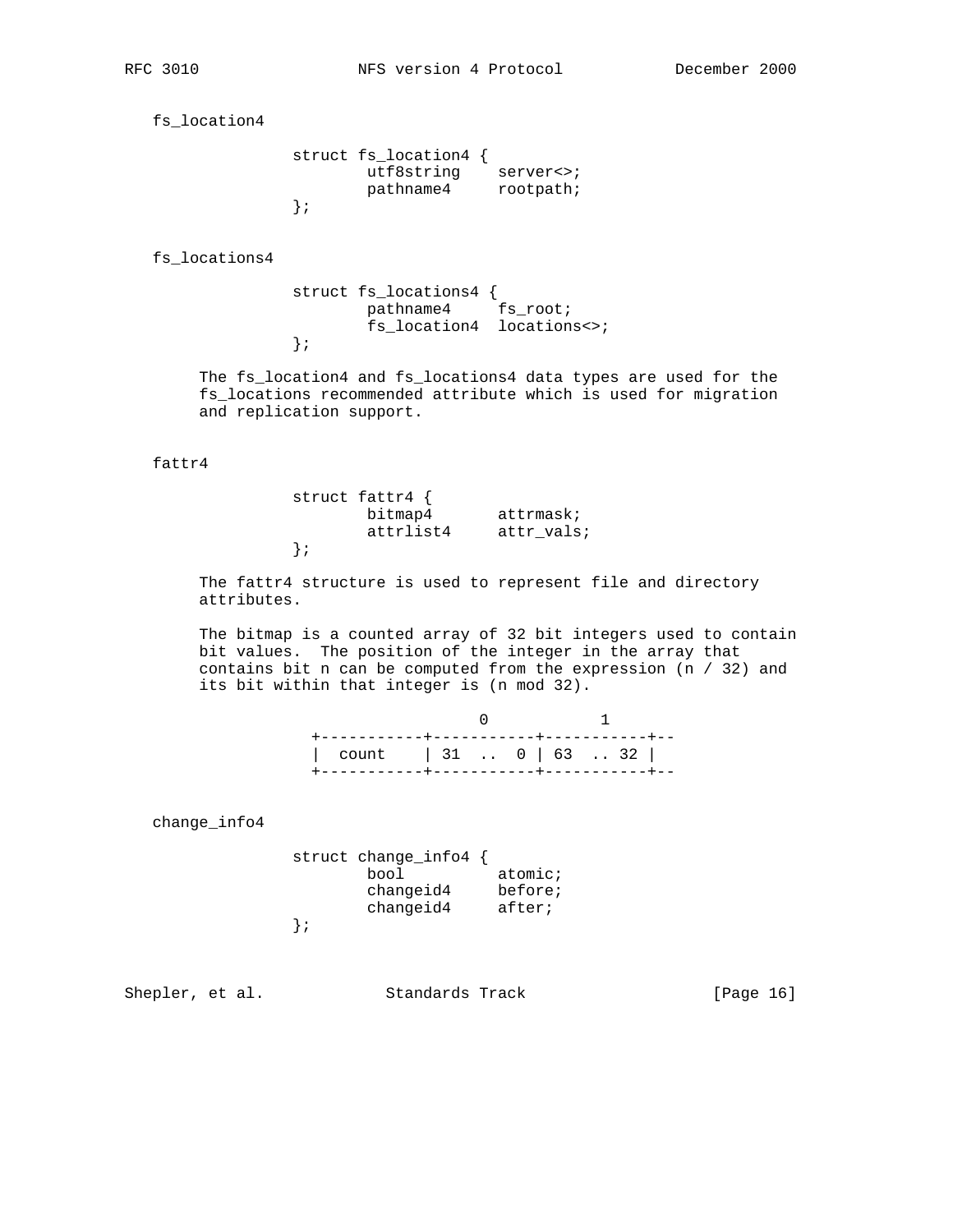fs\_location4

| struct fs location4 { |           |
|-----------------------|-----------|
| utf8string            | server<>; |
| pathname4             | rootpath; |
|                       |           |

fs\_locations4

 struct fs\_locations4 { pathname4 fs\_root; fs\_location4 locations<>; };

 The fs\_location4 and fs\_locations4 data types are used for the fs\_locations recommended attribute which is used for migration and replication support.

## fattr4

 struct fattr4 { bitmap4 attrmask; attrlist4 attr\_vals; };

> The fattr4 structure is used to represent file and directory attributes.

 The bitmap is a counted array of 32 bit integers used to contain bit values. The position of the integer in the array that contains bit n can be computed from the expression (n / 32) and its bit within that integer is (n mod 32).

|                         |  | $\frac{1}{2}$ |  |  |
|-------------------------|--|---------------|--|--|
| count   31 $0$   63  32 |  |               |  |  |
|                         |  |               |  |  |

change\_info4

| struct change info $4 \nmid$ |         |
|------------------------------|---------|
| bool                         | atomic; |
| changeid4                    | before; |
| changeid4                    | after;  |
|                              |         |

};

Shepler, et al. Standards Track [Page 16]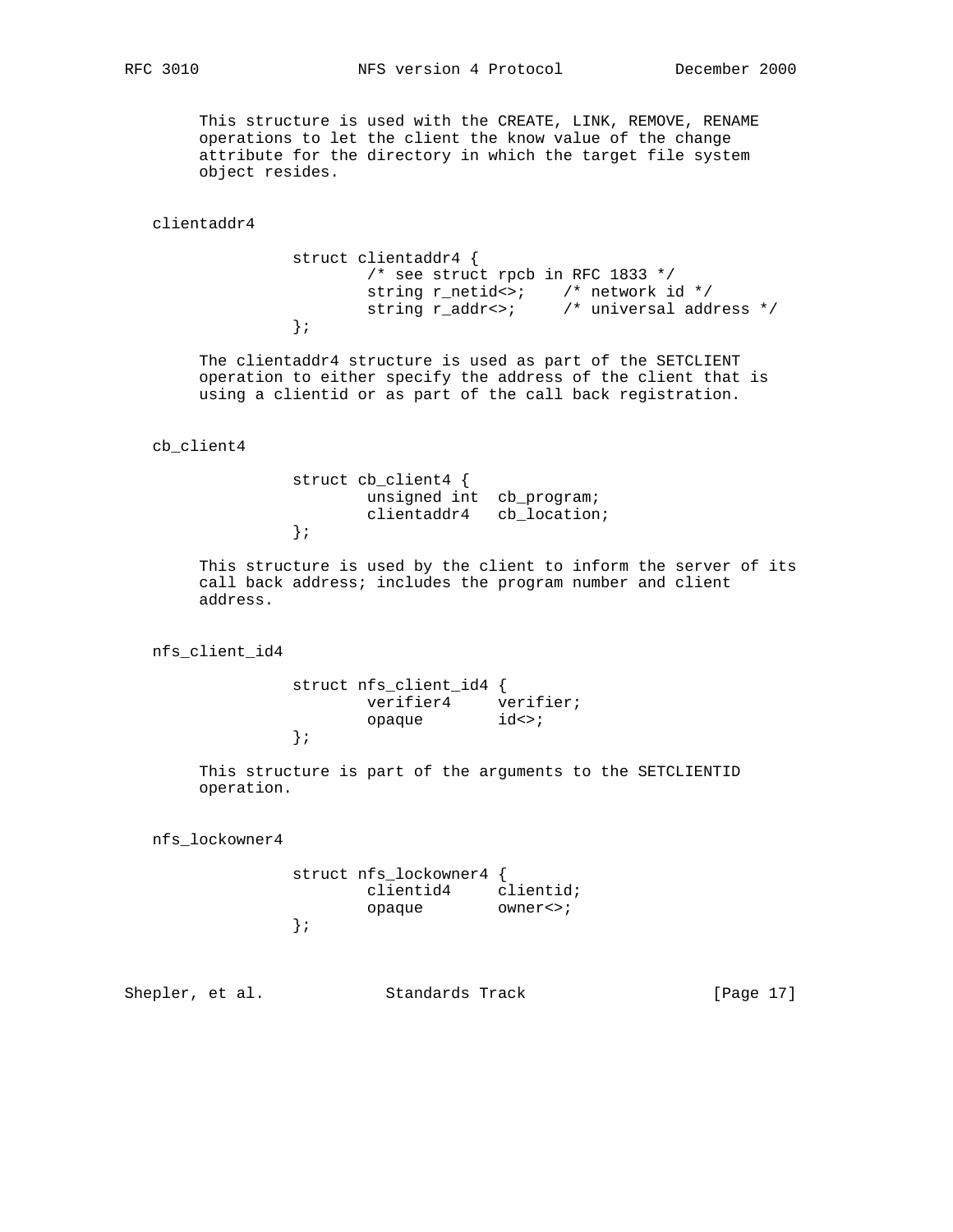This structure is used with the CREATE, LINK, REMOVE, RENAME operations to let the client the know value of the change attribute for the directory in which the target file system object resides.

clientaddr4

 struct clientaddr4 { /\* see struct rpcb in RFC 1833 \*/ string r\_netid<>; /\* network id \*/ string r\_addr<>; /\* universal address \*/ };

> The clientaddr4 structure is used as part of the SETCLIENT operation to either specify the address of the client that is using a clientid or as part of the call back registration.

cb\_client4

 struct cb\_client4 { unsigned int cb\_program; clientaddr4 cb\_location; };

 This structure is used by the client to inform the server of its call back address; includes the program number and client address.

nfs\_client\_id4

 struct nfs\_client\_id4 { verifier4 verifier; opaque  $id \leftrightarrow i$ };

> This structure is part of the arguments to the SETCLIENTID operation.

nfs\_lockowner4

| struct nfs lockowner4 { |            |
|-------------------------|------------|
| clientid4               | clientid;  |
| opaque                  | $owners$ ; |
|                         |            |

Shepler, et al. Standards Track [Page 17]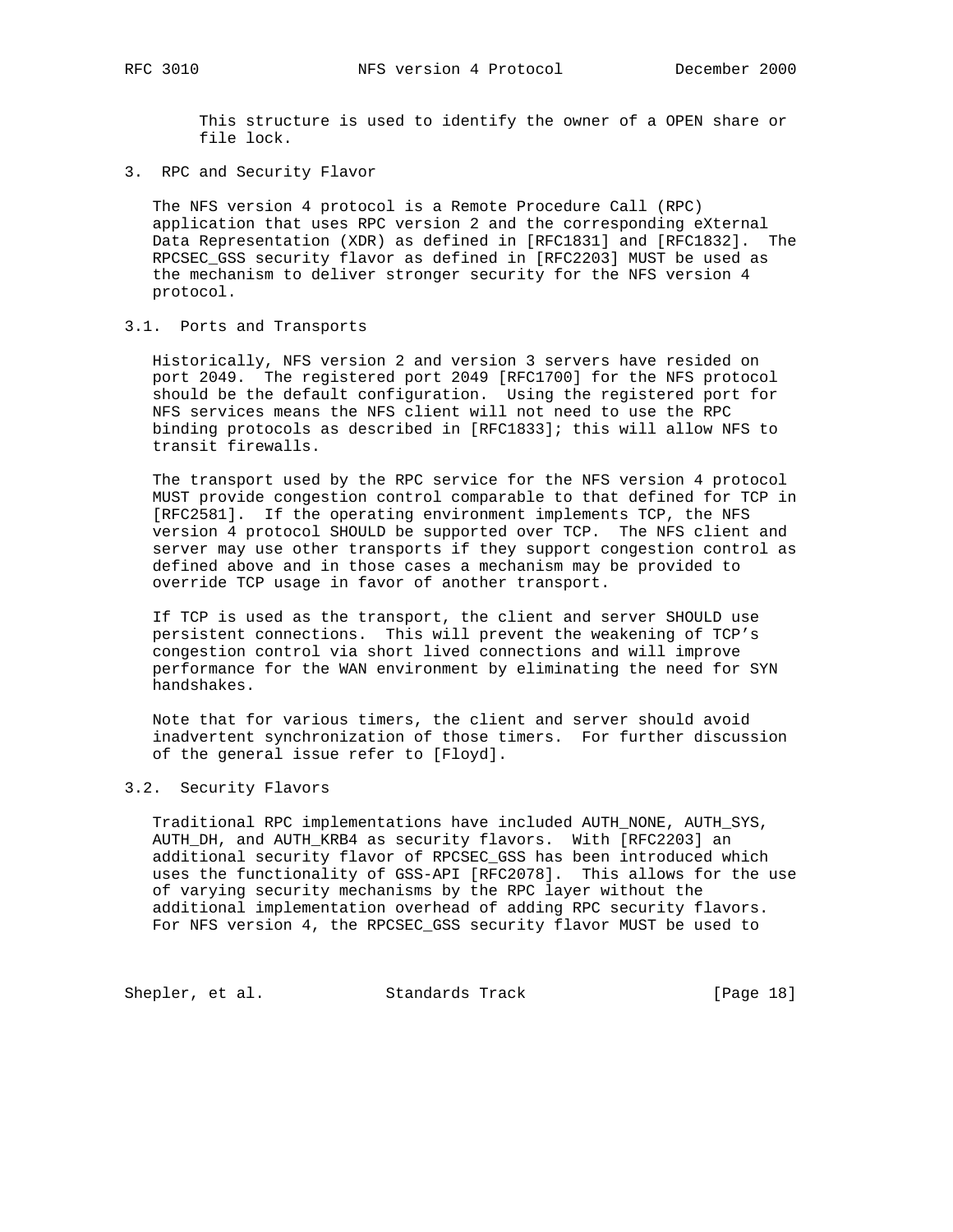This structure is used to identify the owner of a OPEN share or file lock.

3. RPC and Security Flavor

 The NFS version 4 protocol is a Remote Procedure Call (RPC) application that uses RPC version 2 and the corresponding eXternal Data Representation (XDR) as defined in [RFC1831] and [RFC1832]. The RPCSEC\_GSS security flavor as defined in [RFC2203] MUST be used as the mechanism to deliver stronger security for the NFS version 4 protocol.

# 3.1. Ports and Transports

 Historically, NFS version 2 and version 3 servers have resided on port 2049. The registered port 2049 [RFC1700] for the NFS protocol should be the default configuration. Using the registered port for NFS services means the NFS client will not need to use the RPC binding protocols as described in [RFC1833]; this will allow NFS to transit firewalls.

 The transport used by the RPC service for the NFS version 4 protocol MUST provide congestion control comparable to that defined for TCP in [RFC2581]. If the operating environment implements TCP, the NFS version 4 protocol SHOULD be supported over TCP. The NFS client and server may use other transports if they support congestion control as defined above and in those cases a mechanism may be provided to override TCP usage in favor of another transport.

 If TCP is used as the transport, the client and server SHOULD use persistent connections. This will prevent the weakening of TCP's congestion control via short lived connections and will improve performance for the WAN environment by eliminating the need for SYN handshakes.

 Note that for various timers, the client and server should avoid inadvertent synchronization of those timers. For further discussion of the general issue refer to [Floyd].

## 3.2. Security Flavors

 Traditional RPC implementations have included AUTH\_NONE, AUTH\_SYS, AUTH\_DH, and AUTH\_KRB4 as security flavors. With [RFC2203] an additional security flavor of RPCSEC\_GSS has been introduced which uses the functionality of GSS-API [RFC2078]. This allows for the use of varying security mechanisms by the RPC layer without the additional implementation overhead of adding RPC security flavors. For NFS version 4, the RPCSEC\_GSS security flavor MUST be used to

Shepler, et al. Standards Track [Page 18]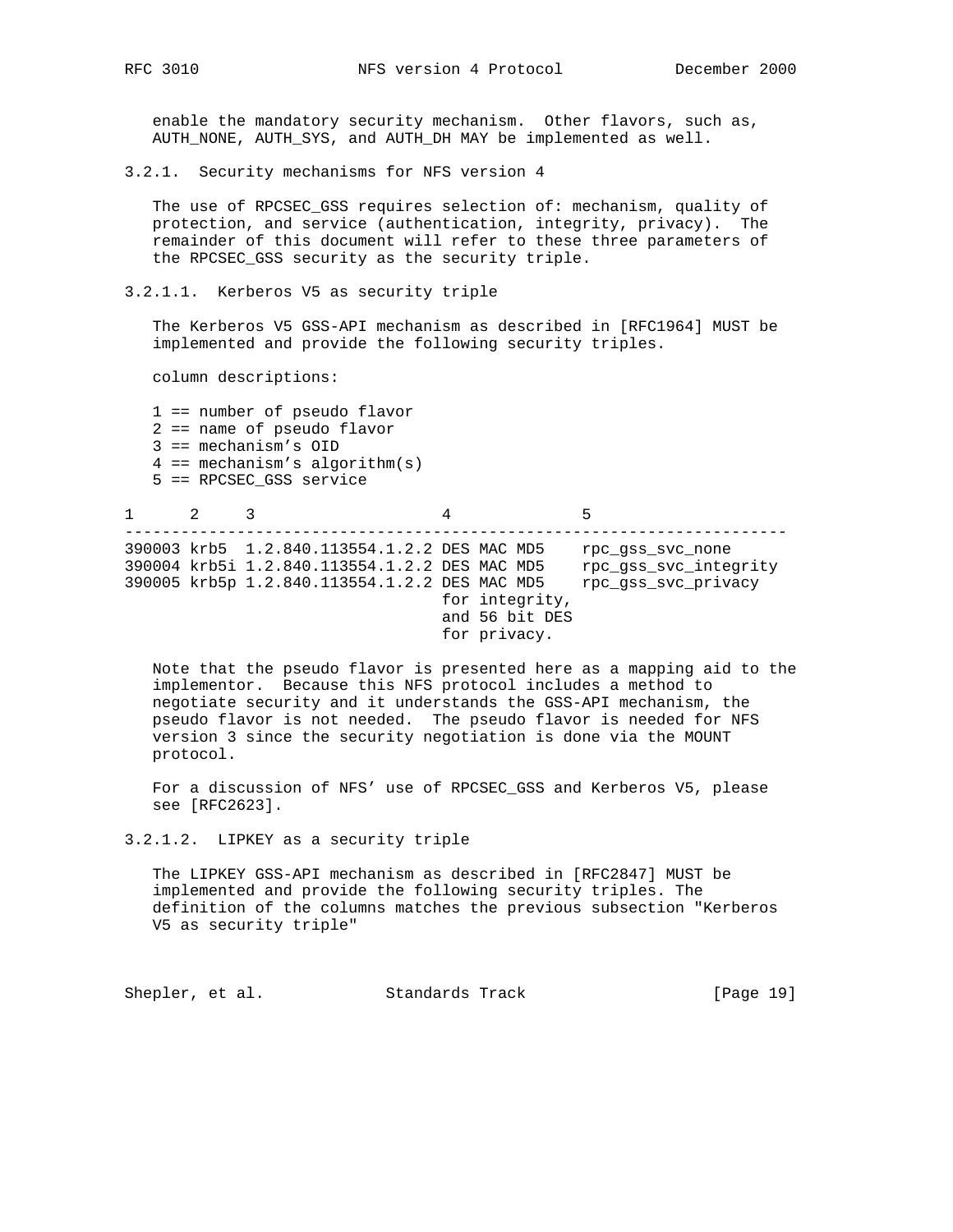enable the mandatory security mechanism. Other flavors, such as, AUTH\_NONE, AUTH\_SYS, and AUTH\_DH MAY be implemented as well.

3.2.1. Security mechanisms for NFS version 4

 The use of RPCSEC\_GSS requires selection of: mechanism, quality of protection, and service (authentication, integrity, privacy). The remainder of this document will refer to these three parameters of the RPCSEC\_GSS security as the security triple.

3.2.1.1. Kerberos V5 as security triple

 The Kerberos V5 GSS-API mechanism as described in [RFC1964] MUST be implemented and provide the following security triples.

column descriptions:

 1 == number of pseudo flavor 2 == name of pseudo flavor 3 == mechanism's OID  $4 == mechanism's algorithm(s)$ 5 == RPCSEC\_GSS service

 $1$  2 3 4 5 ----------------------------------------------------------------------- 390003 krb5 1.2.840.113554.1.2.2 DES MAC MD5 rpc\_gss\_svc\_none 390004 krb5i 1.2.840.113554.1.2.2 DES MAC MD5 rpc\_gss\_svc\_integrity 390005 krb5p 1.2.840.113554.1.2.2 DES MAC MD5 rpc\_gss\_svc\_privacy for integrity, and 56 bit DES for privacy.

 Note that the pseudo flavor is presented here as a mapping aid to the implementor. Because this NFS protocol includes a method to negotiate security and it understands the GSS-API mechanism, the pseudo flavor is not needed. The pseudo flavor is needed for NFS version 3 since the security negotiation is done via the MOUNT protocol.

 For a discussion of NFS' use of RPCSEC\_GSS and Kerberos V5, please see [RFC2623].

## 3.2.1.2. LIPKEY as a security triple

 The LIPKEY GSS-API mechanism as described in [RFC2847] MUST be implemented and provide the following security triples. The definition of the columns matches the previous subsection "Kerberos V5 as security triple"

Shepler, et al. Standards Track [Page 19]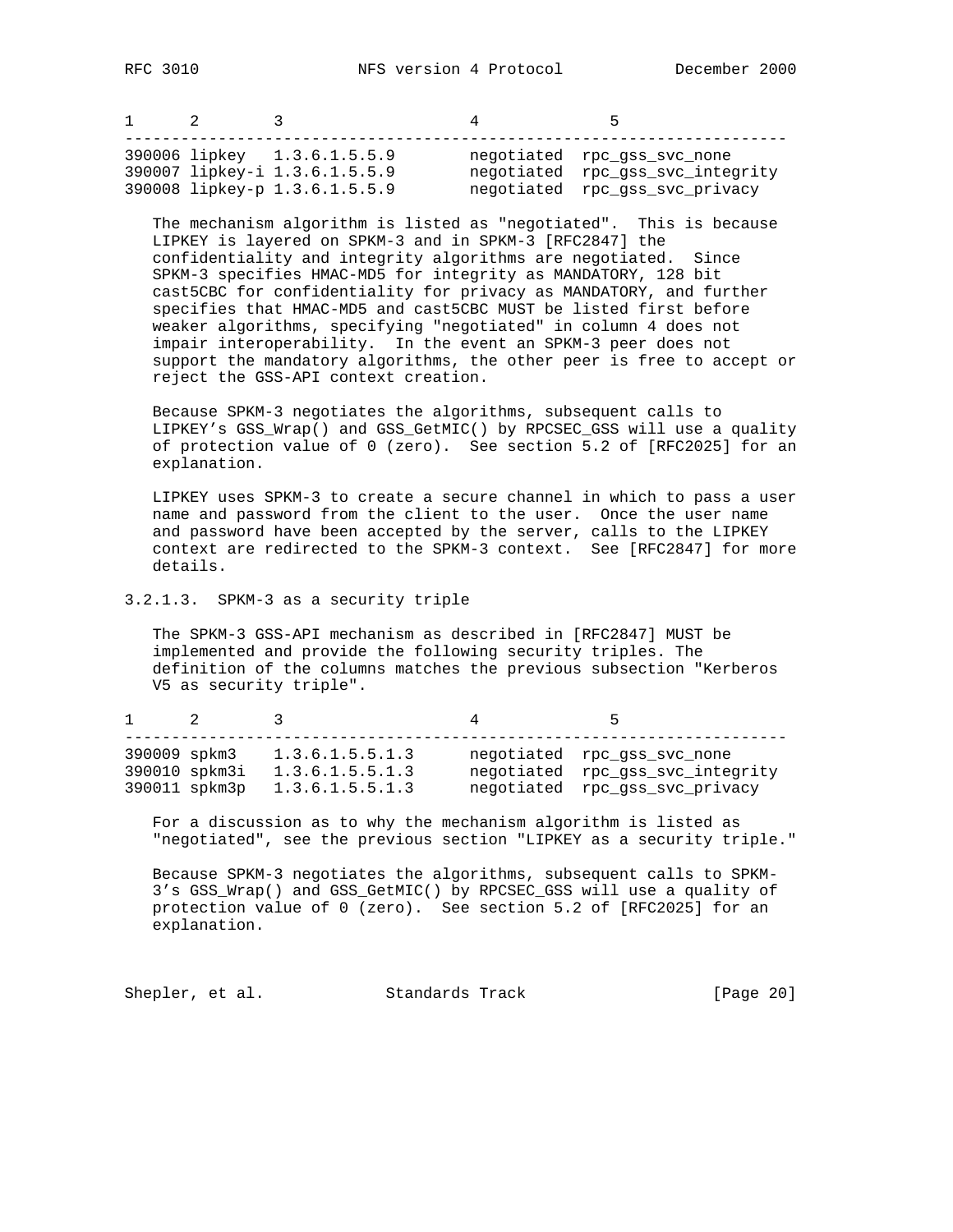| $1 \quad 2$ |                                                                                               | <b>5</b>                                                                                          |
|-------------|-----------------------------------------------------------------------------------------------|---------------------------------------------------------------------------------------------------|
|             | 390006 lipkey 1.3.6.1.5.5.9<br>390007 lipkey-i 1.3.6.1.5.5.9<br>390008 lipkey-p 1.3.6.1.5.5.9 | negotiated rpc_gss_svc_none<br>negotiated rpc_gss_svc_integrity<br>negotiated rpc_gss_svc_privacy |

 The mechanism algorithm is listed as "negotiated". This is because LIPKEY is layered on SPKM-3 and in SPKM-3 [RFC2847] the confidentiality and integrity algorithms are negotiated. Since SPKM-3 specifies HMAC-MD5 for integrity as MANDATORY, 128 bit cast5CBC for confidentiality for privacy as MANDATORY, and further specifies that HMAC-MD5 and cast5CBC MUST be listed first before weaker algorithms, specifying "negotiated" in column 4 does not impair interoperability. In the event an SPKM-3 peer does not support the mandatory algorithms, the other peer is free to accept or reject the GSS-API context creation.

 Because SPKM-3 negotiates the algorithms, subsequent calls to LIPKEY's GSS\_Wrap() and GSS\_GetMIC() by RPCSEC\_GSS will use a quality of protection value of 0 (zero). See section 5.2 of [RFC2025] for an explanation.

 LIPKEY uses SPKM-3 to create a secure channel in which to pass a user name and password from the client to the user. Once the user name and password have been accepted by the server, calls to the LIPKEY context are redirected to the SPKM-3 context. See [RFC2847] for more details.

## 3.2.1.3. SPKM-3 as a security triple

 The SPKM-3 GSS-API mechanism as described in [RFC2847] MUST be implemented and provide the following security triples. The definition of the columns matches the previous subsection "Kerberos V5 as security triple".

| $\sim$ 1     | $\overline{2}$                 |                                                       | $\sim$                                                                                            |
|--------------|--------------------------------|-------------------------------------------------------|---------------------------------------------------------------------------------------------------|
| 390009 spkm3 | 390010 spkm3i<br>390011 spkm3p | 1.3.6.1.5.5.1.3<br>1.3.6.1.5.5.1.3<br>1.3.6.1.5.5.1.3 | negotiated rpc_gss_svc_none<br>negotiated rpc_gss_svc_integrity<br>negotiated rpc_gss_svc_privacy |

 For a discussion as to why the mechanism algorithm is listed as "negotiated", see the previous section "LIPKEY as a security triple."

 Because SPKM-3 negotiates the algorithms, subsequent calls to SPKM- 3's GSS\_Wrap() and GSS\_GetMIC() by RPCSEC\_GSS will use a quality of protection value of 0 (zero). See section 5.2 of [RFC2025] for an explanation.

| Shepler, et al. | Standards Track | [Page 20] |
|-----------------|-----------------|-----------|
|-----------------|-----------------|-----------|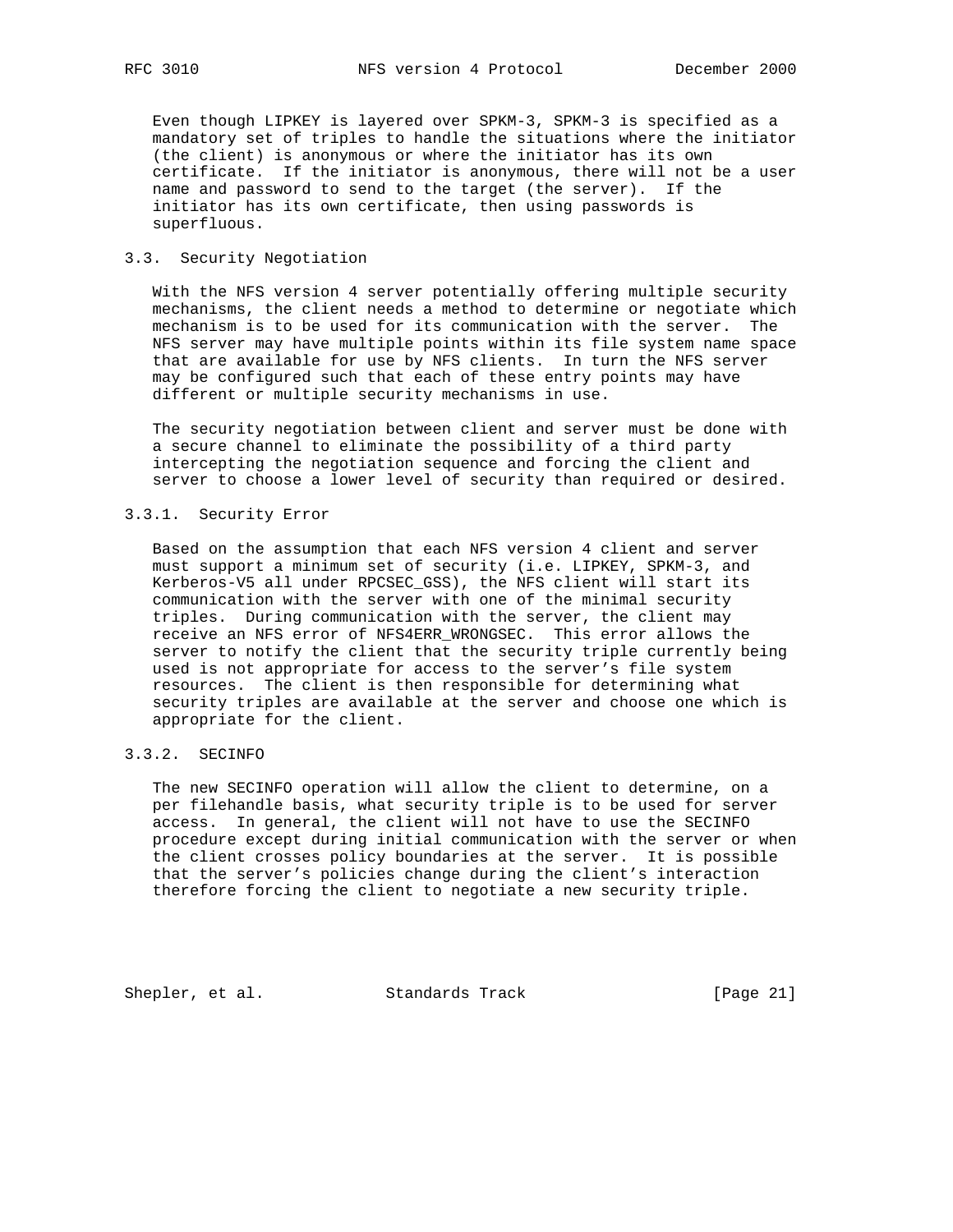Even though LIPKEY is layered over SPKM-3, SPKM-3 is specified as a mandatory set of triples to handle the situations where the initiator (the client) is anonymous or where the initiator has its own certificate. If the initiator is anonymous, there will not be a user name and password to send to the target (the server). If the initiator has its own certificate, then using passwords is superfluous.

## 3.3. Security Negotiation

 With the NFS version 4 server potentially offering multiple security mechanisms, the client needs a method to determine or negotiate which mechanism is to be used for its communication with the server. The NFS server may have multiple points within its file system name space that are available for use by NFS clients. In turn the NFS server may be configured such that each of these entry points may have different or multiple security mechanisms in use.

 The security negotiation between client and server must be done with a secure channel to eliminate the possibility of a third party intercepting the negotiation sequence and forcing the client and server to choose a lower level of security than required or desired.

## 3.3.1. Security Error

 Based on the assumption that each NFS version 4 client and server must support a minimum set of security (i.e. LIPKEY, SPKM-3, and Kerberos-V5 all under RPCSEC\_GSS), the NFS client will start its communication with the server with one of the minimal security triples. During communication with the server, the client may receive an NFS error of NFS4ERR\_WRONGSEC. This error allows the server to notify the client that the security triple currently being used is not appropriate for access to the server's file system resources. The client is then responsible for determining what security triples are available at the server and choose one which is appropriate for the client.

# 3.3.2. SECINFO

 The new SECINFO operation will allow the client to determine, on a per filehandle basis, what security triple is to be used for server access. In general, the client will not have to use the SECINFO procedure except during initial communication with the server or when the client crosses policy boundaries at the server. It is possible that the server's policies change during the client's interaction therefore forcing the client to negotiate a new security triple.

Shepler, et al. Standards Track [Page 21]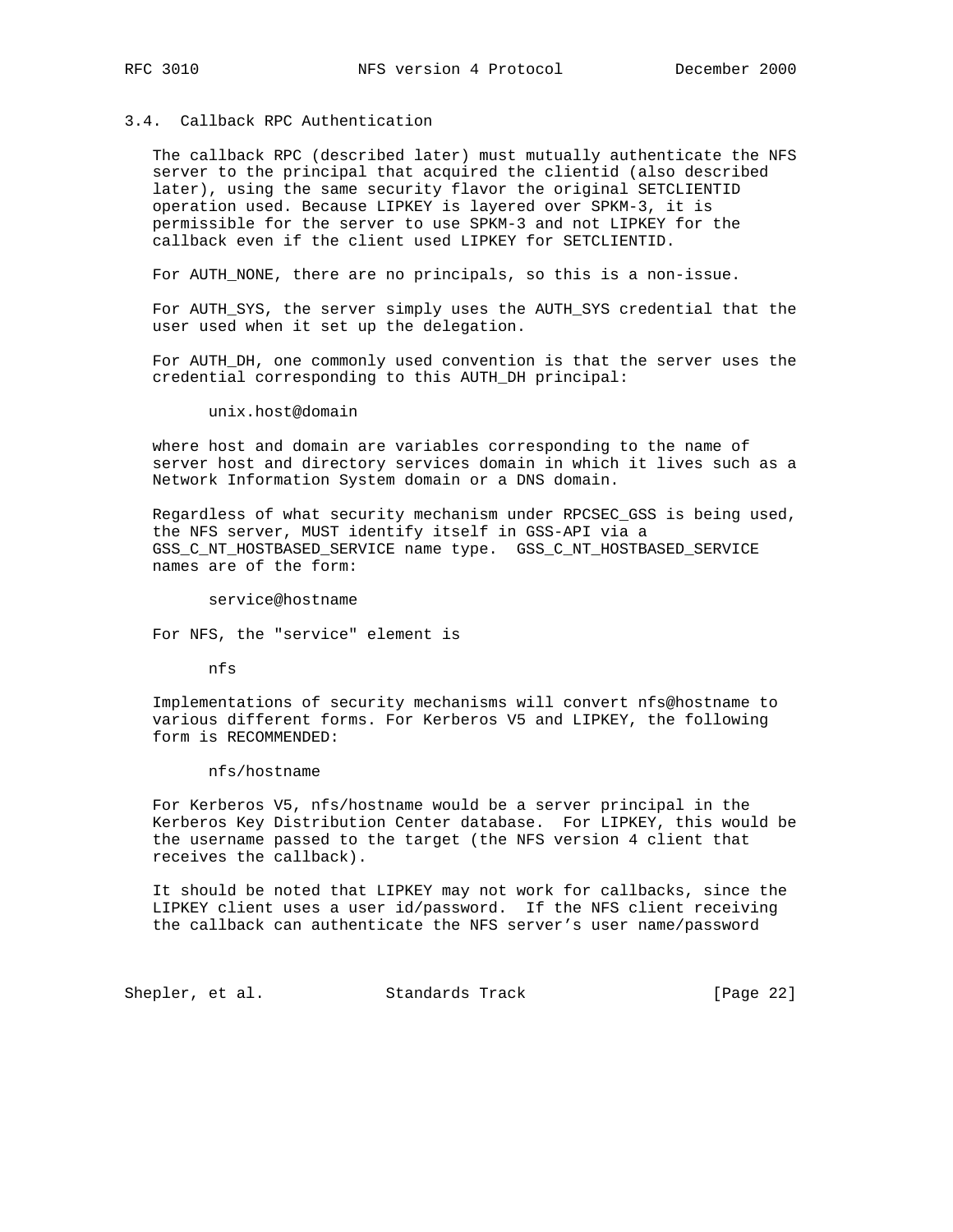## 3.4. Callback RPC Authentication

 The callback RPC (described later) must mutually authenticate the NFS server to the principal that acquired the clientid (also described later), using the same security flavor the original SETCLIENTID operation used. Because LIPKEY is layered over SPKM-3, it is permissible for the server to use SPKM-3 and not LIPKEY for the callback even if the client used LIPKEY for SETCLIENTID.

For AUTH\_NONE, there are no principals, so this is a non-issue.

 For AUTH\_SYS, the server simply uses the AUTH\_SYS credential that the user used when it set up the delegation.

 For AUTH\_DH, one commonly used convention is that the server uses the credential corresponding to this AUTH\_DH principal:

unix.host@domain

 where host and domain are variables corresponding to the name of server host and directory services domain in which it lives such as a Network Information System domain or a DNS domain.

 Regardless of what security mechanism under RPCSEC\_GSS is being used, the NFS server, MUST identify itself in GSS-API via a GSS\_C\_NT\_HOSTBASED\_SERVICE name type. GSS\_C\_NT\_HOSTBASED\_SERVICE names are of the form:

service@hostname

For NFS, the "service" element is

nfs

 Implementations of security mechanisms will convert nfs@hostname to various different forms. For Kerberos V5 and LIPKEY, the following form is RECOMMENDED:

nfs/hostname

 For Kerberos V5, nfs/hostname would be a server principal in the Kerberos Key Distribution Center database. For LIPKEY, this would be the username passed to the target (the NFS version 4 client that receives the callback).

 It should be noted that LIPKEY may not work for callbacks, since the LIPKEY client uses a user id/password. If the NFS client receiving the callback can authenticate the NFS server's user name/password

Shepler, et al. Standards Track [Page 22]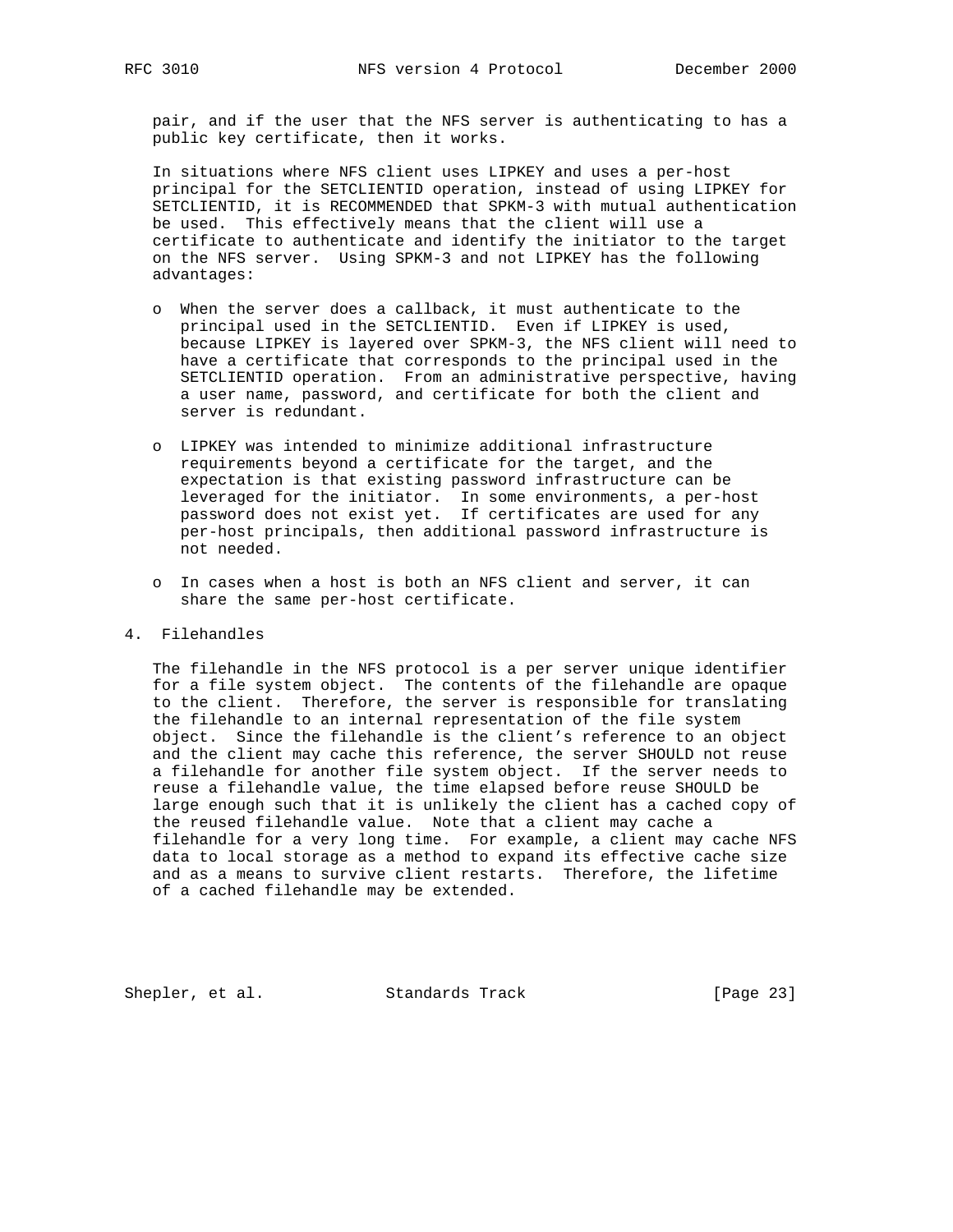pair, and if the user that the NFS server is authenticating to has a public key certificate, then it works.

 In situations where NFS client uses LIPKEY and uses a per-host principal for the SETCLIENTID operation, instead of using LIPKEY for SETCLIENTID, it is RECOMMENDED that SPKM-3 with mutual authentication be used. This effectively means that the client will use a certificate to authenticate and identify the initiator to the target on the NFS server. Using SPKM-3 and not LIPKEY has the following advantages:

- o When the server does a callback, it must authenticate to the principal used in the SETCLIENTID. Even if LIPKEY is used, because LIPKEY is layered over SPKM-3, the NFS client will need to have a certificate that corresponds to the principal used in the SETCLIENTID operation. From an administrative perspective, having a user name, password, and certificate for both the client and server is redundant.
- o LIPKEY was intended to minimize additional infrastructure requirements beyond a certificate for the target, and the expectation is that existing password infrastructure can be leveraged for the initiator. In some environments, a per-host password does not exist yet. If certificates are used for any per-host principals, then additional password infrastructure is not needed.
	- o In cases when a host is both an NFS client and server, it can share the same per-host certificate.
- 4. Filehandles

 The filehandle in the NFS protocol is a per server unique identifier for a file system object. The contents of the filehandle are opaque to the client. Therefore, the server is responsible for translating the filehandle to an internal representation of the file system object. Since the filehandle is the client's reference to an object and the client may cache this reference, the server SHOULD not reuse a filehandle for another file system object. If the server needs to reuse a filehandle value, the time elapsed before reuse SHOULD be large enough such that it is unlikely the client has a cached copy of the reused filehandle value. Note that a client may cache a filehandle for a very long time. For example, a client may cache NFS data to local storage as a method to expand its effective cache size and as a means to survive client restarts. Therefore, the lifetime of a cached filehandle may be extended.

Shepler, et al. Standards Track [Page 23]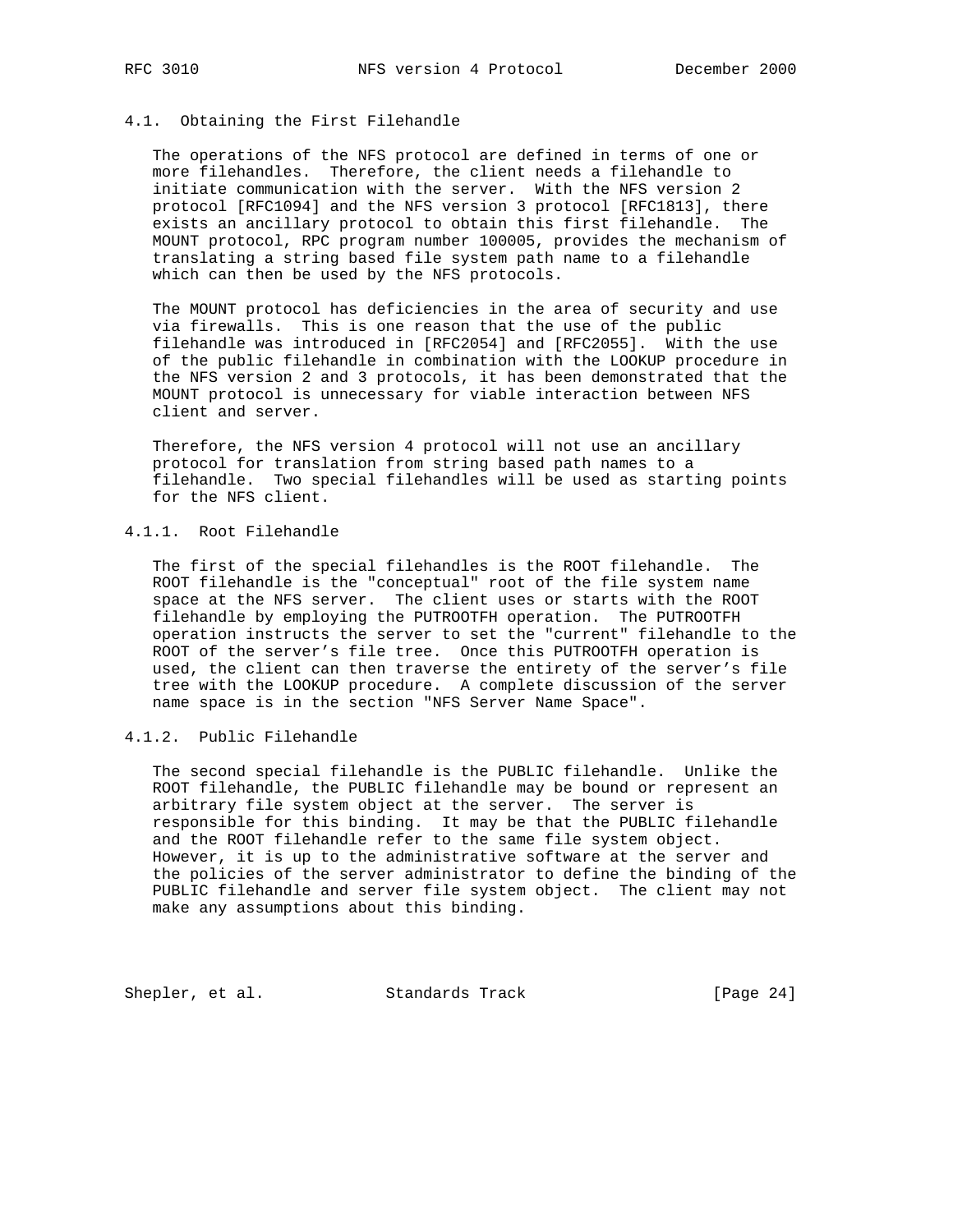# 4.1. Obtaining the First Filehandle

 The operations of the NFS protocol are defined in terms of one or more filehandles. Therefore, the client needs a filehandle to initiate communication with the server. With the NFS version 2 protocol [RFC1094] and the NFS version 3 protocol [RFC1813], there exists an ancillary protocol to obtain this first filehandle. The MOUNT protocol, RPC program number 100005, provides the mechanism of translating a string based file system path name to a filehandle which can then be used by the NFS protocols.

 The MOUNT protocol has deficiencies in the area of security and use via firewalls. This is one reason that the use of the public filehandle was introduced in [RFC2054] and [RFC2055]. With the use of the public filehandle in combination with the LOOKUP procedure in the NFS version 2 and 3 protocols, it has been demonstrated that the MOUNT protocol is unnecessary for viable interaction between NFS client and server.

 Therefore, the NFS version 4 protocol will not use an ancillary protocol for translation from string based path names to a filehandle. Two special filehandles will be used as starting points for the NFS client.

## 4.1.1. Root Filehandle

 The first of the special filehandles is the ROOT filehandle. The ROOT filehandle is the "conceptual" root of the file system name space at the NFS server. The client uses or starts with the ROOT filehandle by employing the PUTROOTFH operation. The PUTROOTFH operation instructs the server to set the "current" filehandle to the ROOT of the server's file tree. Once this PUTROOTFH operation is used, the client can then traverse the entirety of the server's file tree with the LOOKUP procedure. A complete discussion of the server name space is in the section "NFS Server Name Space".

4.1.2. Public Filehandle

 The second special filehandle is the PUBLIC filehandle. Unlike the ROOT filehandle, the PUBLIC filehandle may be bound or represent an arbitrary file system object at the server. The server is responsible for this binding. It may be that the PUBLIC filehandle and the ROOT filehandle refer to the same file system object. However, it is up to the administrative software at the server and the policies of the server administrator to define the binding of the PUBLIC filehandle and server file system object. The client may not make any assumptions about this binding.

Shepler, et al. Standards Track [Page 24]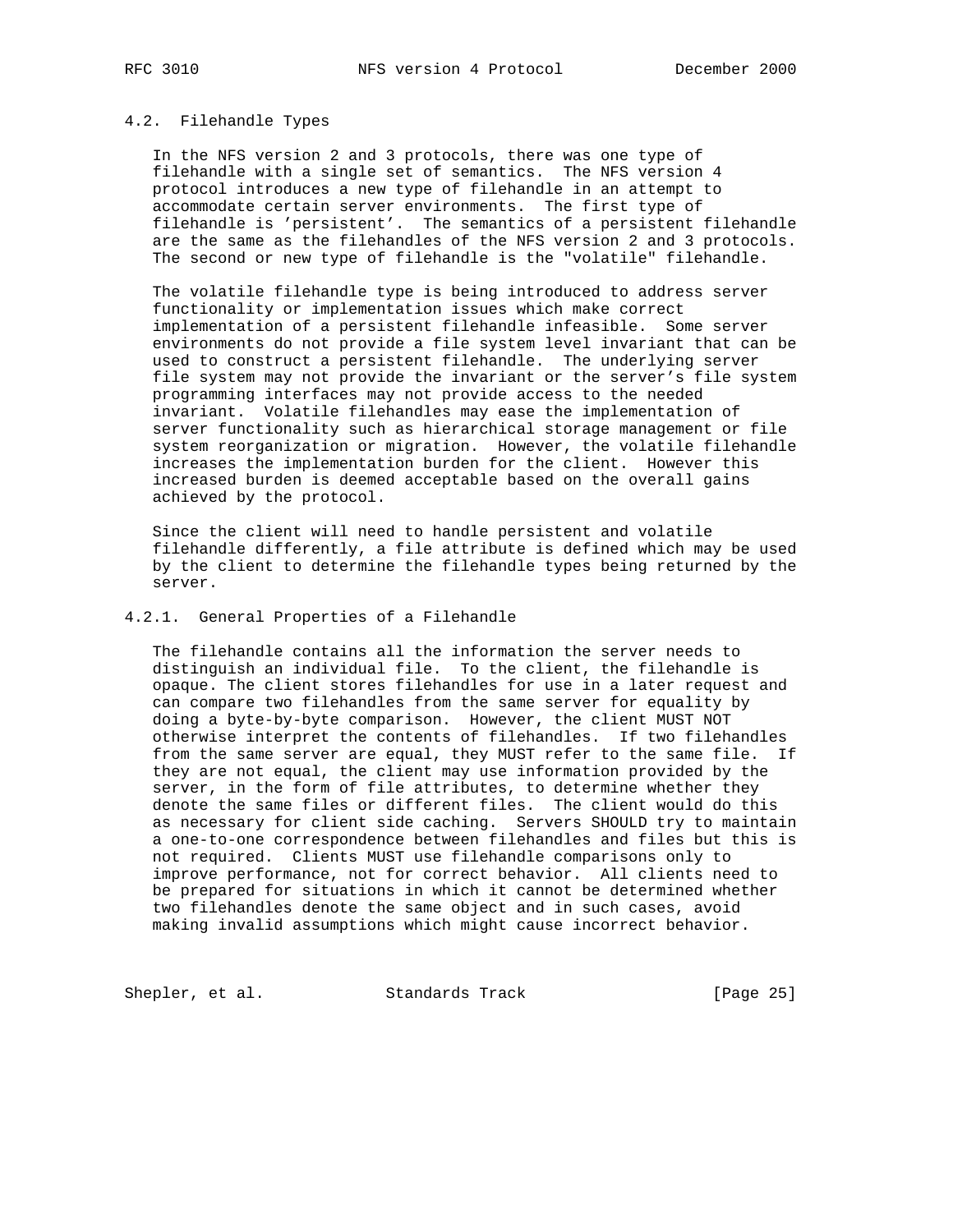#### 4.2. Filehandle Types

 In the NFS version 2 and 3 protocols, there was one type of filehandle with a single set of semantics. The NFS version 4 protocol introduces a new type of filehandle in an attempt to accommodate certain server environments. The first type of filehandle is 'persistent'. The semantics of a persistent filehandle are the same as the filehandles of the NFS version 2 and 3 protocols. The second or new type of filehandle is the "volatile" filehandle.

 The volatile filehandle type is being introduced to address server functionality or implementation issues which make correct implementation of a persistent filehandle infeasible. Some server environments do not provide a file system level invariant that can be used to construct a persistent filehandle. The underlying server file system may not provide the invariant or the server's file system programming interfaces may not provide access to the needed invariant. Volatile filehandles may ease the implementation of server functionality such as hierarchical storage management or file system reorganization or migration. However, the volatile filehandle increases the implementation burden for the client. However this increased burden is deemed acceptable based on the overall gains achieved by the protocol.

 Since the client will need to handle persistent and volatile filehandle differently, a file attribute is defined which may be used by the client to determine the filehandle types being returned by the server.

## 4.2.1. General Properties of a Filehandle

 The filehandle contains all the information the server needs to distinguish an individual file. To the client, the filehandle is opaque. The client stores filehandles for use in a later request and can compare two filehandles from the same server for equality by doing a byte-by-byte comparison. However, the client MUST NOT otherwise interpret the contents of filehandles. If two filehandles from the same server are equal, they MUST refer to the same file. If they are not equal, the client may use information provided by the server, in the form of file attributes, to determine whether they denote the same files or different files. The client would do this as necessary for client side caching. Servers SHOULD try to maintain a one-to-one correspondence between filehandles and files but this is not required. Clients MUST use filehandle comparisons only to improve performance, not for correct behavior. All clients need to be prepared for situations in which it cannot be determined whether two filehandles denote the same object and in such cases, avoid making invalid assumptions which might cause incorrect behavior.

Shepler, et al. Standards Track [Page 25]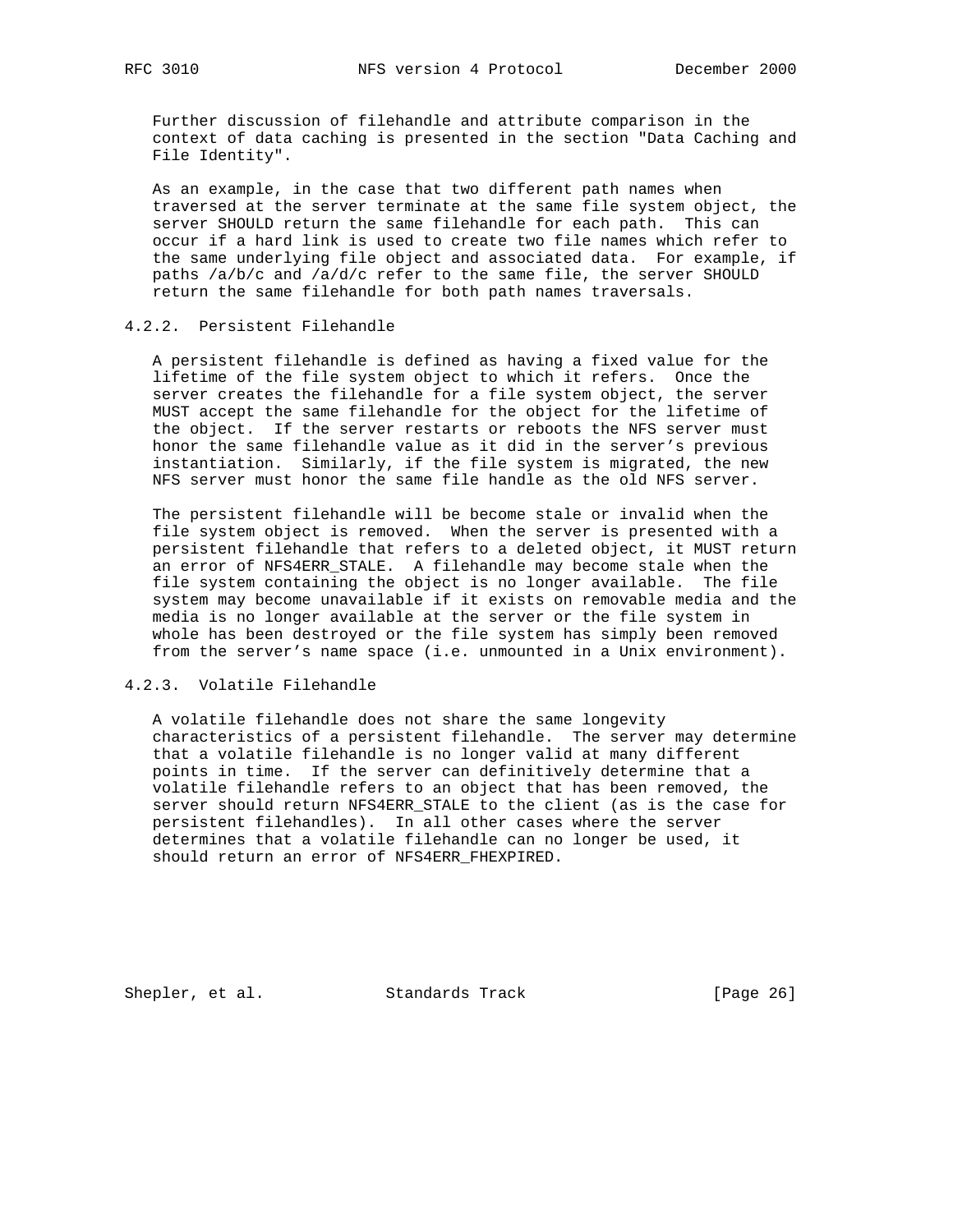Further discussion of filehandle and attribute comparison in the context of data caching is presented in the section "Data Caching and File Identity".

 As an example, in the case that two different path names when traversed at the server terminate at the same file system object, the server SHOULD return the same filehandle for each path. This can occur if a hard link is used to create two file names which refer to the same underlying file object and associated data. For example, if paths /a/b/c and /a/d/c refer to the same file, the server SHOULD return the same filehandle for both path names traversals.

## 4.2.2. Persistent Filehandle

 A persistent filehandle is defined as having a fixed value for the lifetime of the file system object to which it refers. Once the server creates the filehandle for a file system object, the server MUST accept the same filehandle for the object for the lifetime of the object. If the server restarts or reboots the NFS server must honor the same filehandle value as it did in the server's previous instantiation. Similarly, if the file system is migrated, the new NFS server must honor the same file handle as the old NFS server.

 The persistent filehandle will be become stale or invalid when the file system object is removed. When the server is presented with a persistent filehandle that refers to a deleted object, it MUST return an error of NFS4ERR\_STALE. A filehandle may become stale when the file system containing the object is no longer available. The file system may become unavailable if it exists on removable media and the media is no longer available at the server or the file system in whole has been destroyed or the file system has simply been removed from the server's name space (i.e. unmounted in a Unix environment).

## 4.2.3. Volatile Filehandle

 A volatile filehandle does not share the same longevity characteristics of a persistent filehandle. The server may determine that a volatile filehandle is no longer valid at many different points in time. If the server can definitively determine that a volatile filehandle refers to an object that has been removed, the server should return NFS4ERR\_STALE to the client (as is the case for persistent filehandles). In all other cases where the server determines that a volatile filehandle can no longer be used, it should return an error of NFS4ERR\_FHEXPIRED.

Shepler, et al. Standards Track [Page 26]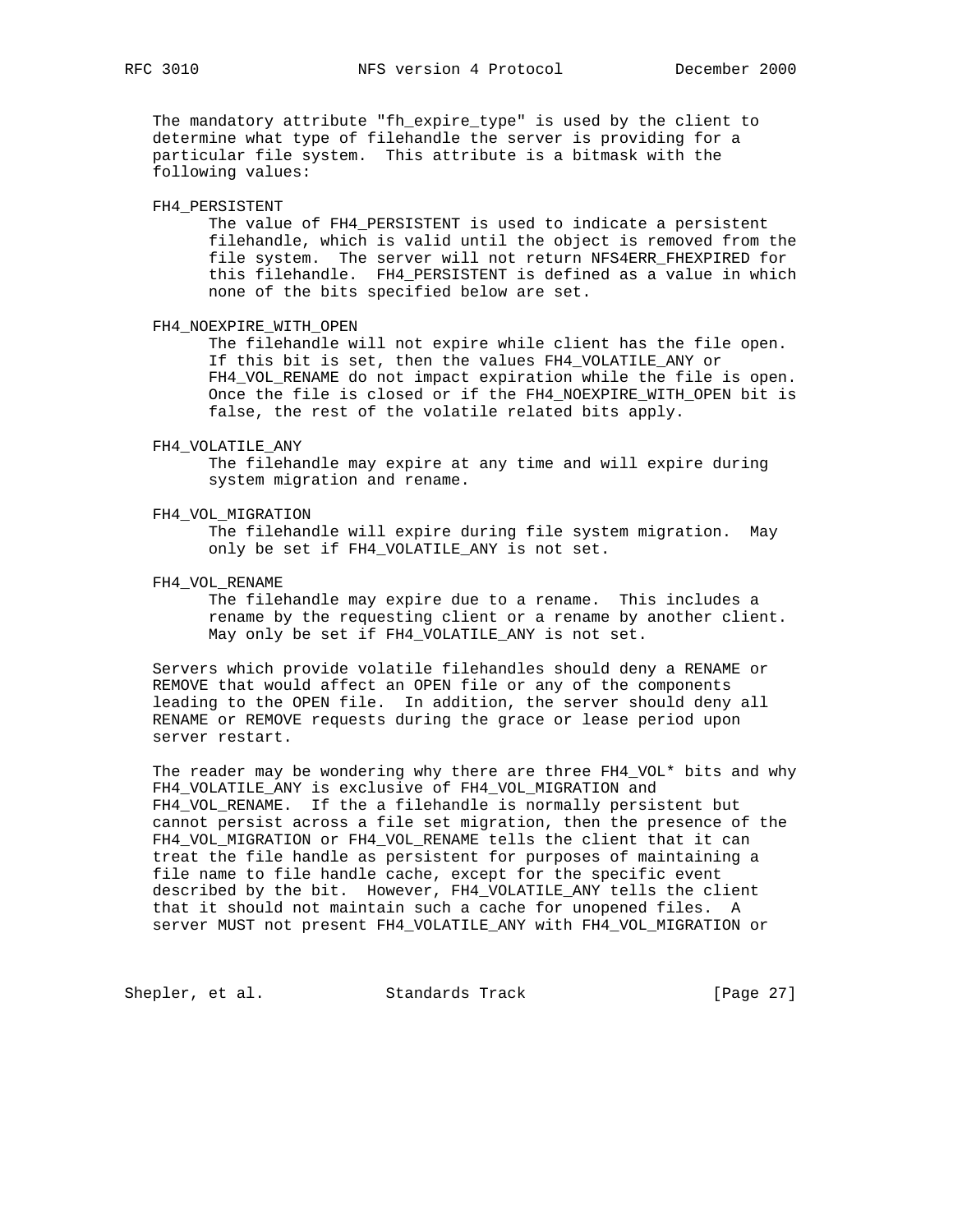The mandatory attribute "fh\_expire\_type" is used by the client to determine what type of filehandle the server is providing for a particular file system. This attribute is a bitmask with the following values:

#### FH4\_PERSISTENT

 The value of FH4\_PERSISTENT is used to indicate a persistent filehandle, which is valid until the object is removed from the file system. The server will not return NFS4ERR\_FHEXPIRED for this filehandle. FH4\_PERSISTENT is defined as a value in which none of the bits specified below are set.

## FH4\_NOEXPIRE\_WITH\_OPEN

 The filehandle will not expire while client has the file open. If this bit is set, then the values FH4\_VOLATILE\_ANY or FH4\_VOL\_RENAME do not impact expiration while the file is open. Once the file is closed or if the FH4\_NOEXPIRE\_WITH\_OPEN bit is false, the rest of the volatile related bits apply.

#### FH4\_VOLATILE\_ANY

 The filehandle may expire at any time and will expire during system migration and rename.

# FH4\_VOL\_MIGRATION

 The filehandle will expire during file system migration. May only be set if FH4\_VOLATILE\_ANY is not set.

## FH4\_VOL\_RENAME

 The filehandle may expire due to a rename. This includes a rename by the requesting client or a rename by another client. May only be set if FH4\_VOLATILE\_ANY is not set.

 Servers which provide volatile filehandles should deny a RENAME or REMOVE that would affect an OPEN file or any of the components leading to the OPEN file. In addition, the server should deny all RENAME or REMOVE requests during the grace or lease period upon server restart.

The reader may be wondering why there are three  $FH4_VOL*$  bits and why FH4\_VOLATILE\_ANY is exclusive of FH4\_VOL\_MIGRATION and FH4\_VOL\_RENAME. If the a filehandle is normally persistent but cannot persist across a file set migration, then the presence of the FH4\_VOL\_MIGRATION or FH4\_VOL\_RENAME tells the client that it can treat the file handle as persistent for purposes of maintaining a file name to file handle cache, except for the specific event described by the bit. However, FH4\_VOLATILE\_ANY tells the client that it should not maintain such a cache for unopened files. A server MUST not present FH4\_VOLATILE\_ANY with FH4\_VOL\_MIGRATION or

Shepler, et al. Standards Track [Page 27]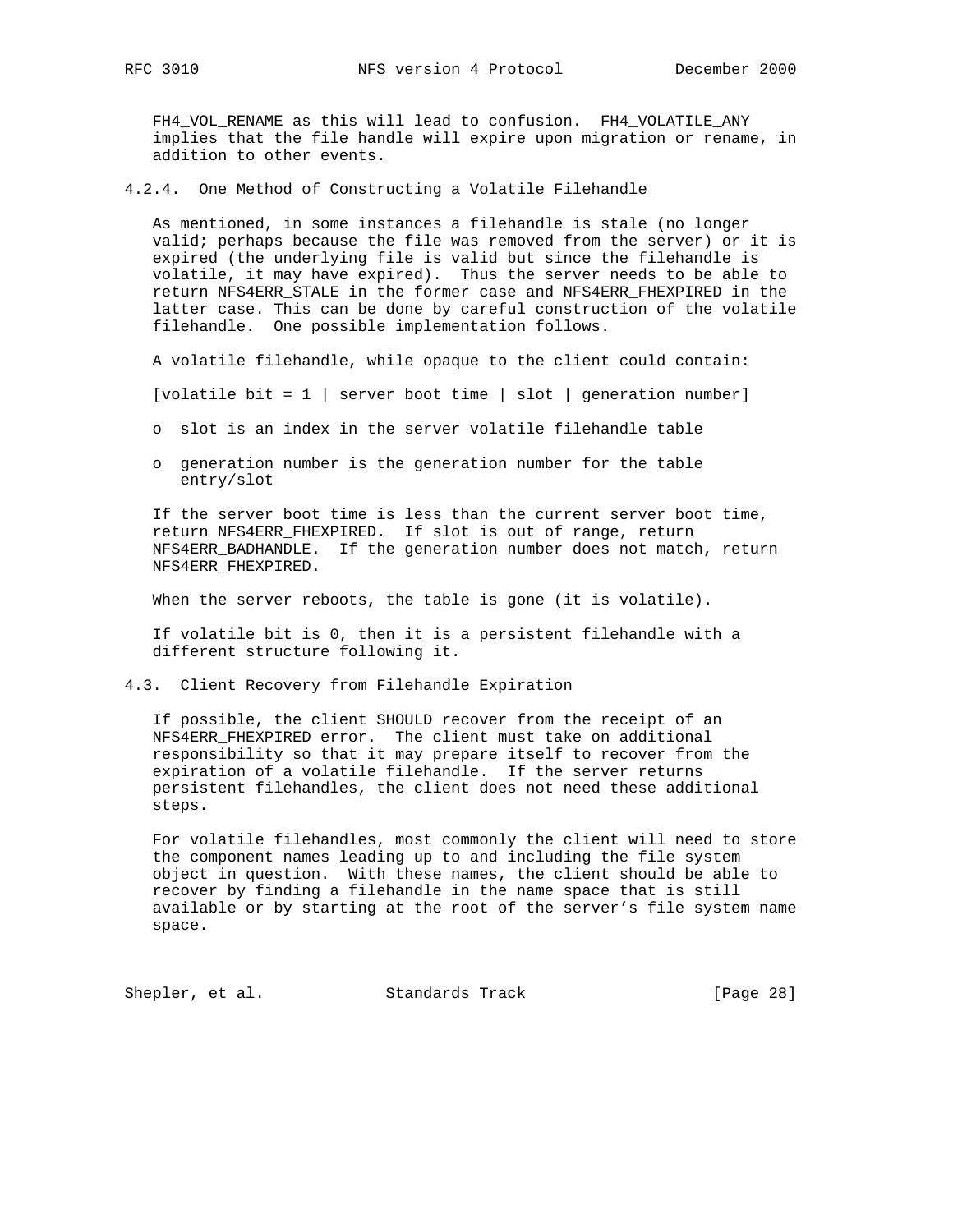FH4\_VOL\_RENAME as this will lead to confusion. FH4\_VOLATILE\_ANY implies that the file handle will expire upon migration or rename, in addition to other events.

4.2.4. One Method of Constructing a Volatile Filehandle

 As mentioned, in some instances a filehandle is stale (no longer valid; perhaps because the file was removed from the server) or it is expired (the underlying file is valid but since the filehandle is volatile, it may have expired). Thus the server needs to be able to return NFS4ERR\_STALE in the former case and NFS4ERR\_FHEXPIRED in the latter case. This can be done by careful construction of the volatile filehandle. One possible implementation follows.

A volatile filehandle, while opaque to the client could contain:

[volatile bit = 1 | server boot time | slot | generation number]

o slot is an index in the server volatile filehandle table

 o generation number is the generation number for the table entry/slot

 If the server boot time is less than the current server boot time, return NFS4ERR\_FHEXPIRED. If slot is out of range, return NFS4ERR\_BADHANDLE. If the generation number does not match, return NFS4ERR\_FHEXPIRED.

When the server reboots, the table is gone (it is volatile).

 If volatile bit is 0, then it is a persistent filehandle with a different structure following it.

4.3. Client Recovery from Filehandle Expiration

 If possible, the client SHOULD recover from the receipt of an NFS4ERR\_FHEXPIRED error. The client must take on additional responsibility so that it may prepare itself to recover from the expiration of a volatile filehandle. If the server returns persistent filehandles, the client does not need these additional steps.

 For volatile filehandles, most commonly the client will need to store the component names leading up to and including the file system object in question. With these names, the client should be able to recover by finding a filehandle in the name space that is still available or by starting at the root of the server's file system name space.

Shepler, et al. Standards Track [Page 28]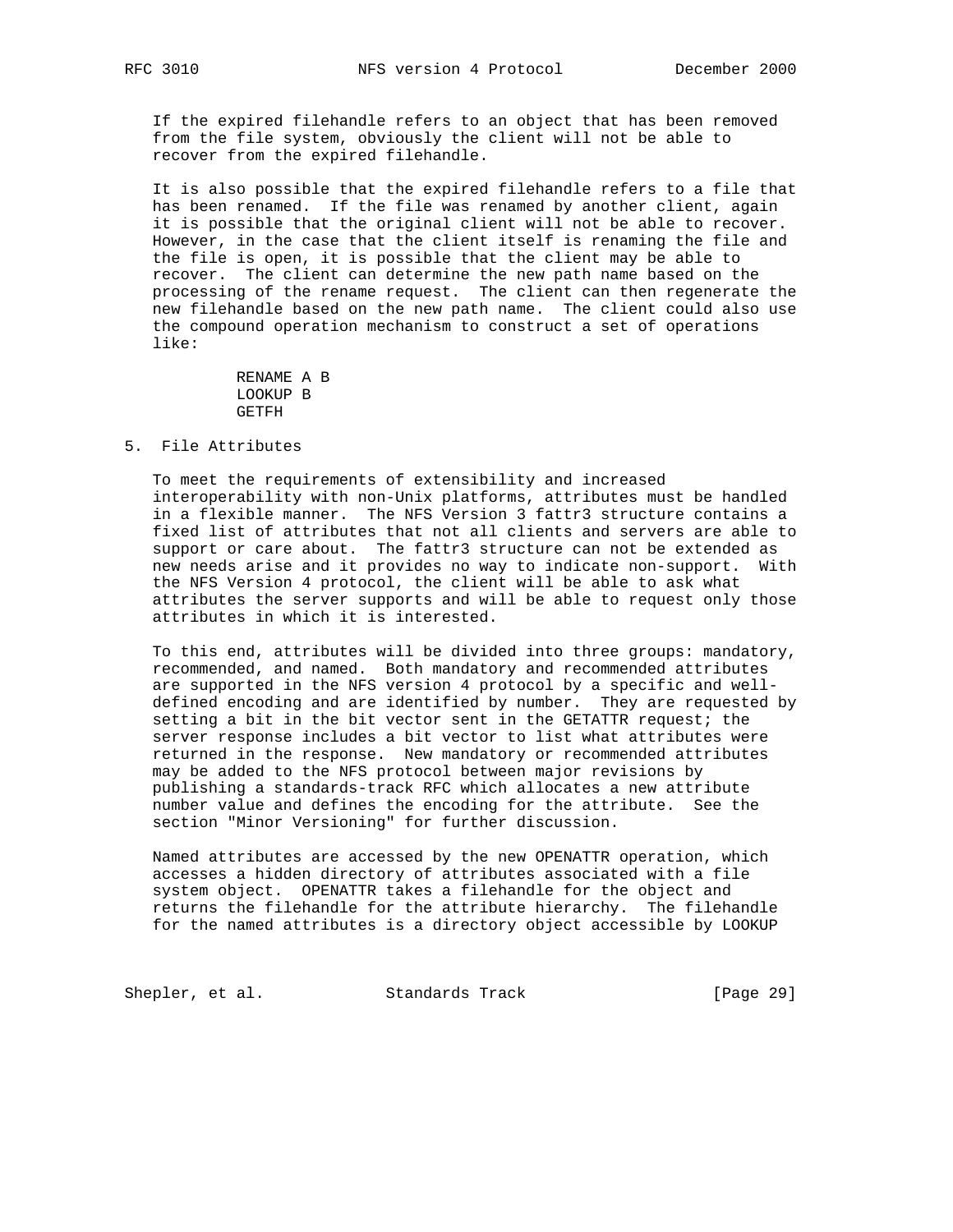If the expired filehandle refers to an object that has been removed from the file system, obviously the client will not be able to recover from the expired filehandle.

 It is also possible that the expired filehandle refers to a file that has been renamed. If the file was renamed by another client, again it is possible that the original client will not be able to recover. However, in the case that the client itself is renaming the file and the file is open, it is possible that the client may be able to recover. The client can determine the new path name based on the processing of the rename request. The client can then regenerate the new filehandle based on the new path name. The client could also use the compound operation mechanism to construct a set of operations like:

> RENAME A B LOOKUP B GETFH

## 5. File Attributes

 To meet the requirements of extensibility and increased interoperability with non-Unix platforms, attributes must be handled in a flexible manner. The NFS Version 3 fattr3 structure contains a fixed list of attributes that not all clients and servers are able to support or care about. The fattr3 structure can not be extended as new needs arise and it provides no way to indicate non-support. With the NFS Version 4 protocol, the client will be able to ask what attributes the server supports and will be able to request only those attributes in which it is interested.

 To this end, attributes will be divided into three groups: mandatory, recommended, and named. Both mandatory and recommended attributes are supported in the NFS version 4 protocol by a specific and well defined encoding and are identified by number. They are requested by setting a bit in the bit vector sent in the GETATTR request; the server response includes a bit vector to list what attributes were returned in the response. New mandatory or recommended attributes may be added to the NFS protocol between major revisions by publishing a standards-track RFC which allocates a new attribute number value and defines the encoding for the attribute. See the section "Minor Versioning" for further discussion.

 Named attributes are accessed by the new OPENATTR operation, which accesses a hidden directory of attributes associated with a file system object. OPENATTR takes a filehandle for the object and returns the filehandle for the attribute hierarchy. The filehandle for the named attributes is a directory object accessible by LOOKUP

Shepler, et al. Standards Track [Page 29]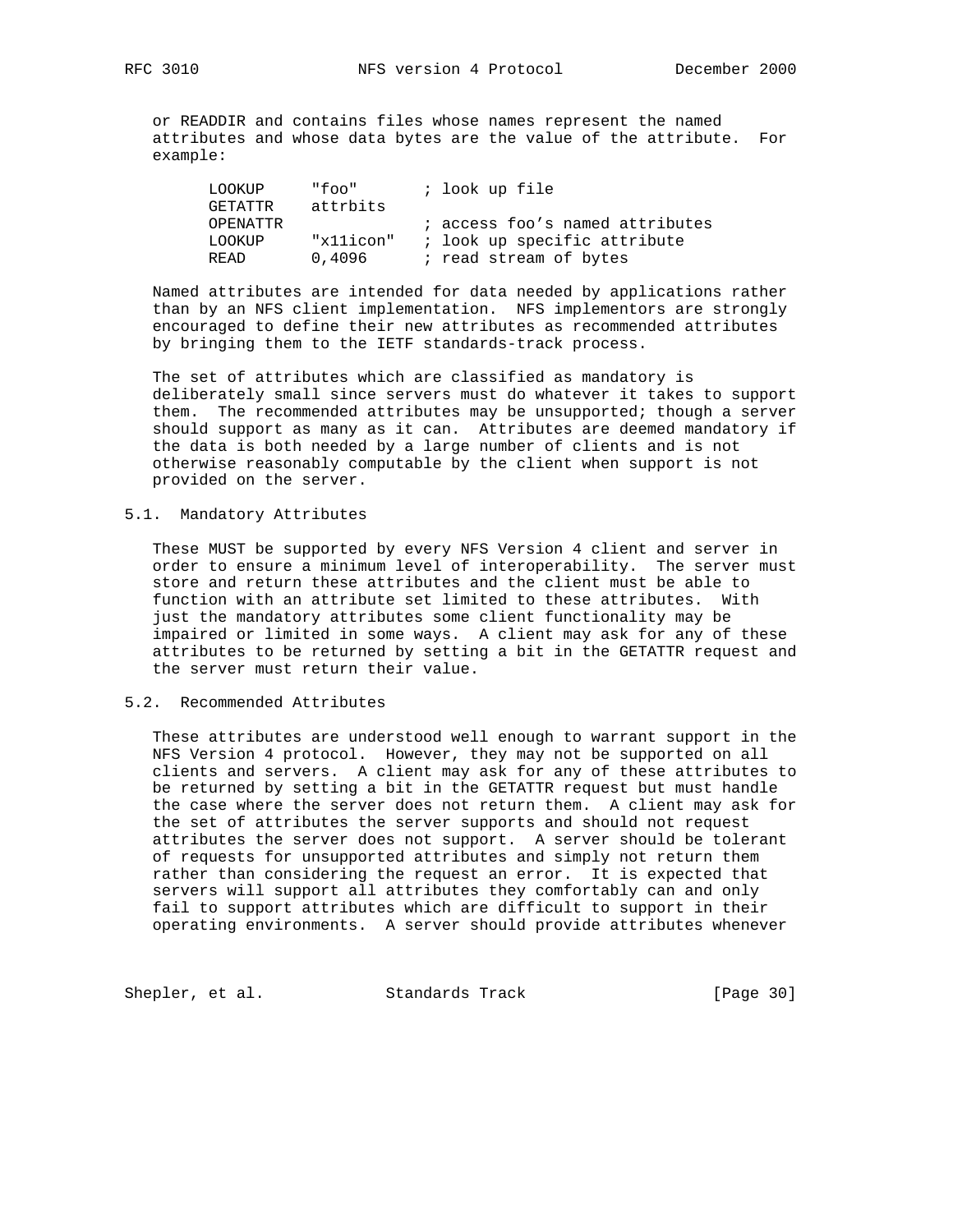or READDIR and contains files whose names represent the named attributes and whose data bytes are the value of the attribute. For example:

| LOOKUP          | "foo"     | ; look up file                  |
|-----------------|-----------|---------------------------------|
| GETATTR         | attrbits  |                                 |
| <b>OPENATTR</b> |           | ; access foo's named attributes |
| LOOKUP          | "x11icon" | ; look up specific attribute    |
| <b>READ</b>     | 0,4096    | ; read stream of bytes          |

 Named attributes are intended for data needed by applications rather than by an NFS client implementation. NFS implementors are strongly encouraged to define their new attributes as recommended attributes by bringing them to the IETF standards-track process.

 The set of attributes which are classified as mandatory is deliberately small since servers must do whatever it takes to support them. The recommended attributes may be unsupported; though a server should support as many as it can. Attributes are deemed mandatory if the data is both needed by a large number of clients and is not otherwise reasonably computable by the client when support is not provided on the server.

## 5.1. Mandatory Attributes

 These MUST be supported by every NFS Version 4 client and server in order to ensure a minimum level of interoperability. The server must store and return these attributes and the client must be able to function with an attribute set limited to these attributes. With just the mandatory attributes some client functionality may be impaired or limited in some ways. A client may ask for any of these attributes to be returned by setting a bit in the GETATTR request and the server must return their value.

## 5.2. Recommended Attributes

 These attributes are understood well enough to warrant support in the NFS Version 4 protocol. However, they may not be supported on all clients and servers. A client may ask for any of these attributes to be returned by setting a bit in the GETATTR request but must handle the case where the server does not return them. A client may ask for the set of attributes the server supports and should not request attributes the server does not support. A server should be tolerant of requests for unsupported attributes and simply not return them rather than considering the request an error. It is expected that servers will support all attributes they comfortably can and only fail to support attributes which are difficult to support in their operating environments. A server should provide attributes whenever

Shepler, et al. Standards Track [Page 30]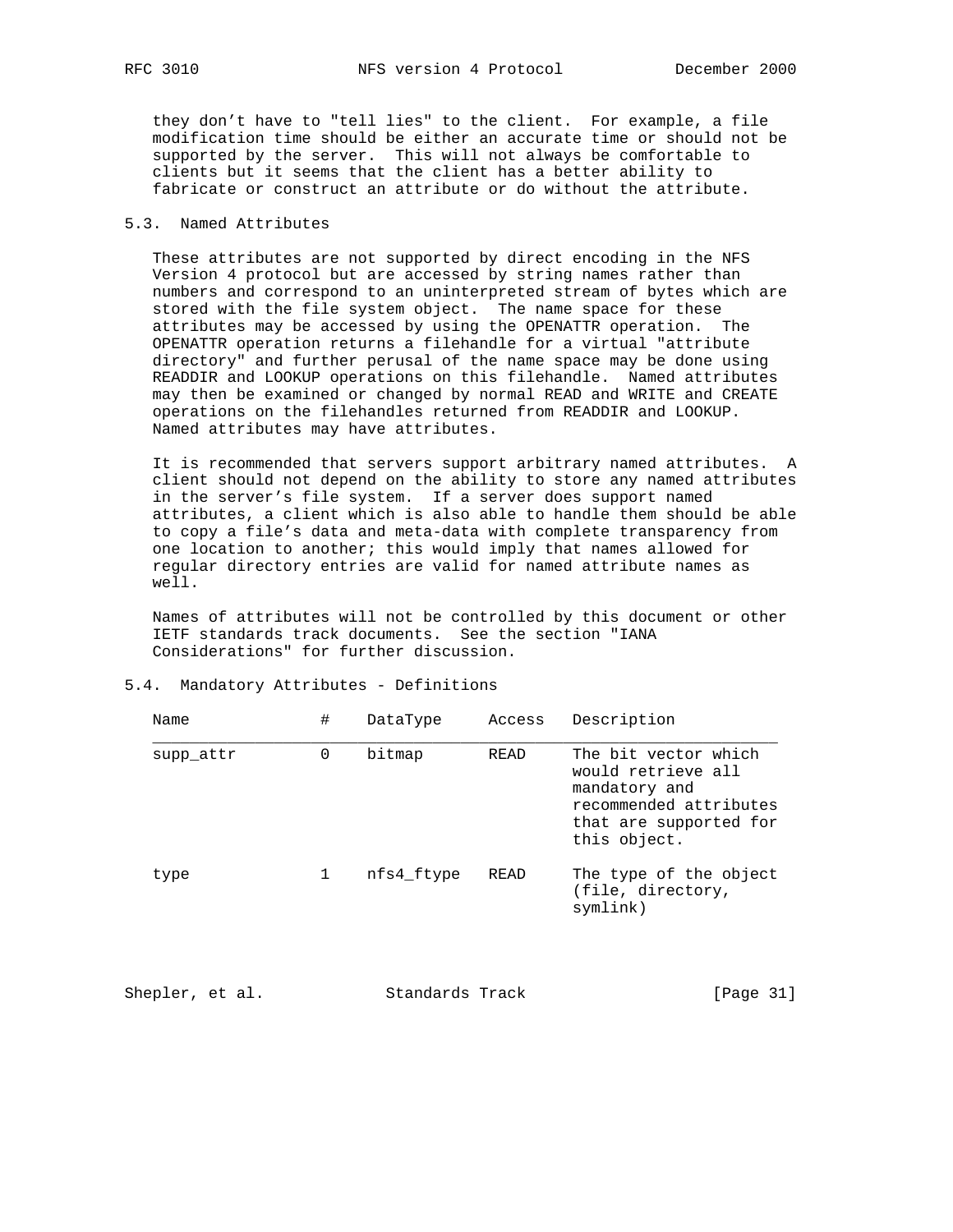they don't have to "tell lies" to the client. For example, a file modification time should be either an accurate time or should not be supported by the server. This will not always be comfortable to clients but it seems that the client has a better ability to fabricate or construct an attribute or do without the attribute.

## 5.3. Named Attributes

 These attributes are not supported by direct encoding in the NFS Version 4 protocol but are accessed by string names rather than numbers and correspond to an uninterpreted stream of bytes which are stored with the file system object. The name space for these attributes may be accessed by using the OPENATTR operation. The OPENATTR operation returns a filehandle for a virtual "attribute directory" and further perusal of the name space may be done using READDIR and LOOKUP operations on this filehandle. Named attributes may then be examined or changed by normal READ and WRITE and CREATE operations on the filehandles returned from READDIR and LOOKUP. Named attributes may have attributes.

 It is recommended that servers support arbitrary named attributes. A client should not depend on the ability to store any named attributes in the server's file system. If a server does support named attributes, a client which is also able to handle them should be able to copy a file's data and meta-data with complete transparency from one location to another; this would imply that names allowed for regular directory entries are valid for named attribute names as well.

 Names of attributes will not be controlled by this document or other IETF standards track documents. See the section "IANA Considerations" for further discussion.

| Name      | #           | DataType   | Access | Description                                                                                                                     |
|-----------|-------------|------------|--------|---------------------------------------------------------------------------------------------------------------------------------|
| supp_attr | $\mathbf 0$ | bitmap     | READ   | The bit vector which<br>would retrieve all<br>mandatory and<br>recommended attributes<br>that are supported for<br>this object. |
| type      |             | nfs4 ftype | READ   | The type of the object<br>(file, directory,<br>symlink)                                                                         |

|  |  |  |  | 5.4. Mandatory Attributes - Definitions |
|--|--|--|--|-----------------------------------------|
|--|--|--|--|-----------------------------------------|

| Shepler, et al. | Standards Track | [Page 31] |  |
|-----------------|-----------------|-----------|--|
|                 |                 |           |  |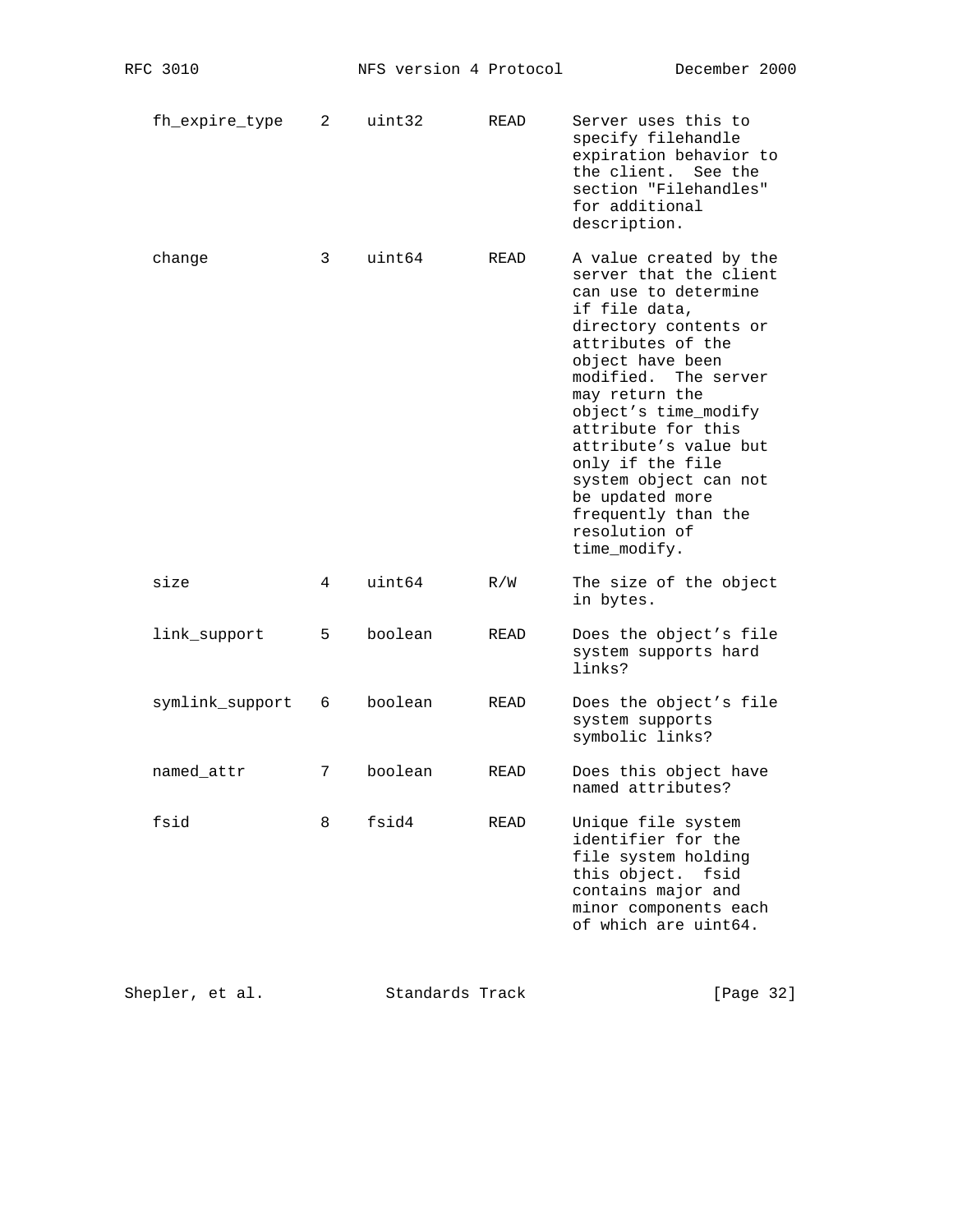| fh_expire_type 2 |  | uint32 | READ | Server uses this to<br>specify filehandle<br>expiration behavior to<br>the client. See the<br>section "Filehandles"<br>for additional<br>description. |
|------------------|--|--------|------|-------------------------------------------------------------------------------------------------------------------------------------------------------|
|------------------|--|--------|------|-------------------------------------------------------------------------------------------------------------------------------------------------------|

| change | 3 | uint64 | READ | A value created by the<br>server that the client<br>can use to determine<br>if file data,<br>directory contents or<br>attributes of the<br>object have been<br>modified. The server<br>may return the<br>object's time modify<br>attribute for this<br>attribute's value but<br>only if the file<br>system object can not<br>be updated more<br>frequently than the<br>resolution of<br>time modify. |
|--------|---|--------|------|------------------------------------------------------------------------------------------------------------------------------------------------------------------------------------------------------------------------------------------------------------------------------------------------------------------------------------------------------------------------------------------------------|
| size   | 4 | uint64 | R/W  | The size of the object<br>in bytes.                                                                                                                                                                                                                                                                                                                                                                  |

| link support | 5 | boolean | READ | Does the object's file<br>system supports hard<br>links? |
|--------------|---|---------|------|----------------------------------------------------------|
|              |   |         |      |                                                          |

- symlink\_support 6 boolean READ Does the object's file system supports symbolic links?
- named\_attr 7 boolean READ Does this object have named attributes?

| fsid |  | fsid4 | READ | Unique file system<br>identifier for the<br>file system holding<br>this object. fsid<br>contains major and<br>minor components each<br>of which are uint64. |
|------|--|-------|------|-------------------------------------------------------------------------------------------------------------------------------------------------------------|
|------|--|-------|------|-------------------------------------------------------------------------------------------------------------------------------------------------------------|

| Shepler, et al. | Standards Track | [Page 32] |
|-----------------|-----------------|-----------|
|-----------------|-----------------|-----------|

fsid 8 fsid4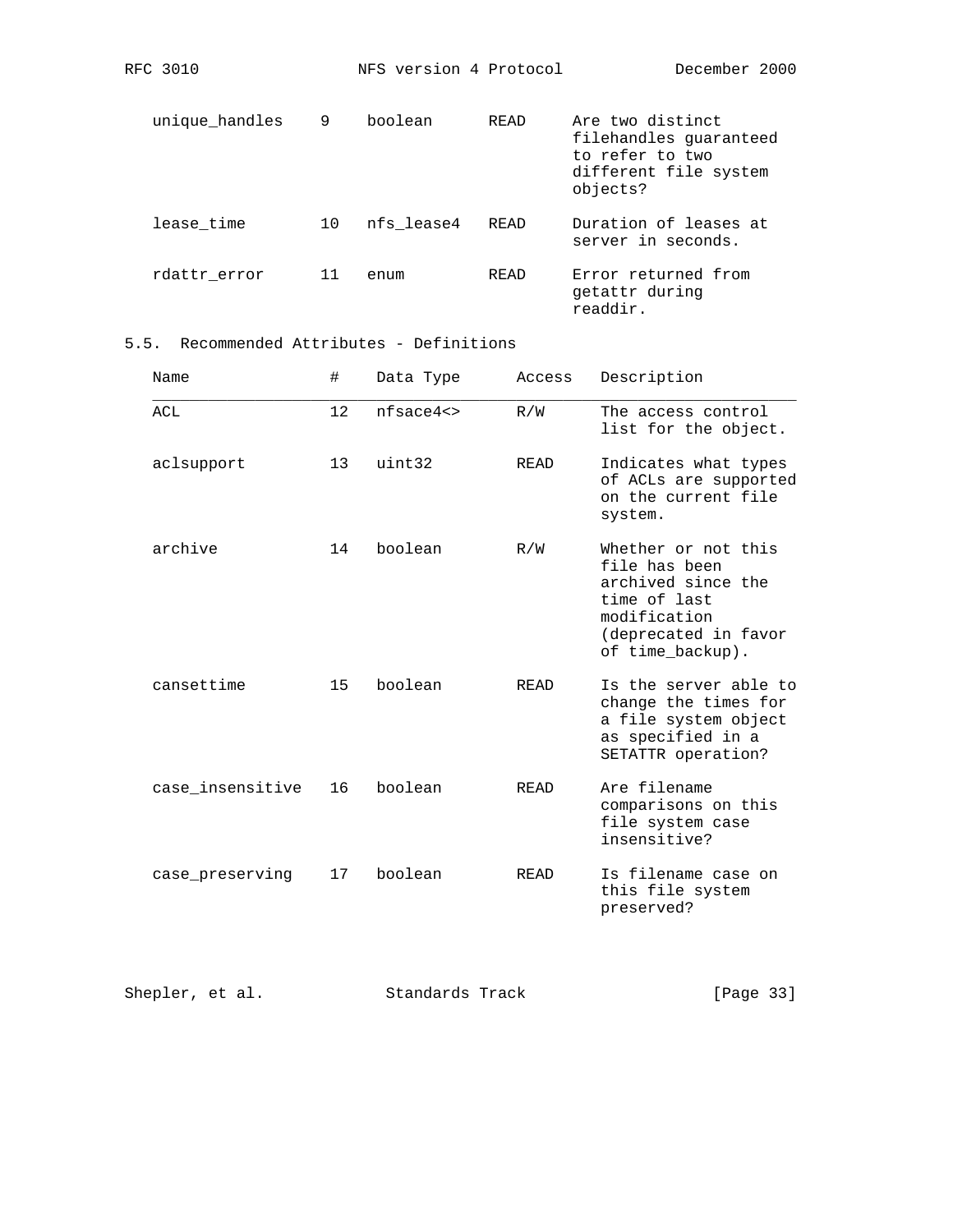| unique handles | 9  | boolean    | <b>READ</b> | Are two distinct<br>filehandles quaranteed<br>to refer to two<br>different file system<br>objects? |
|----------------|----|------------|-------------|----------------------------------------------------------------------------------------------------|
| lease time     | 10 | nfs lease4 | READ        | Duration of leases at<br>server in seconds.                                                        |
| rdattr error   |    | enum       | <b>READ</b> | Error returned from<br>getattr during<br>readdir.                                                  |

RFC 3010 NFS version 4 Protocol December 2000

# 5.5. Recommended Attributes - Definitions

| Name             | #  | Data Type    | Access      | Description                                                                                                                            |
|------------------|----|--------------|-------------|----------------------------------------------------------------------------------------------------------------------------------------|
| ACL              | 12 | $nfsace4$ <> | R/W         | The access control<br>list for the object.                                                                                             |
| aclsupport       | 13 | uint32       | READ        | Indicates what types<br>of ACLs are supported<br>on the current file<br>system.                                                        |
| archive          | 14 | boolean      | R/W         | Whether or not this<br>file has been<br>archived since the<br>time of last<br>modification<br>(deprecated in favor<br>of time_backup). |
| cansettime       | 15 | boolean      | READ        | Is the server able to<br>change the times for<br>a file system object<br>as specified in a<br>SETATTR operation?                       |
| case_insensitive | 16 | boolean      | READ        | Are filename<br>comparisons on this<br>file system case<br>insensitive?                                                                |
| case preserving  | 17 | boolean      | <b>READ</b> | Is filename case on<br>this file system<br>preserved?                                                                                  |

| Shepler, et al. | Standards Track | [Page 33] |
|-----------------|-----------------|-----------|
|-----------------|-----------------|-----------|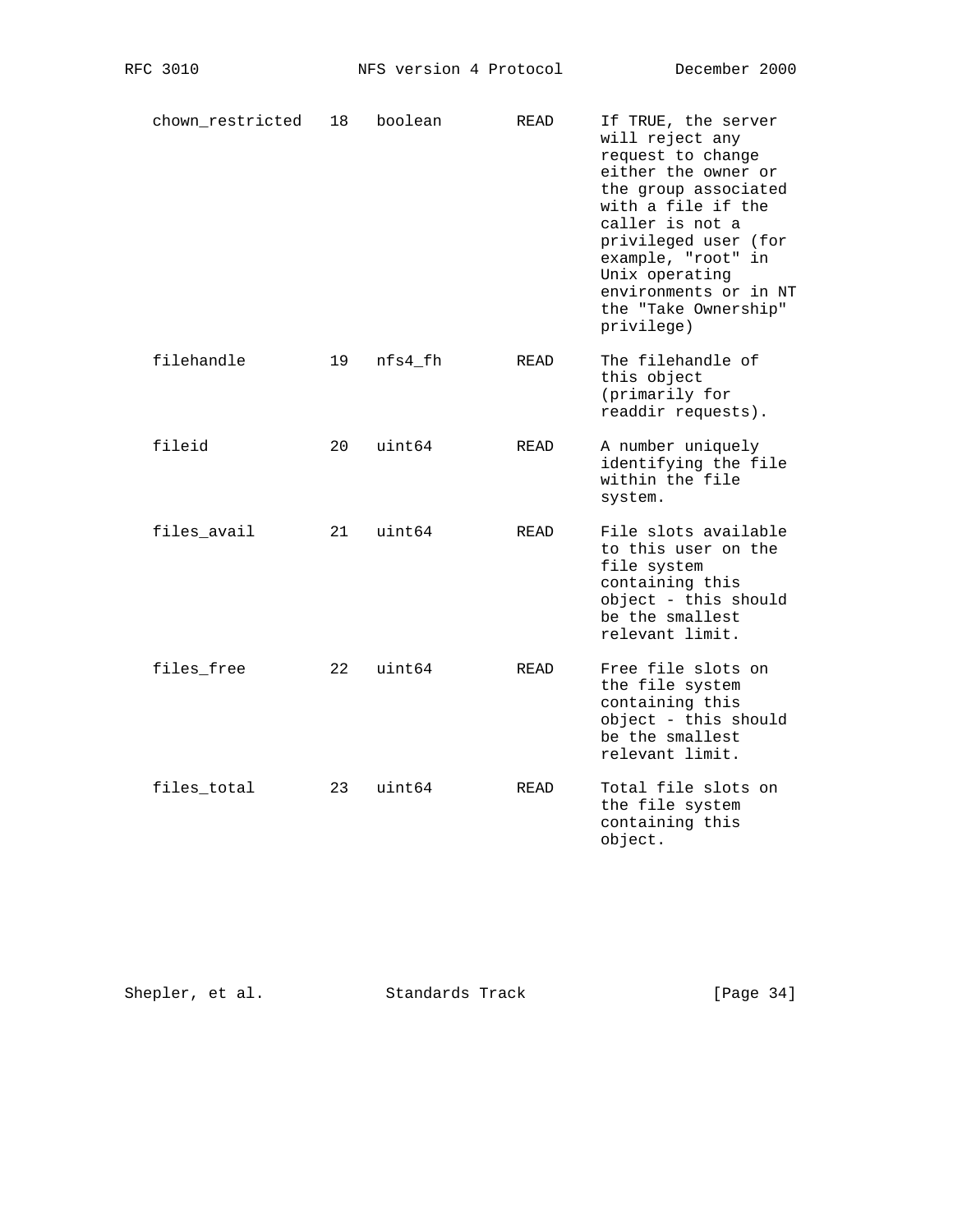| chown restricted | 18 | boolean | READ        | If TRUE, the server<br>will reject any<br>request to change<br>either the owner or<br>the group associated<br>with a file if the<br>caller is not a<br>privileged user (for<br>example, "root" in<br>Unix operating<br>environments or in NT<br>the "Take Ownership"<br>privilege) |
|------------------|----|---------|-------------|------------------------------------------------------------------------------------------------------------------------------------------------------------------------------------------------------------------------------------------------------------------------------------|
| filehandle       | 19 | nfs4 fh | READ        | The filehandle of<br>this object<br>(primarily for<br>readdir requests).                                                                                                                                                                                                           |
| fileid           | 20 | uint64  | READ        | A number uniquely<br>identifying the file<br>within the file<br>system.                                                                                                                                                                                                            |
| files_avail      | 21 | uint64  | READ        | File slots available<br>to this user on the<br>file system<br>containing this<br>object - this should<br>be the smallest<br>relevant limit.                                                                                                                                        |
| files free       | 22 | uint64  | READ        | Free file slots on<br>the file system<br>containing this<br>object - this should<br>be the smallest<br>relevant limit.                                                                                                                                                             |
| files_total      | 23 | uint64  | <b>READ</b> | Total file slots on<br>the file system<br>containing this<br>object.                                                                                                                                                                                                               |

| [Page $34$ ]<br>Shepler, et al.<br>Standards Track |  |  |
|----------------------------------------------------|--|--|
|----------------------------------------------------|--|--|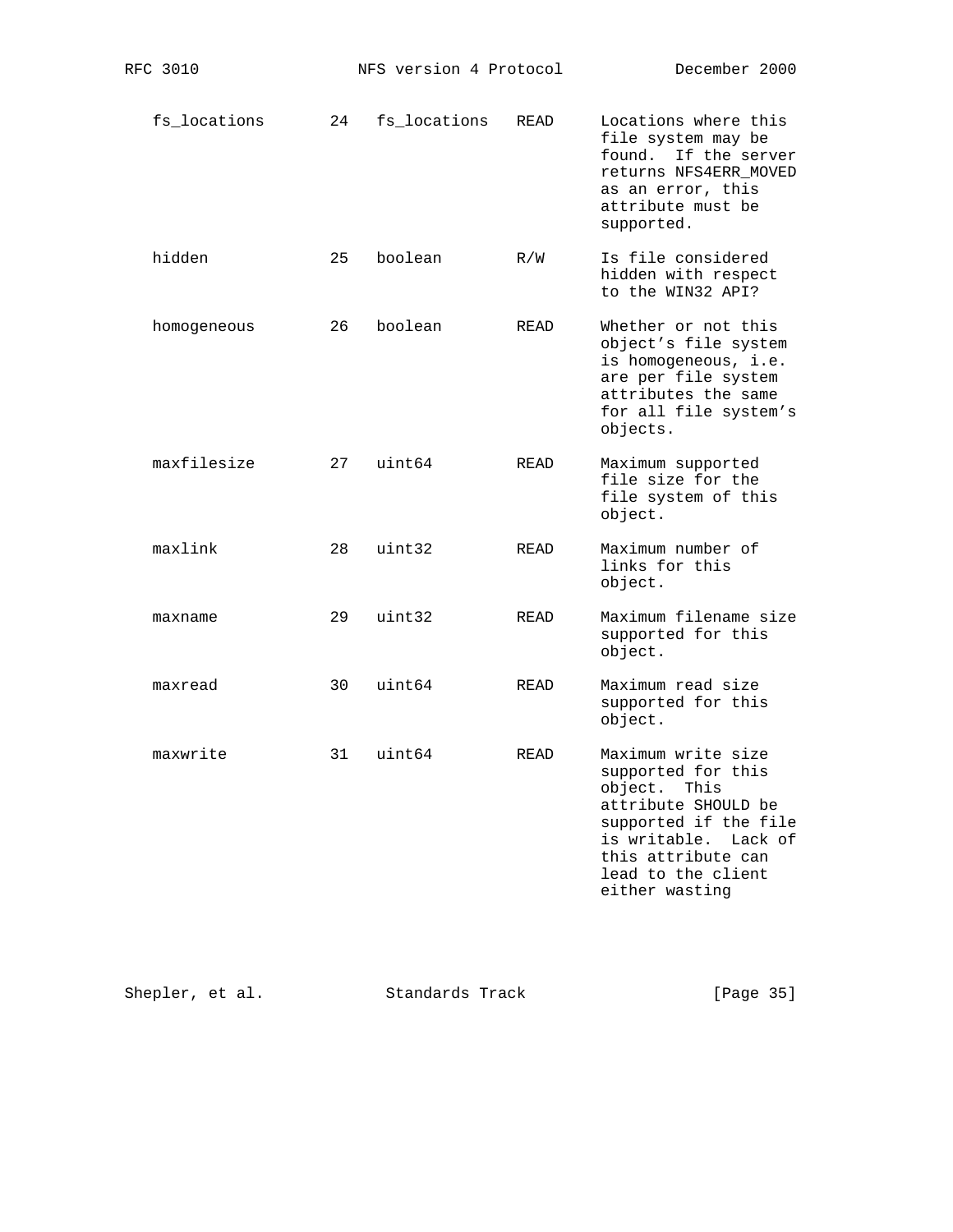|--|

| fs locations |  | 24 fs locations READ |  | Locations where this<br>file system may be<br>found. If the server<br>returns NFS4ERR MOVED<br>as an error, this<br>attribute must be<br>supported. |
|--------------|--|----------------------|--|-----------------------------------------------------------------------------------------------------------------------------------------------------|
|--------------|--|----------------------|--|-----------------------------------------------------------------------------------------------------------------------------------------------------|

 hidden 25 boolean R/W Is file considered hidden with respect to the WIN32 API?

 homogeneous 26 boolean READ Whether or not this object's file system is homogeneous, i.e. are per file system attributes the same for all file system's objects.

- maxfilesize 27 uint64 READ Maximum supported file size for the file system of this object.
- maxlink 28 uint32 READ Maximum number of links for this object.
- maxname 29 uint32 READ Maximum filename size supported for this object.
- maxread 30 uint64 READ Maximum read size supported for this object.
- maxwrite 31 uint64 READ Maximum write size supported for this object. This attribute SHOULD be supported if the file is writable. Lack of this attribute can lead to the client either wasting

| [Page 35]<br>Shepler, et al.<br>Standards Track |  |
|-------------------------------------------------|--|
|-------------------------------------------------|--|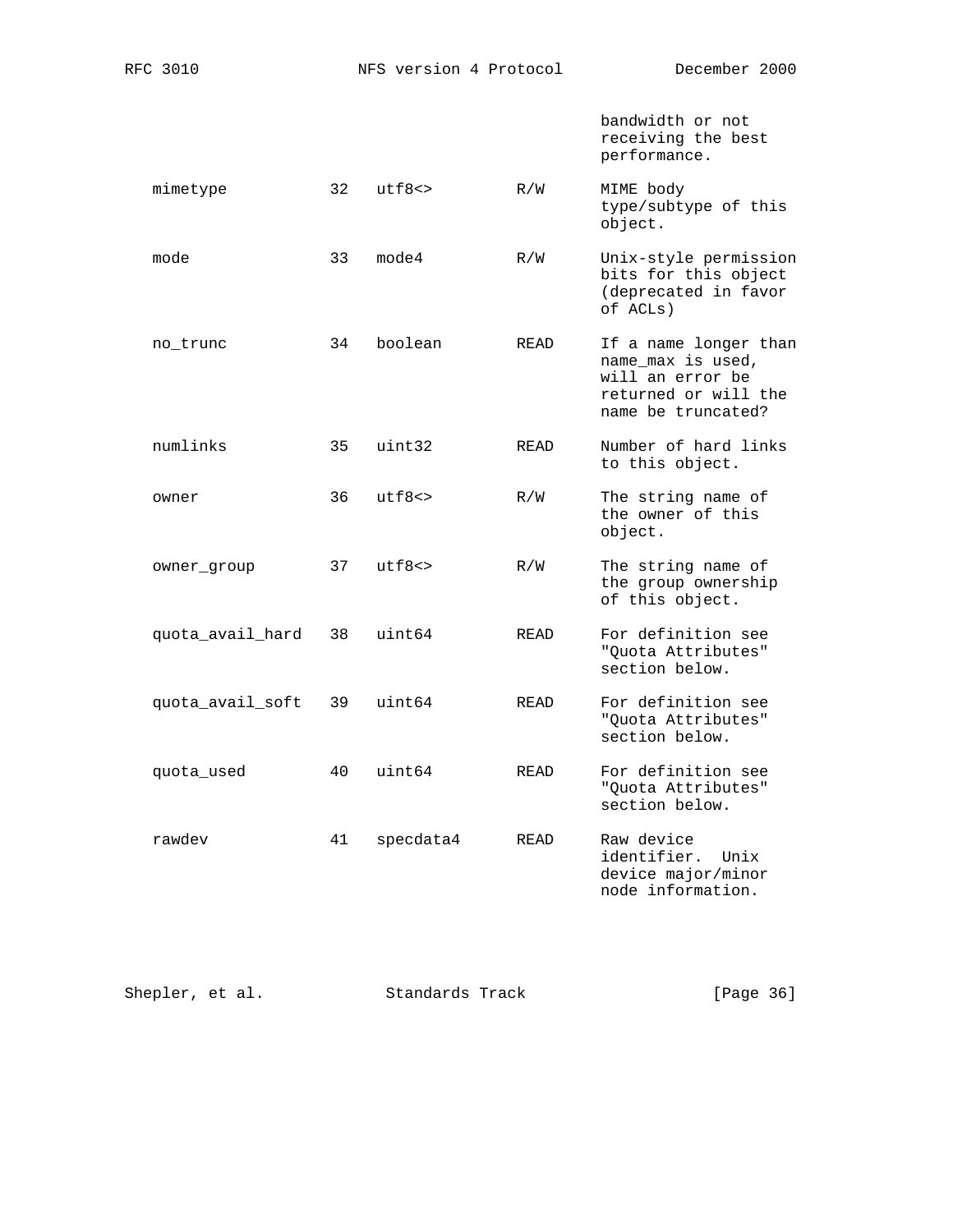bandwidth or not receiving the best performance.

| mimetype | utf8<> | R/W | MIME body            |
|----------|--------|-----|----------------------|
|          |        |     | type/subtype of this |
|          |        |     | object.              |

mode 33 mode4 R/W Unix-style permission bits for this object (deprecated in favor of ACLs)

- no\_trunc 34 boolean READ If a name longer than name\_max is used, will an error be returned or will the name be truncated?
- numlinks 35 uint32 READ Number of hard links to this object.
- owner 36 utf8<> R/W The string name of the owner of this object.
- owner\_group 37 utf8<> R/W The string name of the group ownership of this object.
- quota\_avail\_hard 38 uint64 READ For definition see "Quota Attributes" section below.
- quota\_avail\_soft 39 uint64 READ For definition see "Quota Attributes" section below.
- quota\_used 40 uint64 READ For definition see "Quota Attributes" section below.
- rawdev 41 specdata4 READ Raw device identifier. Unix device major/minor node information.

| Shepler, et al. | Standards Track | [Page 36] |  |
|-----------------|-----------------|-----------|--|
|-----------------|-----------------|-----------|--|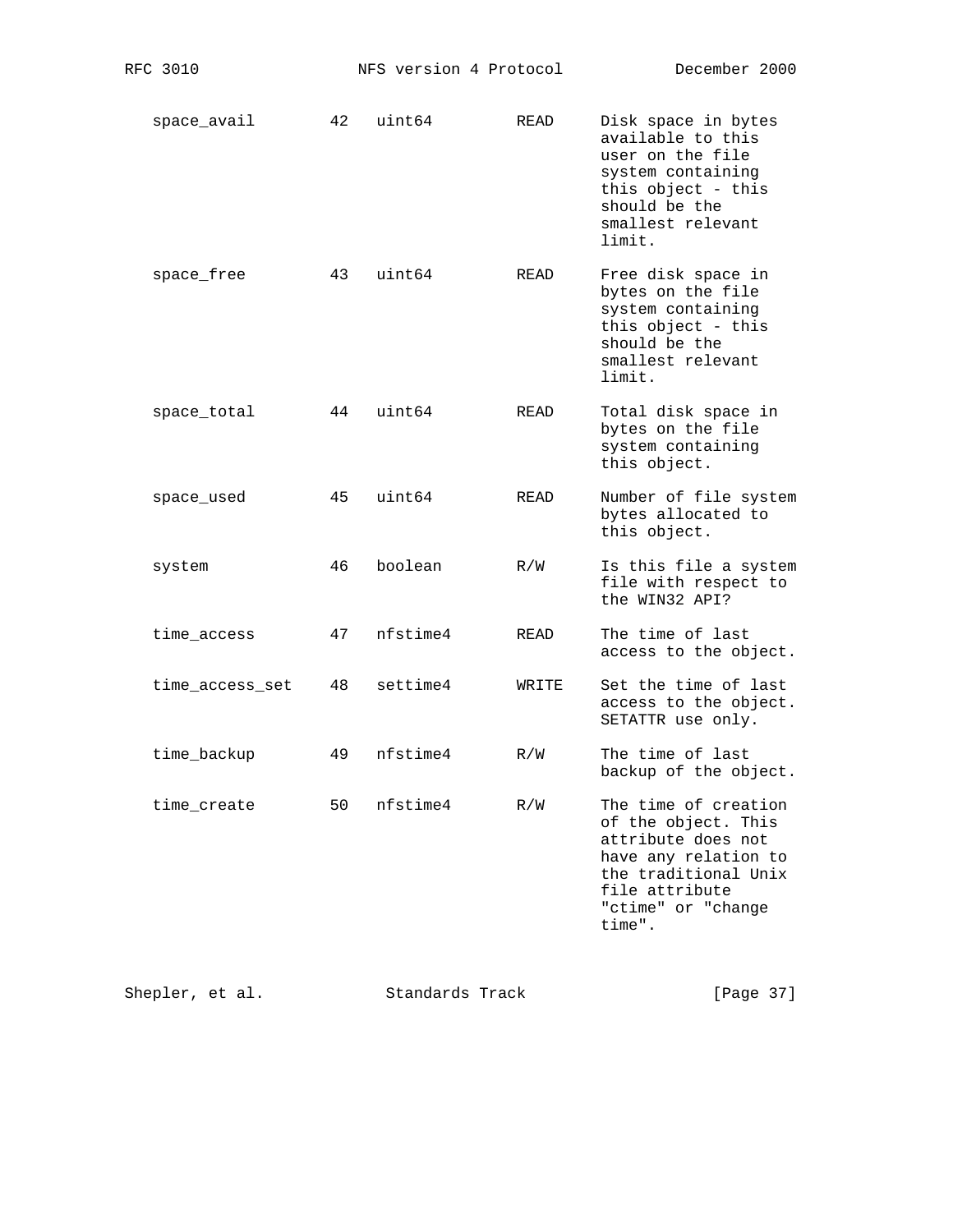| space_avail | 42 | uint64 | READ | Disk space in bytes<br>available to this<br>user on the file<br>system containing<br>this object - this<br>should be the<br>smallest relevant<br>limit. |
|-------------|----|--------|------|---------------------------------------------------------------------------------------------------------------------------------------------------------|
| space free  | 43 | uint64 | READ | Free disk space in<br>bytes on the file<br>system containing<br>this object - this<br>should be the<br>smallest relevant<br>limit.                      |
| space total | 44 | uint64 | READ | Total disk space in<br>bytes on the file<br>system containing<br>this object.                                                                           |
|             |    |        |      |                                                                                                                                                         |

- space\_used 45 uint64 READ Number of file system bytes allocated to this object.
- system 46 boolean R/W Is this file a system file with respect to the WIN32 API?
- time\_access 47 nfstime4 READ The time of last access to the object.
- time\_access\_set 48 settime4 WRITE Set the time of last access to the object. SETATTR use only.
- time\_backup 49 nfstime4 R/W The time of last backup of the object.
- time\_create 50 nfstime4 R/W The time of creation of the object. This attribute does not have any relation to the traditional Unix file attribute "ctime" or "change<br>time". time".

| Shepler, et al. | Standards Track | [Page 37] |  |
|-----------------|-----------------|-----------|--|
|-----------------|-----------------|-----------|--|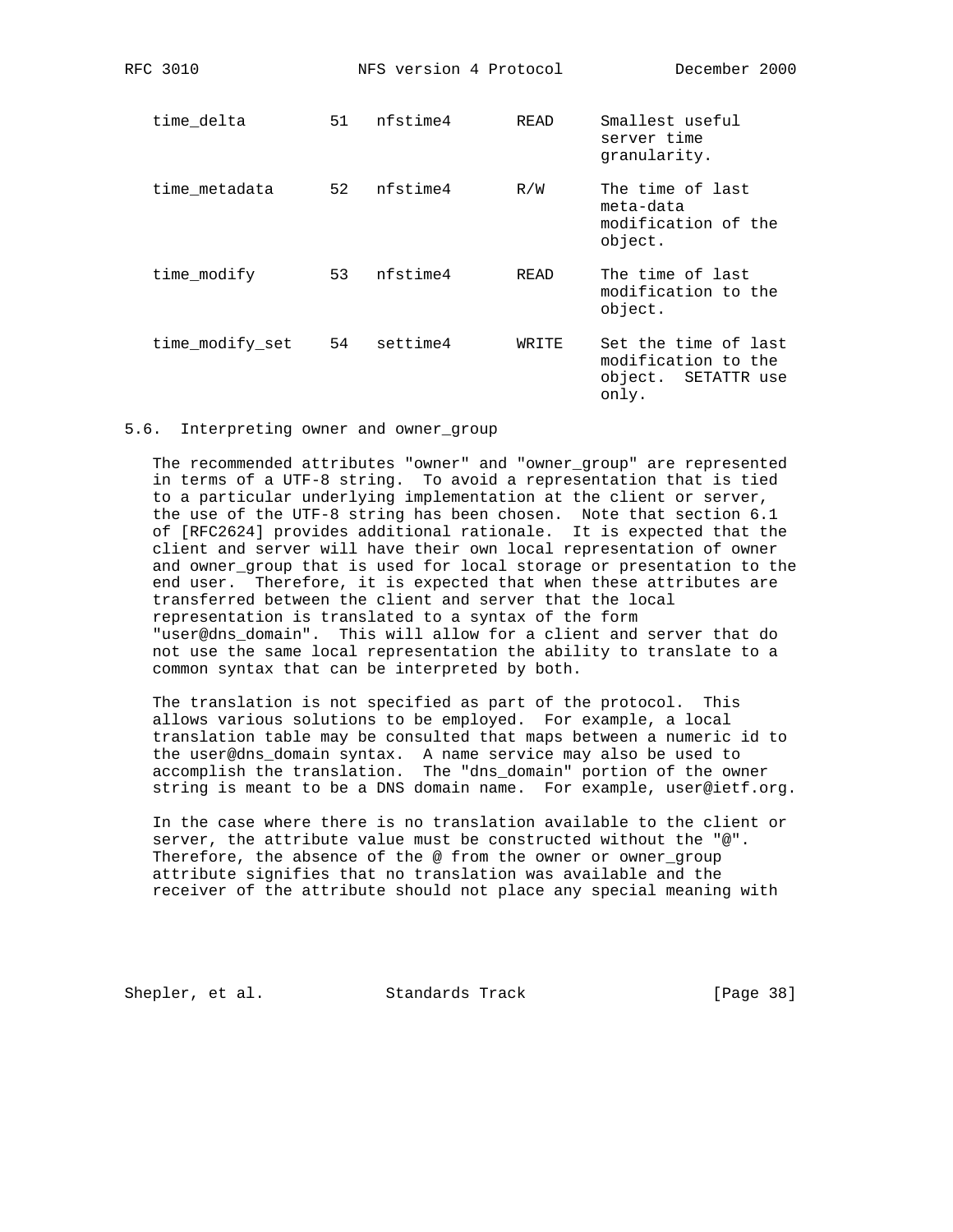| time delta      | 51 | nfstime4 | READ   | Smallest useful<br>server time<br>granularity.                              |
|-----------------|----|----------|--------|-----------------------------------------------------------------------------|
| time metadata   | 52 | nfstime4 | R/W    | The time of last<br>meta-data<br>modification of the<br>object.             |
| time modify     | 53 | nfstime4 | READ   | The time of last<br>modification to the<br>object.                          |
| time_modify_set | 54 | settime4 | WR TTE | Set the time of last<br>modification to the<br>object. SETATTR use<br>only. |

RFC 3010 NFS version 4 Protocol December 2000

## 5.6. Interpreting owner and owner\_group

 The recommended attributes "owner" and "owner\_group" are represented in terms of a UTF-8 string. To avoid a representation that is tied to a particular underlying implementation at the client or server, the use of the UTF-8 string has been chosen. Note that section 6.1 of [RFC2624] provides additional rationale. It is expected that the client and server will have their own local representation of owner and owner\_group that is used for local storage or presentation to the end user. Therefore, it is expected that when these attributes are transferred between the client and server that the local representation is translated to a syntax of the form "user@dns\_domain". This will allow for a client and server that do not use the same local representation the ability to translate to a common syntax that can be interpreted by both.

 The translation is not specified as part of the protocol. This allows various solutions to be employed. For example, a local translation table may be consulted that maps between a numeric id to the user@dns\_domain syntax. A name service may also be used to accomplish the translation. The "dns\_domain" portion of the owner string is meant to be a DNS domain name. For example, user@ietf.org.

 In the case where there is no translation available to the client or server, the attribute value must be constructed without the "@". Therefore, the absence of the @ from the owner or owner\_group attribute signifies that no translation was available and the receiver of the attribute should not place any special meaning with

Shepler, et al. Standards Track [Page 38]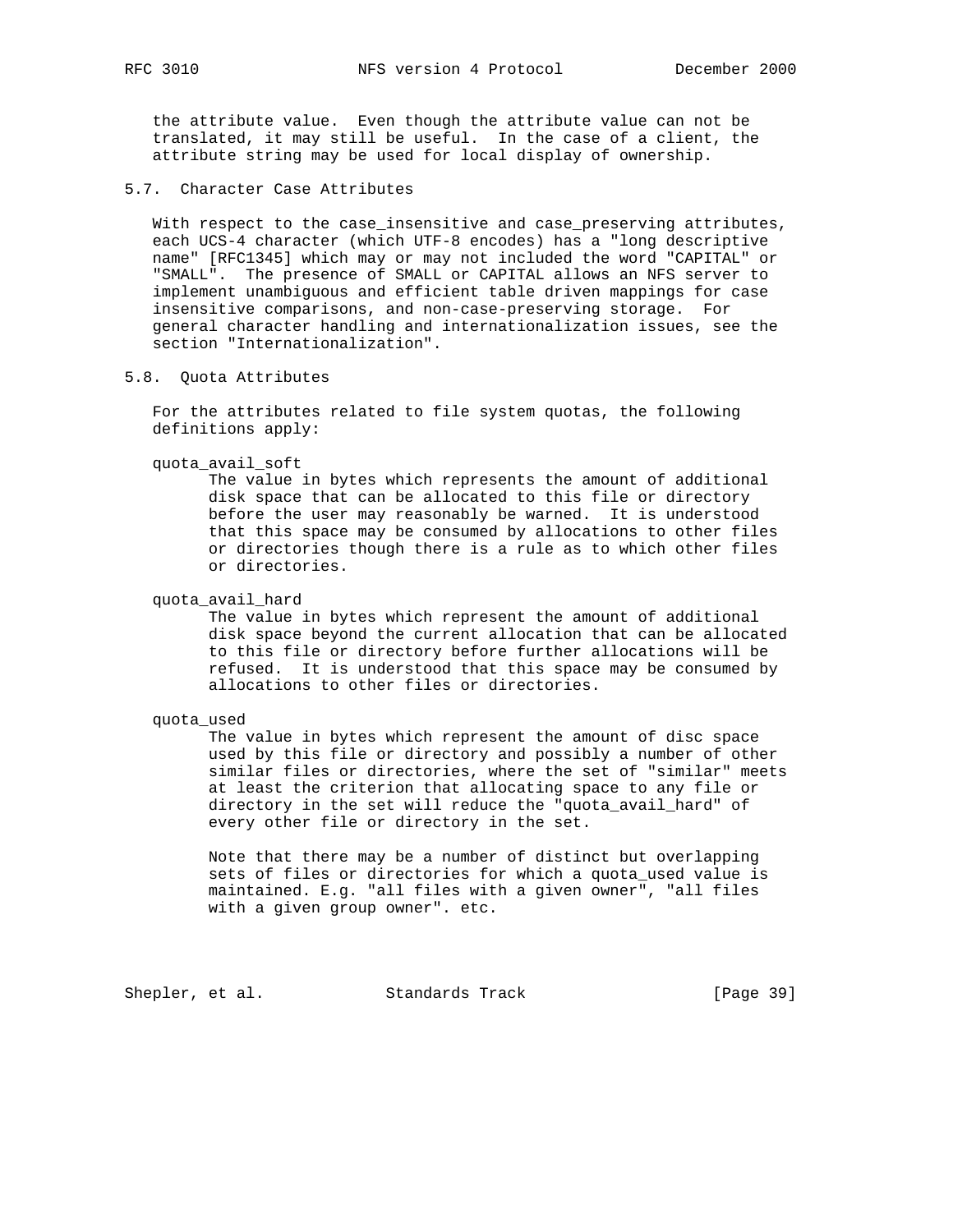the attribute value. Even though the attribute value can not be translated, it may still be useful. In the case of a client, the attribute string may be used for local display of ownership.

5.7. Character Case Attributes

 With respect to the case\_insensitive and case\_preserving attributes, each UCS-4 character (which UTF-8 encodes) has a "long descriptive name" [RFC1345] which may or may not included the word "CAPITAL" or "SMALL". The presence of SMALL or CAPITAL allows an NFS server to implement unambiguous and efficient table driven mappings for case insensitive comparisons, and non-case-preserving storage. For general character handling and internationalization issues, see the section "Internationalization".

## 5.8. Quota Attributes

 For the attributes related to file system quotas, the following definitions apply:

quota\_avail\_soft

 The value in bytes which represents the amount of additional disk space that can be allocated to this file or directory before the user may reasonably be warned. It is understood that this space may be consumed by allocations to other files or directories though there is a rule as to which other files or directories.

quota\_avail\_hard

 The value in bytes which represent the amount of additional disk space beyond the current allocation that can be allocated to this file or directory before further allocations will be refused. It is understood that this space may be consumed by allocations to other files or directories.

#### quota\_used

 The value in bytes which represent the amount of disc space used by this file or directory and possibly a number of other similar files or directories, where the set of "similar" meets at least the criterion that allocating space to any file or directory in the set will reduce the "quota\_avail\_hard" of every other file or directory in the set.

 Note that there may be a number of distinct but overlapping sets of files or directories for which a quota\_used value is maintained. E.g. "all files with a given owner", "all files with a given group owner". etc.

Shepler, et al. Standards Track [Page 39]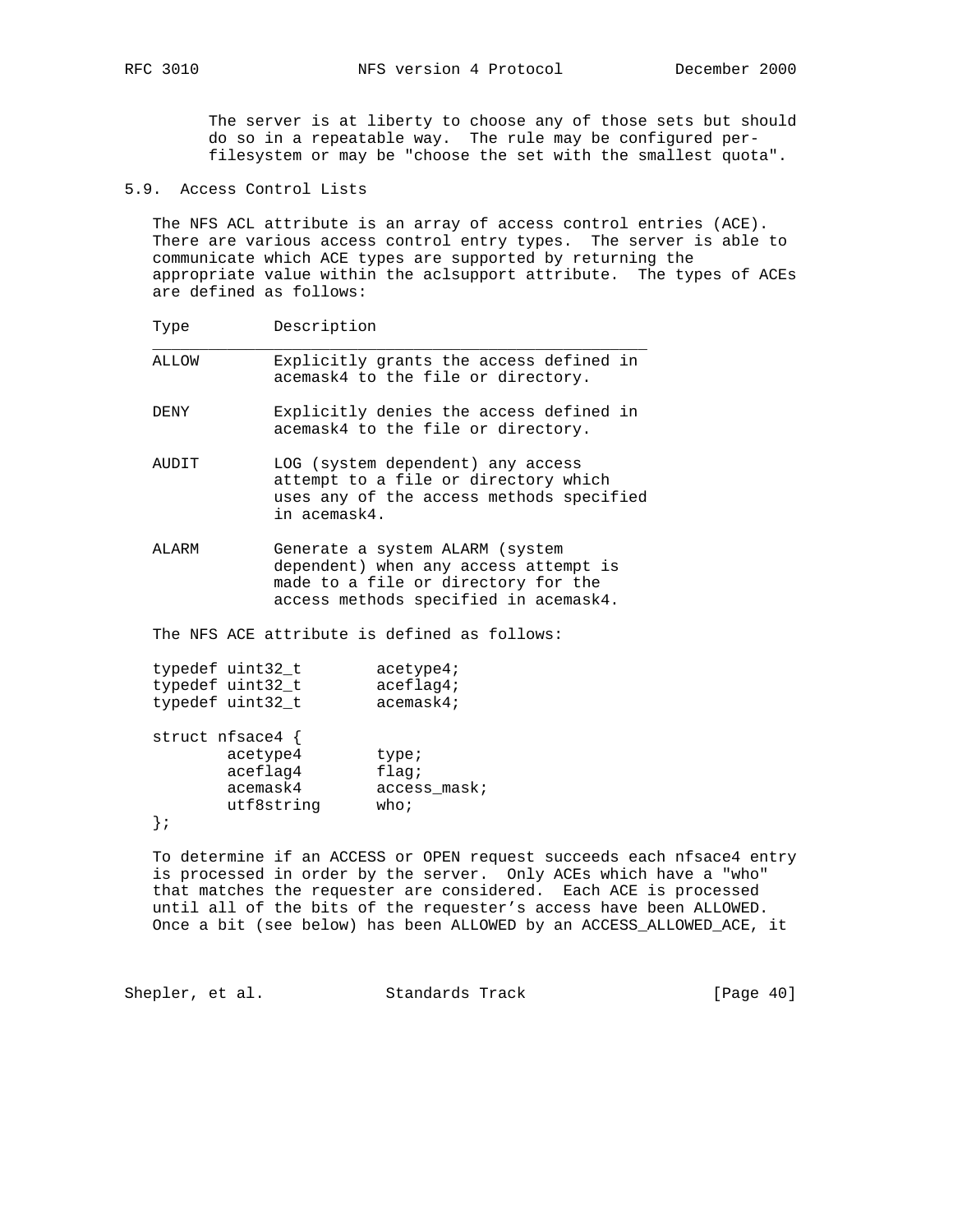The server is at liberty to choose any of those sets but should do so in a repeatable way. The rule may be configured per filesystem or may be "choose the set with the smallest quota".

5.9. Access Control Lists

 The NFS ACL attribute is an array of access control entries (ACE). There are various access control entry types. The server is able to communicate which ACE types are supported by returning the appropriate value within the aclsupport attribute. The types of ACEs are defined as follows:

Type Description

 ALLOW Explicitly grants the access defined in acemask4 to the file or directory.

 $\overline{\phantom{a}}$  , and the contract of the contract of the contract of the contract of the contract of the contract of the contract of the contract of the contract of the contract of the contract of the contract of the contrac

- DENY Explicitly denies the access defined in acemask4 to the file or directory.
- AUDIT LOG (system dependent) any access attempt to a file or directory which uses any of the access methods specified in acemask4.
- ALARM Generate a system ALARM (system dependent) when any access attempt is made to a file or directory for the access methods specified in acemask4.

The NFS ACE attribute is defined as follows:

| typedef uint32 t | acetype4;    |
|------------------|--------------|
| typedef uint32 t | $aceflag4$ ; |
| typedef uint32 t | acemask4;    |

|  | struct nfsace4 { |                    |
|--|------------------|--------------------|
|  | acetype4         | type;              |
|  | aceflag4         | flaq;              |
|  | acemask4         | access mask;       |
|  | utf8string       | who $\mathfrak{i}$ |
|  |                  |                    |

 To determine if an ACCESS or OPEN request succeeds each nfsace4 entry is processed in order by the server. Only ACEs which have a "who" that matches the requester are considered. Each ACE is processed until all of the bits of the requester's access have been ALLOWED. Once a bit (see below) has been ALLOWED by an ACCESS\_ALLOWED\_ACE, it

Shepler, et al. Standards Track [Page 40]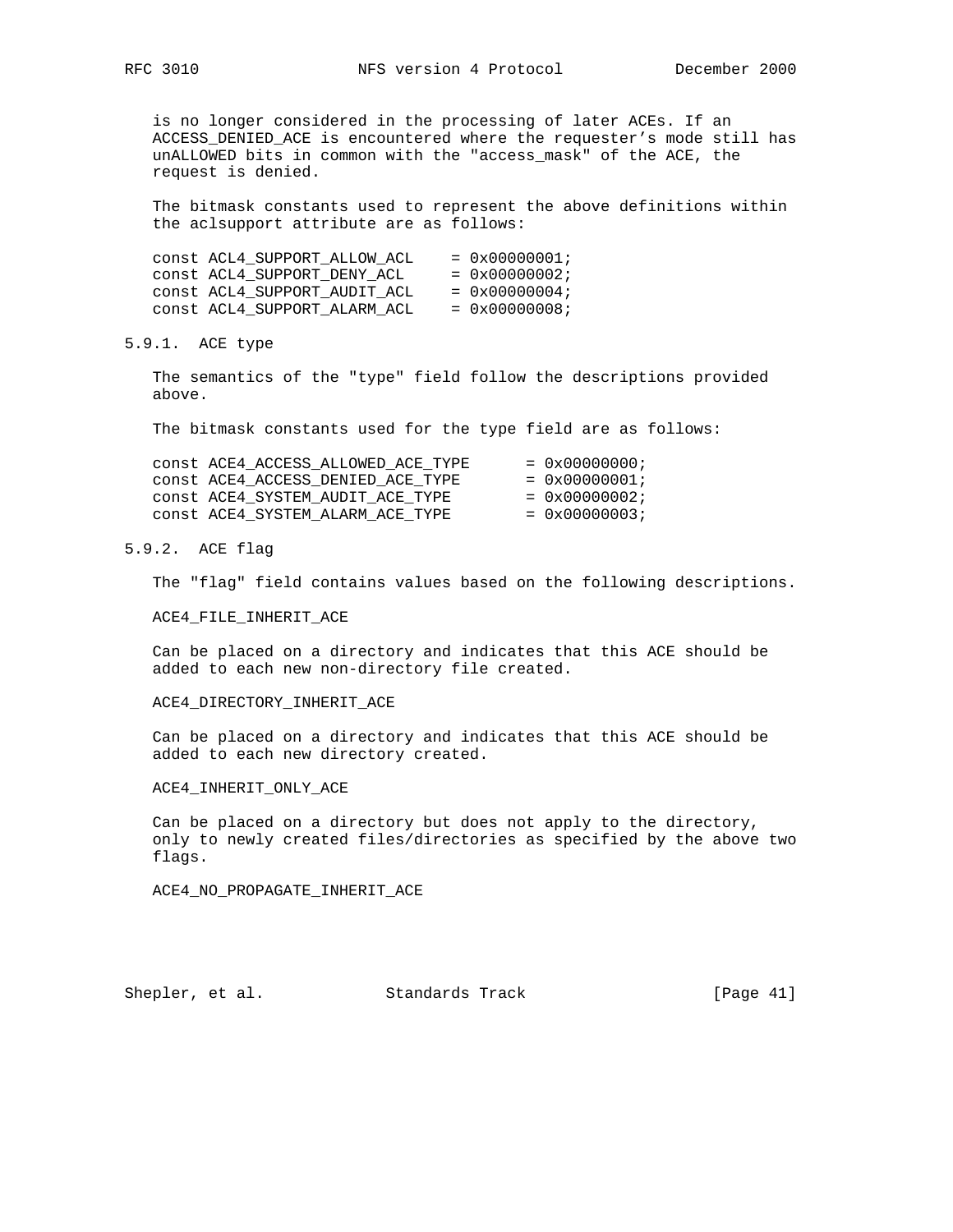is no longer considered in the processing of later ACEs. If an ACCESS\_DENIED\_ACE is encountered where the requester's mode still has unALLOWED bits in common with the "access\_mask" of the ACE, the request is denied.

 The bitmask constants used to represent the above definitions within the aclsupport attribute are as follows:

| CONSt ACL4 SUPPORT ALLOW ACL | $= 0 \times 00000001;$ |
|------------------------------|------------------------|
| CONSt ACL4 SUPPORT DENY ACL  | $= 0 \times 00000002;$ |
| CONSt ACL4 SUPPORT AUDIT ACL | $= 0 \times 00000004;$ |
| CONSt ACL4 SUPPORT ALARM ACL | $= 0x00000008;$        |

## 5.9.1. ACE type

 The semantics of the "type" field follow the descriptions provided above.

The bitmask constants used for the type field are as follows:

| CONSt ACE4 ACCESS ALLOWED ACE TYPE | $= 0 \times 00000000$  |
|------------------------------------|------------------------|
| CONSt ACE4 ACCESS DENIED ACE TYPE  | $= 0 \times 00000001;$ |
| CONSt ACE4 SYSTEM AUDIT ACE TYPE   | $= 0 \times 00000002;$ |
| CONSt ACE4 SYSTEM ALARM ACE TYPE   | $= 0 \times 00000003;$ |

# 5.9.2. ACE flag

The "flag" field contains values based on the following descriptions.

## ACE4\_FILE\_INHERIT\_ACE

 Can be placed on a directory and indicates that this ACE should be added to each new non-directory file created.

## ACE4\_DIRECTORY\_INHERIT\_ACE

 Can be placed on a directory and indicates that this ACE should be added to each new directory created.

### ACE4\_INHERIT\_ONLY\_ACE

 Can be placed on a directory but does not apply to the directory, only to newly created files/directories as specified by the above two flags.

ACE4\_NO\_PROPAGATE\_INHERIT\_ACE

Shepler, et al. Standards Track [Page 41]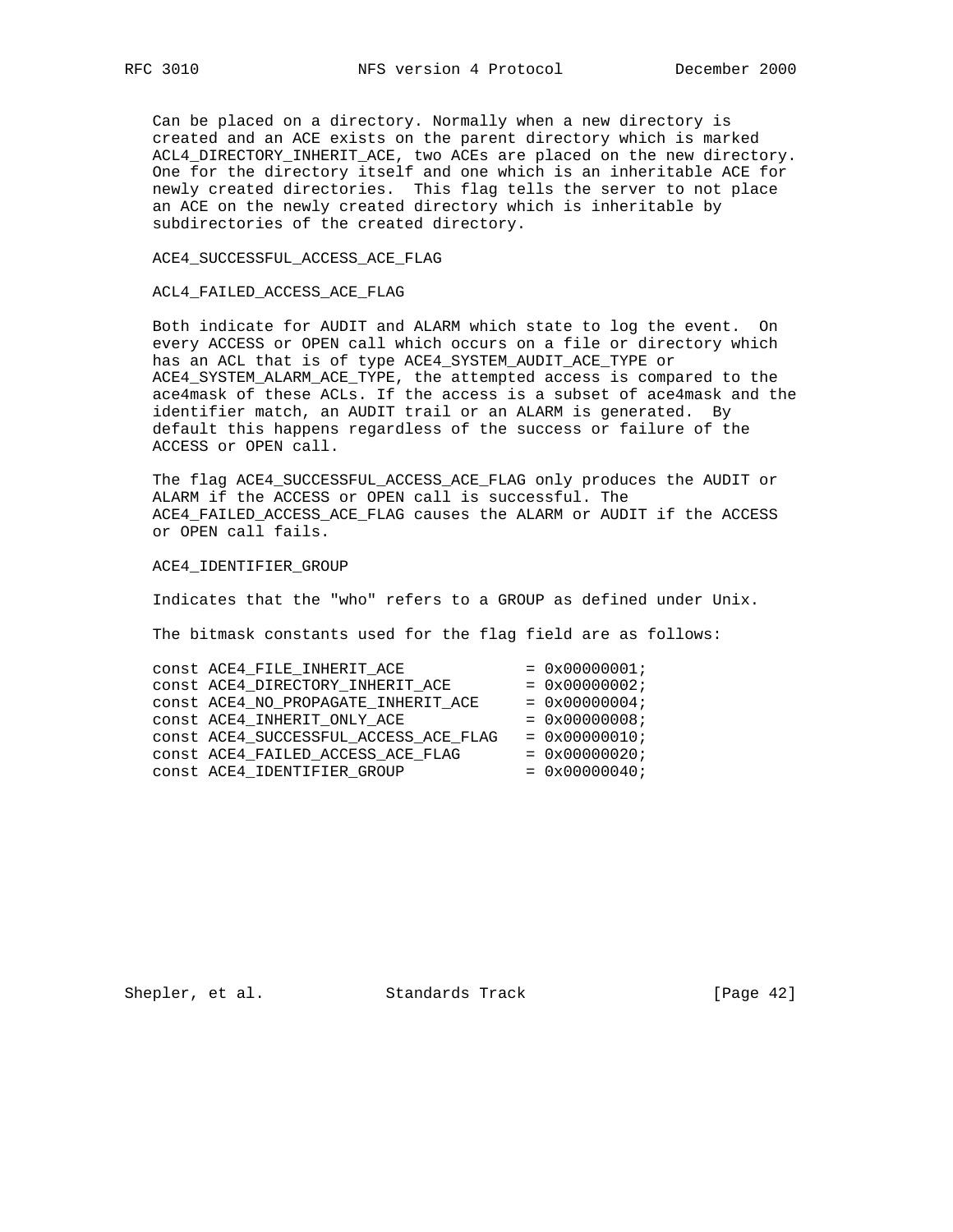Can be placed on a directory. Normally when a new directory is created and an ACE exists on the parent directory which is marked ACL4\_DIRECTORY\_INHERIT\_ACE, two ACEs are placed on the new directory. One for the directory itself and one which is an inheritable ACE for newly created directories. This flag tells the server to not place an ACE on the newly created directory which is inheritable by subdirectories of the created directory.

ACE4\_SUCCESSFUL\_ACCESS\_ACE\_FLAG

ACL4\_FAILED\_ACCESS\_ACE\_FLAG

 Both indicate for AUDIT and ALARM which state to log the event. On every ACCESS or OPEN call which occurs on a file or directory which has an ACL that is of type ACE4\_SYSTEM\_AUDIT\_ACE\_TYPE or ACE4\_SYSTEM\_ALARM\_ACE\_TYPE, the attempted access is compared to the ace4mask of these ACLs. If the access is a subset of ace4mask and the identifier match, an AUDIT trail or an ALARM is generated. By default this happens regardless of the success or failure of the ACCESS or OPEN call.

 The flag ACE4\_SUCCESSFUL\_ACCESS\_ACE\_FLAG only produces the AUDIT or ALARM if the ACCESS or OPEN call is successful. The ACE4\_FAILED\_ACCESS\_ACE\_FLAG causes the ALARM or AUDIT if the ACCESS or OPEN call fails.

ACE4\_IDENTIFIER\_GROUP

Indicates that the "who" refers to a GROUP as defined under Unix.

The bitmask constants used for the flag field are as follows:

| CONSt ACE4_FILE_INHERIT ACE           | $= 0x00000001;$ |
|---------------------------------------|-----------------|
| CONSt ACE4 DIRECTORY INHERIT ACE      | $= 0x00000002;$ |
| CONSt ACE4_NO_PROPAGATE_INHERIT ACE   | $= 0x00000004;$ |
| CONSt ACE4 INHERIT ONLY ACE           | $= 0x00000008;$ |
| CONSt ACE4_SUCCESSFUL_ACCESS_ACE_FLAG | $= 0x00000010;$ |
| CONSt ACE4 FAILED ACCESS ACE FLAG     | $= 0x00000020;$ |
| CONSt ACE4 IDENTIFIER GROUP           | $= 0x00000040;$ |

Shepler, et al. Standards Track [Page 42]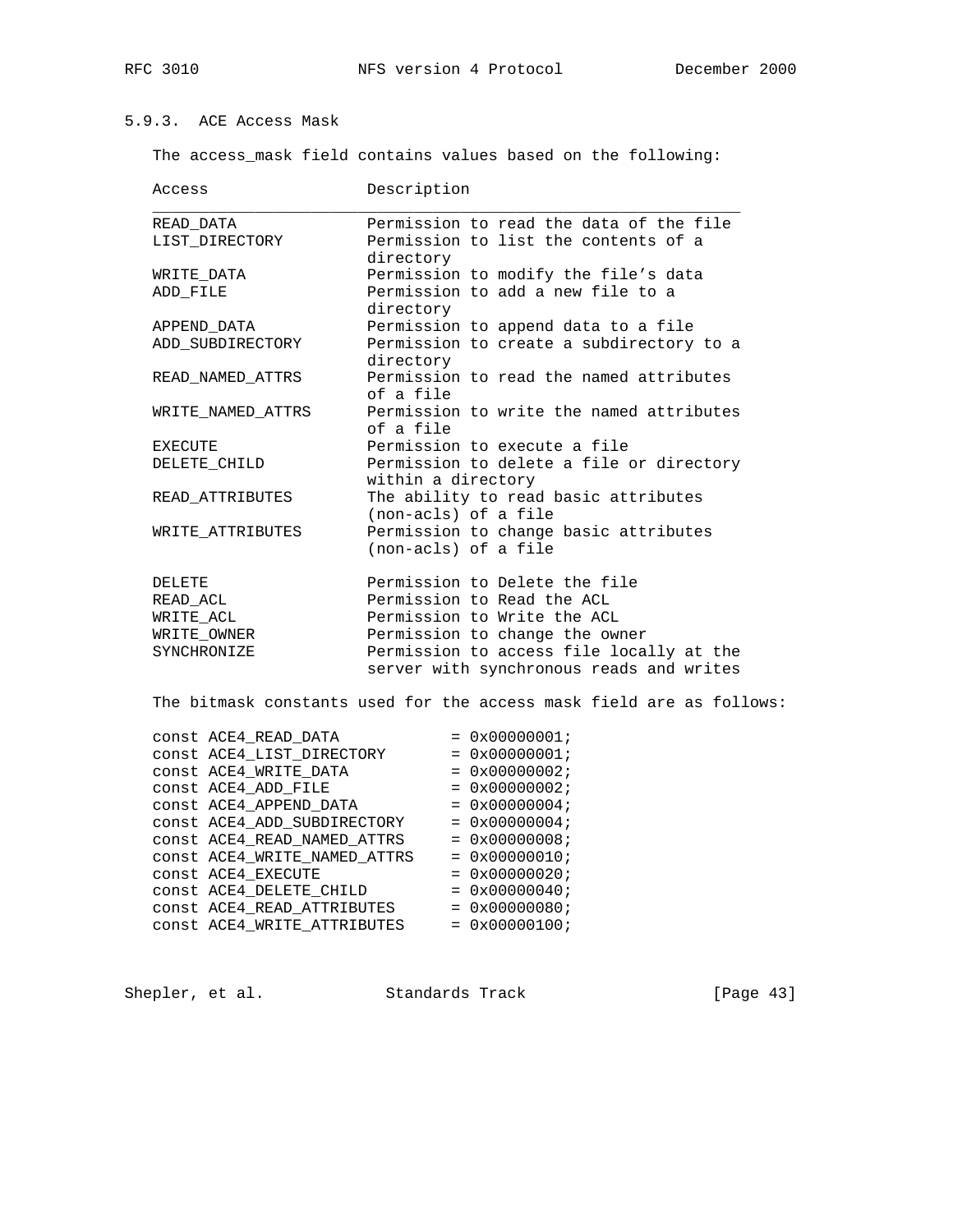# 5.9.3. ACE Access Mask

The access\_mask field contains values based on the following:

| Access                       | Description                                                          |
|------------------------------|----------------------------------------------------------------------|
| READ DATA                    | Permission to read the data of the file                              |
| LIST_DIRECTORY               | Permission to list the contents of a                                 |
|                              | directory                                                            |
| WRITE DATA                   | Permission to modify the file's data                                 |
| ADD_FILE                     | Permission to add a new file to a                                    |
|                              | directory                                                            |
| APPEND DATA                  | Permission to append data to a file                                  |
| ADD_SUBDIRECTORY             | Permission to create a subdirectory to a                             |
|                              | directory                                                            |
| READ_NAMED_ATTRS             | Permission to read the named attributes                              |
|                              | of a file                                                            |
| WRITE NAMED ATTRS            | Permission to write the named attributes                             |
|                              | of a file                                                            |
| <b>EXECUTE</b>               | Permission to execute a file                                         |
| DELETE_CHILD                 | Permission to delete a file or directory                             |
|                              | within a directory                                                   |
| READ ATTRIBUTES              | The ability to read basic attributes                                 |
|                              | (non-acls) of a file                                                 |
| WRITE_ATTRIBUTES             | Permission to change basic attributes                                |
|                              | (non-acls) of a file                                                 |
| <b>DELETE</b>                | Permission to Delete the file                                        |
| READ_ACL                     | Permission to Read the ACL                                           |
| WRITE_ACL                    | Permission to Write the ACL                                          |
| WRITE_OWNER                  | Permission to change the owner                                       |
| SYNCHRONIZE                  | Permission to access file locally at the                             |
|                              | server with synchronous reads and writes                             |
|                              | The bitmask constants used for the access mask field are as follows: |
| CONSt ACE4_READ_DATA         | $= 0x00000001;$                                                      |
| CONSt ACE4_LIST_DIRECTORY    | $= 0x00000001;$                                                      |
| CONSt ACE4_WRITE_DATA        | $= 0x00000002;$                                                      |
| CONSt ACE4_ADD_FILE          | $= 0x00000002;$                                                      |
| const ACE4_APPEND_DATA       | $= 0x00000004;$                                                      |
| const ACE4_ADD_SUBDIRECTORY  | $= 0x00000004;$                                                      |
| CONSt ACE4_READ_NAMED_ATTRS  | $= 0x00000008;$                                                      |
| CONSt ACE4_WRITE_NAMED_ATTRS | $= 0x00000010;$                                                      |
| CONSt ACE4_EXECUTE           | $= 0x00000020;$                                                      |
| CONSt ACE4_DELETE_CHILD      | $= 0x00000040;$                                                      |
| CONSt ACE4_READ_ATTRIBUTES   | $= 0x00000080;$                                                      |

 $const$   $ACE4$   $N$ RITE  $ATTRIBUTES$  =  $0x00000100$ ;

Shepler, et al. Standards Track [Page 43]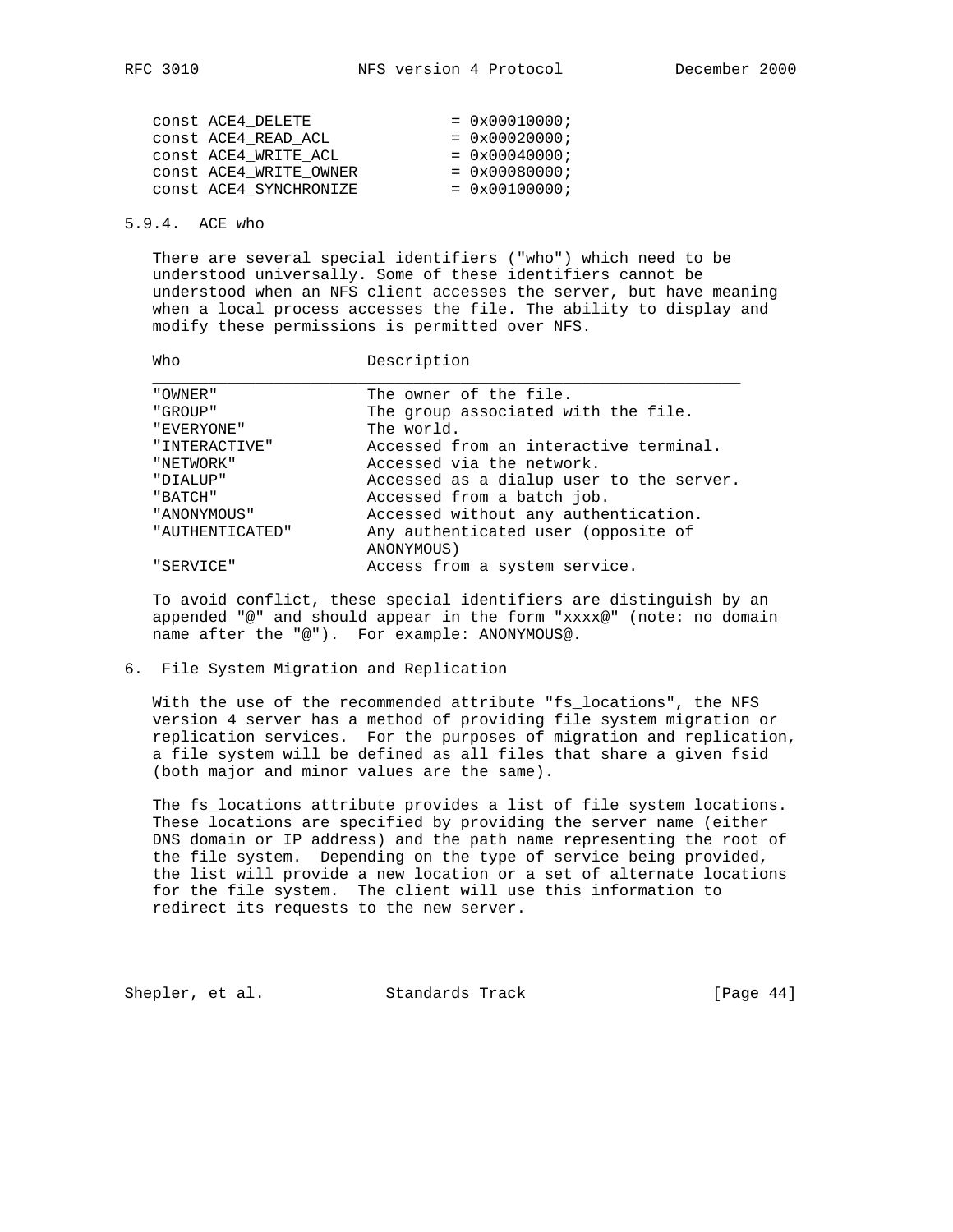| CONSt ACE4 DELETE      | $= 0x00010000;$        |
|------------------------|------------------------|
| CONSt ACE4 READ ACL    | $= 0x00020000;$        |
| CONSt ACE4 WRITE ACL   | $= 0x00040000;$        |
| CONSt ACE4 WRITE OWNER | $= 0x00080000;$        |
| CONSt ACE4_SYNCHRONIZE | $= 0 \times 00100000i$ |
|                        |                        |

### 5.9.4. ACE who

 There are several special identifiers ("who") which need to be understood universally. Some of these identifiers cannot be understood when an NFS client accesses the server, but have meaning when a local process accesses the file. The ability to display and modify these permissions is permitted over NFS.

Who Description

| "OWNER"         | The owner of the file.                   |
|-----------------|------------------------------------------|
| "GROUP"         | The group associated with the file.      |
| "EVERYONE"      | The world.                               |
| "INTERACTIVE"   | Accessed from an interactive terminal.   |
| "NETWORK"       | Accessed via the network.                |
| "DIALUP"        | Accessed as a dialup user to the server. |
| "BATCH"         | Accessed from a batch job.               |
| " ANONYMOUS "   | Accessed without any authentication.     |
| "AUTHENTICATED" | Any authenticated user (opposite of      |
|                 | ANONYMOUS)                               |
| "SERVICE"       | Access from a system service.            |

 To avoid conflict, these special identifiers are distinguish by an appended "@" and should appear in the form "xxxx@" (note: no domain name after the "@"). For example: ANONYMOUS@.

#### 6. File System Migration and Replication

 With the use of the recommended attribute "fs\_locations", the NFS version 4 server has a method of providing file system migration or replication services. For the purposes of migration and replication, a file system will be defined as all files that share a given fsid (both major and minor values are the same).

 The fs\_locations attribute provides a list of file system locations. These locations are specified by providing the server name (either DNS domain or IP address) and the path name representing the root of the file system. Depending on the type of service being provided, the list will provide a new location or a set of alternate locations for the file system. The client will use this information to redirect its requests to the new server.

Shepler, et al. Standards Track [Page 44]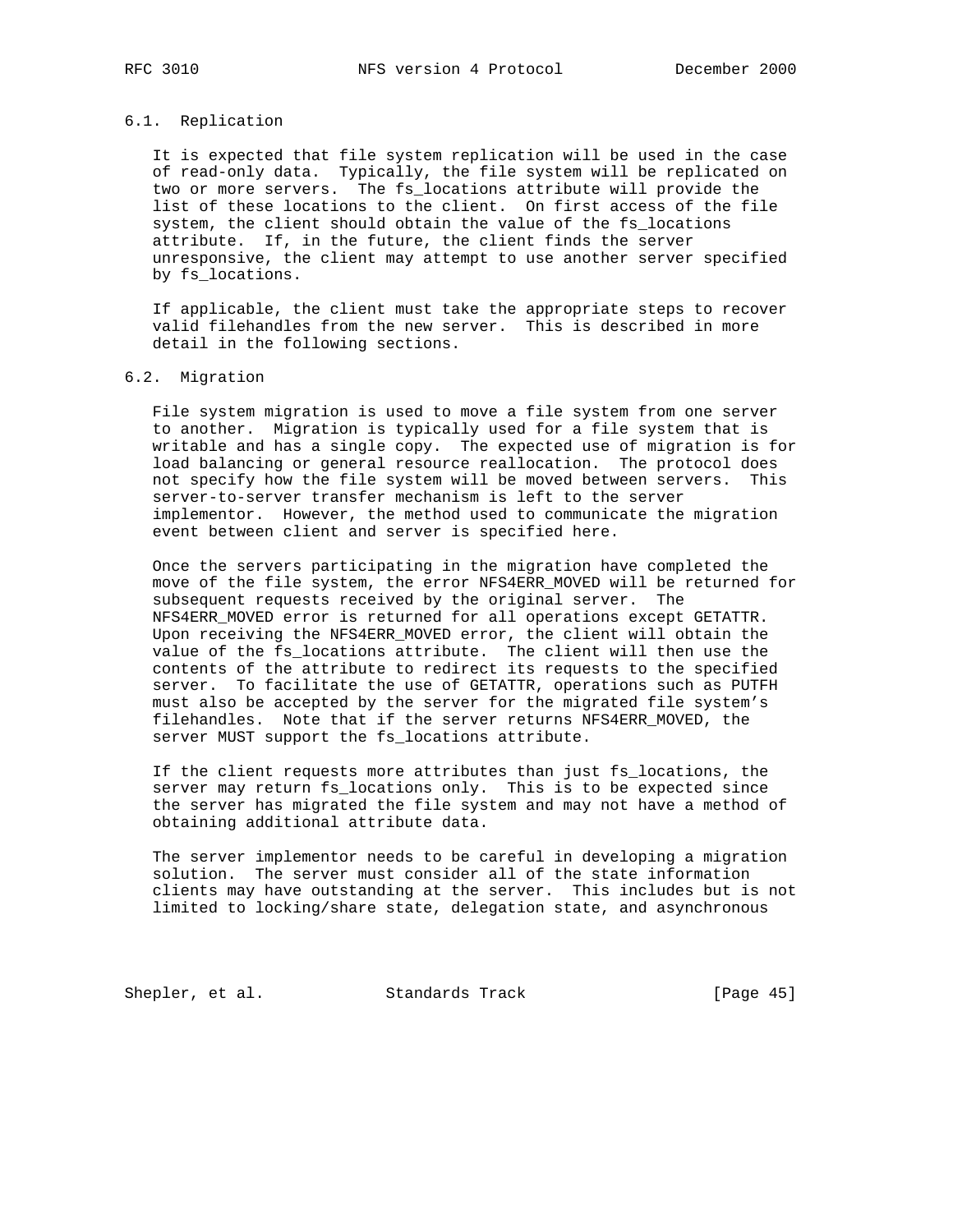## 6.1. Replication

 It is expected that file system replication will be used in the case of read-only data. Typically, the file system will be replicated on two or more servers. The fs\_locations attribute will provide the list of these locations to the client. On first access of the file system, the client should obtain the value of the fs\_locations attribute. If, in the future, the client finds the server unresponsive, the client may attempt to use another server specified by fs\_locations.

 If applicable, the client must take the appropriate steps to recover valid filehandles from the new server. This is described in more detail in the following sections.

## 6.2. Migration

 File system migration is used to move a file system from one server to another. Migration is typically used for a file system that is writable and has a single copy. The expected use of migration is for load balancing or general resource reallocation. The protocol does not specify how the file system will be moved between servers. This server-to-server transfer mechanism is left to the server implementor. However, the method used to communicate the migration event between client and server is specified here.

 Once the servers participating in the migration have completed the move of the file system, the error NFS4ERR\_MOVED will be returned for subsequent requests received by the original server. The NFS4ERR\_MOVED error is returned for all operations except GETATTR. Upon receiving the NFS4ERR\_MOVED error, the client will obtain the value of the fs\_locations attribute. The client will then use the contents of the attribute to redirect its requests to the specified server. To facilitate the use of GETATTR, operations such as PUTFH must also be accepted by the server for the migrated file system's filehandles. Note that if the server returns NFS4ERR\_MOVED, the server MUST support the fs\_locations attribute.

 If the client requests more attributes than just fs\_locations, the server may return fs\_locations only. This is to be expected since the server has migrated the file system and may not have a method of obtaining additional attribute data.

 The server implementor needs to be careful in developing a migration solution. The server must consider all of the state information clients may have outstanding at the server. This includes but is not limited to locking/share state, delegation state, and asynchronous

Shepler, et al. Standards Track [Page 45]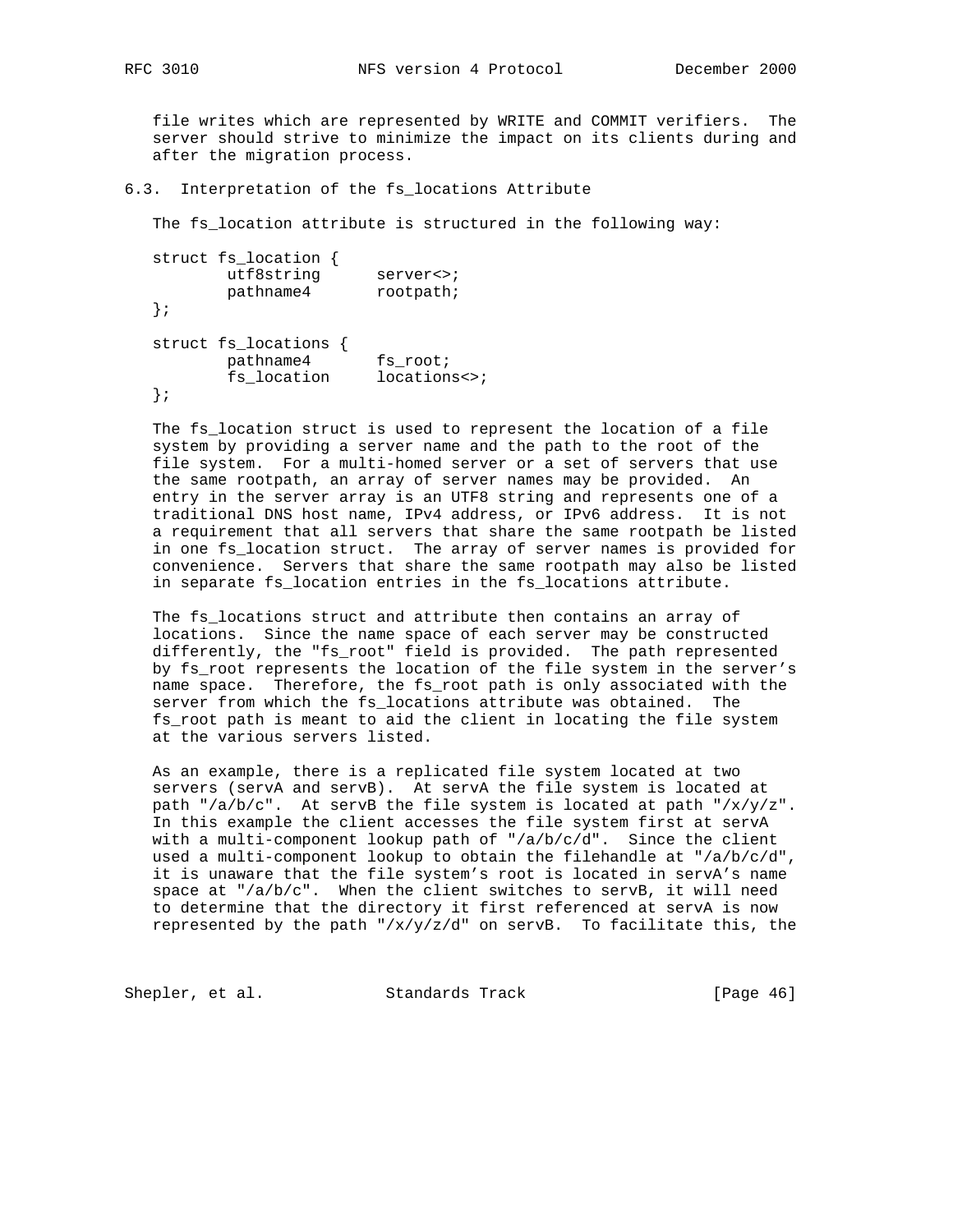file writes which are represented by WRITE and COMMIT verifiers. The server should strive to minimize the impact on its clients during and after the migration process.

6.3. Interpretation of the fs\_locations Attribute

The fs\_location attribute is structured in the following way:

```
 struct fs_location {
utf8string server<>;
pathname4 rootpath;
  };
  struct fs_locations {
pathname4 fs_root;
fs_location locations<>;
  };
```
 The fs\_location struct is used to represent the location of a file system by providing a server name and the path to the root of the file system. For a multi-homed server or a set of servers that use the same rootpath, an array of server names may be provided. An entry in the server array is an UTF8 string and represents one of a traditional DNS host name, IPv4 address, or IPv6 address. It is not a requirement that all servers that share the same rootpath be listed in one fs\_location struct. The array of server names is provided for convenience. Servers that share the same rootpath may also be listed in separate fs location entries in the fs locations attribute.

 The fs\_locations struct and attribute then contains an array of locations. Since the name space of each server may be constructed differently, the "fs\_root" field is provided. The path represented by fs\_root represents the location of the file system in the server's name space. Therefore, the fs root path is only associated with the server from which the fs\_locations attribute was obtained. The fs\_root path is meant to aid the client in locating the file system at the various servers listed.

 As an example, there is a replicated file system located at two servers (servA and servB). At servA the file system is located at path "/a/b/c". At servB the file system is located at path "/x/y/z". In this example the client accesses the file system first at servA with a multi-component lookup path of "/a/b/c/d". Since the client used a multi-component lookup to obtain the filehandle at "/a/b/c/d", it is unaware that the file system's root is located in servA's name space at " $/a/b/c$ ". When the client switches to servB, it will need to determine that the directory it first referenced at servA is now represented by the path " $/x/y/z/d$ " on servB. To facilitate this, the

Shepler, et al. Standards Track [Page 46]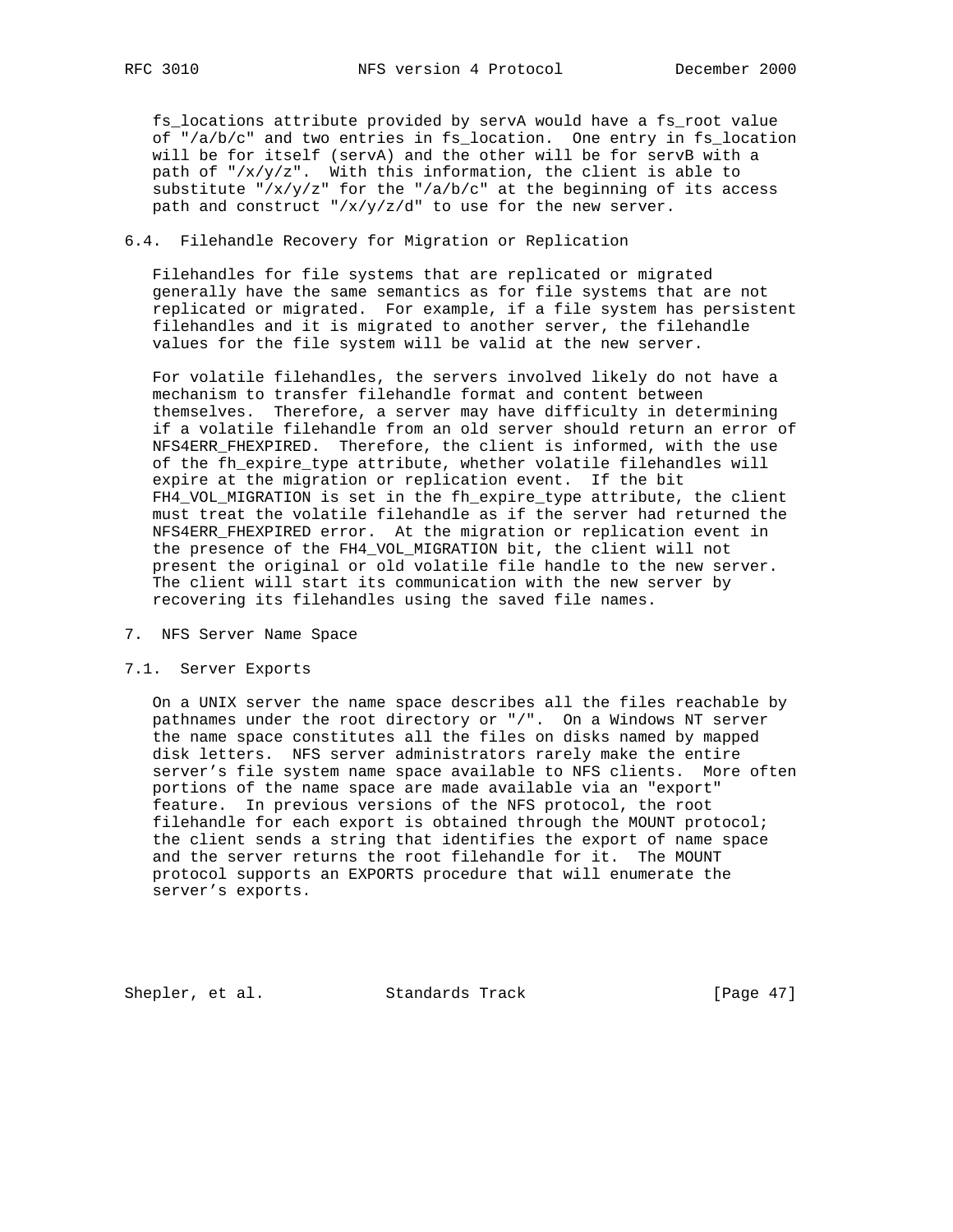fs\_locations attribute provided by servA would have a fs\_root value of "/a/b/c" and two entries in fs\_location. One entry in fs\_location will be for itself (servA) and the other will be for servB with a path of " $/x/y/z$ ". With this information, the client is able to substitute "/ $x/y/z$ " for the "/ $a/b/c$ " at the beginning of its access path and construct "/x/y/z/d" to use for the new server.

## 6.4. Filehandle Recovery for Migration or Replication

 Filehandles for file systems that are replicated or migrated generally have the same semantics as for file systems that are not replicated or migrated. For example, if a file system has persistent filehandles and it is migrated to another server, the filehandle values for the file system will be valid at the new server.

 For volatile filehandles, the servers involved likely do not have a mechanism to transfer filehandle format and content between themselves. Therefore, a server may have difficulty in determining if a volatile filehandle from an old server should return an error of NFS4ERR\_FHEXPIRED. Therefore, the client is informed, with the use of the fh\_expire\_type attribute, whether volatile filehandles will expire at the migration or replication event. If the bit FH4\_VOL\_MIGRATION is set in the fh\_expire\_type attribute, the client must treat the volatile filehandle as if the server had returned the NFS4ERR\_FHEXPIRED error. At the migration or replication event in the presence of the FH4\_VOL\_MIGRATION bit, the client will not present the original or old volatile file handle to the new server. The client will start its communication with the new server by recovering its filehandles using the saved file names.

## 7. NFS Server Name Space

#### 7.1. Server Exports

 On a UNIX server the name space describes all the files reachable by pathnames under the root directory or "/". On a Windows NT server the name space constitutes all the files on disks named by mapped disk letters. NFS server administrators rarely make the entire server's file system name space available to NFS clients. More often portions of the name space are made available via an "export" feature. In previous versions of the NFS protocol, the root filehandle for each export is obtained through the MOUNT protocol; the client sends a string that identifies the export of name space and the server returns the root filehandle for it. The MOUNT protocol supports an EXPORTS procedure that will enumerate the server's exports.

Shepler, et al. Standards Track [Page 47]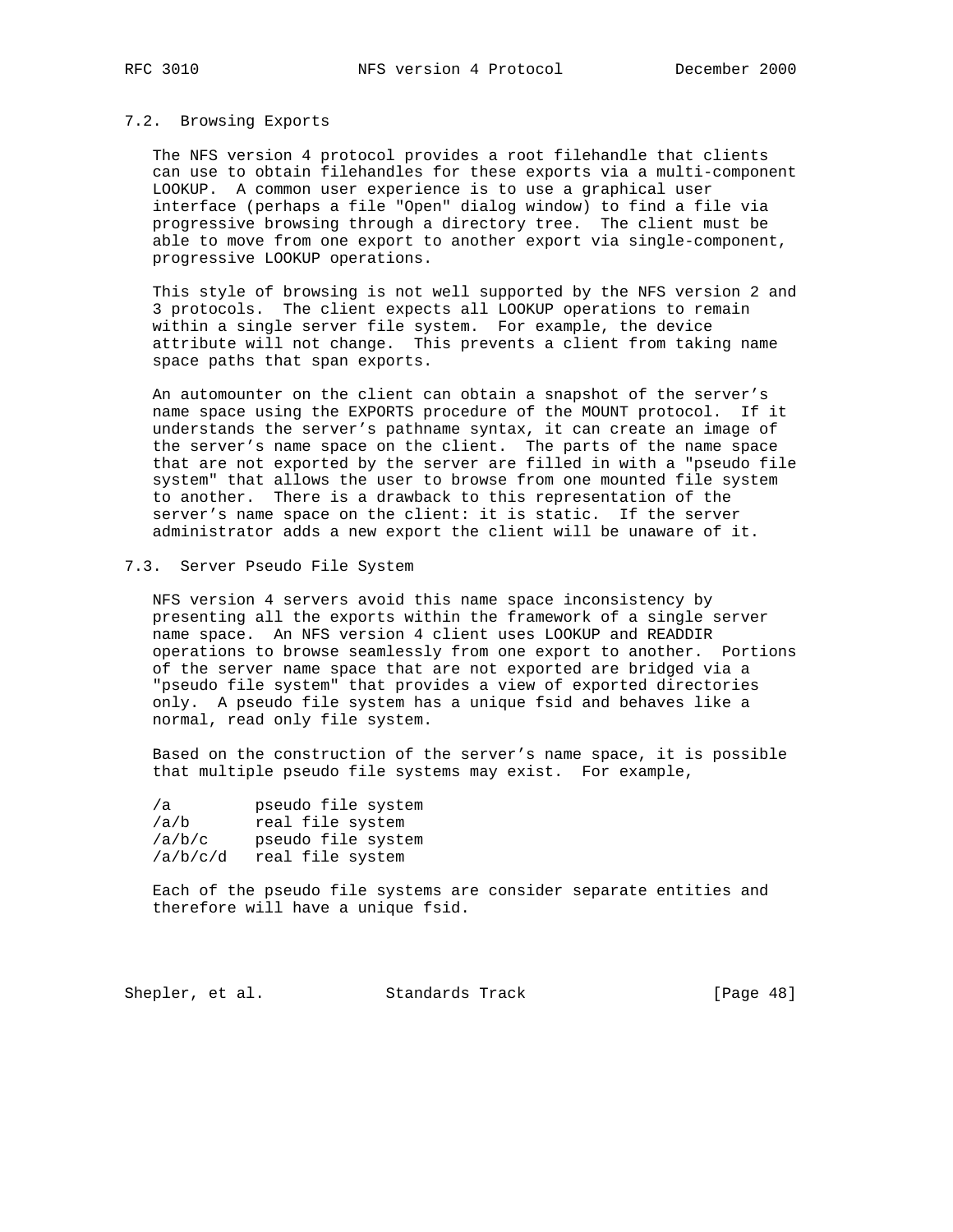#### 7.2. Browsing Exports

 The NFS version 4 protocol provides a root filehandle that clients can use to obtain filehandles for these exports via a multi-component LOOKUP. A common user experience is to use a graphical user interface (perhaps a file "Open" dialog window) to find a file via progressive browsing through a directory tree. The client must be able to move from one export to another export via single-component, progressive LOOKUP operations.

 This style of browsing is not well supported by the NFS version 2 and 3 protocols. The client expects all LOOKUP operations to remain within a single server file system. For example, the device attribute will not change. This prevents a client from taking name space paths that span exports.

 An automounter on the client can obtain a snapshot of the server's name space using the EXPORTS procedure of the MOUNT protocol. If it understands the server's pathname syntax, it can create an image of the server's name space on the client. The parts of the name space that are not exported by the server are filled in with a "pseudo file system" that allows the user to browse from one mounted file system to another. There is a drawback to this representation of the server's name space on the client: it is static. If the server administrator adds a new export the client will be unaware of it.

## 7.3. Server Pseudo File System

 NFS version 4 servers avoid this name space inconsistency by presenting all the exports within the framework of a single server name space. An NFS version 4 client uses LOOKUP and READDIR operations to browse seamlessly from one export to another. Portions of the server name space that are not exported are bridged via a "pseudo file system" that provides a view of exported directories only. A pseudo file system has a unique fsid and behaves like a normal, read only file system.

 Based on the construction of the server's name space, it is possible that multiple pseudo file systems may exist. For example,

| /a       | pseudo file system |
|----------|--------------------|
| /a/b     | real file system   |
| /a/b/c   | pseudo file system |
| /a/b/c/d | real file system   |

 Each of the pseudo file systems are consider separate entities and therefore will have a unique fsid.

Shepler, et al. Standards Track [Page 48]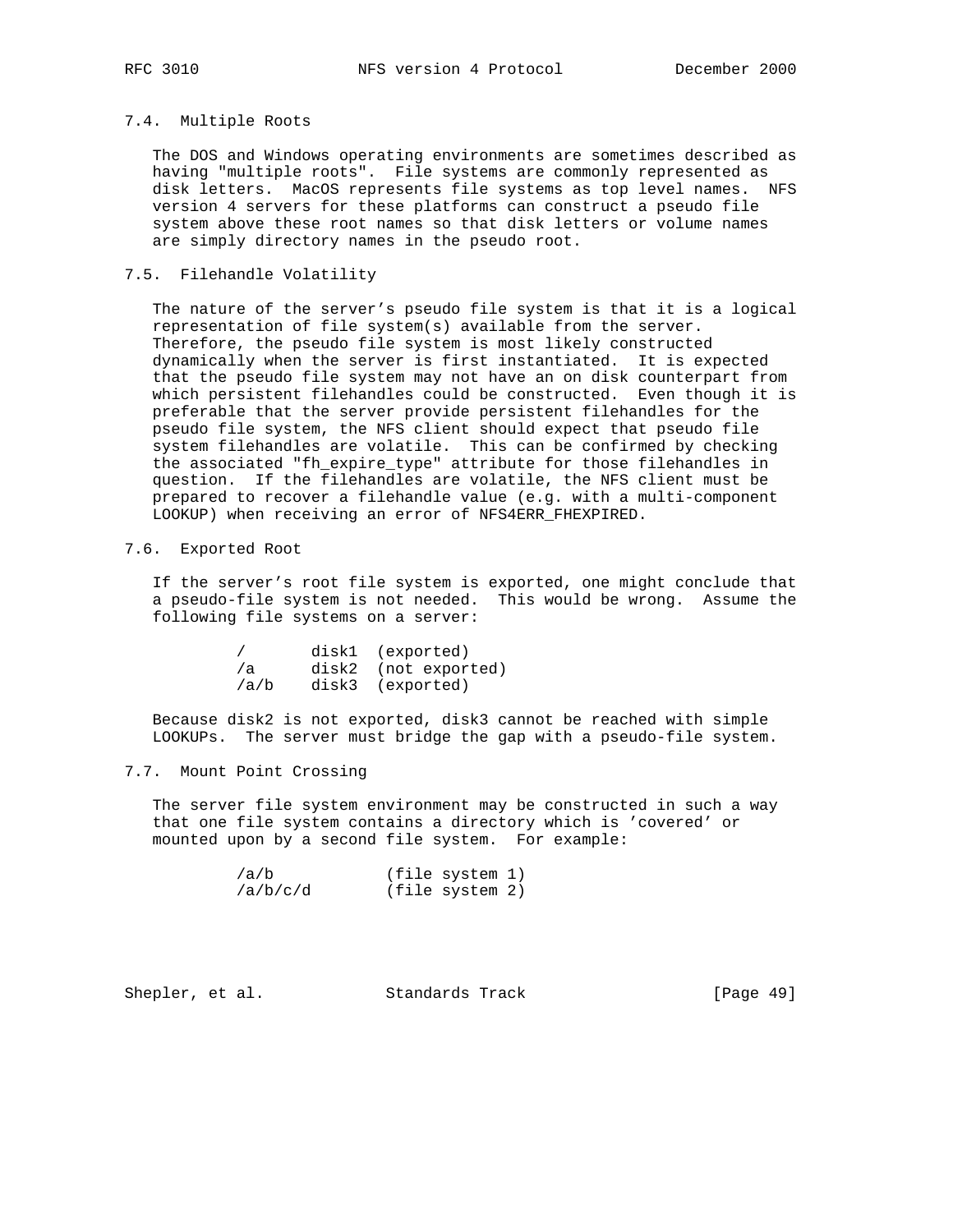# 7.4. Multiple Roots

 The DOS and Windows operating environments are sometimes described as having "multiple roots". File systems are commonly represented as disk letters. MacOS represents file systems as top level names. NFS version 4 servers for these platforms can construct a pseudo file system above these root names so that disk letters or volume names are simply directory names in the pseudo root.

## 7.5. Filehandle Volatility

 The nature of the server's pseudo file system is that it is a logical representation of file system(s) available from the server. Therefore, the pseudo file system is most likely constructed dynamically when the server is first instantiated. It is expected that the pseudo file system may not have an on disk counterpart from which persistent filehandles could be constructed. Even though it is preferable that the server provide persistent filehandles for the pseudo file system, the NFS client should expect that pseudo file system filehandles are volatile. This can be confirmed by checking the associated "fh\_expire\_type" attribute for those filehandles in question. If the filehandles are volatile, the NFS client must be prepared to recover a filehandle value (e.g. with a multi-component LOOKUP) when receiving an error of NFS4ERR\_FHEXPIRED.

## 7.6. Exported Root

 If the server's root file system is exported, one might conclude that a pseudo-file system is not needed. This would be wrong. Assume the following file systems on a server:

|      | disk1 (exported)     |  |
|------|----------------------|--|
| /a   | disk2 (not exported) |  |
| /a/b | disk3 (exported)     |  |

 Because disk2 is not exported, disk3 cannot be reached with simple LOOKUPs. The server must bridge the gap with a pseudo-file system.

# 7.7. Mount Point Crossing

 The server file system environment may be constructed in such a way that one file system contains a directory which is 'covered' or mounted upon by a second file system. For example:

| /a/b     | (file system 1) |  |
|----------|-----------------|--|
| /a/b/c/d | (file system 2) |  |

Shepler, et al. Standards Track [Page 49]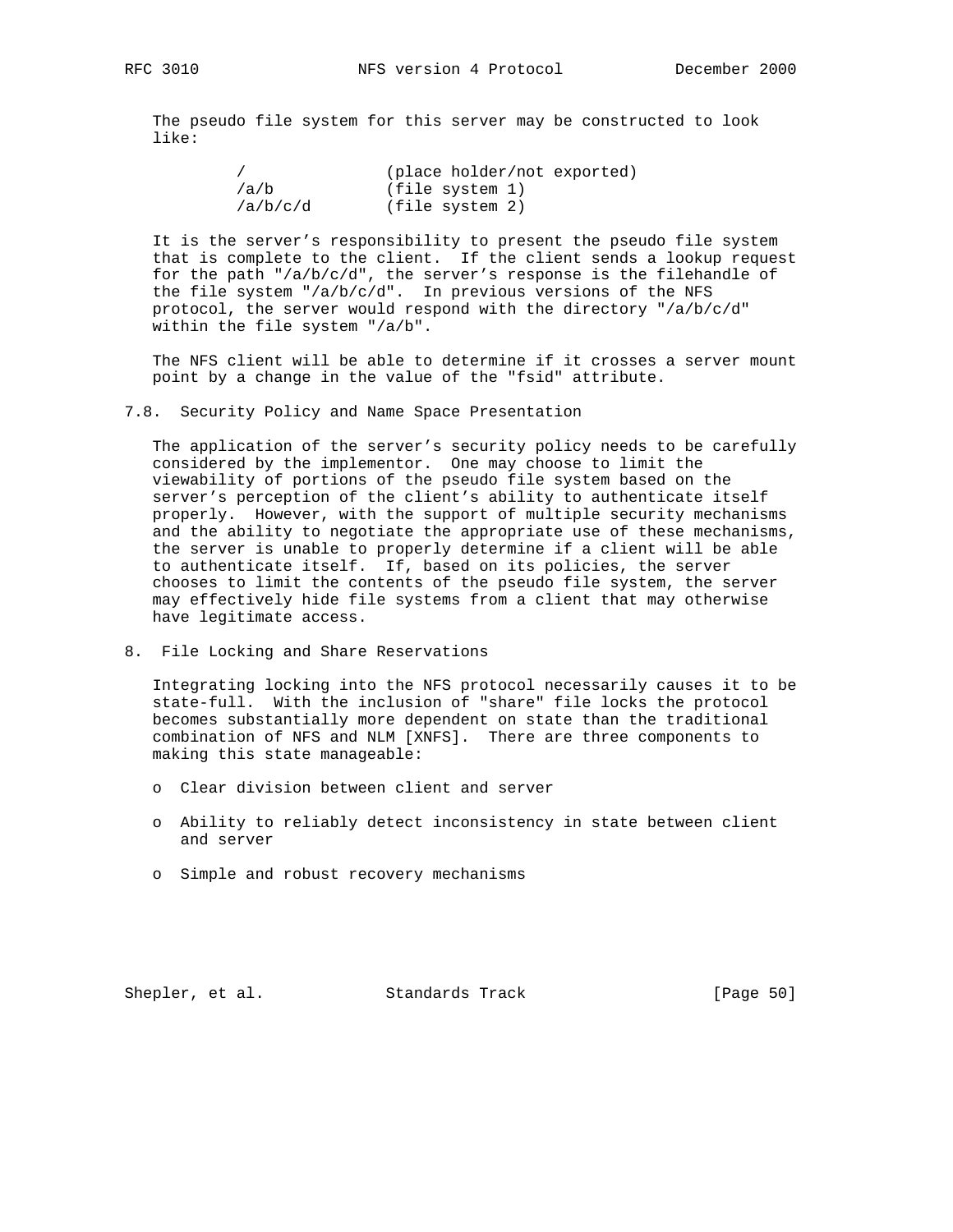The pseudo file system for this server may be constructed to look like:

|          | (place holder/not exported) |
|----------|-----------------------------|
| /a/b     | (file system 1)             |
| /a/b/c/d | (file system 2)             |

 It is the server's responsibility to present the pseudo file system that is complete to the client. If the client sends a lookup request for the path " $\frac{a}{b}/c/d$ ", the server's response is the filehandle of the file system "/a/b/c/d". In previous versions of the NFS protocol, the server would respond with the directory "/a/b/c/d" within the file system "/a/b".

 The NFS client will be able to determine if it crosses a server mount point by a change in the value of the "fsid" attribute.

7.8. Security Policy and Name Space Presentation

 The application of the server's security policy needs to be carefully considered by the implementor. One may choose to limit the viewability of portions of the pseudo file system based on the server's perception of the client's ability to authenticate itself properly. However, with the support of multiple security mechanisms and the ability to negotiate the appropriate use of these mechanisms, the server is unable to properly determine if a client will be able to authenticate itself. If, based on its policies, the server chooses to limit the contents of the pseudo file system, the server may effectively hide file systems from a client that may otherwise have legitimate access.

8. File Locking and Share Reservations

 Integrating locking into the NFS protocol necessarily causes it to be state-full. With the inclusion of "share" file locks the protocol becomes substantially more dependent on state than the traditional combination of NFS and NLM [XNFS]. There are three components to making this state manageable:

- o Clear division between client and server
- o Ability to reliably detect inconsistency in state between client and server
- o Simple and robust recovery mechanisms

Shepler, et al. Standards Track [Page 50]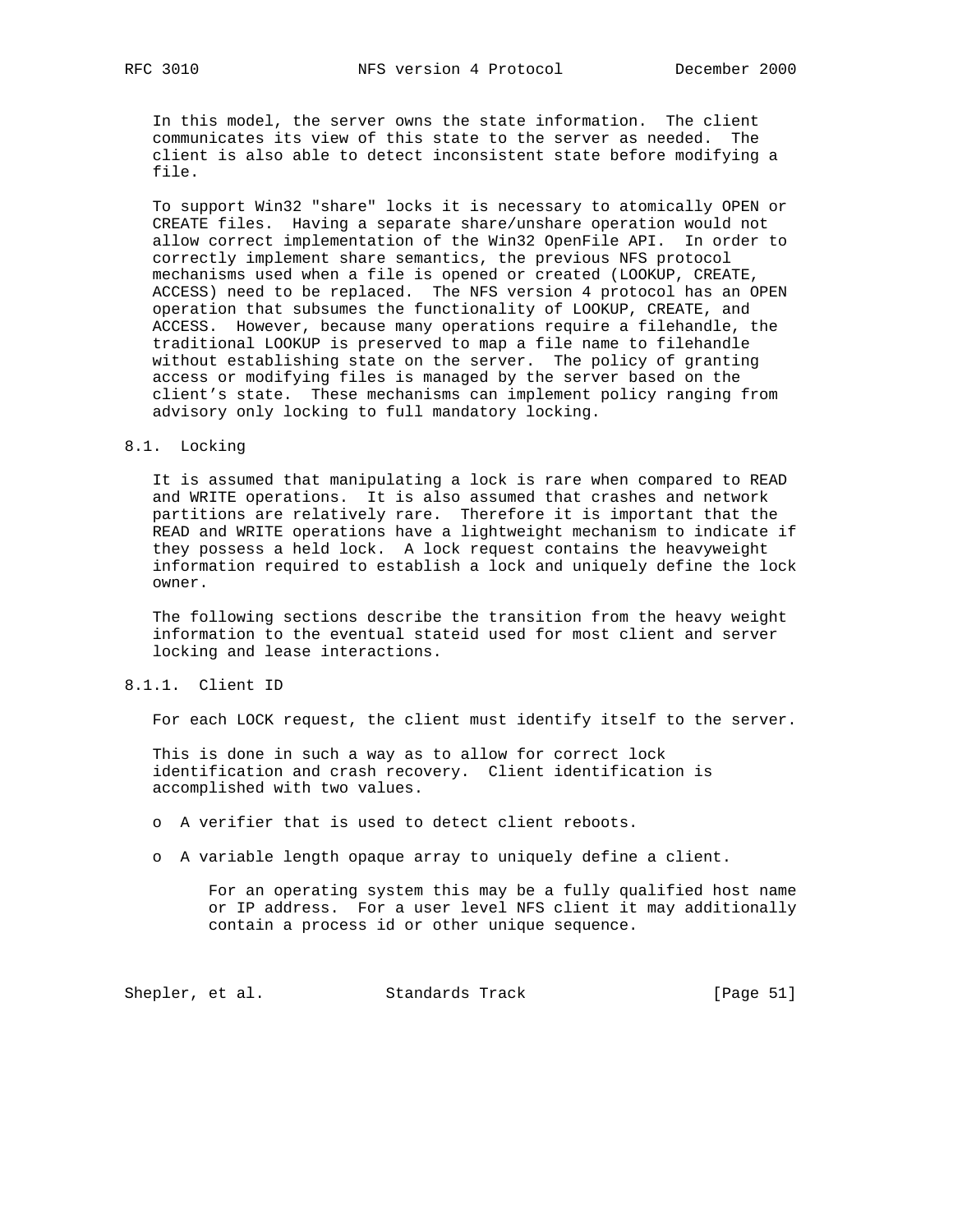In this model, the server owns the state information. The client communicates its view of this state to the server as needed. The client is also able to detect inconsistent state before modifying a file.

 To support Win32 "share" locks it is necessary to atomically OPEN or CREATE files. Having a separate share/unshare operation would not allow correct implementation of the Win32 OpenFile API. In order to correctly implement share semantics, the previous NFS protocol mechanisms used when a file is opened or created (LOOKUP, CREATE, ACCESS) need to be replaced. The NFS version 4 protocol has an OPEN operation that subsumes the functionality of LOOKUP, CREATE, and ACCESS. However, because many operations require a filehandle, the traditional LOOKUP is preserved to map a file name to filehandle without establishing state on the server. The policy of granting access or modifying files is managed by the server based on the client's state. These mechanisms can implement policy ranging from advisory only locking to full mandatory locking.

#### 8.1. Locking

 It is assumed that manipulating a lock is rare when compared to READ and WRITE operations. It is also assumed that crashes and network partitions are relatively rare. Therefore it is important that the READ and WRITE operations have a lightweight mechanism to indicate if they possess a held lock. A lock request contains the heavyweight information required to establish a lock and uniquely define the lock owner.

 The following sections describe the transition from the heavy weight information to the eventual stateid used for most client and server locking and lease interactions.

## 8.1.1. Client ID

For each LOCK request, the client must identify itself to the server.

 This is done in such a way as to allow for correct lock identification and crash recovery. Client identification is accomplished with two values.

o A verifier that is used to detect client reboots.

o A variable length opaque array to uniquely define a client.

 For an operating system this may be a fully qualified host name or IP address. For a user level NFS client it may additionally contain a process id or other unique sequence.

Shepler, et al. Standards Track [Page 51]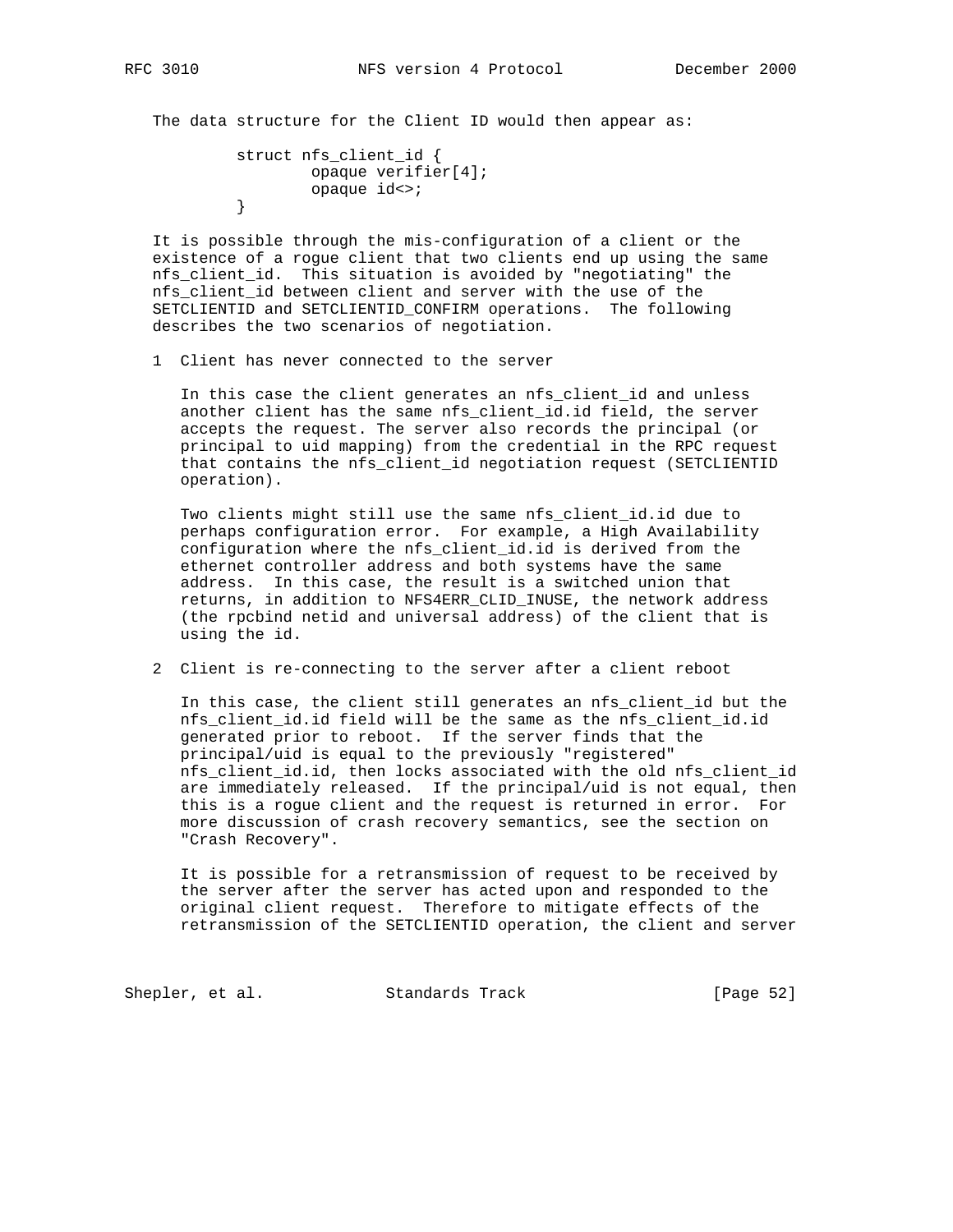The data structure for the Client ID would then appear as:

```
 struct nfs_client_id {
                opaque verifier[4];
         opaque id<>;
 }
```
 It is possible through the mis-configuration of a client or the existence of a rogue client that two clients end up using the same nfs\_client\_id. This situation is avoided by "negotiating" the nfs\_client\_id between client and server with the use of the SETCLIENTID and SETCLIENTID\_CONFIRM operations. The following describes the two scenarios of negotiation.

1 Client has never connected to the server

 In this case the client generates an nfs\_client\_id and unless another client has the same nfs\_client\_id.id field, the server accepts the request. The server also records the principal (or principal to uid mapping) from the credential in the RPC request that contains the nfs\_client\_id negotiation request (SETCLIENTID operation).

 Two clients might still use the same nfs\_client\_id.id due to perhaps configuration error. For example, a High Availability configuration where the nfs\_client\_id.id is derived from the ethernet controller address and both systems have the same address. In this case, the result is a switched union that returns, in addition to NFS4ERR\_CLID\_INUSE, the network address (the rpcbind netid and universal address) of the client that is using the id.

2 Client is re-connecting to the server after a client reboot

 In this case, the client still generates an nfs\_client\_id but the nfs\_client\_id.id field will be the same as the nfs\_client\_id.id generated prior to reboot. If the server finds that the principal/uid is equal to the previously "registered" nfs\_client\_id.id, then locks associated with the old nfs\_client\_id are immediately released. If the principal/uid is not equal, then this is a rogue client and the request is returned in error. For more discussion of crash recovery semantics, see the section on "Crash Recovery".

 It is possible for a retransmission of request to be received by the server after the server has acted upon and responded to the original client request. Therefore to mitigate effects of the retransmission of the SETCLIENTID operation, the client and server

Shepler, et al. Standards Track [Page 52]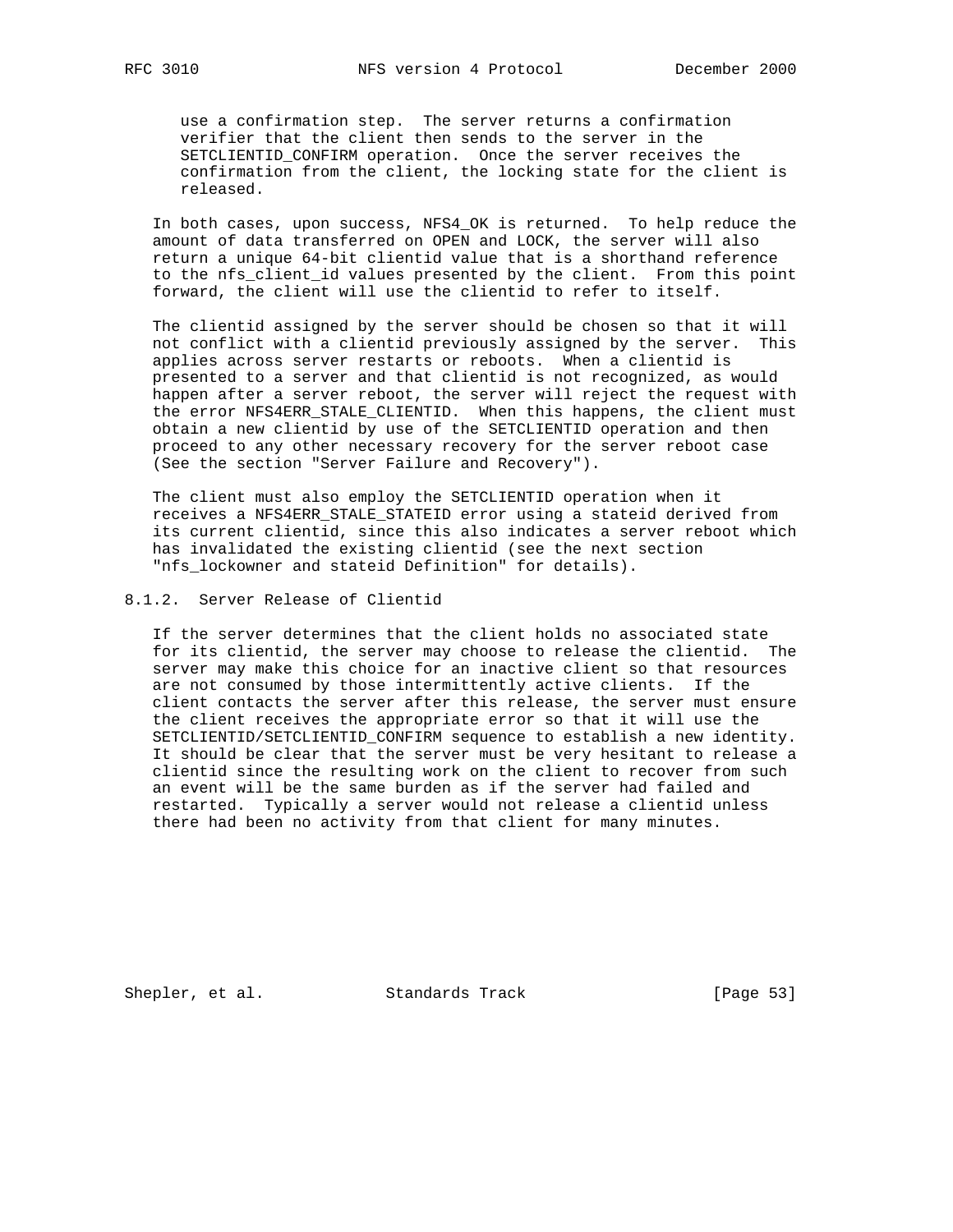use a confirmation step. The server returns a confirmation verifier that the client then sends to the server in the SETCLIENTID\_CONFIRM operation. Once the server receives the confirmation from the client, the locking state for the client is released.

 In both cases, upon success, NFS4\_OK is returned. To help reduce the amount of data transferred on OPEN and LOCK, the server will also return a unique 64-bit clientid value that is a shorthand reference to the nfs\_client\_id values presented by the client. From this point forward, the client will use the clientid to refer to itself.

 The clientid assigned by the server should be chosen so that it will not conflict with a clientid previously assigned by the server. This applies across server restarts or reboots. When a clientid is presented to a server and that clientid is not recognized, as would happen after a server reboot, the server will reject the request with the error NFS4ERR\_STALE\_CLIENTID. When this happens, the client must obtain a new clientid by use of the SETCLIENTID operation and then proceed to any other necessary recovery for the server reboot case (See the section "Server Failure and Recovery").

 The client must also employ the SETCLIENTID operation when it receives a NFS4ERR\_STALE\_STATEID error using a stateid derived from its current clientid, since this also indicates a server reboot which has invalidated the existing clientid (see the next section "nfs\_lockowner and stateid Definition" for details).

# 8.1.2. Server Release of Clientid

 If the server determines that the client holds no associated state for its clientid, the server may choose to release the clientid. The server may make this choice for an inactive client so that resources are not consumed by those intermittently active clients. If the client contacts the server after this release, the server must ensure the client receives the appropriate error so that it will use the SETCLIENTID/SETCLIENTID\_CONFIRM sequence to establish a new identity. It should be clear that the server must be very hesitant to release a clientid since the resulting work on the client to recover from such an event will be the same burden as if the server had failed and restarted. Typically a server would not release a clientid unless there had been no activity from that client for many minutes.

Shepler, et al. Standards Track [Page 53]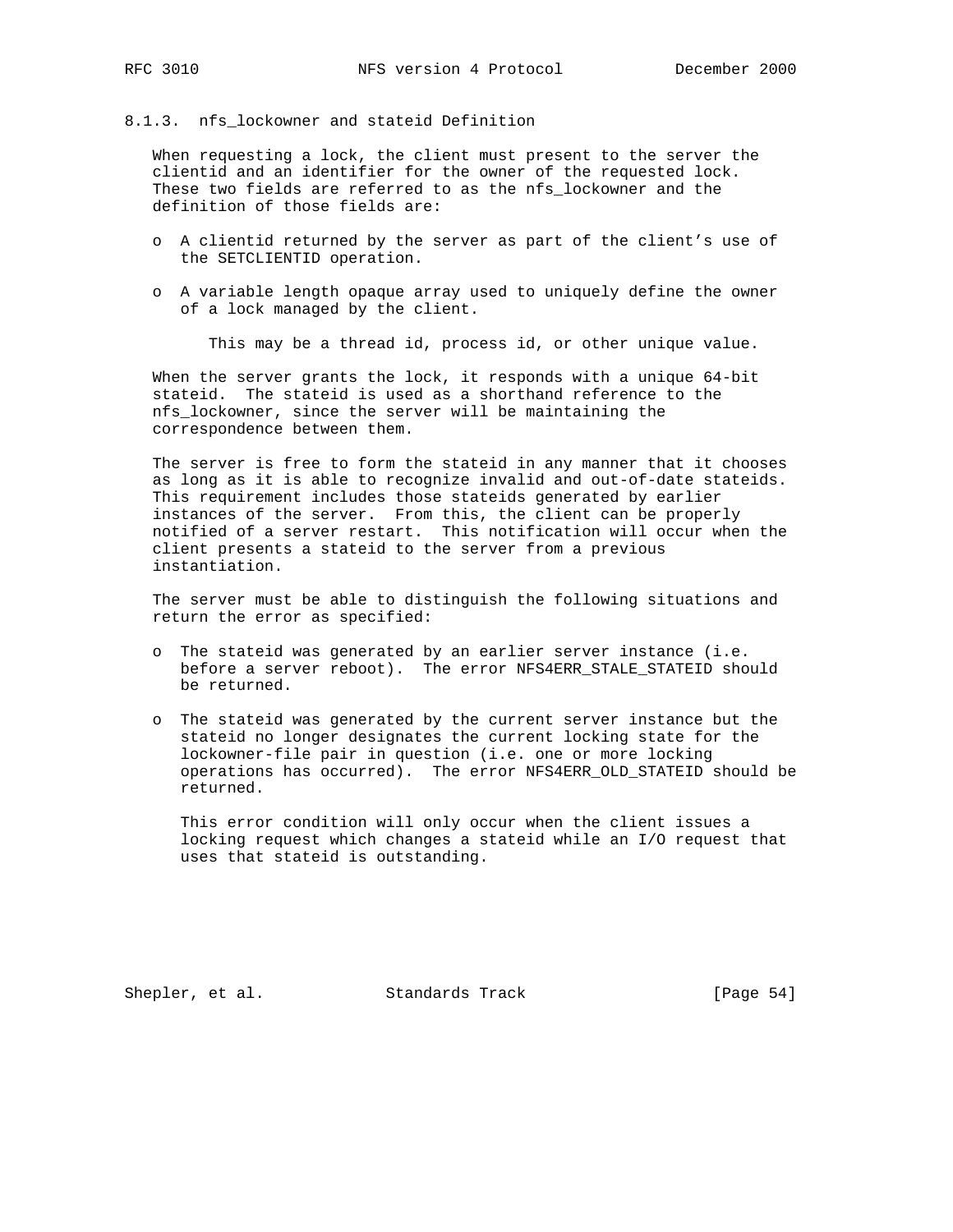# 8.1.3. nfs\_lockowner and stateid Definition

 When requesting a lock, the client must present to the server the clientid and an identifier for the owner of the requested lock. These two fields are referred to as the nfs\_lockowner and the definition of those fields are:

- o A clientid returned by the server as part of the client's use of the SETCLIENTID operation.
- o A variable length opaque array used to uniquely define the owner of a lock managed by the client.

This may be a thread id, process id, or other unique value.

 When the server grants the lock, it responds with a unique 64-bit stateid. The stateid is used as a shorthand reference to the nfs\_lockowner, since the server will be maintaining the correspondence between them.

 The server is free to form the stateid in any manner that it chooses as long as it is able to recognize invalid and out-of-date stateids. This requirement includes those stateids generated by earlier instances of the server. From this, the client can be properly notified of a server restart. This notification will occur when the client presents a stateid to the server from a previous instantiation.

 The server must be able to distinguish the following situations and return the error as specified:

- o The stateid was generated by an earlier server instance (i.e. before a server reboot). The error NFS4ERR\_STALE\_STATEID should be returned.
- o The stateid was generated by the current server instance but the stateid no longer designates the current locking state for the lockowner-file pair in question (i.e. one or more locking operations has occurred). The error NFS4ERR\_OLD\_STATEID should be returned.

 This error condition will only occur when the client issues a locking request which changes a stateid while an I/O request that uses that stateid is outstanding.

Shepler, et al. Standards Track [Page 54]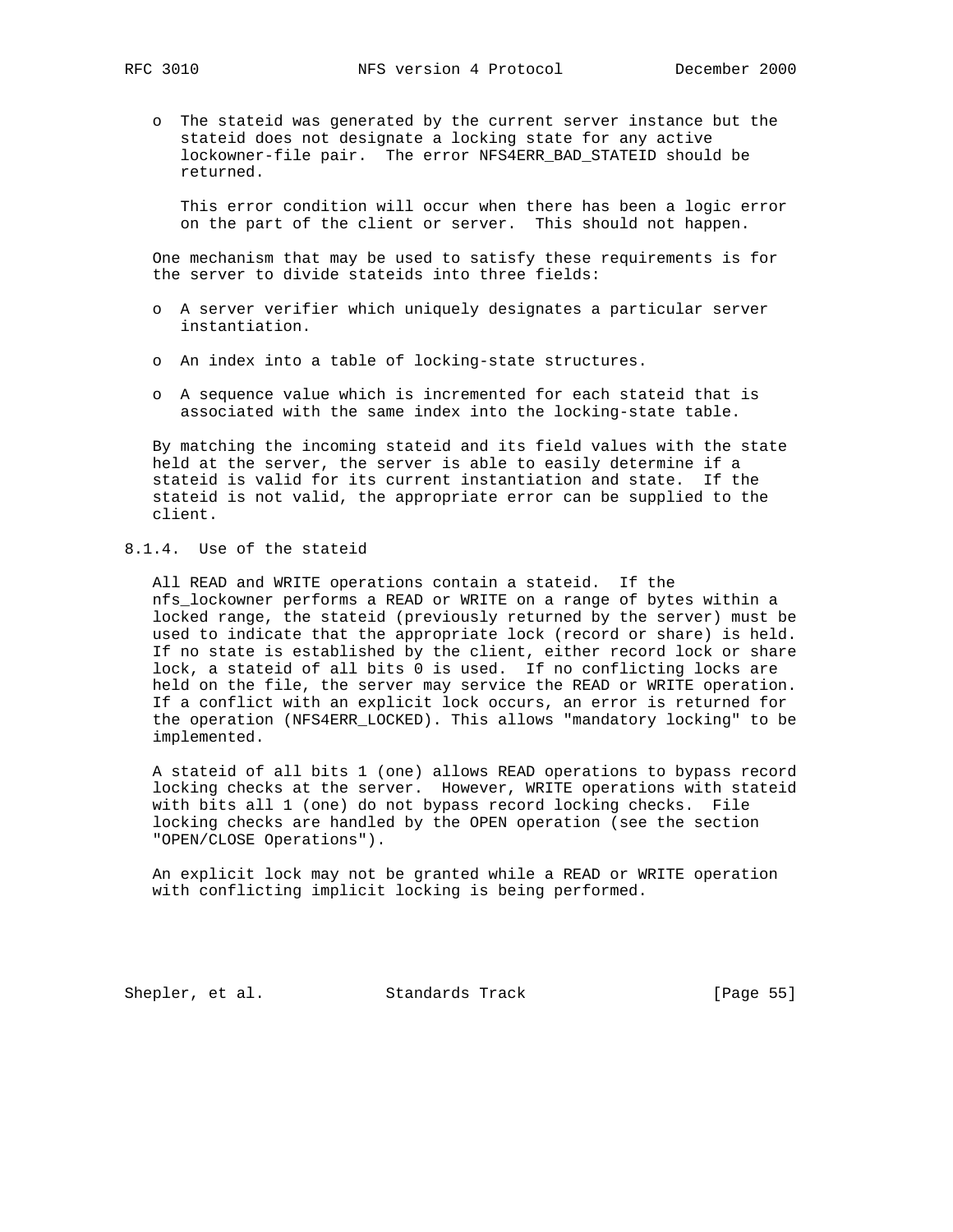o The stateid was generated by the current server instance but the stateid does not designate a locking state for any active lockowner-file pair. The error NFS4ERR\_BAD\_STATEID should be returned.

 This error condition will occur when there has been a logic error on the part of the client or server. This should not happen.

 One mechanism that may be used to satisfy these requirements is for the server to divide stateids into three fields:

- o A server verifier which uniquely designates a particular server instantiation.
- o An index into a table of locking-state structures.
- o A sequence value which is incremented for each stateid that is associated with the same index into the locking-state table.

 By matching the incoming stateid and its field values with the state held at the server, the server is able to easily determine if a stateid is valid for its current instantiation and state. If the stateid is not valid, the appropriate error can be supplied to the client.

# 8.1.4. Use of the stateid

 All READ and WRITE operations contain a stateid. If the nfs\_lockowner performs a READ or WRITE on a range of bytes within a locked range, the stateid (previously returned by the server) must be used to indicate that the appropriate lock (record or share) is held. If no state is established by the client, either record lock or share lock, a stateid of all bits 0 is used. If no conflicting locks are held on the file, the server may service the READ or WRITE operation. If a conflict with an explicit lock occurs, an error is returned for the operation (NFS4ERR\_LOCKED). This allows "mandatory locking" to be implemented.

 A stateid of all bits 1 (one) allows READ operations to bypass record locking checks at the server. However, WRITE operations with stateid with bits all 1 (one) do not bypass record locking checks. File locking checks are handled by the OPEN operation (see the section "OPEN/CLOSE Operations").

 An explicit lock may not be granted while a READ or WRITE operation with conflicting implicit locking is being performed.

Shepler, et al. Standards Track [Page 55]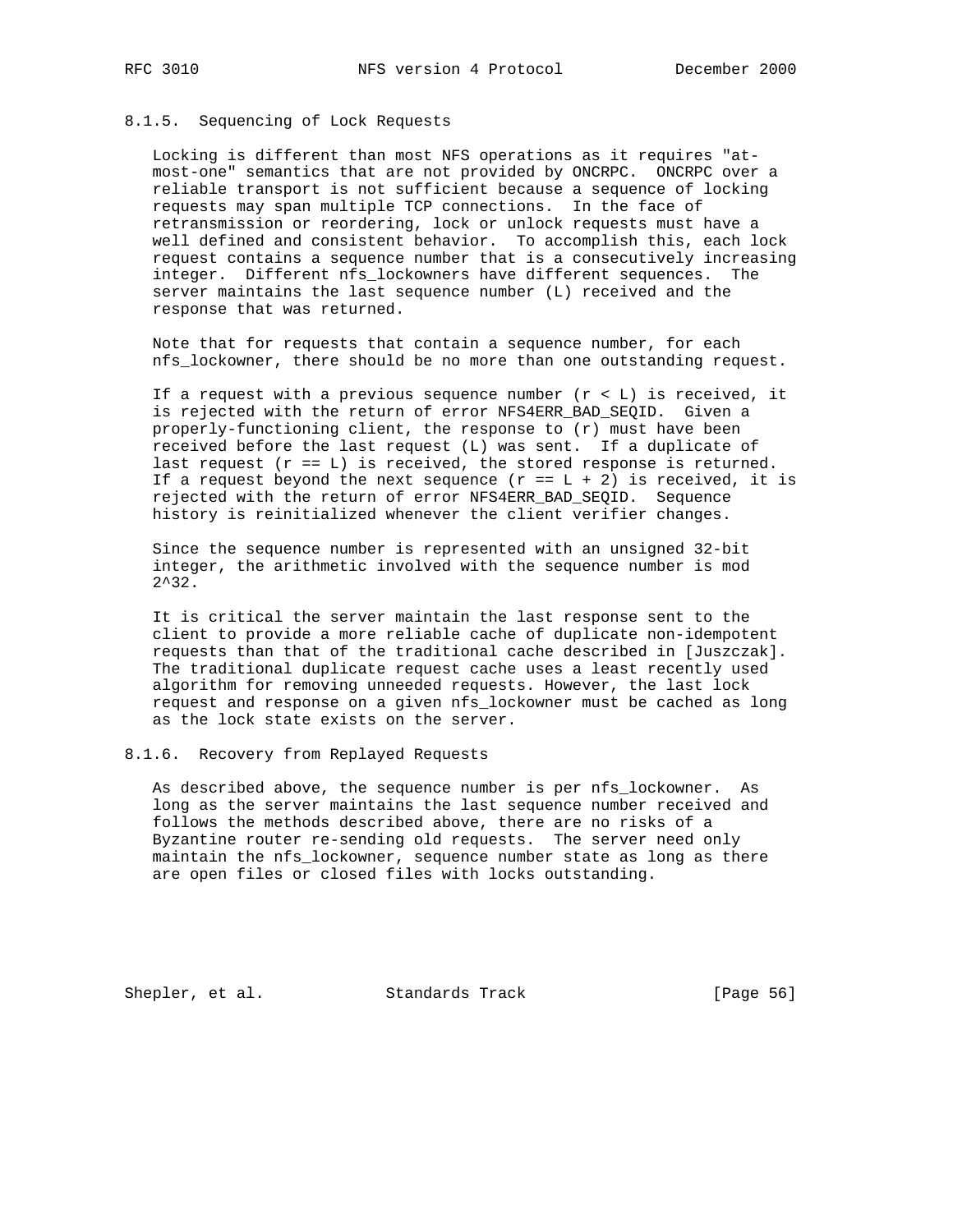### 8.1.5. Sequencing of Lock Requests

 Locking is different than most NFS operations as it requires "at most-one" semantics that are not provided by ONCRPC. ONCRPC over a reliable transport is not sufficient because a sequence of locking requests may span multiple TCP connections. In the face of retransmission or reordering, lock or unlock requests must have a well defined and consistent behavior. To accomplish this, each lock request contains a sequence number that is a consecutively increasing integer. Different nfs\_lockowners have different sequences. The server maintains the last sequence number (L) received and the response that was returned.

 Note that for requests that contain a sequence number, for each nfs\_lockowner, there should be no more than one outstanding request.

If a request with a previous sequence number  $(r < L)$  is received, it is rejected with the return of error NFS4ERR\_BAD\_SEQID. Given a properly-functioning client, the response to (r) must have been received before the last request (L) was sent. If a duplicate of last request  $(r == L)$  is received, the stored response is returned. If a request beyond the next sequence  $(r = L + 2)$  is received, it is rejected with the return of error NFS4ERR\_BAD\_SEQID. Sequence history is reinitialized whenever the client verifier changes.

 Since the sequence number is represented with an unsigned 32-bit integer, the arithmetic involved with the sequence number is mod 2^32.

 It is critical the server maintain the last response sent to the client to provide a more reliable cache of duplicate non-idempotent requests than that of the traditional cache described in [Juszczak]. The traditional duplicate request cache uses a least recently used algorithm for removing unneeded requests. However, the last lock request and response on a given nfs\_lockowner must be cached as long as the lock state exists on the server.

#### 8.1.6. Recovery from Replayed Requests

 As described above, the sequence number is per nfs\_lockowner. As long as the server maintains the last sequence number received and follows the methods described above, there are no risks of a Byzantine router re-sending old requests. The server need only maintain the nfs\_lockowner, sequence number state as long as there are open files or closed files with locks outstanding.

Shepler, et al. Standards Track [Page 56]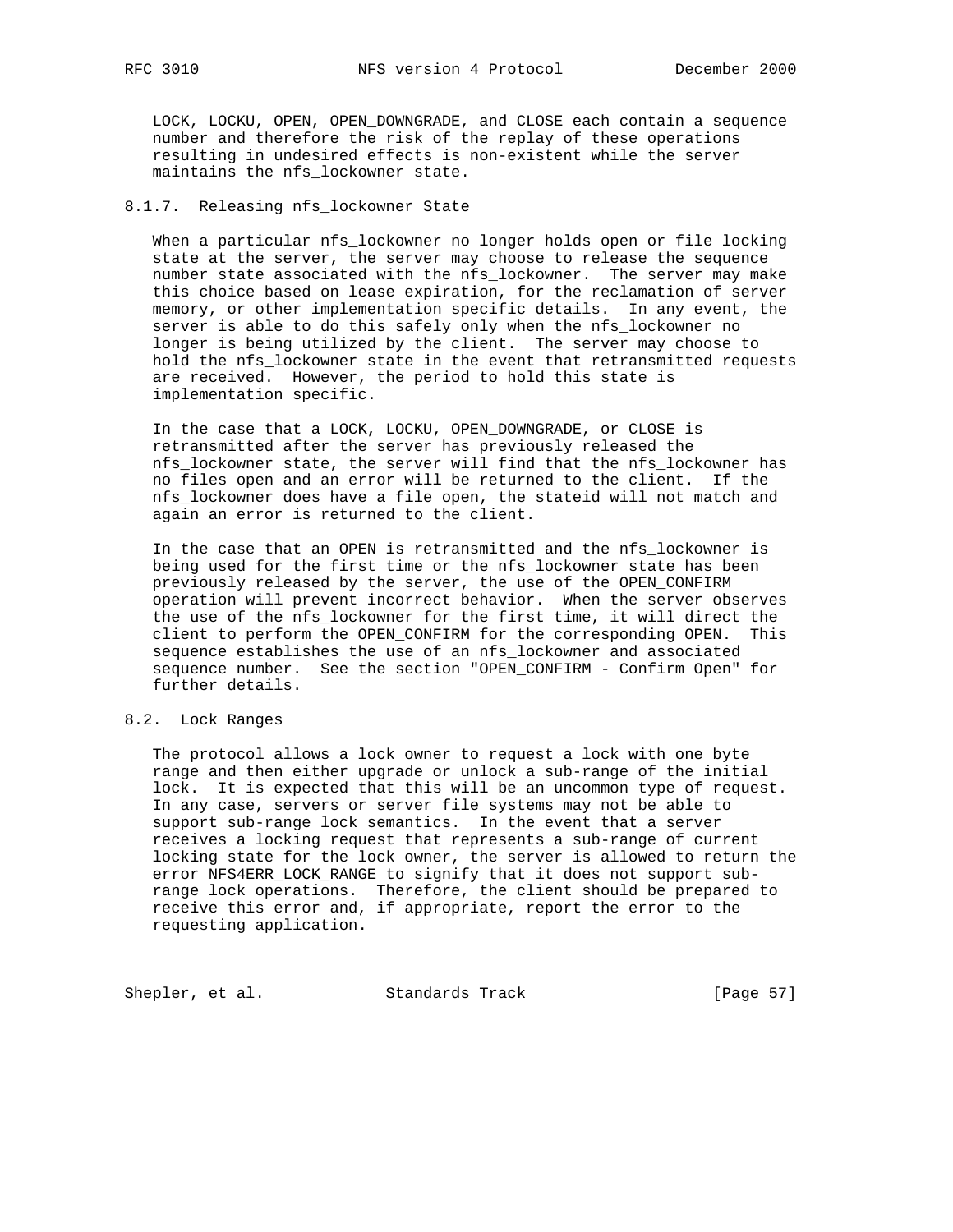LOCK, LOCKU, OPEN, OPEN\_DOWNGRADE, and CLOSE each contain a sequence number and therefore the risk of the replay of these operations resulting in undesired effects is non-existent while the server maintains the nfs lockowner state.

## 8.1.7. Releasing nfs\_lockowner State

 When a particular nfs\_lockowner no longer holds open or file locking state at the server, the server may choose to release the sequence number state associated with the nfs\_lockowner. The server may make this choice based on lease expiration, for the reclamation of server memory, or other implementation specific details. In any event, the server is able to do this safely only when the nfs\_lockowner no longer is being utilized by the client. The server may choose to hold the nfs\_lockowner state in the event that retransmitted requests are received. However, the period to hold this state is implementation specific.

 In the case that a LOCK, LOCKU, OPEN\_DOWNGRADE, or CLOSE is retransmitted after the server has previously released the nfs\_lockowner state, the server will find that the nfs\_lockowner has no files open and an error will be returned to the client. If the nfs\_lockowner does have a file open, the stateid will not match and again an error is returned to the client.

 In the case that an OPEN is retransmitted and the nfs\_lockowner is being used for the first time or the nfs\_lockowner state has been previously released by the server, the use of the OPEN\_CONFIRM operation will prevent incorrect behavior. When the server observes the use of the nfs\_lockowner for the first time, it will direct the client to perform the OPEN\_CONFIRM for the corresponding OPEN. This sequence establishes the use of an nfs\_lockowner and associated sequence number. See the section "OPEN\_CONFIRM - Confirm Open" for further details.

## 8.2. Lock Ranges

 The protocol allows a lock owner to request a lock with one byte range and then either upgrade or unlock a sub-range of the initial lock. It is expected that this will be an uncommon type of request. In any case, servers or server file systems may not be able to support sub-range lock semantics. In the event that a server receives a locking request that represents a sub-range of current locking state for the lock owner, the server is allowed to return the error NFS4ERR\_LOCK\_RANGE to signify that it does not support sub range lock operations. Therefore, the client should be prepared to receive this error and, if appropriate, report the error to the requesting application.

Shepler, et al. Standards Track [Page 57]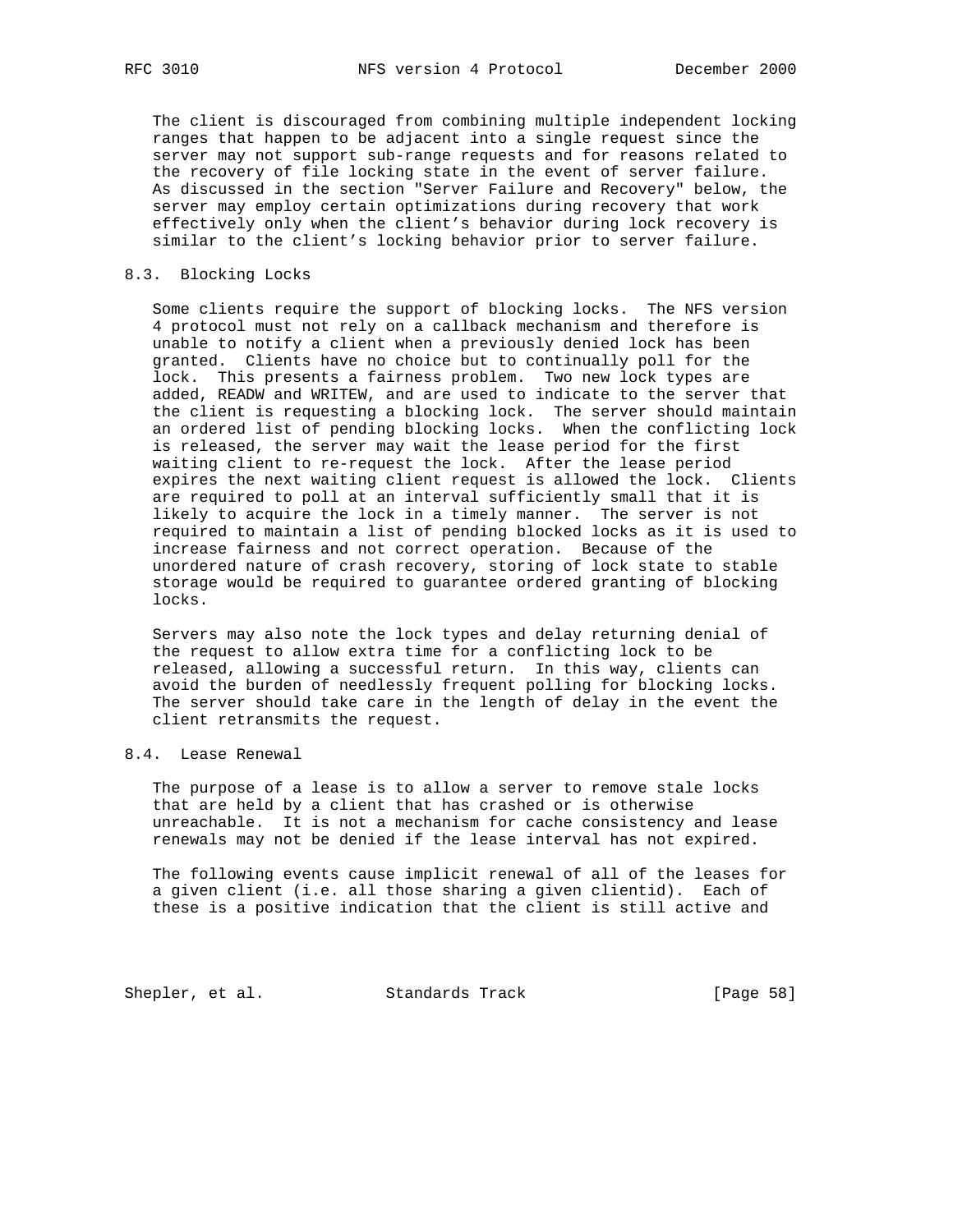The client is discouraged from combining multiple independent locking ranges that happen to be adjacent into a single request since the server may not support sub-range requests and for reasons related to the recovery of file locking state in the event of server failure. As discussed in the section "Server Failure and Recovery" below, the server may employ certain optimizations during recovery that work effectively only when the client's behavior during lock recovery is similar to the client's locking behavior prior to server failure.

## 8.3. Blocking Locks

 Some clients require the support of blocking locks. The NFS version 4 protocol must not rely on a callback mechanism and therefore is unable to notify a client when a previously denied lock has been granted. Clients have no choice but to continually poll for the lock. This presents a fairness problem. Two new lock types are added, READW and WRITEW, and are used to indicate to the server that the client is requesting a blocking lock. The server should maintain an ordered list of pending blocking locks. When the conflicting lock is released, the server may wait the lease period for the first waiting client to re-request the lock. After the lease period expires the next waiting client request is allowed the lock. Clients are required to poll at an interval sufficiently small that it is likely to acquire the lock in a timely manner. The server is not required to maintain a list of pending blocked locks as it is used to increase fairness and not correct operation. Because of the unordered nature of crash recovery, storing of lock state to stable storage would be required to guarantee ordered granting of blocking locks.

 Servers may also note the lock types and delay returning denial of the request to allow extra time for a conflicting lock to be released, allowing a successful return. In this way, clients can avoid the burden of needlessly frequent polling for blocking locks. The server should take care in the length of delay in the event the client retransmits the request.

# 8.4. Lease Renewal

 The purpose of a lease is to allow a server to remove stale locks that are held by a client that has crashed or is otherwise unreachable. It is not a mechanism for cache consistency and lease renewals may not be denied if the lease interval has not expired.

 The following events cause implicit renewal of all of the leases for a given client (i.e. all those sharing a given clientid). Each of these is a positive indication that the client is still active and

Shepler, et al. Standards Track [Page 58]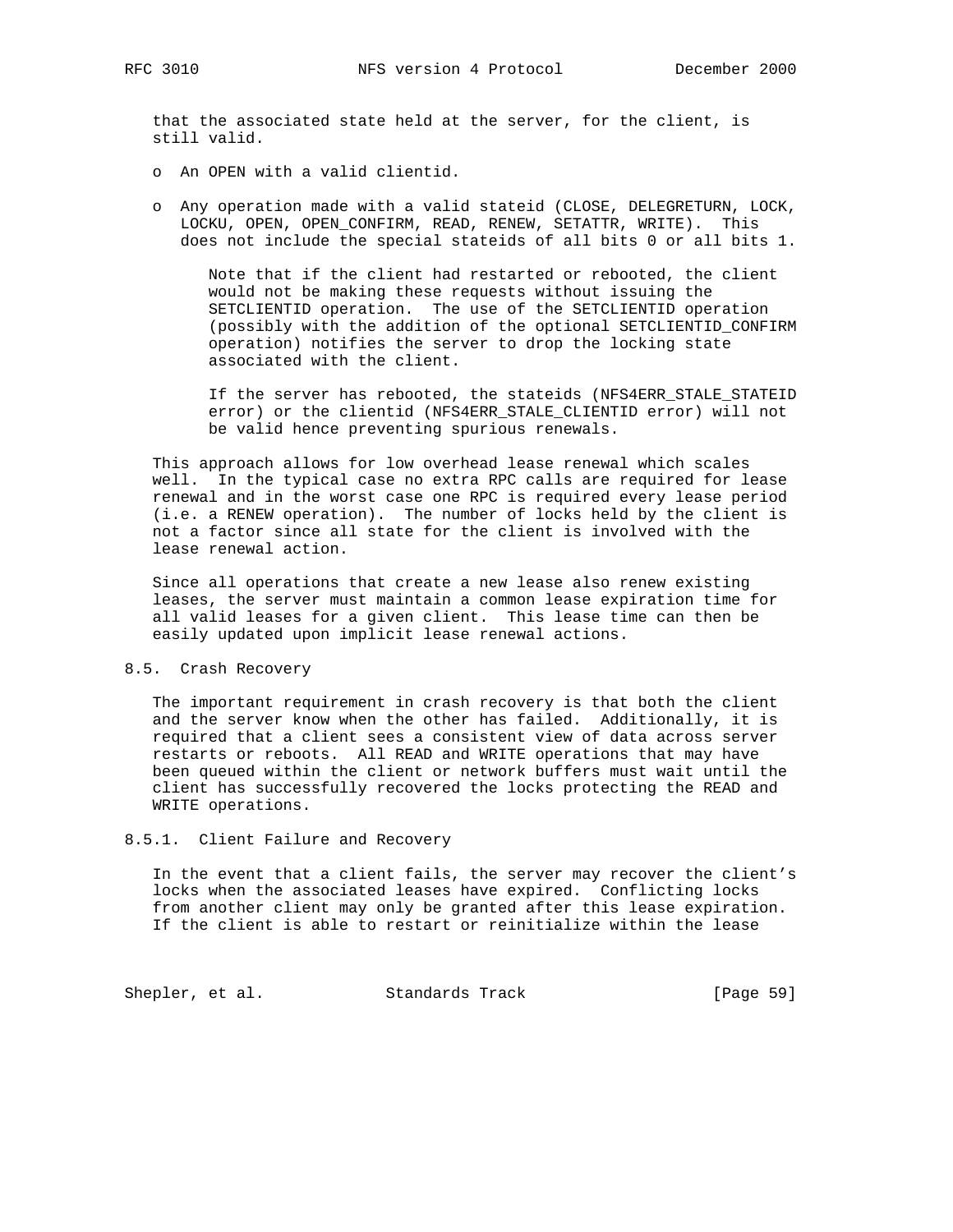that the associated state held at the server, for the client, is still valid.

- o An OPEN with a valid clientid.
- o Any operation made with a valid stateid (CLOSE, DELEGRETURN, LOCK, LOCKU, OPEN, OPEN\_CONFIRM, READ, RENEW, SETATTR, WRITE). This does not include the special stateids of all bits 0 or all bits 1.

 Note that if the client had restarted or rebooted, the client would not be making these requests without issuing the SETCLIENTID operation. The use of the SETCLIENTID operation (possibly with the addition of the optional SETCLIENTID\_CONFIRM operation) notifies the server to drop the locking state associated with the client.

 If the server has rebooted, the stateids (NFS4ERR\_STALE\_STATEID error) or the clientid (NFS4ERR\_STALE\_CLIENTID error) will not be valid hence preventing spurious renewals.

 This approach allows for low overhead lease renewal which scales well. In the typical case no extra RPC calls are required for lease renewal and in the worst case one RPC is required every lease period (i.e. a RENEW operation). The number of locks held by the client is not a factor since all state for the client is involved with the lease renewal action.

 Since all operations that create a new lease also renew existing leases, the server must maintain a common lease expiration time for all valid leases for a given client. This lease time can then be easily updated upon implicit lease renewal actions.

## 8.5. Crash Recovery

 The important requirement in crash recovery is that both the client and the server know when the other has failed. Additionally, it is required that a client sees a consistent view of data across server restarts or reboots. All READ and WRITE operations that may have been queued within the client or network buffers must wait until the client has successfully recovered the locks protecting the READ and WRITE operations.

## 8.5.1. Client Failure and Recovery

 In the event that a client fails, the server may recover the client's locks when the associated leases have expired. Conflicting locks from another client may only be granted after this lease expiration. If the client is able to restart or reinitialize within the lease

Shepler, et al. Standards Track [Page 59]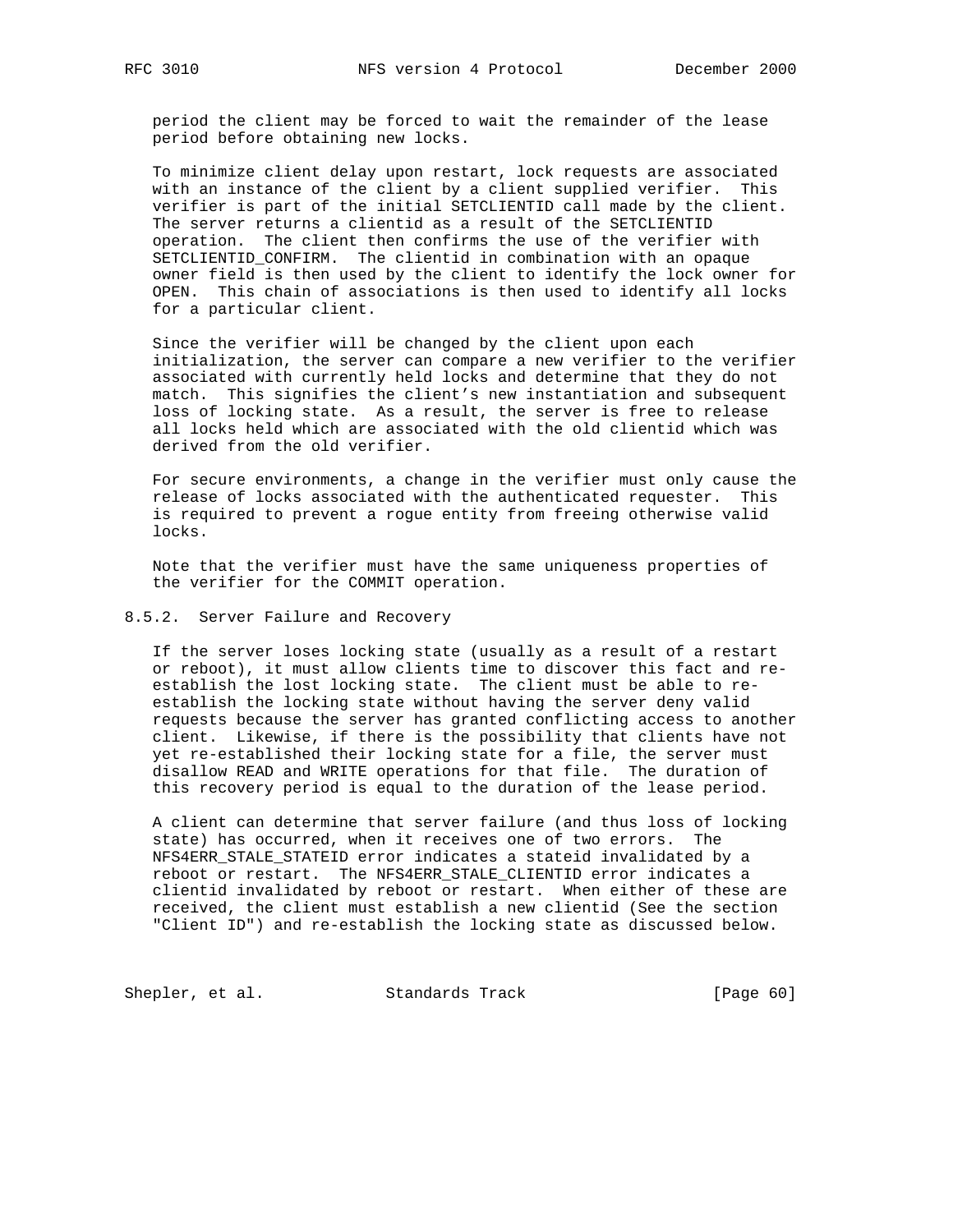period the client may be forced to wait the remainder of the lease period before obtaining new locks.

 To minimize client delay upon restart, lock requests are associated with an instance of the client by a client supplied verifier. This verifier is part of the initial SETCLIENTID call made by the client. The server returns a clientid as a result of the SETCLIENTID operation. The client then confirms the use of the verifier with SETCLIENTID\_CONFIRM. The clientid in combination with an opaque owner field is then used by the client to identify the lock owner for OPEN. This chain of associations is then used to identify all locks for a particular client.

 Since the verifier will be changed by the client upon each initialization, the server can compare a new verifier to the verifier associated with currently held locks and determine that they do not match. This signifies the client's new instantiation and subsequent loss of locking state. As a result, the server is free to release all locks held which are associated with the old clientid which was derived from the old verifier.

 For secure environments, a change in the verifier must only cause the release of locks associated with the authenticated requester. This is required to prevent a rogue entity from freeing otherwise valid locks.

 Note that the verifier must have the same uniqueness properties of the verifier for the COMMIT operation.

## 8.5.2. Server Failure and Recovery

 If the server loses locking state (usually as a result of a restart or reboot), it must allow clients time to discover this fact and re establish the lost locking state. The client must be able to re establish the locking state without having the server deny valid requests because the server has granted conflicting access to another client. Likewise, if there is the possibility that clients have not yet re-established their locking state for a file, the server must disallow READ and WRITE operations for that file. The duration of this recovery period is equal to the duration of the lease period.

 A client can determine that server failure (and thus loss of locking state) has occurred, when it receives one of two errors. The NFS4ERR\_STALE\_STATEID error indicates a stateid invalidated by a reboot or restart. The NFS4ERR\_STALE\_CLIENTID error indicates a clientid invalidated by reboot or restart. When either of these are received, the client must establish a new clientid (See the section "Client ID") and re-establish the locking state as discussed below.

Shepler, et al. Standards Track [Page 60]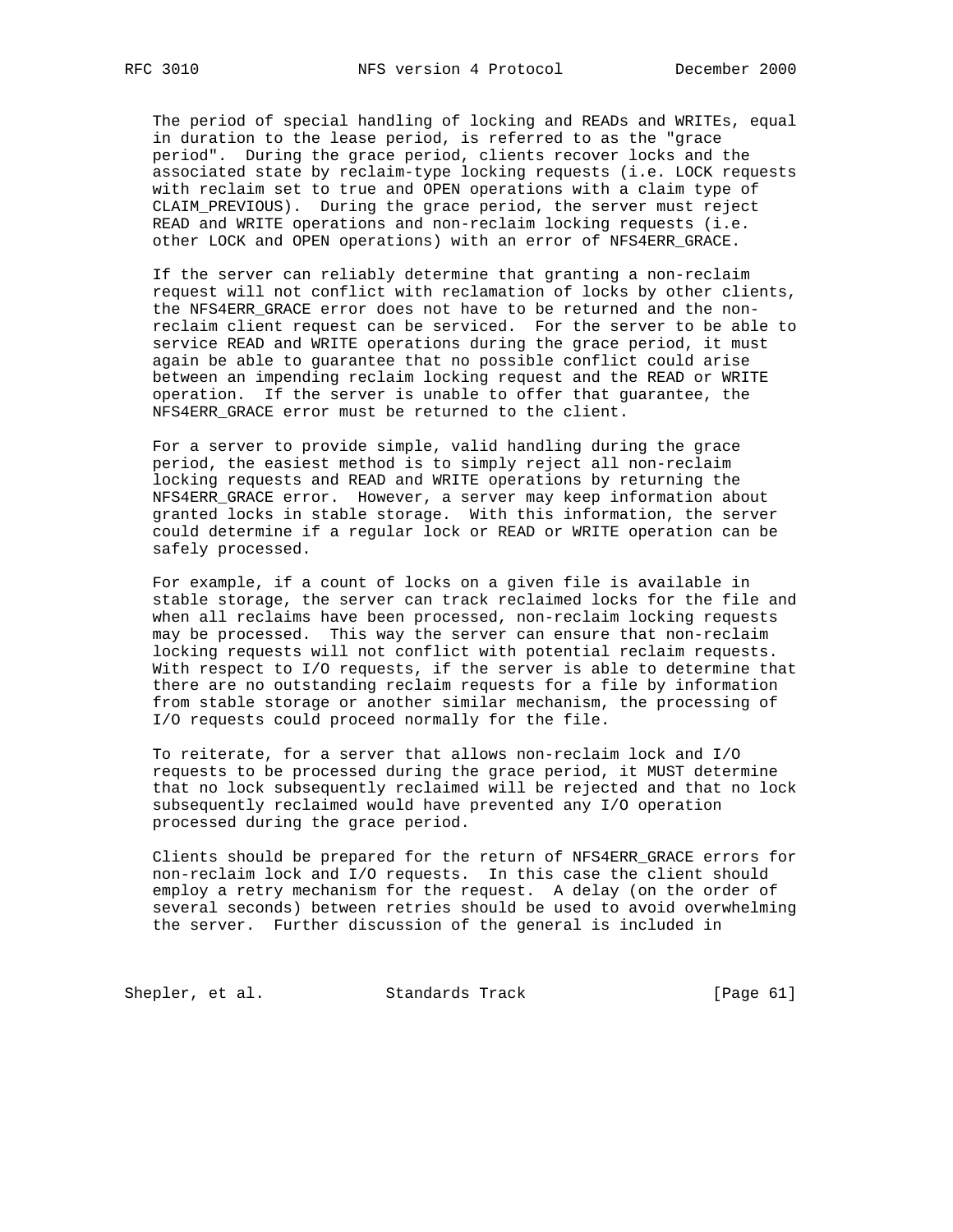The period of special handling of locking and READs and WRITEs, equal in duration to the lease period, is referred to as the "grace period". During the grace period, clients recover locks and the associated state by reclaim-type locking requests (i.e. LOCK requests with reclaim set to true and OPEN operations with a claim type of CLAIM\_PREVIOUS). During the grace period, the server must reject READ and WRITE operations and non-reclaim locking requests (i.e. other LOCK and OPEN operations) with an error of NFS4ERR\_GRACE.

 If the server can reliably determine that granting a non-reclaim request will not conflict with reclamation of locks by other clients, the NFS4ERR\_GRACE error does not have to be returned and the non reclaim client request can be serviced. For the server to be able to service READ and WRITE operations during the grace period, it must again be able to guarantee that no possible conflict could arise between an impending reclaim locking request and the READ or WRITE operation. If the server is unable to offer that guarantee, the NFS4ERR\_GRACE error must be returned to the client.

 For a server to provide simple, valid handling during the grace period, the easiest method is to simply reject all non-reclaim locking requests and READ and WRITE operations by returning the NFS4ERR\_GRACE error. However, a server may keep information about granted locks in stable storage. With this information, the server could determine if a regular lock or READ or WRITE operation can be safely processed.

 For example, if a count of locks on a given file is available in stable storage, the server can track reclaimed locks for the file and when all reclaims have been processed, non-reclaim locking requests may be processed. This way the server can ensure that non-reclaim locking requests will not conflict with potential reclaim requests. With respect to I/O requests, if the server is able to determine that there are no outstanding reclaim requests for a file by information from stable storage or another similar mechanism, the processing of I/O requests could proceed normally for the file.

 To reiterate, for a server that allows non-reclaim lock and I/O requests to be processed during the grace period, it MUST determine that no lock subsequently reclaimed will be rejected and that no lock subsequently reclaimed would have prevented any I/O operation processed during the grace period.

 Clients should be prepared for the return of NFS4ERR\_GRACE errors for non-reclaim lock and I/O requests. In this case the client should employ a retry mechanism for the request. A delay (on the order of several seconds) between retries should be used to avoid overwhelming the server. Further discussion of the general is included in

Shepler, et al. Standards Track [Page 61]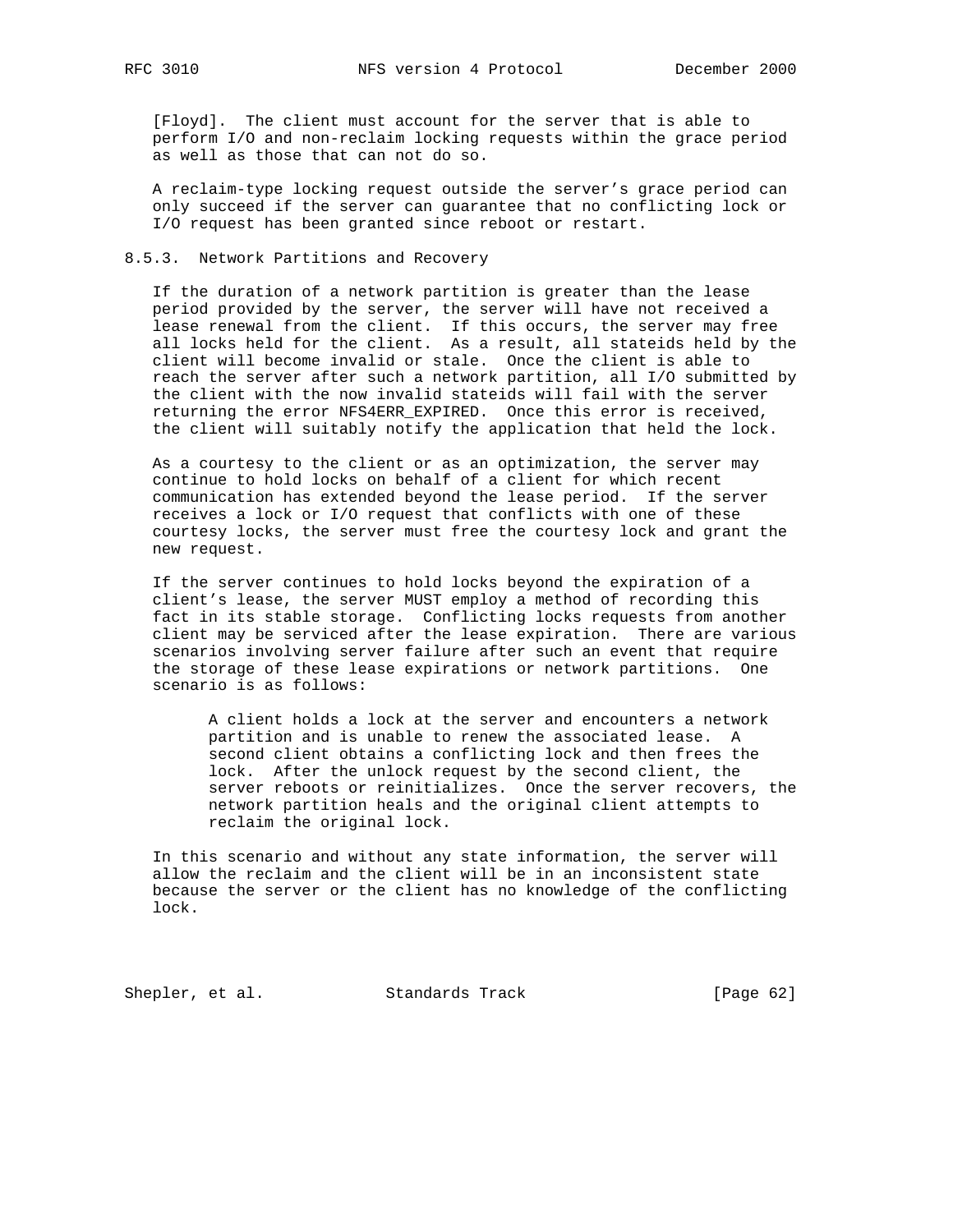[Floyd]. The client must account for the server that is able to perform I/O and non-reclaim locking requests within the grace period as well as those that can not do so.

 A reclaim-type locking request outside the server's grace period can only succeed if the server can guarantee that no conflicting lock or I/O request has been granted since reboot or restart.

## 8.5.3. Network Partitions and Recovery

 If the duration of a network partition is greater than the lease period provided by the server, the server will have not received a lease renewal from the client. If this occurs, the server may free all locks held for the client. As a result, all stateids held by the client will become invalid or stale. Once the client is able to reach the server after such a network partition, all I/O submitted by the client with the now invalid stateids will fail with the server returning the error NFS4ERR\_EXPIRED. Once this error is received, the client will suitably notify the application that held the lock.

 As a courtesy to the client or as an optimization, the server may continue to hold locks on behalf of a client for which recent communication has extended beyond the lease period. If the server receives a lock or I/O request that conflicts with one of these courtesy locks, the server must free the courtesy lock and grant the new request.

 If the server continues to hold locks beyond the expiration of a client's lease, the server MUST employ a method of recording this fact in its stable storage. Conflicting locks requests from another client may be serviced after the lease expiration. There are various scenarios involving server failure after such an event that require the storage of these lease expirations or network partitions. One scenario is as follows:

 A client holds a lock at the server and encounters a network partition and is unable to renew the associated lease. A second client obtains a conflicting lock and then frees the lock. After the unlock request by the second client, the server reboots or reinitializes. Once the server recovers, the network partition heals and the original client attempts to reclaim the original lock.

 In this scenario and without any state information, the server will allow the reclaim and the client will be in an inconsistent state because the server or the client has no knowledge of the conflicting lock.

Shepler, et al. Standards Track [Page 62]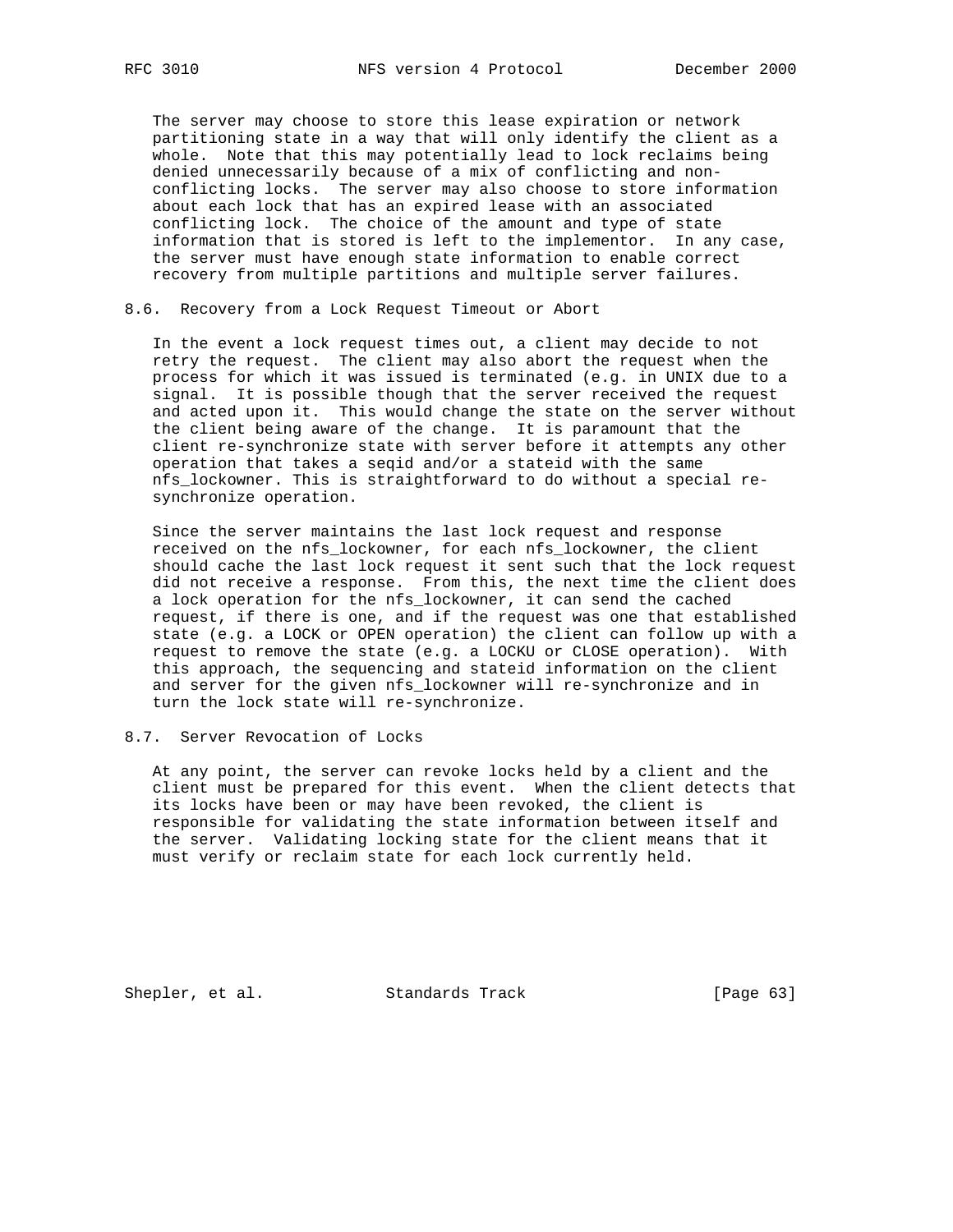The server may choose to store this lease expiration or network partitioning state in a way that will only identify the client as a whole. Note that this may potentially lead to lock reclaims being denied unnecessarily because of a mix of conflicting and non conflicting locks. The server may also choose to store information about each lock that has an expired lease with an associated conflicting lock. The choice of the amount and type of state information that is stored is left to the implementor. In any case, the server must have enough state information to enable correct recovery from multiple partitions and multiple server failures.

8.6. Recovery from a Lock Request Timeout or Abort

 In the event a lock request times out, a client may decide to not retry the request. The client may also abort the request when the process for which it was issued is terminated (e.g. in UNIX due to a signal. It is possible though that the server received the request and acted upon it. This would change the state on the server without the client being aware of the change. It is paramount that the client re-synchronize state with server before it attempts any other operation that takes a seqid and/or a stateid with the same nfs\_lockowner. This is straightforward to do without a special re synchronize operation.

 Since the server maintains the last lock request and response received on the nfs\_lockowner, for each nfs\_lockowner, the client should cache the last lock request it sent such that the lock request did not receive a response. From this, the next time the client does a lock operation for the nfs\_lockowner, it can send the cached request, if there is one, and if the request was one that established state (e.g. a LOCK or OPEN operation) the client can follow up with a request to remove the state (e.g. a LOCKU or CLOSE operation). With this approach, the sequencing and stateid information on the client and server for the given nfs lockowner will re-synchronize and in turn the lock state will re-synchronize.

8.7. Server Revocation of Locks

 At any point, the server can revoke locks held by a client and the client must be prepared for this event. When the client detects that its locks have been or may have been revoked, the client is responsible for validating the state information between itself and the server. Validating locking state for the client means that it must verify or reclaim state for each lock currently held.

Shepler, et al. Standards Track [Page 63]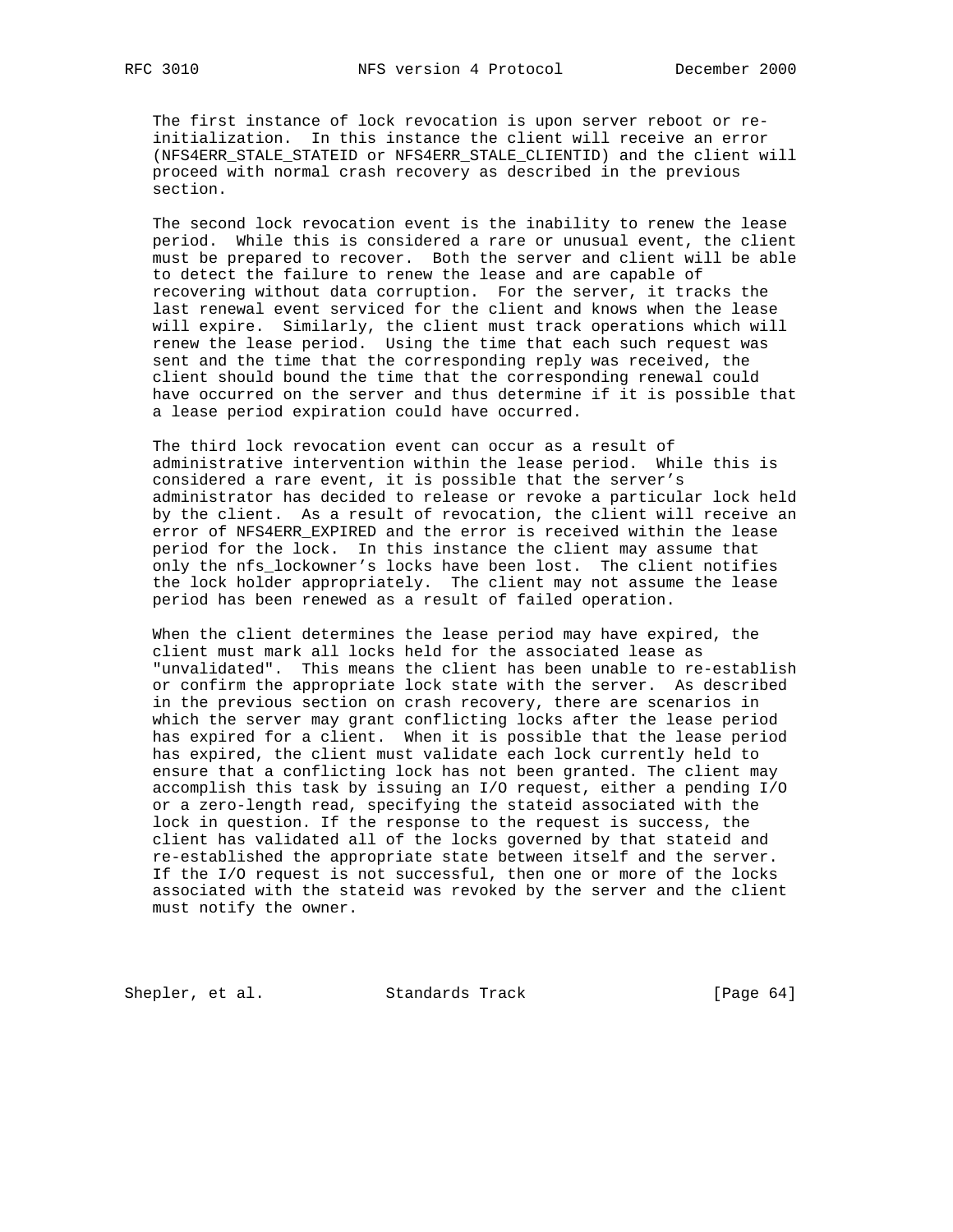The first instance of lock revocation is upon server reboot or re initialization. In this instance the client will receive an error (NFS4ERR\_STALE\_STATEID or NFS4ERR\_STALE\_CLIENTID) and the client will proceed with normal crash recovery as described in the previous section.

 The second lock revocation event is the inability to renew the lease period. While this is considered a rare or unusual event, the client must be prepared to recover. Both the server and client will be able to detect the failure to renew the lease and are capable of recovering without data corruption. For the server, it tracks the last renewal event serviced for the client and knows when the lease will expire. Similarly, the client must track operations which will renew the lease period. Using the time that each such request was sent and the time that the corresponding reply was received, the client should bound the time that the corresponding renewal could have occurred on the server and thus determine if it is possible that a lease period expiration could have occurred.

 The third lock revocation event can occur as a result of administrative intervention within the lease period. While this is considered a rare event, it is possible that the server's administrator has decided to release or revoke a particular lock held by the client. As a result of revocation, the client will receive an error of NFS4ERR\_EXPIRED and the error is received within the lease period for the lock. In this instance the client may assume that only the nfs\_lockowner's locks have been lost. The client notifies the lock holder appropriately. The client may not assume the lease period has been renewed as a result of failed operation.

 When the client determines the lease period may have expired, the client must mark all locks held for the associated lease as "unvalidated". This means the client has been unable to re-establish or confirm the appropriate lock state with the server. As described in the previous section on crash recovery, there are scenarios in which the server may grant conflicting locks after the lease period has expired for a client. When it is possible that the lease period has expired, the client must validate each lock currently held to ensure that a conflicting lock has not been granted. The client may accomplish this task by issuing an I/O request, either a pending I/O or a zero-length read, specifying the stateid associated with the lock in question. If the response to the request is success, the client has validated all of the locks governed by that stateid and re-established the appropriate state between itself and the server. If the I/O request is not successful, then one or more of the locks associated with the stateid was revoked by the server and the client must notify the owner.

Shepler, et al. Standards Track [Page 64]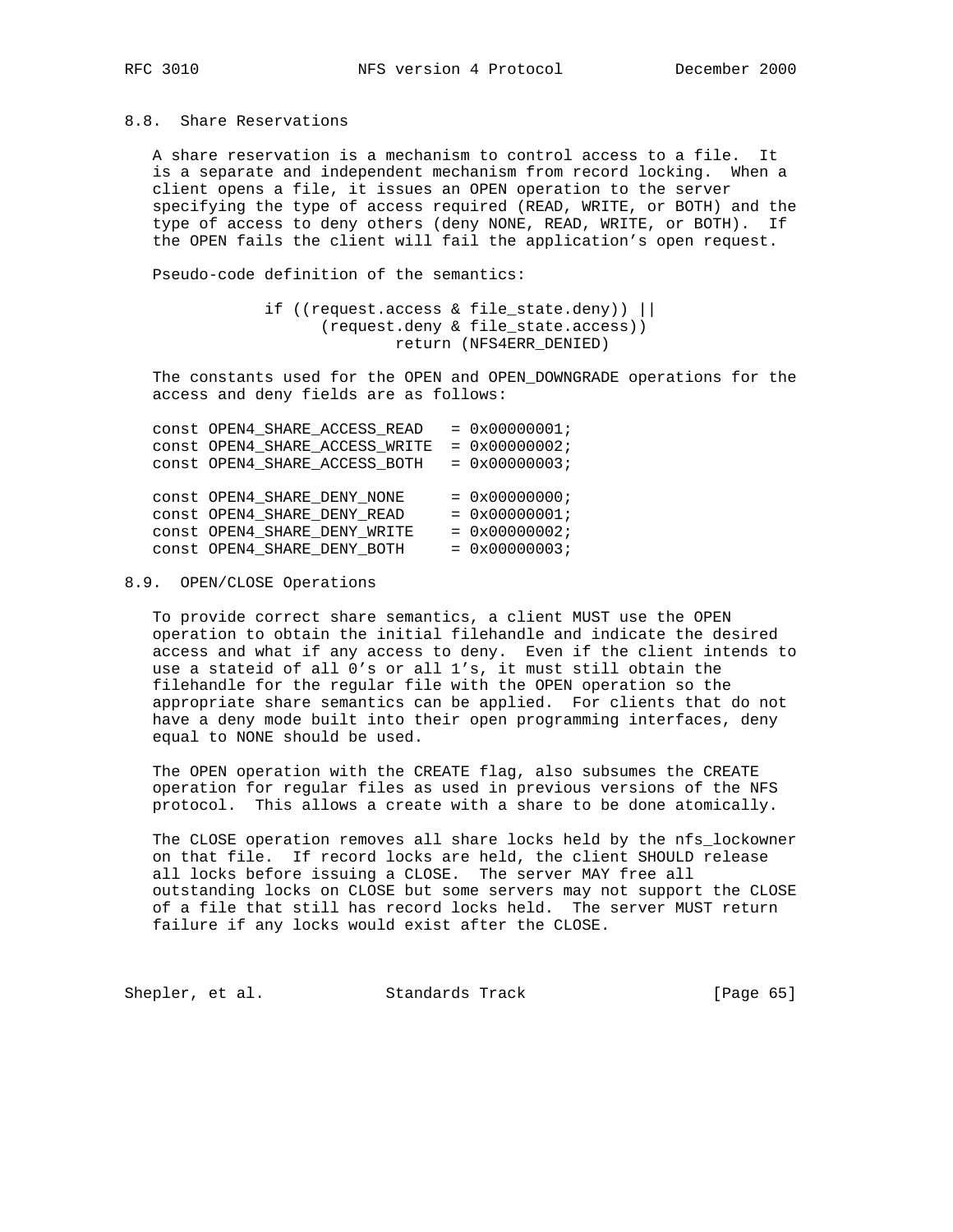## 8.8. Share Reservations

 A share reservation is a mechanism to control access to a file. It is a separate and independent mechanism from record locking. When a client opens a file, it issues an OPEN operation to the server specifying the type of access required (READ, WRITE, or BOTH) and the type of access to deny others (deny NONE, READ, WRITE, or BOTH). If the OPEN fails the client will fail the application's open request.

Pseudo-code definition of the semantics:

 if ((request.access & file\_state.deny)) || (request.deny & file\_state.access)) return (NFS4ERR\_DENIED)

 The constants used for the OPEN and OPEN\_DOWNGRADE operations for the access and deny fields are as follows:

|  | CONSt OPEN4_SHARE_ACCESS_READ  | $= 0x00000001;$ |
|--|--------------------------------|-----------------|
|  | CONSt OPEN4 SHARE ACCESS WRITE | $= 0x00000002;$ |
|  | CONSt OPEN4 SHARE ACCESS BOTH  | $= 0x00000003;$ |
|  |                                |                 |
|  | CONSt OPEN4 SHARE DENY NONE    | $= 0x00000000i$ |
|  | CONSt OPEN4 SHARE DENY READ    | $= 0x00000001;$ |
|  | CONSt OPEN4 SHARE DENY WRITE   | $= 0x00000002;$ |
|  | CONSt OPEN4 SHARE DENY BOTH    | $= 0x00000003;$ |
|  |                                |                 |

## 8.9. OPEN/CLOSE Operations

 To provide correct share semantics, a client MUST use the OPEN operation to obtain the initial filehandle and indicate the desired access and what if any access to deny. Even if the client intends to use a stateid of all 0's or all 1's, it must still obtain the filehandle for the regular file with the OPEN operation so the appropriate share semantics can be applied. For clients that do not have a deny mode built into their open programming interfaces, deny equal to NONE should be used.

 The OPEN operation with the CREATE flag, also subsumes the CREATE operation for regular files as used in previous versions of the NFS protocol. This allows a create with a share to be done atomically.

 The CLOSE operation removes all share locks held by the nfs\_lockowner on that file. If record locks are held, the client SHOULD release all locks before issuing a CLOSE. The server MAY free all outstanding locks on CLOSE but some servers may not support the CLOSE of a file that still has record locks held. The server MUST return failure if any locks would exist after the CLOSE.

Shepler, et al. Standards Track [Page 65]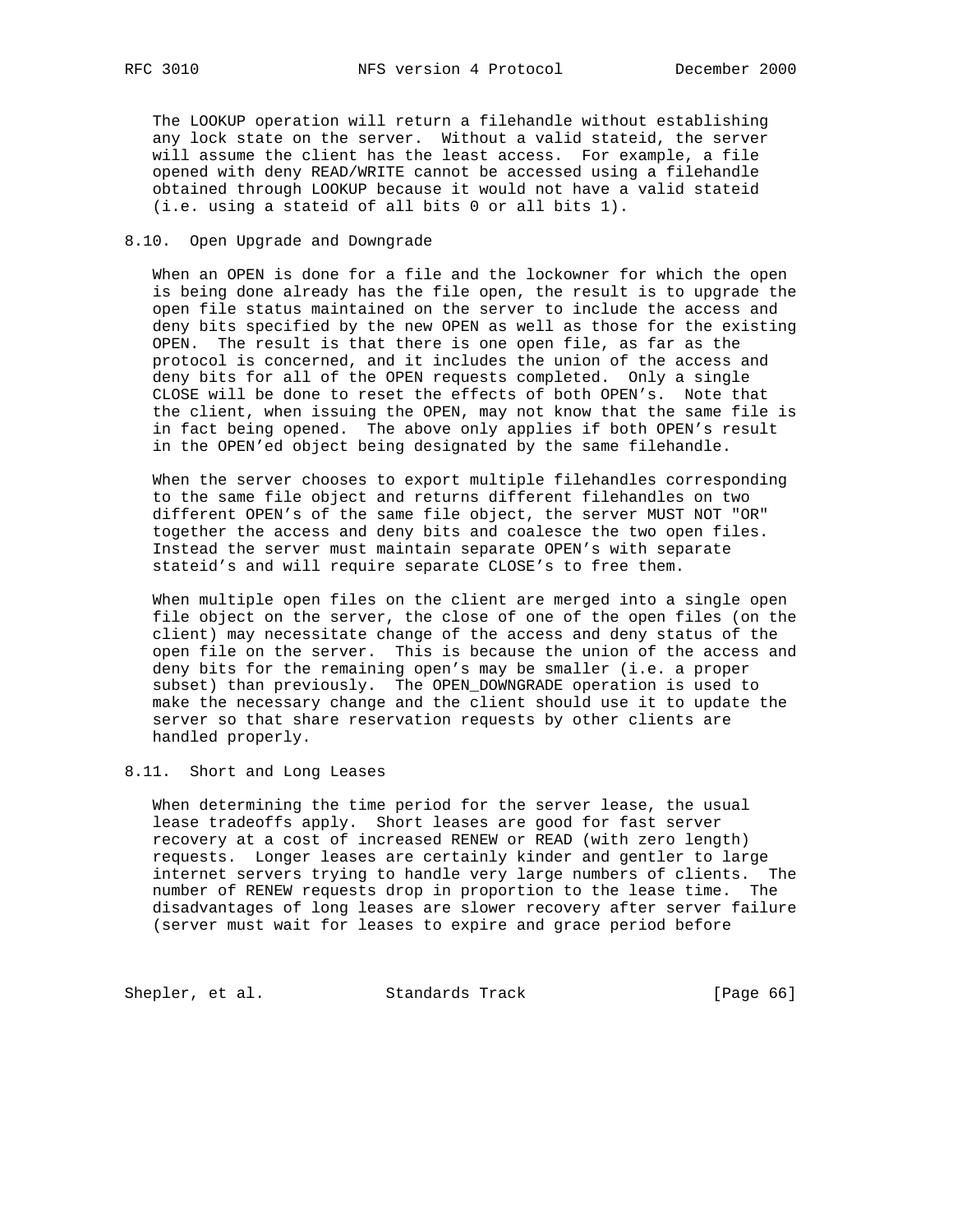The LOOKUP operation will return a filehandle without establishing any lock state on the server. Without a valid stateid, the server will assume the client has the least access. For example, a file opened with deny READ/WRITE cannot be accessed using a filehandle obtained through LOOKUP because it would not have a valid stateid (i.e. using a stateid of all bits 0 or all bits 1).

## 8.10. Open Upgrade and Downgrade

 When an OPEN is done for a file and the lockowner for which the open is being done already has the file open, the result is to upgrade the open file status maintained on the server to include the access and deny bits specified by the new OPEN as well as those for the existing OPEN. The result is that there is one open file, as far as the protocol is concerned, and it includes the union of the access and deny bits for all of the OPEN requests completed. Only a single CLOSE will be done to reset the effects of both OPEN's. Note that the client, when issuing the OPEN, may not know that the same file is in fact being opened. The above only applies if both OPEN's result in the OPEN'ed object being designated by the same filehandle.

 When the server chooses to export multiple filehandles corresponding to the same file object and returns different filehandles on two different OPEN's of the same file object, the server MUST NOT "OR" together the access and deny bits and coalesce the two open files. Instead the server must maintain separate OPEN's with separate stateid's and will require separate CLOSE's to free them.

 When multiple open files on the client are merged into a single open file object on the server, the close of one of the open files (on the client) may necessitate change of the access and deny status of the open file on the server. This is because the union of the access and deny bits for the remaining open's may be smaller (i.e. a proper subset) than previously. The OPEN\_DOWNGRADE operation is used to make the necessary change and the client should use it to update the server so that share reservation requests by other clients are handled properly.

8.11. Short and Long Leases

 When determining the time period for the server lease, the usual lease tradeoffs apply. Short leases are good for fast server recovery at a cost of increased RENEW or READ (with zero length) requests. Longer leases are certainly kinder and gentler to large internet servers trying to handle very large numbers of clients. The number of RENEW requests drop in proportion to the lease time. The disadvantages of long leases are slower recovery after server failure (server must wait for leases to expire and grace period before

Shepler, et al. Standards Track [Page 66]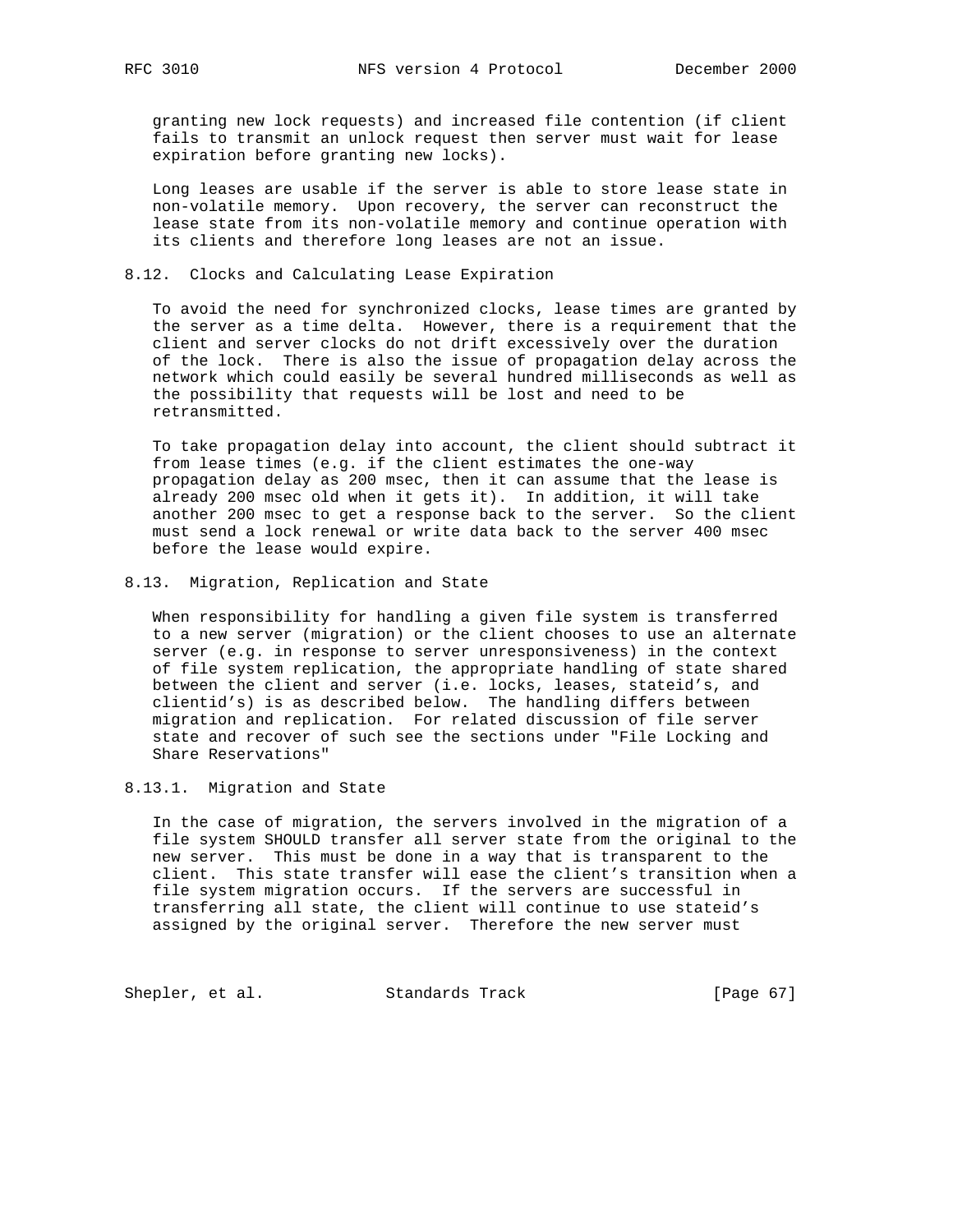granting new lock requests) and increased file contention (if client fails to transmit an unlock request then server must wait for lease expiration before granting new locks).

 Long leases are usable if the server is able to store lease state in non-volatile memory. Upon recovery, the server can reconstruct the lease state from its non-volatile memory and continue operation with its clients and therefore long leases are not an issue.

## 8.12. Clocks and Calculating Lease Expiration

 To avoid the need for synchronized clocks, lease times are granted by the server as a time delta. However, there is a requirement that the client and server clocks do not drift excessively over the duration of the lock. There is also the issue of propagation delay across the network which could easily be several hundred milliseconds as well as the possibility that requests will be lost and need to be retransmitted.

 To take propagation delay into account, the client should subtract it from lease times (e.g. if the client estimates the one-way propagation delay as 200 msec, then it can assume that the lease is already 200 msec old when it gets it). In addition, it will take another 200 msec to get a response back to the server. So the client must send a lock renewal or write data back to the server 400 msec before the lease would expire.

8.13. Migration, Replication and State

 When responsibility for handling a given file system is transferred to a new server (migration) or the client chooses to use an alternate server (e.g. in response to server unresponsiveness) in the context of file system replication, the appropriate handling of state shared between the client and server (i.e. locks, leases, stateid's, and clientid's) is as described below. The handling differs between migration and replication. For related discussion of file server state and recover of such see the sections under "File Locking and Share Reservations"

8.13.1. Migration and State

 In the case of migration, the servers involved in the migration of a file system SHOULD transfer all server state from the original to the new server. This must be done in a way that is transparent to the client. This state transfer will ease the client's transition when a file system migration occurs. If the servers are successful in transferring all state, the client will continue to use stateid's assigned by the original server. Therefore the new server must

Shepler, et al. Standards Track [Page 67]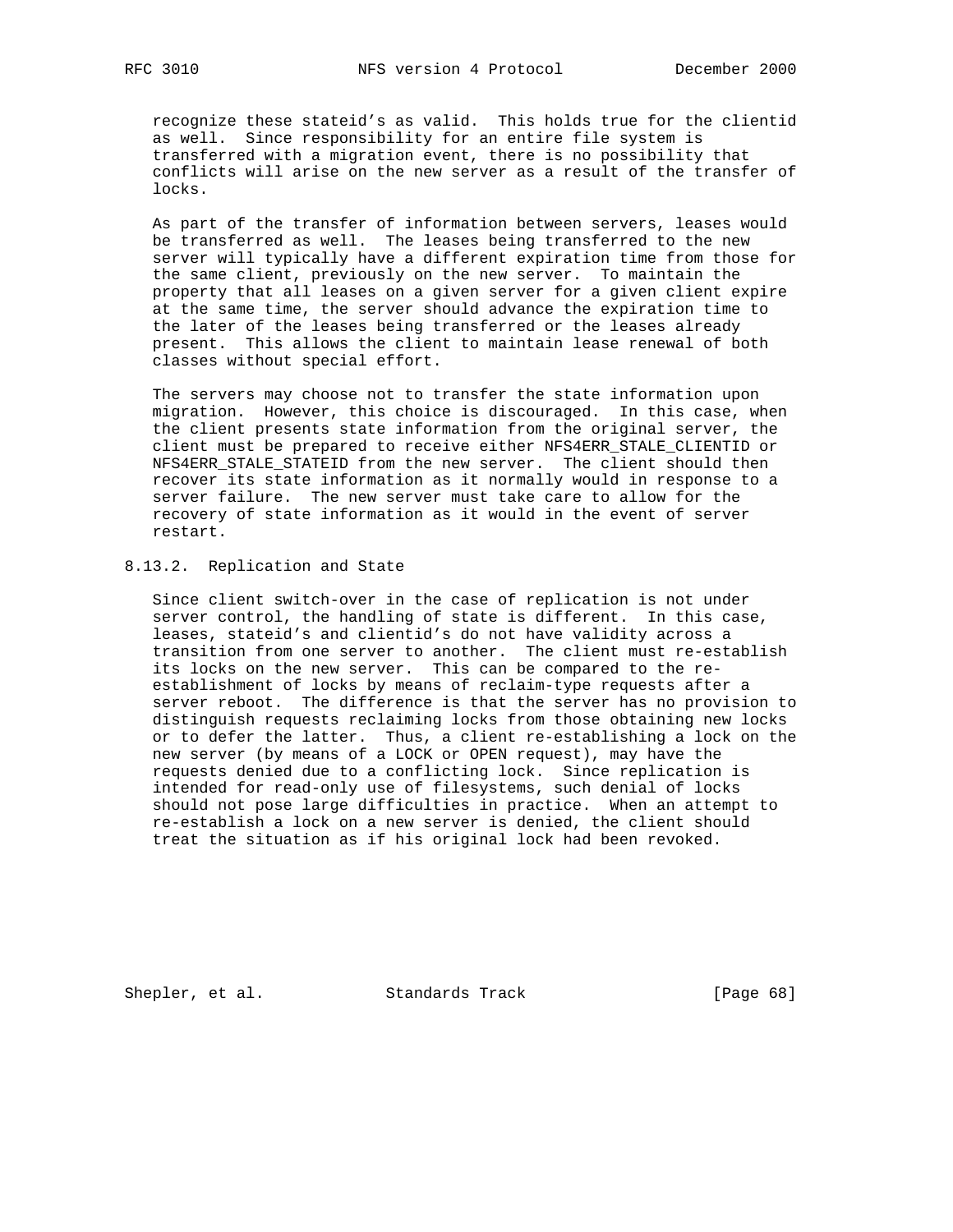recognize these stateid's as valid. This holds true for the clientid as well. Since responsibility for an entire file system is transferred with a migration event, there is no possibility that conflicts will arise on the new server as a result of the transfer of locks.

 As part of the transfer of information between servers, leases would be transferred as well. The leases being transferred to the new server will typically have a different expiration time from those for the same client, previously on the new server. To maintain the property that all leases on a given server for a given client expire at the same time, the server should advance the expiration time to the later of the leases being transferred or the leases already present. This allows the client to maintain lease renewal of both classes without special effort.

 The servers may choose not to transfer the state information upon migration. However, this choice is discouraged. In this case, when the client presents state information from the original server, the client must be prepared to receive either NFS4ERR\_STALE\_CLIENTID or NFS4ERR\_STALE\_STATEID from the new server. The client should then recover its state information as it normally would in response to a server failure. The new server must take care to allow for the recovery of state information as it would in the event of server restart.

# 8.13.2. Replication and State

 Since client switch-over in the case of replication is not under server control, the handling of state is different. In this case, leases, stateid's and clientid's do not have validity across a transition from one server to another. The client must re-establish its locks on the new server. This can be compared to the re establishment of locks by means of reclaim-type requests after a server reboot. The difference is that the server has no provision to distinguish requests reclaiming locks from those obtaining new locks or to defer the latter. Thus, a client re-establishing a lock on the new server (by means of a LOCK or OPEN request), may have the requests denied due to a conflicting lock. Since replication is intended for read-only use of filesystems, such denial of locks should not pose large difficulties in practice. When an attempt to re-establish a lock on a new server is denied, the client should treat the situation as if his original lock had been revoked.

Shepler, et al. Standards Track [Page 68]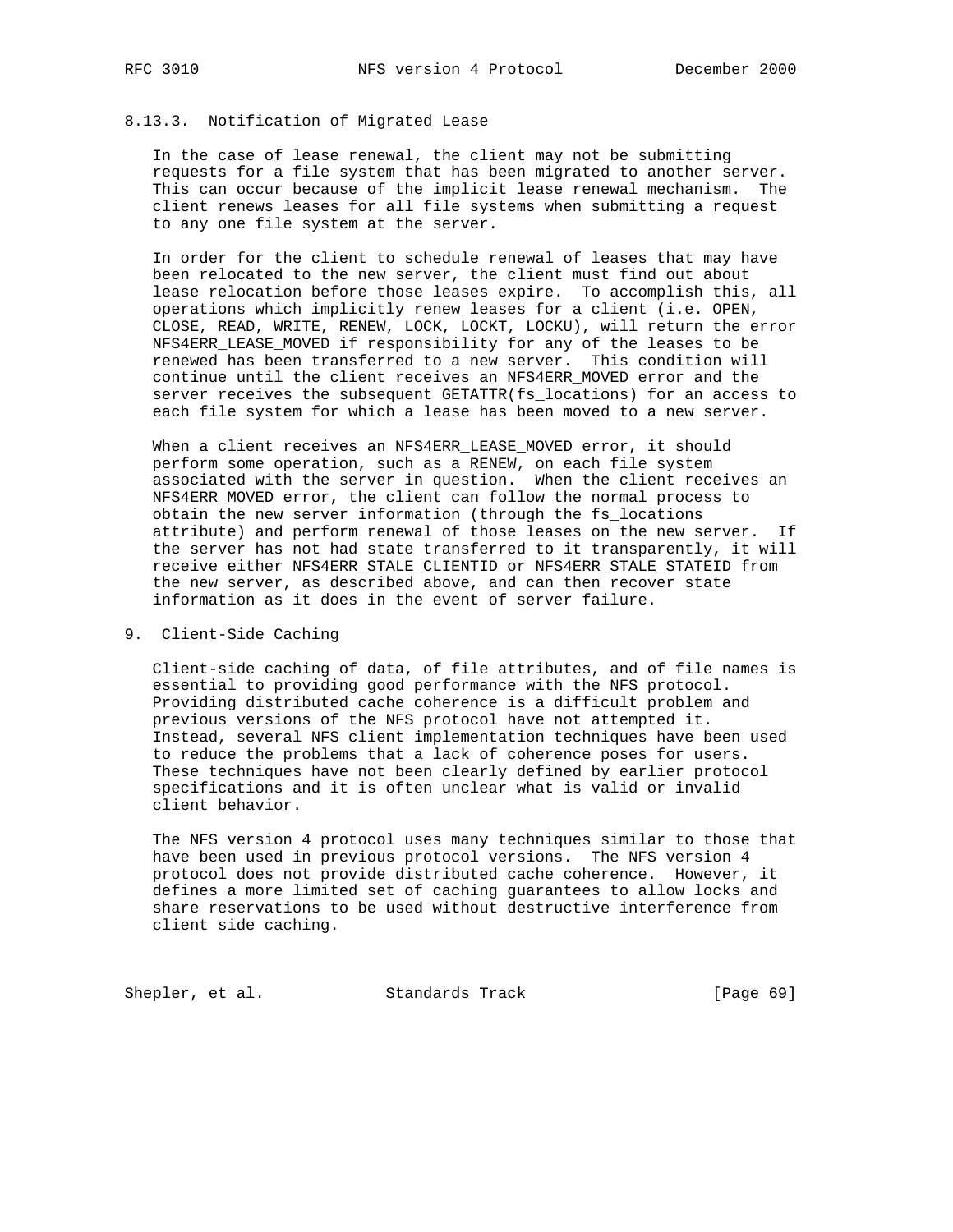# 8.13.3. Notification of Migrated Lease

 In the case of lease renewal, the client may not be submitting requests for a file system that has been migrated to another server. This can occur because of the implicit lease renewal mechanism. The client renews leases for all file systems when submitting a request to any one file system at the server.

 In order for the client to schedule renewal of leases that may have been relocated to the new server, the client must find out about lease relocation before those leases expire. To accomplish this, all operations which implicitly renew leases for a client (i.e. OPEN, CLOSE, READ, WRITE, RENEW, LOCK, LOCKT, LOCKU), will return the error NFS4ERR\_LEASE\_MOVED if responsibility for any of the leases to be renewed has been transferred to a new server. This condition will continue until the client receives an NFS4ERR\_MOVED error and the server receives the subsequent GETATTR(fs\_locations) for an access to each file system for which a lease has been moved to a new server.

 When a client receives an NFS4ERR\_LEASE\_MOVED error, it should perform some operation, such as a RENEW, on each file system associated with the server in question. When the client receives an NFS4ERR\_MOVED error, the client can follow the normal process to obtain the new server information (through the fs\_locations attribute) and perform renewal of those leases on the new server. If the server has not had state transferred to it transparently, it will receive either NFS4ERR\_STALE\_CLIENTID or NFS4ERR\_STALE\_STATEID from the new server, as described above, and can then recover state information as it does in the event of server failure.

## 9. Client-Side Caching

 Client-side caching of data, of file attributes, and of file names is essential to providing good performance with the NFS protocol. Providing distributed cache coherence is a difficult problem and previous versions of the NFS protocol have not attempted it. Instead, several NFS client implementation techniques have been used to reduce the problems that a lack of coherence poses for users. These techniques have not been clearly defined by earlier protocol specifications and it is often unclear what is valid or invalid client behavior.

 The NFS version 4 protocol uses many techniques similar to those that have been used in previous protocol versions. The NFS version 4 protocol does not provide distributed cache coherence. However, it defines a more limited set of caching guarantees to allow locks and share reservations to be used without destructive interference from client side caching.

Shepler, et al. Standards Track [Page 69]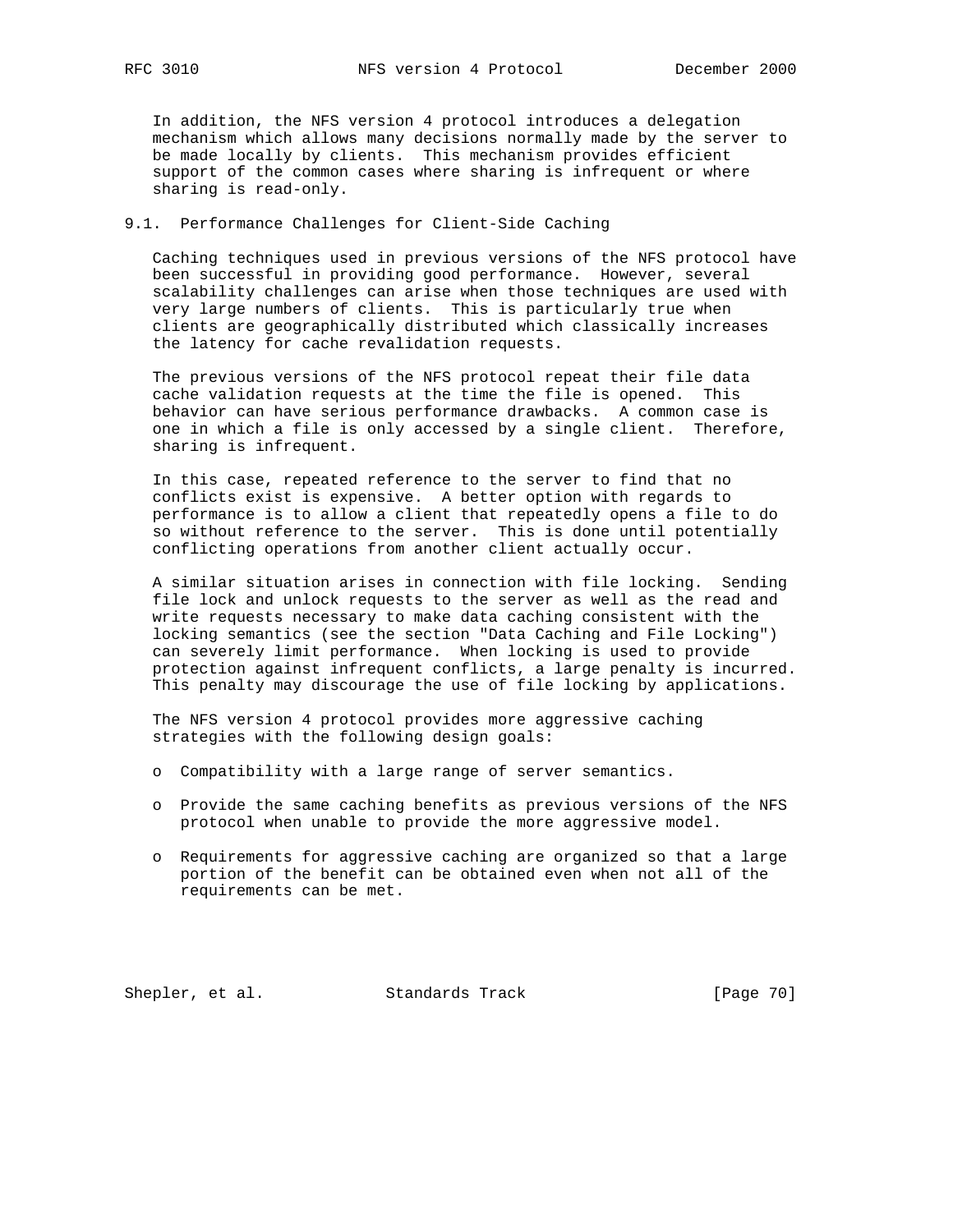In addition, the NFS version 4 protocol introduces a delegation mechanism which allows many decisions normally made by the server to be made locally by clients. This mechanism provides efficient support of the common cases where sharing is infrequent or where sharing is read-only.

## 9.1. Performance Challenges for Client-Side Caching

 Caching techniques used in previous versions of the NFS protocol have been successful in providing good performance. However, several scalability challenges can arise when those techniques are used with very large numbers of clients. This is particularly true when clients are geographically distributed which classically increases the latency for cache revalidation requests.

 The previous versions of the NFS protocol repeat their file data cache validation requests at the time the file is opened. This behavior can have serious performance drawbacks. A common case is one in which a file is only accessed by a single client. Therefore, sharing is infrequent.

 In this case, repeated reference to the server to find that no conflicts exist is expensive. A better option with regards to performance is to allow a client that repeatedly opens a file to do so without reference to the server. This is done until potentially conflicting operations from another client actually occur.

 A similar situation arises in connection with file locking. Sending file lock and unlock requests to the server as well as the read and write requests necessary to make data caching consistent with the locking semantics (see the section "Data Caching and File Locking") can severely limit performance. When locking is used to provide protection against infrequent conflicts, a large penalty is incurred. This penalty may discourage the use of file locking by applications.

 The NFS version 4 protocol provides more aggressive caching strategies with the following design goals:

- o Compatibility with a large range of server semantics.
- o Provide the same caching benefits as previous versions of the NFS protocol when unable to provide the more aggressive model.
- o Requirements for aggressive caching are organized so that a large portion of the benefit can be obtained even when not all of the requirements can be met.

Shepler, et al. Standards Track [Page 70]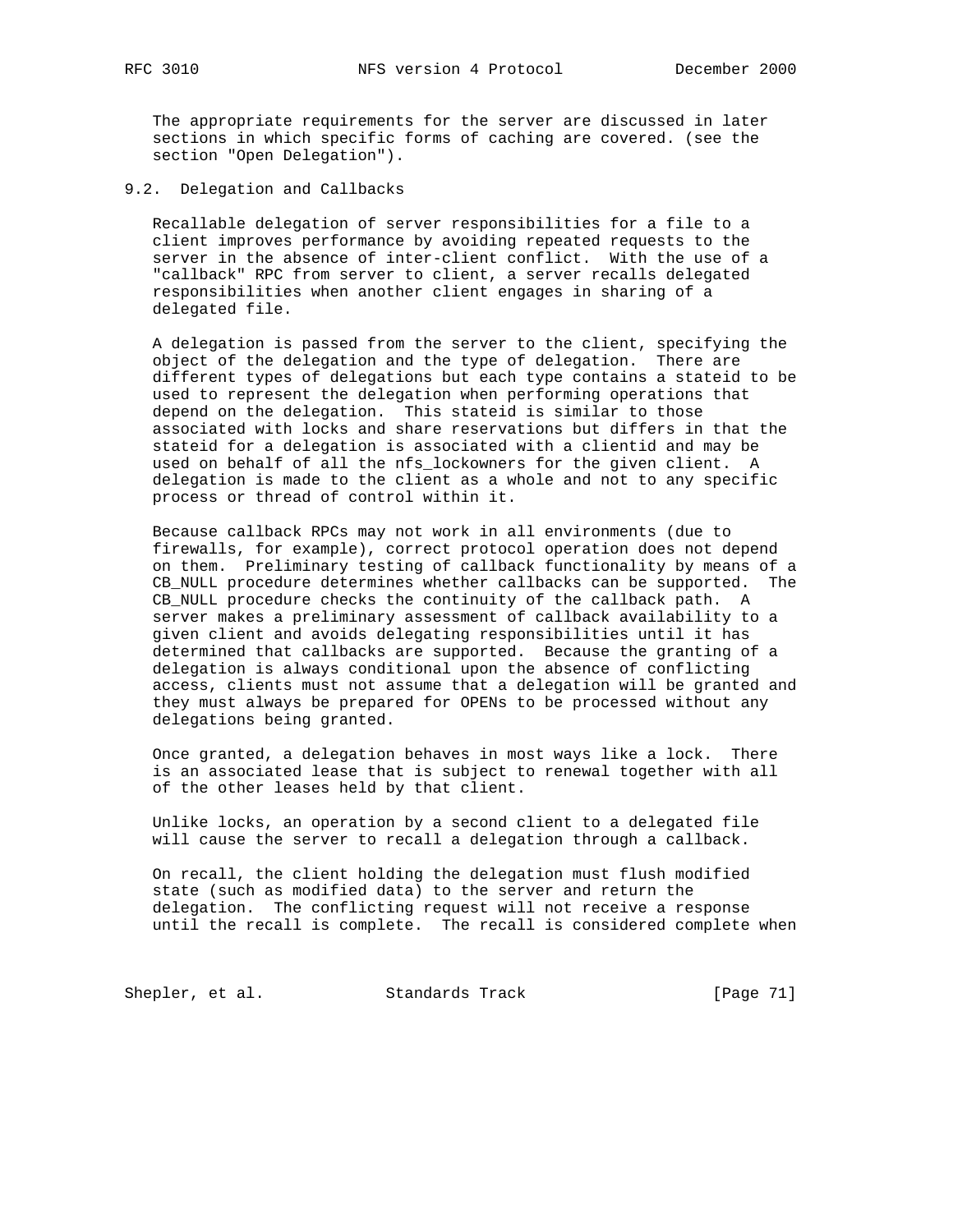The appropriate requirements for the server are discussed in later sections in which specific forms of caching are covered. (see the section "Open Delegation").

9.2. Delegation and Callbacks

 Recallable delegation of server responsibilities for a file to a client improves performance by avoiding repeated requests to the server in the absence of inter-client conflict. With the use of a "callback" RPC from server to client, a server recalls delegated responsibilities when another client engages in sharing of a delegated file.

 A delegation is passed from the server to the client, specifying the object of the delegation and the type of delegation. There are different types of delegations but each type contains a stateid to be used to represent the delegation when performing operations that depend on the delegation. This stateid is similar to those associated with locks and share reservations but differs in that the stateid for a delegation is associated with a clientid and may be used on behalf of all the nfs\_lockowners for the given client. A delegation is made to the client as a whole and not to any specific process or thread of control within it.

 Because callback RPCs may not work in all environments (due to firewalls, for example), correct protocol operation does not depend on them. Preliminary testing of callback functionality by means of a CB\_NULL procedure determines whether callbacks can be supported. The CB\_NULL procedure checks the continuity of the callback path. A server makes a preliminary assessment of callback availability to a given client and avoids delegating responsibilities until it has determined that callbacks are supported. Because the granting of a delegation is always conditional upon the absence of conflicting access, clients must not assume that a delegation will be granted and they must always be prepared for OPENs to be processed without any delegations being granted.

 Once granted, a delegation behaves in most ways like a lock. There is an associated lease that is subject to renewal together with all of the other leases held by that client.

 Unlike locks, an operation by a second client to a delegated file will cause the server to recall a delegation through a callback.

 On recall, the client holding the delegation must flush modified state (such as modified data) to the server and return the delegation. The conflicting request will not receive a response until the recall is complete. The recall is considered complete when

Shepler, et al. Standards Track [Page 71]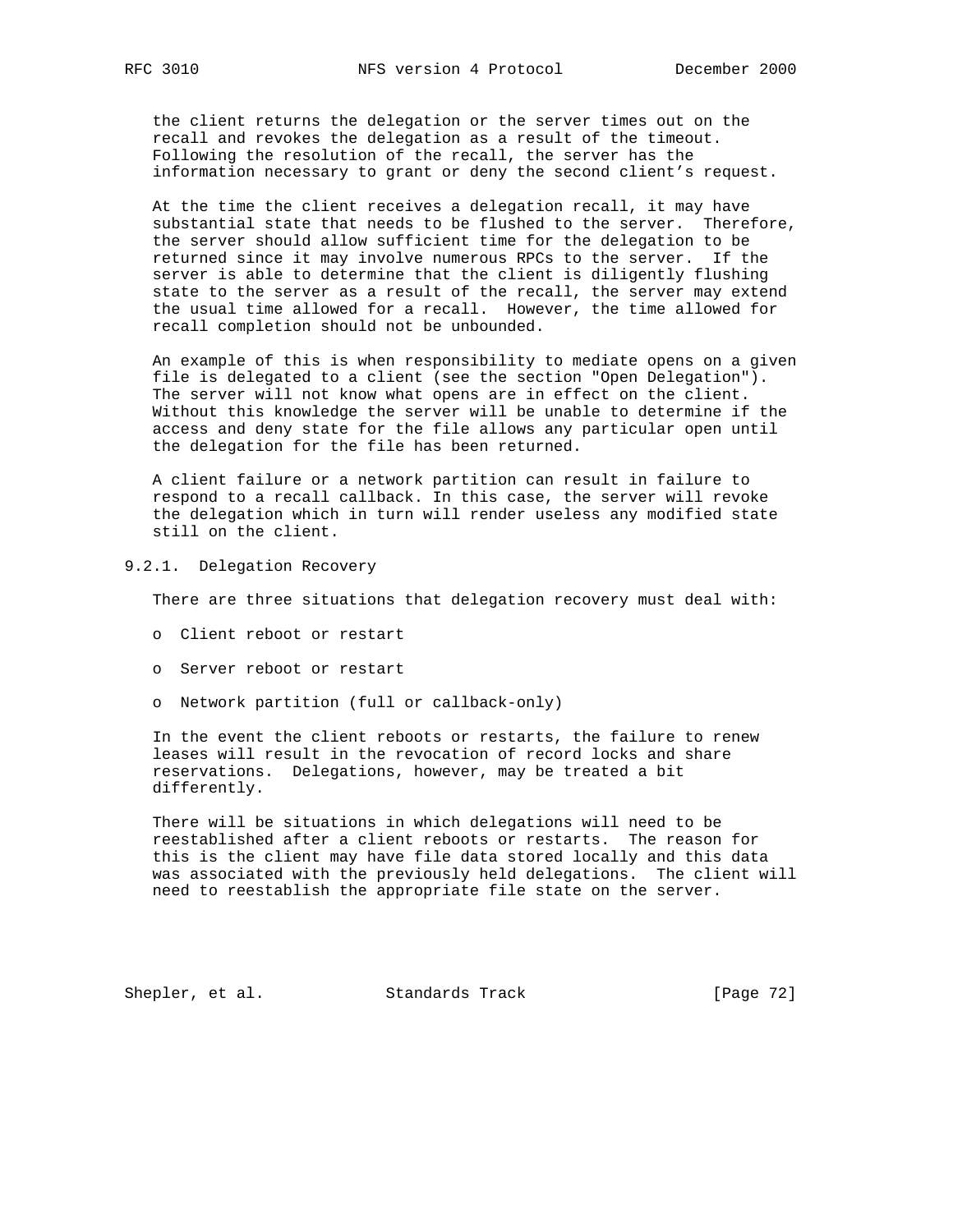the client returns the delegation or the server times out on the recall and revokes the delegation as a result of the timeout. Following the resolution of the recall, the server has the information necessary to grant or deny the second client's request.

 At the time the client receives a delegation recall, it may have substantial state that needs to be flushed to the server. Therefore, the server should allow sufficient time for the delegation to be returned since it may involve numerous RPCs to the server. If the server is able to determine that the client is diligently flushing state to the server as a result of the recall, the server may extend the usual time allowed for a recall. However, the time allowed for recall completion should not be unbounded.

 An example of this is when responsibility to mediate opens on a given file is delegated to a client (see the section "Open Delegation"). The server will not know what opens are in effect on the client. Without this knowledge the server will be unable to determine if the access and deny state for the file allows any particular open until the delegation for the file has been returned.

 A client failure or a network partition can result in failure to respond to a recall callback. In this case, the server will revoke the delegation which in turn will render useless any modified state still on the client.

9.2.1. Delegation Recovery

There are three situations that delegation recovery must deal with:

- o Client reboot or restart
- o Server reboot or restart
- o Network partition (full or callback-only)

 In the event the client reboots or restarts, the failure to renew leases will result in the revocation of record locks and share reservations. Delegations, however, may be treated a bit differently.

 There will be situations in which delegations will need to be reestablished after a client reboots or restarts. The reason for this is the client may have file data stored locally and this data was associated with the previously held delegations. The client will need to reestablish the appropriate file state on the server.

Shepler, et al. Standards Track [Page 72]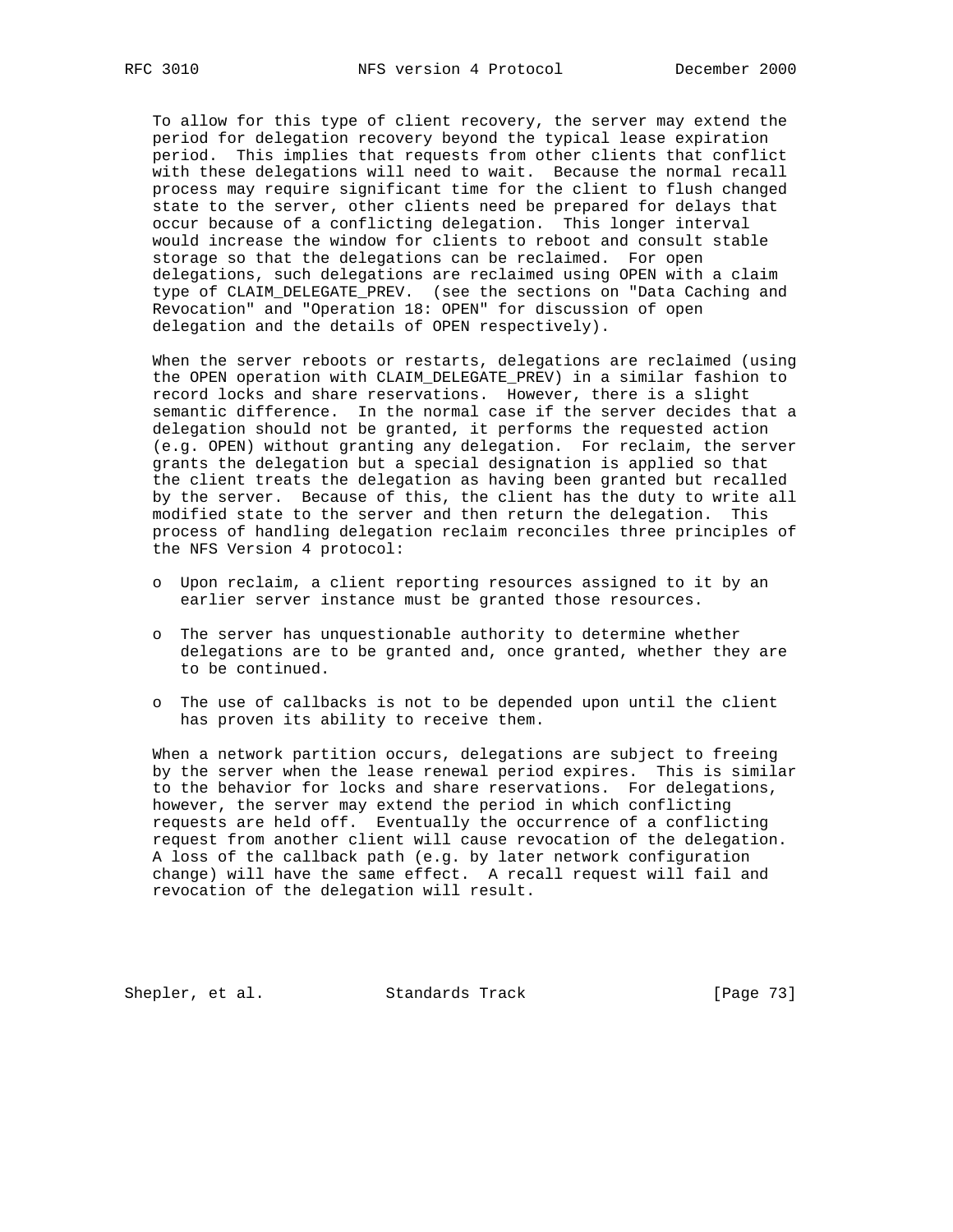To allow for this type of client recovery, the server may extend the period for delegation recovery beyond the typical lease expiration period. This implies that requests from other clients that conflict with these delegations will need to wait. Because the normal recall process may require significant time for the client to flush changed state to the server, other clients need be prepared for delays that occur because of a conflicting delegation. This longer interval would increase the window for clients to reboot and consult stable storage so that the delegations can be reclaimed. For open delegations, such delegations are reclaimed using OPEN with a claim type of CLAIM\_DELEGATE\_PREV. (see the sections on "Data Caching and Revocation" and "Operation 18: OPEN" for discussion of open delegation and the details of OPEN respectively).

 When the server reboots or restarts, delegations are reclaimed (using the OPEN operation with CLAIM\_DELEGATE\_PREV) in a similar fashion to record locks and share reservations. However, there is a slight semantic difference. In the normal case if the server decides that a delegation should not be granted, it performs the requested action (e.g. OPEN) without granting any delegation. For reclaim, the server grants the delegation but a special designation is applied so that the client treats the delegation as having been granted but recalled by the server. Because of this, the client has the duty to write all modified state to the server and then return the delegation. This process of handling delegation reclaim reconciles three principles of the NFS Version 4 protocol:

- o Upon reclaim, a client reporting resources assigned to it by an earlier server instance must be granted those resources.
- o The server has unquestionable authority to determine whether delegations are to be granted and, once granted, whether they are to be continued.
- o The use of callbacks is not to be depended upon until the client has proven its ability to receive them.

 When a network partition occurs, delegations are subject to freeing by the server when the lease renewal period expires. This is similar to the behavior for locks and share reservations. For delegations, however, the server may extend the period in which conflicting requests are held off. Eventually the occurrence of a conflicting request from another client will cause revocation of the delegation. A loss of the callback path (e.g. by later network configuration change) will have the same effect. A recall request will fail and revocation of the delegation will result.

Shepler, et al. Standards Track [Page 73]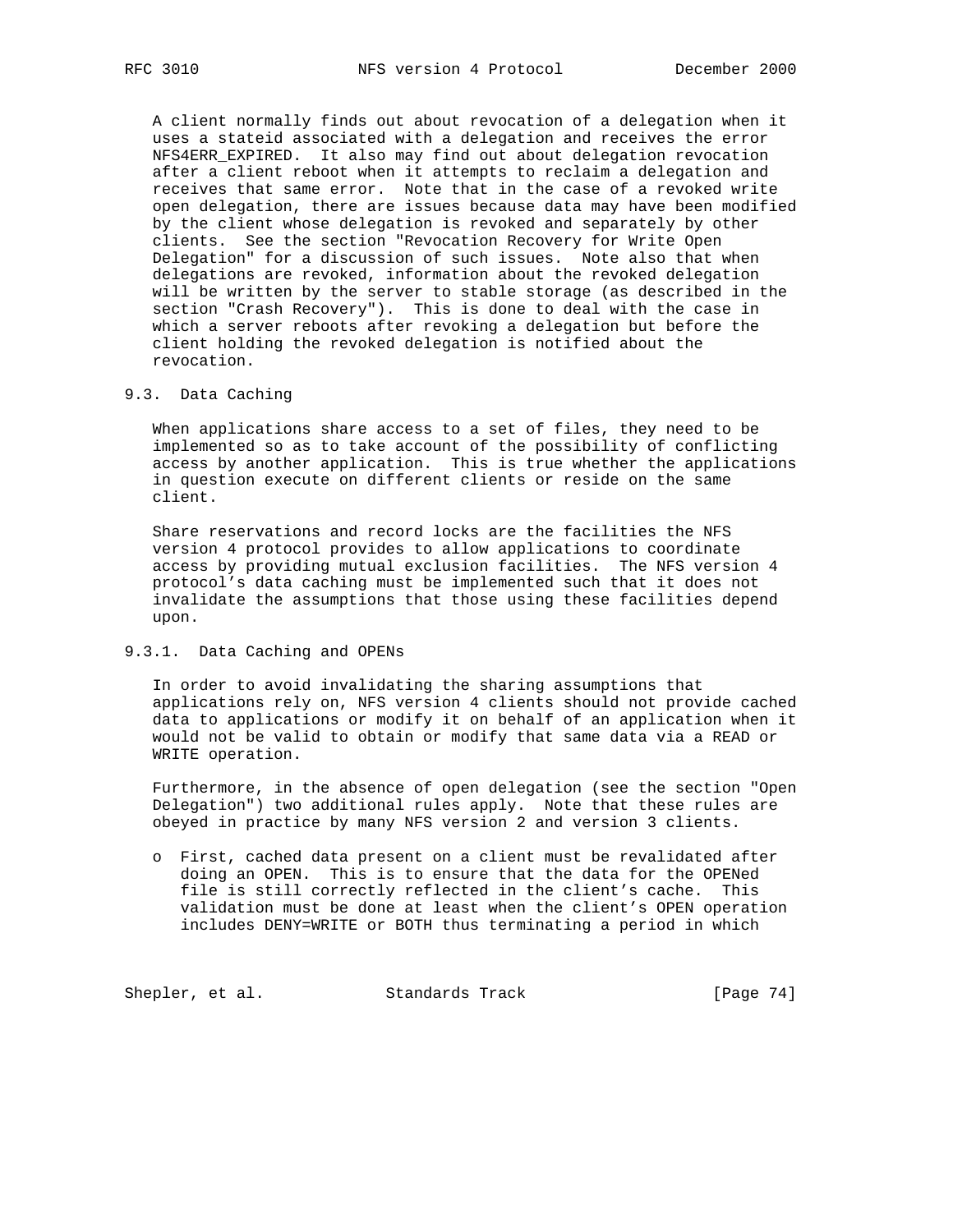A client normally finds out about revocation of a delegation when it uses a stateid associated with a delegation and receives the error NFS4ERR\_EXPIRED. It also may find out about delegation revocation after a client reboot when it attempts to reclaim a delegation and receives that same error. Note that in the case of a revoked write open delegation, there are issues because data may have been modified by the client whose delegation is revoked and separately by other clients. See the section "Revocation Recovery for Write Open Delegation" for a discussion of such issues. Note also that when delegations are revoked, information about the revoked delegation will be written by the server to stable storage (as described in the section "Crash Recovery"). This is done to deal with the case in which a server reboots after revoking a delegation but before the client holding the revoked delegation is notified about the revocation.

#### 9.3. Data Caching

 When applications share access to a set of files, they need to be implemented so as to take account of the possibility of conflicting access by another application. This is true whether the applications in question execute on different clients or reside on the same client.

 Share reservations and record locks are the facilities the NFS version 4 protocol provides to allow applications to coordinate access by providing mutual exclusion facilities. The NFS version 4 protocol's data caching must be implemented such that it does not invalidate the assumptions that those using these facilities depend upon.

#### 9.3.1. Data Caching and OPENs

 In order to avoid invalidating the sharing assumptions that applications rely on, NFS version 4 clients should not provide cached data to applications or modify it on behalf of an application when it would not be valid to obtain or modify that same data via a READ or WRITE operation.

 Furthermore, in the absence of open delegation (see the section "Open Delegation") two additional rules apply. Note that these rules are obeyed in practice by many NFS version 2 and version 3 clients.

 o First, cached data present on a client must be revalidated after doing an OPEN. This is to ensure that the data for the OPENed file is still correctly reflected in the client's cache. This validation must be done at least when the client's OPEN operation includes DENY=WRITE or BOTH thus terminating a period in which

Shepler, et al. Standards Track [Page 74]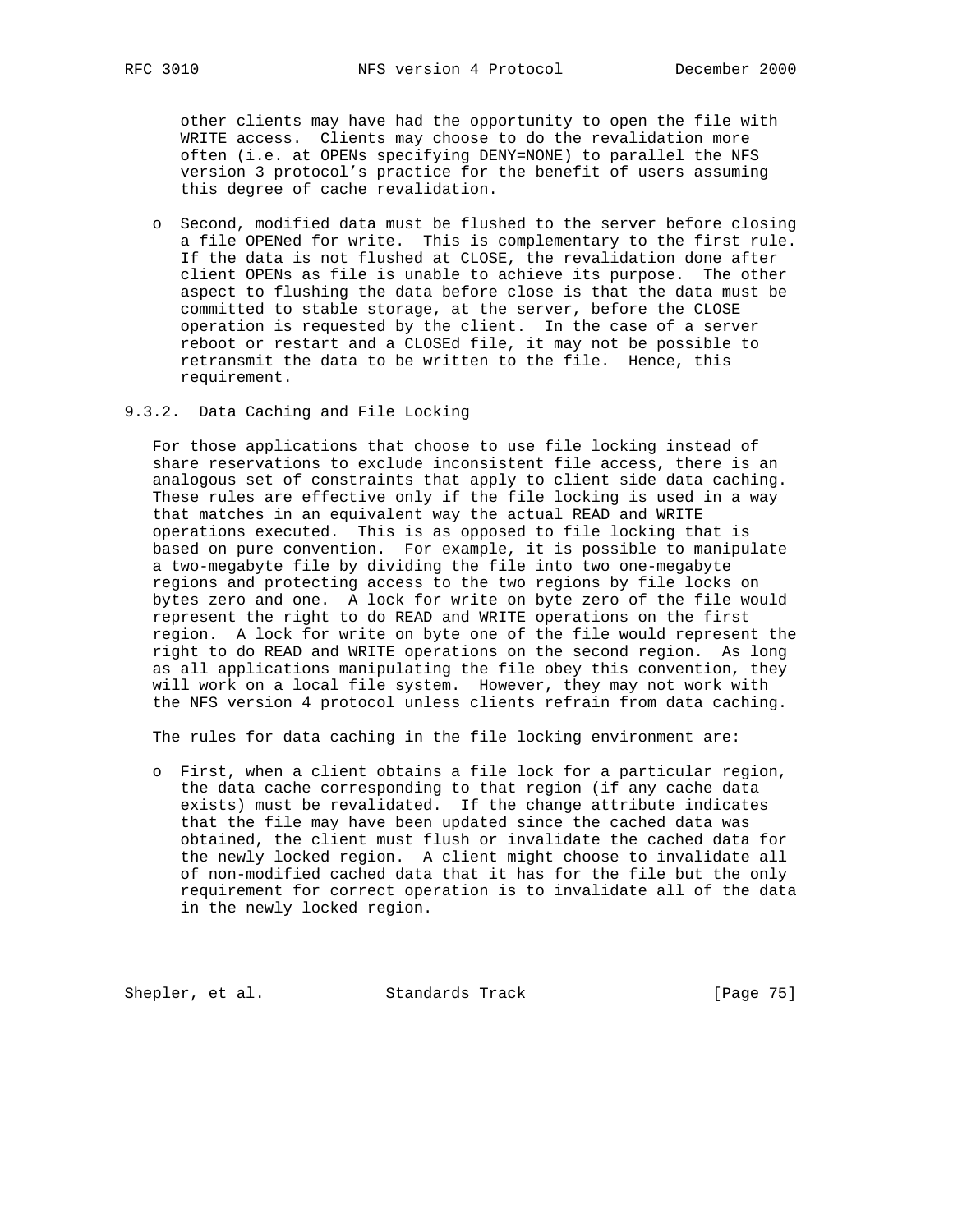other clients may have had the opportunity to open the file with WRITE access. Clients may choose to do the revalidation more often (i.e. at OPENs specifying DENY=NONE) to parallel the NFS version 3 protocol's practice for the benefit of users assuming this degree of cache revalidation.

- o Second, modified data must be flushed to the server before closing a file OPENed for write. This is complementary to the first rule. If the data is not flushed at CLOSE, the revalidation done after client OPENs as file is unable to achieve its purpose. The other aspect to flushing the data before close is that the data must be committed to stable storage, at the server, before the CLOSE operation is requested by the client. In the case of a server reboot or restart and a CLOSEd file, it may not be possible to retransmit the data to be written to the file. Hence, this requirement.
- 9.3.2. Data Caching and File Locking

 For those applications that choose to use file locking instead of share reservations to exclude inconsistent file access, there is an analogous set of constraints that apply to client side data caching. These rules are effective only if the file locking is used in a way that matches in an equivalent way the actual READ and WRITE operations executed. This is as opposed to file locking that is based on pure convention. For example, it is possible to manipulate a two-megabyte file by dividing the file into two one-megabyte regions and protecting access to the two regions by file locks on bytes zero and one. A lock for write on byte zero of the file would represent the right to do READ and WRITE operations on the first region. A lock for write on byte one of the file would represent the right to do READ and WRITE operations on the second region. As long as all applications manipulating the file obey this convention, they will work on a local file system. However, they may not work with the NFS version 4 protocol unless clients refrain from data caching.

The rules for data caching in the file locking environment are:

 o First, when a client obtains a file lock for a particular region, the data cache corresponding to that region (if any cache data exists) must be revalidated. If the change attribute indicates that the file may have been updated since the cached data was obtained, the client must flush or invalidate the cached data for the newly locked region. A client might choose to invalidate all of non-modified cached data that it has for the file but the only requirement for correct operation is to invalidate all of the data in the newly locked region.

Shepler, et al. Standards Track [Page 75]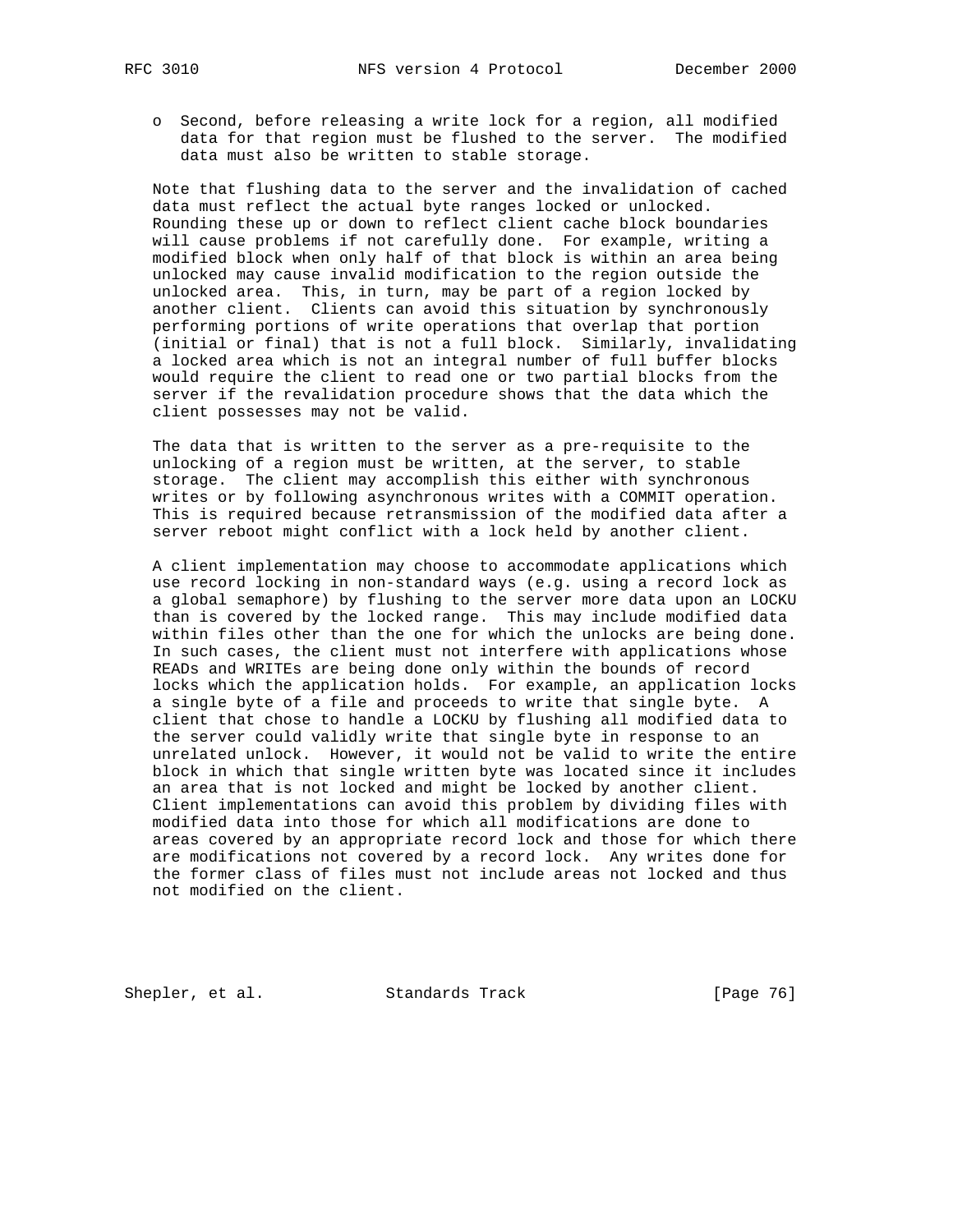o Second, before releasing a write lock for a region, all modified data for that region must be flushed to the server. The modified data must also be written to stable storage.

 Note that flushing data to the server and the invalidation of cached data must reflect the actual byte ranges locked or unlocked. Rounding these up or down to reflect client cache block boundaries will cause problems if not carefully done. For example, writing a modified block when only half of that block is within an area being unlocked may cause invalid modification to the region outside the unlocked area. This, in turn, may be part of a region locked by another client. Clients can avoid this situation by synchronously performing portions of write operations that overlap that portion (initial or final) that is not a full block. Similarly, invalidating a locked area which is not an integral number of full buffer blocks would require the client to read one or two partial blocks from the server if the revalidation procedure shows that the data which the client possesses may not be valid.

 The data that is written to the server as a pre-requisite to the unlocking of a region must be written, at the server, to stable storage. The client may accomplish this either with synchronous writes or by following asynchronous writes with a COMMIT operation. This is required because retransmission of the modified data after a server reboot might conflict with a lock held by another client.

 A client implementation may choose to accommodate applications which use record locking in non-standard ways (e.g. using a record lock as a global semaphore) by flushing to the server more data upon an LOCKU than is covered by the locked range. This may include modified data within files other than the one for which the unlocks are being done. In such cases, the client must not interfere with applications whose READs and WRITEs are being done only within the bounds of record locks which the application holds. For example, an application locks a single byte of a file and proceeds to write that single byte. A client that chose to handle a LOCKU by flushing all modified data to the server could validly write that single byte in response to an unrelated unlock. However, it would not be valid to write the entire block in which that single written byte was located since it includes an area that is not locked and might be locked by another client. Client implementations can avoid this problem by dividing files with modified data into those for which all modifications are done to areas covered by an appropriate record lock and those for which there are modifications not covered by a record lock. Any writes done for the former class of files must not include areas not locked and thus not modified on the client.

Shepler, et al. Standards Track [Page 76]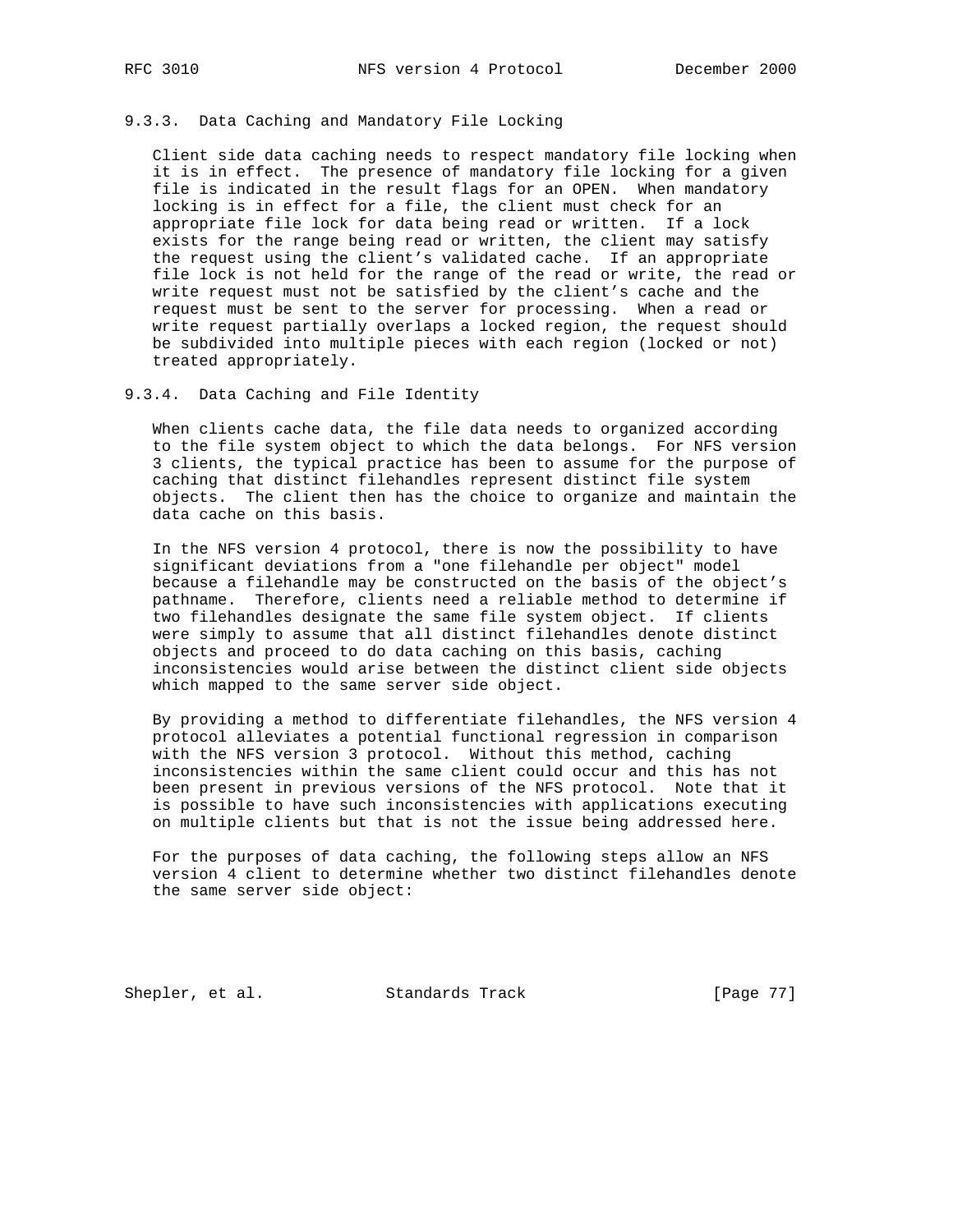# 9.3.3. Data Caching and Mandatory File Locking

 Client side data caching needs to respect mandatory file locking when it is in effect. The presence of mandatory file locking for a given file is indicated in the result flags for an OPEN. When mandatory locking is in effect for a file, the client must check for an appropriate file lock for data being read or written. If a lock exists for the range being read or written, the client may satisfy the request using the client's validated cache. If an appropriate file lock is not held for the range of the read or write, the read or write request must not be satisfied by the client's cache and the request must be sent to the server for processing. When a read or write request partially overlaps a locked region, the request should be subdivided into multiple pieces with each region (locked or not) treated appropriately.

9.3.4. Data Caching and File Identity

 When clients cache data, the file data needs to organized according to the file system object to which the data belongs. For NFS version 3 clients, the typical practice has been to assume for the purpose of caching that distinct filehandles represent distinct file system objects. The client then has the choice to organize and maintain the data cache on this basis.

 In the NFS version 4 protocol, there is now the possibility to have significant deviations from a "one filehandle per object" model because a filehandle may be constructed on the basis of the object's pathname. Therefore, clients need a reliable method to determine if two filehandles designate the same file system object. If clients were simply to assume that all distinct filehandles denote distinct objects and proceed to do data caching on this basis, caching inconsistencies would arise between the distinct client side objects which mapped to the same server side object.

 By providing a method to differentiate filehandles, the NFS version 4 protocol alleviates a potential functional regression in comparison with the NFS version 3 protocol. Without this method, caching inconsistencies within the same client could occur and this has not been present in previous versions of the NFS protocol. Note that it is possible to have such inconsistencies with applications executing on multiple clients but that is not the issue being addressed here.

 For the purposes of data caching, the following steps allow an NFS version 4 client to determine whether two distinct filehandles denote the same server side object:

Shepler, et al. Standards Track [Page 77]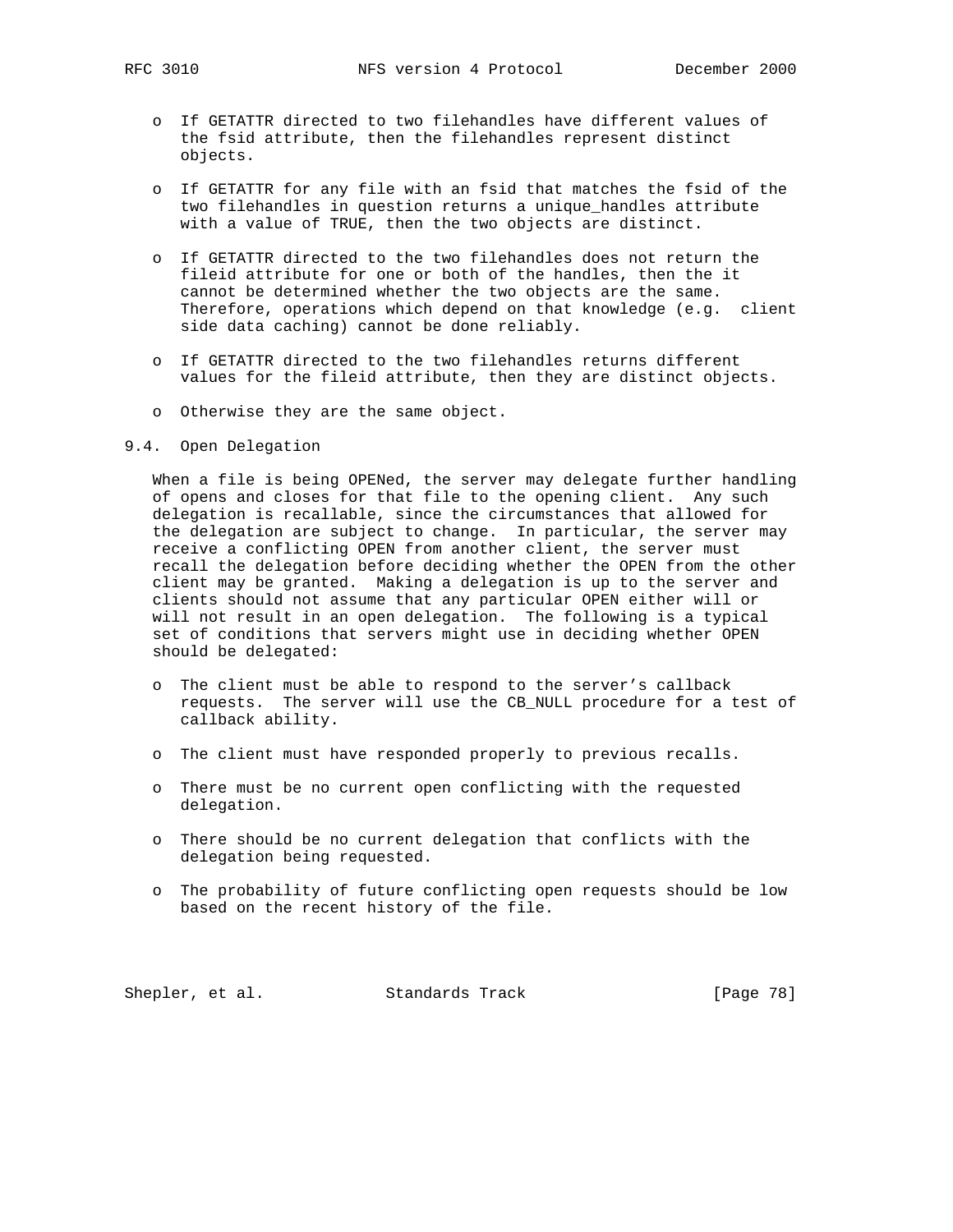- o If GETATTR directed to two filehandles have different values of the fsid attribute, then the filehandles represent distinct objects.
- o If GETATTR for any file with an fsid that matches the fsid of the two filehandles in question returns a unique\_handles attribute with a value of TRUE, then the two objects are distinct.
- o If GETATTR directed to the two filehandles does not return the fileid attribute for one or both of the handles, then the it cannot be determined whether the two objects are the same. Therefore, operations which depend on that knowledge (e.g. client side data caching) cannot be done reliably.
- o If GETATTR directed to the two filehandles returns different values for the fileid attribute, then they are distinct objects.
- o Otherwise they are the same object.
- 9.4. Open Delegation

 When a file is being OPENed, the server may delegate further handling of opens and closes for that file to the opening client. Any such delegation is recallable, since the circumstances that allowed for the delegation are subject to change. In particular, the server may receive a conflicting OPEN from another client, the server must recall the delegation before deciding whether the OPEN from the other client may be granted. Making a delegation is up to the server and clients should not assume that any particular OPEN either will or will not result in an open delegation. The following is a typical set of conditions that servers might use in deciding whether OPEN should be delegated:

- o The client must be able to respond to the server's callback requests. The server will use the CB\_NULL procedure for a test of callback ability.
- o The client must have responded properly to previous recalls.
- o There must be no current open conflicting with the requested delegation.
- o There should be no current delegation that conflicts with the delegation being requested.
- o The probability of future conflicting open requests should be low based on the recent history of the file.

Shepler, et al. Standards Track [Page 78]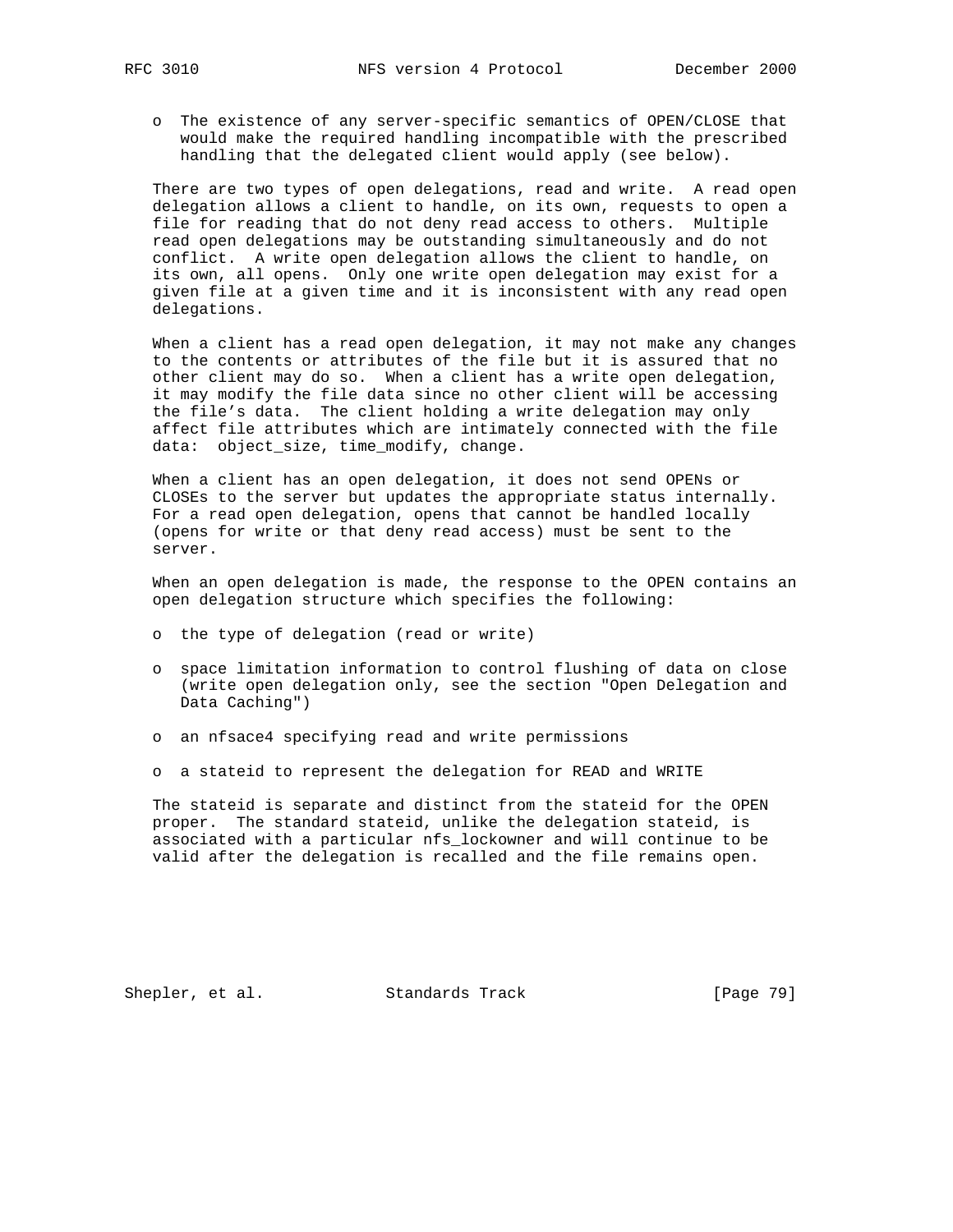o The existence of any server-specific semantics of OPEN/CLOSE that would make the required handling incompatible with the prescribed handling that the delegated client would apply (see below).

 There are two types of open delegations, read and write. A read open delegation allows a client to handle, on its own, requests to open a file for reading that do not deny read access to others. Multiple read open delegations may be outstanding simultaneously and do not conflict. A write open delegation allows the client to handle, on its own, all opens. Only one write open delegation may exist for a given file at a given time and it is inconsistent with any read open delegations.

 When a client has a read open delegation, it may not make any changes to the contents or attributes of the file but it is assured that no other client may do so. When a client has a write open delegation, it may modify the file data since no other client will be accessing the file's data. The client holding a write delegation may only affect file attributes which are intimately connected with the file data: object\_size, time\_modify, change.

 When a client has an open delegation, it does not send OPENs or CLOSEs to the server but updates the appropriate status internally. For a read open delegation, opens that cannot be handled locally (opens for write or that deny read access) must be sent to the server.

 When an open delegation is made, the response to the OPEN contains an open delegation structure which specifies the following:

- o the type of delegation (read or write)
- o space limitation information to control flushing of data on close (write open delegation only, see the section "Open Delegation and Data Caching")
- o an nfsace4 specifying read and write permissions
- o a stateid to represent the delegation for READ and WRITE

 The stateid is separate and distinct from the stateid for the OPEN proper. The standard stateid, unlike the delegation stateid, is associated with a particular nfs\_lockowner and will continue to be valid after the delegation is recalled and the file remains open.

Shepler, et al. Standards Track [Page 79]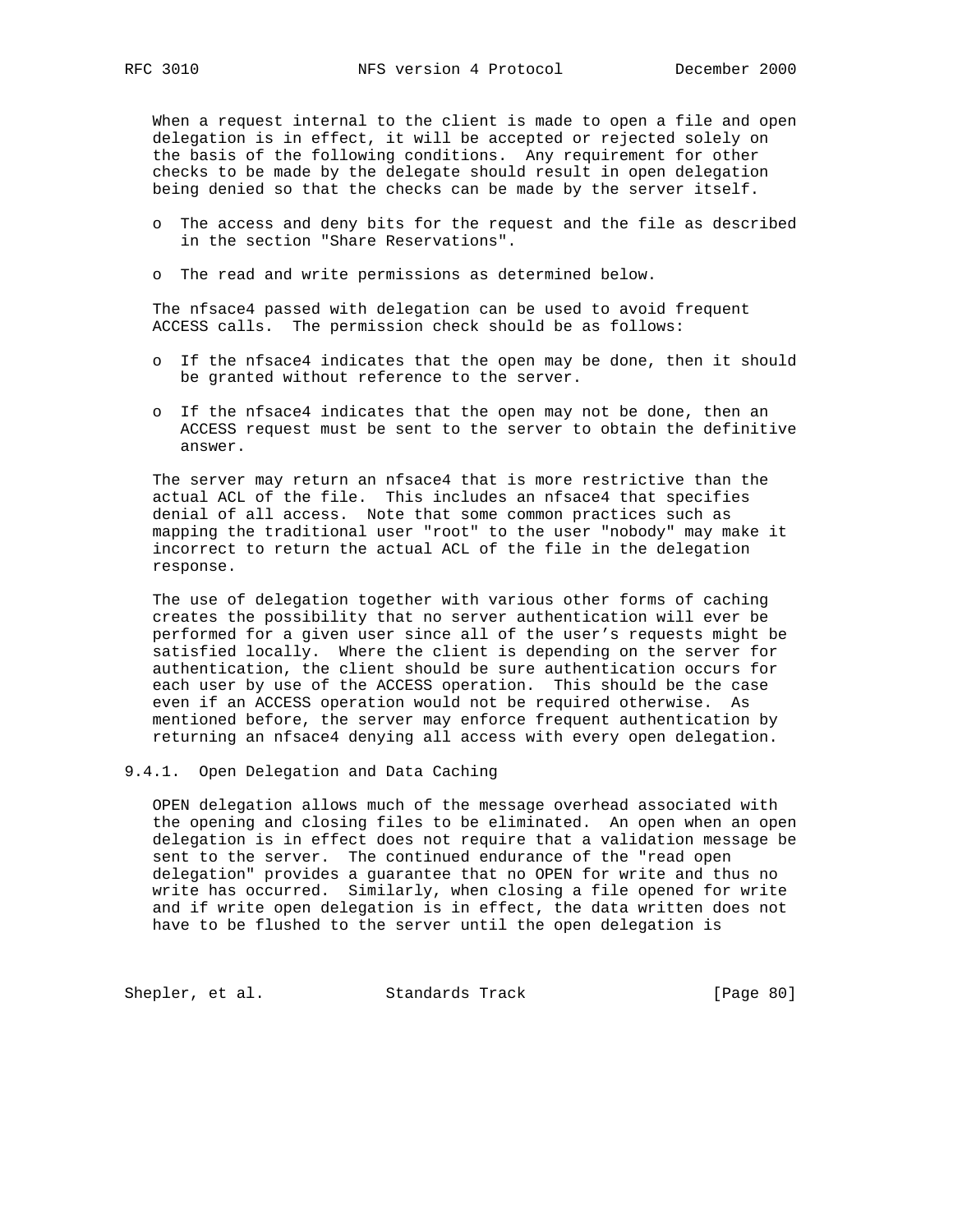When a request internal to the client is made to open a file and open delegation is in effect, it will be accepted or rejected solely on the basis of the following conditions. Any requirement for other checks to be made by the delegate should result in open delegation being denied so that the checks can be made by the server itself.

- o The access and deny bits for the request and the file as described in the section "Share Reservations".
- o The read and write permissions as determined below.

 The nfsace4 passed with delegation can be used to avoid frequent ACCESS calls. The permission check should be as follows:

- o If the nfsace4 indicates that the open may be done, then it should be granted without reference to the server.
- o If the nfsace4 indicates that the open may not be done, then an ACCESS request must be sent to the server to obtain the definitive answer.

 The server may return an nfsace4 that is more restrictive than the actual ACL of the file. This includes an nfsace4 that specifies denial of all access. Note that some common practices such as mapping the traditional user "root" to the user "nobody" may make it incorrect to return the actual ACL of the file in the delegation response.

 The use of delegation together with various other forms of caching creates the possibility that no server authentication will ever be performed for a given user since all of the user's requests might be satisfied locally. Where the client is depending on the server for authentication, the client should be sure authentication occurs for each user by use of the ACCESS operation. This should be the case even if an ACCESS operation would not be required otherwise. As mentioned before, the server may enforce frequent authentication by returning an nfsace4 denying all access with every open delegation.

9.4.1. Open Delegation and Data Caching

 OPEN delegation allows much of the message overhead associated with the opening and closing files to be eliminated. An open when an open delegation is in effect does not require that a validation message be sent to the server. The continued endurance of the "read open delegation" provides a guarantee that no OPEN for write and thus no write has occurred. Similarly, when closing a file opened for write and if write open delegation is in effect, the data written does not have to be flushed to the server until the open delegation is

Shepler, et al. Standards Track [Page 80]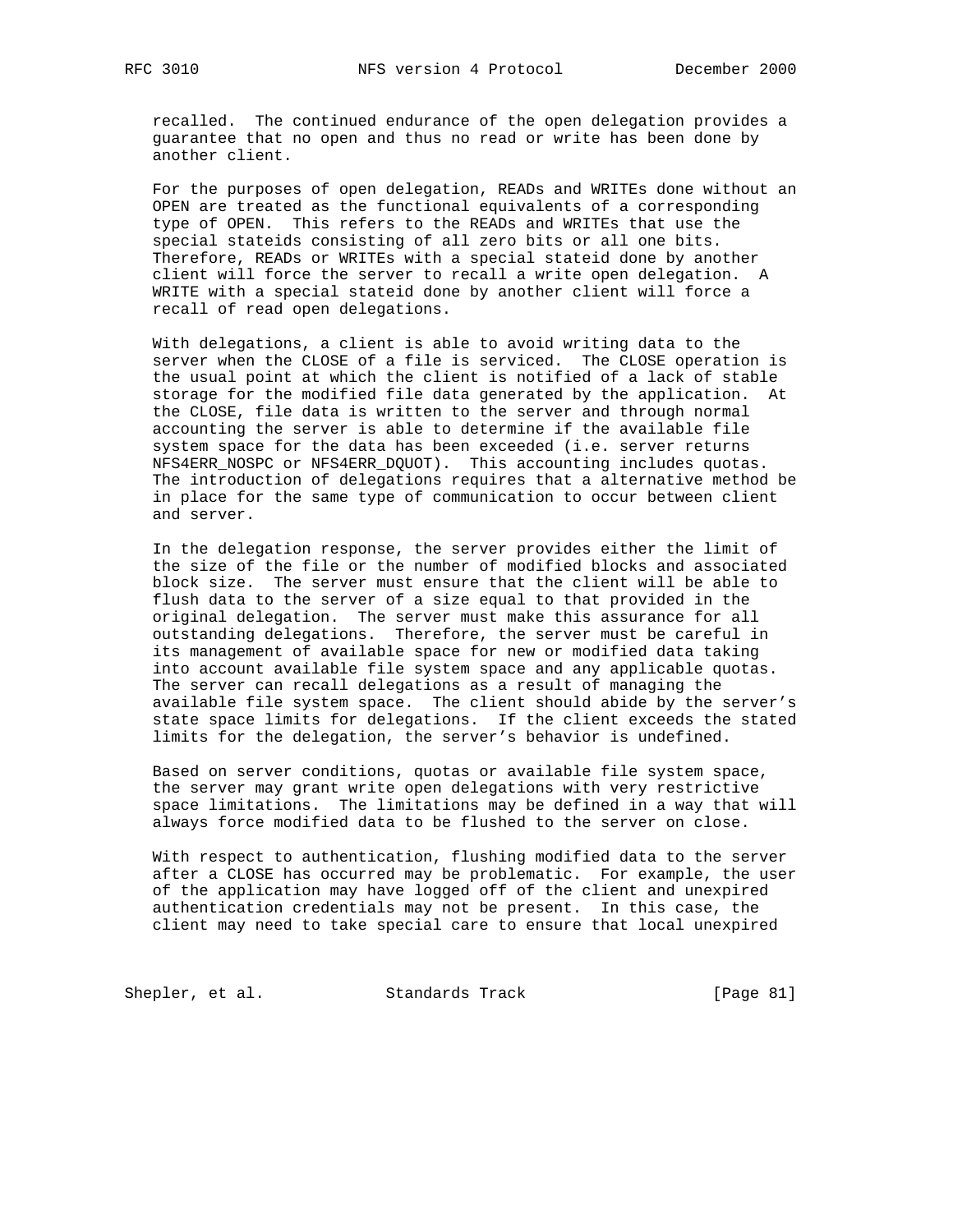recalled. The continued endurance of the open delegation provides a guarantee that no open and thus no read or write has been done by another client.

 For the purposes of open delegation, READs and WRITEs done without an OPEN are treated as the functional equivalents of a corresponding type of OPEN. This refers to the READs and WRITEs that use the special stateids consisting of all zero bits or all one bits. Therefore, READs or WRITEs with a special stateid done by another client will force the server to recall a write open delegation. A WRITE with a special stateid done by another client will force a recall of read open delegations.

 With delegations, a client is able to avoid writing data to the server when the CLOSE of a file is serviced. The CLOSE operation is the usual point at which the client is notified of a lack of stable storage for the modified file data generated by the application. At the CLOSE, file data is written to the server and through normal accounting the server is able to determine if the available file system space for the data has been exceeded (i.e. server returns NFS4ERR\_NOSPC or NFS4ERR\_DQUOT). This accounting includes quotas. The introduction of delegations requires that a alternative method be in place for the same type of communication to occur between client and server.

 In the delegation response, the server provides either the limit of the size of the file or the number of modified blocks and associated block size. The server must ensure that the client will be able to flush data to the server of a size equal to that provided in the original delegation. The server must make this assurance for all outstanding delegations. Therefore, the server must be careful in its management of available space for new or modified data taking into account available file system space and any applicable quotas. The server can recall delegations as a result of managing the available file system space. The client should abide by the server's state space limits for delegations. If the client exceeds the stated limits for the delegation, the server's behavior is undefined.

 Based on server conditions, quotas or available file system space, the server may grant write open delegations with very restrictive space limitations. The limitations may be defined in a way that will always force modified data to be flushed to the server on close.

 With respect to authentication, flushing modified data to the server after a CLOSE has occurred may be problematic. For example, the user of the application may have logged off of the client and unexpired authentication credentials may not be present. In this case, the client may need to take special care to ensure that local unexpired

Shepler, et al. Standards Track [Page 81]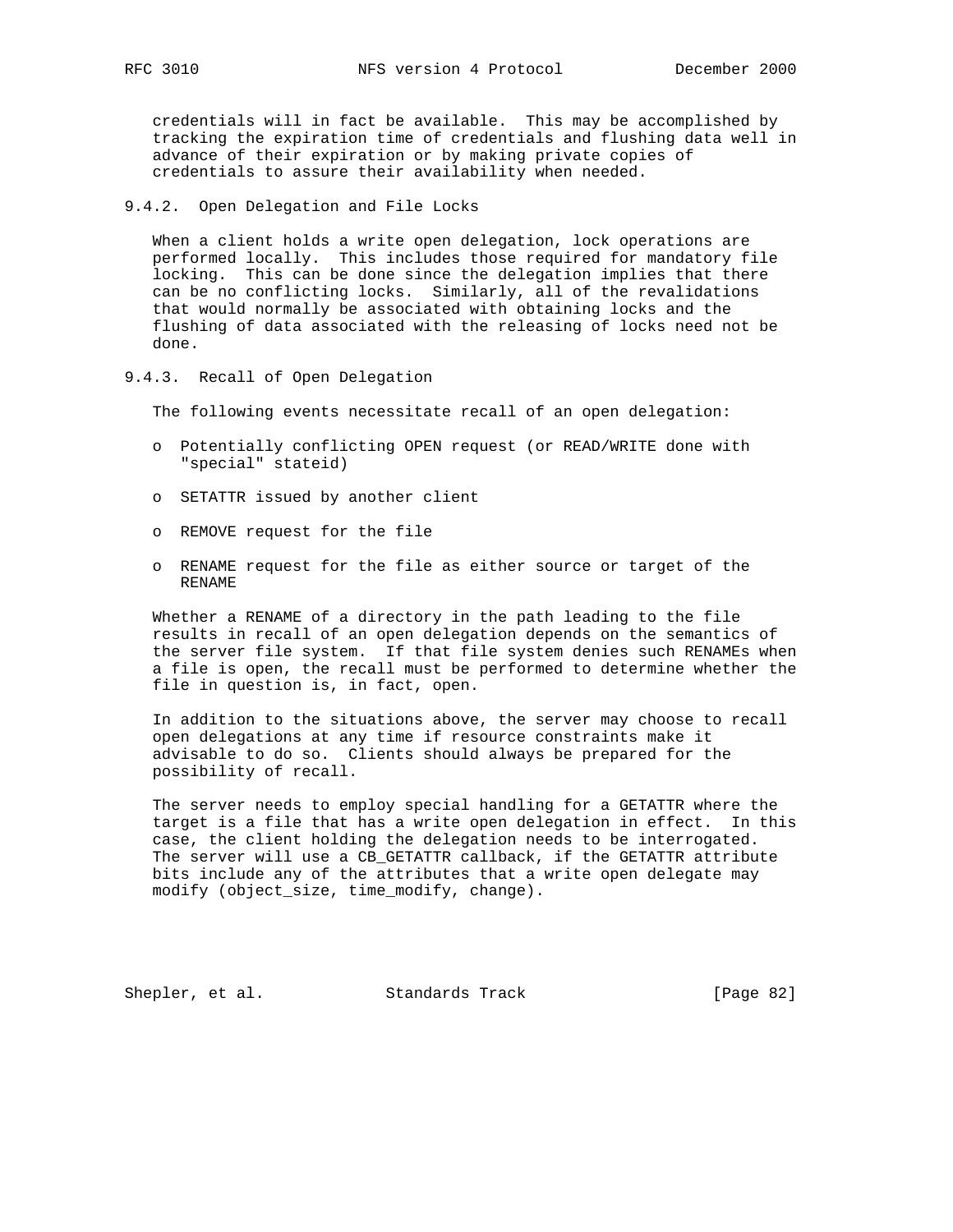credentials will in fact be available. This may be accomplished by tracking the expiration time of credentials and flushing data well in advance of their expiration or by making private copies of credentials to assure their availability when needed.

9.4.2. Open Delegation and File Locks

 When a client holds a write open delegation, lock operations are performed locally. This includes those required for mandatory file locking. This can be done since the delegation implies that there can be no conflicting locks. Similarly, all of the revalidations that would normally be associated with obtaining locks and the flushing of data associated with the releasing of locks need not be done.

9.4.3. Recall of Open Delegation

The following events necessitate recall of an open delegation:

- o Potentially conflicting OPEN request (or READ/WRITE done with "special" stateid)
- o SETATTR issued by another client
- o REMOVE request for the file
- o RENAME request for the file as either source or target of the RENAME

 Whether a RENAME of a directory in the path leading to the file results in recall of an open delegation depends on the semantics of the server file system. If that file system denies such RENAMEs when a file is open, the recall must be performed to determine whether the file in question is, in fact, open.

 In addition to the situations above, the server may choose to recall open delegations at any time if resource constraints make it advisable to do so. Clients should always be prepared for the possibility of recall.

 The server needs to employ special handling for a GETATTR where the target is a file that has a write open delegation in effect. In this case, the client holding the delegation needs to be interrogated. The server will use a CB\_GETATTR callback, if the GETATTR attribute bits include any of the attributes that a write open delegate may modify (object\_size, time\_modify, change).

Shepler, et al. Standards Track [Page 82]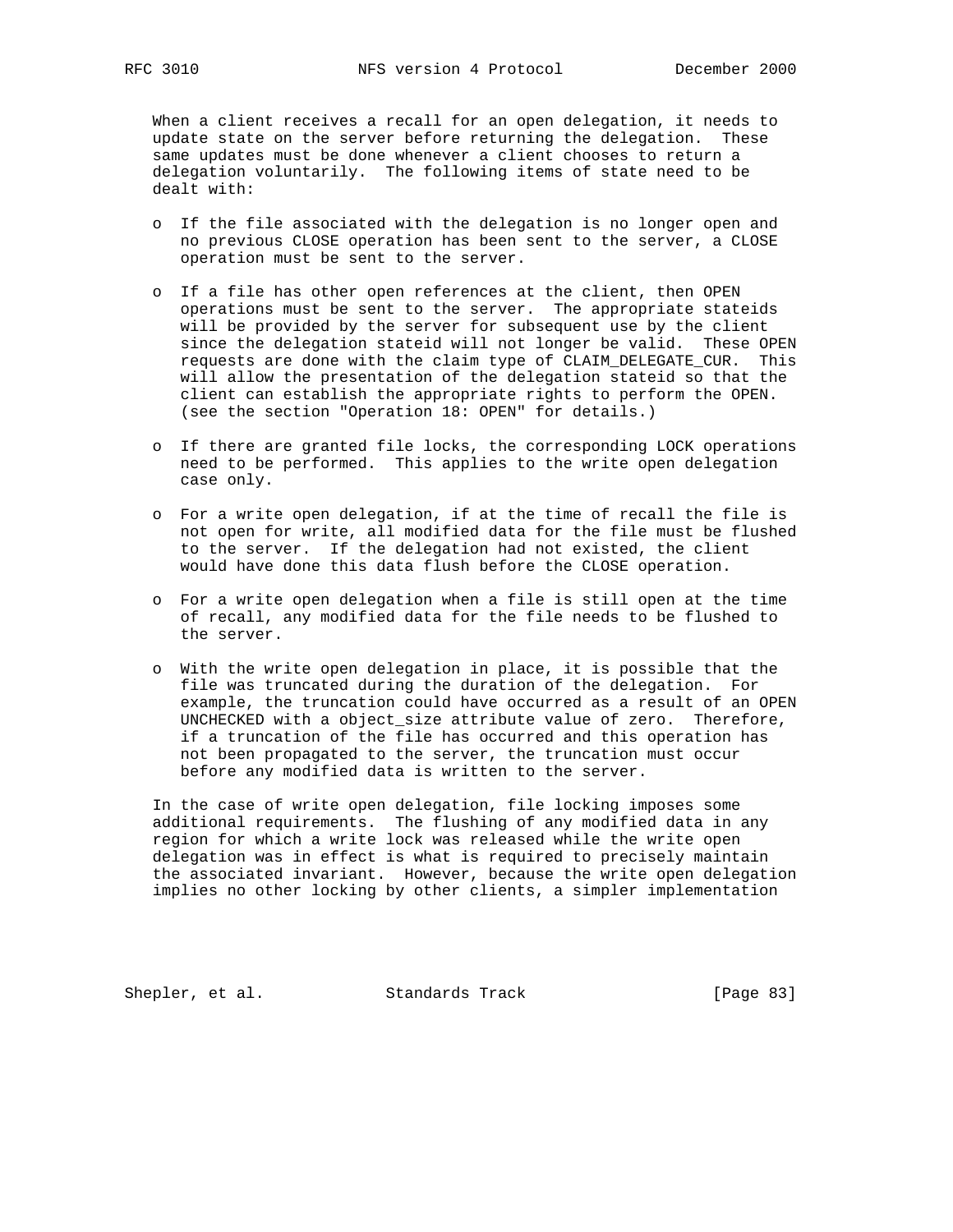When a client receives a recall for an open delegation, it needs to update state on the server before returning the delegation. These same updates must be done whenever a client chooses to return a delegation voluntarily. The following items of state need to be dealt with:

- o If the file associated with the delegation is no longer open and no previous CLOSE operation has been sent to the server, a CLOSE operation must be sent to the server.
- o If a file has other open references at the client, then OPEN operations must be sent to the server. The appropriate stateids will be provided by the server for subsequent use by the client since the delegation stateid will not longer be valid. These OPEN requests are done with the claim type of CLAIM\_DELEGATE\_CUR. This will allow the presentation of the delegation stateid so that the client can establish the appropriate rights to perform the OPEN. (see the section "Operation 18: OPEN" for details.)
- o If there are granted file locks, the corresponding LOCK operations need to be performed. This applies to the write open delegation case only.
- o For a write open delegation, if at the time of recall the file is not open for write, all modified data for the file must be flushed to the server. If the delegation had not existed, the client would have done this data flush before the CLOSE operation.
- o For a write open delegation when a file is still open at the time of recall, any modified data for the file needs to be flushed to the server.
- o With the write open delegation in place, it is possible that the file was truncated during the duration of the delegation. For example, the truncation could have occurred as a result of an OPEN UNCHECKED with a object\_size attribute value of zero. Therefore, if a truncation of the file has occurred and this operation has not been propagated to the server, the truncation must occur before any modified data is written to the server.

 In the case of write open delegation, file locking imposes some additional requirements. The flushing of any modified data in any region for which a write lock was released while the write open delegation was in effect is what is required to precisely maintain the associated invariant. However, because the write open delegation implies no other locking by other clients, a simpler implementation

Shepler, et al. Standards Track [Page 83]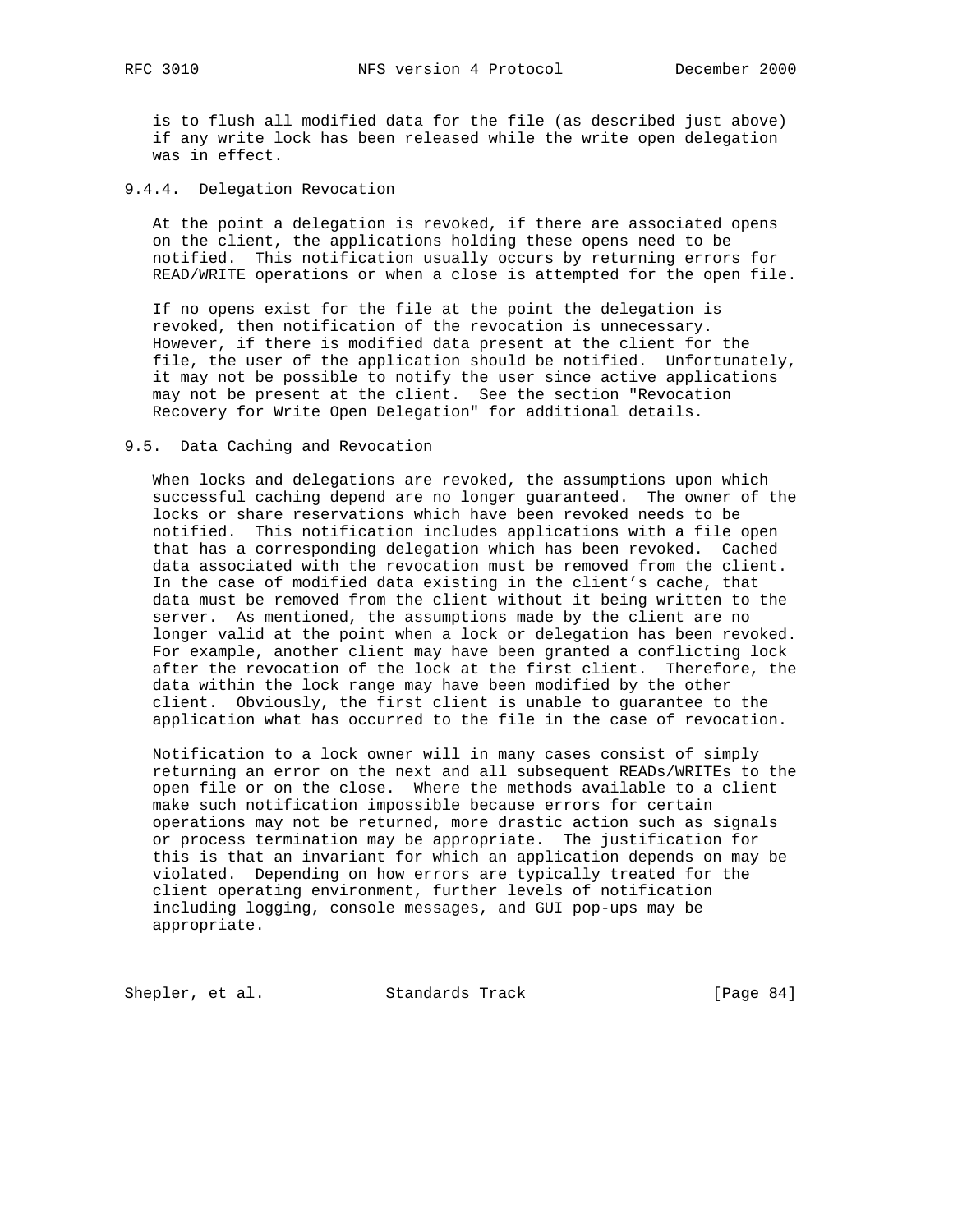is to flush all modified data for the file (as described just above) if any write lock has been released while the write open delegation was in effect.

9.4.4. Delegation Revocation

 At the point a delegation is revoked, if there are associated opens on the client, the applications holding these opens need to be notified. This notification usually occurs by returning errors for READ/WRITE operations or when a close is attempted for the open file.

 If no opens exist for the file at the point the delegation is revoked, then notification of the revocation is unnecessary. However, if there is modified data present at the client for the file, the user of the application should be notified. Unfortunately, it may not be possible to notify the user since active applications may not be present at the client. See the section "Revocation Recovery for Write Open Delegation" for additional details.

#### 9.5. Data Caching and Revocation

 When locks and delegations are revoked, the assumptions upon which successful caching depend are no longer guaranteed. The owner of the locks or share reservations which have been revoked needs to be notified. This notification includes applications with a file open that has a corresponding delegation which has been revoked. Cached data associated with the revocation must be removed from the client. In the case of modified data existing in the client's cache, that data must be removed from the client without it being written to the server. As mentioned, the assumptions made by the client are no longer valid at the point when a lock or delegation has been revoked. For example, another client may have been granted a conflicting lock after the revocation of the lock at the first client. Therefore, the data within the lock range may have been modified by the other client. Obviously, the first client is unable to guarantee to the application what has occurred to the file in the case of revocation.

 Notification to a lock owner will in many cases consist of simply returning an error on the next and all subsequent READs/WRITEs to the open file or on the close. Where the methods available to a client make such notification impossible because errors for certain operations may not be returned, more drastic action such as signals or process termination may be appropriate. The justification for this is that an invariant for which an application depends on may be violated. Depending on how errors are typically treated for the client operating environment, further levels of notification including logging, console messages, and GUI pop-ups may be appropriate.

Shepler, et al. Standards Track [Page 84]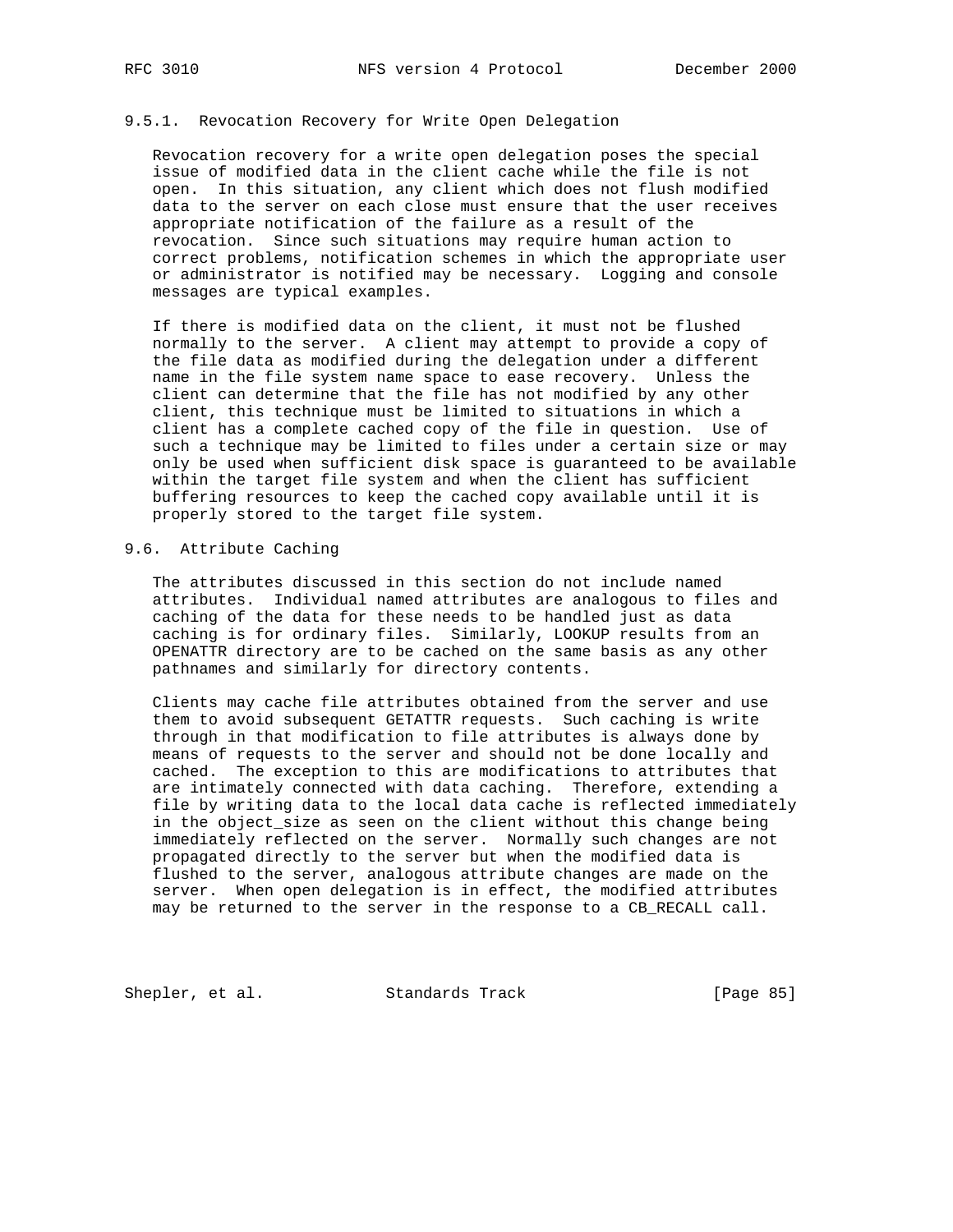# 9.5.1. Revocation Recovery for Write Open Delegation

 Revocation recovery for a write open delegation poses the special issue of modified data in the client cache while the file is not open. In this situation, any client which does not flush modified data to the server on each close must ensure that the user receives appropriate notification of the failure as a result of the revocation. Since such situations may require human action to correct problems, notification schemes in which the appropriate user or administrator is notified may be necessary. Logging and console messages are typical examples.

 If there is modified data on the client, it must not be flushed normally to the server. A client may attempt to provide a copy of the file data as modified during the delegation under a different name in the file system name space to ease recovery. Unless the client can determine that the file has not modified by any other client, this technique must be limited to situations in which a client has a complete cached copy of the file in question. Use of such a technique may be limited to files under a certain size or may only be used when sufficient disk space is guaranteed to be available within the target file system and when the client has sufficient buffering resources to keep the cached copy available until it is properly stored to the target file system.

#### 9.6. Attribute Caching

 The attributes discussed in this section do not include named attributes. Individual named attributes are analogous to files and caching of the data for these needs to be handled just as data caching is for ordinary files. Similarly, LOOKUP results from an OPENATTR directory are to be cached on the same basis as any other pathnames and similarly for directory contents.

 Clients may cache file attributes obtained from the server and use them to avoid subsequent GETATTR requests. Such caching is write through in that modification to file attributes is always done by means of requests to the server and should not be done locally and cached. The exception to this are modifications to attributes that are intimately connected with data caching. Therefore, extending a file by writing data to the local data cache is reflected immediately in the object\_size as seen on the client without this change being immediately reflected on the server. Normally such changes are not propagated directly to the server but when the modified data is flushed to the server, analogous attribute changes are made on the server. When open delegation is in effect, the modified attributes may be returned to the server in the response to a CB\_RECALL call.

Shepler, et al. Standards Track [Page 85]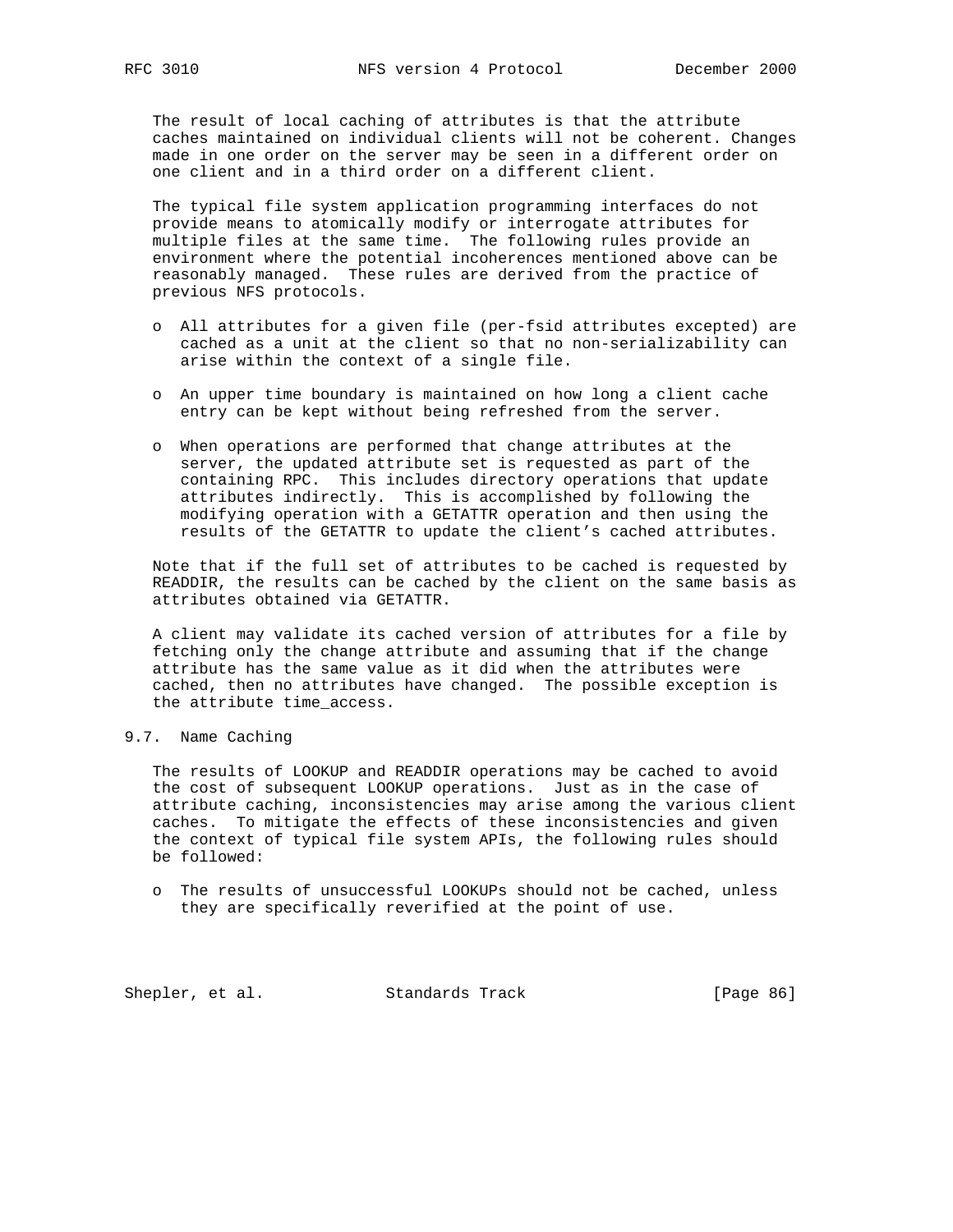The result of local caching of attributes is that the attribute caches maintained on individual clients will not be coherent. Changes made in one order on the server may be seen in a different order on one client and in a third order on a different client.

 The typical file system application programming interfaces do not provide means to atomically modify or interrogate attributes for multiple files at the same time. The following rules provide an environment where the potential incoherences mentioned above can be reasonably managed. These rules are derived from the practice of previous NFS protocols.

- o All attributes for a given file (per-fsid attributes excepted) are cached as a unit at the client so that no non-serializability can arise within the context of a single file.
- o An upper time boundary is maintained on how long a client cache entry can be kept without being refreshed from the server.
- o When operations are performed that change attributes at the server, the updated attribute set is requested as part of the containing RPC. This includes directory operations that update attributes indirectly. This is accomplished by following the modifying operation with a GETATTR operation and then using the results of the GETATTR to update the client's cached attributes.

 Note that if the full set of attributes to be cached is requested by READDIR, the results can be cached by the client on the same basis as attributes obtained via GETATTR.

 A client may validate its cached version of attributes for a file by fetching only the change attribute and assuming that if the change attribute has the same value as it did when the attributes were cached, then no attributes have changed. The possible exception is the attribute time\_access.

# 9.7. Name Caching

 The results of LOOKUP and READDIR operations may be cached to avoid the cost of subsequent LOOKUP operations. Just as in the case of attribute caching, inconsistencies may arise among the various client caches. To mitigate the effects of these inconsistencies and given the context of typical file system APIs, the following rules should be followed:

 o The results of unsuccessful LOOKUPs should not be cached, unless they are specifically reverified at the point of use.

Shepler, et al. Standards Track [Page 86]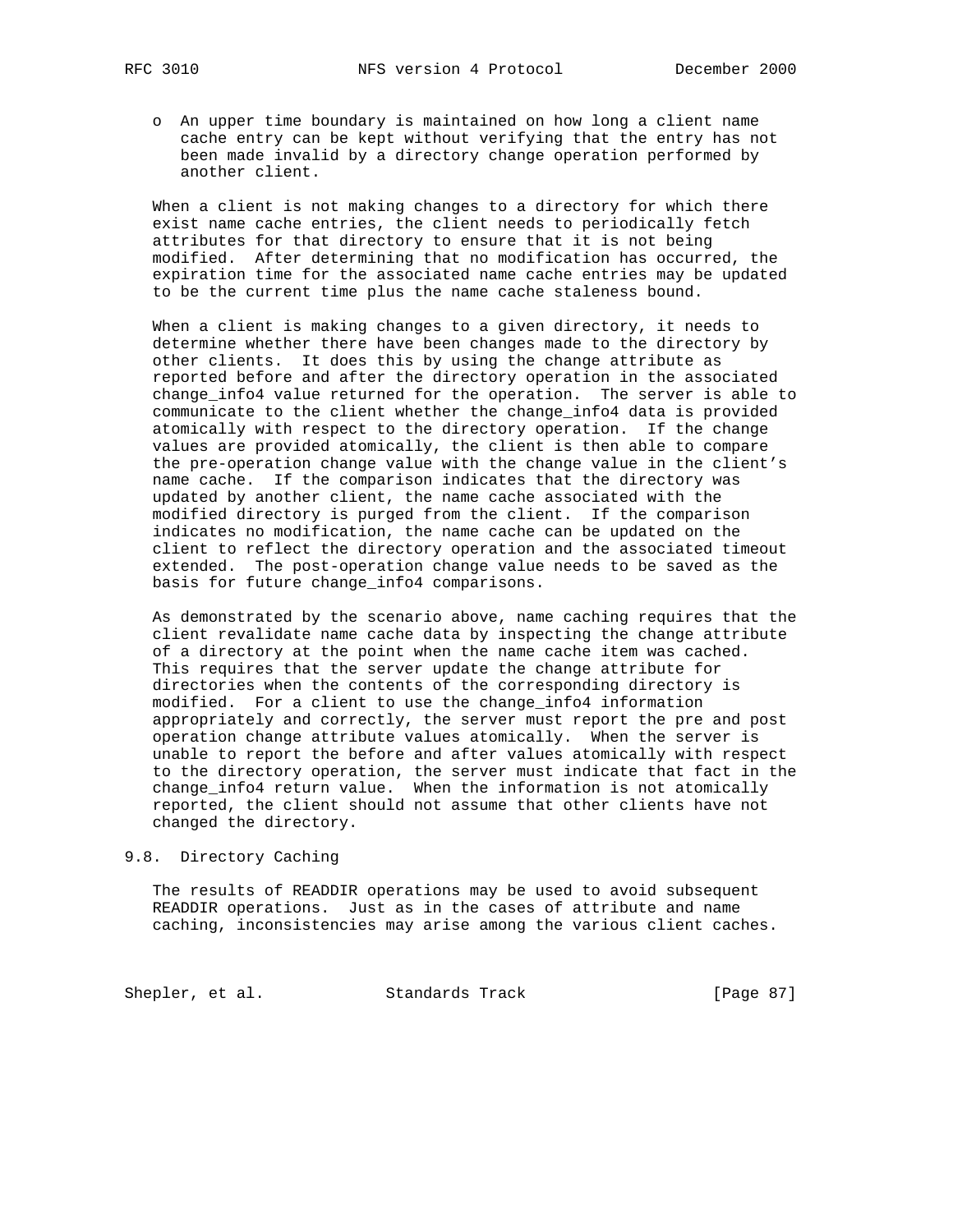- - o An upper time boundary is maintained on how long a client name cache entry can be kept without verifying that the entry has not been made invalid by a directory change operation performed by another client.

 When a client is not making changes to a directory for which there exist name cache entries, the client needs to periodically fetch attributes for that directory to ensure that it is not being modified. After determining that no modification has occurred, the expiration time for the associated name cache entries may be updated to be the current time plus the name cache staleness bound.

 When a client is making changes to a given directory, it needs to determine whether there have been changes made to the directory by other clients. It does this by using the change attribute as reported before and after the directory operation in the associated change\_info4 value returned for the operation. The server is able to communicate to the client whether the change\_info4 data is provided atomically with respect to the directory operation. If the change values are provided atomically, the client is then able to compare the pre-operation change value with the change value in the client's name cache. If the comparison indicates that the directory was updated by another client, the name cache associated with the modified directory is purged from the client. If the comparison indicates no modification, the name cache can be updated on the client to reflect the directory operation and the associated timeout extended. The post-operation change value needs to be saved as the basis for future change\_info4 comparisons.

 As demonstrated by the scenario above, name caching requires that the client revalidate name cache data by inspecting the change attribute of a directory at the point when the name cache item was cached. This requires that the server update the change attribute for directories when the contents of the corresponding directory is modified. For a client to use the change\_info4 information appropriately and correctly, the server must report the pre and post operation change attribute values atomically. When the server is unable to report the before and after values atomically with respect to the directory operation, the server must indicate that fact in the change info4 return value. When the information is not atomically reported, the client should not assume that other clients have not changed the directory.

#### 9.8. Directory Caching

 The results of READDIR operations may be used to avoid subsequent READDIR operations. Just as in the cases of attribute and name caching, inconsistencies may arise among the various client caches.

Shepler, et al. Standards Track [Page 87]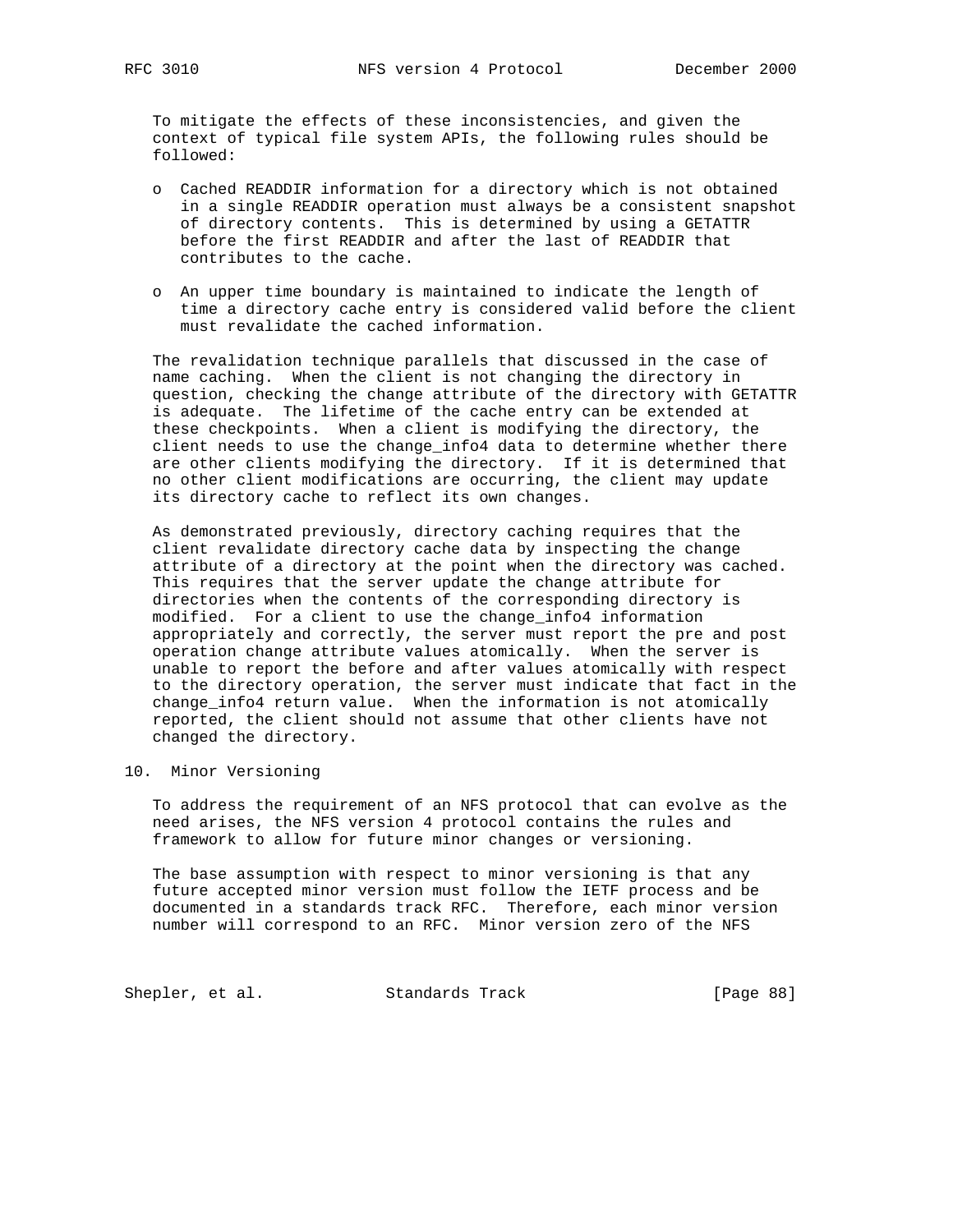To mitigate the effects of these inconsistencies, and given the context of typical file system APIs, the following rules should be followed:

- o Cached READDIR information for a directory which is not obtained in a single READDIR operation must always be a consistent snapshot of directory contents. This is determined by using a GETATTR before the first READDIR and after the last of READDIR that contributes to the cache.
- o An upper time boundary is maintained to indicate the length of time a directory cache entry is considered valid before the client must revalidate the cached information.

 The revalidation technique parallels that discussed in the case of name caching. When the client is not changing the directory in question, checking the change attribute of the directory with GETATTR is adequate. The lifetime of the cache entry can be extended at these checkpoints. When a client is modifying the directory, the client needs to use the change\_info4 data to determine whether there are other clients modifying the directory. If it is determined that no other client modifications are occurring, the client may update its directory cache to reflect its own changes.

 As demonstrated previously, directory caching requires that the client revalidate directory cache data by inspecting the change attribute of a directory at the point when the directory was cached. This requires that the server update the change attribute for directories when the contents of the corresponding directory is modified. For a client to use the change\_info4 information appropriately and correctly, the server must report the pre and post operation change attribute values atomically. When the server is unable to report the before and after values atomically with respect to the directory operation, the server must indicate that fact in the change\_info4 return value. When the information is not atomically reported, the client should not assume that other clients have not changed the directory.

# 10. Minor Versioning

 To address the requirement of an NFS protocol that can evolve as the need arises, the NFS version 4 protocol contains the rules and framework to allow for future minor changes or versioning.

 The base assumption with respect to minor versioning is that any future accepted minor version must follow the IETF process and be documented in a standards track RFC. Therefore, each minor version number will correspond to an RFC. Minor version zero of the NFS

Shepler, et al. Standards Track [Page 88]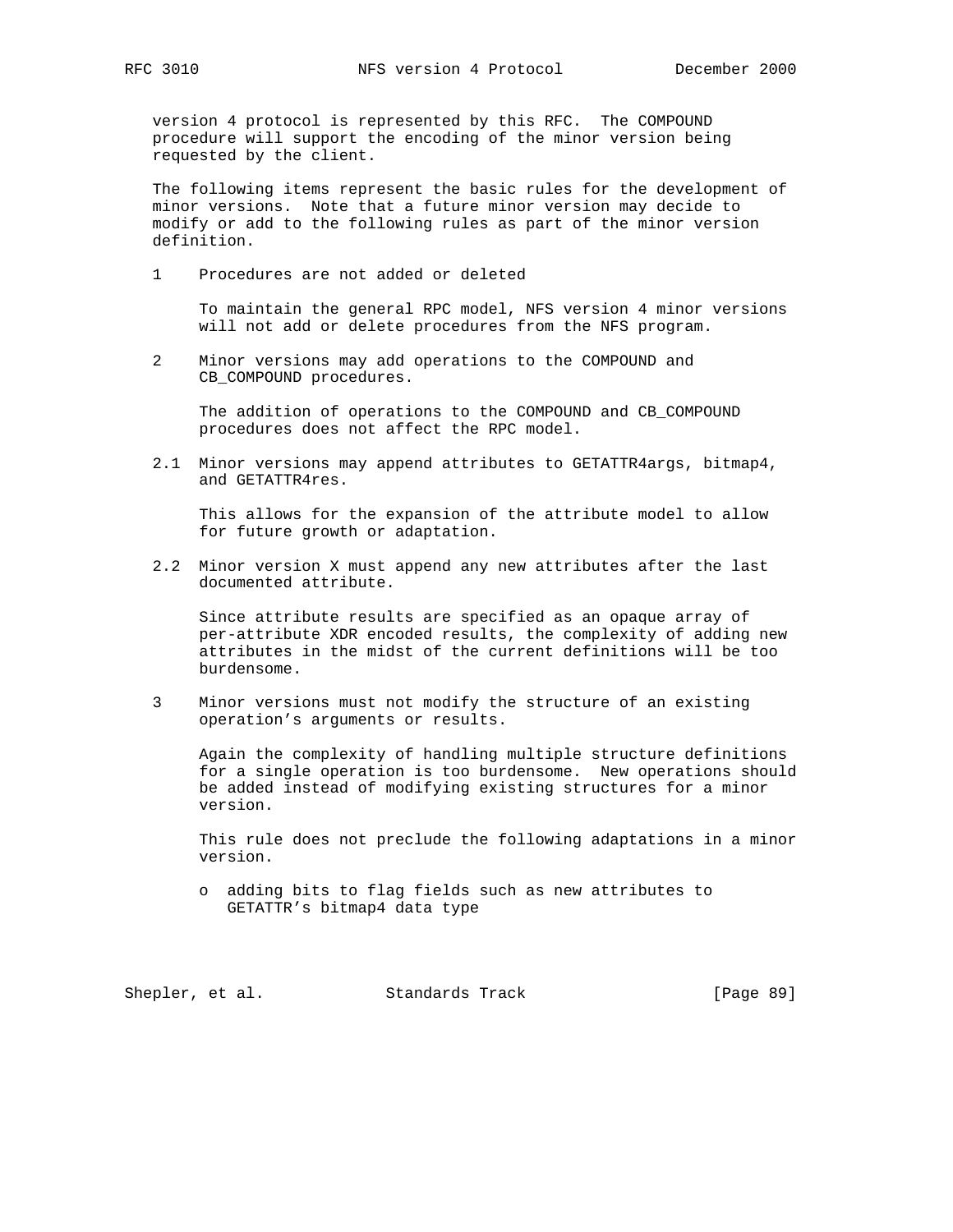version 4 protocol is represented by this RFC. The COMPOUND procedure will support the encoding of the minor version being requested by the client.

 The following items represent the basic rules for the development of minor versions. Note that a future minor version may decide to modify or add to the following rules as part of the minor version definition.

1 Procedures are not added or deleted

 To maintain the general RPC model, NFS version 4 minor versions will not add or delete procedures from the NFS program.

 2 Minor versions may add operations to the COMPOUND and CB COMPOUND procedures.

 The addition of operations to the COMPOUND and CB\_COMPOUND procedures does not affect the RPC model.

 2.1 Minor versions may append attributes to GETATTR4args, bitmap4, and GETATTR4res.

 This allows for the expansion of the attribute model to allow for future growth or adaptation.

 2.2 Minor version X must append any new attributes after the last documented attribute.

 Since attribute results are specified as an opaque array of per-attribute XDR encoded results, the complexity of adding new attributes in the midst of the current definitions will be too burdensome.

 3 Minor versions must not modify the structure of an existing operation's arguments or results.

 Again the complexity of handling multiple structure definitions for a single operation is too burdensome. New operations should be added instead of modifying existing structures for a minor version.

 This rule does not preclude the following adaptations in a minor version.

 o adding bits to flag fields such as new attributes to GETATTR's bitmap4 data type

Shepler, et al. Standards Track [Page 89]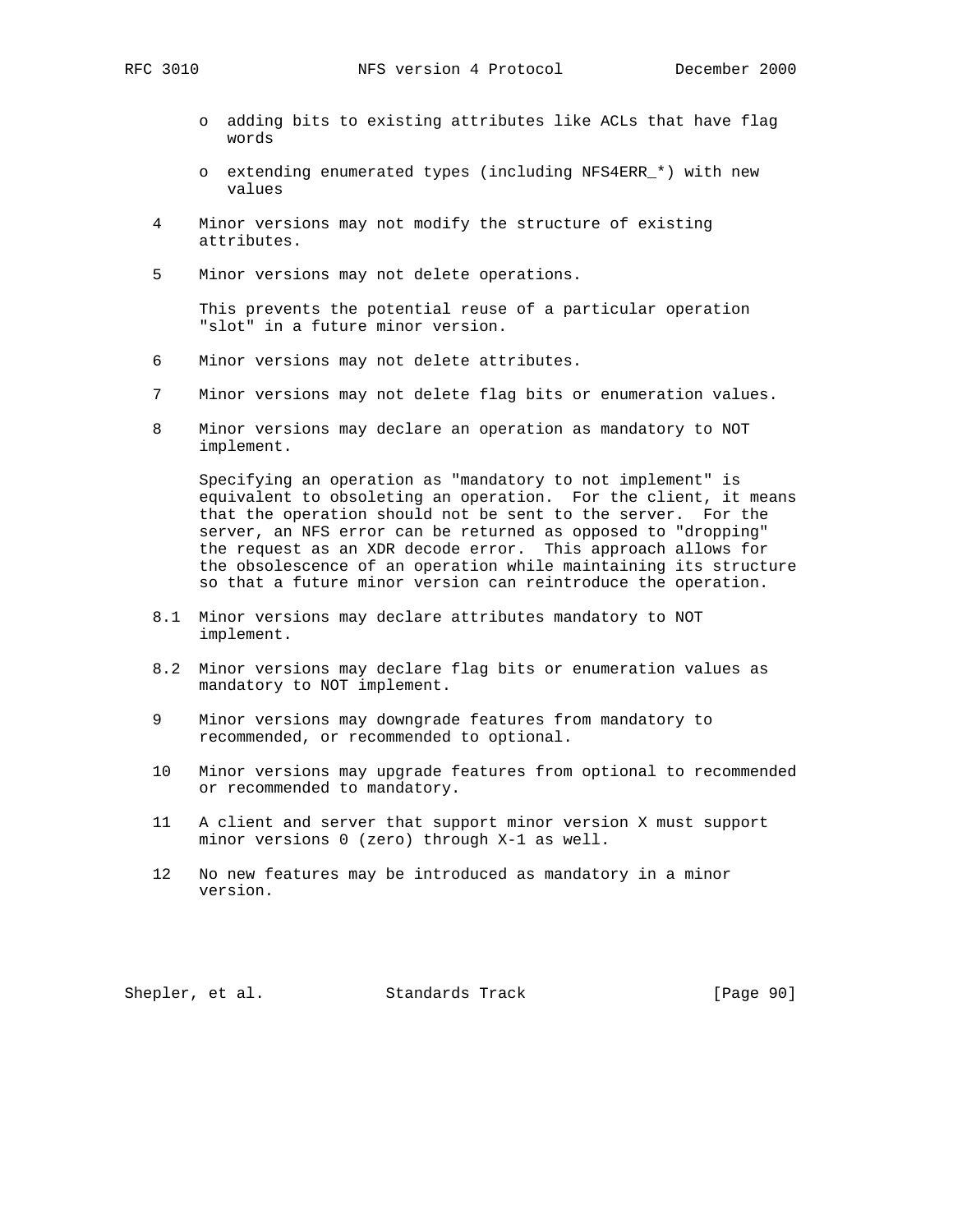- o adding bits to existing attributes like ACLs that have flag words
- o extending enumerated types (including NFS4ERR\_\*) with new values
- 4 Minor versions may not modify the structure of existing attributes.
- 5 Minor versions may not delete operations.

 This prevents the potential reuse of a particular operation "slot" in a future minor version.

- 6 Minor versions may not delete attributes.
- 7 Minor versions may not delete flag bits or enumeration values.
- 8 Minor versions may declare an operation as mandatory to NOT implement.

 Specifying an operation as "mandatory to not implement" is equivalent to obsoleting an operation. For the client, it means that the operation should not be sent to the server. For the server, an NFS error can be returned as opposed to "dropping" the request as an XDR decode error. This approach allows for the obsolescence of an operation while maintaining its structure so that a future minor version can reintroduce the operation.

- 8.1 Minor versions may declare attributes mandatory to NOT implement.
- 8.2 Minor versions may declare flag bits or enumeration values as mandatory to NOT implement.
- 9 Minor versions may downgrade features from mandatory to recommended, or recommended to optional.
- 10 Minor versions may upgrade features from optional to recommended or recommended to mandatory.
- 11 A client and server that support minor version X must support minor versions 0 (zero) through X-1 as well.
- 12 No new features may be introduced as mandatory in a minor version.

Shepler, et al. Standards Track [Page 90]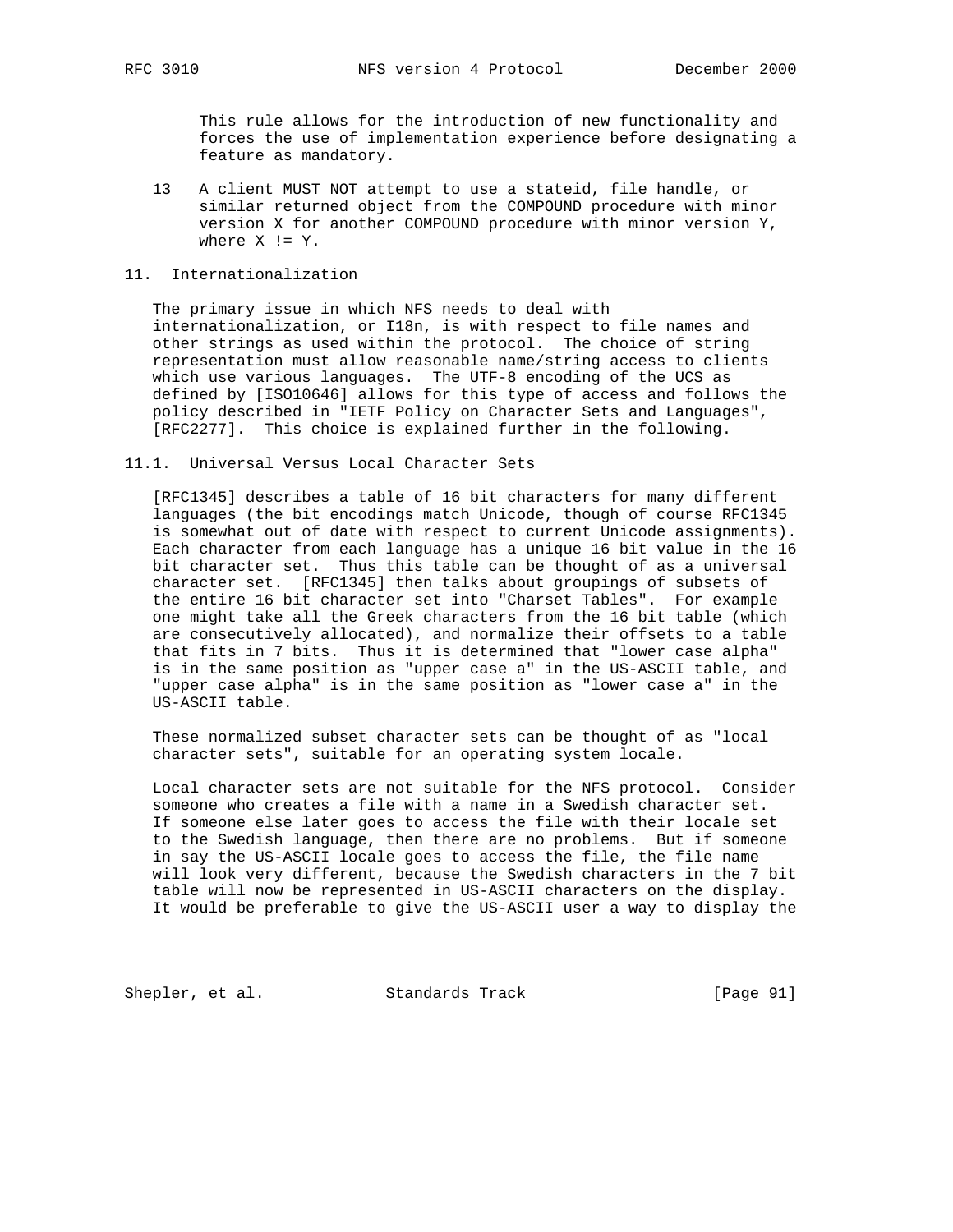This rule allows for the introduction of new functionality and forces the use of implementation experience before designating a feature as mandatory.

 13 A client MUST NOT attempt to use a stateid, file handle, or similar returned object from the COMPOUND procedure with minor version X for another COMPOUND procedure with minor version Y, where  $X := Y$ .

## 11. Internationalization

 The primary issue in which NFS needs to deal with internationalization, or I18n, is with respect to file names and other strings as used within the protocol. The choice of string representation must allow reasonable name/string access to clients which use various languages. The UTF-8 encoding of the UCS as defined by [ISO10646] allows for this type of access and follows the policy described in "IETF Policy on Character Sets and Languages", [RFC2277]. This choice is explained further in the following.

#### 11.1. Universal Versus Local Character Sets

 [RFC1345] describes a table of 16 bit characters for many different languages (the bit encodings match Unicode, though of course RFC1345 is somewhat out of date with respect to current Unicode assignments). Each character from each language has a unique 16 bit value in the 16 bit character set. Thus this table can be thought of as a universal character set. [RFC1345] then talks about groupings of subsets of the entire 16 bit character set into "Charset Tables". For example one might take all the Greek characters from the 16 bit table (which are consecutively allocated), and normalize their offsets to a table that fits in 7 bits. Thus it is determined that "lower case alpha" is in the same position as "upper case a" in the US-ASCII table, and "upper case alpha" is in the same position as "lower case a" in the US-ASCII table.

 These normalized subset character sets can be thought of as "local character sets", suitable for an operating system locale.

 Local character sets are not suitable for the NFS protocol. Consider someone who creates a file with a name in a Swedish character set. If someone else later goes to access the file with their locale set to the Swedish language, then there are no problems. But if someone in say the US-ASCII locale goes to access the file, the file name will look very different, because the Swedish characters in the 7 bit table will now be represented in US-ASCII characters on the display. It would be preferable to give the US-ASCII user a way to display the

Shepler, et al. Standards Track [Page 91]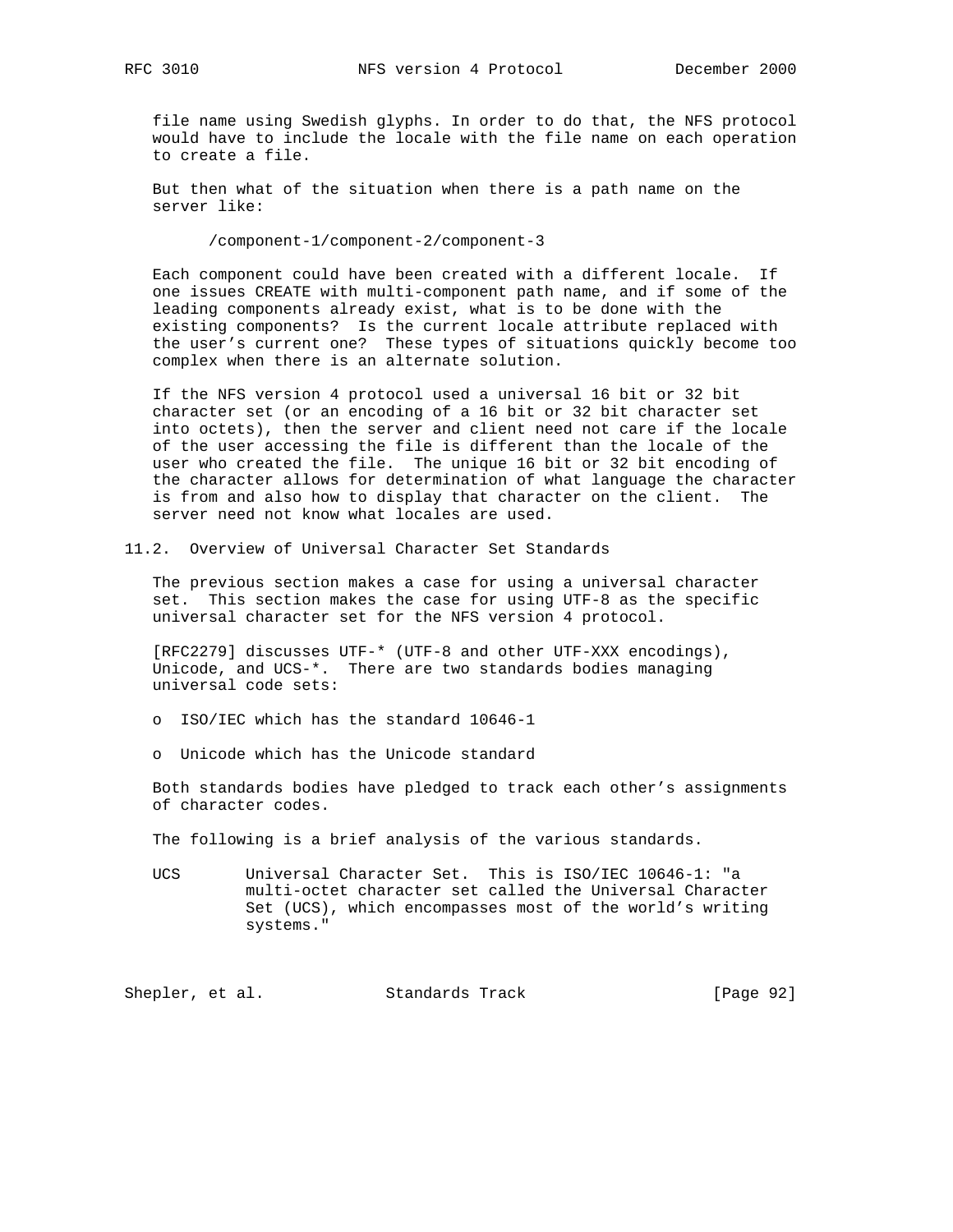file name using Swedish glyphs. In order to do that, the NFS protocol would have to include the locale with the file name on each operation to create a file.

 But then what of the situation when there is a path name on the server like:

/component-1/component-2/component-3

 Each component could have been created with a different locale. If one issues CREATE with multi-component path name, and if some of the leading components already exist, what is to be done with the existing components? Is the current locale attribute replaced with the user's current one? These types of situations quickly become too complex when there is an alternate solution.

 If the NFS version 4 protocol used a universal 16 bit or 32 bit character set (or an encoding of a 16 bit or 32 bit character set into octets), then the server and client need not care if the locale of the user accessing the file is different than the locale of the user who created the file. The unique 16 bit or 32 bit encoding of the character allows for determination of what language the character is from and also how to display that character on the client. The server need not know what locales are used.

11.2. Overview of Universal Character Set Standards

 The previous section makes a case for using a universal character set. This section makes the case for using UTF-8 as the specific universal character set for the NFS version 4 protocol.

 [RFC2279] discusses UTF-\* (UTF-8 and other UTF-XXX encodings), Unicode, and UCS-\*. There are two standards bodies managing universal code sets:

o ISO/IEC which has the standard 10646-1

o Unicode which has the Unicode standard

 Both standards bodies have pledged to track each other's assignments of character codes.

The following is a brief analysis of the various standards.

 UCS Universal Character Set. This is ISO/IEC 10646-1: "a multi-octet character set called the Universal Character Set (UCS), which encompasses most of the world's writing systems."

Shepler, et al. Standards Track [Page 92]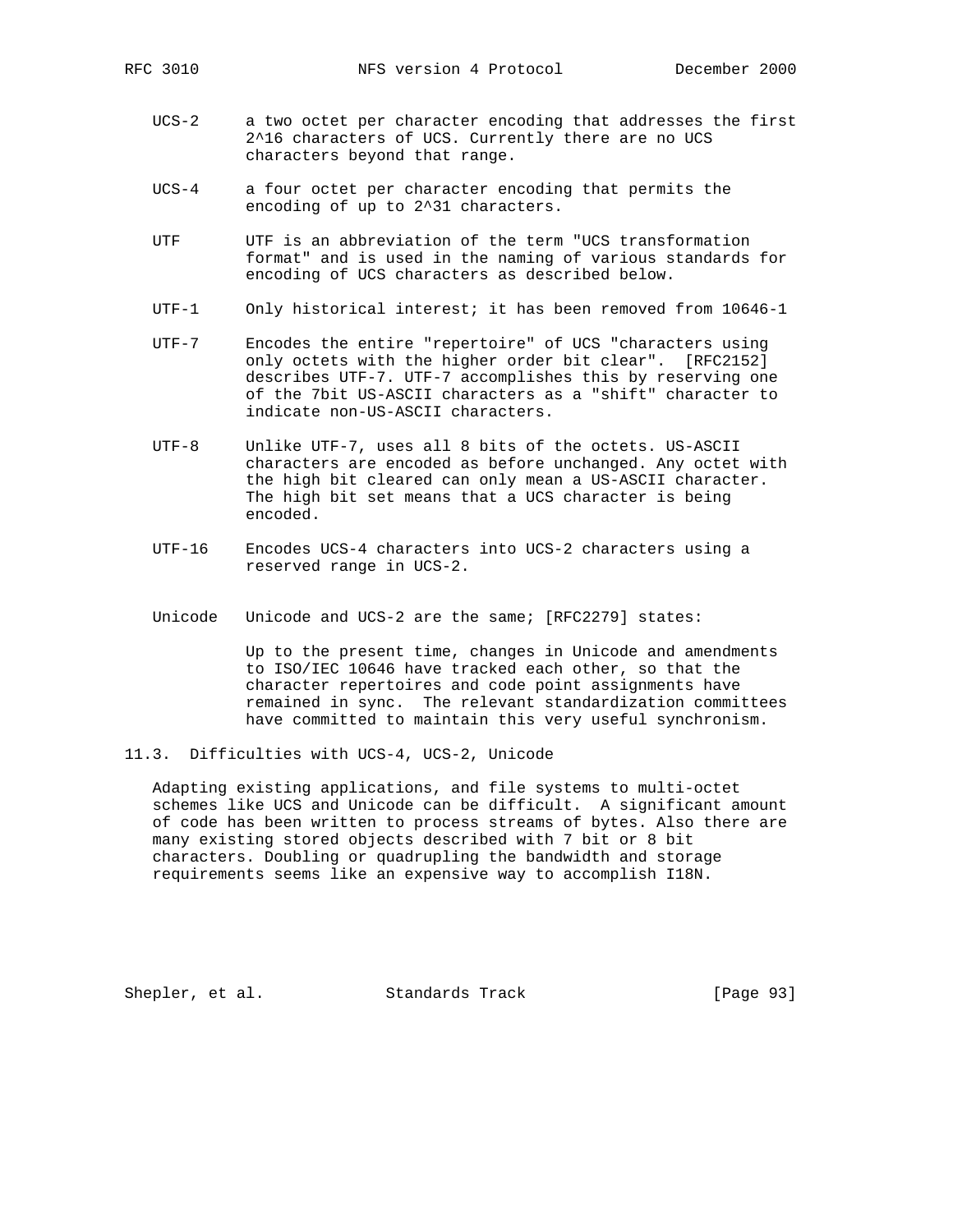- UCS-2 a two octet per character encoding that addresses the first 2^16 characters of UCS. Currently there are no UCS characters beyond that range.
- UCS-4 a four octet per character encoding that permits the encoding of up to 2^31 characters.
- UTF UTF is an abbreviation of the term "UCS transformation format" and is used in the naming of various standards for encoding of UCS characters as described below.
- UTF-1 Only historical interest; it has been removed from 10646-1
- UTF-7 Encodes the entire "repertoire" of UCS "characters using only octets with the higher order bit clear". [RFC2152] describes UTF-7. UTF-7 accomplishes this by reserving one of the 7bit US-ASCII characters as a "shift" character to indicate non-US-ASCII characters.
- UTF-8 Unlike UTF-7, uses all 8 bits of the octets. US-ASCII characters are encoded as before unchanged. Any octet with the high bit cleared can only mean a US-ASCII character. The high bit set means that a UCS character is being encoded.
- UTF-16 Encodes UCS-4 characters into UCS-2 characters using a reserved range in UCS-2.
- Unicode Unicode and UCS-2 are the same; [RFC2279] states:

 Up to the present time, changes in Unicode and amendments to ISO/IEC 10646 have tracked each other, so that the character repertoires and code point assignments have remained in sync. The relevant standardization committees have committed to maintain this very useful synchronism.

11.3. Difficulties with UCS-4, UCS-2, Unicode

 Adapting existing applications, and file systems to multi-octet schemes like UCS and Unicode can be difficult. A significant amount of code has been written to process streams of bytes. Also there are many existing stored objects described with 7 bit or 8 bit characters. Doubling or quadrupling the bandwidth and storage requirements seems like an expensive way to accomplish I18N.

Shepler, et al. Standards Track [Page 93]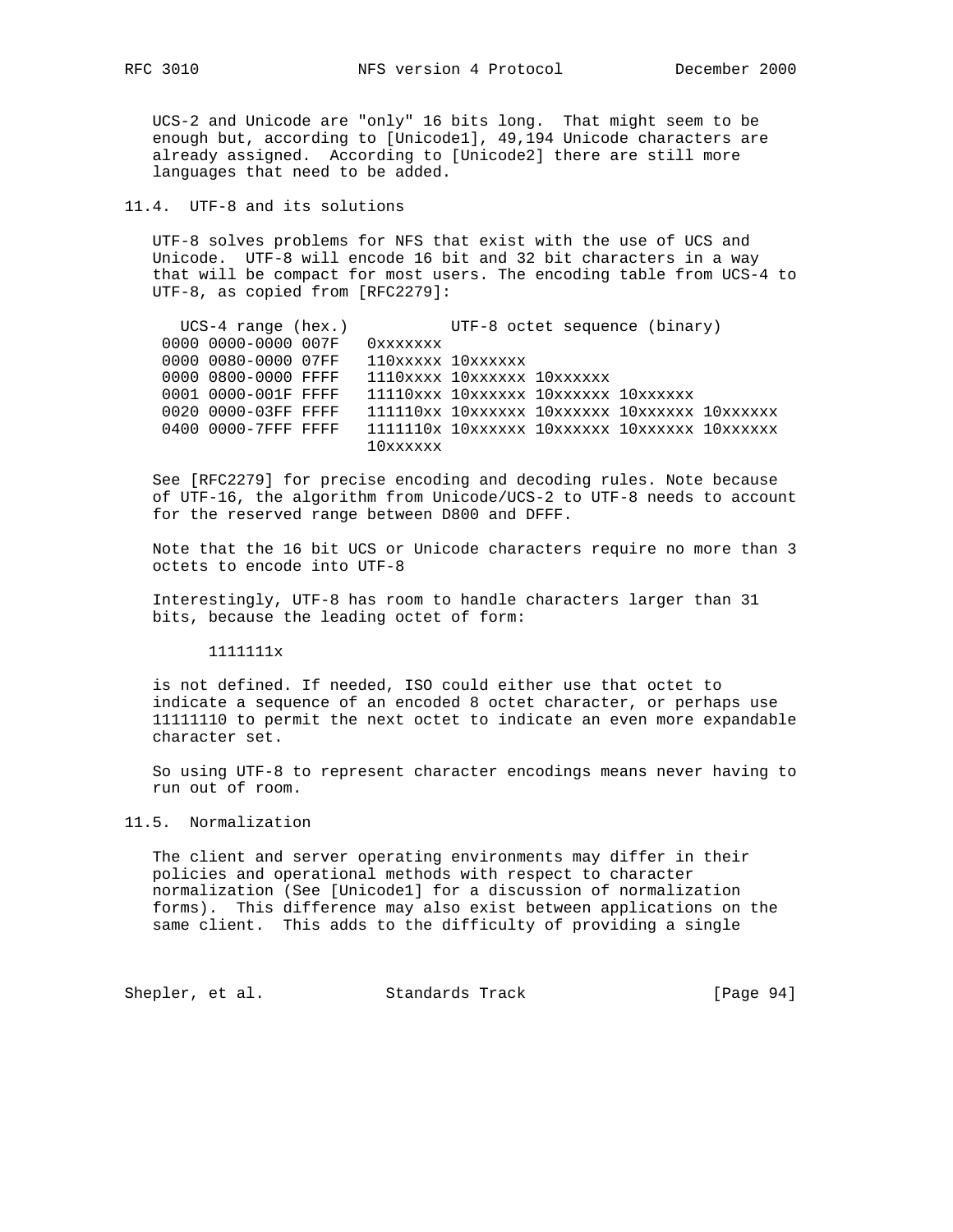UCS-2 and Unicode are "only" 16 bits long. That might seem to be enough but, according to [Unicode1], 49,194 Unicode characters are already assigned. According to [Unicode2] there are still more languages that need to be added.

## 11.4. UTF-8 and its solutions

 UTF-8 solves problems for NFS that exist with the use of UCS and Unicode. UTF-8 will encode 16 bit and 32 bit characters in a way that will be compact for most users. The encoding table from UCS-4 to UTF-8, as copied from [RFC2279]:

| $UCS-4$ range (hex.) |                   | UTF-8 octet sequence (binary)                       |
|----------------------|-------------------|-----------------------------------------------------|
| 0000 0000-0000 007F  | Oxxxxxxx          |                                                     |
| 0000 0080-0000 07FF  | 110xxxxx 10xxxxxx |                                                     |
| 0000 0800-0000 FFFF  |                   | 1110xxxx 10xxxxxx 10xxxxxx                          |
| 0001 0000-001F FFFF  |                   | 11110xxx 10xxxxxx 10xxxxxx 10xxxxxx                 |
| 0020 0000-03FF FFFF  |                   | 111110xx 10xxxxxx 10xxxxxx 10xxxxxx 10xxxxxx        |
| 0400 0000-7FFF FFFF  |                   | $1111110x$ $10xxxxx$ $10xxxxx$ $10xxxxxx$ $10xxxxx$ |
|                      | 10xxxxxx          |                                                     |

 See [RFC2279] for precise encoding and decoding rules. Note because of UTF-16, the algorithm from Unicode/UCS-2 to UTF-8 needs to account for the reserved range between D800 and DFFF.

 Note that the 16 bit UCS or Unicode characters require no more than 3 octets to encode into UTF-8

 Interestingly, UTF-8 has room to handle characters larger than 31 bits, because the leading octet of form:

1111111x

 is not defined. If needed, ISO could either use that octet to indicate a sequence of an encoded 8 octet character, or perhaps use 11111110 to permit the next octet to indicate an even more expandable character set.

 So using UTF-8 to represent character encodings means never having to run out of room.

### 11.5. Normalization

 The client and server operating environments may differ in their policies and operational methods with respect to character normalization (See [Unicode1] for a discussion of normalization forms). This difference may also exist between applications on the same client. This adds to the difficulty of providing a single

Shepler, et al. Standards Track [Page 94]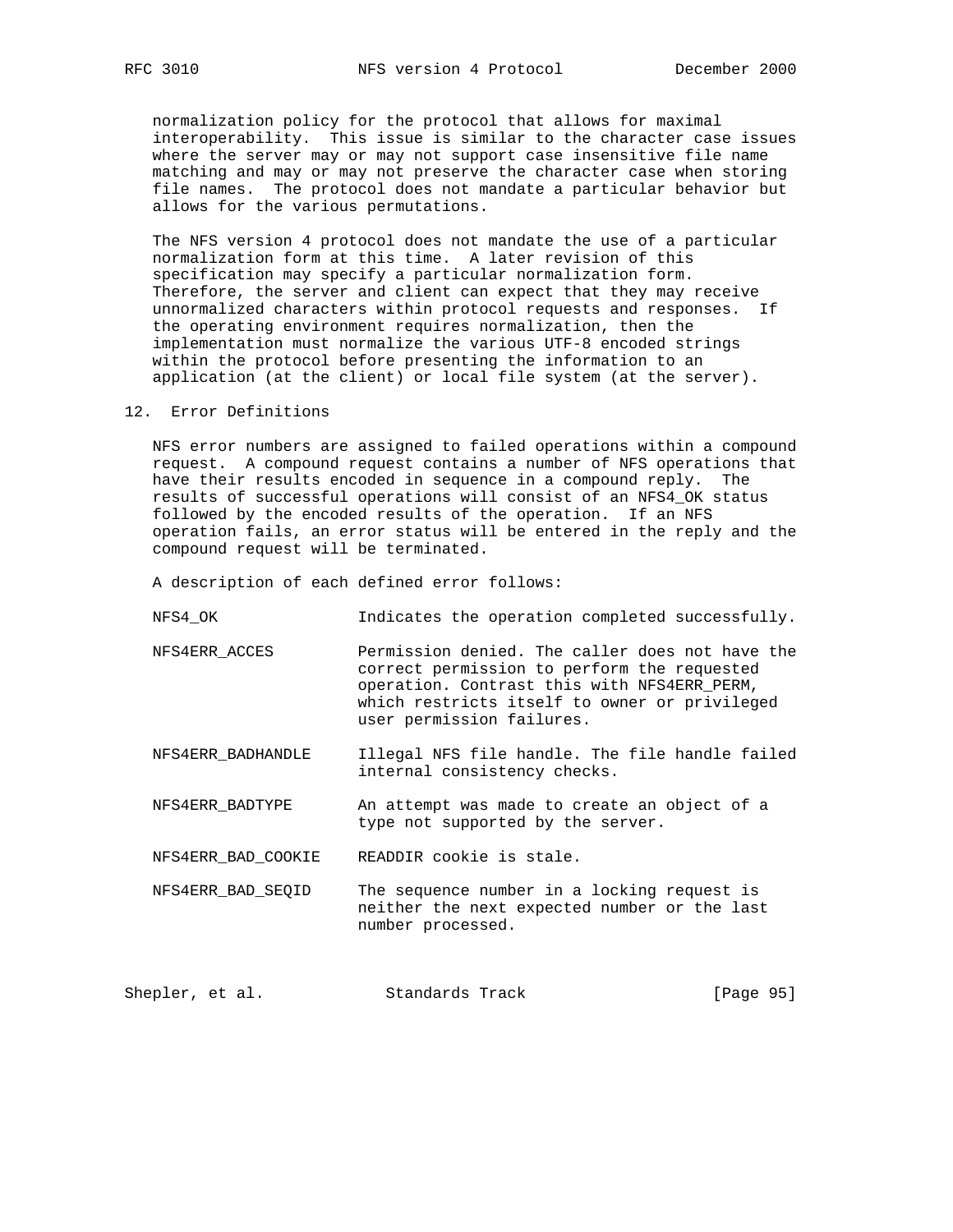normalization policy for the protocol that allows for maximal interoperability. This issue is similar to the character case issues where the server may or may not support case insensitive file name matching and may or may not preserve the character case when storing file names. The protocol does not mandate a particular behavior but allows for the various permutations.

 The NFS version 4 protocol does not mandate the use of a particular normalization form at this time. A later revision of this specification may specify a particular normalization form. Therefore, the server and client can expect that they may receive unnormalized characters within protocol requests and responses. If the operating environment requires normalization, then the implementation must normalize the various UTF-8 encoded strings within the protocol before presenting the information to an application (at the client) or local file system (at the server).

#### 12. Error Definitions

 NFS error numbers are assigned to failed operations within a compound request. A compound request contains a number of NFS operations that have their results encoded in sequence in a compound reply. The results of successful operations will consist of an NFS4\_OK status followed by the encoded results of the operation. If an NFS operation fails, an error status will be entered in the reply and the compound request will be terminated.

A description of each defined error follows:

- NFS4\_OK Indicates the operation completed successfully.
- NFS4ERR\_ACCES Permission denied. The caller does not have the correct permission to perform the requested operation. Contrast this with NFS4ERR\_PERM, which restricts itself to owner or privileged user permission failures.
- NFS4ERR\_BADHANDLE Illegal NFS file handle. The file handle failed internal consistency checks.
- NFS4ERR\_BADTYPE An attempt was made to create an object of a type not supported by the server.

NFS4ERR\_BAD\_COOKIE READDIR cookie is stale.

 NFS4ERR\_BAD\_SEQID The sequence number in a locking request is neither the next expected number or the last number processed.

Shepler, et al. Standards Track [Page 95]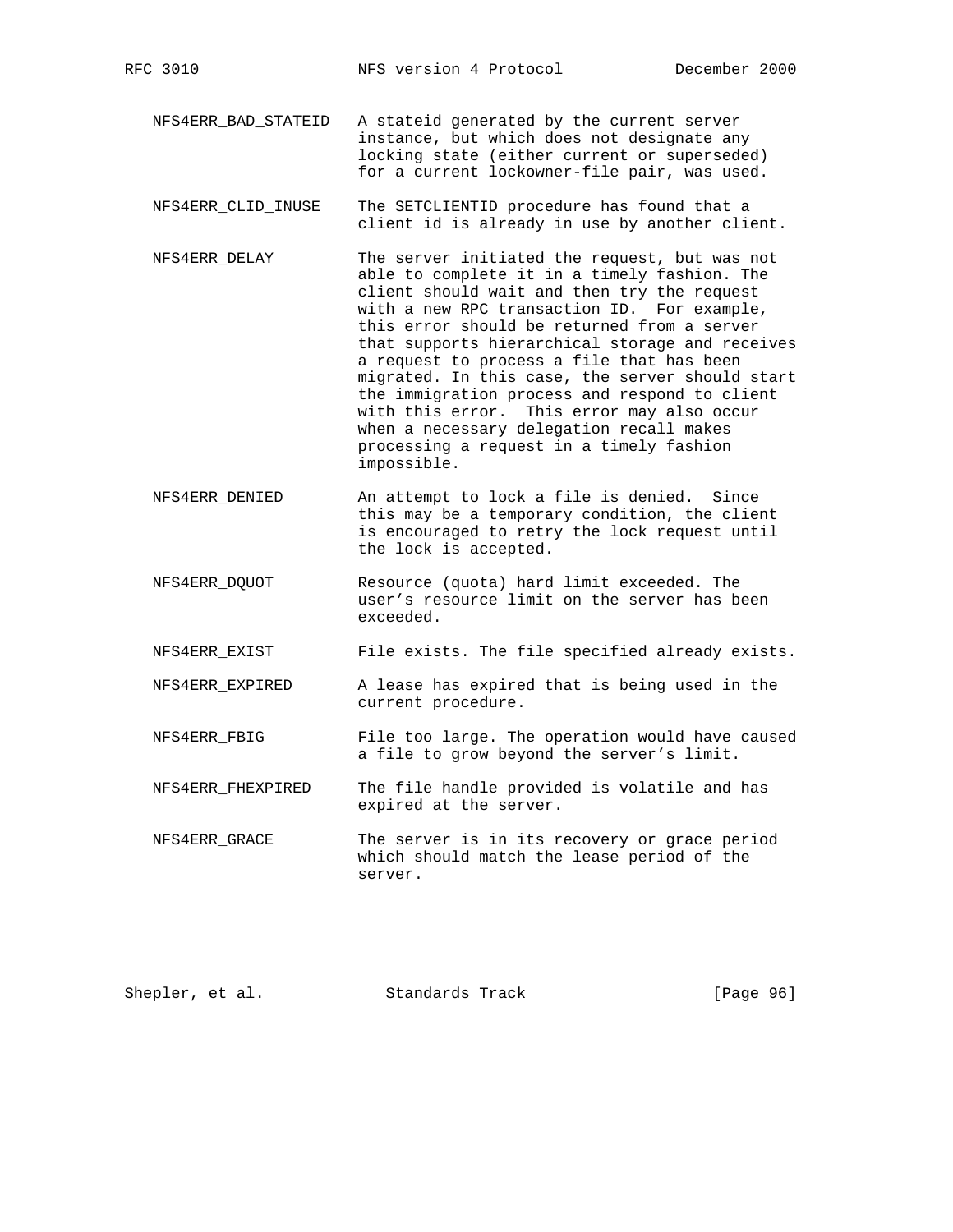- NFS4ERR\_BAD\_STATEID A stateid generated by the current server instance, but which does not designate any locking state (either current or superseded) for a current lockowner-file pair, was used.
- NFS4ERR\_CLID\_INUSE The SETCLIENTID procedure has found that a client id is already in use by another client.
- NFS4ERR\_DELAY The server initiated the request, but was not able to complete it in a timely fashion. The client should wait and then try the request with a new RPC transaction ID. For example, this error should be returned from a server that supports hierarchical storage and receives a request to process a file that has been migrated. In this case, the server should start the immigration process and respond to client with this error. This error may also occur when a necessary delegation recall makes processing a request in a timely fashion impossible.
- NFS4ERR\_DENIED An attempt to lock a file is denied. Since this may be a temporary condition, the client is encouraged to retry the lock request until the lock is accepted.
- NFS4ERR\_DQUOT Resource (quota) hard limit exceeded. The user's resource limit on the server has been exceeded.
- NFS4ERR\_EXIST File exists. The file specified already exists.
- NFS4ERR\_EXPIRED A lease has expired that is being used in the current procedure.
- NFS4ERR\_FBIG File too large. The operation would have caused a file to grow beyond the server's limit.
- NFS4ERR FHEXPIRED The file handle provided is volatile and has expired at the server.
- NFS4ERR\_GRACE The server is in its recovery or grace period which should match the lease period of the server.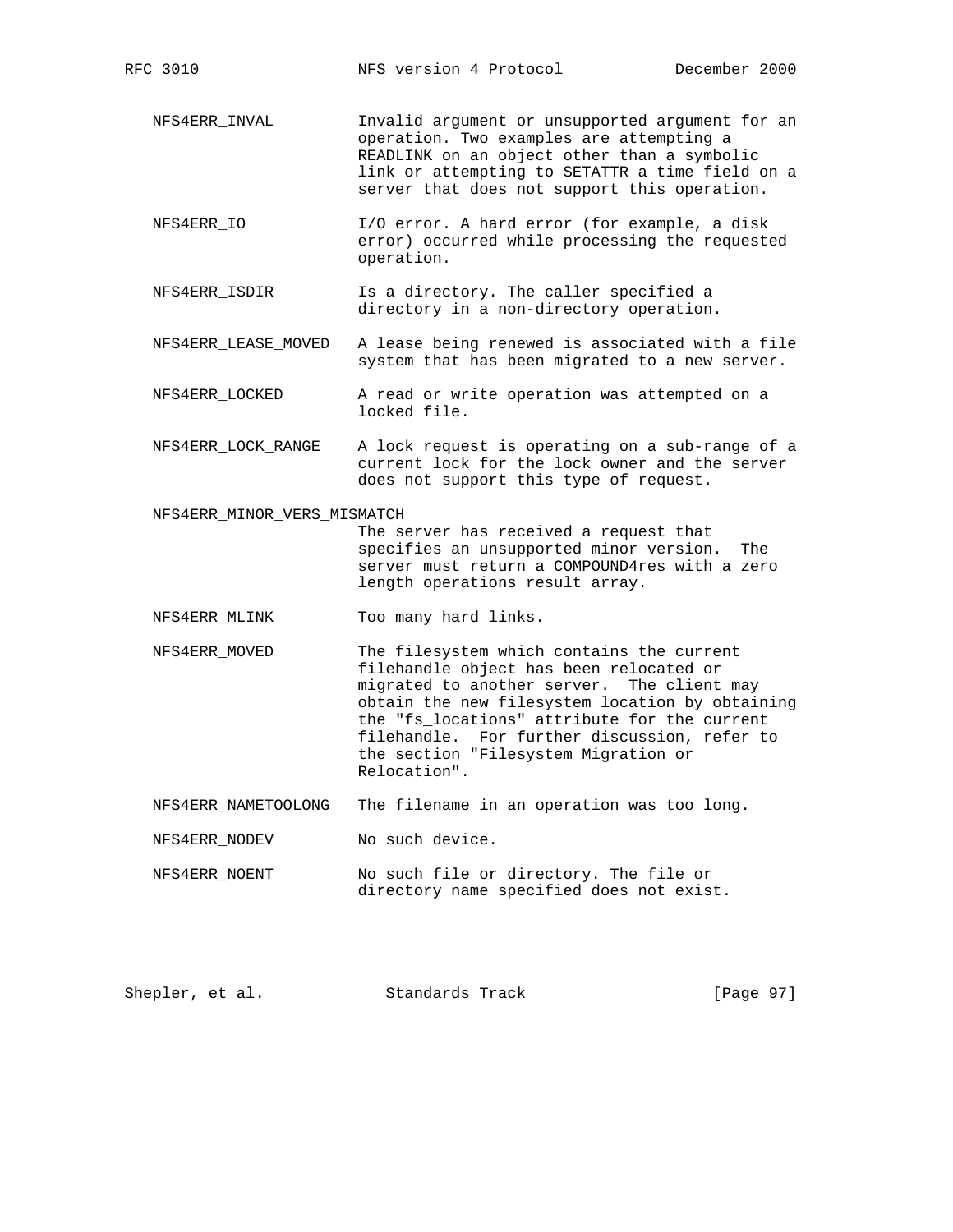- NFS4ERR\_INVAL Invalid argument or unsupported argument for an operation. Two examples are attempting a READLINK on an object other than a symbolic link or attempting to SETATTR a time field on a server that does not support this operation.
- NFS4ERR\_IO I/O error. A hard error (for example, a disk error) occurred while processing the requested operation.
- NFS4ERR\_ISDIR Is a directory. The caller specified a directory in a non-directory operation.
- NFS4ERR\_LEASE\_MOVED A lease being renewed is associated with a file system that has been migrated to a new server.
- NFS4ERR\_LOCKED A read or write operation was attempted on a locked file.
- NFS4ERR\_LOCK\_RANGE A lock request is operating on a sub-range of a current lock for the lock owner and the server does not support this type of request.

NFS4ERR\_MINOR\_VERS\_MISMATCH

 The server has received a request that specifies an unsupported minor version. The server must return a COMPOUND4res with a zero length operations result array.

- NFS4ERR\_MLINK Too many hard links.
- NFS4ERR\_MOVED The filesystem which contains the current filehandle object has been relocated or migrated to another server. The client may obtain the new filesystem location by obtaining the "fs\_locations" attribute for the current filehandle. For further discussion, refer to the section "Filesystem Migration or Relocation".
- NFS4ERR\_NAMETOOLONG The filename in an operation was too long.
- NFS4ERR\_NODEV No such device.
- NFS4ERR\_NOENT No such file or directory. The file or directory name specified does not exist.

| [Page 97]<br>Shepler, et al.<br>Standards Track |  |  |
|-------------------------------------------------|--|--|
|-------------------------------------------------|--|--|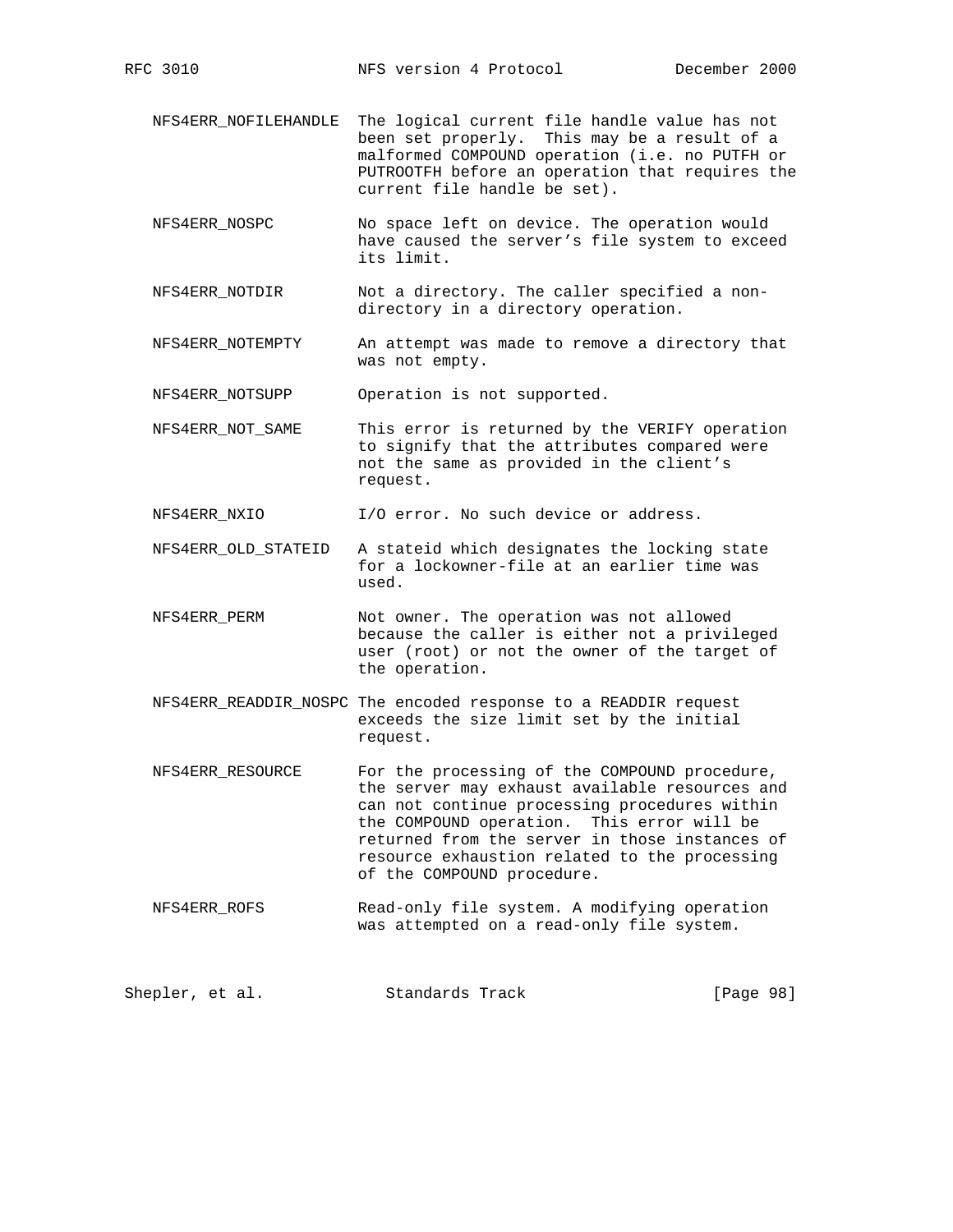- NFS4ERR\_NOFILEHANDLE The logical current file handle value has not been set properly. This may be a result of a malformed COMPOUND operation (i.e. no PUTFH or PUTROOTFH before an operation that requires the current file handle be set).
- NFS4ERR\_NOSPC No space left on device. The operation would have caused the server's file system to exceed its limit.
- NFS4ERR\_NOTDIR Not a directory. The caller specified a non directory in a directory operation.
- NFS4ERR\_NOTEMPTY An attempt was made to remove a directory that was not empty.

NFS4ERR\_NOTSUPP Operation is not supported.

 NFS4ERR\_NOT\_SAME This error is returned by the VERIFY operation to signify that the attributes compared were not the same as provided in the client's request.

NFS4ERR\_NXIO I/O error. No such device or address.

- NFS4ERR\_OLD\_STATEID A stateid which designates the locking state for a lockowner-file at an earlier time was used.
- NFS4ERR\_PERM Not owner. The operation was not allowed because the caller is either not a privileged user (root) or not the owner of the target of the operation.
- NFS4ERR\_READDIR\_NOSPC The encoded response to a READDIR request exceeds the size limit set by the initial request.
- NFS4ERR\_RESOURCE For the processing of the COMPOUND procedure, the server may exhaust available resources and can not continue processing procedures within the COMPOUND operation. This error will be returned from the server in those instances of resource exhaustion related to the processing of the COMPOUND procedure.
- NFS4ERR\_ROFS Read-only file system. A modifying operation was attempted on a read-only file system.

Shepler, et al. Standards Track [Page 98]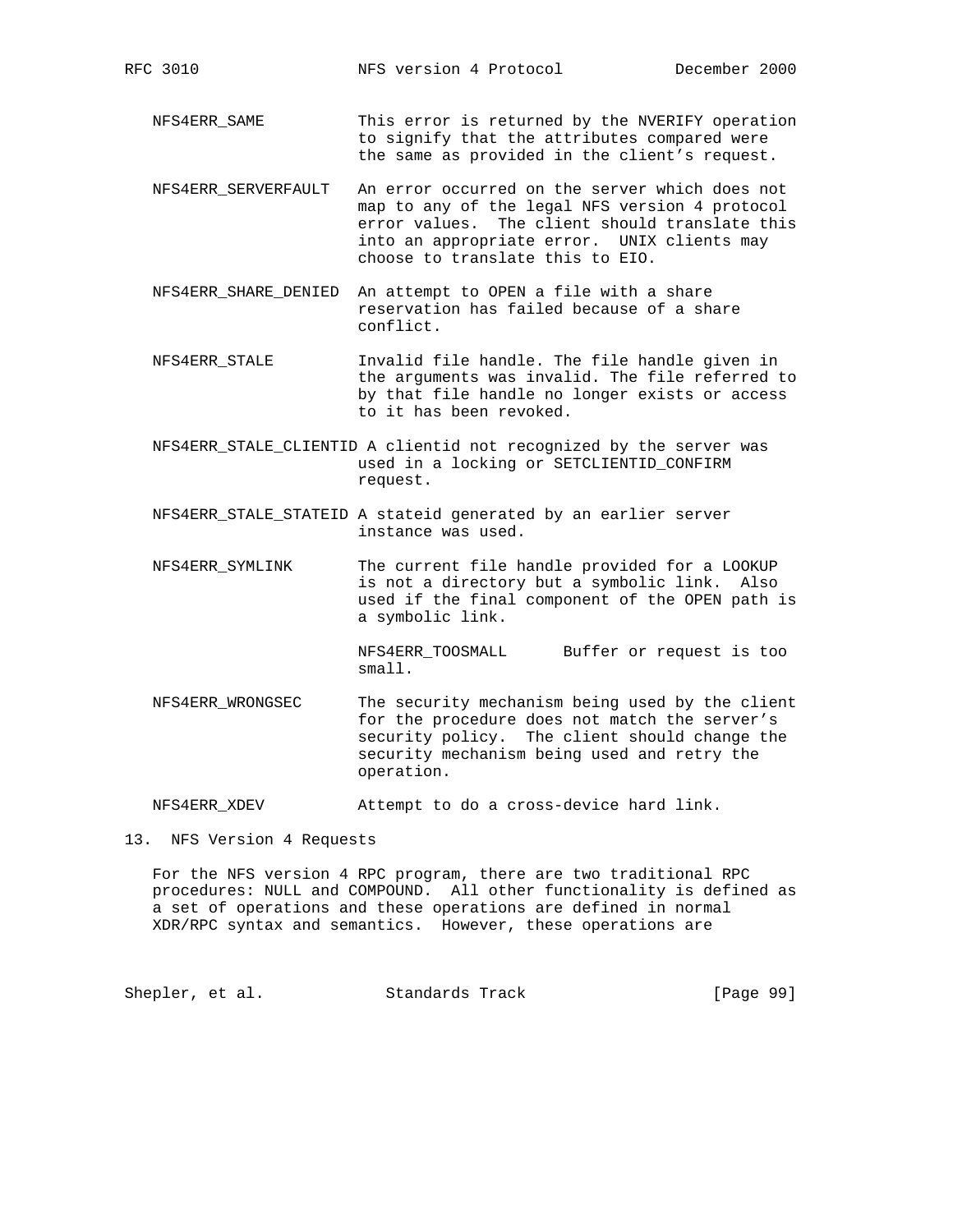NFS4ERR\_SAME This error is returned by the NVERIFY operation to signify that the attributes compared were the same as provided in the client's request.

- NFS4ERR\_SERVERFAULT An error occurred on the server which does not map to any of the legal NFS version 4 protocol error values. The client should translate this into an appropriate error. UNIX clients may choose to translate this to EIO.
- NFS4ERR\_SHARE\_DENIED An attempt to OPEN a file with a share reservation has failed because of a share conflict.
- NFS4ERR\_STALE Invalid file handle. The file handle given in the arguments was invalid. The file referred to by that file handle no longer exists or access to it has been revoked.
- NFS4ERR\_STALE\_CLIENTID A clientid not recognized by the server was used in a locking or SETCLIENTID\_CONFIRM request.
- NFS4ERR\_STALE\_STATEID A stateid generated by an earlier server instance was used.
- NFS4ERR\_SYMLINK The current file handle provided for a LOOKUP is not a directory but a symbolic link. Also used if the final component of the OPEN path is a symbolic link.

 NFS4ERR\_TOOSMALL Buffer or request is too small.

 NFS4ERR\_WRONGSEC The security mechanism being used by the client for the procedure does not match the server's security policy. The client should change the security mechanism being used and retry the operation.

NFS4ERR\_XDEV Attempt to do a cross-device hard link.

13. NFS Version 4 Requests

 For the NFS version 4 RPC program, there are two traditional RPC procedures: NULL and COMPOUND. All other functionality is defined as a set of operations and these operations are defined in normal XDR/RPC syntax and semantics. However, these operations are

Shepler, et al. Standards Track [Page 99]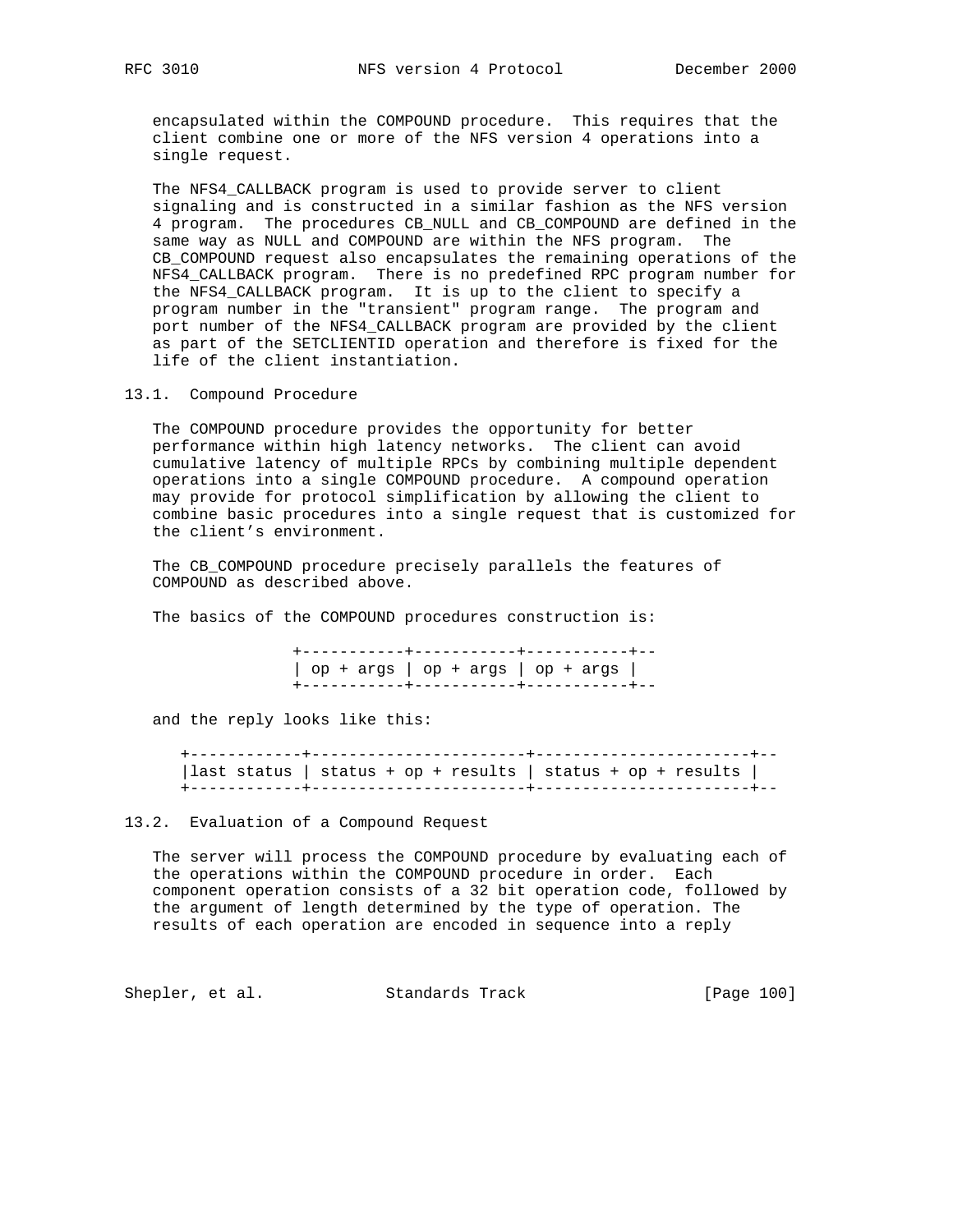encapsulated within the COMPOUND procedure. This requires that the client combine one or more of the NFS version 4 operations into a single request.

 The NFS4\_CALLBACK program is used to provide server to client signaling and is constructed in a similar fashion as the NFS version 4 program. The procedures CB\_NULL and CB\_COMPOUND are defined in the same way as NULL and COMPOUND are within the NFS program. The CB\_COMPOUND request also encapsulates the remaining operations of the NFS4\_CALLBACK program. There is no predefined RPC program number for the NFS4\_CALLBACK program. It is up to the client to specify a program number in the "transient" program range. The program and port number of the NFS4\_CALLBACK program are provided by the client as part of the SETCLIENTID operation and therefore is fixed for the life of the client instantiation.

13.1. Compound Procedure

 The COMPOUND procedure provides the opportunity for better performance within high latency networks. The client can avoid cumulative latency of multiple RPCs by combining multiple dependent operations into a single COMPOUND procedure. A compound operation may provide for protocol simplification by allowing the client to combine basic procedures into a single request that is customized for the client's environment.

 The CB\_COMPOUND procedure precisely parallels the features of COMPOUND as described above.

The basics of the COMPOUND procedures construction is:

 +-----------+-----------+-----------+--  $\log + \arg s$  | op + args | op + args | +-----------+-----------+-----------+--

and the reply looks like this:

 +------------+-----------------------+-----------------------+-- |last status | status + op + results | status + op + results | +------------+-----------------------+-----------------------+--

13.2. Evaluation of a Compound Request

 The server will process the COMPOUND procedure by evaluating each of the operations within the COMPOUND procedure in order. Each component operation consists of a 32 bit operation code, followed by the argument of length determined by the type of operation. The results of each operation are encoded in sequence into a reply

Shepler, et al. Standards Track [Page 100]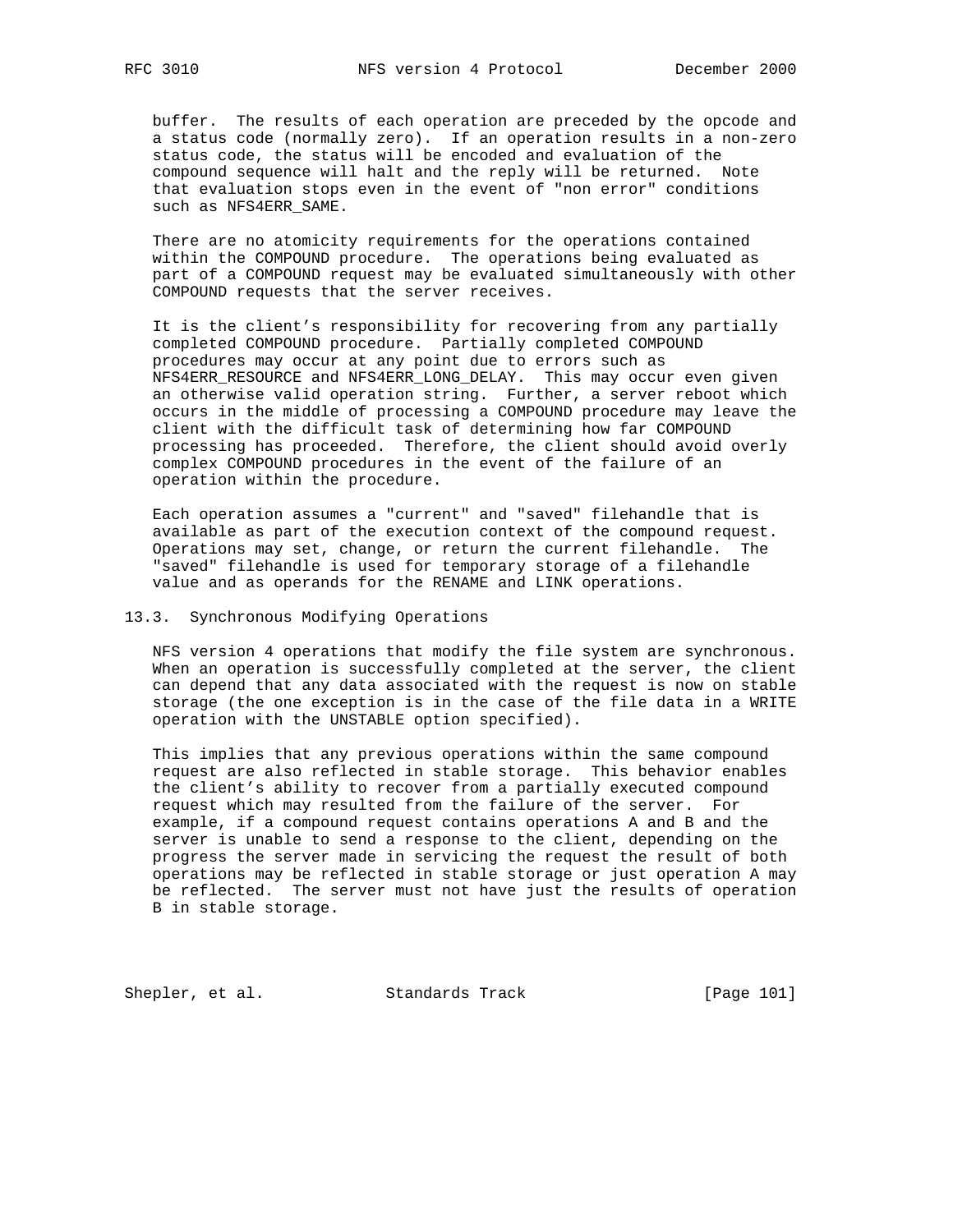buffer. The results of each operation are preceded by the opcode and a status code (normally zero). If an operation results in a non-zero status code, the status will be encoded and evaluation of the compound sequence will halt and the reply will be returned. Note that evaluation stops even in the event of "non error" conditions such as NFS4ERR\_SAME.

 There are no atomicity requirements for the operations contained within the COMPOUND procedure. The operations being evaluated as part of a COMPOUND request may be evaluated simultaneously with other COMPOUND requests that the server receives.

 It is the client's responsibility for recovering from any partially completed COMPOUND procedure. Partially completed COMPOUND procedures may occur at any point due to errors such as NFS4ERR\_RESOURCE and NFS4ERR\_LONG\_DELAY. This may occur even given an otherwise valid operation string. Further, a server reboot which occurs in the middle of processing a COMPOUND procedure may leave the client with the difficult task of determining how far COMPOUND processing has proceeded. Therefore, the client should avoid overly complex COMPOUND procedures in the event of the failure of an operation within the procedure.

 Each operation assumes a "current" and "saved" filehandle that is available as part of the execution context of the compound request. Operations may set, change, or return the current filehandle. The "saved" filehandle is used for temporary storage of a filehandle value and as operands for the RENAME and LINK operations.

## 13.3. Synchronous Modifying Operations

 NFS version 4 operations that modify the file system are synchronous. When an operation is successfully completed at the server, the client can depend that any data associated with the request is now on stable storage (the one exception is in the case of the file data in a WRITE operation with the UNSTABLE option specified).

 This implies that any previous operations within the same compound request are also reflected in stable storage. This behavior enables the client's ability to recover from a partially executed compound request which may resulted from the failure of the server. For example, if a compound request contains operations A and B and the server is unable to send a response to the client, depending on the progress the server made in servicing the request the result of both operations may be reflected in stable storage or just operation A may be reflected. The server must not have just the results of operation B in stable storage.

Shepler, et al. Standards Track [Page 101]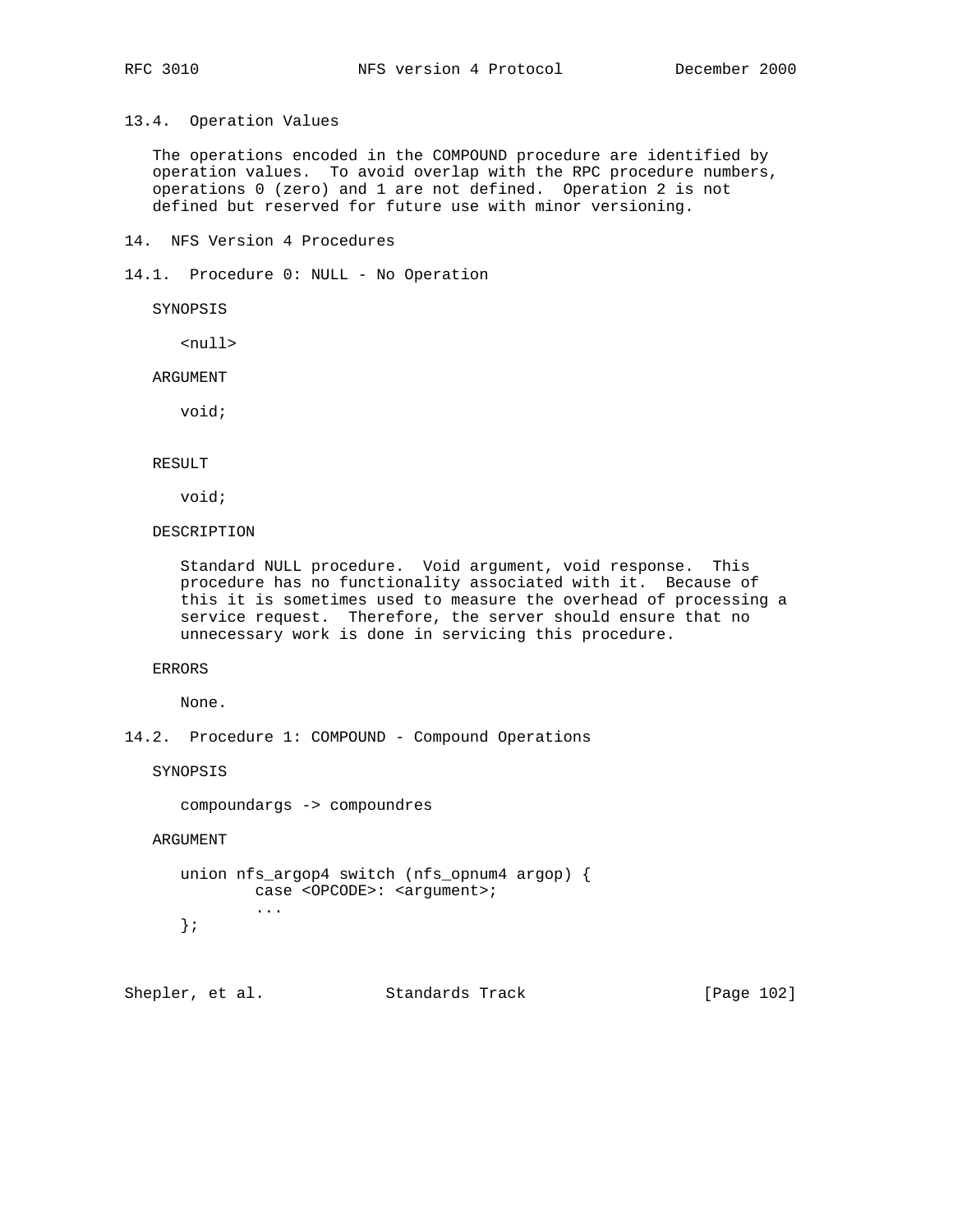13.4. Operation Values

 The operations encoded in the COMPOUND procedure are identified by operation values. To avoid overlap with the RPC procedure numbers, operations 0 (zero) and 1 are not defined. Operation 2 is not defined but reserved for future use with minor versioning.

14. NFS Version 4 Procedures

14.1. Procedure 0: NULL - No Operation

SYNOPSIS

<null>

ARGUMENT

void;

#### RESULT

void;

DESCRIPTION

 Standard NULL procedure. Void argument, void response. This procedure has no functionality associated with it. Because of this it is sometimes used to measure the overhead of processing a service request. Therefore, the server should ensure that no unnecessary work is done in servicing this procedure.

ERRORS

None.

14.2. Procedure 1: COMPOUND - Compound Operations

SYNOPSIS

compoundargs -> compoundres

ARGUMENT

```
 union nfs_argop4 switch (nfs_opnum4 argop) {
        case <OPCODE>: <argument>;
         ...
 };
```
Shepler, et al. Standards Track [Page 102]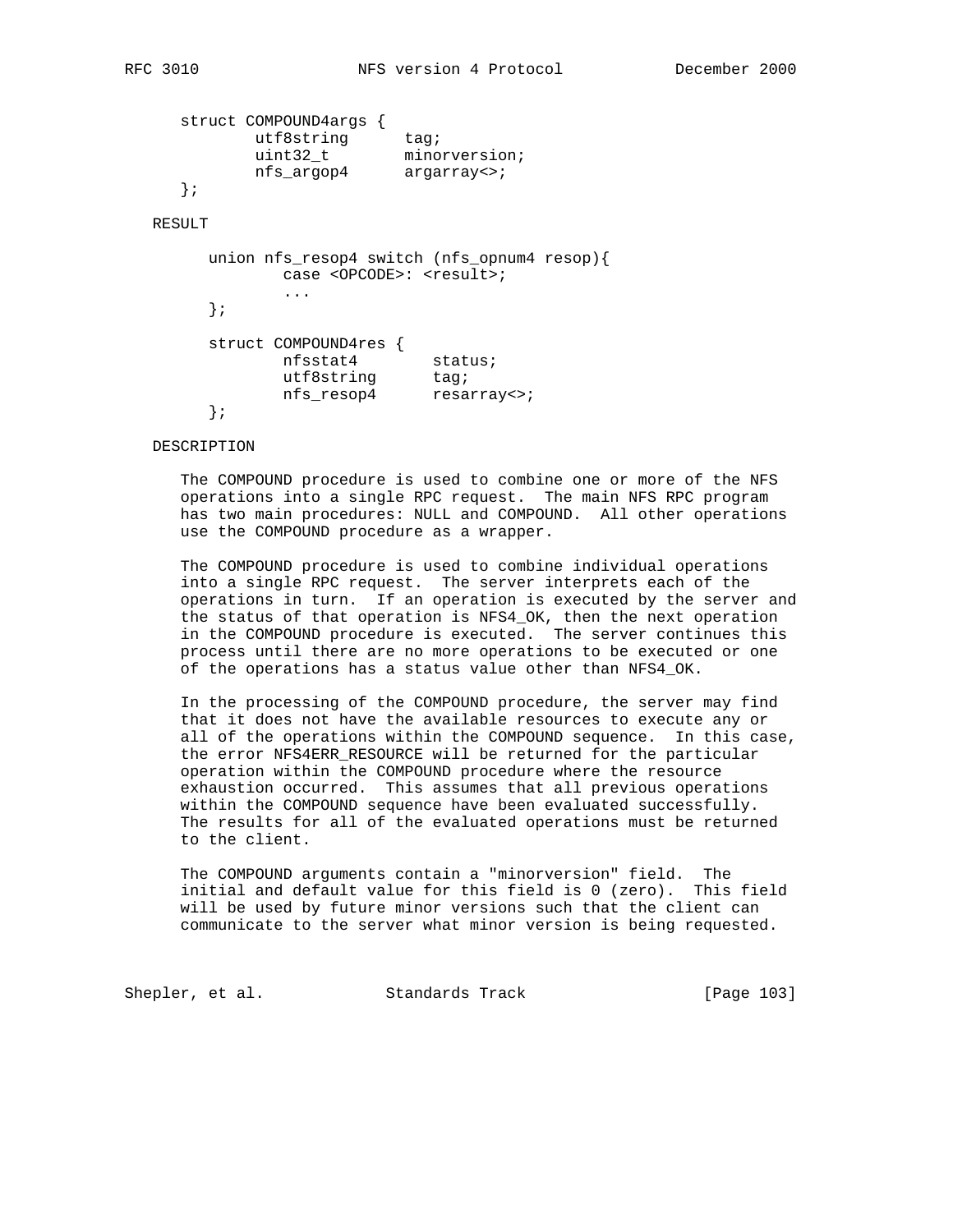```
 struct COMPOUND4args {
utf8string tag;
uint32_t minorversion;
                uint32_t minorversio<br/>
{\tt mfs\_argop4} \qquad {\tt argarray} \leftrightarrow \, {\tt i} };
```
# RESULT

```
 union nfs_resop4 switch (nfs_opnum4 resop){
            case <OPCODE>: <result>;
             ...
       };
       struct COMPOUND4res {
nfsstat4 status;
utf8string tag;
 nfs_resop4 resarray<>;
       };
```
# DESCRIPTION

 The COMPOUND procedure is used to combine one or more of the NFS operations into a single RPC request. The main NFS RPC program has two main procedures: NULL and COMPOUND. All other operations use the COMPOUND procedure as a wrapper.

 The COMPOUND procedure is used to combine individual operations into a single RPC request. The server interprets each of the operations in turn. If an operation is executed by the server and the status of that operation is NFS4\_OK, then the next operation in the COMPOUND procedure is executed. The server continues this process until there are no more operations to be executed or one of the operations has a status value other than NFS4\_OK.

 In the processing of the COMPOUND procedure, the server may find that it does not have the available resources to execute any or all of the operations within the COMPOUND sequence. In this case, the error NFS4ERR\_RESOURCE will be returned for the particular operation within the COMPOUND procedure where the resource exhaustion occurred. This assumes that all previous operations within the COMPOUND sequence have been evaluated successfully. The results for all of the evaluated operations must be returned to the client.

 The COMPOUND arguments contain a "minorversion" field. The initial and default value for this field is 0 (zero). This field will be used by future minor versions such that the client can communicate to the server what minor version is being requested.

Shepler, et al. Standards Track [Page 103]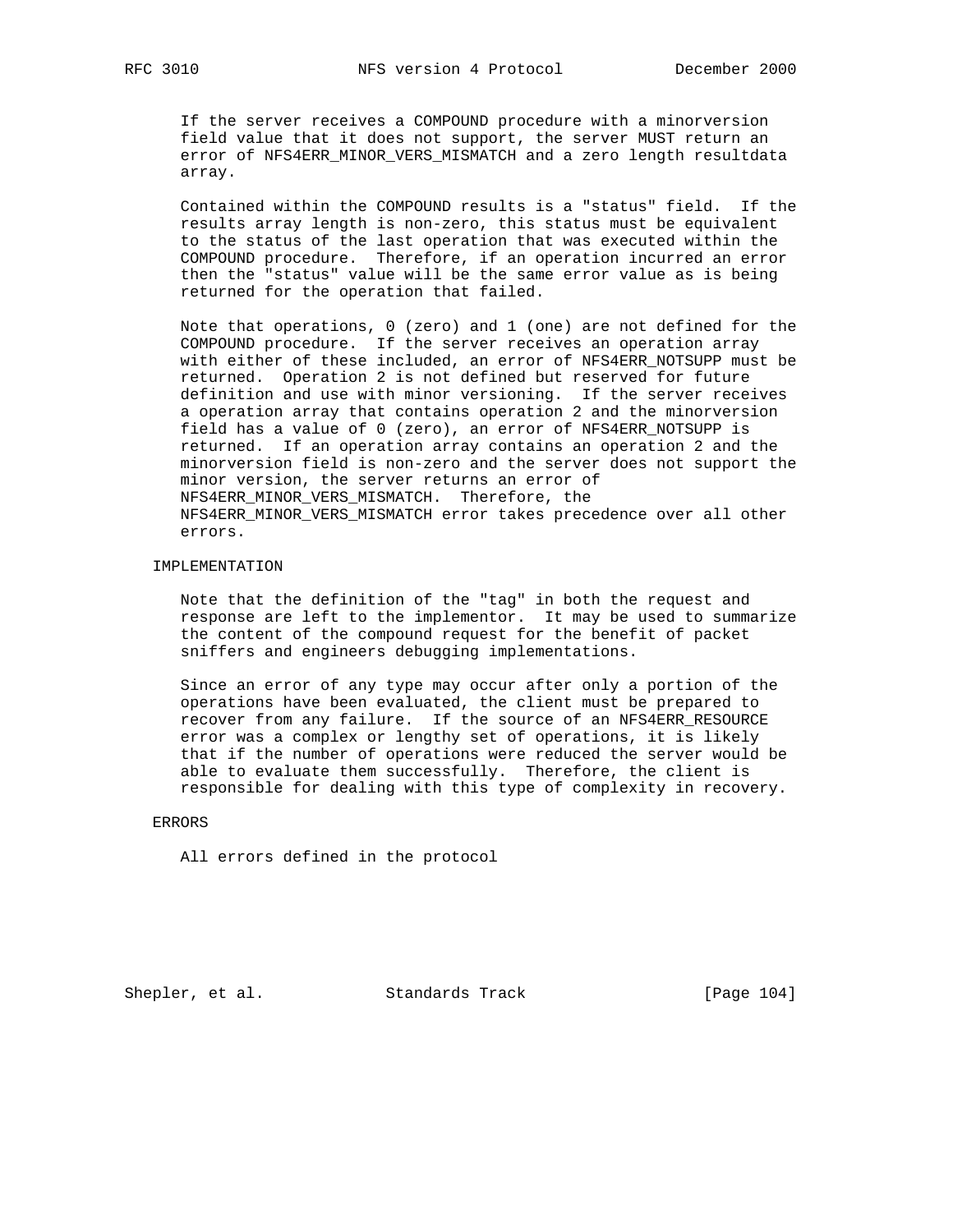If the server receives a COMPOUND procedure with a minorversion field value that it does not support, the server MUST return an error of NFS4ERR\_MINOR\_VERS\_MISMATCH and a zero length resultdata array.

 Contained within the COMPOUND results is a "status" field. If the results array length is non-zero, this status must be equivalent to the status of the last operation that was executed within the COMPOUND procedure. Therefore, if an operation incurred an error then the "status" value will be the same error value as is being returned for the operation that failed.

 Note that operations, 0 (zero) and 1 (one) are not defined for the COMPOUND procedure. If the server receives an operation array with either of these included, an error of NFS4ERR\_NOTSUPP must be returned. Operation 2 is not defined but reserved for future definition and use with minor versioning. If the server receives a operation array that contains operation 2 and the minorversion field has a value of 0 (zero), an error of NFS4ERR\_NOTSUPP is returned. If an operation array contains an operation 2 and the minorversion field is non-zero and the server does not support the minor version, the server returns an error of NFS4ERR\_MINOR\_VERS\_MISMATCH. Therefore, the NFS4ERR\_MINOR\_VERS\_MISMATCH error takes precedence over all other errors.

#### IMPLEMENTATION

 Note that the definition of the "tag" in both the request and response are left to the implementor. It may be used to summarize the content of the compound request for the benefit of packet sniffers and engineers debugging implementations.

 Since an error of any type may occur after only a portion of the operations have been evaluated, the client must be prepared to recover from any failure. If the source of an NFS4ERR\_RESOURCE error was a complex or lengthy set of operations, it is likely that if the number of operations were reduced the server would be able to evaluate them successfully. Therefore, the client is responsible for dealing with this type of complexity in recovery.

#### ERRORS

All errors defined in the protocol

Shepler, et al. Standards Track [Page 104]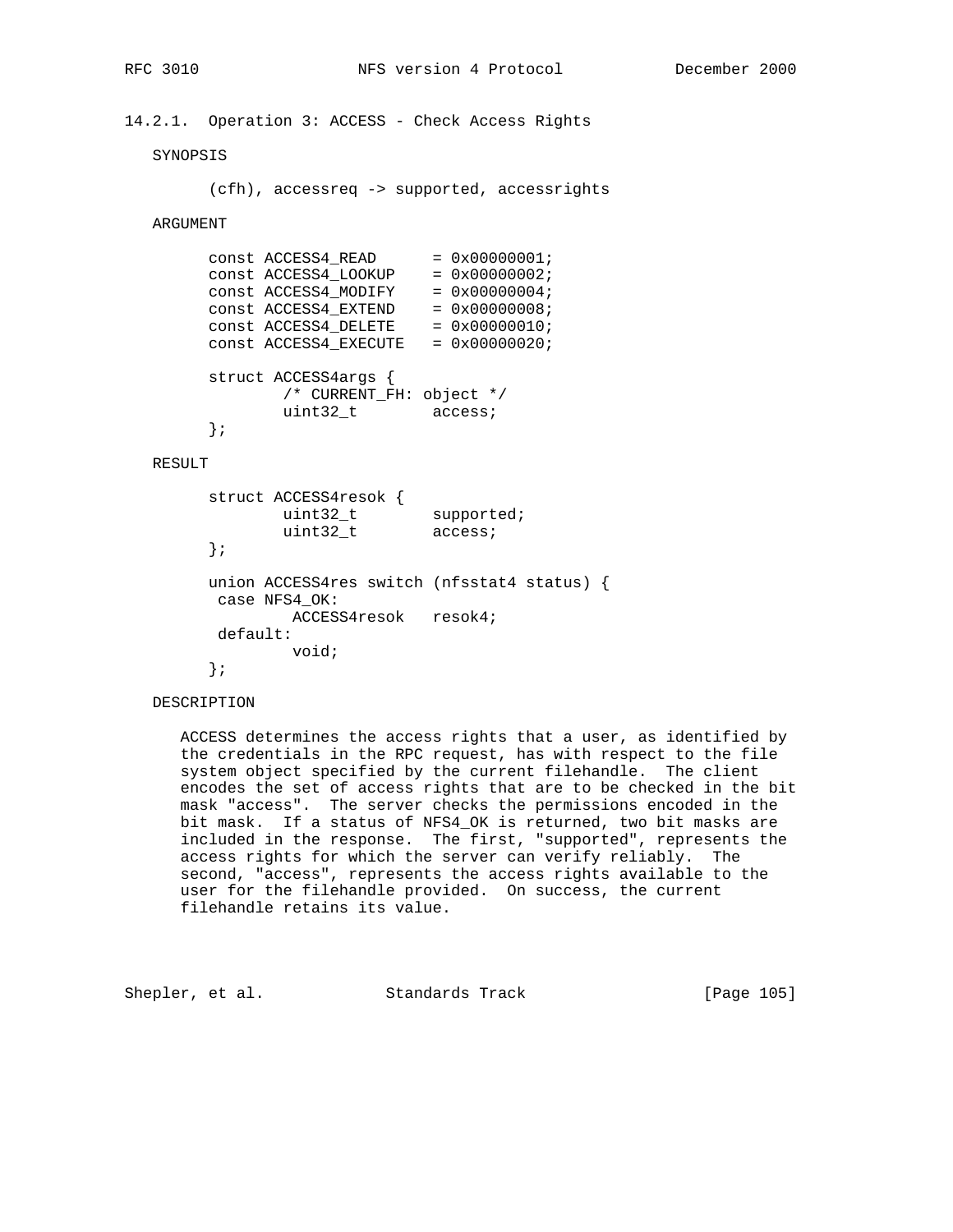# 14.2.1. Operation 3: ACCESS - Check Access Rights

# SYNOPSIS

```
 (cfh), accessreq -> supported, accessrights
```
# ARGUMENT

|  | CONSt ACCESS4 READ       | $= 0x00000001;$        |  |
|--|--------------------------|------------------------|--|
|  | const ACCESS4_LOOKUP     | $= 0x00000002;$        |  |
|  | CONSt ACCESS4 MODIFY     | $= 0 \times 00000004;$ |  |
|  | CONSt ACCESS4 EXTEND     | $= 0x00000008;$        |  |
|  | CONSt ACCESS4 DELETE     | $= 0x00000010;$        |  |
|  | CONSt ACCESS4 EXECUTE    | $= 0x00000020;$        |  |
|  |                          |                        |  |
|  | struct ACCESS4args {     |                        |  |
|  | /* CURRENT_FH: object */ |                        |  |
|  | uint32 t                 | access;                |  |
|  |                          |                        |  |

#### RESULT

```
 struct ACCESS4resok {
uint32_t supported;
uint32_t access;
        };
        union ACCESS4res switch (nfsstat4 status) {
        case NFS4_OK:
              ACCESS4resok resok4;
        default:
              void;
        };
```
# DESCRIPTION

 ACCESS determines the access rights that a user, as identified by the credentials in the RPC request, has with respect to the file system object specified by the current filehandle. The client encodes the set of access rights that are to be checked in the bit mask "access". The server checks the permissions encoded in the bit mask. If a status of NFS4\_OK is returned, two bit masks are included in the response. The first, "supported", represents the access rights for which the server can verify reliably. The second, "access", represents the access rights available to the user for the filehandle provided. On success, the current filehandle retains its value.

Shepler, et al. Standards Track [Page 105]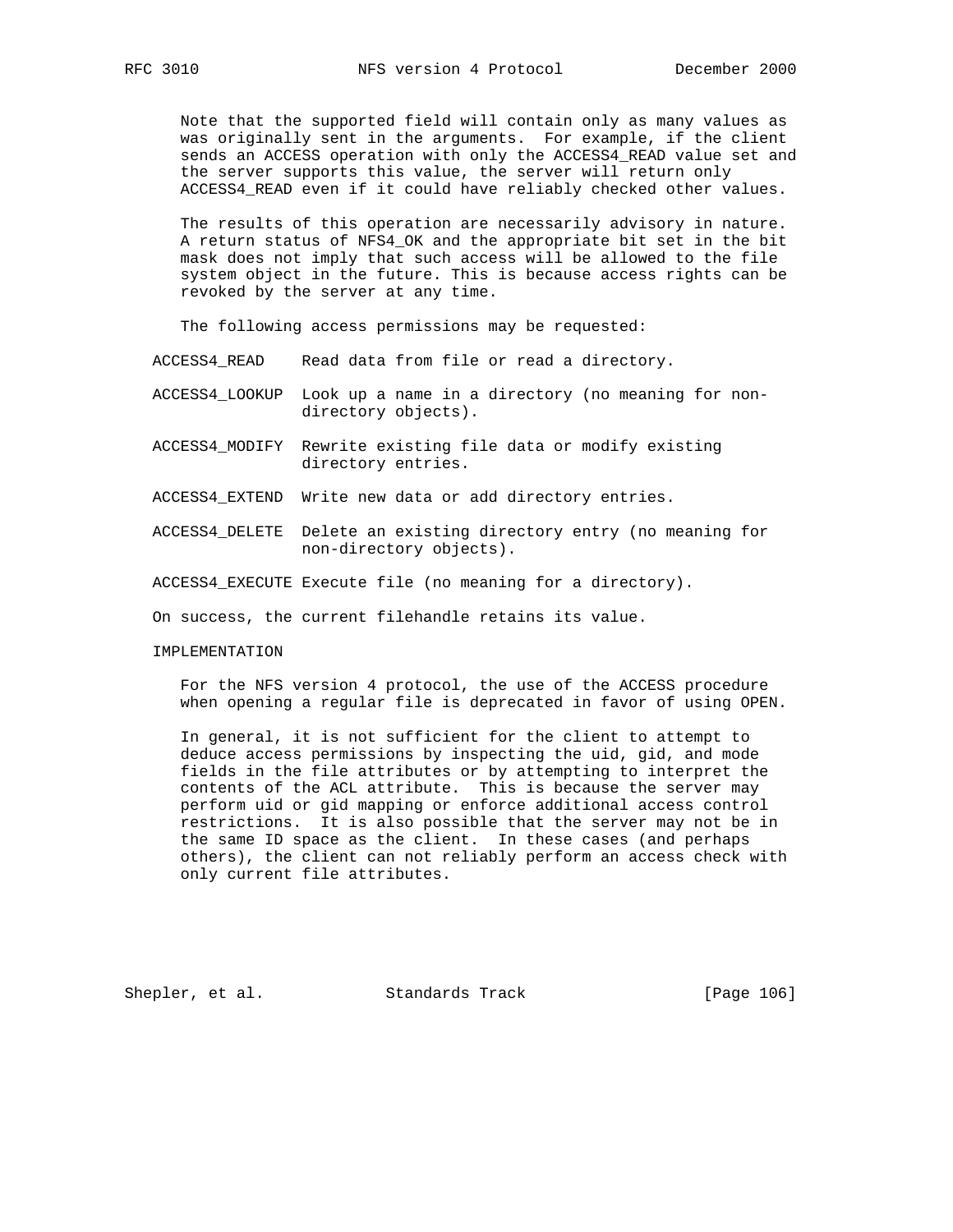Note that the supported field will contain only as many values as was originally sent in the arguments. For example, if the client sends an ACCESS operation with only the ACCESS4\_READ value set and the server supports this value, the server will return only ACCESS4\_READ even if it could have reliably checked other values.

 The results of this operation are necessarily advisory in nature. A return status of NFS4\_OK and the appropriate bit set in the bit mask does not imply that such access will be allowed to the file system object in the future. This is because access rights can be revoked by the server at any time.

The following access permissions may be requested:

ACCESS4\_READ Read data from file or read a directory.

- ACCESS4\_LOOKUP Look up a name in a directory (no meaning for non directory objects).
- ACCESS4\_MODIFY Rewrite existing file data or modify existing directory entries.
- ACCESS4\_EXTEND Write new data or add directory entries.
- ACCESS4\_DELETE Delete an existing directory entry (no meaning for non-directory objects).

ACCESS4\_EXECUTE Execute file (no meaning for a directory).

On success, the current filehandle retains its value.

IMPLEMENTATION

 For the NFS version 4 protocol, the use of the ACCESS procedure when opening a regular file is deprecated in favor of using OPEN.

 In general, it is not sufficient for the client to attempt to deduce access permissions by inspecting the uid, gid, and mode fields in the file attributes or by attempting to interpret the contents of the ACL attribute. This is because the server may perform uid or gid mapping or enforce additional access control restrictions. It is also possible that the server may not be in the same ID space as the client. In these cases (and perhaps others), the client can not reliably perform an access check with only current file attributes.

Shepler, et al. Standards Track [Page 106]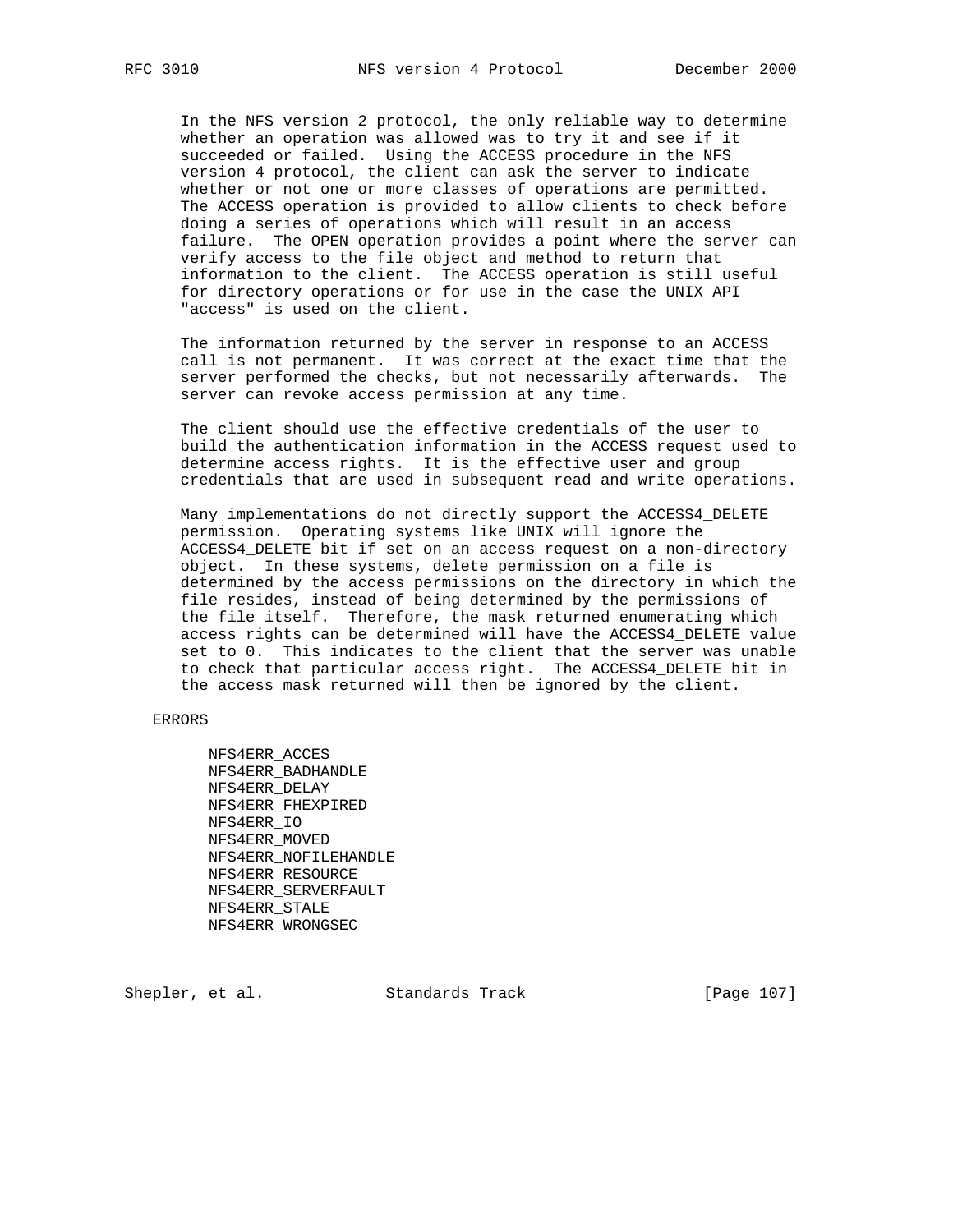In the NFS version 2 protocol, the only reliable way to determine whether an operation was allowed was to try it and see if it succeeded or failed. Using the ACCESS procedure in the NFS version 4 protocol, the client can ask the server to indicate whether or not one or more classes of operations are permitted. The ACCESS operation is provided to allow clients to check before doing a series of operations which will result in an access failure. The OPEN operation provides a point where the server can verify access to the file object and method to return that information to the client. The ACCESS operation is still useful for directory operations or for use in the case the UNIX API "access" is used on the client.

 The information returned by the server in response to an ACCESS call is not permanent. It was correct at the exact time that the server performed the checks, but not necessarily afterwards. The server can revoke access permission at any time.

 The client should use the effective credentials of the user to build the authentication information in the ACCESS request used to determine access rights. It is the effective user and group credentials that are used in subsequent read and write operations.

 Many implementations do not directly support the ACCESS4\_DELETE permission. Operating systems like UNIX will ignore the ACCESS4\_DELETE bit if set on an access request on a non-directory object. In these systems, delete permission on a file is determined by the access permissions on the directory in which the file resides, instead of being determined by the permissions of the file itself. Therefore, the mask returned enumerating which access rights can be determined will have the ACCESS4\_DELETE value set to 0. This indicates to the client that the server was unable to check that particular access right. The ACCESS4\_DELETE bit in the access mask returned will then be ignored by the client.

ERRORS

 NFS4ERR\_ACCES NFS4ERR\_BADHANDLE NFS4ERR\_DELAY NFS4ERR\_FHEXPIRED NFS4ERR\_IO NFS4ERR\_MOVED NFS4ERR\_NOFILEHANDLE NFS4ERR\_RESOURCE NFS4ERR\_SERVERFAULT NFS4ERR\_STALE NFS4ERR\_WRONGSEC

Shepler, et al. Standards Track [Page 107]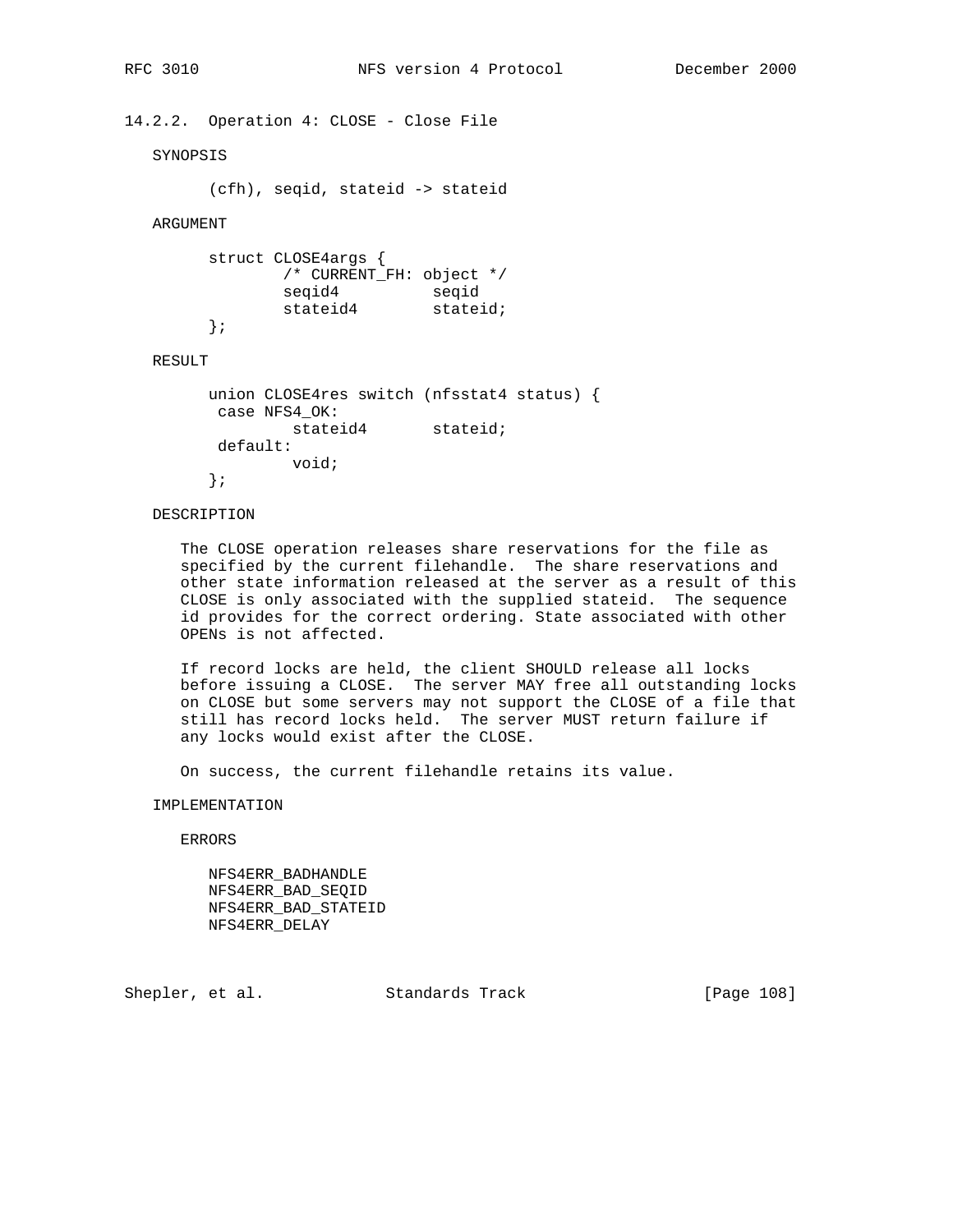14.2.2. Operation 4: CLOSE - Close File

SYNOPSIS

(cfh), seqid, stateid -> stateid

ARGUMENT

```
 struct CLOSE4args {
           /* CURRENT_FH: object */
 seqid4 seqid
stateid4 stateid;
      };
```
#### RESULT

```
 union CLOSE4res switch (nfsstat4 status) {
 case NFS4_OK:
         stateid4 stateid;
 default:
         void;
 };
```
# DESCRIPTION

 The CLOSE operation releases share reservations for the file as specified by the current filehandle. The share reservations and other state information released at the server as a result of this CLOSE is only associated with the supplied stateid. The sequence id provides for the correct ordering. State associated with other OPENs is not affected.

 If record locks are held, the client SHOULD release all locks before issuing a CLOSE. The server MAY free all outstanding locks on CLOSE but some servers may not support the CLOSE of a file that still has record locks held. The server MUST return failure if any locks would exist after the CLOSE.

On success, the current filehandle retains its value.

IMPLEMENTATION

ERRORS

 NFS4ERR\_BADHANDLE NFS4ERR\_BAD\_SEQID NFS4ERR\_BAD\_STATEID NFS4ERR\_DELAY

Shepler, et al. Standards Track [Page 108]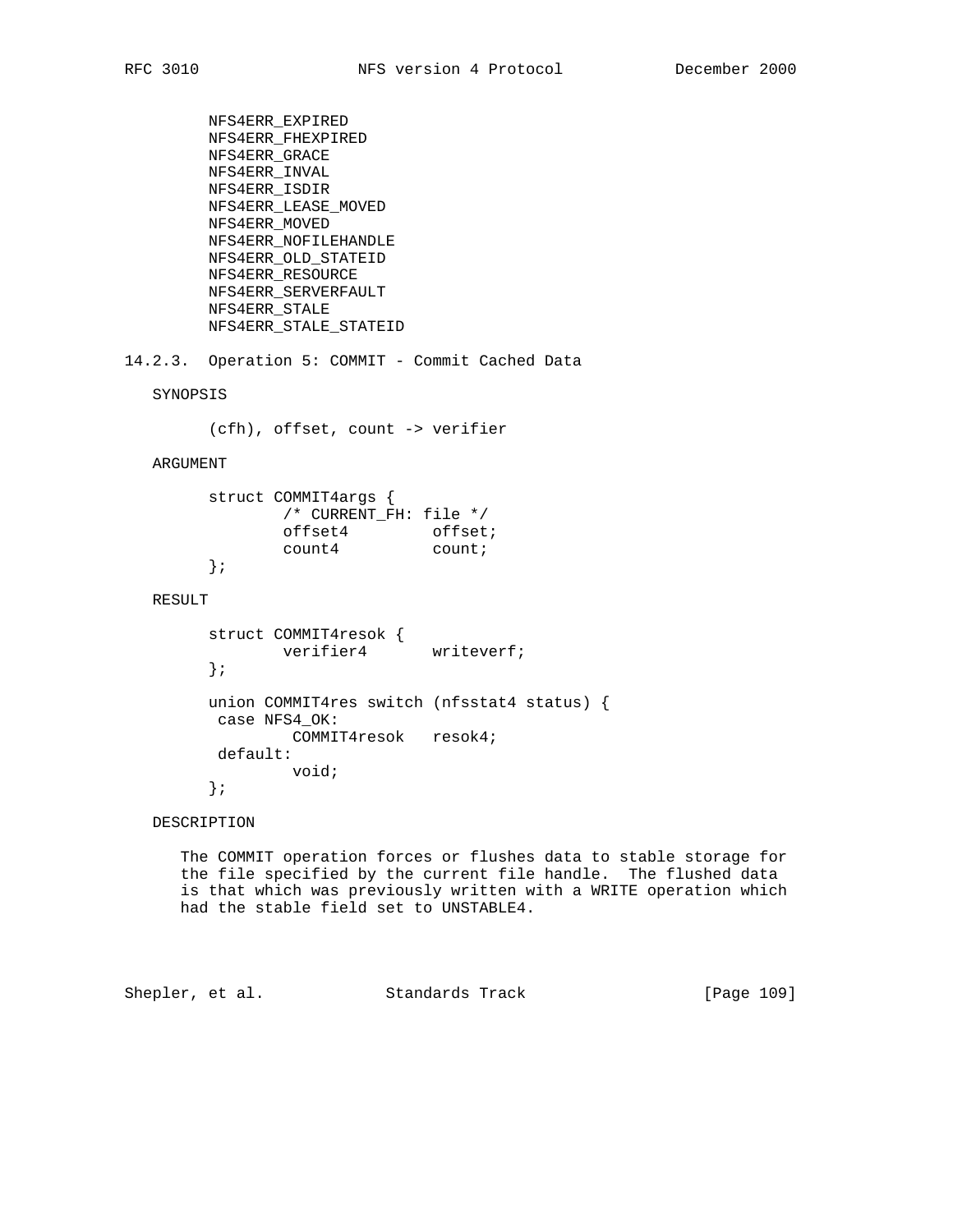```
 NFS4ERR_EXPIRED
 NFS4ERR_FHEXPIRED
 NFS4ERR_GRACE
 NFS4ERR_INVAL
 NFS4ERR_ISDIR
 NFS4ERR_LEASE_MOVED
 NFS4ERR_MOVED
 NFS4ERR_NOFILEHANDLE
 NFS4ERR_OLD_STATEID
 NFS4ERR_RESOURCE
 NFS4ERR_SERVERFAULT
 NFS4ERR_STALE
 NFS4ERR_STALE_STATEID
```
14.2.3. Operation 5: COMMIT - Commit Cached Data

SYNOPSIS

(cfh), offset, count -> verifier

### ARGUMENT

```
 struct COMMIT4args {
           /* CURRENT_FH: file */
offset4 offset;
count4 count;
      };
```
# RESULT

```
 struct COMMIT4resok {
      verifier4 writeverf;
 };
 union COMMIT4res switch (nfsstat4 status) {
 case NFS4_OK:
        COMMIT4resok resok4;
 default:
         void;
 };
```
## DESCRIPTION

 The COMMIT operation forces or flushes data to stable storage for the file specified by the current file handle. The flushed data is that which was previously written with a WRITE operation which had the stable field set to UNSTABLE4.

Shepler, et al. Standards Track [Page 109]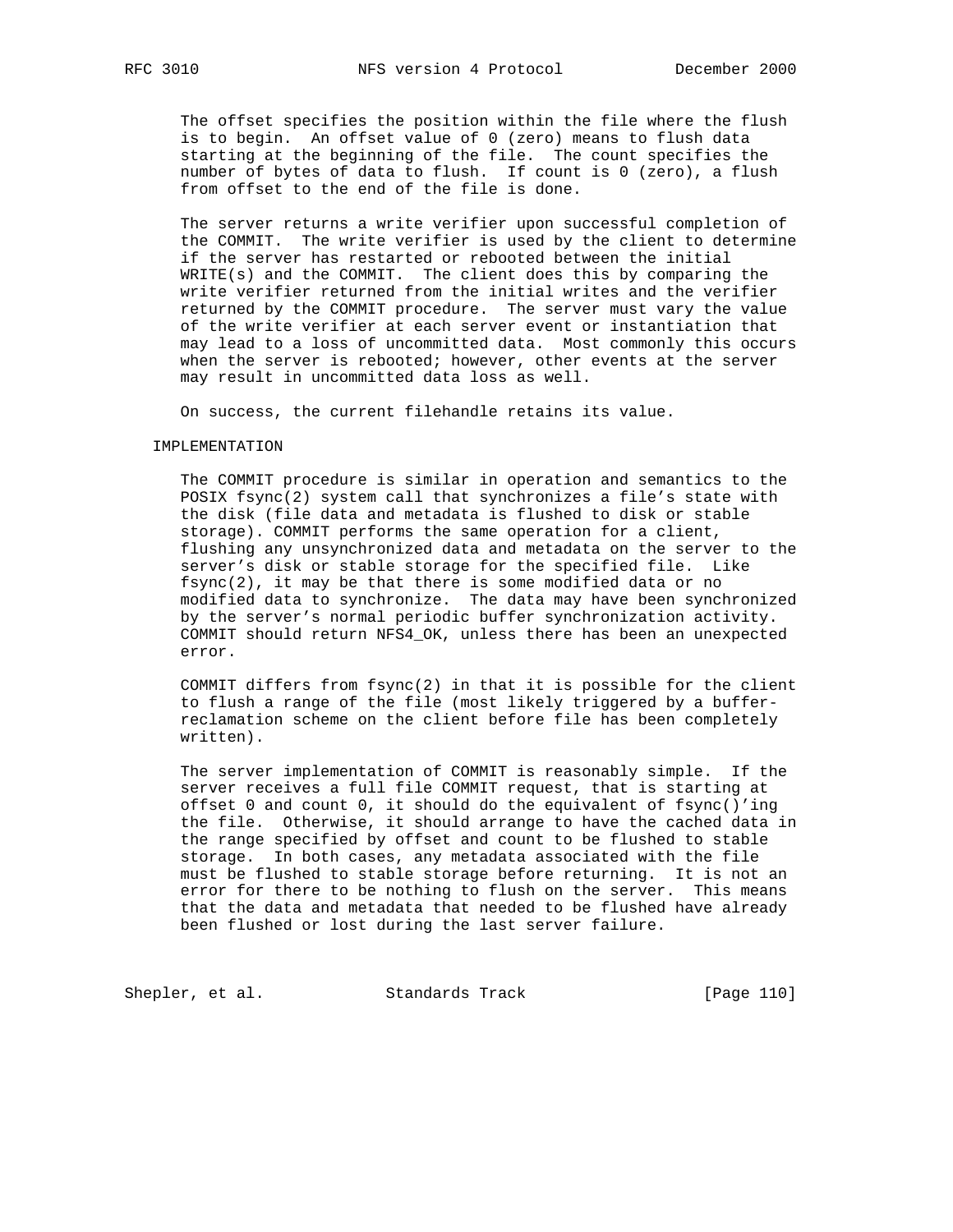The offset specifies the position within the file where the flush is to begin. An offset value of 0 (zero) means to flush data starting at the beginning of the file. The count specifies the number of bytes of data to flush. If count is 0 (zero), a flush from offset to the end of the file is done.

 The server returns a write verifier upon successful completion of the COMMIT. The write verifier is used by the client to determine if the server has restarted or rebooted between the initial WRITE(s) and the COMMIT. The client does this by comparing the write verifier returned from the initial writes and the verifier returned by the COMMIT procedure. The server must vary the value of the write verifier at each server event or instantiation that may lead to a loss of uncommitted data. Most commonly this occurs when the server is rebooted; however, other events at the server may result in uncommitted data loss as well.

On success, the current filehandle retains its value.

#### IMPLEMENTATION

 The COMMIT procedure is similar in operation and semantics to the POSIX fsync(2) system call that synchronizes a file's state with the disk (file data and metadata is flushed to disk or stable storage). COMMIT performs the same operation for a client, flushing any unsynchronized data and metadata on the server to the server's disk or stable storage for the specified file. Like fsync(2), it may be that there is some modified data or no modified data to synchronize. The data may have been synchronized by the server's normal periodic buffer synchronization activity. COMMIT should return NFS4\_OK, unless there has been an unexpected error.

 COMMIT differs from fsync(2) in that it is possible for the client to flush a range of the file (most likely triggered by a buffer reclamation scheme on the client before file has been completely written).

 The server implementation of COMMIT is reasonably simple. If the server receives a full file COMMIT request, that is starting at offset 0 and count 0, it should do the equivalent of fsync()'ing the file. Otherwise, it should arrange to have the cached data in the range specified by offset and count to be flushed to stable storage. In both cases, any metadata associated with the file must be flushed to stable storage before returning. It is not an error for there to be nothing to flush on the server. This means that the data and metadata that needed to be flushed have already been flushed or lost during the last server failure.

Shepler, et al. Standards Track [Page 110]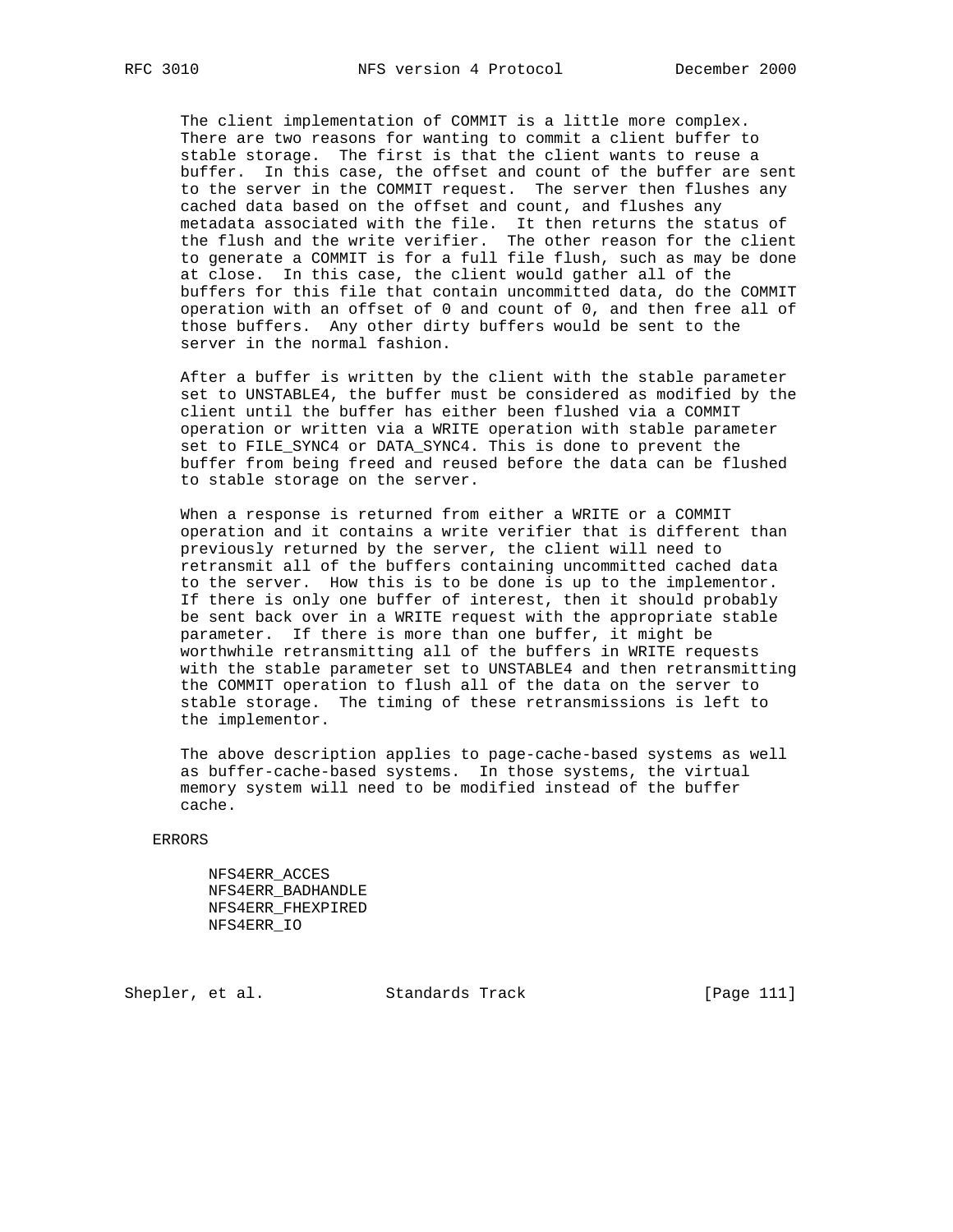The client implementation of COMMIT is a little more complex. There are two reasons for wanting to commit a client buffer to stable storage. The first is that the client wants to reuse a buffer. In this case, the offset and count of the buffer are sent to the server in the COMMIT request. The server then flushes any cached data based on the offset and count, and flushes any metadata associated with the file. It then returns the status of the flush and the write verifier. The other reason for the client to generate a COMMIT is for a full file flush, such as may be done at close. In this case, the client would gather all of the buffers for this file that contain uncommitted data, do the COMMIT operation with an offset of 0 and count of 0, and then free all of those buffers. Any other dirty buffers would be sent to the server in the normal fashion.

 After a buffer is written by the client with the stable parameter set to UNSTABLE4, the buffer must be considered as modified by the client until the buffer has either been flushed via a COMMIT operation or written via a WRITE operation with stable parameter set to FILE\_SYNC4 or DATA\_SYNC4. This is done to prevent the buffer from being freed and reused before the data can be flushed to stable storage on the server.

 When a response is returned from either a WRITE or a COMMIT operation and it contains a write verifier that is different than previously returned by the server, the client will need to retransmit all of the buffers containing uncommitted cached data to the server. How this is to be done is up to the implementor. If there is only one buffer of interest, then it should probably be sent back over in a WRITE request with the appropriate stable parameter. If there is more than one buffer, it might be worthwhile retransmitting all of the buffers in WRITE requests with the stable parameter set to UNSTABLE4 and then retransmitting the COMMIT operation to flush all of the data on the server to stable storage. The timing of these retransmissions is left to the implementor.

 The above description applies to page-cache-based systems as well as buffer-cache-based systems. In those systems, the virtual memory system will need to be modified instead of the buffer cache.

### ERRORS

 NFS4ERR\_ACCES NFS4ERR\_BADHANDLE NFS4ERR\_FHEXPIRED NFS4ERR\_IO

Shepler, et al. Standards Track [Page 111]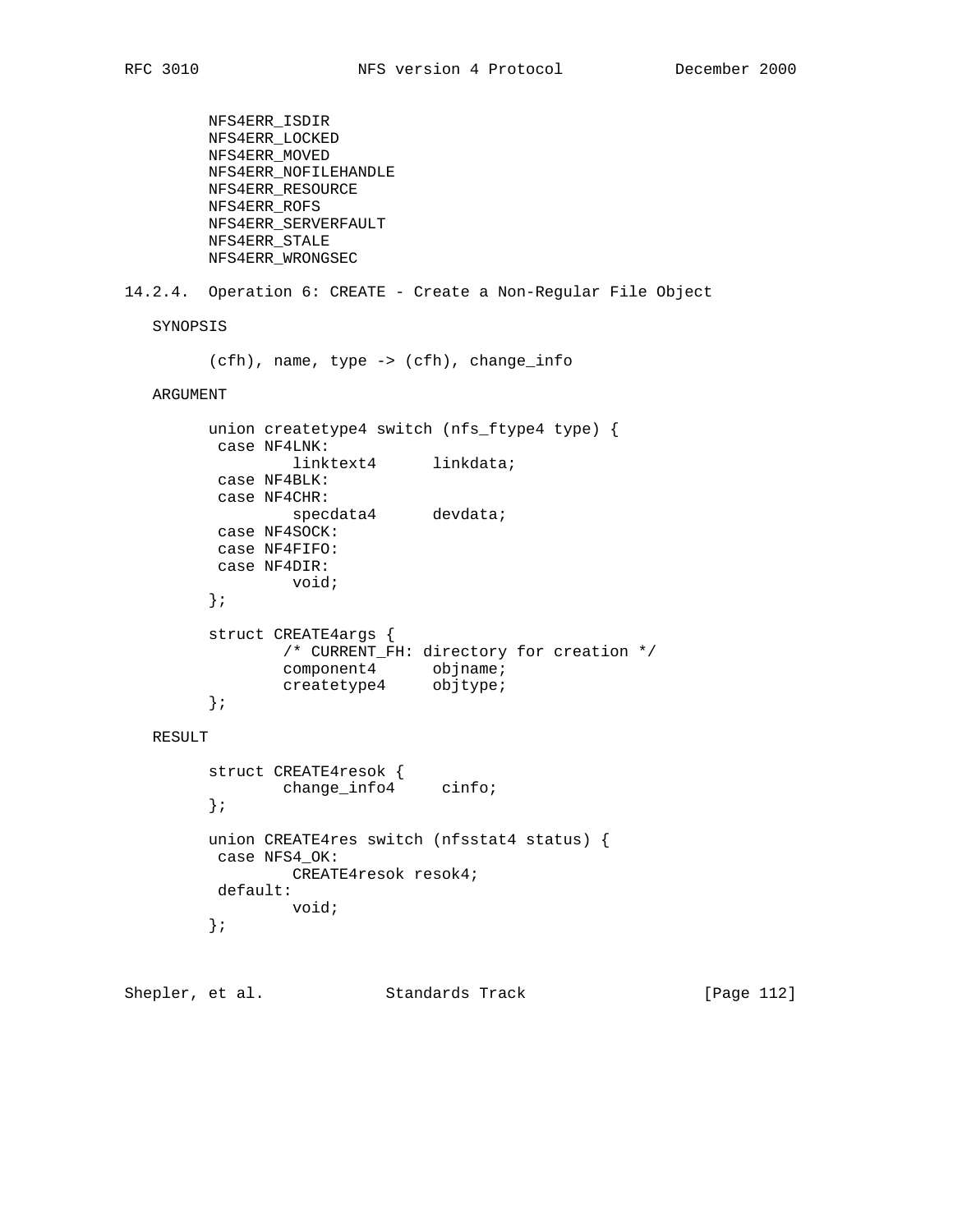```
 NFS4ERR_ISDIR
         NFS4ERR_LOCKED
         NFS4ERR_MOVED
         NFS4ERR_NOFILEHANDLE
         NFS4ERR_RESOURCE
         NFS4ERR_ROFS
         NFS4ERR_SERVERFAULT
         NFS4ERR_STALE
         NFS4ERR_WRONGSEC
14.2.4. Operation 6: CREATE - Create a Non-Regular File Object
   SYNOPSIS
         (cfh), name, type -> (cfh), change_info
   ARGUMENT
         union createtype4 switch (nfs_ftype4 type) {
         case NF4LNK:
                 --<br>linktext4 linkdata;
          case NF4BLK:
          case NF4CHR:
                  specdata4 devdata;
          case NF4SOCK:
          case NF4FIFO:
          case NF4DIR:
                  void;
         };
         struct CREATE4args {
                /* CURRENT_FH: directory for creation */
component4 objname;
 createtype4 objtype;
         };
   RESULT
         struct CREATE4resok {
               change_info4 cinfo;
         };
         union CREATE4res switch (nfsstat4 status) {
         case NFS4_OK:
                 CREATE4resok resok4;
          default:
                 void;
         };
```
Shepler, et al. Standards Track [Page 112]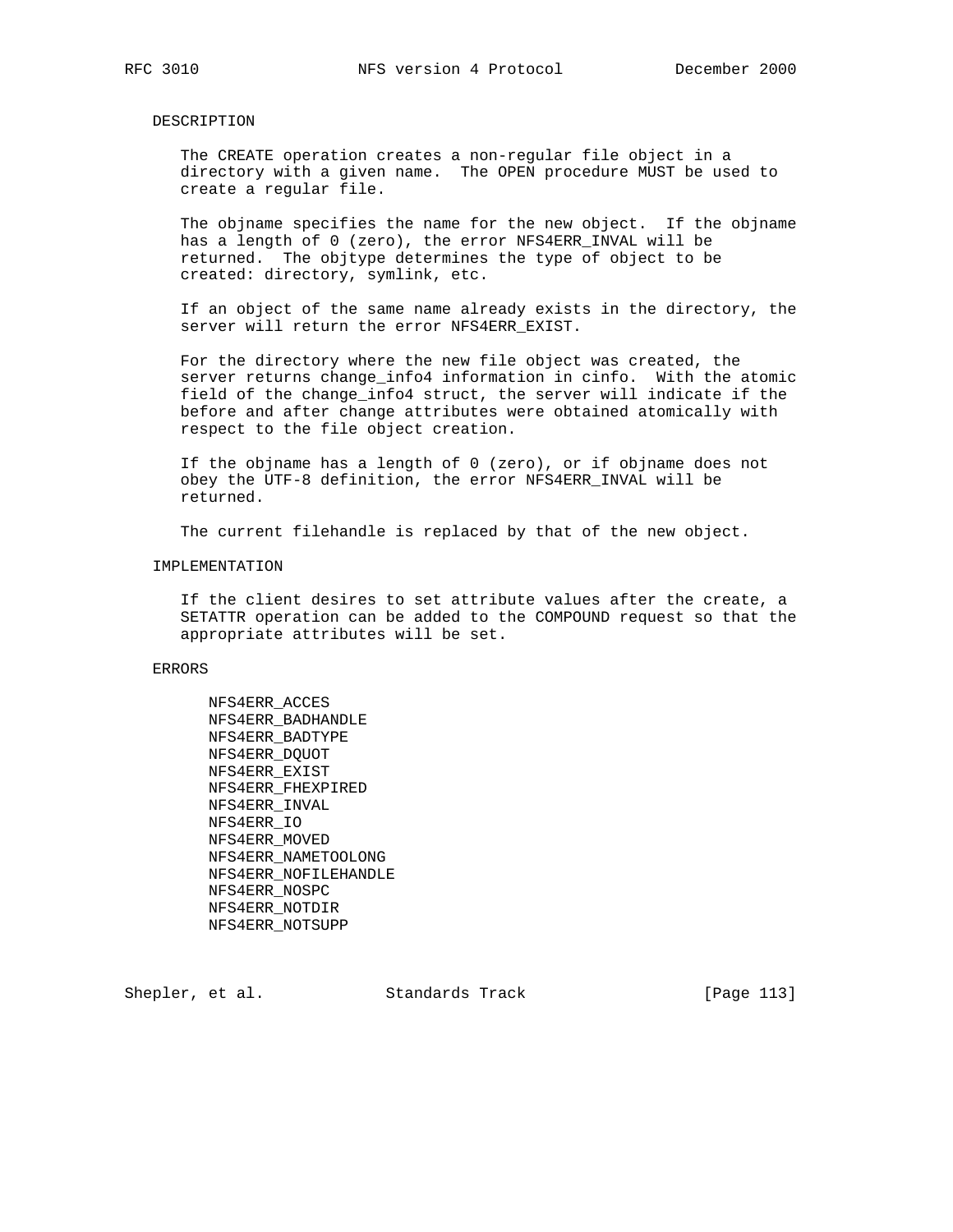### DESCRIPTION

 The CREATE operation creates a non-regular file object in a directory with a given name. The OPEN procedure MUST be used to create a regular file.

 The objname specifies the name for the new object. If the objname has a length of 0 (zero), the error NFS4ERR\_INVAL will be returned. The objtype determines the type of object to be created: directory, symlink, etc.

 If an object of the same name already exists in the directory, the server will return the error NFS4ERR\_EXIST.

 For the directory where the new file object was created, the server returns change\_info4 information in cinfo. With the atomic field of the change\_info4 struct, the server will indicate if the before and after change attributes were obtained atomically with respect to the file object creation.

 If the objname has a length of 0 (zero), or if objname does not obey the UTF-8 definition, the error NFS4ERR\_INVAL will be returned.

The current filehandle is replaced by that of the new object.

### IMPLEMENTATION

 If the client desires to set attribute values after the create, a SETATTR operation can be added to the COMPOUND request so that the appropriate attributes will be set.

### ERRORS

 NFS4ERR\_ACCES NFS4ERR\_BADHANDLE NFS4ERR\_BADTYPE NFS4ERR\_DQUOT NFS4ERR\_EXIST NFS4ERR\_FHEXPIRED NFS4ERR\_INVAL NFS4ERR\_IO NFS4ERR\_MOVED NFS4ERR\_NAMETOOLONG NFS4ERR\_NOFILEHANDLE NFS4ERR\_NOSPC NFS4ERR\_NOTDIR NFS4ERR\_NOTSUPP

Shepler, et al. Standards Track [Page 113]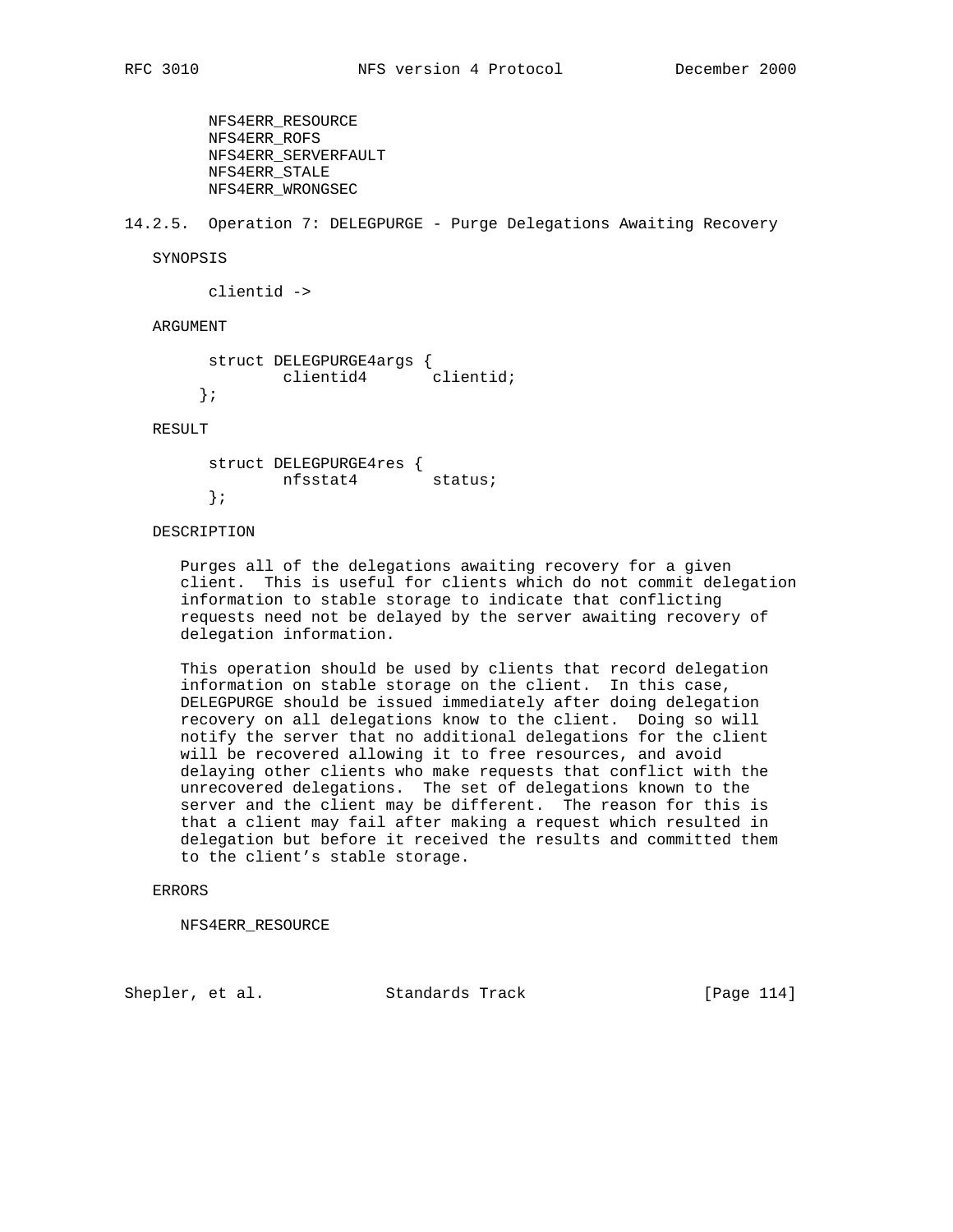NFS4ERR\_RESOURCE NFS4ERR\_ROFS NFS4ERR\_SERVERFAULT NFS4ERR\_STALE NFS4ERR\_WRONGSEC

14.2.5. Operation 7: DELEGPURGE - Purge Delegations Awaiting Recovery

SYNOPSIS

clientid ->

ARGUMENT

```
 struct DELEGPURGE4args {
   clientid4 clientid;
 };
```
RESULT

 struct DELEGPURGE4res { nfsstat4 status; };

# DESCRIPTION

 Purges all of the delegations awaiting recovery for a given client. This is useful for clients which do not commit delegation information to stable storage to indicate that conflicting requests need not be delayed by the server awaiting recovery of delegation information.

 This operation should be used by clients that record delegation information on stable storage on the client. In this case, DELEGPURGE should be issued immediately after doing delegation recovery on all delegations know to the client. Doing so will notify the server that no additional delegations for the client will be recovered allowing it to free resources, and avoid delaying other clients who make requests that conflict with the unrecovered delegations. The set of delegations known to the server and the client may be different. The reason for this is that a client may fail after making a request which resulted in delegation but before it received the results and committed them to the client's stable storage.

## ERRORS

NFS4ERR\_RESOURCE

Shepler, et al. Standards Track [Page 114]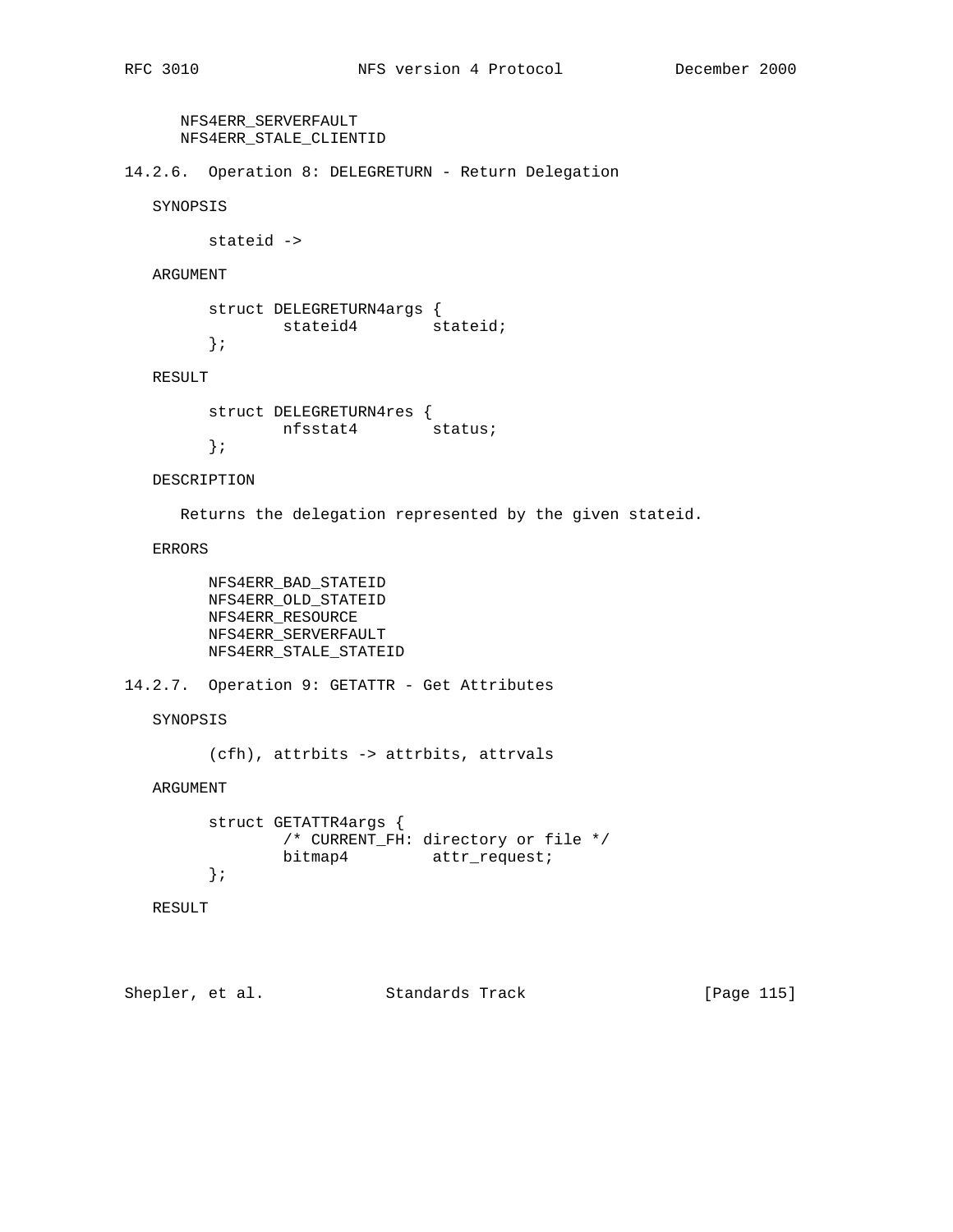```
 NFS4ERR_SERVERFAULT
 NFS4ERR_STALE_CLIENTID
```
14.2.6. Operation 8: DELEGRETURN - Return Delegation

SYNOPSIS

stateid ->

ARGUMENT

```
 struct DELEGRETURN4args {
     stateid4 stateid;
 };
```
RESULT

```
 struct DELEGRETURN4res {
      nfsstat4 status;
 };
```
DESCRIPTION

Returns the delegation represented by the given stateid.

ERRORS

 NFS4ERR\_BAD\_STATEID NFS4ERR\_OLD\_STATEID NFS4ERR\_RESOURCE NFS4ERR\_SERVERFAULT NFS4ERR\_STALE\_STATEID

14.2.7. Operation 9: GETATTR - Get Attributes

SYNOPSIS

(cfh), attrbits -> attrbits, attrvals

ARGUMENT

```
 struct GETATTR4args {
       /* CURRENT_FH: directory or file */
       bitmap4 attr_request;
 };
```
RESULT

Shepler, et al. Standards Track [Page 115]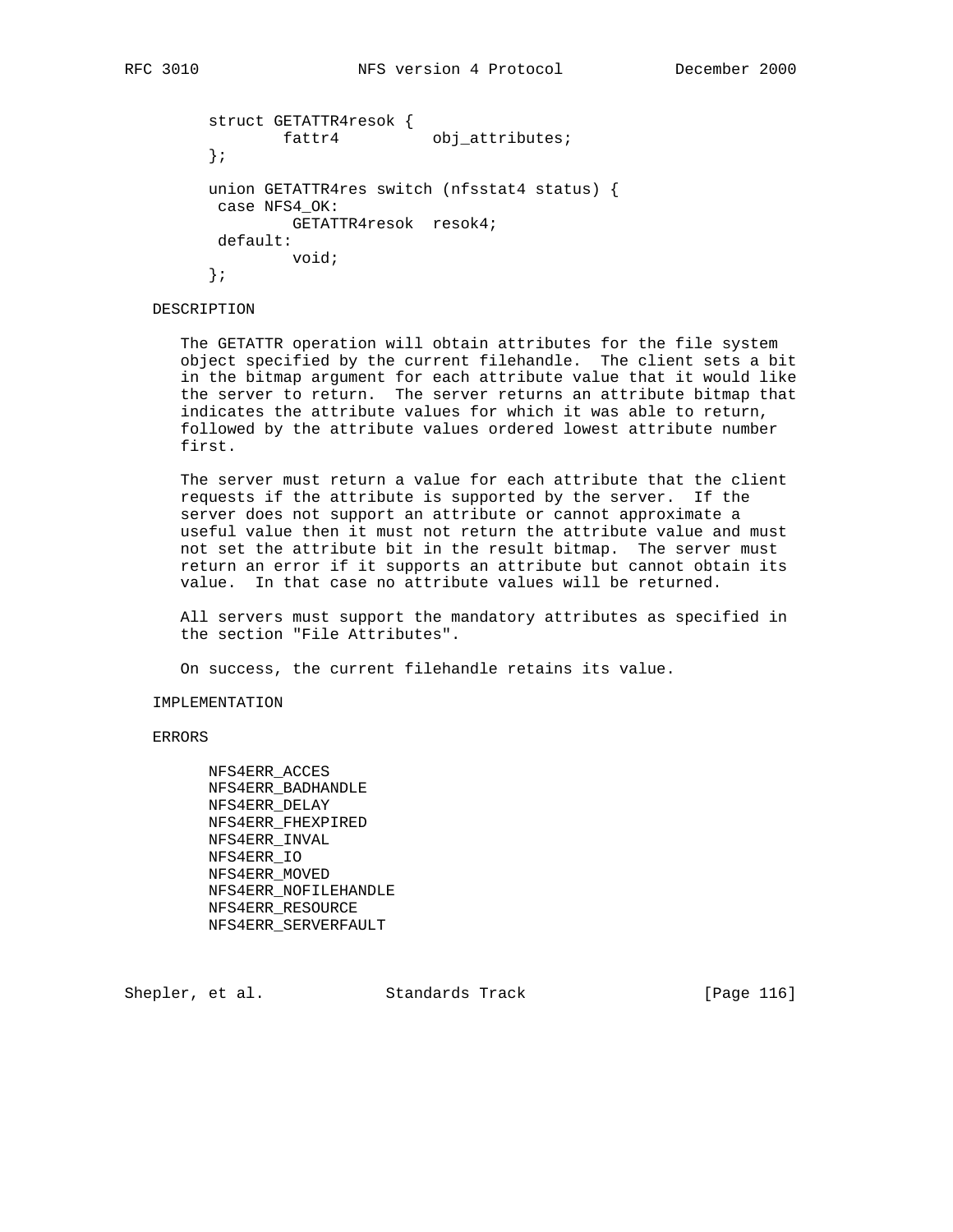```
 struct GETATTR4resok {
       fattr4 obj_attributes;
 };
 union GETATTR4res switch (nfsstat4 status) {
 case NFS4_OK:
         GETATTR4resok resok4;
 default:
         void;
```
};

# DESCRIPTION

 The GETATTR operation will obtain attributes for the file system object specified by the current filehandle. The client sets a bit in the bitmap argument for each attribute value that it would like the server to return. The server returns an attribute bitmap that indicates the attribute values for which it was able to return, followed by the attribute values ordered lowest attribute number first.

 The server must return a value for each attribute that the client requests if the attribute is supported by the server. If the server does not support an attribute or cannot approximate a useful value then it must not return the attribute value and must not set the attribute bit in the result bitmap. The server must return an error if it supports an attribute but cannot obtain its value. In that case no attribute values will be returned.

 All servers must support the mandatory attributes as specified in the section "File Attributes".

On success, the current filehandle retains its value.

### IMPLEMENTATION

ERRORS

 NFS4ERR\_ACCES NFS4ERR\_BADHANDLE NFS4ERR\_DELAY NFS4ERR\_FHEXPIRED NFS4ERR\_INVAL NFS4ERR\_IO NFS4ERR\_MOVED NFS4ERR\_NOFILEHANDLE NFS4ERR\_RESOURCE NFS4ERR\_SERVERFAULT

Shepler, et al. Standards Track [Page 116]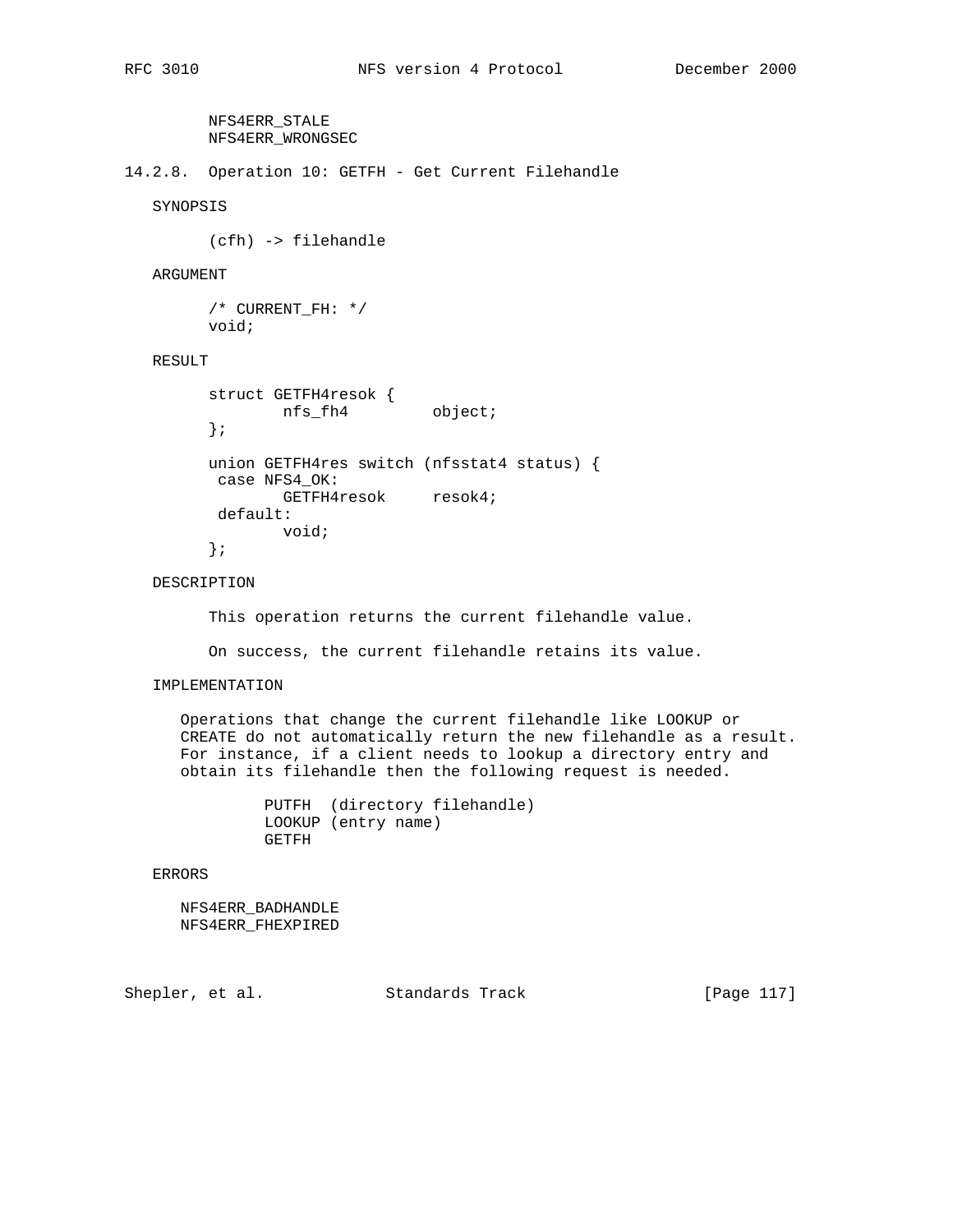NFS4ERR\_STALE NFS4ERR\_WRONGSEC

14.2.8. Operation 10: GETFH - Get Current Filehandle

SYNOPSIS

(cfh) -> filehandle

ARGUMENT

 /\* CURRENT\_FH: \*/ void;

# RESULT

```
 struct GETFH4resok {
nfs_fh4 object;
        };
       union GETFH4res switch (nfsstat4 status) {
        case NFS4_OK:
             GETFH4resok resok4;
        default:
              void;
        };
```
DESCRIPTION

This operation returns the current filehandle value.

On success, the current filehandle retains its value.

### IMPLEMENTATION

 Operations that change the current filehandle like LOOKUP or CREATE do not automatically return the new filehandle as a result. For instance, if a client needs to lookup a directory entry and obtain its filehandle then the following request is needed.

> PUTFH (directory filehandle) LOOKUP (entry name) GETFH

ERRORS

 NFS4ERR\_BADHANDLE NFS4ERR\_FHEXPIRED

Shepler, et al. Standards Track [Page 117]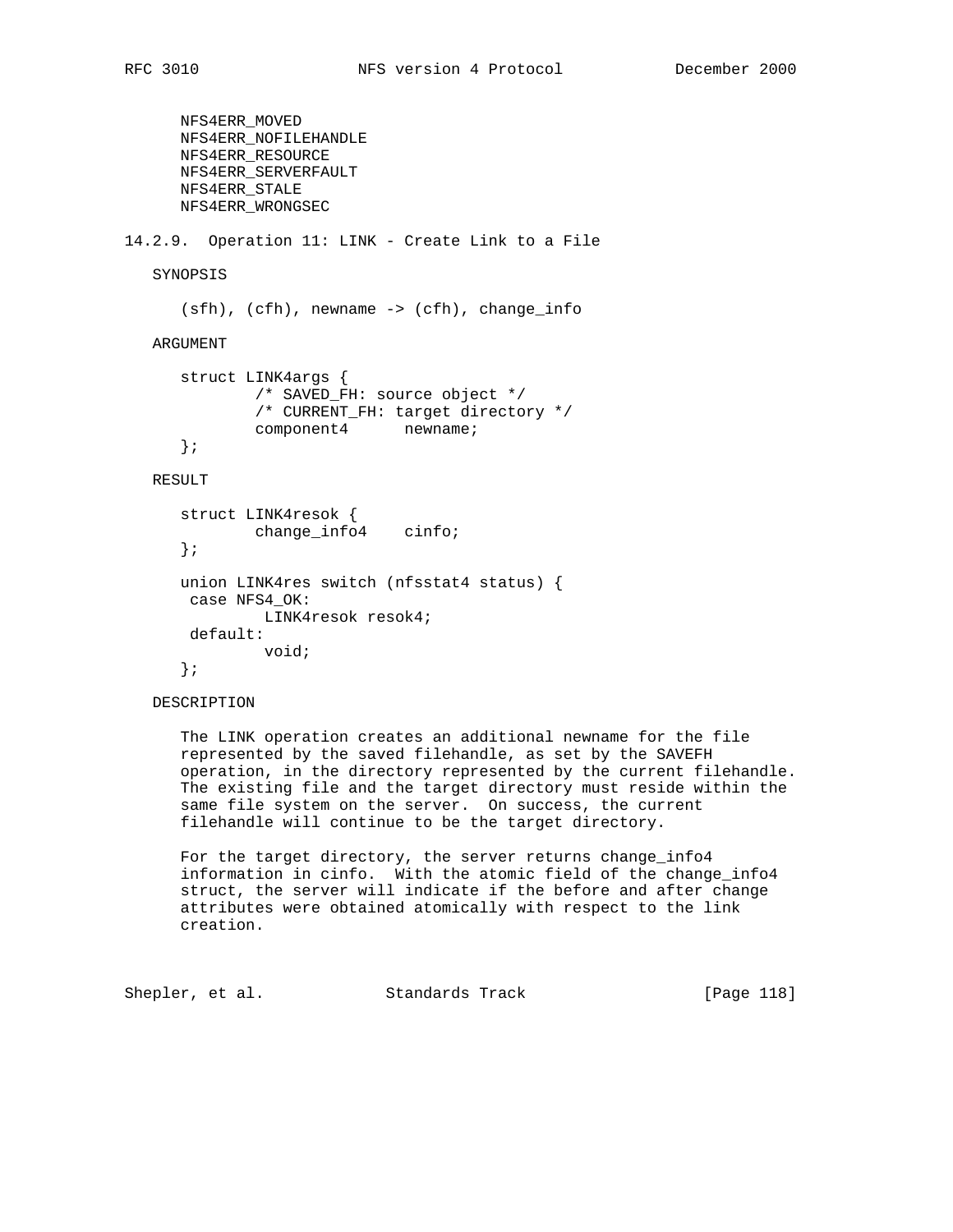```
 NFS4ERR_MOVED
       NFS4ERR_NOFILEHANDLE
       NFS4ERR_RESOURCE
       NFS4ERR_SERVERFAULT
      NFS4ERR_STALE
      NFS4ERR_WRONGSEC
14.2.9. Operation 11: LINK - Create Link to a File
    SYNOPSIS
       (sfh), (cfh), newname -> (cfh), change_info
    ARGUMENT
       struct LINK4args {
              /* SAVED_FH: source object */
               /* CURRENT_FH: target directory */
               component4 newname;
       };
   RESULT
       struct LINK4resok {
               change_info4 cinfo;
       };
       union LINK4res switch (nfsstat4 status) {
       case NFS4_OK:
                LINK4resok resok4;
        default:
               void;
       };
```
DESCRIPTION

 The LINK operation creates an additional newname for the file represented by the saved filehandle, as set by the SAVEFH operation, in the directory represented by the current filehandle. The existing file and the target directory must reside within the same file system on the server. On success, the current filehandle will continue to be the target directory.

 For the target directory, the server returns change\_info4 information in cinfo. With the atomic field of the change\_info4 struct, the server will indicate if the before and after change attributes were obtained atomically with respect to the link creation.

Shepler, et al. Standards Track [Page 118]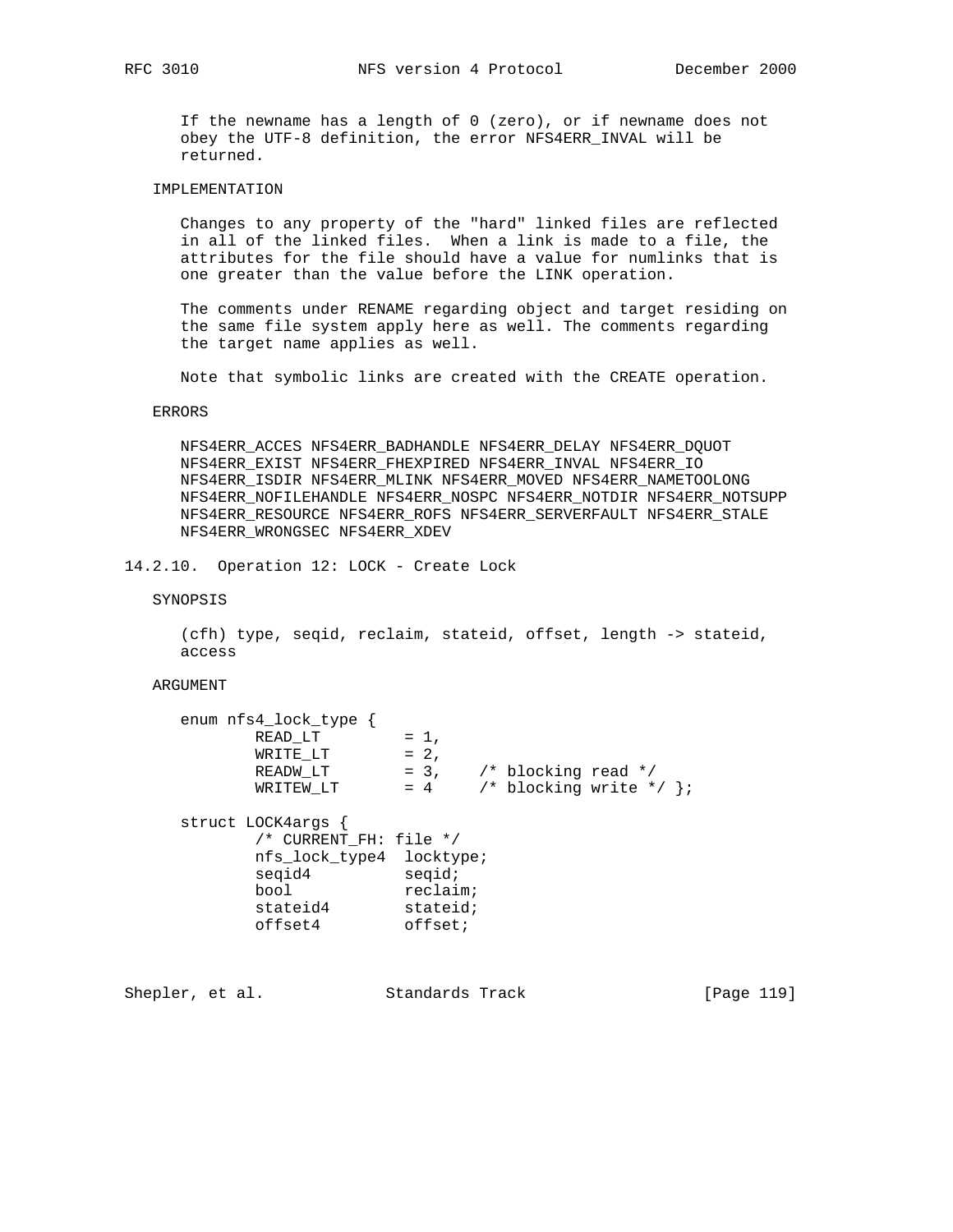If the newname has a length of 0 (zero), or if newname does not obey the UTF-8 definition, the error NFS4ERR\_INVAL will be returned.

# IMPLEMENTATION

 Changes to any property of the "hard" linked files are reflected in all of the linked files. When a link is made to a file, the attributes for the file should have a value for numlinks that is one greater than the value before the LINK operation.

 The comments under RENAME regarding object and target residing on the same file system apply here as well. The comments regarding the target name applies as well.

Note that symbolic links are created with the CREATE operation.

### ERRORS

 NFS4ERR\_ACCES NFS4ERR\_BADHANDLE NFS4ERR\_DELAY NFS4ERR\_DQUOT NFS4ERR\_EXIST NFS4ERR\_FHEXPIRED NFS4ERR\_INVAL NFS4ERR\_IO NFS4ERR\_ISDIR NFS4ERR\_MLINK NFS4ERR\_MOVED NFS4ERR\_NAMETOOLONG NFS4ERR\_NOFILEHANDLE NFS4ERR\_NOSPC NFS4ERR\_NOTDIR NFS4ERR\_NOTSUPP NFS4ERR\_RESOURCE NFS4ERR\_ROFS NFS4ERR\_SERVERFAULT NFS4ERR\_STALE NFS4ERR\_WRONGSEC NFS4ERR\_XDEV

14.2.10. Operation 12: LOCK - Create Lock

SYNOPSIS

 (cfh) type, seqid, reclaim, stateid, offset, length -> stateid, access

### ARGUMENT

| enum nfs4_lock_type      |                                          |
|--------------------------|------------------------------------------|
| READ LT                  | $= 1$ ,                                  |
| WRITE LT                 | $= 2,$                                   |
| READW LT                 | $= 3$ , $\frac{\pi}{3}$ blocking read */ |
| WRITEW LT                | /* blocking write */ };<br>$= 4$         |
| struct LOCK4args {       |                                          |
| /* CURRENT FH: file */   |                                          |
| nfs lock type4 locktype; |                                          |
| segid4                   | segid;                                   |
| bool                     | reclain;                                 |
| stateid4                 | stateid;                                 |
| offset4                  | offset;                                  |

Shepler, et al. Standards Track [Page 119]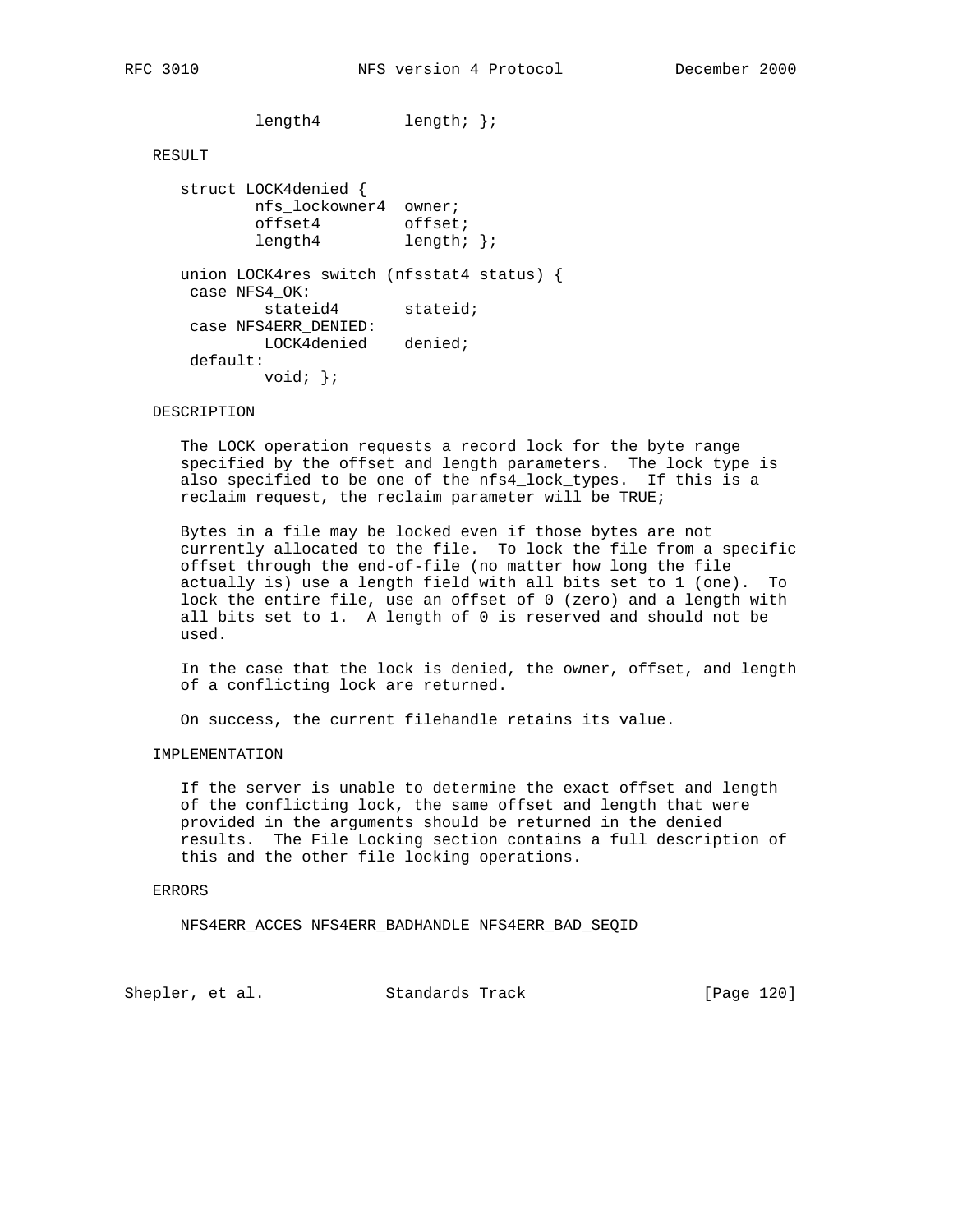length4 length; };

```
 RESULT
```
 struct LOCK4denied { nfs\_lockowner4 owner; offset4 offset; length4 length; }; union LOCK4res switch (nfsstat4 status) { case NFS4\_OK: stateid4 stateid; case NFS4ERR\_DENIED: LOCK4denied denied; default: void; };

### DESCRIPTION

 The LOCK operation requests a record lock for the byte range specified by the offset and length parameters. The lock type is also specified to be one of the nfs4\_lock\_types. If this is a reclaim request, the reclaim parameter will be TRUE;

 Bytes in a file may be locked even if those bytes are not currently allocated to the file. To lock the file from a specific offset through the end-of-file (no matter how long the file actually is) use a length field with all bits set to 1 (one). To lock the entire file, use an offset of 0 (zero) and a length with all bits set to 1. A length of 0 is reserved and should not be used.

 In the case that the lock is denied, the owner, offset, and length of a conflicting lock are returned.

On success, the current filehandle retains its value.

## IMPLEMENTATION

 If the server is unable to determine the exact offset and length of the conflicting lock, the same offset and length that were provided in the arguments should be returned in the denied results. The File Locking section contains a full description of this and the other file locking operations.

### ERRORS

NFS4ERR\_ACCES NFS4ERR\_BADHANDLE NFS4ERR\_BAD\_SEQID

Shepler, et al. Standards Track [Page 120]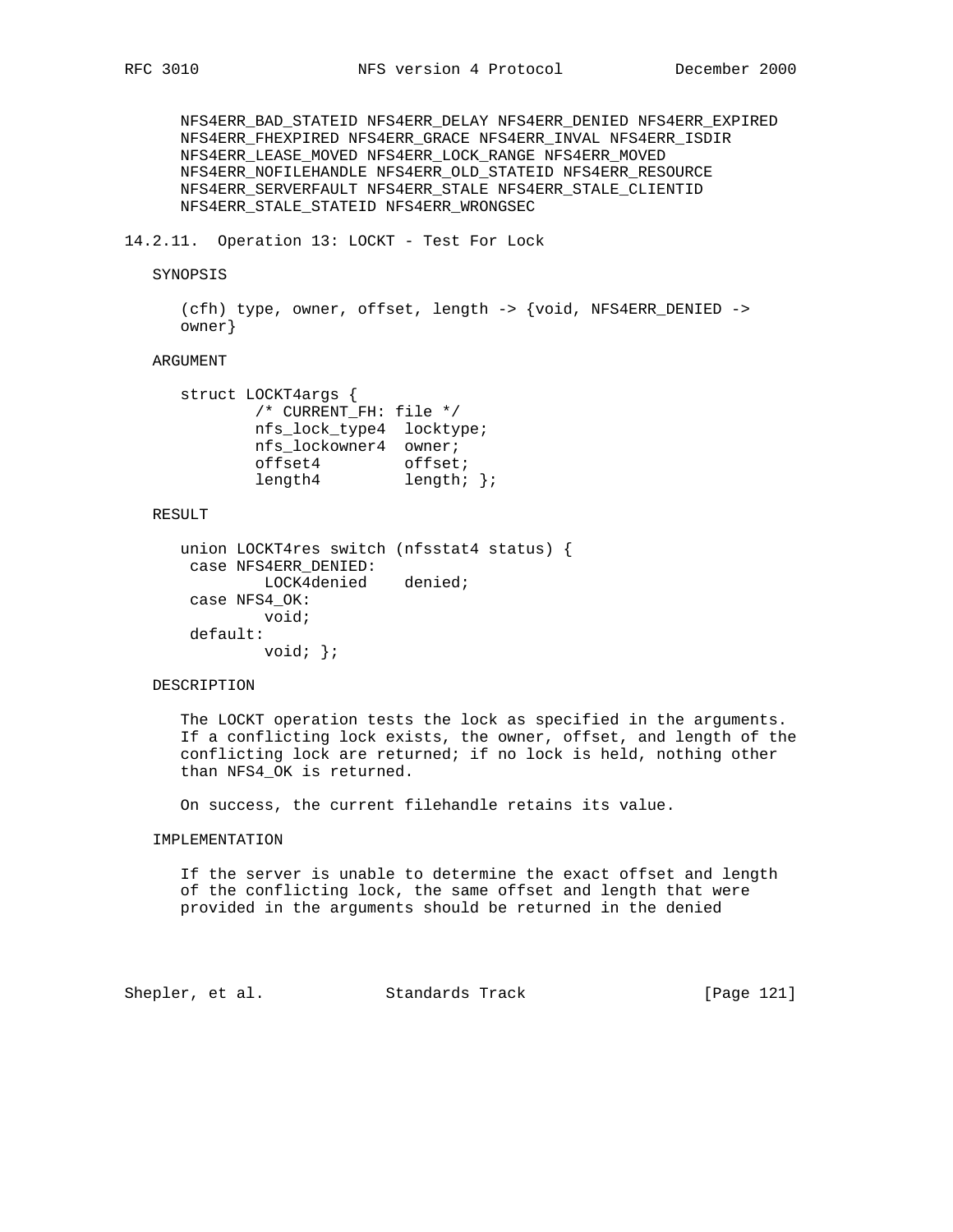NFS4ERR\_BAD\_STATEID NFS4ERR\_DELAY NFS4ERR\_DENIED NFS4ERR\_EXPIRED NFS4ERR\_FHEXPIRED NFS4ERR\_GRACE NFS4ERR\_INVAL NFS4ERR\_ISDIR NFS4ERR\_LEASE\_MOVED NFS4ERR\_LOCK\_RANGE NFS4ERR\_MOVED NFS4ERR\_NOFILEHANDLE NFS4ERR\_OLD\_STATEID NFS4ERR\_RESOURCE NFS4ERR\_SERVERFAULT NFS4ERR\_STALE NFS4ERR\_STALE\_CLIENTID NFS4ERR\_STALE\_STATEID NFS4ERR\_WRONGSEC

## 14.2.11. Operation 13: LOCKT - Test For Lock

### SYNOPSIS

 (cfh) type, owner, offset, length -> {void, NFS4ERR\_DENIED -> owner}

### ARGUMENT

```
 struct LOCKT4args {
          /* CURRENT_FH: file */
           nfs_lock_type4 locktype;
           nfs_lockowner4 owner;
offset4 offset;
length4 length; };
```
### RESULT

```
 union LOCKT4res switch (nfsstat4 status) {
 case NFS4ERR_DENIED:
        LOCK4denied denied;
 case NFS4_OK:
         void;
 default:
         void; };
```
### DESCRIPTION

 The LOCKT operation tests the lock as specified in the arguments. If a conflicting lock exists, the owner, offset, and length of the conflicting lock are returned; if no lock is held, nothing other than NFS4\_OK is returned.

On success, the current filehandle retains its value.

# IMPLEMENTATION

 If the server is unable to determine the exact offset and length of the conflicting lock, the same offset and length that were provided in the arguments should be returned in the denied

Shepler, et al. Standards Track [Page 121]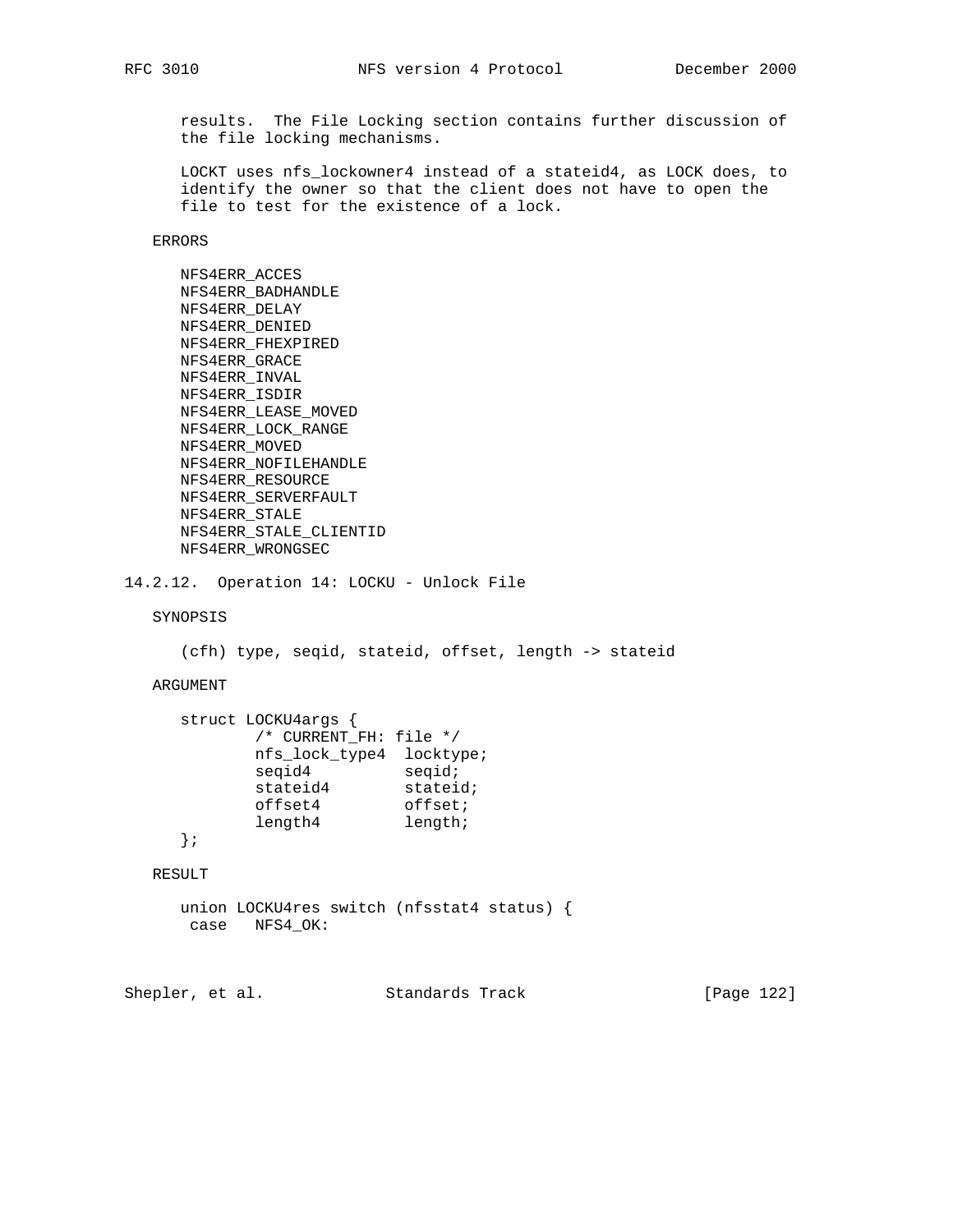results. The File Locking section contains further discussion of the file locking mechanisms.

 LOCKT uses nfs\_lockowner4 instead of a stateid4, as LOCK does, to identify the owner so that the client does not have to open the file to test for the existence of a lock.

ERRORS

 NFS4ERR\_ACCES NFS4ERR\_BADHANDLE NFS4ERR\_DELAY NFS4ERR\_DENIED NFS4ERR\_FHEXPIRED NFS4ERR\_GRACE NFS4ERR\_INVAL NFS4ERR\_ISDIR NFS4ERR\_LEASE\_MOVED NFS4ERR\_LOCK\_RANGE NFS4ERR\_MOVED NFS4ERR\_NOFILEHANDLE NFS4ERR\_RESOURCE NFS4ERR\_SERVERFAULT NFS4ERR\_STALE NFS4ERR\_STALE\_CLIENTID NFS4ERR\_WRONGSEC

```
14.2.12. Operation 14: LOCKU - Unlock File
```
SYNOPSIS

(cfh) type, seqid, stateid, offset, length -> stateid

ARGUMENT

```
 struct LOCKU4args {
        /* CURRENT_FH: file */
 nfs_lock_type4 locktype;
seqid4 seqid;
stateid4 stateid;
offset4 offset;
length4 length;
```
};

RESULT

```
 union LOCKU4res switch (nfsstat4 status) {
 case NFS4_OK:
```
Shepler, et al. Standards Track [Page 122]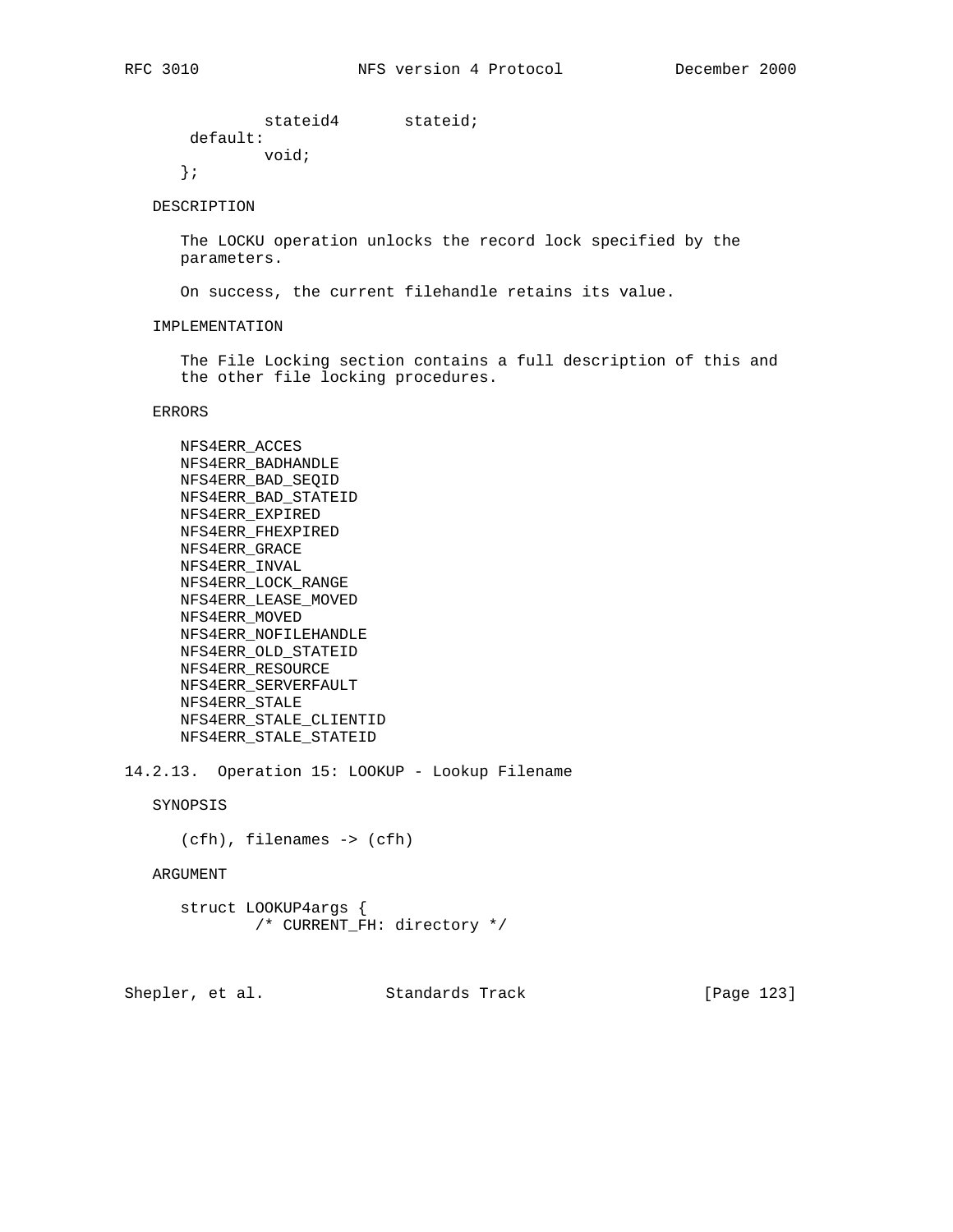stateid4 stateid; default: void; };

## DESCRIPTION

 The LOCKU operation unlocks the record lock specified by the parameters.

On success, the current filehandle retains its value.

#### IMPLEMENTATION

 The File Locking section contains a full description of this and the other file locking procedures.

ERRORS

 NFS4ERR\_ACCES NFS4ERR\_BADHANDLE NFS4ERR\_BAD\_SEQID NFS4ERR\_BAD\_STATEID NFS4ERR\_EXPIRED NFS4ERR\_FHEXPIRED NFS4ERR\_GRACE NFS4ERR\_INVAL NFS4ERR\_LOCK\_RANGE NFS4ERR\_LEASE\_MOVED NFS4ERR\_MOVED NFS4ERR\_NOFILEHANDLE NFS4ERR\_OLD\_STATEID NFS4ERR\_RESOURCE NFS4ERR\_SERVERFAULT NFS4ERR\_STALE NFS4ERR\_STALE\_CLIENTID NFS4ERR\_STALE\_STATEID

14.2.13. Operation 15: LOOKUP - Lookup Filename

SYNOPSIS

(cfh), filenames -> (cfh)

ARGUMENT

 struct LOOKUP4args { /\* CURRENT\_FH: directory \*/

Shepler, et al. Standards Track [Page 123]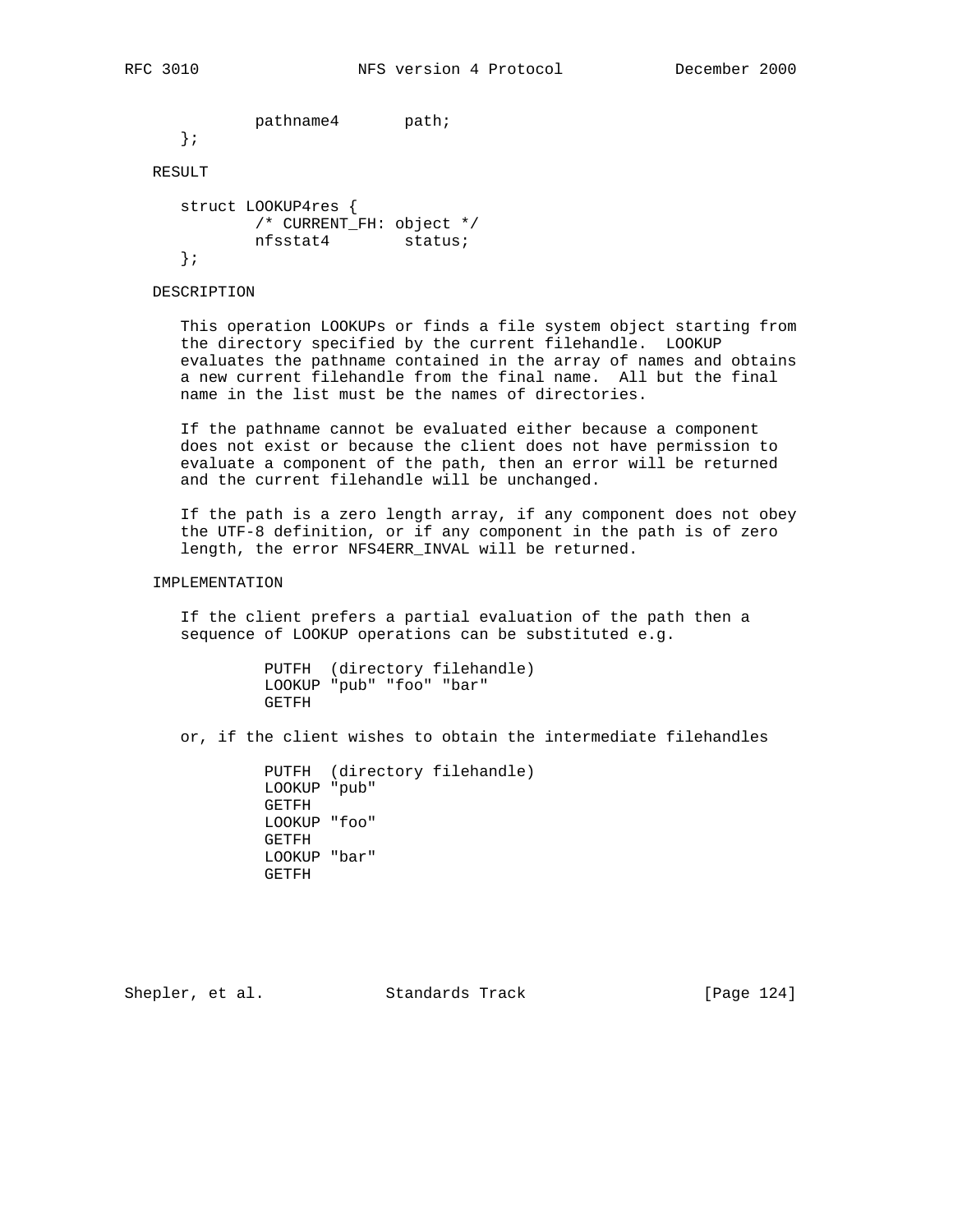pathname4 path;

};

# RESULT

 struct LOOKUP4res { /\* CURRENT\_FH: object \*/ nfsstat4 status; };

DESCRIPTION

 This operation LOOKUPs or finds a file system object starting from the directory specified by the current filehandle. LOOKUP evaluates the pathname contained in the array of names and obtains a new current filehandle from the final name. All but the final name in the list must be the names of directories.

 If the pathname cannot be evaluated either because a component does not exist or because the client does not have permission to evaluate a component of the path, then an error will be returned and the current filehandle will be unchanged.

 If the path is a zero length array, if any component does not obey the UTF-8 definition, or if any component in the path is of zero length, the error NFS4ERR\_INVAL will be returned.

IMPLEMENTATION

 If the client prefers a partial evaluation of the path then a sequence of LOOKUP operations can be substituted e.g.

|       | PUTFH (directory filehandle) |
|-------|------------------------------|
|       | LOOKUP "pub" "foo" "bar"     |
| GETFH |                              |

or, if the client wishes to obtain the intermediate filehandles

 PUTFH (directory filehandle) LOOKUP "pub" GETFH LOOKUP "foo" GETFH LOOKUP "bar" GETFH

Shepler, et al. Standards Track [Page 124]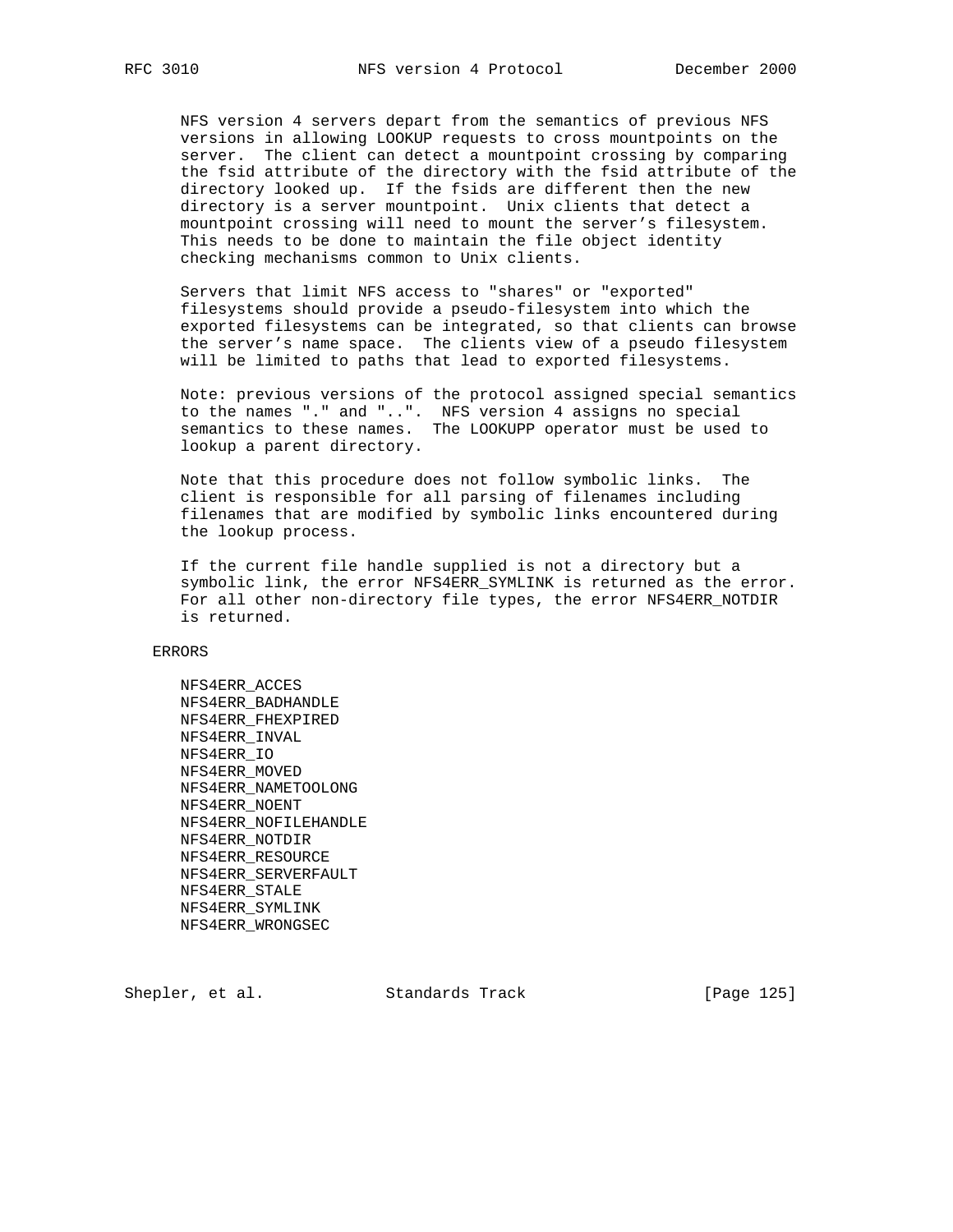NFS version 4 servers depart from the semantics of previous NFS versions in allowing LOOKUP requests to cross mountpoints on the server. The client can detect a mountpoint crossing by comparing the fsid attribute of the directory with the fsid attribute of the directory looked up. If the fsids are different then the new directory is a server mountpoint. Unix clients that detect a mountpoint crossing will need to mount the server's filesystem. This needs to be done to maintain the file object identity checking mechanisms common to Unix clients.

 Servers that limit NFS access to "shares" or "exported" filesystems should provide a pseudo-filesystem into which the exported filesystems can be integrated, so that clients can browse the server's name space. The clients view of a pseudo filesystem will be limited to paths that lead to exported filesystems.

 Note: previous versions of the protocol assigned special semantics to the names "." and "..". NFS version 4 assigns no special semantics to these names. The LOOKUPP operator must be used to lookup a parent directory.

 Note that this procedure does not follow symbolic links. The client is responsible for all parsing of filenames including filenames that are modified by symbolic links encountered during the lookup process.

 If the current file handle supplied is not a directory but a symbolic link, the error NFS4ERR\_SYMLINK is returned as the error. For all other non-directory file types, the error NFS4ERR\_NOTDIR is returned.

ERRORS

 NFS4ERR\_ACCES NFS4ERR\_BADHANDLE NFS4ERR\_FHEXPIRED NFS4ERR\_INVAL NFS4ERR\_IO NFS4ERR\_MOVED NFS4ERR\_NAMETOOLONG NFS4ERR\_NOENT NFS4ERR\_NOFILEHANDLE NFS4ERR\_NOTDIR NFS4ERR\_RESOURCE NFS4ERR\_SERVERFAULT NFS4ERR\_STALE NFS4ERR\_SYMLINK NFS4ERR\_WRONGSEC

Shepler, et al. Standards Track [Page 125]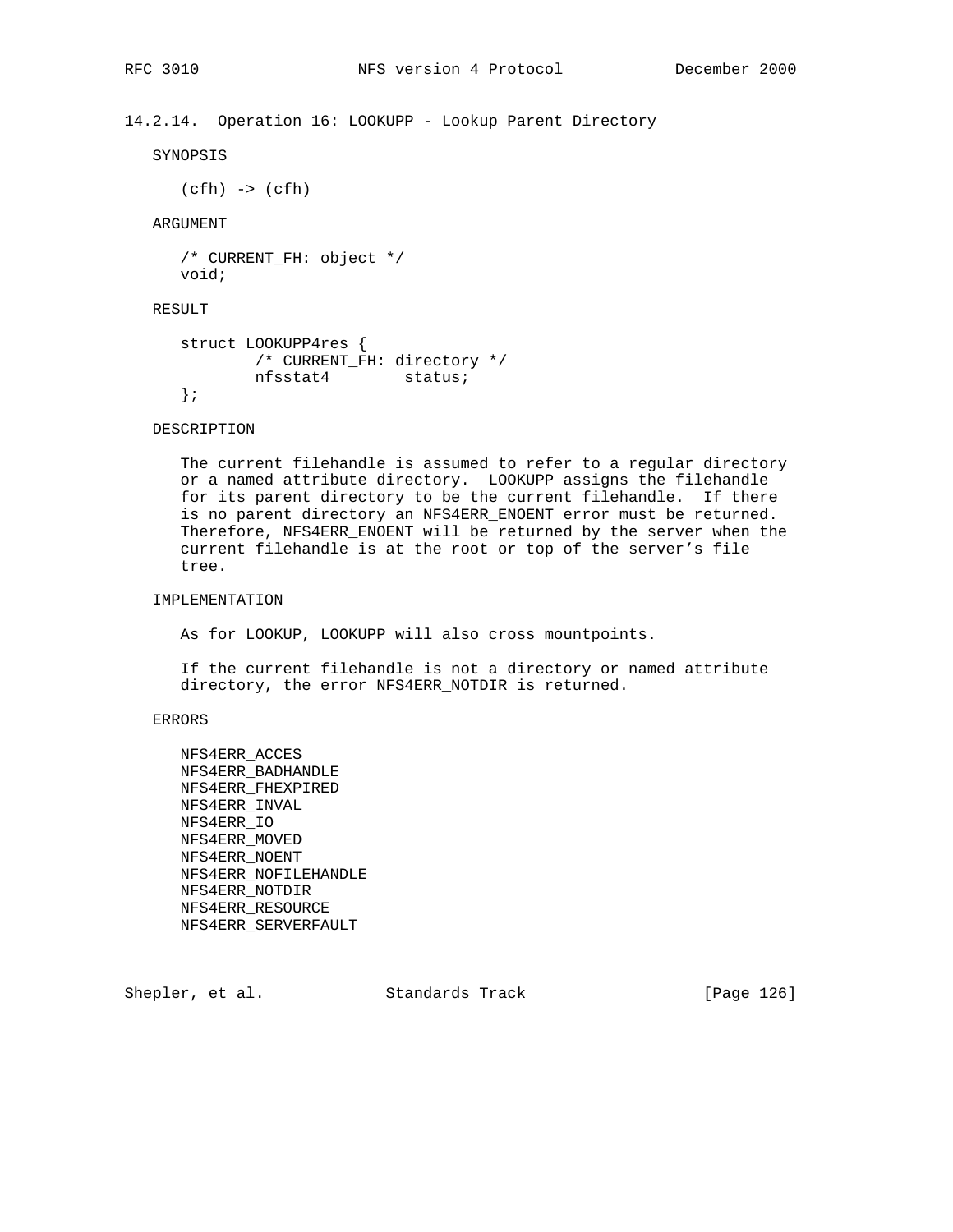14.2.14. Operation 16: LOOKUPP - Lookup Parent Directory

SYNOPSIS

 $(cfh) \rightarrow (cfh)$ 

ARGUMENT

```
 /* CURRENT_FH: object */
 void;
```
RESULT

```
 struct LOOKUPP4res {
        /* CURRENT_FH: directory */
        nfsstat4 status;
 };
```
DESCRIPTION

 The current filehandle is assumed to refer to a regular directory or a named attribute directory. LOOKUPP assigns the filehandle for its parent directory to be the current filehandle. If there is no parent directory an NFS4ERR\_ENOENT error must be returned. Therefore, NFS4ERR\_ENOENT will be returned by the server when the current filehandle is at the root or top of the server's file tree.

# IMPLEMENTATION

As for LOOKUP, LOOKUPP will also cross mountpoints.

 If the current filehandle is not a directory or named attribute directory, the error NFS4ERR\_NOTDIR is returned.

## ERRORS

 NFS4ERR\_ACCES NFS4ERR\_BADHANDLE NFS4ERR\_FHEXPIRED NFS4ERR\_INVAL NFS4ERR\_IO NFS4ERR\_MOVED NFS4ERR\_NOENT NFS4ERR\_NOFILEHANDLE NFS4ERR\_NOTDIR NFS4ERR\_RESOURCE NFS4ERR\_SERVERFAULT

Shepler, et al. Standards Track [Page 126]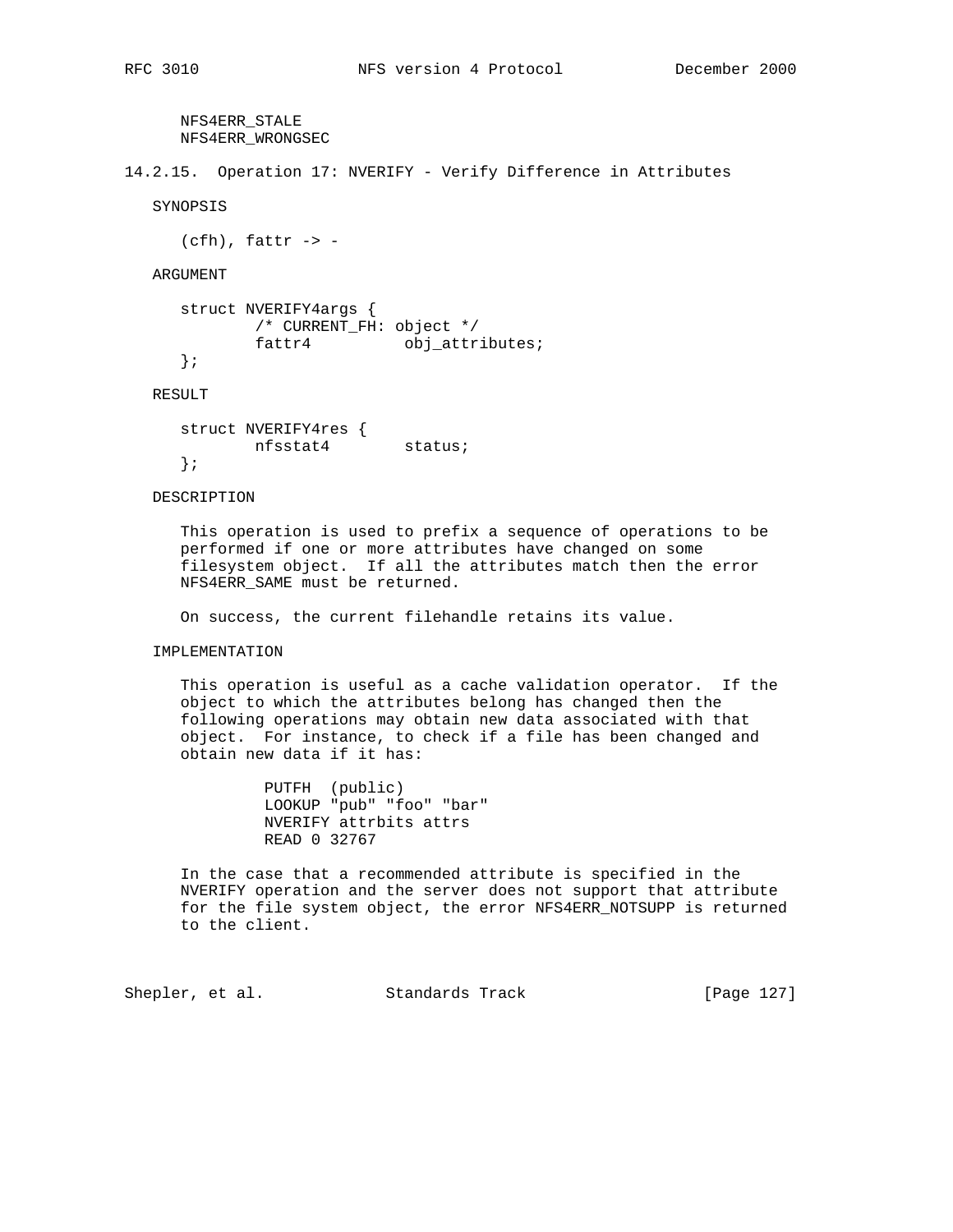NFS4ERR\_STALE NFS4ERR\_WRONGSEC

14.2.15. Operation 17: NVERIFY - Verify Difference in Attributes

SYNOPSIS

 $(cfh)$ , fattr  $\rightarrow$  -

ARGUMENT

```
 struct NVERIFY4args {
        /* CURRENT_FH: object */
       fattr4 obj_attributes;
 };
```
RESULT

 struct NVERIFY4res { nfsstat4 status; };

DESCRIPTION

 This operation is used to prefix a sequence of operations to be performed if one or more attributes have changed on some filesystem object. If all the attributes match then the error NFS4ERR\_SAME must be returned.

On success, the current filehandle retains its value.

IMPLEMENTATION

 This operation is useful as a cache validation operator. If the object to which the attributes belong has changed then the following operations may obtain new data associated with that object. For instance, to check if a file has been changed and obtain new data if it has:

> PUTFH (public) LOOKUP "pub" "foo" "bar" NVERIFY attrbits attrs READ 0 32767

 In the case that a recommended attribute is specified in the NVERIFY operation and the server does not support that attribute for the file system object, the error NFS4ERR\_NOTSUPP is returned to the client.

Shepler, et al. Standards Track [Page 127]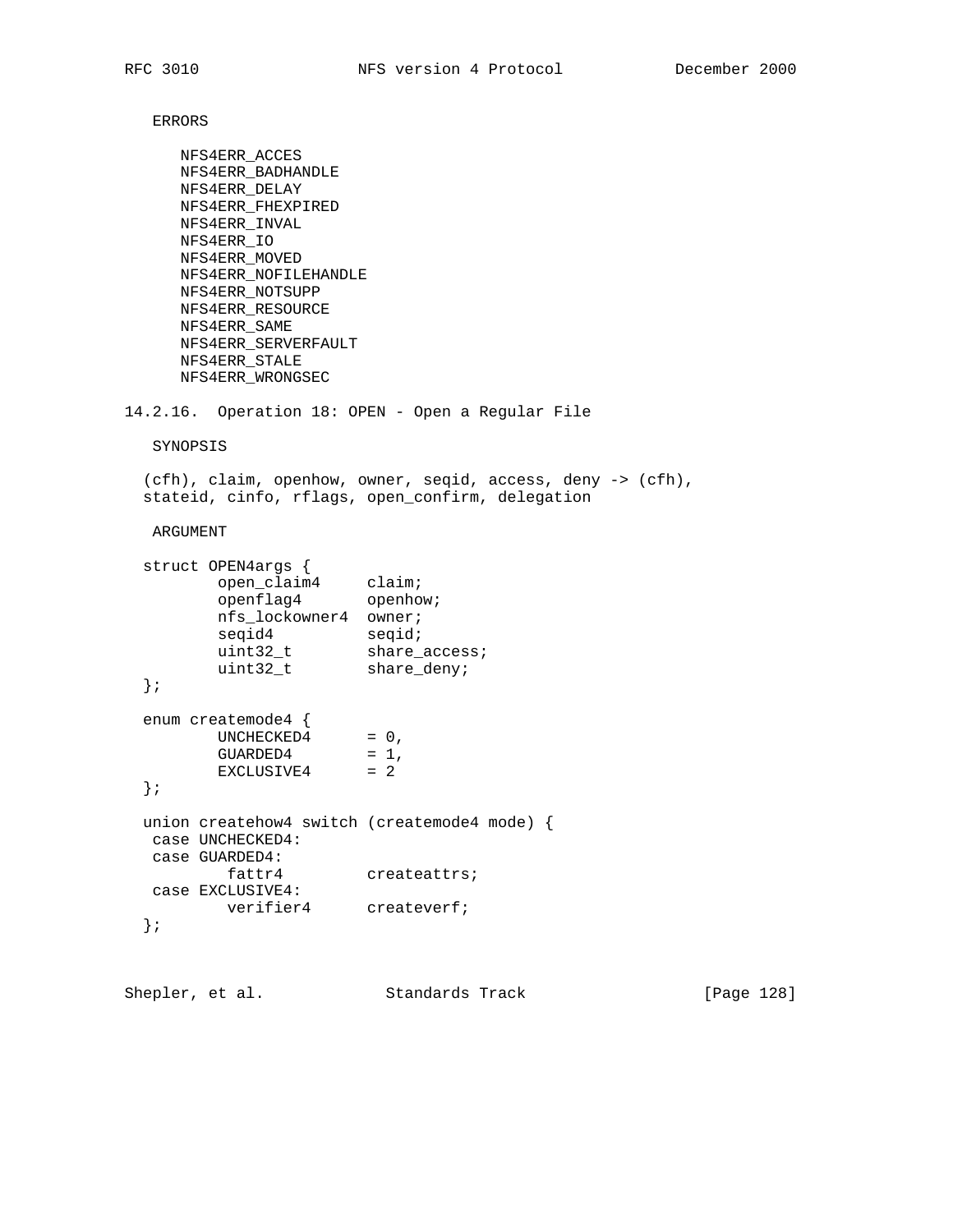ERRORS

```
 NFS4ERR_ACCES
     NFS4ERR_BADHANDLE
     NFS4ERR_DELAY
     NFS4ERR_FHEXPIRED
     NFS4ERR_INVAL
     NFS4ERR_IO
     NFS4ERR_MOVED
     NFS4ERR_NOFILEHANDLE
     NFS4ERR_NOTSUPP
     NFS4ERR_RESOURCE
     NFS4ERR_SAME
     NFS4ERR_SERVERFAULT
     NFS4ERR_STALE
     NFS4ERR_WRONGSEC
14.2.16. Operation 18: OPEN - Open a Regular File
   SYNOPSIS
  (cfh), claim, openhow, owner, seqid, access, deny -> (cfh),
  stateid, cinfo, rflags, open_confirm, delegation
   ARGUMENT
  struct OPEN4args {
 open_claim4 claim;
openflag4 openhow;
 nfs_lockowner4 owner;
seqid4 seqid;
uint32_t share_access;
 uint32_t share_deny;
  };
  enum createmode4 {
UNCHECKED4 = 0,
GUARDED4 = 1,
EXCLUSIVE4 = 2
  };
  union createhow4 switch (createmode4 mode) {
 case UNCHECKED4:
 case GUARDED4:
fattr4 createattrs;
 case EXCLUSIVE4:
verifier4 createverf;
  };
```
Shepler, et al. Standards Track [Page 128]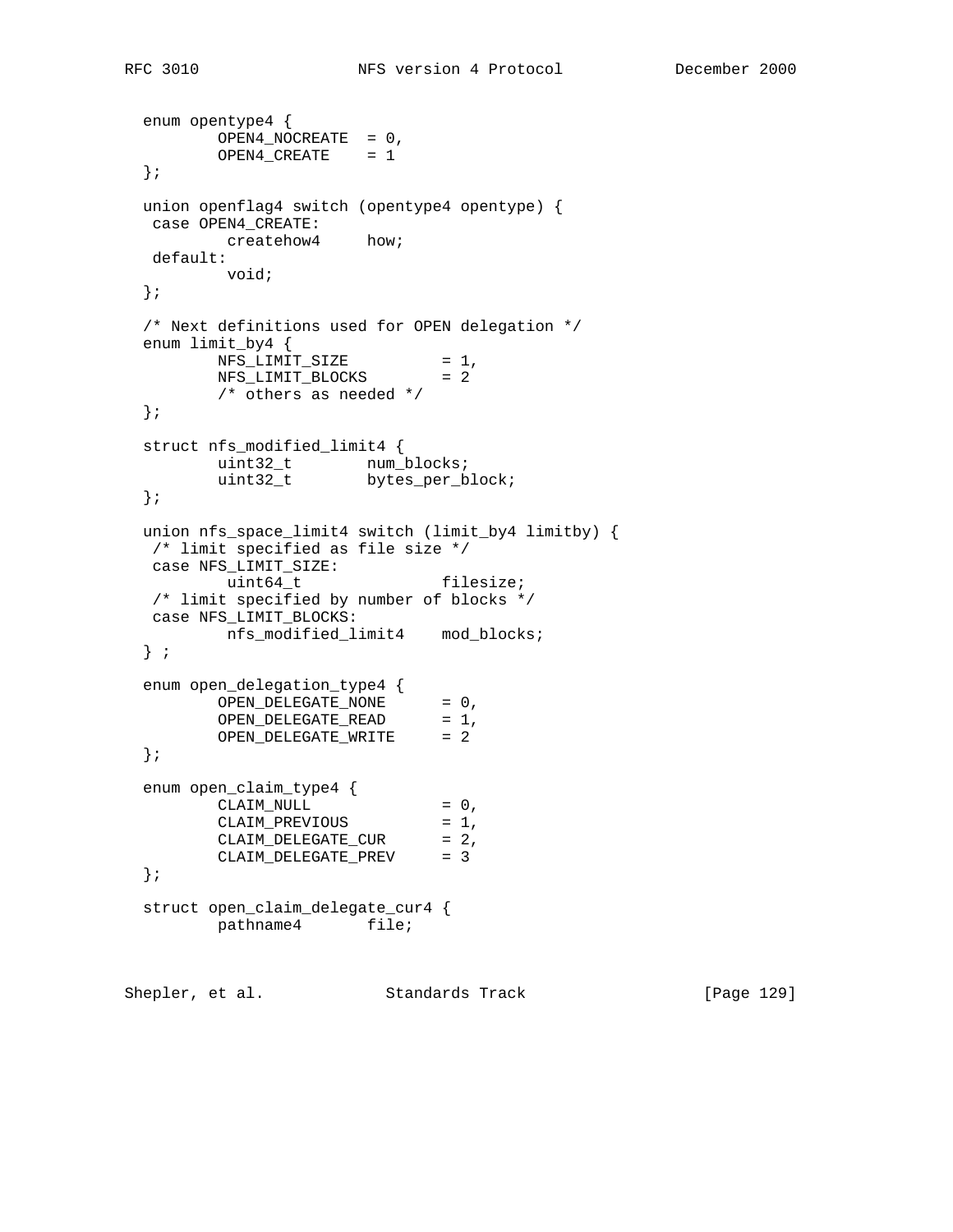```
 enum opentype4 {
        OPEN4_NOCREATE = 0,
       OPEN4_CREATE = 1 };
  union openflag4 switch (opentype4 opentype) {
  case OPEN4_CREATE:
     createhow4 how;
   default:
         void;
  };
  /* Next definitions used for OPEN delegation */
 enum limit_by4 {<br>NFS_LIMIT_SIZE
NFS_LIMIT_SIZE = 1,
NFS_LIMIT_BLOCKS = 2
        /* others as needed */
  };
  struct nfs_modified_limit4 {
uint32_t num_blocks;
uint32_t bytes_per_block;
  };
  union nfs_space_limit4 switch (limit_by4 limitby) {
   /* limit specified as file size */
   case NFS_LIMIT_SIZE:
        uint64 t filesize;
   /* limit specified by number of blocks */
   case NFS_LIMIT_BLOCKS:
        nfs_modified_limit4 mod_blocks;
  } ;
 enum open_delegation_type4 {
OPEN_DELEGATE_NONE = 0,
OPEN_DELEGATE_READ = 1,
OPEN_DELEGATE_WRITE = 2
  };
  enum open_claim_type4 {
CLAIM_NULL = 0,
CLAIM_PREVIOUS = 1,
CLAIM_DELEGATE_CUR = 2,
 CLAIM_DELEGATE_PREV = 3
  };
  struct open_claim_delegate_cur4 {
        pathname4 file;
```
Shepler, et al. Standards Track [Page 129]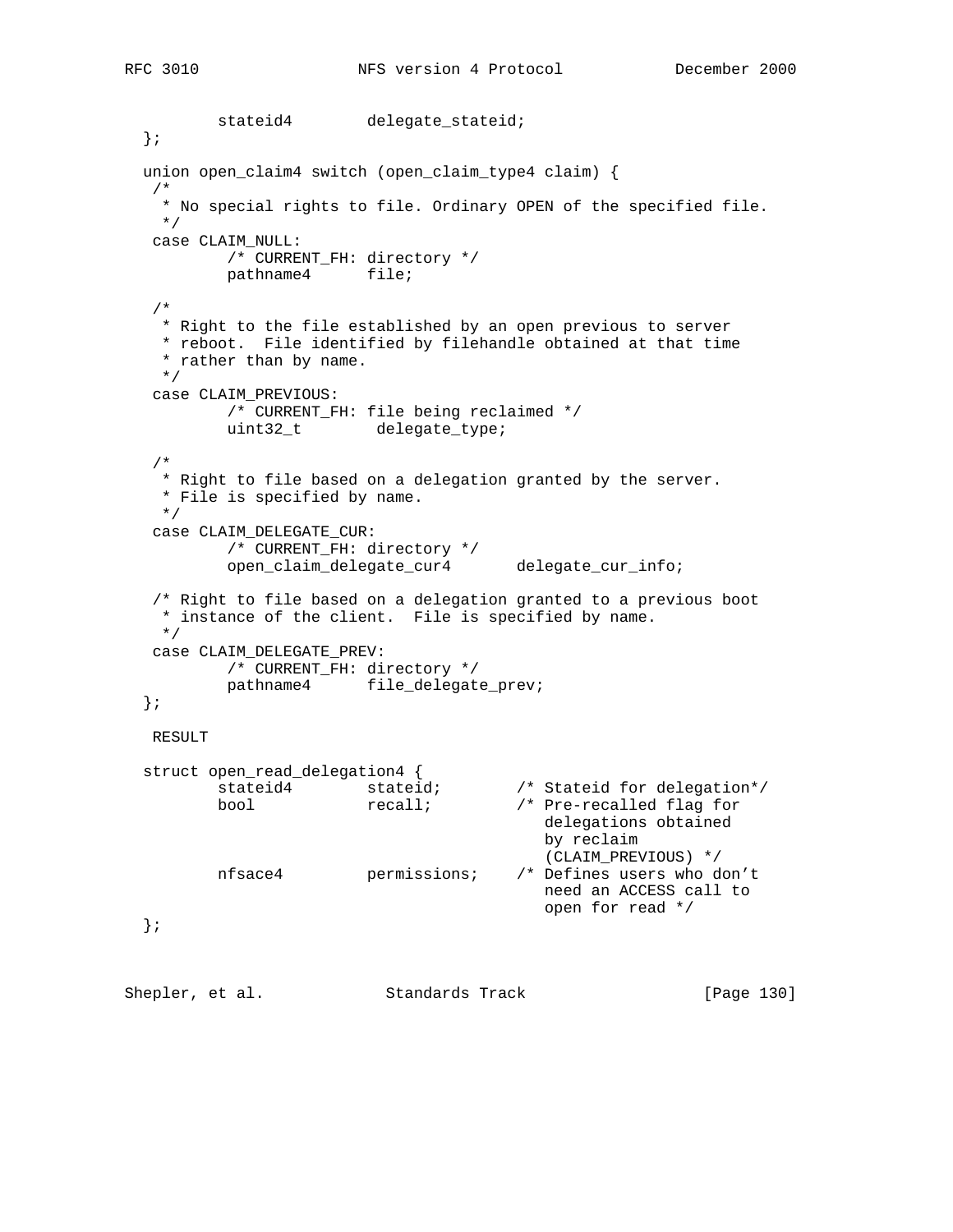stateid4 delegate\_stateid; }; union open\_claim4 switch (open\_claim\_type4 claim) { /\* \* No special rights to file. Ordinary OPEN of the specified file. \*/ case CLAIM\_NULL: /\* CURRENT\_FH: directory \*/ pathname4 file; /\* \* Right to the file established by an open previous to server \* reboot. File identified by filehandle obtained at that time \* rather than by name. \*/ case CLAIM\_PREVIOUS: /\* CURRENT\_FH: file being reclaimed \*/ uint32\_t delegate\_type; /\* \* Right to file based on a delegation granted by the server. \* File is specified by name. \*/ case CLAIM\_DELEGATE\_CUR: /\* CURRENT\_FH: directory \*/ open\_claim\_delegate\_cur4 delegate\_cur\_info; /\* Right to file based on a delegation granted to a previous boot \* instance of the client. File is specified by name. \*/ case CLAIM\_DELEGATE\_PREV: /\* CURRENT\_FH: directory \*/ pathname4 file\_delegate\_prev; }; RESULT struct open\_read\_delegation4 {<br>stateid4 stateid; /\* Stateid for delegation\*/ bool recall; /\* Pre-recalled flag for delegations obtained by reclaim (CLAIM\_PREVIOUS) \*/<br>/\* Defines users who don't nfsace4 permissions; need an ACCESS call to open for read \*/ }; Shepler, et al. Standards Track [Page 130]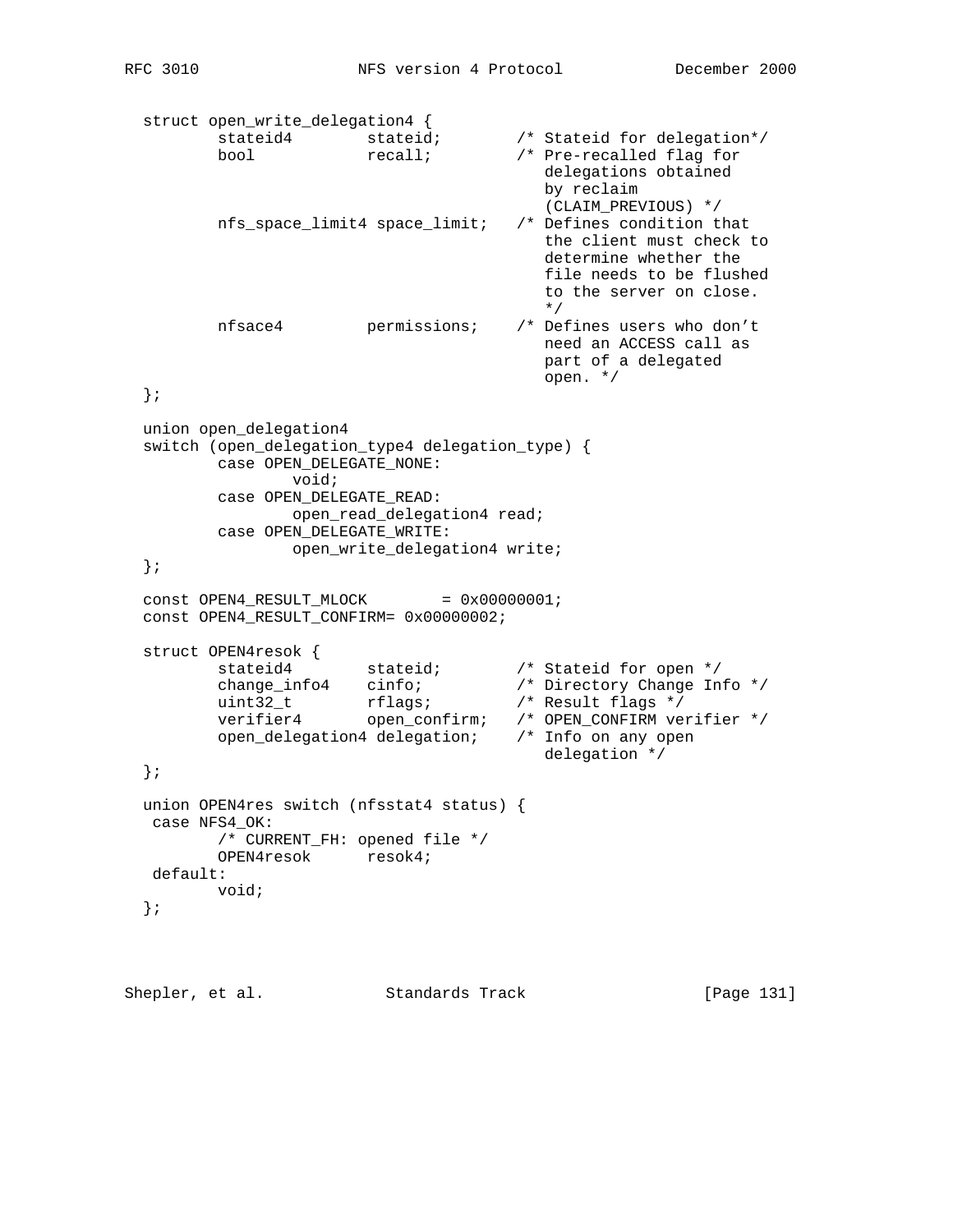```
 struct open_write_delegation4 {
 stateid4 stateid; /* Stateid for delegation*/
 bool recall; /* Pre-recalled flag for
                                       delegations obtained
                                       by reclaim
                                   (CLAIM_PREVIOUS) */<br>/* Defines condition that
        nfs\_space\_limit4 space_limit;
                                       the client must check to
                                       determine whether the
                                       file needs to be flushed
                                       to the server on close.
\star/ nfsace4 permissions; /* Defines users who don't
                                       need an ACCESS call as
                                       part of a delegated
                                       open. */
  };
  union open_delegation4
  switch (open_delegation_type4 delegation_type) {
         case OPEN_DELEGATE_NONE:
                void;
         case OPEN_DELEGATE_READ:
               open_read_delegation4 read;
         case OPEN_DELEGATE_WRITE:
               open_write_delegation4 write;
  };
 const OPEN4_RESULT_MLOCK = 0x00000001;
  const OPEN4_RESULT_CONFIRM= 0x00000002;
 struct OPEN4resok {
 stateid4 stateid; /* Stateid for open */
 change_info4 cinfo; /* Directory Change Info */
 uint32_t rflags; /* Result flags */
 verifier4 open_confirm; /* OPEN_CONFIRM verifier */
 open_delegation4 delegation; /* Info on any open
 delegation */
  };
  union OPEN4res switch (nfsstat4 status) {
   case NFS4_OK:
        /* CURRENT_FH: opened file */
         OPEN4resok resok4;
   default:
        void;
  };
```
Shepler, et al. Standards Track [Page 131]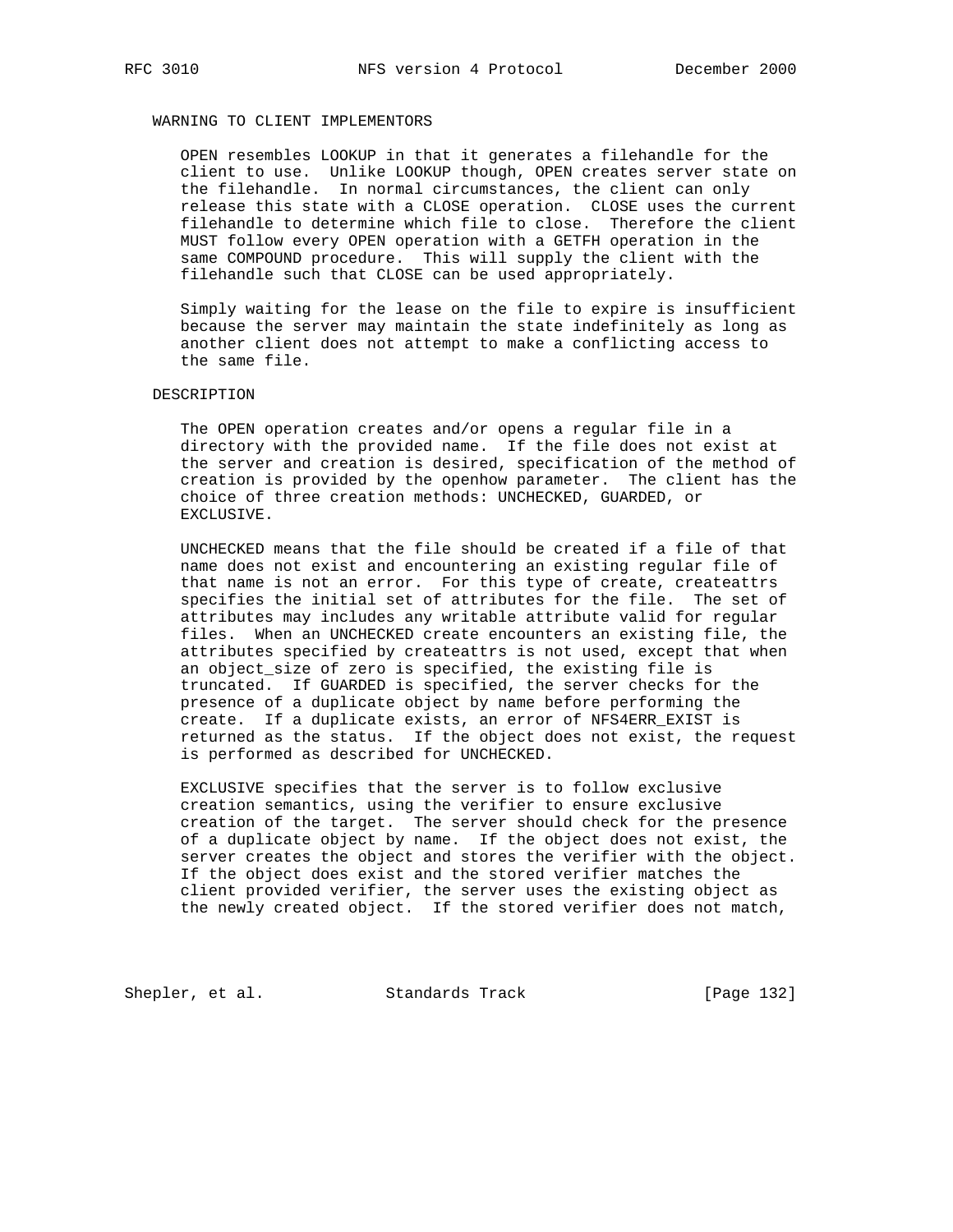## WARNING TO CLIENT IMPLEMENTORS

 OPEN resembles LOOKUP in that it generates a filehandle for the client to use. Unlike LOOKUP though, OPEN creates server state on the filehandle. In normal circumstances, the client can only release this state with a CLOSE operation. CLOSE uses the current filehandle to determine which file to close. Therefore the client MUST follow every OPEN operation with a GETFH operation in the same COMPOUND procedure. This will supply the client with the filehandle such that CLOSE can be used appropriately.

 Simply waiting for the lease on the file to expire is insufficient because the server may maintain the state indefinitely as long as another client does not attempt to make a conflicting access to the same file.

### DESCRIPTION

 The OPEN operation creates and/or opens a regular file in a directory with the provided name. If the file does not exist at the server and creation is desired, specification of the method of creation is provided by the openhow parameter. The client has the choice of three creation methods: UNCHECKED, GUARDED, or EXCLUSIVE.

 UNCHECKED means that the file should be created if a file of that name does not exist and encountering an existing regular file of that name is not an error. For this type of create, createattrs specifies the initial set of attributes for the file. The set of attributes may includes any writable attribute valid for regular files. When an UNCHECKED create encounters an existing file, the attributes specified by createattrs is not used, except that when an object\_size of zero is specified, the existing file is truncated. If GUARDED is specified, the server checks for the presence of a duplicate object by name before performing the create. If a duplicate exists, an error of NFS4ERR\_EXIST is returned as the status. If the object does not exist, the request is performed as described for UNCHECKED.

 EXCLUSIVE specifies that the server is to follow exclusive creation semantics, using the verifier to ensure exclusive creation of the target. The server should check for the presence of a duplicate object by name. If the object does not exist, the server creates the object and stores the verifier with the object. If the object does exist and the stored verifier matches the client provided verifier, the server uses the existing object as the newly created object. If the stored verifier does not match,

Shepler, et al. Standards Track [Page 132]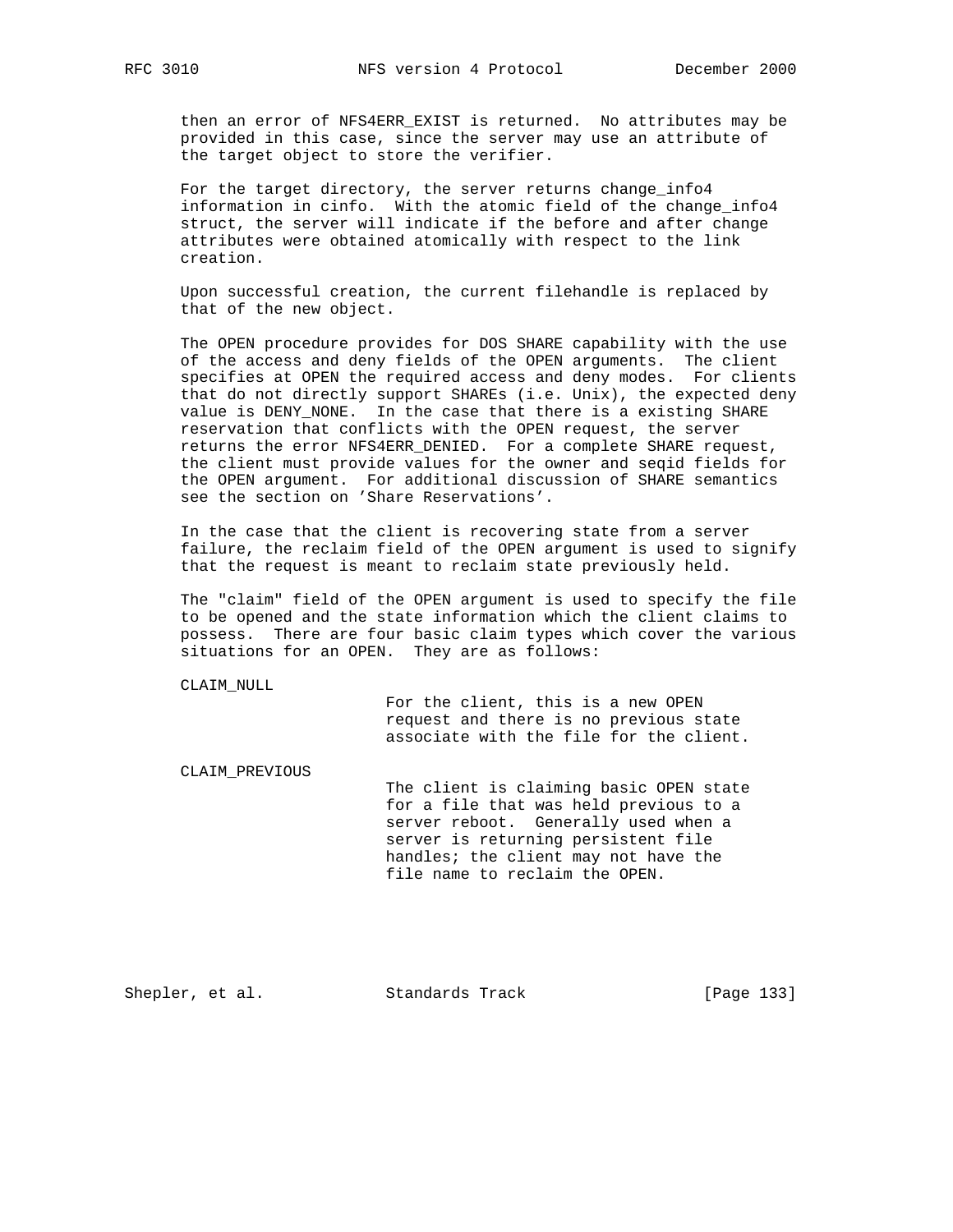then an error of NFS4ERR\_EXIST is returned. No attributes may be provided in this case, since the server may use an attribute of the target object to store the verifier.

For the target directory, the server returns change\_info4 information in cinfo. With the atomic field of the change\_info4 struct, the server will indicate if the before and after change attributes were obtained atomically with respect to the link creation.

 Upon successful creation, the current filehandle is replaced by that of the new object.

 The OPEN procedure provides for DOS SHARE capability with the use of the access and deny fields of the OPEN arguments. The client specifies at OPEN the required access and deny modes. For clients that do not directly support SHAREs (i.e. Unix), the expected deny value is DENY\_NONE. In the case that there is a existing SHARE reservation that conflicts with the OPEN request, the server returns the error NFS4ERR\_DENIED. For a complete SHARE request, the client must provide values for the owner and seqid fields for the OPEN argument. For additional discussion of SHARE semantics see the section on 'Share Reservations'.

 In the case that the client is recovering state from a server failure, the reclaim field of the OPEN argument is used to signify that the request is meant to reclaim state previously held.

 The "claim" field of the OPEN argument is used to specify the file to be opened and the state information which the client claims to possess. There are four basic claim types which cover the various situations for an OPEN. They are as follows:

CLAIM\_NULL

 For the client, this is a new OPEN request and there is no previous state associate with the file for the client.

CLAIM\_PREVIOUS

 The client is claiming basic OPEN state for a file that was held previous to a server reboot. Generally used when a server is returning persistent file handles; the client may not have the file name to reclaim the OPEN.

Shepler, et al. Standards Track [Page 133]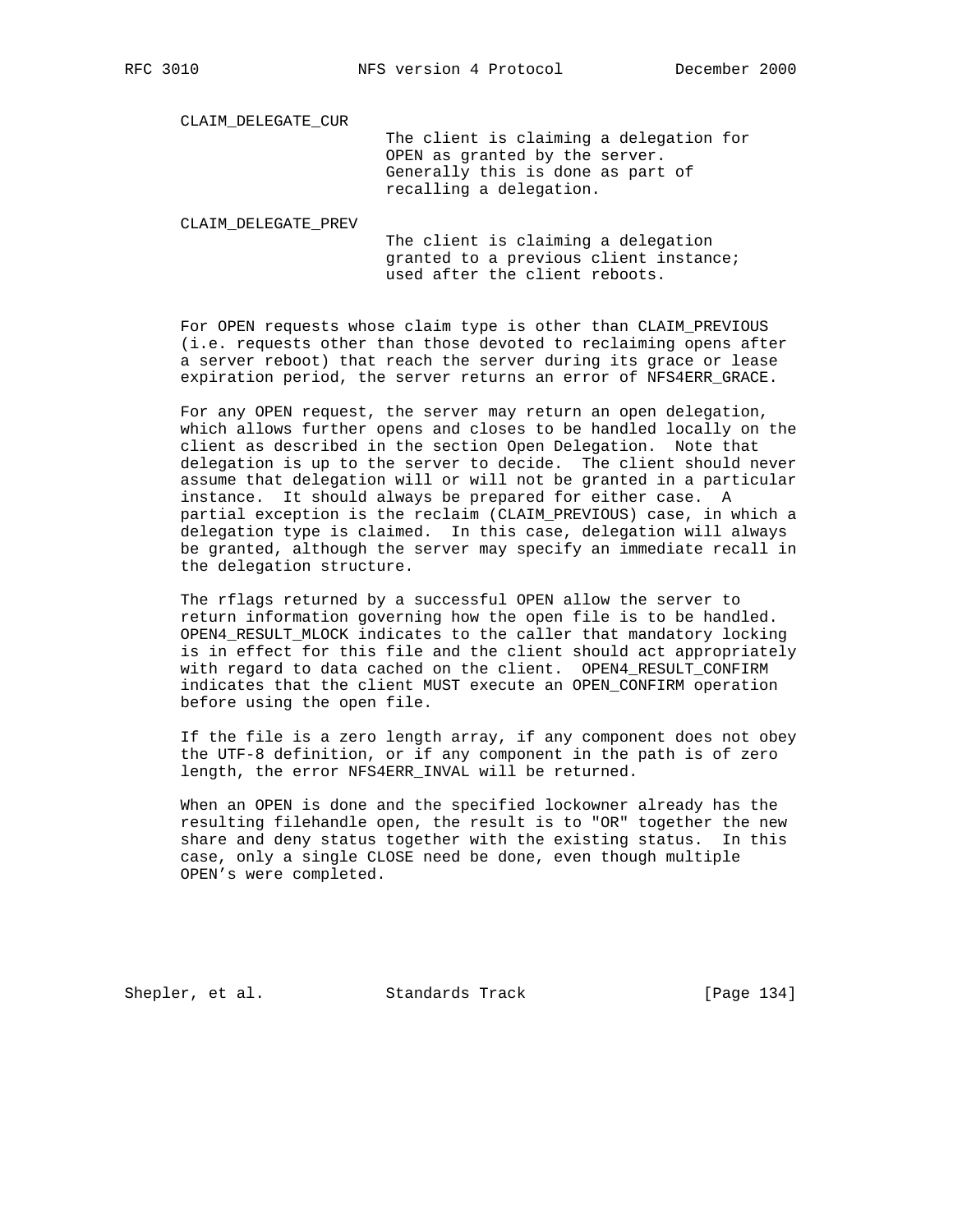CLAIM\_DELEGATE\_CUR

 The client is claiming a delegation for OPEN as granted by the server. Generally this is done as part of recalling a delegation.

CLAIM\_DELEGATE\_PREV

 The client is claiming a delegation granted to a previous client instance; used after the client reboots.

 For OPEN requests whose claim type is other than CLAIM\_PREVIOUS (i.e. requests other than those devoted to reclaiming opens after a server reboot) that reach the server during its grace or lease expiration period, the server returns an error of NFS4ERR GRACE.

 For any OPEN request, the server may return an open delegation, which allows further opens and closes to be handled locally on the client as described in the section Open Delegation. Note that delegation is up to the server to decide. The client should never assume that delegation will or will not be granted in a particular instance. It should always be prepared for either case. A partial exception is the reclaim (CLAIM\_PREVIOUS) case, in which a delegation type is claimed. In this case, delegation will always be granted, although the server may specify an immediate recall in the delegation structure.

 The rflags returned by a successful OPEN allow the server to return information governing how the open file is to be handled. OPEN4 RESULT MLOCK indicates to the caller that mandatory locking is in effect for this file and the client should act appropriately with regard to data cached on the client. OPEN4\_RESULT\_CONFIRM indicates that the client MUST execute an OPEN\_CONFIRM operation before using the open file.

 If the file is a zero length array, if any component does not obey the UTF-8 definition, or if any component in the path is of zero length, the error NFS4ERR\_INVAL will be returned.

 When an OPEN is done and the specified lockowner already has the resulting filehandle open, the result is to "OR" together the new share and deny status together with the existing status. In this case, only a single CLOSE need be done, even though multiple OPEN's were completed.

Shepler, et al. Standards Track [Page 134]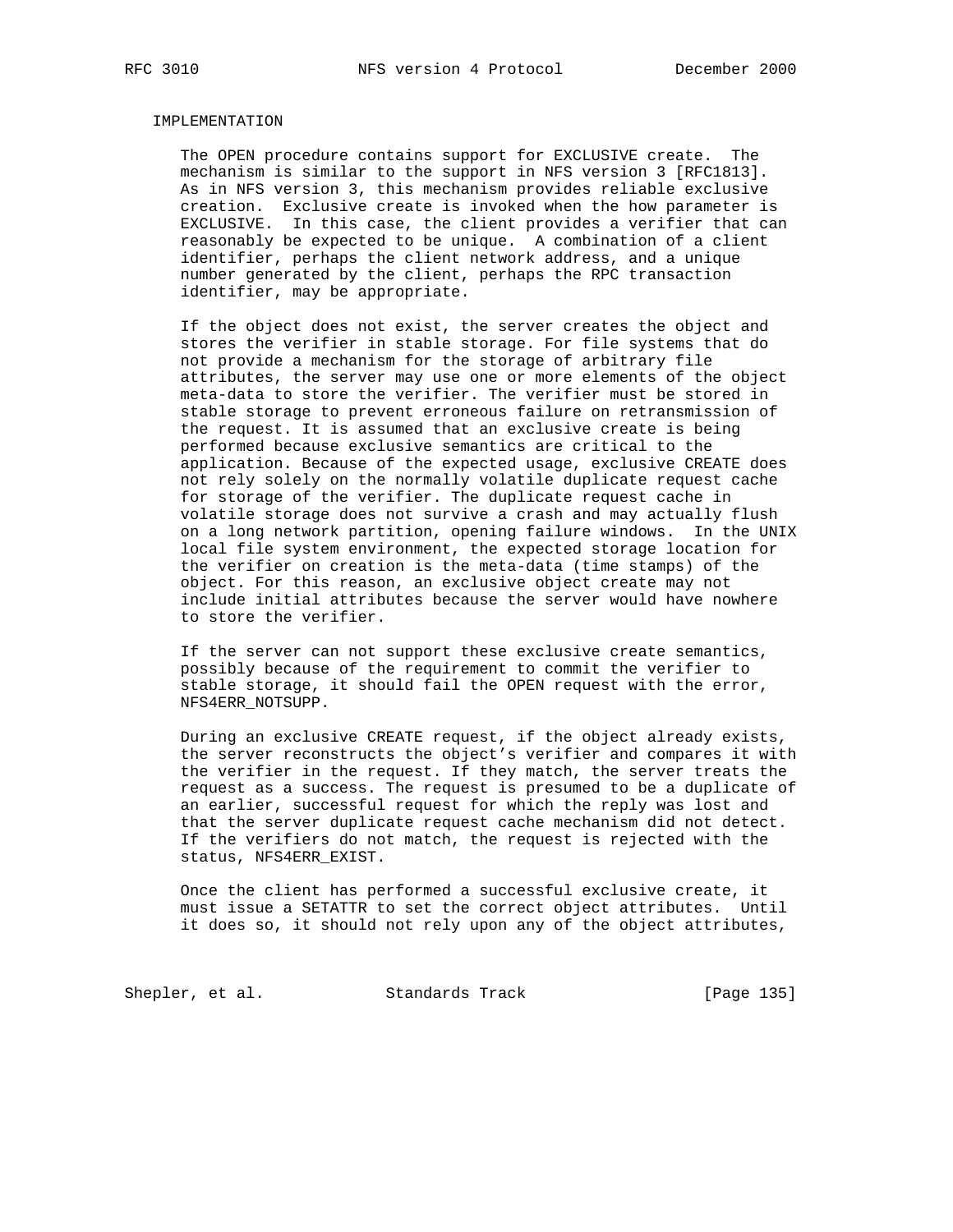### IMPLEMENTATION

 The OPEN procedure contains support for EXCLUSIVE create. The mechanism is similar to the support in NFS version 3 [RFC1813]. As in NFS version 3, this mechanism provides reliable exclusive creation. Exclusive create is invoked when the how parameter is EXCLUSIVE. In this case, the client provides a verifier that can reasonably be expected to be unique. A combination of a client identifier, perhaps the client network address, and a unique number generated by the client, perhaps the RPC transaction identifier, may be appropriate.

 If the object does not exist, the server creates the object and stores the verifier in stable storage. For file systems that do not provide a mechanism for the storage of arbitrary file attributes, the server may use one or more elements of the object meta-data to store the verifier. The verifier must be stored in stable storage to prevent erroneous failure on retransmission of the request. It is assumed that an exclusive create is being performed because exclusive semantics are critical to the application. Because of the expected usage, exclusive CREATE does not rely solely on the normally volatile duplicate request cache for storage of the verifier. The duplicate request cache in volatile storage does not survive a crash and may actually flush on a long network partition, opening failure windows. In the UNIX local file system environment, the expected storage location for the verifier on creation is the meta-data (time stamps) of the object. For this reason, an exclusive object create may not include initial attributes because the server would have nowhere to store the verifier.

 If the server can not support these exclusive create semantics, possibly because of the requirement to commit the verifier to stable storage, it should fail the OPEN request with the error, NFS4ERR\_NOTSUPP.

 During an exclusive CREATE request, if the object already exists, the server reconstructs the object's verifier and compares it with the verifier in the request. If they match, the server treats the request as a success. The request is presumed to be a duplicate of an earlier, successful request for which the reply was lost and that the server duplicate request cache mechanism did not detect. If the verifiers do not match, the request is rejected with the status, NFS4ERR\_EXIST.

 Once the client has performed a successful exclusive create, it must issue a SETATTR to set the correct object attributes. Until it does so, it should not rely upon any of the object attributes,

Shepler, et al. Standards Track [Page 135]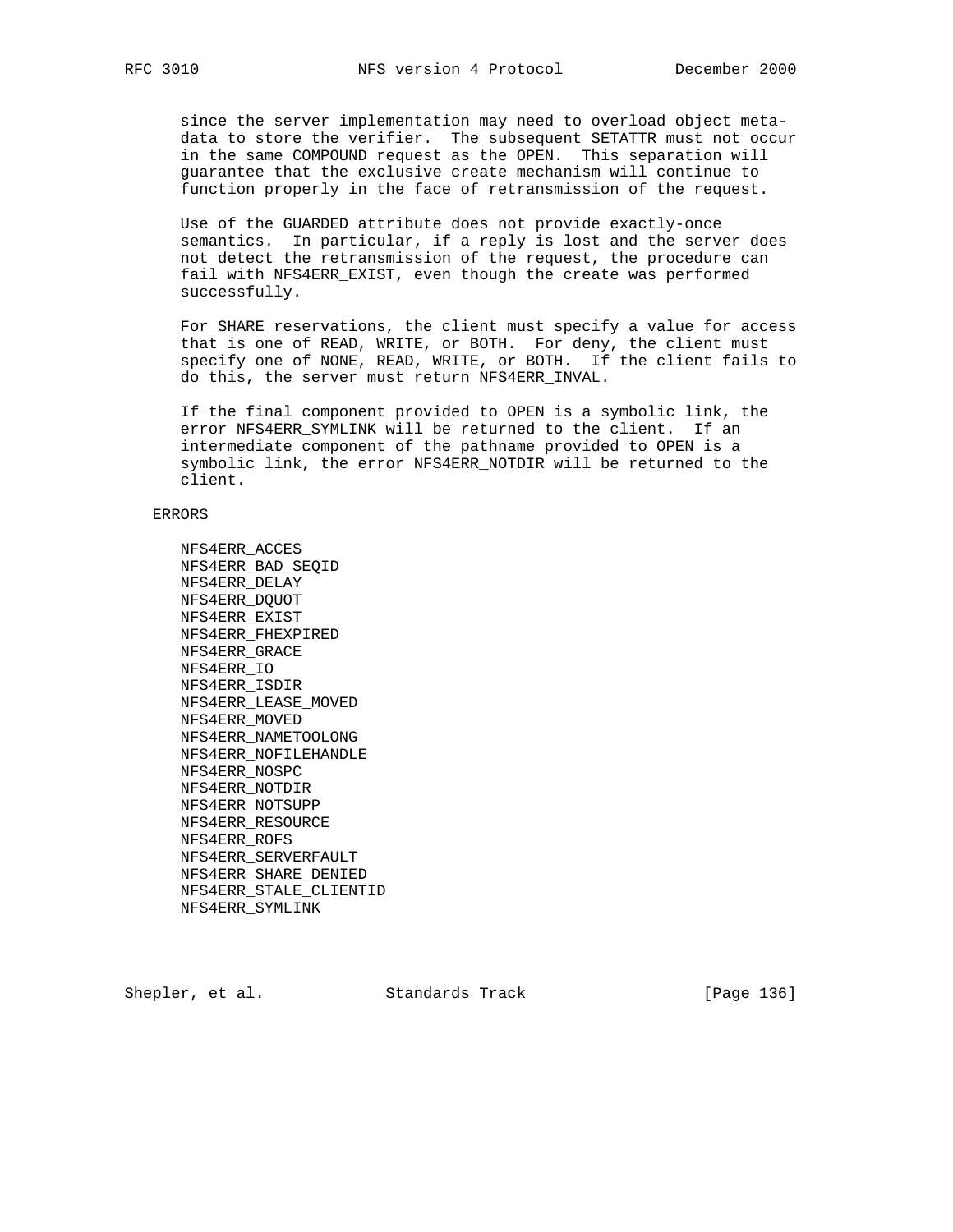since the server implementation may need to overload object meta data to store the verifier. The subsequent SETATTR must not occur in the same COMPOUND request as the OPEN. This separation will guarantee that the exclusive create mechanism will continue to function properly in the face of retransmission of the request.

 Use of the GUARDED attribute does not provide exactly-once semantics. In particular, if a reply is lost and the server does not detect the retransmission of the request, the procedure can fail with NFS4ERR\_EXIST, even though the create was performed successfully.

 For SHARE reservations, the client must specify a value for access that is one of READ, WRITE, or BOTH. For deny, the client must specify one of NONE, READ, WRITE, or BOTH. If the client fails to do this, the server must return NFS4ERR\_INVAL.

 If the final component provided to OPEN is a symbolic link, the error NFS4ERR\_SYMLINK will be returned to the client. If an intermediate component of the pathname provided to OPEN is a symbolic link, the error NFS4ERR\_NOTDIR will be returned to the client.

### ERRORS

 NFS4ERR\_ACCES NFS4ERR\_BAD\_SEQID NFS4ERR\_DELAY NFS4ERR\_DQUOT NFS4ERR\_EXIST NFS4ERR\_FHEXPIRED NFS4ERR\_GRACE NFS4ERR\_IO NFS4ERR\_ISDIR NFS4ERR\_LEASE\_MOVED NFS4ERR\_MOVED NFS4ERR\_NAMETOOLONG NFS4ERR\_NOFILEHANDLE NFS4ERR\_NOSPC NFS4ERR\_NOTDIR NFS4ERR\_NOTSUPP NFS4ERR\_RESOURCE NFS4ERR\_ROFS NFS4ERR\_SERVERFAULT NFS4ERR\_SHARE\_DENIED NFS4ERR\_STALE\_CLIENTID NFS4ERR\_SYMLINK

Shepler, et al. Standards Track [Page 136]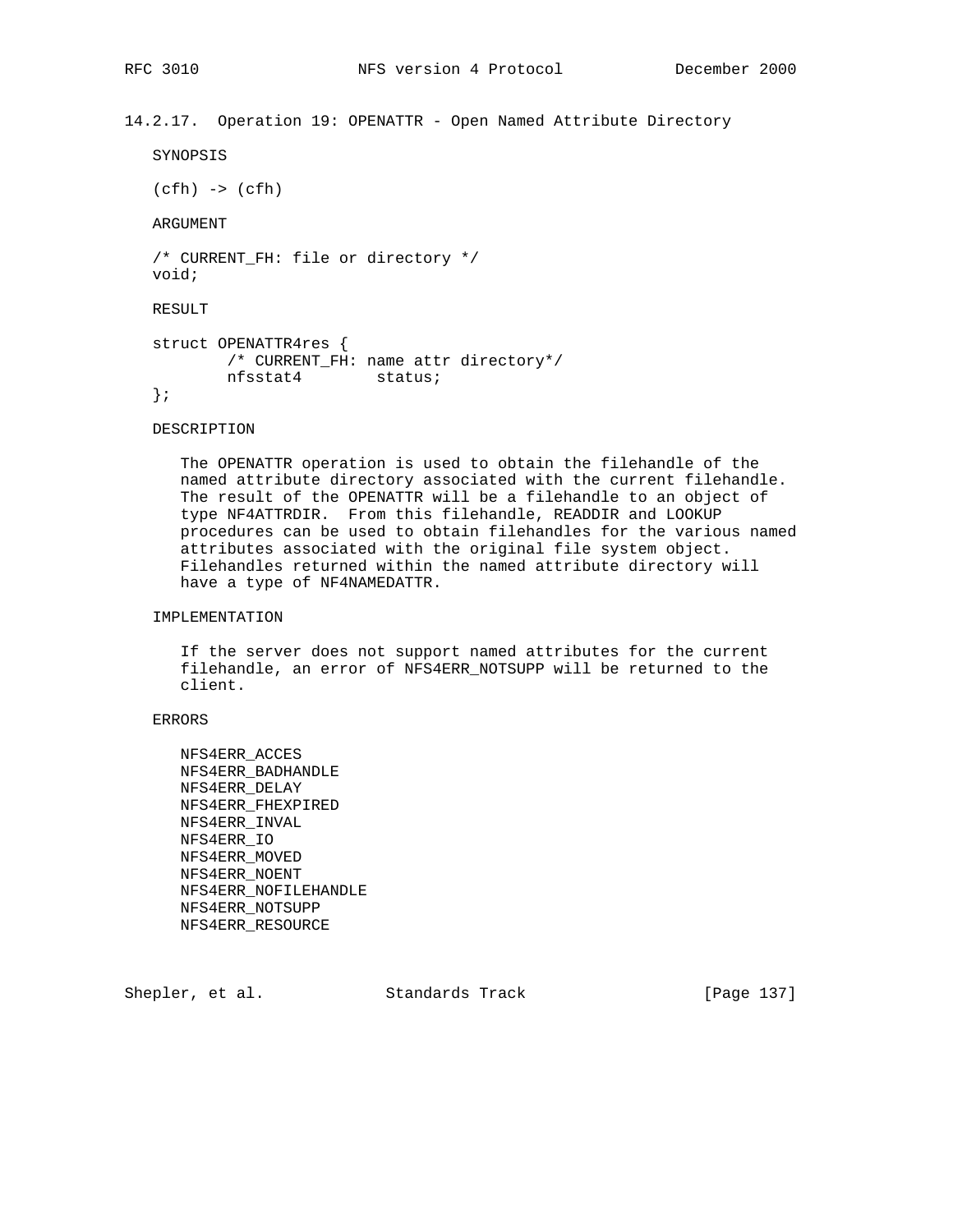14.2.17. Operation 19: OPENATTR - Open Named Attribute Directory

```
 SYNOPSIS
```
 $(cfh) \rightarrow (cfh)$ 

ARGUMENT

```
 /* CURRENT_FH: file or directory */
 void;
```
RESULT

```
 struct OPENATTR4res {
        /* CURRENT_FH: name attr directory*/
        nfsstat4 status;
 };
```
DESCRIPTION

 The OPENATTR operation is used to obtain the filehandle of the named attribute directory associated with the current filehandle. The result of the OPENATTR will be a filehandle to an object of type NF4ATTRDIR. From this filehandle, READDIR and LOOKUP procedures can be used to obtain filehandles for the various named attributes associated with the original file system object. Filehandles returned within the named attribute directory will have a type of NF4NAMEDATTR.

## IMPLEMENTATION

 If the server does not support named attributes for the current filehandle, an error of NFS4ERR\_NOTSUPP will be returned to the client.

## ERRORS

 NFS4ERR\_ACCES NFS4ERR\_BADHANDLE NFS4ERR\_DELAY NFS4ERR\_FHEXPIRED NFS4ERR\_INVAL NFS4ERR\_IO NFS4ERR\_MOVED NFS4ERR\_NOENT NFS4ERR\_NOFILEHANDLE NFS4ERR\_NOTSUPP NFS4ERR\_RESOURCE

Shepler, et al. Standards Track [Page 137]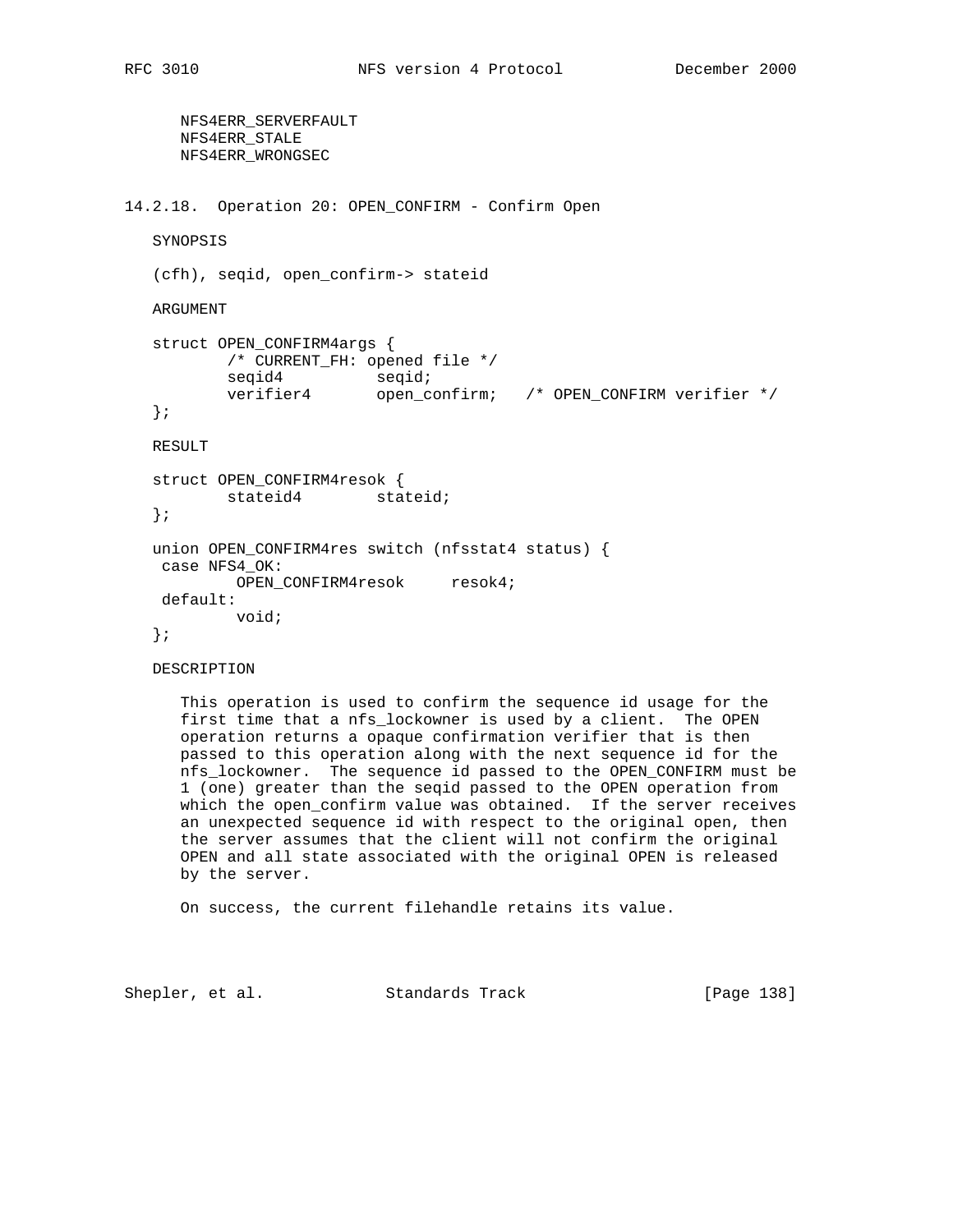NFS4ERR\_SERVERFAULT NFS4ERR\_STALE NFS4ERR\_WRONGSEC 14.2.18. Operation 20: OPEN\_CONFIRM - Confirm Open SYNOPSIS (cfh), seqid, open\_confirm-> stateid ARGUMENT struct OPEN\_CONFIRM4args { /\* CURRENT\_FH: opened file \*/ seqid4 seqid; verifier4 open\_confirm; /\* OPEN\_CONFIRM verifier \*/ }; RESULT struct OPEN\_CONFIRM4resok { stateid4 stateid; }; union OPEN\_CONFIRM4res switch (nfsstat4 status) { case NFS4\_OK: OPEN\_CONFIRM4resok resok4; default: void; };

DESCRIPTION

 This operation is used to confirm the sequence id usage for the first time that a nfs\_lockowner is used by a client. The OPEN operation returns a opaque confirmation verifier that is then passed to this operation along with the next sequence id for the nfs\_lockowner. The sequence id passed to the OPEN\_CONFIRM must be 1 (one) greater than the seqid passed to the OPEN operation from which the open\_confirm value was obtained. If the server receives an unexpected sequence id with respect to the original open, then the server assumes that the client will not confirm the original OPEN and all state associated with the original OPEN is released by the server.

On success, the current filehandle retains its value.

Shepler, et al. Standards Track [Page 138]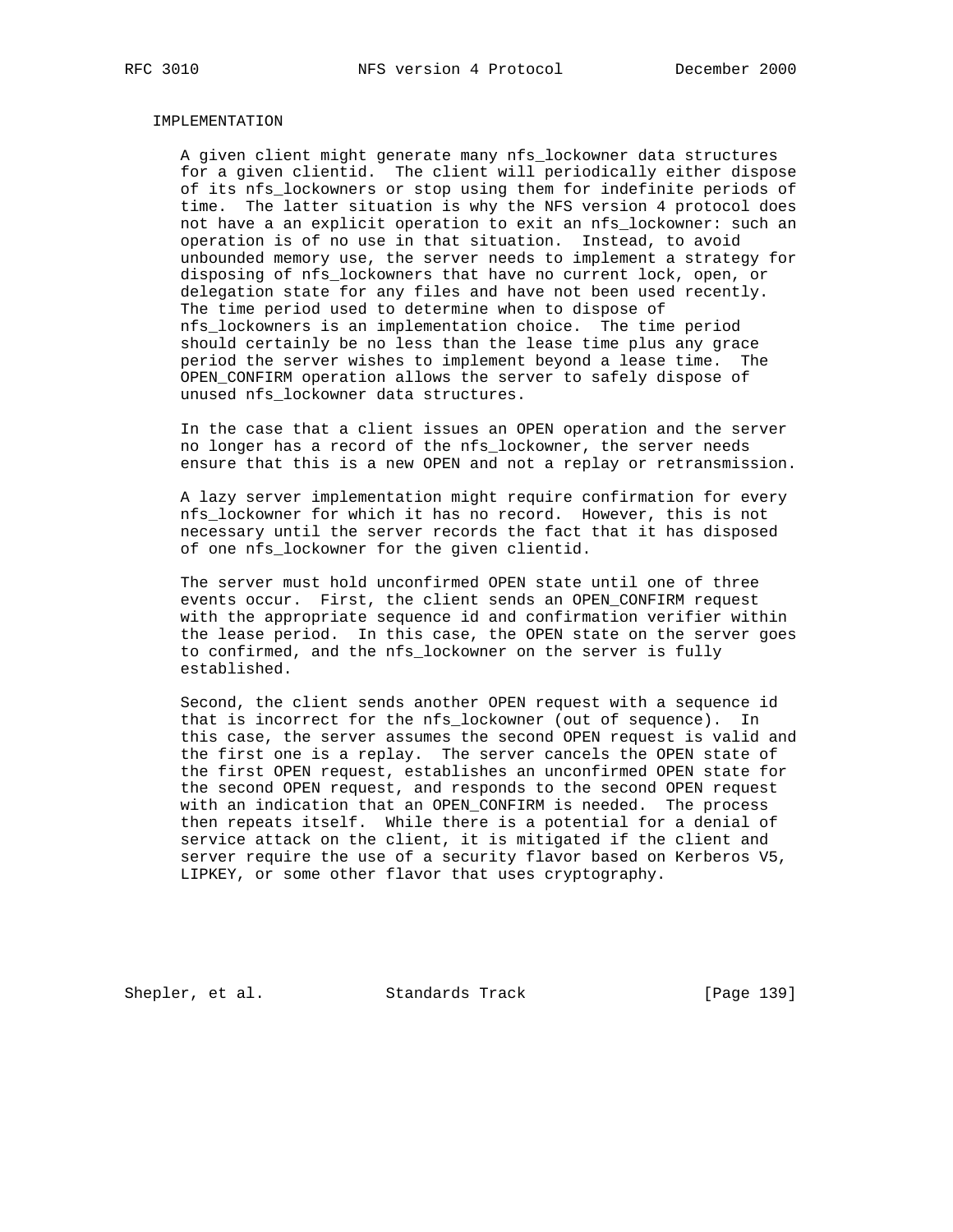### IMPLEMENTATION

 A given client might generate many nfs\_lockowner data structures for a given clientid. The client will periodically either dispose of its nfs\_lockowners or stop using them for indefinite periods of time. The latter situation is why the NFS version 4 protocol does not have a an explicit operation to exit an nfs\_lockowner: such an operation is of no use in that situation. Instead, to avoid unbounded memory use, the server needs to implement a strategy for disposing of nfs\_lockowners that have no current lock, open, or delegation state for any files and have not been used recently. The time period used to determine when to dispose of nfs\_lockowners is an implementation choice. The time period should certainly be no less than the lease time plus any grace period the server wishes to implement beyond a lease time. The OPEN\_CONFIRM operation allows the server to safely dispose of unused nfs\_lockowner data structures.

 In the case that a client issues an OPEN operation and the server no longer has a record of the nfs\_lockowner, the server needs ensure that this is a new OPEN and not a replay or retransmission.

 A lazy server implementation might require confirmation for every nfs\_lockowner for which it has no record. However, this is not necessary until the server records the fact that it has disposed of one nfs\_lockowner for the given clientid.

 The server must hold unconfirmed OPEN state until one of three events occur. First, the client sends an OPEN\_CONFIRM request with the appropriate sequence id and confirmation verifier within the lease period. In this case, the OPEN state on the server goes to confirmed, and the nfs\_lockowner on the server is fully established.

 Second, the client sends another OPEN request with a sequence id that is incorrect for the nfs\_lockowner (out of sequence). In this case, the server assumes the second OPEN request is valid and the first one is a replay. The server cancels the OPEN state of the first OPEN request, establishes an unconfirmed OPEN state for the second OPEN request, and responds to the second OPEN request with an indication that an OPEN\_CONFIRM is needed. The process then repeats itself. While there is a potential for a denial of service attack on the client, it is mitigated if the client and server require the use of a security flavor based on Kerberos V5, LIPKEY, or some other flavor that uses cryptography.

Shepler, et al. Standards Track [Page 139]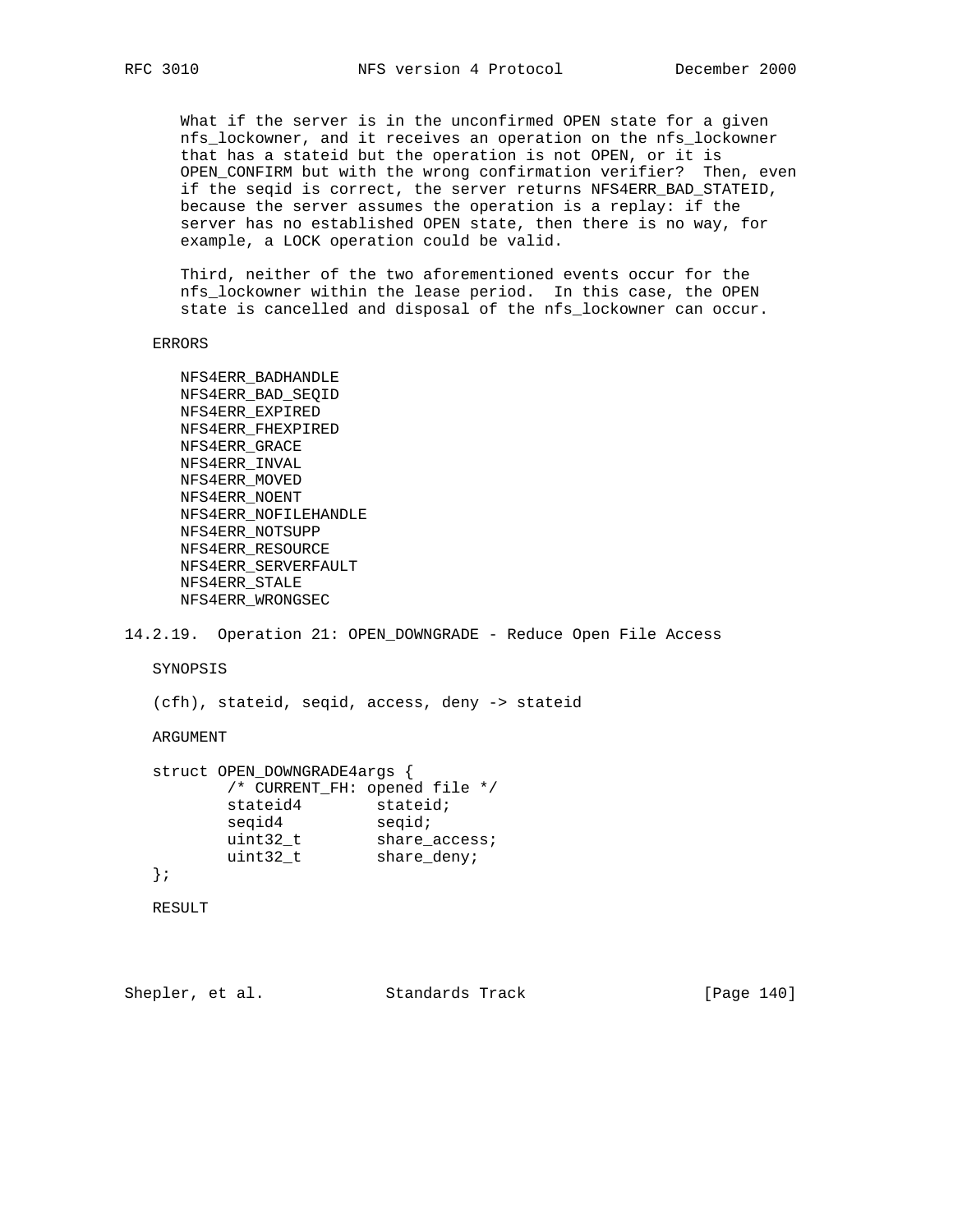What if the server is in the unconfirmed OPEN state for a given nfs\_lockowner, and it receives an operation on the nfs\_lockowner that has a stateid but the operation is not OPEN, or it is OPEN\_CONFIRM but with the wrong confirmation verifier? Then, even if the seqid is correct, the server returns NFS4ERR\_BAD\_STATEID, because the server assumes the operation is a replay: if the server has no established OPEN state, then there is no way, for example, a LOCK operation could be valid.

 Third, neither of the two aforementioned events occur for the nfs\_lockowner within the lease period. In this case, the OPEN state is cancelled and disposal of the nfs\_lockowner can occur.

ERRORS

```
 NFS4ERR_BADHANDLE
 NFS4ERR_BAD_SEQID
 NFS4ERR_EXPIRED
 NFS4ERR_FHEXPIRED
 NFS4ERR_GRACE
 NFS4ERR_INVAL
 NFS4ERR_MOVED
 NFS4ERR_NOENT
 NFS4ERR_NOFILEHANDLE
 NFS4ERR_NOTSUPP
 NFS4ERR_RESOURCE
 NFS4ERR_SERVERFAULT
 NFS4ERR_STALE
 NFS4ERR_WRONGSEC
```
14.2.19. Operation 21: OPEN\_DOWNGRADE - Reduce Open File Access

SYNOPSIS

(cfh), stateid, seqid, access, deny -> stateid

ARGUMENT

```
 struct OPEN_DOWNGRADE4args {
        /* CURRENT_FH: opened file */
stateid4 stateid;
seqid4 seqid;
uint32_t share_access;
uint32_t share_deny;
```
};

RESULT

Shepler, et al. Standards Track [Page 140]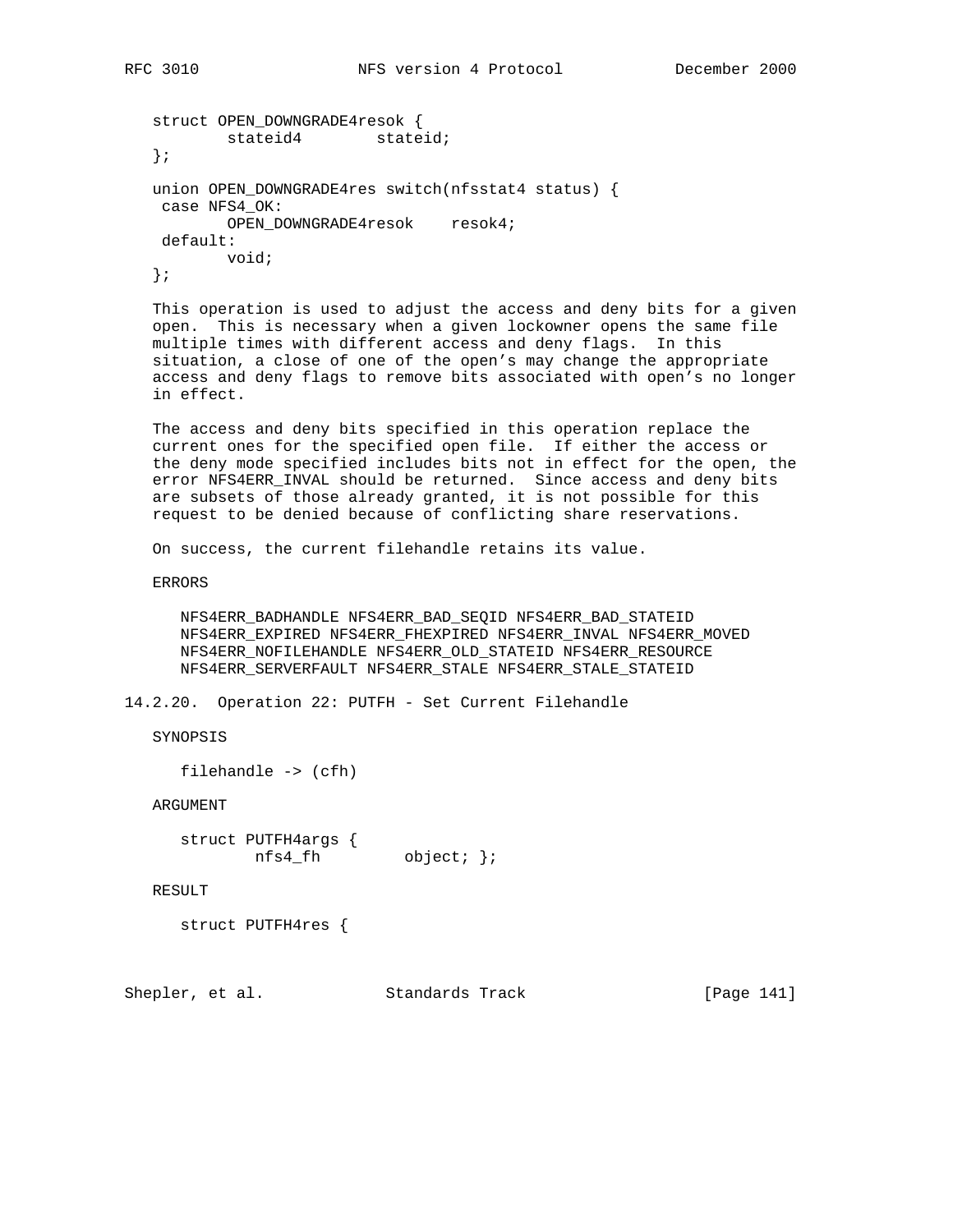```
 struct OPEN_DOWNGRADE4resok {
        stateid4 stateid;
 };
 union OPEN_DOWNGRADE4res switch(nfsstat4 status) {
 case NFS4_OK:
        OPEN_DOWNGRADE4resok resok4;
 default:
        void;
 };
```
 This operation is used to adjust the access and deny bits for a given open. This is necessary when a given lockowner opens the same file multiple times with different access and deny flags. In this situation, a close of one of the open's may change the appropriate access and deny flags to remove bits associated with open's no longer in effect.

 The access and deny bits specified in this operation replace the current ones for the specified open file. If either the access or the deny mode specified includes bits not in effect for the open, the error NFS4ERR\_INVAL should be returned. Since access and deny bits are subsets of those already granted, it is not possible for this request to be denied because of conflicting share reservations.

On success, the current filehandle retains its value.

ERRORS

 NFS4ERR\_BADHANDLE NFS4ERR\_BAD\_SEQID NFS4ERR\_BAD\_STATEID NFS4ERR\_EXPIRED NFS4ERR\_FHEXPIRED NFS4ERR\_INVAL NFS4ERR\_MOVED NFS4ERR\_NOFILEHANDLE NFS4ERR\_OLD\_STATEID NFS4ERR\_RESOURCE NFS4ERR\_SERVERFAULT NFS4ERR\_STALE NFS4ERR\_STALE\_STATEID

14.2.20. Operation 22: PUTFH - Set Current Filehandle

SYNOPSIS

```
 filehandle -> (cfh)
```
ARGUMENT

 struct PUTFH4args { nfs4\_fh object; };

RESULT

struct PUTFH4res {

Shepler, et al. Standards Track [Page 141]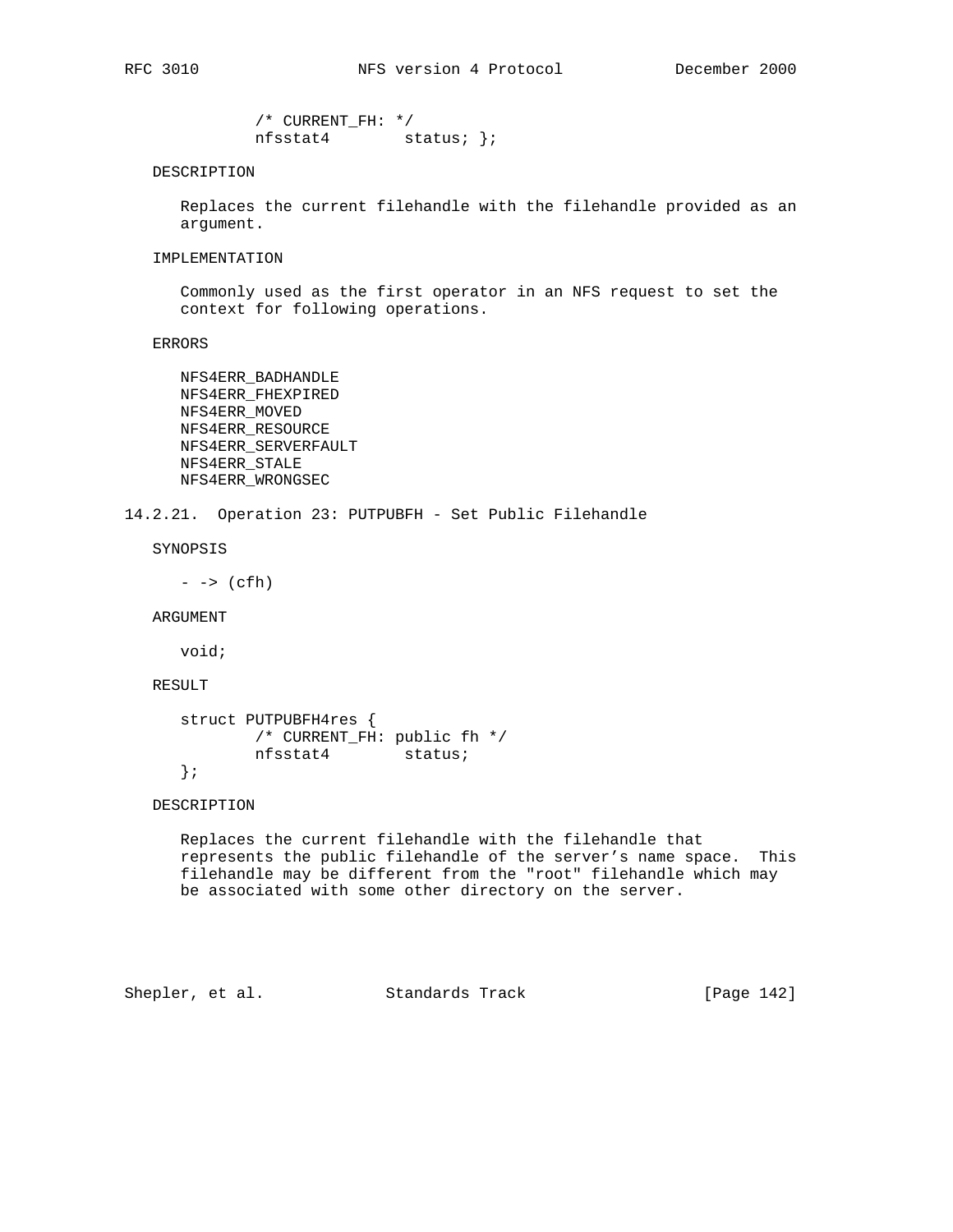/\* CURRENT\_FH: \*/ nfsstat4 status; };

### DESCRIPTION

 Replaces the current filehandle with the filehandle provided as an argument.

#### IMPLEMENTATION

 Commonly used as the first operator in an NFS request to set the context for following operations.

ERRORS

 NFS4ERR\_BADHANDLE NFS4ERR\_FHEXPIRED NFS4ERR\_MOVED NFS4ERR\_RESOURCE NFS4ERR\_SERVERFAULT NFS4ERR\_STALE NFS4ERR\_WRONGSEC

14.2.21. Operation 23: PUTPUBFH - Set Public Filehandle

SYNOPSIS

 $\rightarrow$  (cfh)

ARGUMENT

void;

### RESULT

```
 struct PUTPUBFH4res {
        /* CURRENT_FH: public fh */
        nfsstat4 status;
 };
```
## DESCRIPTION

 Replaces the current filehandle with the filehandle that represents the public filehandle of the server's name space. This filehandle may be different from the "root" filehandle which may be associated with some other directory on the server.

Shepler, et al. Standards Track [Page 142]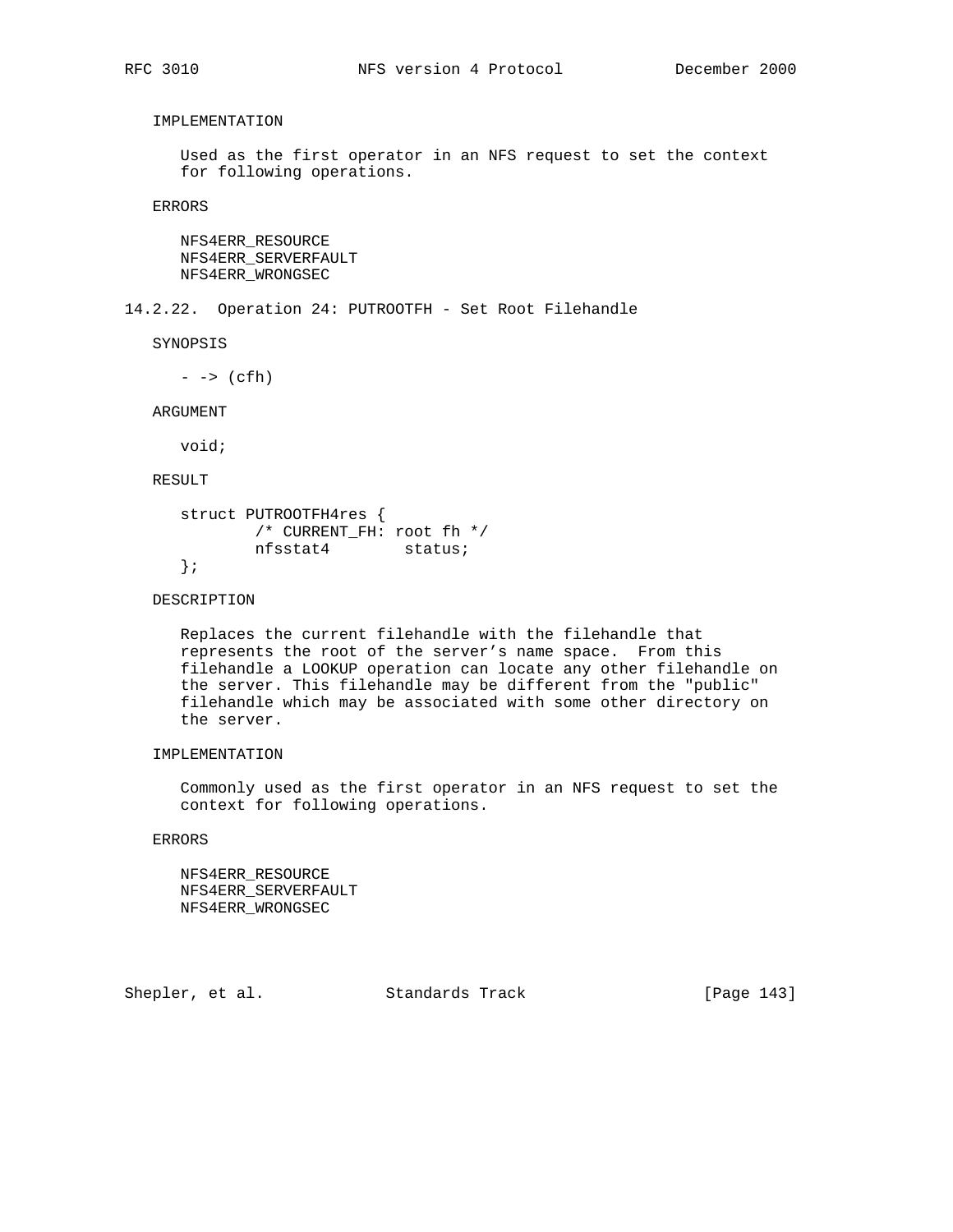# IMPLEMENTATION

 Used as the first operator in an NFS request to set the context for following operations.

ERRORS

 NFS4ERR\_RESOURCE NFS4ERR\_SERVERFAULT NFS4ERR\_WRONGSEC

14.2.22. Operation 24: PUTROOTFH - Set Root Filehandle

SYNOPSIS

 $\rightarrow$  (cfh)

ARGUMENT

void;

## RESULT

```
 struct PUTROOTFH4res {
        /* CURRENT_FH: root fh */
        nfsstat4 status;
 };
```
## DESCRIPTION

 Replaces the current filehandle with the filehandle that represents the root of the server's name space. From this filehandle a LOOKUP operation can locate any other filehandle on the server. This filehandle may be different from the "public" filehandle which may be associated with some other directory on the server.

## IMPLEMENTATION

 Commonly used as the first operator in an NFS request to set the context for following operations.

ERRORS

 NFS4ERR\_RESOURCE NFS4ERR\_SERVERFAULT NFS4ERR\_WRONGSEC

Shepler, et al. Standards Track [Page 143]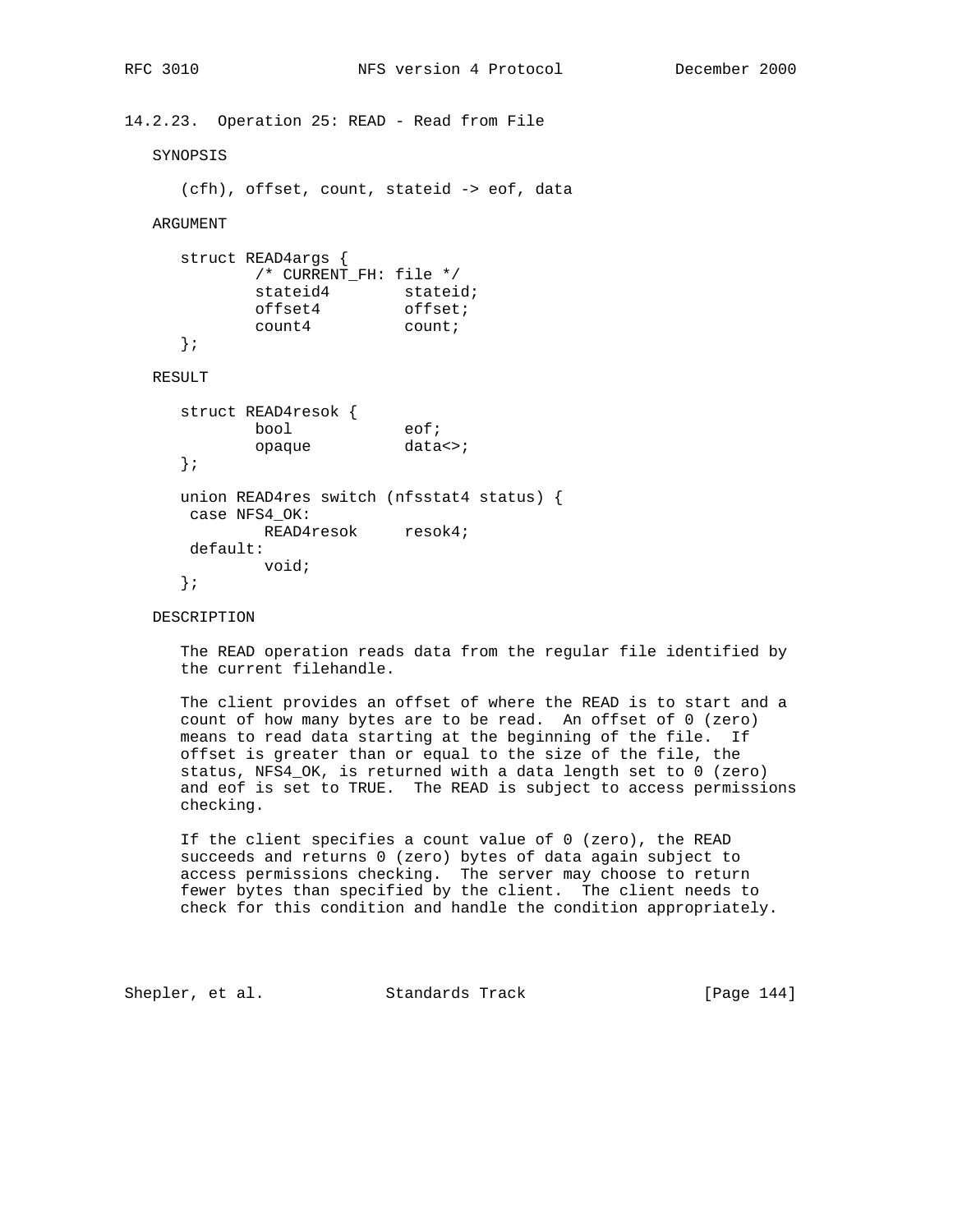14.2.23. Operation 25: READ - Read from File SYNOPSIS (cfh), offset, count, stateid -> eof, data ARGUMENT struct READ4args { /\* CURRENT\_FH: file \*/ stateid4 stateid; offset4 offset; count4 count; }; RESULT struct READ4resok { bool eof; opaque data<>; }; union READ4res switch (nfsstat4 status) { case NFS4\_OK: READ4resok resok4; default: void; };

## DESCRIPTION

 The READ operation reads data from the regular file identified by the current filehandle.

 The client provides an offset of where the READ is to start and a count of how many bytes are to be read. An offset of 0 (zero) means to read data starting at the beginning of the file. If offset is greater than or equal to the size of the file, the status, NFS4\_OK, is returned with a data length set to 0 (zero) and eof is set to TRUE. The READ is subject to access permissions checking.

 If the client specifies a count value of 0 (zero), the READ succeeds and returns 0 (zero) bytes of data again subject to access permissions checking. The server may choose to return fewer bytes than specified by the client. The client needs to check for this condition and handle the condition appropriately.

Shepler, et al. Standards Track [Page 144]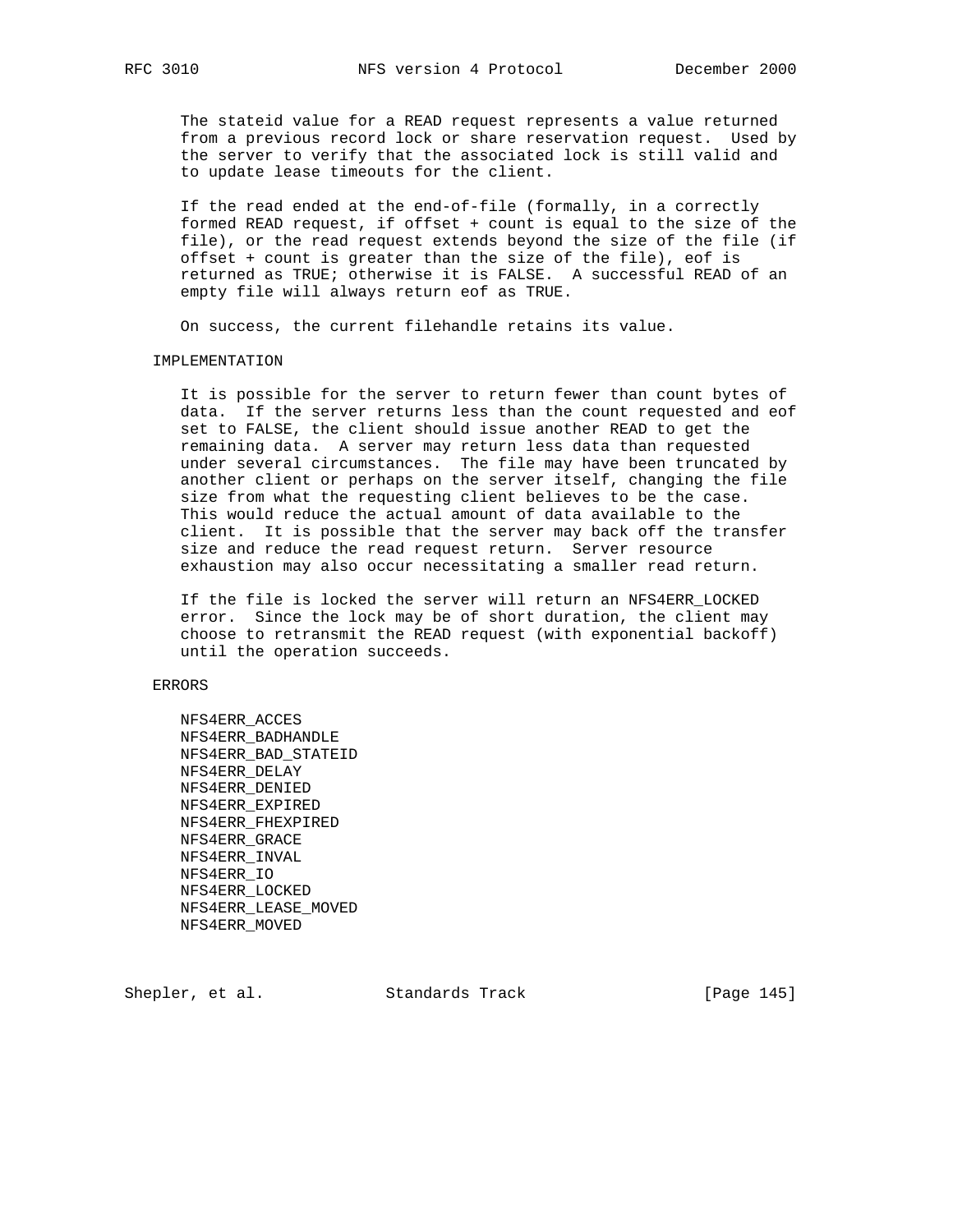The stateid value for a READ request represents a value returned from a previous record lock or share reservation request. Used by the server to verify that the associated lock is still valid and to update lease timeouts for the client.

 If the read ended at the end-of-file (formally, in a correctly formed READ request, if offset + count is equal to the size of the file), or the read request extends beyond the size of the file (if offset + count is greater than the size of the file), eof is returned as TRUE; otherwise it is FALSE. A successful READ of an empty file will always return eof as TRUE.

On success, the current filehandle retains its value.

### IMPLEMENTATION

 It is possible for the server to return fewer than count bytes of data. If the server returns less than the count requested and eof set to FALSE, the client should issue another READ to get the remaining data. A server may return less data than requested under several circumstances. The file may have been truncated by another client or perhaps on the server itself, changing the file size from what the requesting client believes to be the case. This would reduce the actual amount of data available to the client. It is possible that the server may back off the transfer size and reduce the read request return. Server resource exhaustion may also occur necessitating a smaller read return.

 If the file is locked the server will return an NFS4ERR\_LOCKED error. Since the lock may be of short duration, the client may choose to retransmit the READ request (with exponential backoff) until the operation succeeds.

## ERRORS

 NFS4ERR\_ACCES NFS4ERR\_BADHANDLE NFS4ERR\_BAD\_STATEID NFS4ERR\_DELAY NFS4ERR\_DENIED NFS4ERR\_EXPIRED NFS4ERR\_FHEXPIRED NFS4ERR\_GRACE NFS4ERR\_INVAL NFS4ERR\_IO NFS4ERR\_LOCKED NFS4ERR\_LEASE\_MOVED NFS4ERR\_MOVED

Shepler, et al. Standards Track [Page 145]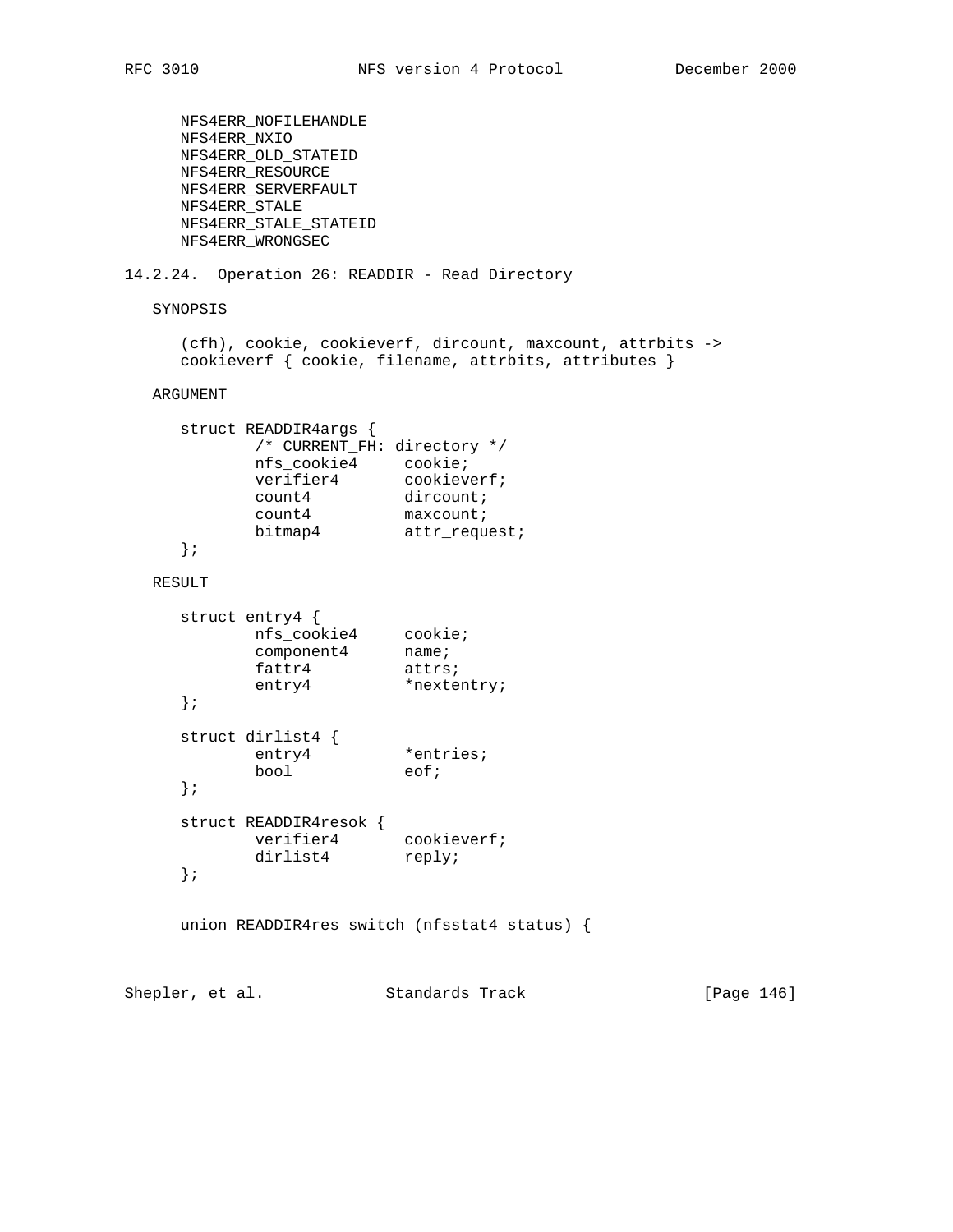```
 NFS4ERR_NOFILEHANDLE
     NFS4ERR_NXIO
     NFS4ERR_OLD_STATEID
     NFS4ERR_RESOURCE
     NFS4ERR_SERVERFAULT
     NFS4ERR_STALE
     NFS4ERR_STALE_STATEID
     NFS4ERR_WRONGSEC
14.2.24. Operation 26: READDIR - Read Directory
   SYNOPSIS
     (cfh), cookie, cookieverf, dircount, maxcount, attrbits ->
     cookieverf { cookie, filename, attrbits, attributes }
   ARGUMENT
     struct READDIR4args {
          /* CURRENT_FH: directory */
 nfs_cookie4 cookie;
verifier4 cookieverf;
count4 dircount;
count4 maxcount;
bitmap4 attr_request;
     };
   RESULT
     struct entry4 {
 nfs_cookie4 cookie;
component4 name;
fattr4 attrs;
entry4 *nextentry;
     };
     struct dirlist4 {
entry4 *entries;
bool eof;
     };
     struct READDIR4resok {
verifier4 cookieverf;
dirlist4 reply;
     };
     union READDIR4res switch (nfsstat4 status) {
Shepler, et al. Standards Track [Page 146]
```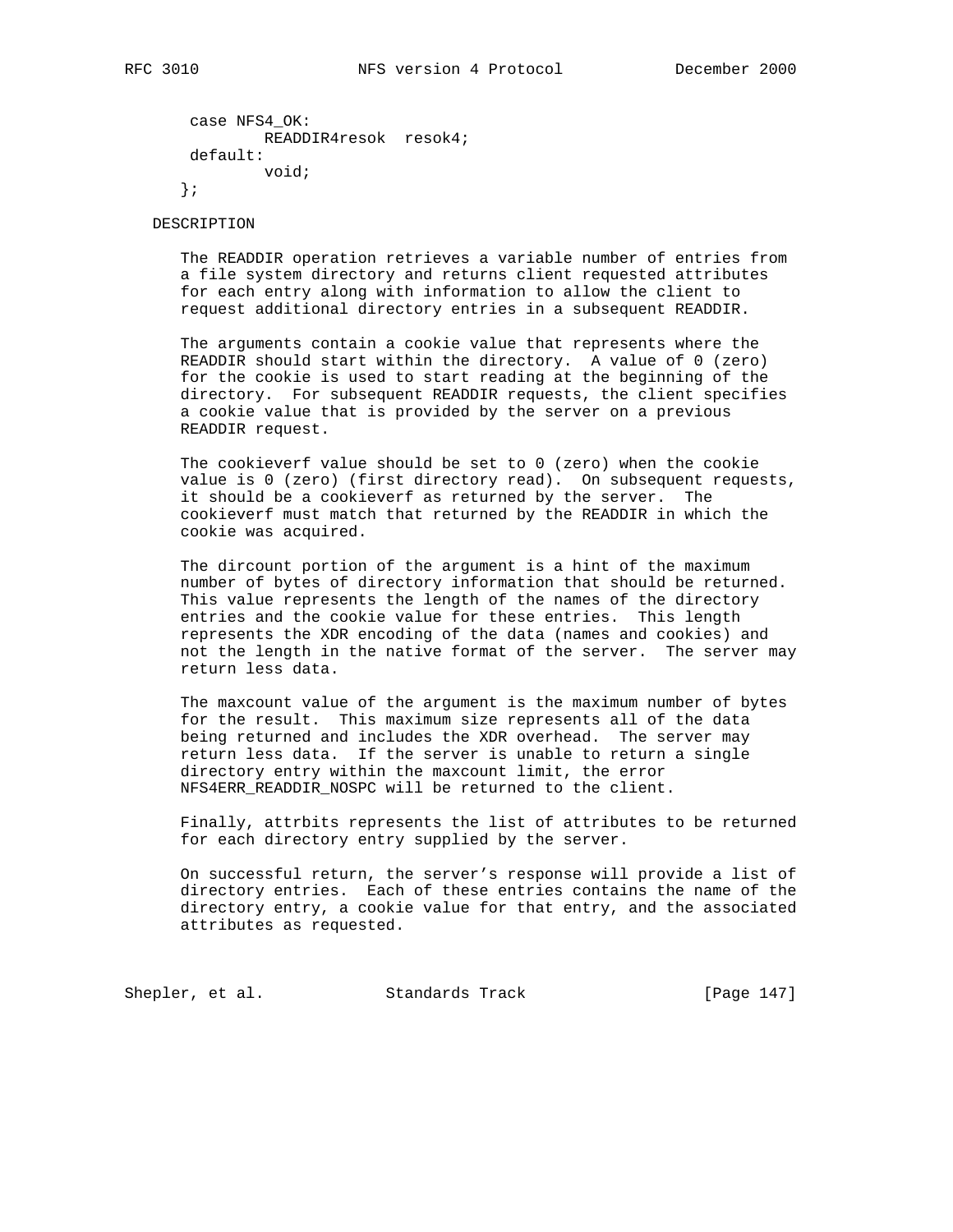```
 case NFS4_OK:
         READDIR4resok resok4;
 default:
         void;
 };
```
DESCRIPTION

 The READDIR operation retrieves a variable number of entries from a file system directory and returns client requested attributes for each entry along with information to allow the client to request additional directory entries in a subsequent READDIR.

 The arguments contain a cookie value that represents where the READDIR should start within the directory. A value of 0 (zero) for the cookie is used to start reading at the beginning of the directory. For subsequent READDIR requests, the client specifies a cookie value that is provided by the server on a previous READDIR request.

 The cookieverf value should be set to 0 (zero) when the cookie value is 0 (zero) (first directory read). On subsequent requests, it should be a cookieverf as returned by the server. The cookieverf must match that returned by the READDIR in which the cookie was acquired.

 The dircount portion of the argument is a hint of the maximum number of bytes of directory information that should be returned. This value represents the length of the names of the directory entries and the cookie value for these entries. This length represents the XDR encoding of the data (names and cookies) and not the length in the native format of the server. The server may return less data.

 The maxcount value of the argument is the maximum number of bytes for the result. This maximum size represents all of the data being returned and includes the XDR overhead. The server may return less data. If the server is unable to return a single directory entry within the maxcount limit, the error NFS4ERR\_READDIR\_NOSPC will be returned to the client.

 Finally, attrbits represents the list of attributes to be returned for each directory entry supplied by the server.

 On successful return, the server's response will provide a list of directory entries. Each of these entries contains the name of the directory entry, a cookie value for that entry, and the associated attributes as requested.

Shepler, et al. Standards Track [Page 147]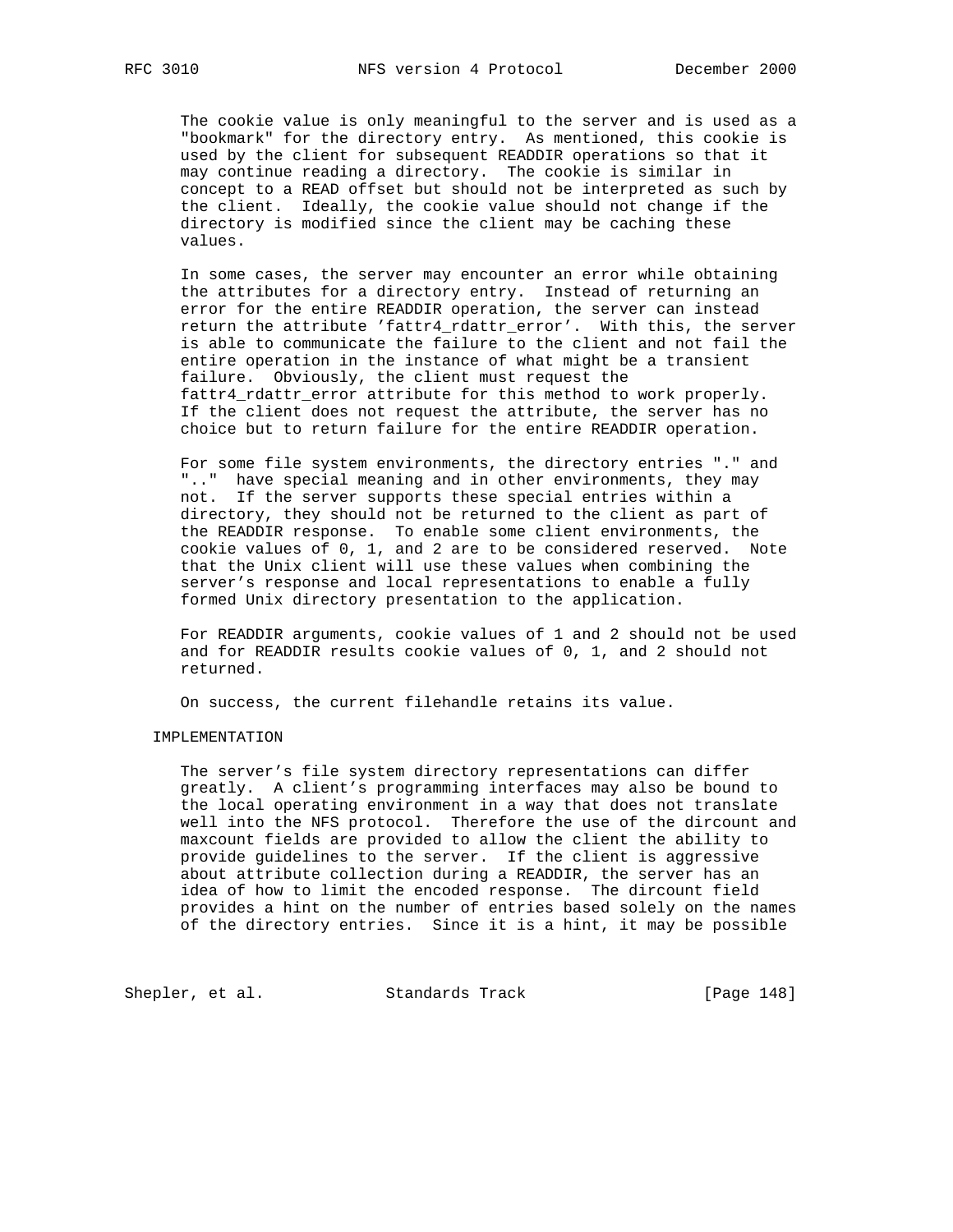The cookie value is only meaningful to the server and is used as a "bookmark" for the directory entry. As mentioned, this cookie is used by the client for subsequent READDIR operations so that it may continue reading a directory. The cookie is similar in concept to a READ offset but should not be interpreted as such by the client. Ideally, the cookie value should not change if the directory is modified since the client may be caching these values.

 In some cases, the server may encounter an error while obtaining the attributes for a directory entry. Instead of returning an error for the entire READDIR operation, the server can instead return the attribute 'fattr4\_rdattr\_error'. With this, the server is able to communicate the failure to the client and not fail the entire operation in the instance of what might be a transient failure. Obviously, the client must request the fattr4\_rdattr\_error attribute for this method to work properly. If the client does not request the attribute, the server has no choice but to return failure for the entire READDIR operation.

 For some file system environments, the directory entries "." and ".." have special meaning and in other environments, they may not. If the server supports these special entries within a directory, they should not be returned to the client as part of the READDIR response. To enable some client environments, the cookie values of 0, 1, and 2 are to be considered reserved. Note that the Unix client will use these values when combining the server's response and local representations to enable a fully formed Unix directory presentation to the application.

 For READDIR arguments, cookie values of 1 and 2 should not be used and for READDIR results cookie values of 0, 1, and 2 should not returned.

On success, the current filehandle retains its value.

## IMPLEMENTATION

 The server's file system directory representations can differ greatly. A client's programming interfaces may also be bound to the local operating environment in a way that does not translate well into the NFS protocol. Therefore the use of the dircount and maxcount fields are provided to allow the client the ability to provide guidelines to the server. If the client is aggressive about attribute collection during a READDIR, the server has an idea of how to limit the encoded response. The dircount field provides a hint on the number of entries based solely on the names of the directory entries. Since it is a hint, it may be possible

Shepler, et al. Standards Track [Page 148]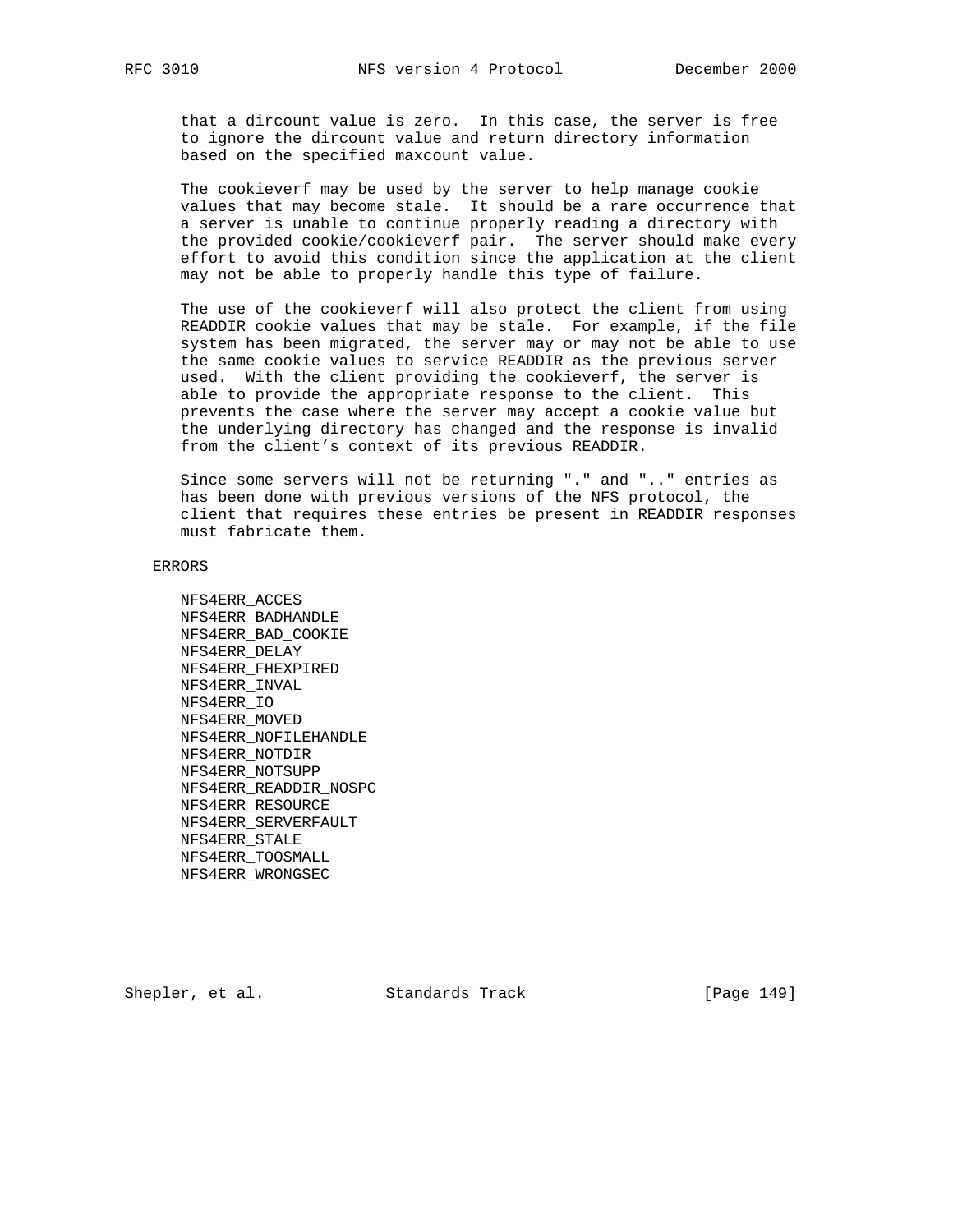that a dircount value is zero. In this case, the server is free to ignore the dircount value and return directory information based on the specified maxcount value.

 The cookieverf may be used by the server to help manage cookie values that may become stale. It should be a rare occurrence that a server is unable to continue properly reading a directory with the provided cookie/cookieverf pair. The server should make every effort to avoid this condition since the application at the client may not be able to properly handle this type of failure.

 The use of the cookieverf will also protect the client from using READDIR cookie values that may be stale. For example, if the file system has been migrated, the server may or may not be able to use the same cookie values to service READDIR as the previous server used. With the client providing the cookieverf, the server is able to provide the appropriate response to the client. This prevents the case where the server may accept a cookie value but the underlying directory has changed and the response is invalid from the client's context of its previous READDIR.

 Since some servers will not be returning "." and ".." entries as has been done with previous versions of the NFS protocol, the client that requires these entries be present in READDIR responses must fabricate them.

#### ERRORS

 NFS4ERR\_ACCES NFS4ERR\_BADHANDLE NFS4ERR\_BAD\_COOKIE NFS4ERR\_DELAY NFS4ERR\_FHEXPIRED NFS4ERR\_INVAL NFS4ERR\_IO NFS4ERR\_MOVED NFS4ERR\_NOFILEHANDLE NFS4ERR\_NOTDIR NFS4ERR\_NOTSUPP NFS4ERR\_READDIR\_NOSPC NFS4ERR\_RESOURCE NFS4ERR\_SERVERFAULT NFS4ERR\_STALE NFS4ERR\_TOOSMALL NFS4ERR\_WRONGSEC

Shepler, et al. Standards Track [Page 149]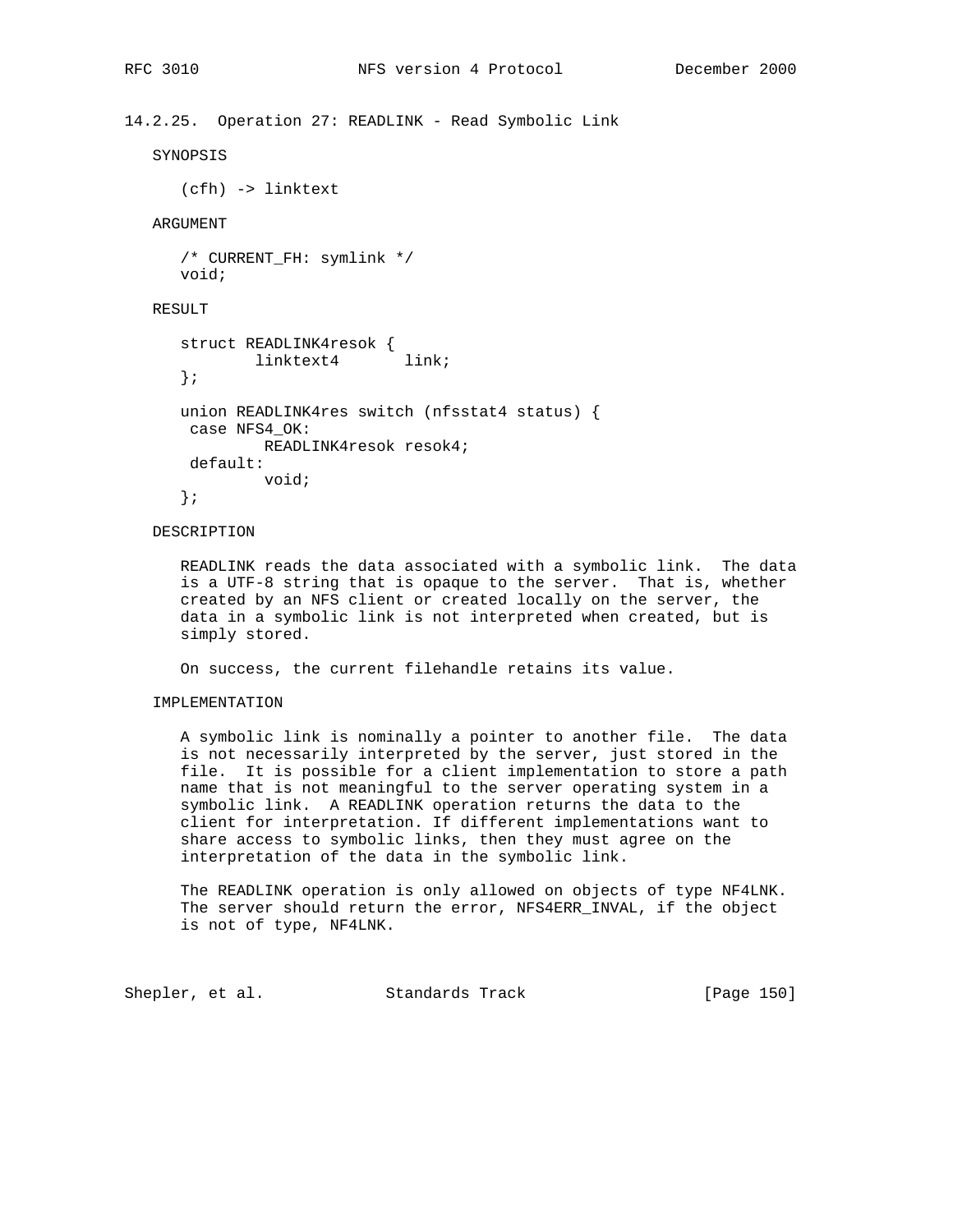## 14.2.25. Operation 27: READLINK - Read Symbolic Link

SYNOPSIS

(cfh) -> linktext

## ARGUMENT

```
 /* CURRENT_FH: symlink */
 void;
```
# RESULT

```
 struct READLINK4resok {
linktext4 link;
      };
      union READLINK4res switch (nfsstat4 status) {
      case NFS4_OK:
             READLINK4resok resok4;
      default:
             void;
      };
```
# DESCRIPTION

 READLINK reads the data associated with a symbolic link. The data is a UTF-8 string that is opaque to the server. That is, whether created by an NFS client or created locally on the server, the data in a symbolic link is not interpreted when created, but is simply stored.

On success, the current filehandle retains its value.

## IMPLEMENTATION

 A symbolic link is nominally a pointer to another file. The data is not necessarily interpreted by the server, just stored in the file. It is possible for a client implementation to store a path name that is not meaningful to the server operating system in a symbolic link. A READLINK operation returns the data to the client for interpretation. If different implementations want to share access to symbolic links, then they must agree on the interpretation of the data in the symbolic link.

 The READLINK operation is only allowed on objects of type NF4LNK. The server should return the error, NFS4ERR\_INVAL, if the object is not of type, NF4LNK.

Shepler, et al. Standards Track [Page 150]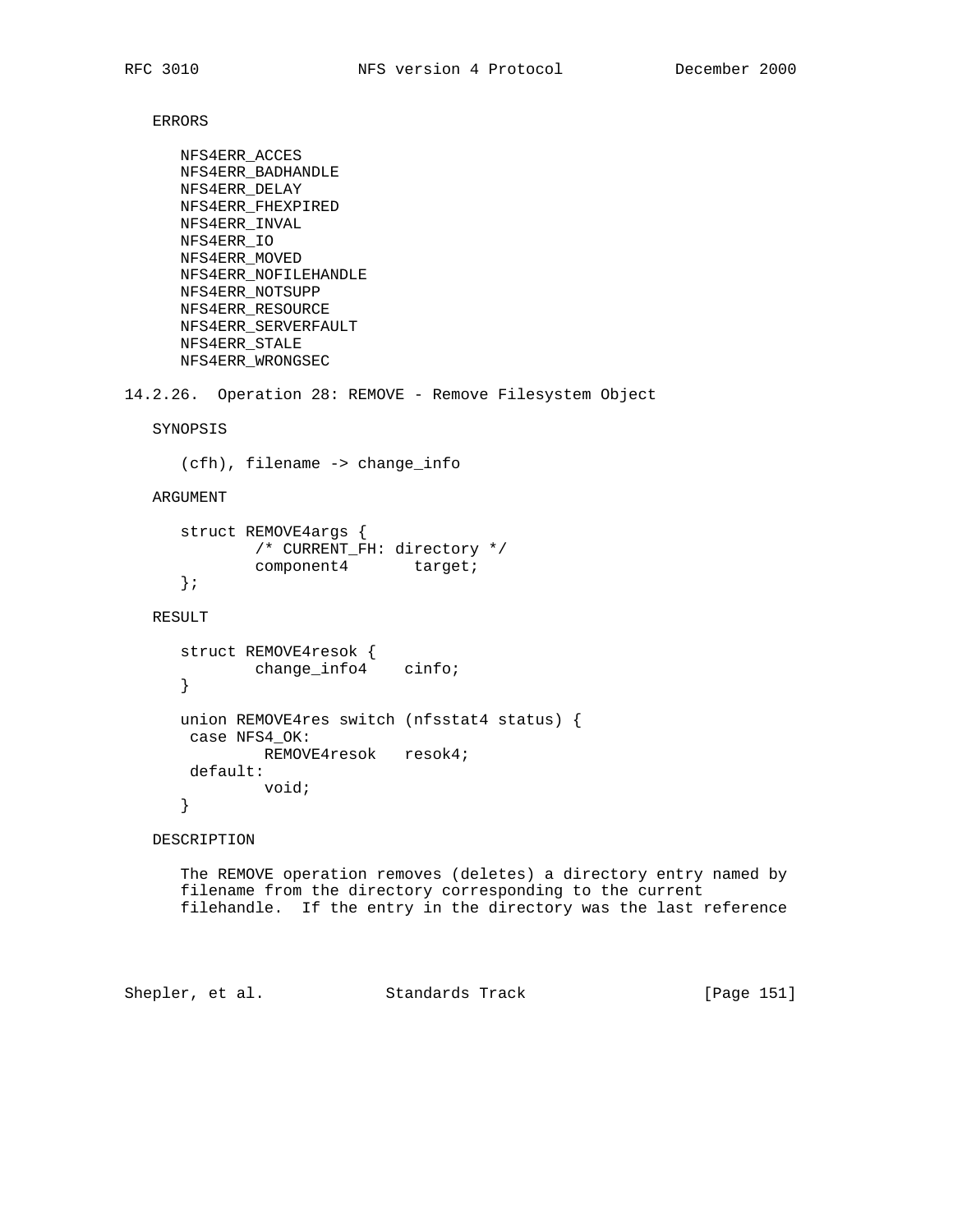ERRORS

```
 NFS4ERR_ACCES
      NFS4ERR_BADHANDLE
      NFS4ERR_DELAY
      NFS4ERR_FHEXPIRED
      NFS4ERR_INVAL
      NFS4ERR_IO
      NFS4ERR_MOVED
      NFS4ERR_NOFILEHANDLE
      NFS4ERR_NOTSUPP
      NFS4ERR_RESOURCE
      NFS4ERR_SERVERFAULT
       NFS4ERR_STALE
      NFS4ERR_WRONGSEC
14.2.26. Operation 28: REMOVE - Remove Filesystem Object
   SYNOPSIS
       (cfh), filename -> change_info
   ARGUMENT
       struct REMOVE4args {
               /* CURRENT_FH: directory */
              component4 target;
       };
   RESULT
       struct REMOVE4resok {
              change_info4 cinfo;
       }
       union REMOVE4res switch (nfsstat4 status) {
       case NFS4_OK:
               REMOVE4resok resok4;
       default:
               void;
       }
   DESCRIPTION
       The REMOVE operation removes (deletes) a directory entry named by
       filename from the directory corresponding to the current
       filehandle. If the entry in the directory was the last reference
```
Shepler, et al. Standards Track [Page 151]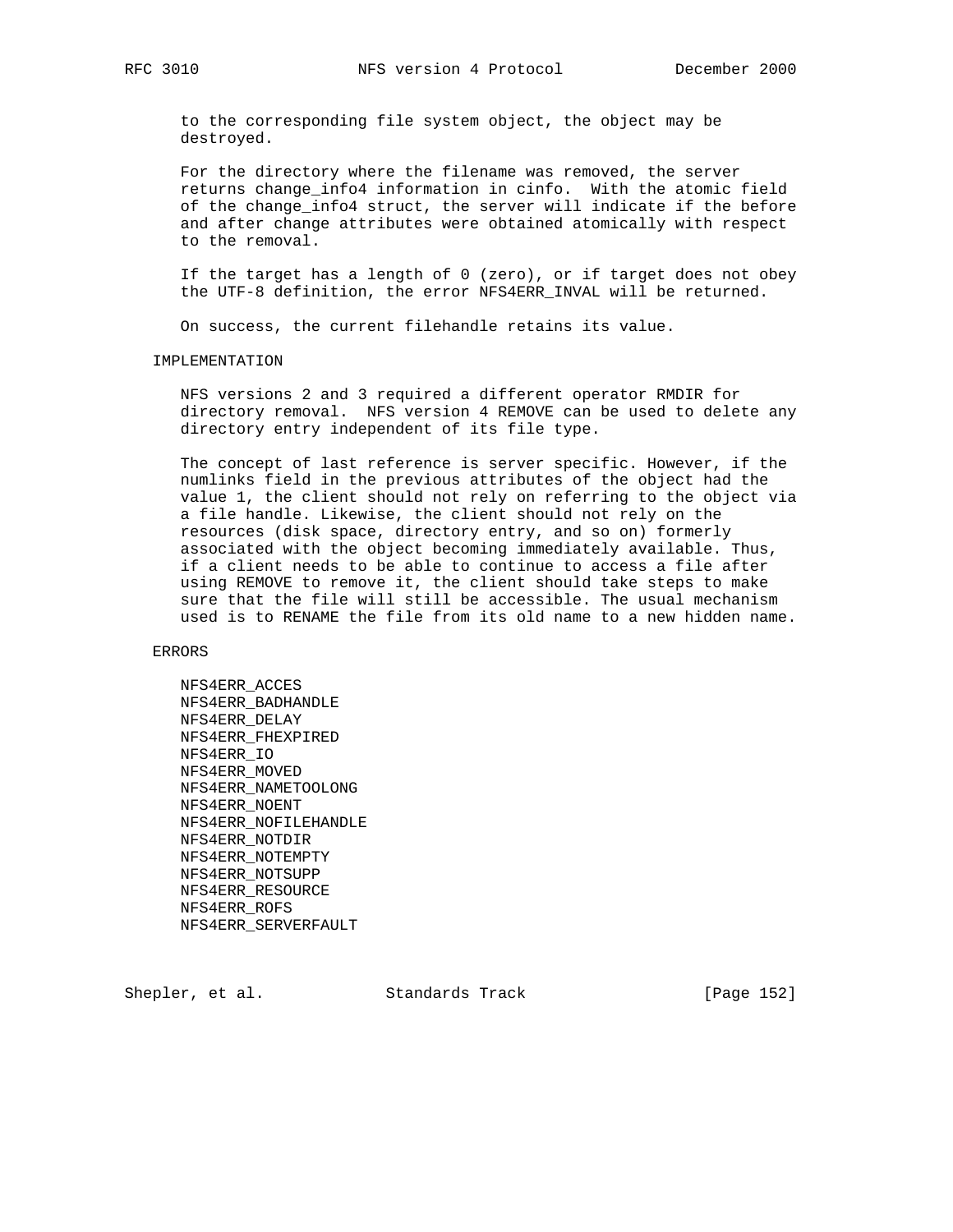to the corresponding file system object, the object may be destroyed.

 For the directory where the filename was removed, the server returns change\_info4 information in cinfo. With the atomic field of the change\_info4 struct, the server will indicate if the before and after change attributes were obtained atomically with respect to the removal.

 If the target has a length of 0 (zero), or if target does not obey the UTF-8 definition, the error NFS4ERR\_INVAL will be returned.

On success, the current filehandle retains its value.

#### IMPLEMENTATION

 NFS versions 2 and 3 required a different operator RMDIR for directory removal. NFS version 4 REMOVE can be used to delete any directory entry independent of its file type.

 The concept of last reference is server specific. However, if the numlinks field in the previous attributes of the object had the value 1, the client should not rely on referring to the object via a file handle. Likewise, the client should not rely on the resources (disk space, directory entry, and so on) formerly associated with the object becoming immediately available. Thus, if a client needs to be able to continue to access a file after using REMOVE to remove it, the client should take steps to make sure that the file will still be accessible. The usual mechanism used is to RENAME the file from its old name to a new hidden name.

ERRORS

 NFS4ERR\_ACCES NFS4ERR\_BADHANDLE NFS4ERR\_DELAY NFS4ERR\_FHEXPIRED NFS4ERR\_IO NFS4ERR\_MOVED NFS4ERR\_NAMETOOLONG NFS4ERR\_NOENT NFS4ERR\_NOFILEHANDLE NFS4ERR\_NOTDIR NFS4ERR\_NOTEMPTY NFS4ERR\_NOTSUPP NFS4ERR\_RESOURCE NFS4ERR\_ROFS NFS4ERR\_SERVERFAULT

Shepler, et al. Standards Track [Page 152]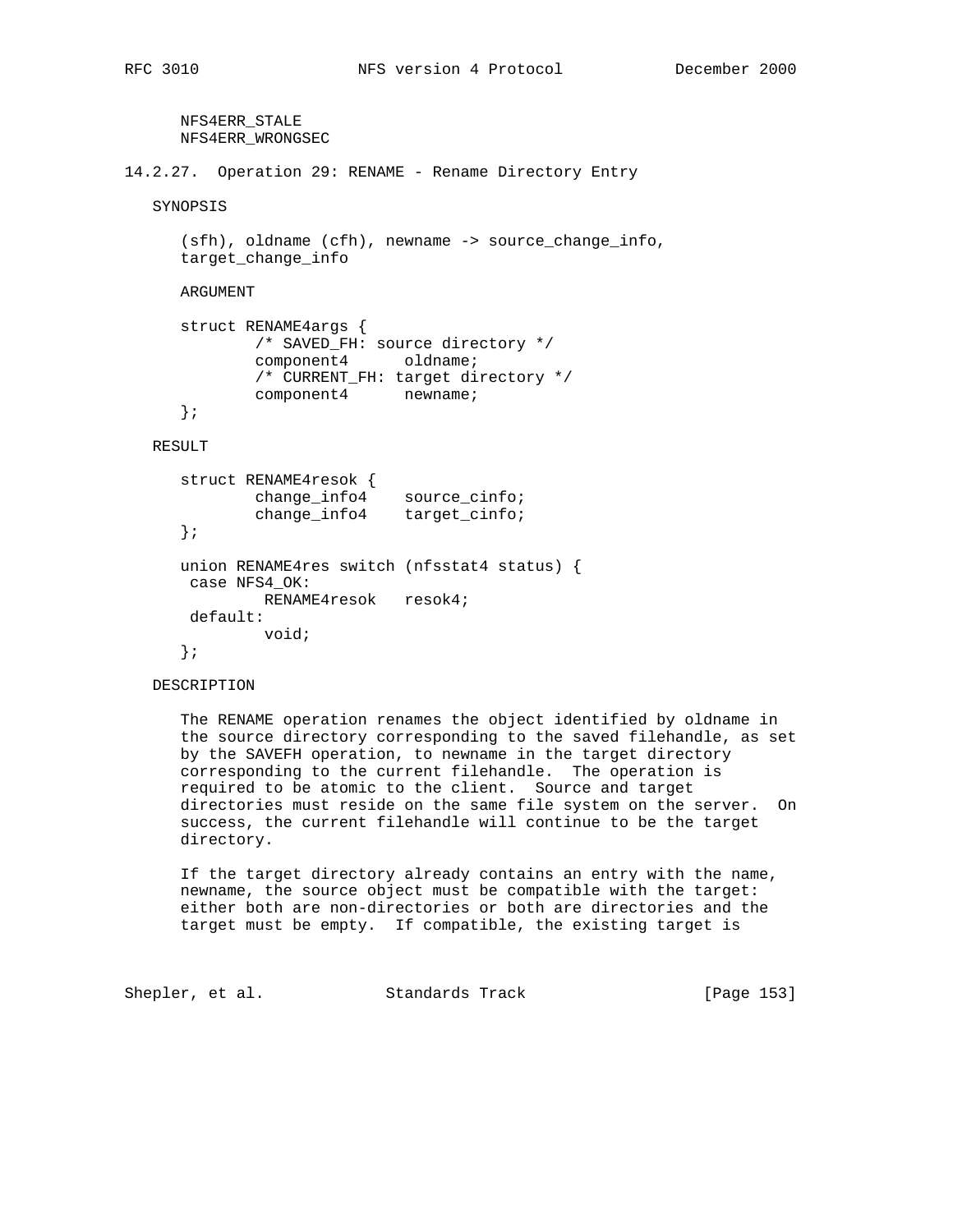directory.

 NFS4ERR\_STALE NFS4ERR\_WRONGSEC 14.2.27. Operation 29: RENAME - Rename Directory Entry SYNOPSIS (sfh), oldname (cfh), newname -> source\_change\_info, target\_change\_info ARGUMENT struct RENAME4args { /\* SAVED\_FH: source directory \*/ component4 oldname; /\* CURRENT\_FH: target directory \*/ component4 newname; }; RESULT struct RENAME4resok { change\_info4 source\_cinfo; change\_info4 target\_cinfo; }; union RENAME4res switch (nfsstat4 status) { case NFS4\_OK: RENAME4resok resok4; default: void; }; DESCRIPTION The RENAME operation renames the object identified by oldname in the source directory corresponding to the saved filehandle, as set by the SAVEFH operation, to newname in the target directory corresponding to the current filehandle. The operation is required to be atomic to the client. Source and target directories must reside on the same file system on the server. On success, the current filehandle will continue to be the target

 If the target directory already contains an entry with the name, newname, the source object must be compatible with the target: either both are non-directories or both are directories and the target must be empty. If compatible, the existing target is

Shepler, et al. Standards Track [Page 153]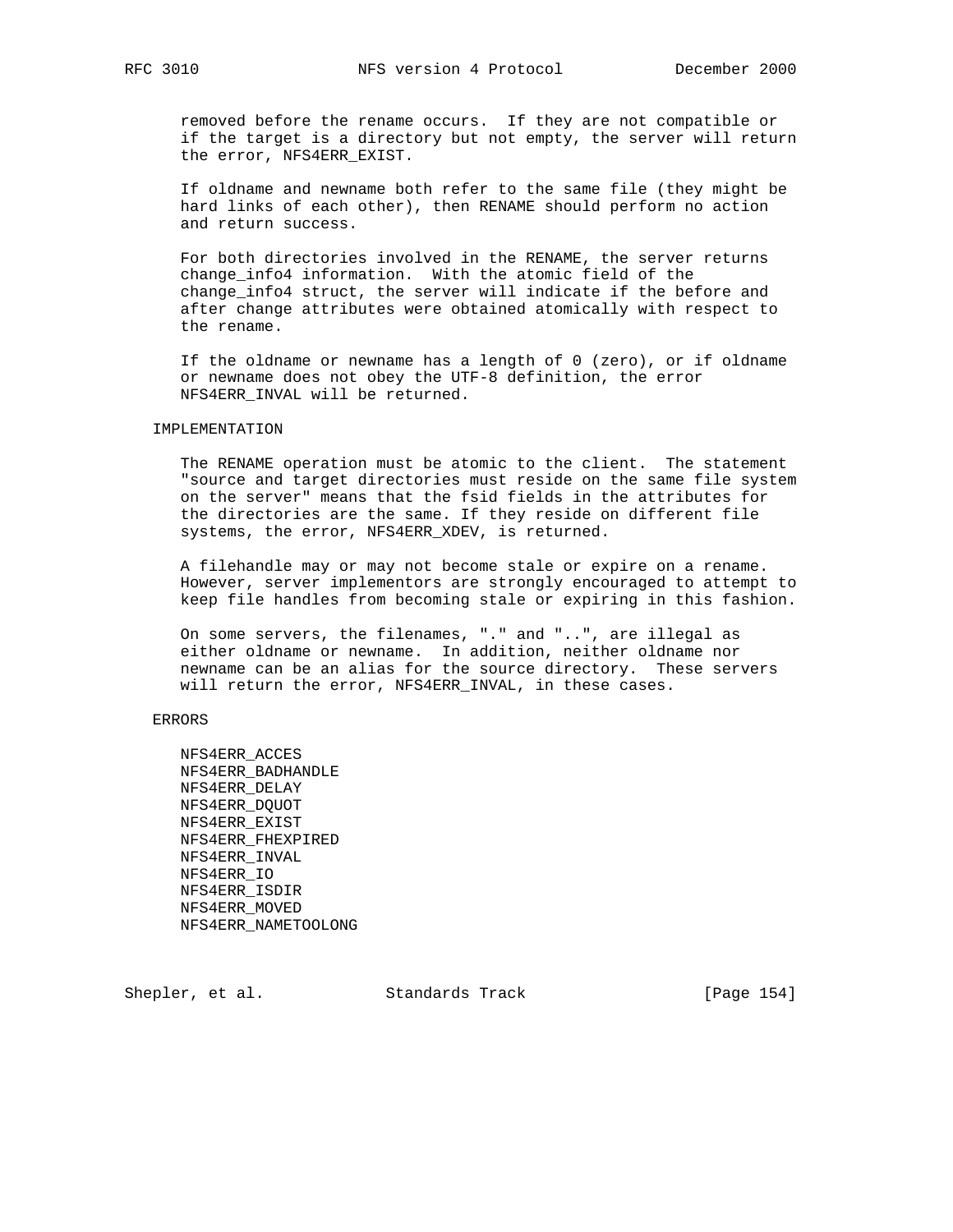removed before the rename occurs. If they are not compatible or if the target is a directory but not empty, the server will return the error, NFS4ERR\_EXIST.

 If oldname and newname both refer to the same file (they might be hard links of each other), then RENAME should perform no action and return success.

 For both directories involved in the RENAME, the server returns change info4 information. With the atomic field of the change\_info4 struct, the server will indicate if the before and after change attributes were obtained atomically with respect to the rename.

 If the oldname or newname has a length of 0 (zero), or if oldname or newname does not obey the UTF-8 definition, the error NFS4ERR\_INVAL will be returned.

## IMPLEMENTATION

 The RENAME operation must be atomic to the client. The statement "source and target directories must reside on the same file system on the server" means that the fsid fields in the attributes for the directories are the same. If they reside on different file systems, the error, NFS4ERR\_XDEV, is returned.

 A filehandle may or may not become stale or expire on a rename. However, server implementors are strongly encouraged to attempt to keep file handles from becoming stale or expiring in this fashion.

 On some servers, the filenames, "." and "..", are illegal as either oldname or newname. In addition, neither oldname nor newname can be an alias for the source directory. These servers will return the error, NFS4ERR\_INVAL, in these cases.

## ERRORS

 NFS4ERR\_ACCES NFS4ERR\_BADHANDLE NFS4ERR\_DELAY NFS4ERR\_DQUOT NFS4ERR\_EXIST NFS4ERR\_FHEXPIRED NFS4ERR\_INVAL NFS4ERR\_IO NFS4ERR\_ISDIR NFS4ERR\_MOVED NFS4ERR\_NAMETOOLONG

Shepler, et al. Standards Track [Page 154]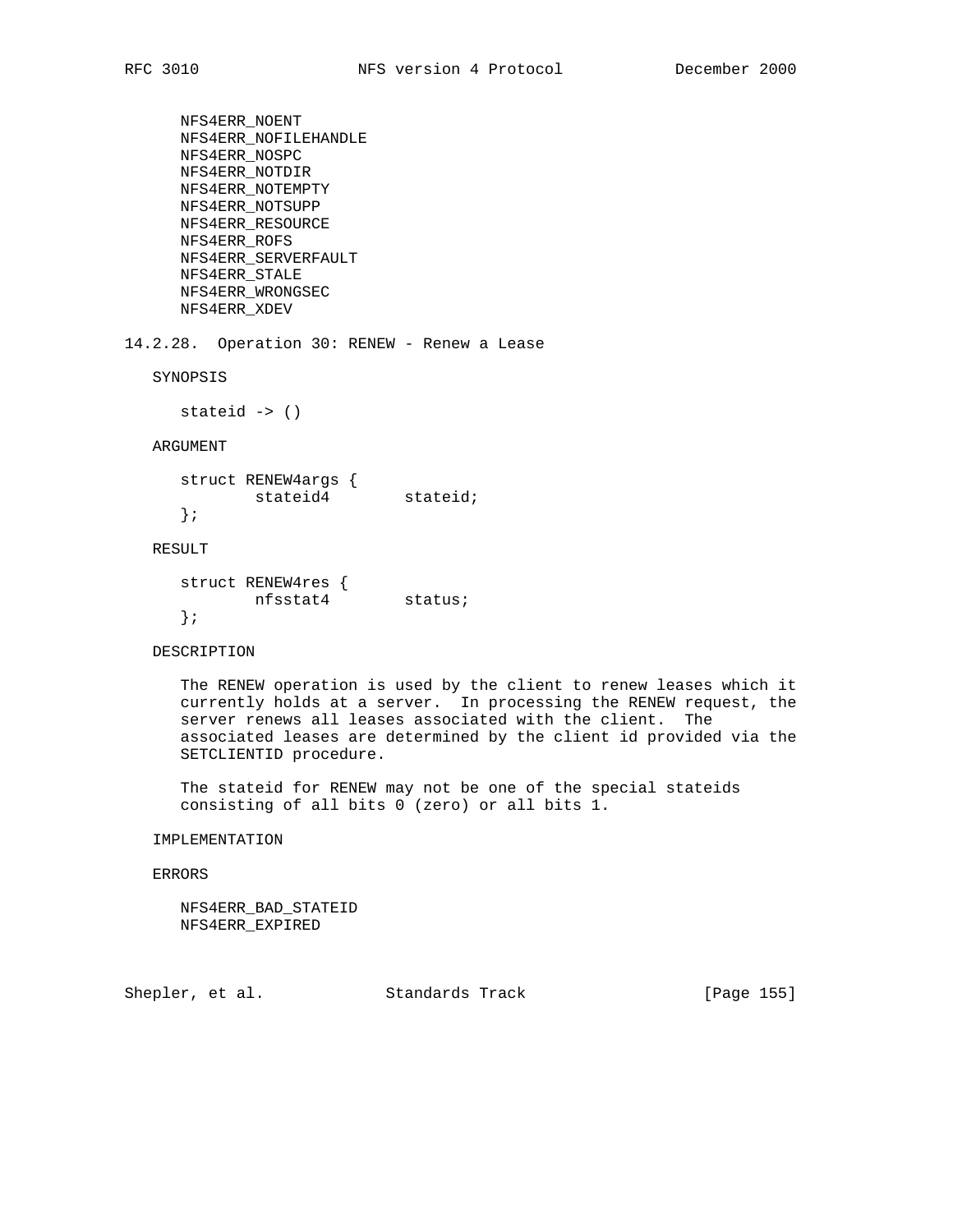NFS4ERR\_NOENT NFS4ERR\_NOFILEHANDLE NFS4ERR\_NOSPC NFS4ERR\_NOTDIR NFS4ERR\_NOTEMPTY NFS4ERR\_NOTSUPP NFS4ERR\_RESOURCE NFS4ERR\_ROFS NFS4ERR\_SERVERFAULT NFS4ERR\_STALE NFS4ERR\_WRONGSEC NFS4ERR\_XDEV 14.2.28. Operation 30: RENEW - Renew a Lease SYNOPSIS stateid -> () ARGUMENT struct RENEW4args { stateid4 stateid; }; RESULT struct RENEW4res { nfsstat4 status; }; DESCRIPTION The RENEW operation is used by the client to renew leases which it

 currently holds at a server. In processing the RENEW request, the server renews all leases associated with the client. The associated leases are determined by the client id provided via the SETCLIENTID procedure.

 The stateid for RENEW may not be one of the special stateids consisting of all bits 0 (zero) or all bits 1.

## IMPLEMENTATION

## ERRORS

 NFS4ERR\_BAD\_STATEID NFS4ERR\_EXPIRED

Shepler, et al. Standards Track [Page 155]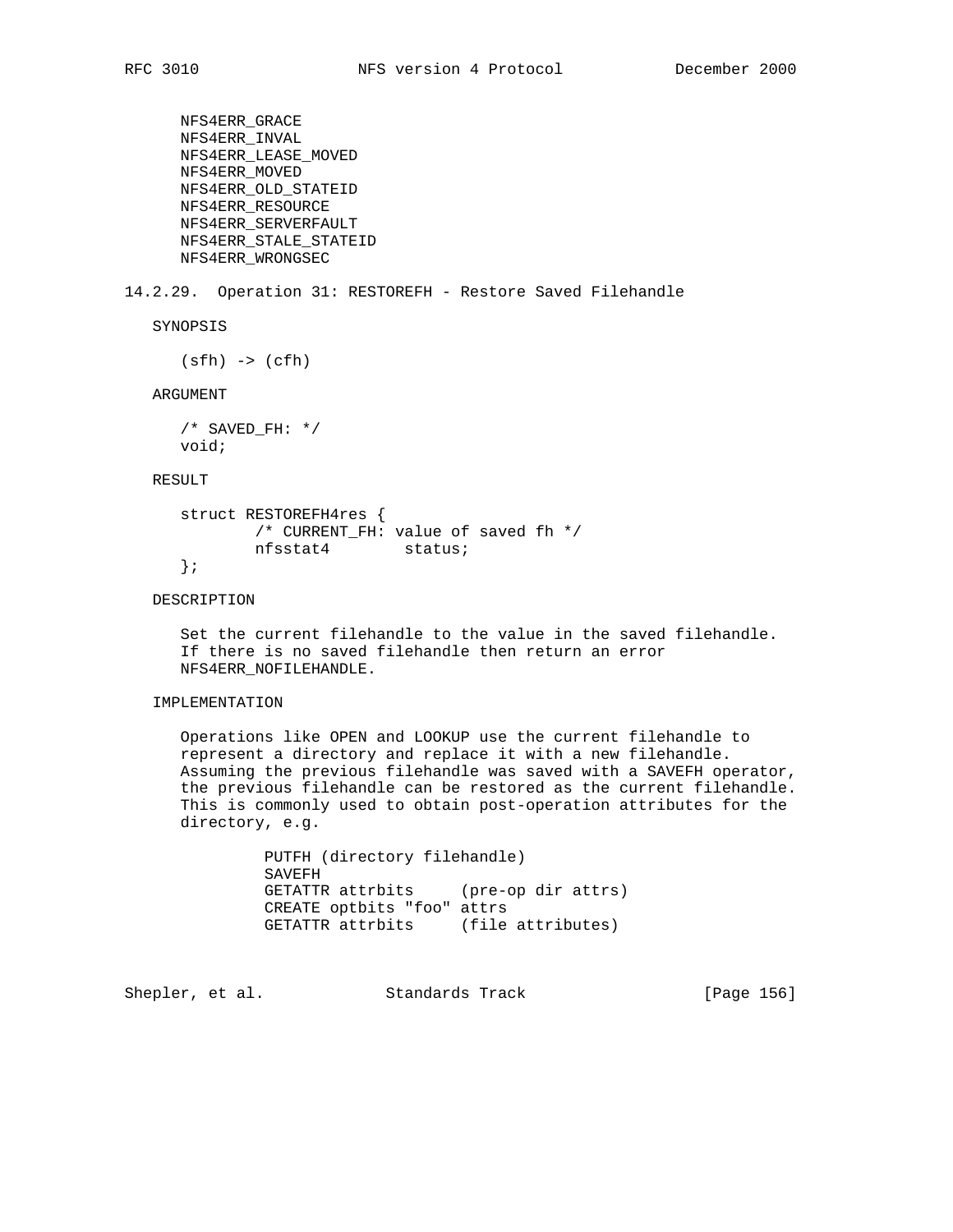```
 NFS4ERR_GRACE
 NFS4ERR_INVAL
 NFS4ERR_LEASE_MOVED
 NFS4ERR_MOVED
 NFS4ERR_OLD_STATEID
 NFS4ERR_RESOURCE
 NFS4ERR_SERVERFAULT
 NFS4ERR_STALE_STATEID
 NFS4ERR_WRONGSEC
```
## 14.2.29. Operation 31: RESTOREFH - Restore Saved Filehandle

SYNOPSIS

 $(sfh) \rightarrow (cfh)$ 

ARGUMENT

 $/*$  SAVED\_FH: \*/ void;

## RESULT

```
 struct RESTOREFH4res {
        /* CURRENT_FH: value of saved fh */
        nfsstat4 status;
 };
```
# DESCRIPTION

 Set the current filehandle to the value in the saved filehandle. If there is no saved filehandle then return an error NFS4ERR\_NOFILEHANDLE.

# IMPLEMENTATION

 Operations like OPEN and LOOKUP use the current filehandle to represent a directory and replace it with a new filehandle. Assuming the previous filehandle was saved with a SAVEFH operator, the previous filehandle can be restored as the current filehandle. This is commonly used to obtain post-operation attributes for the directory, e.g.

> PUTFH (directory filehandle) SAVEFH GETATTR attrbits (pre-op dir attrs) CREATE optbits "foo" attrs GETATTR attrbits (file attributes)

Shepler, et al. Standards Track [Page 156]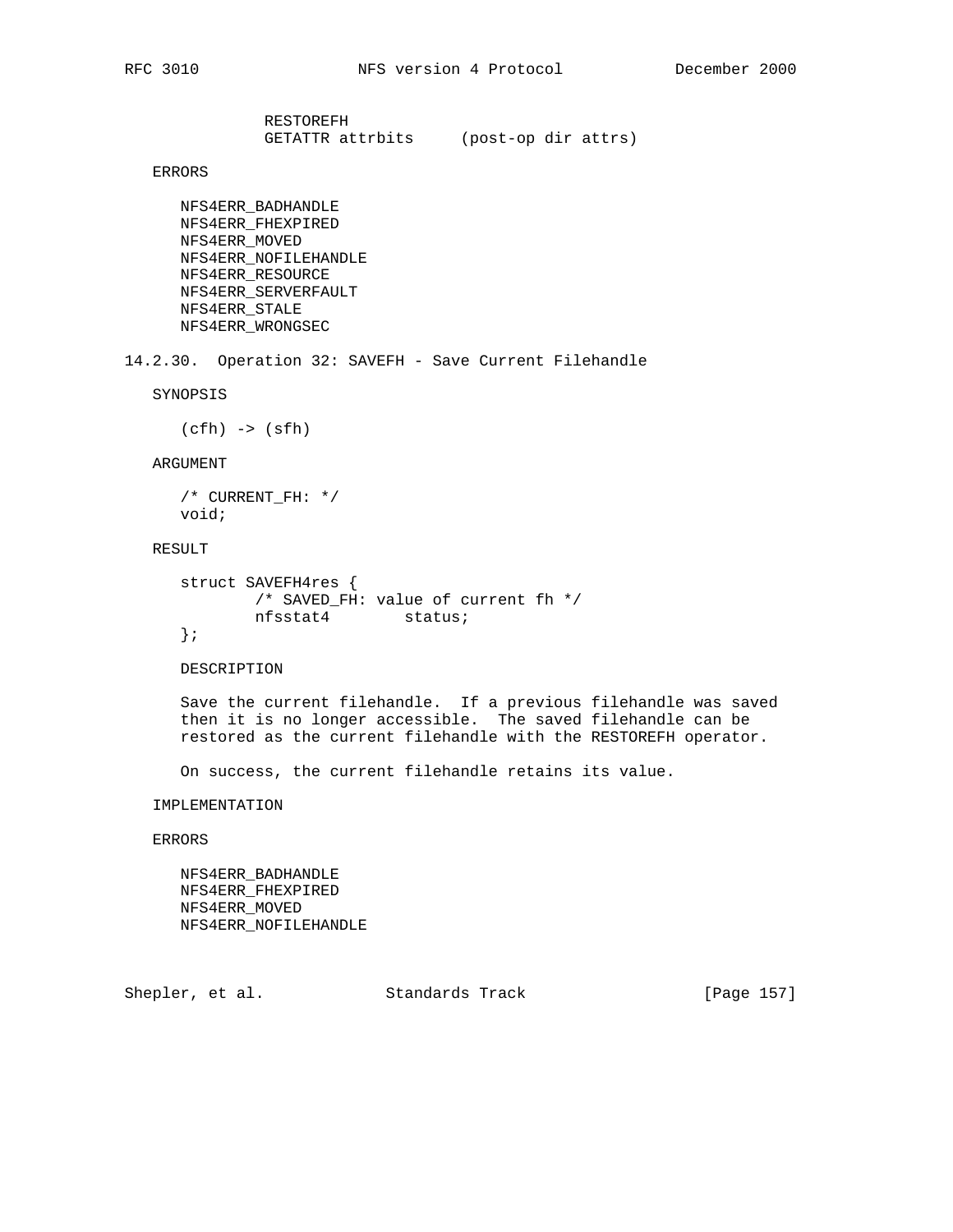RESTOREFH GETATTR attrbits (post-op dir attrs)

ERRORS

 NFS4ERR\_BADHANDLE NFS4ERR\_FHEXPIRED NFS4ERR\_MOVED NFS4ERR\_NOFILEHANDLE NFS4ERR\_RESOURCE NFS4ERR\_SERVERFAULT NFS4ERR\_STALE NFS4ERR\_WRONGSEC

14.2.30. Operation 32: SAVEFH - Save Current Filehandle

SYNOPSIS

(cfh) -> (sfh)

### ARGUMENT

 /\* CURRENT\_FH: \*/ void;

# RESULT

```
 struct SAVEFH4res {
        /* SAVED_FH: value of current fh */
        nfsstat4 status;
 };
```
#### DESCRIPTION

 Save the current filehandle. If a previous filehandle was saved then it is no longer accessible. The saved filehandle can be restored as the current filehandle with the RESTOREFH operator.

On success, the current filehandle retains its value.

IMPLEMENTATION

# ERRORS

 NFS4ERR\_BADHANDLE NFS4ERR\_FHEXPIRED NFS4ERR\_MOVED NFS4ERR\_NOFILEHANDLE

Shepler, et al. Standards Track [Page 157]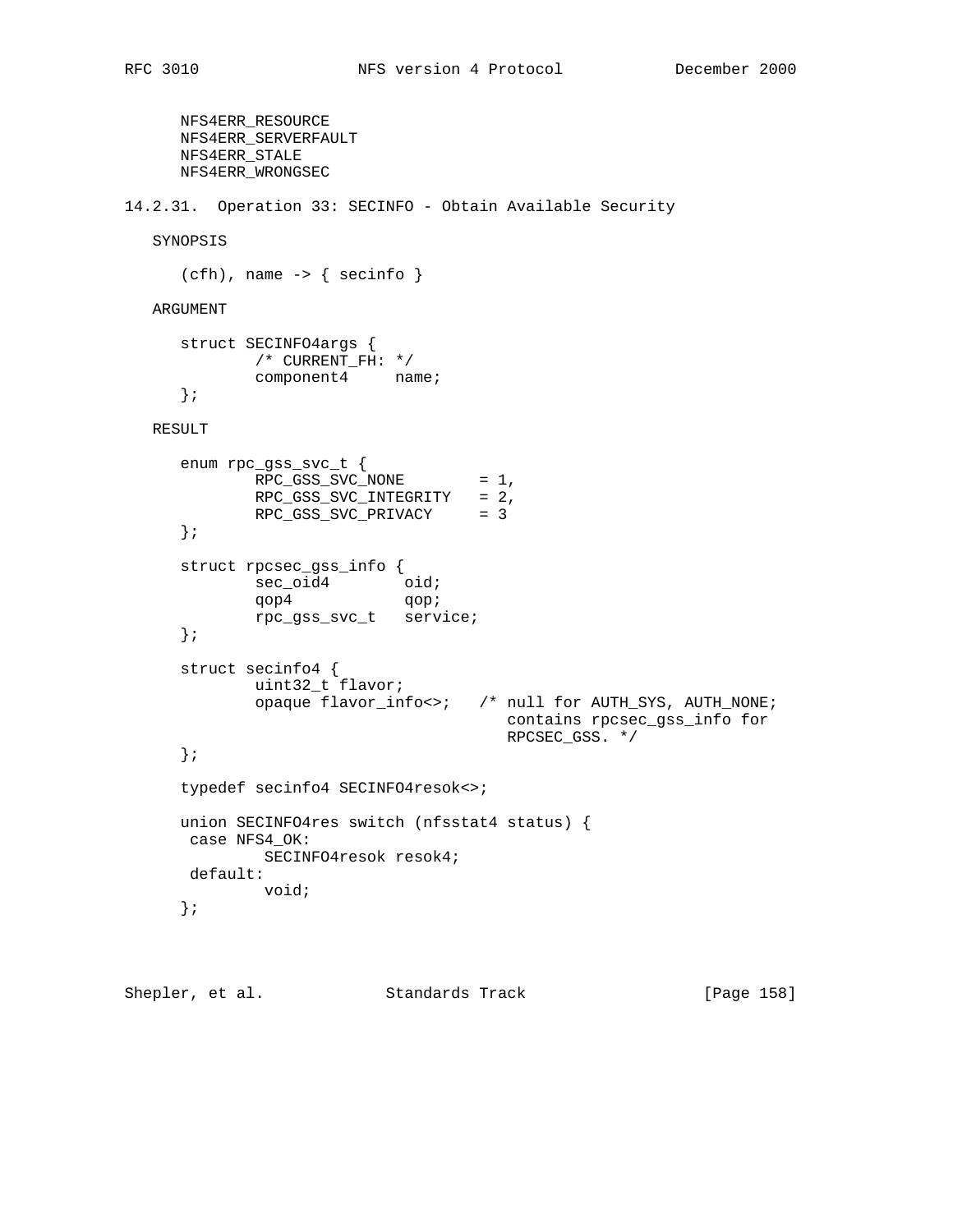```
 NFS4ERR_RESOURCE
      NFS4ERR_SERVERFAULT
      NFS4ERR_STALE
      NFS4ERR_WRONGSEC
14.2.31. Operation 33: SECINFO - Obtain Available Security
   SYNOPSIS
      (cfh), name -> { secinfo }
   ARGUMENT
      struct SECINFO4args {
             /* CURRENT_FH: */
              component4 name;
      };
   RESULT
      enum rpc_gss_svc_t {
             RPC_GSS_SVC_NONE = 1,
              RPC_GSS_SVC_INTEGRITY = 2,
              RPC_GSS_SVC_PRIVACY = 3
       };
       struct rpcsec_gss_info {
             sec_oid4 oid;
              qop4 qop;
              rpc_gss_svc_t service;
       };
      struct secinfo4 {
              uint32_t flavor;
              opaque flavor_info<>; /* null for AUTH_SYS, AUTH_NONE;
                                         contains rpcsec_gss_info for
                                         RPCSEC_GSS. */
       };
      typedef secinfo4 SECINFO4resok<>;
      union SECINFO4res switch (nfsstat4 status) {
       case NFS4_OK:
               SECINFO4resok resok4;
       default:
               void;
       };
```
Shepler, et al. Standards Track [Page 158]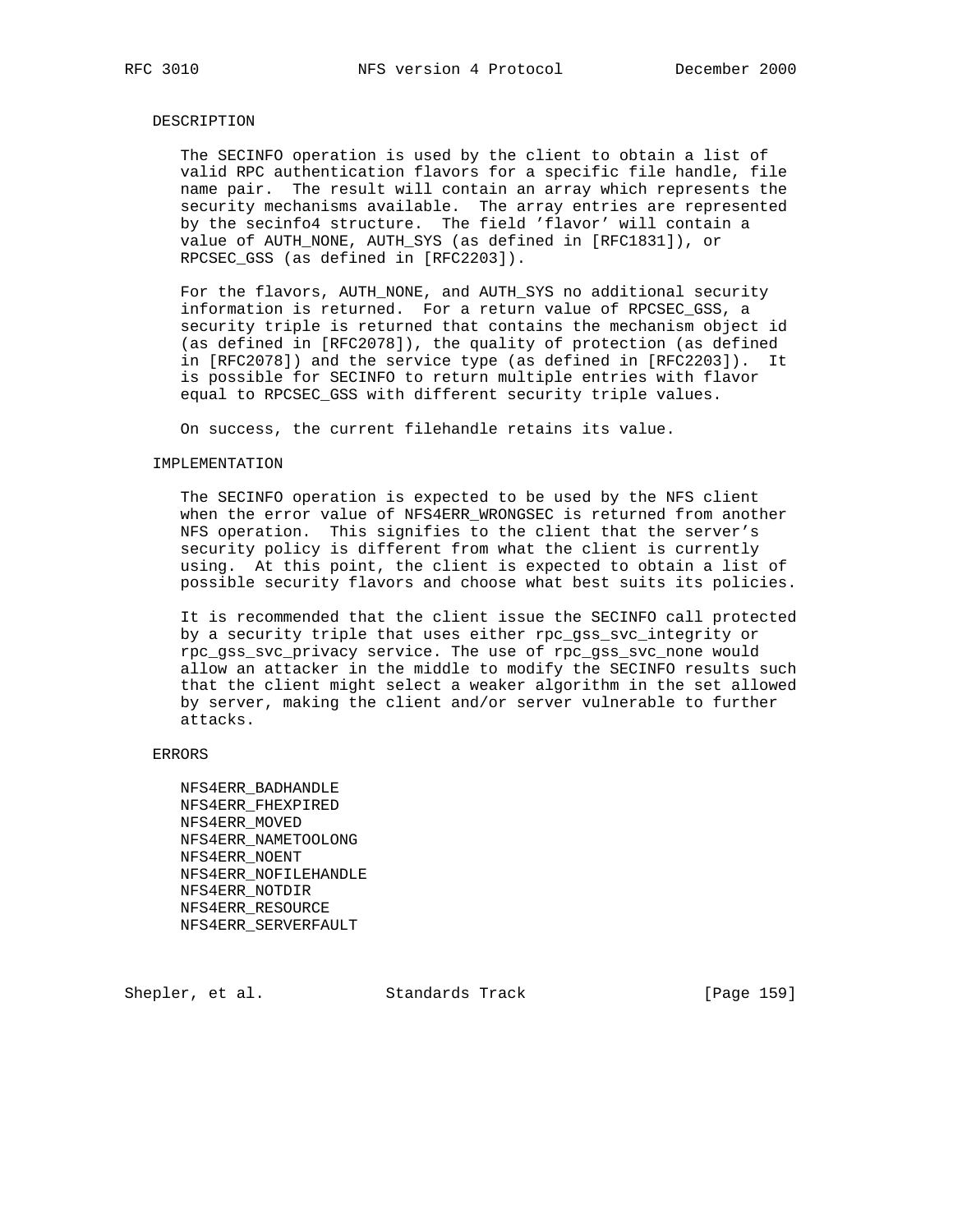#### DESCRIPTION

 The SECINFO operation is used by the client to obtain a list of valid RPC authentication flavors for a specific file handle, file name pair. The result will contain an array which represents the security mechanisms available. The array entries are represented by the secinfo4 structure. The field 'flavor' will contain a value of AUTH\_NONE, AUTH\_SYS (as defined in [RFC1831]), or RPCSEC\_GSS (as defined in [RFC2203]).

 For the flavors, AUTH\_NONE, and AUTH\_SYS no additional security information is returned. For a return value of RPCSEC\_GSS, a security triple is returned that contains the mechanism object id (as defined in [RFC2078]), the quality of protection (as defined in [RFC2078]) and the service type (as defined in [RFC2203]). It is possible for SECINFO to return multiple entries with flavor equal to RPCSEC\_GSS with different security triple values.

On success, the current filehandle retains its value.

#### IMPLEMENTATION

 The SECINFO operation is expected to be used by the NFS client when the error value of NFS4ERR\_WRONGSEC is returned from another NFS operation. This signifies to the client that the server's security policy is different from what the client is currently using. At this point, the client is expected to obtain a list of possible security flavors and choose what best suits its policies.

 It is recommended that the client issue the SECINFO call protected by a security triple that uses either rpc\_gss\_svc\_integrity or rpc\_gss\_svc\_privacy service. The use of rpc\_gss\_svc\_none would allow an attacker in the middle to modify the SECINFO results such that the client might select a weaker algorithm in the set allowed by server, making the client and/or server vulnerable to further attacks.

ERRORS

 NFS4ERR\_BADHANDLE NFS4ERR\_FHEXPIRED NFS4ERR\_MOVED NFS4ERR\_NAMETOOLONG NFS4ERR\_NOENT NFS4ERR\_NOFILEHANDLE NFS4ERR\_NOTDIR NFS4ERR\_RESOURCE NFS4ERR\_SERVERFAULT

Shepler, et al. Standards Track [Page 159]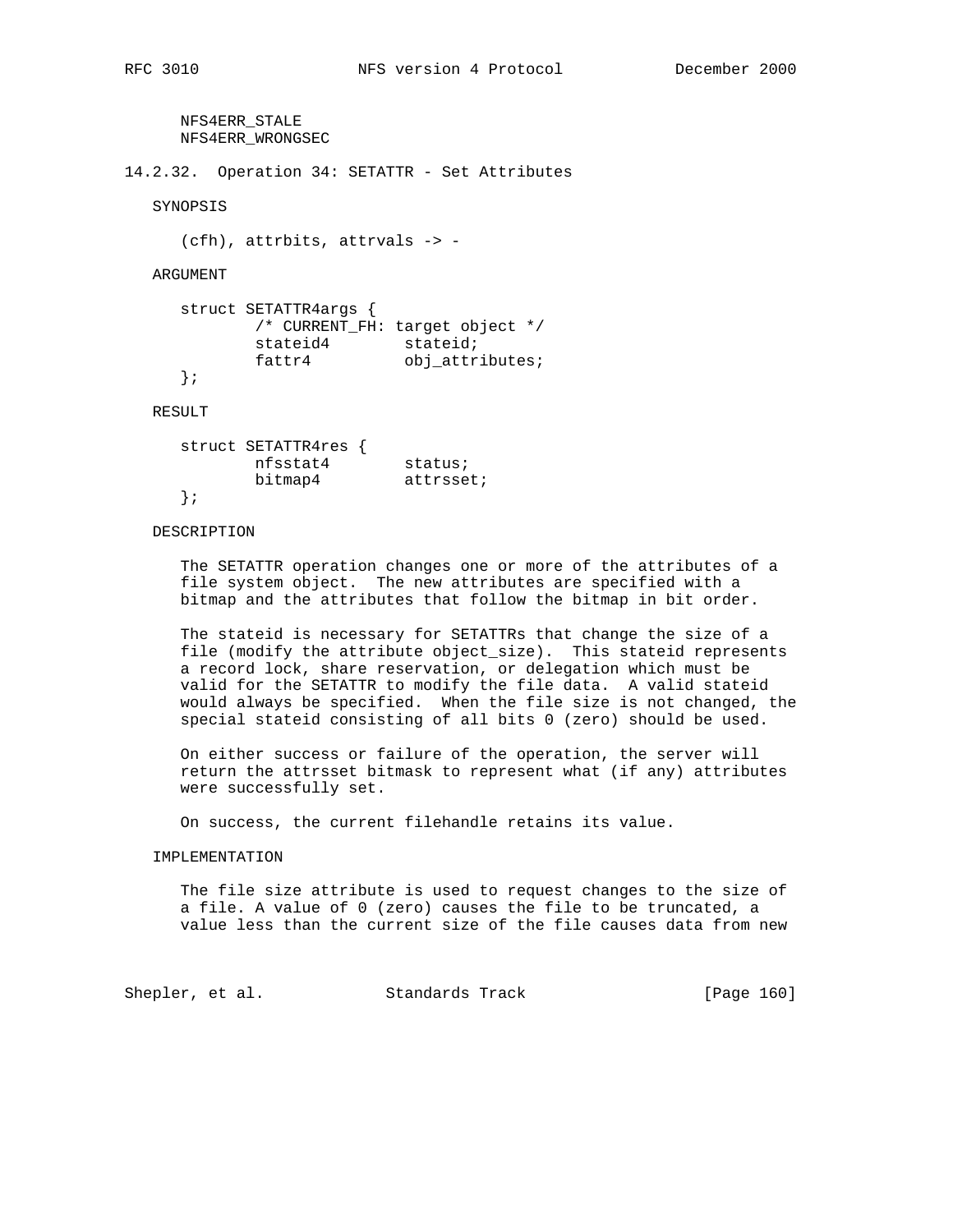NFS4ERR\_STALE NFS4ERR\_WRONGSEC

14.2.32. Operation 34: SETATTR - Set Attributes

SYNOPSIS

```
 (cfh), attrbits, attrvals -> -
```
ARGUMENT

```
 struct SETATTR4args {
          /* CURRENT_FH: target object */
stateid4 stateid;
fattr4 obj_attributes;
     };
```
RESULT

| struct SETATTR4res |           |
|--------------------|-----------|
| nfsstat4           | status;   |
| bitmap4            | attrsset; |
|                    |           |

### DESCRIPTION

 The SETATTR operation changes one or more of the attributes of a file system object. The new attributes are specified with a bitmap and the attributes that follow the bitmap in bit order.

 The stateid is necessary for SETATTRs that change the size of a file (modify the attribute object\_size). This stateid represents a record lock, share reservation, or delegation which must be valid for the SETATTR to modify the file data. A valid stateid would always be specified. When the file size is not changed, the special stateid consisting of all bits 0 (zero) should be used.

 On either success or failure of the operation, the server will return the attrsset bitmask to represent what (if any) attributes were successfully set.

On success, the current filehandle retains its value.

#### IMPLEMENTATION

 The file size attribute is used to request changes to the size of a file. A value of 0 (zero) causes the file to be truncated, a value less than the current size of the file causes data from new

Shepler, et al. Standards Track [Page 160]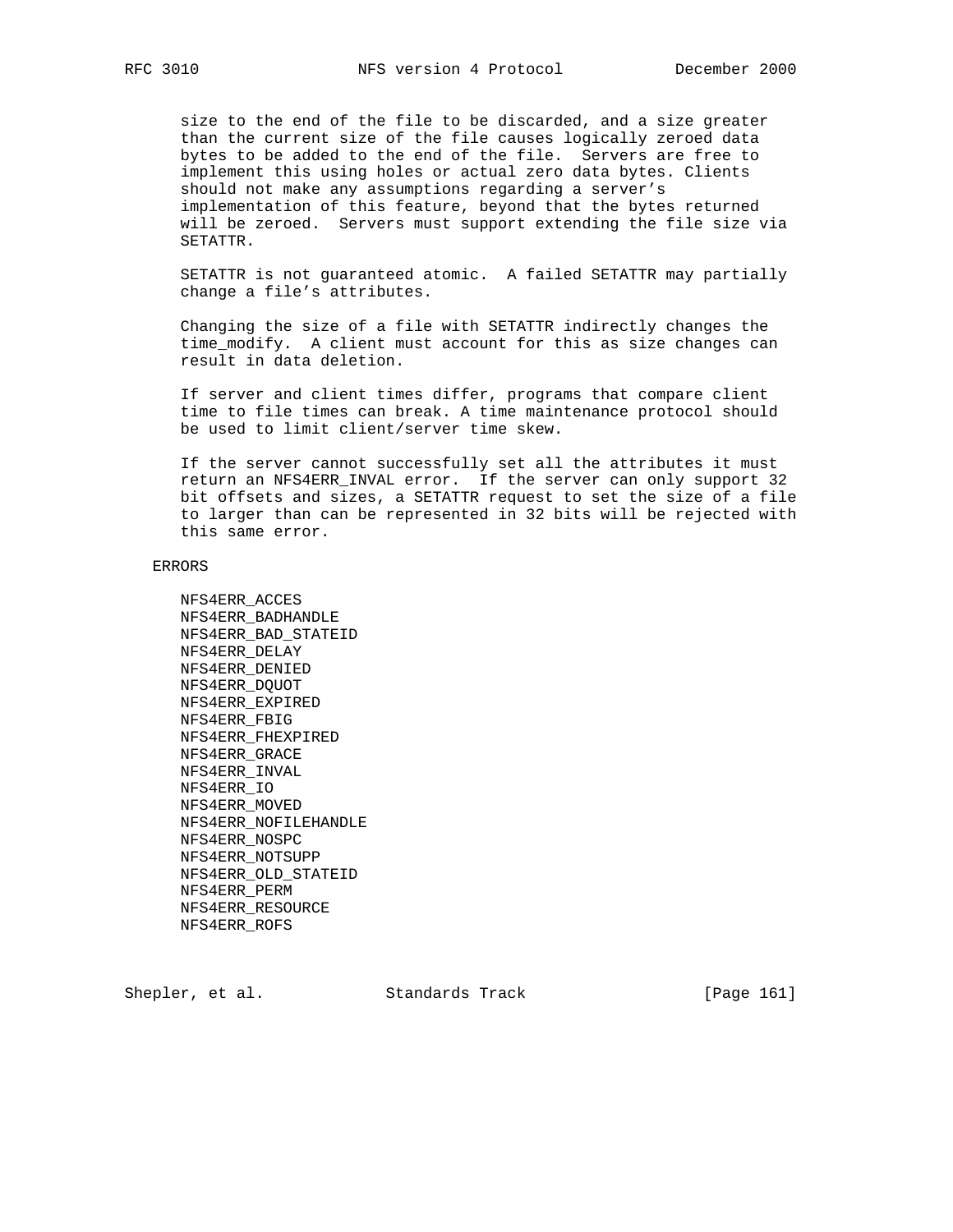size to the end of the file to be discarded, and a size greater than the current size of the file causes logically zeroed data bytes to be added to the end of the file. Servers are free to implement this using holes or actual zero data bytes. Clients should not make any assumptions regarding a server's implementation of this feature, beyond that the bytes returned will be zeroed. Servers must support extending the file size via SETATTR.

 SETATTR is not guaranteed atomic. A failed SETATTR may partially change a file's attributes.

 Changing the size of a file with SETATTR indirectly changes the time\_modify. A client must account for this as size changes can result in data deletion.

 If server and client times differ, programs that compare client time to file times can break. A time maintenance protocol should be used to limit client/server time skew.

 If the server cannot successfully set all the attributes it must return an NFS4ERR\_INVAL error. If the server can only support 32 bit offsets and sizes, a SETATTR request to set the size of a file to larger than can be represented in 32 bits will be rejected with this same error.

#### ERRORS

 NFS4ERR\_ACCES NFS4ERR\_BADHANDLE NFS4ERR\_BAD\_STATEID NFS4ERR\_DELAY NFS4ERR\_DENIED NFS4ERR\_DQUOT NFS4ERR\_EXPIRED NFS4ERR\_FBIG NFS4ERR\_FHEXPIRED NFS4ERR\_GRACE NFS4ERR\_INVAL NFS4ERR\_IO NFS4ERR\_MOVED NFS4ERR\_NOFILEHANDLE NFS4ERR\_NOSPC NFS4ERR\_NOTSUPP NFS4ERR\_OLD\_STATEID NFS4ERR\_PERM NFS4ERR\_RESOURCE NFS4ERR\_ROFS

Shepler, et al. Standards Track [Page 161]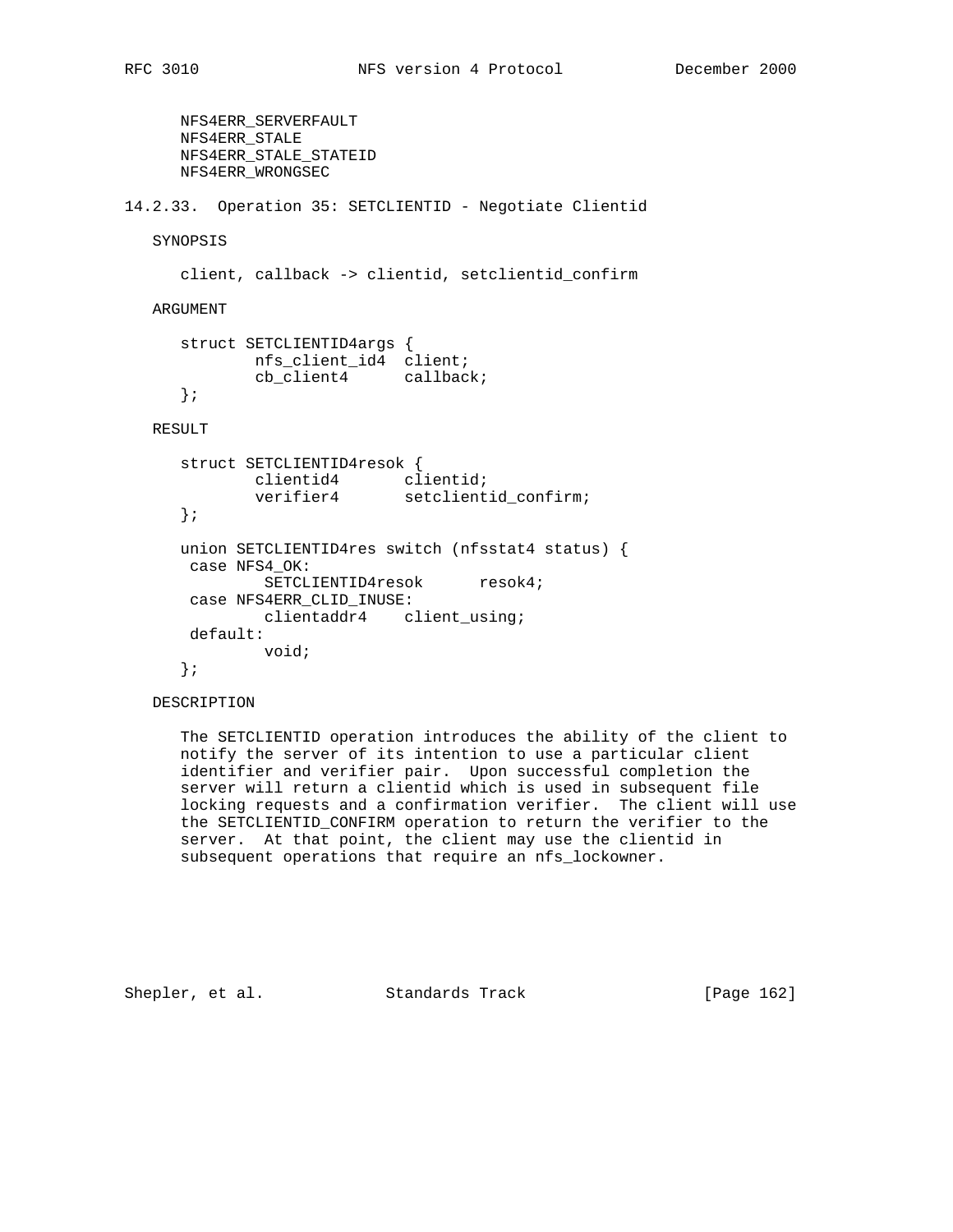```
 NFS4ERR_SERVERFAULT
      NFS4ERR_STALE
      NFS4ERR_STALE_STATEID
      NFS4ERR_WRONGSEC
14.2.33. Operation 35: SETCLIENTID - Negotiate Clientid
   SYNOPSIS
      client, callback -> clientid, setclientid_confirm
   ARGUMENT
      struct SETCLIENTID4args {
 nfs_client_id4 client;
 cb_client4 callback;
      };
   RESULT
      struct SETCLIENTID4resok {
 clientid4 clientid;
 verifier4 setclientid_confirm;
      };
      union SETCLIENTID4res switch (nfsstat4 status) {
      case NFS4_OK:
             SETCLIENTID4resok resok4;
       case NFS4ERR_CLID_INUSE:
             clientaddr4 client_using;
       default:
             void;
      };
```
## DESCRIPTION

 The SETCLIENTID operation introduces the ability of the client to notify the server of its intention to use a particular client identifier and verifier pair. Upon successful completion the server will return a clientid which is used in subsequent file locking requests and a confirmation verifier. The client will use the SETCLIENTID\_CONFIRM operation to return the verifier to the server. At that point, the client may use the clientid in subsequent operations that require an nfs\_lockowner.

Shepler, et al. Standards Track [Page 162]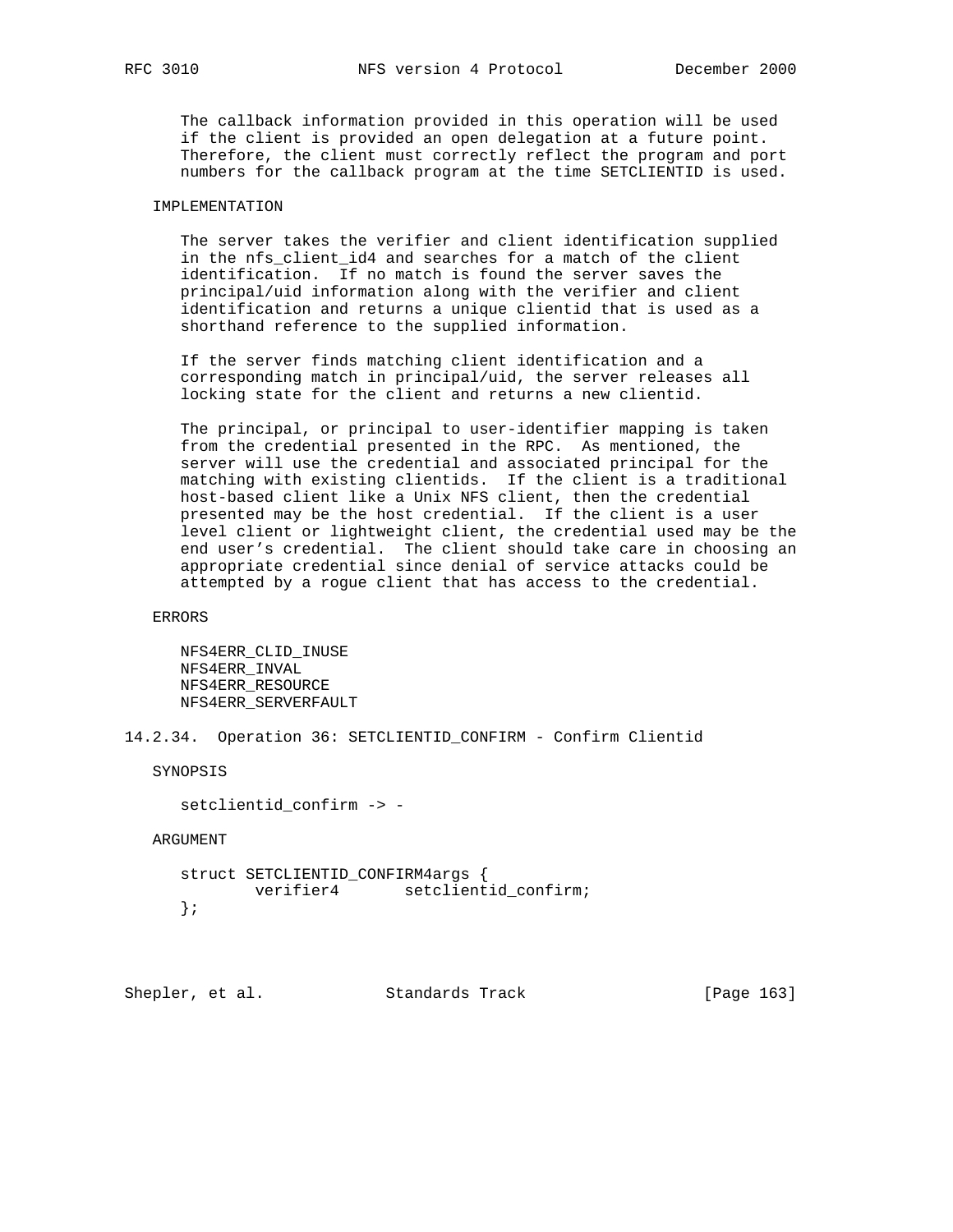The callback information provided in this operation will be used if the client is provided an open delegation at a future point. Therefore, the client must correctly reflect the program and port numbers for the callback program at the time SETCLIENTID is used.

## IMPLEMENTATION

 The server takes the verifier and client identification supplied in the nfs\_client\_id4 and searches for a match of the client identification. If no match is found the server saves the principal/uid information along with the verifier and client identification and returns a unique clientid that is used as a shorthand reference to the supplied information.

 If the server finds matching client identification and a corresponding match in principal/uid, the server releases all locking state for the client and returns a new clientid.

 The principal, or principal to user-identifier mapping is taken from the credential presented in the RPC. As mentioned, the server will use the credential and associated principal for the matching with existing clientids. If the client is a traditional host-based client like a Unix NFS client, then the credential presented may be the host credential. If the client is a user level client or lightweight client, the credential used may be the end user's credential. The client should take care in choosing an appropriate credential since denial of service attacks could be attempted by a rogue client that has access to the credential.

ERRORS

 NFS4ERR\_CLID\_INUSE NFS4ERR\_INVAL NFS4ERR\_RESOURCE NFS4ERR\_SERVERFAULT

14.2.34. Operation 36: SETCLIENTID\_CONFIRM - Confirm Clientid

SYNOPSIS

setclientid\_confirm -> -

ARGUMENT

 struct SETCLIENTID\_CONFIRM4args { verifier4 setclientid\_confirm; };

Shepler, et al. Standards Track [Page 163]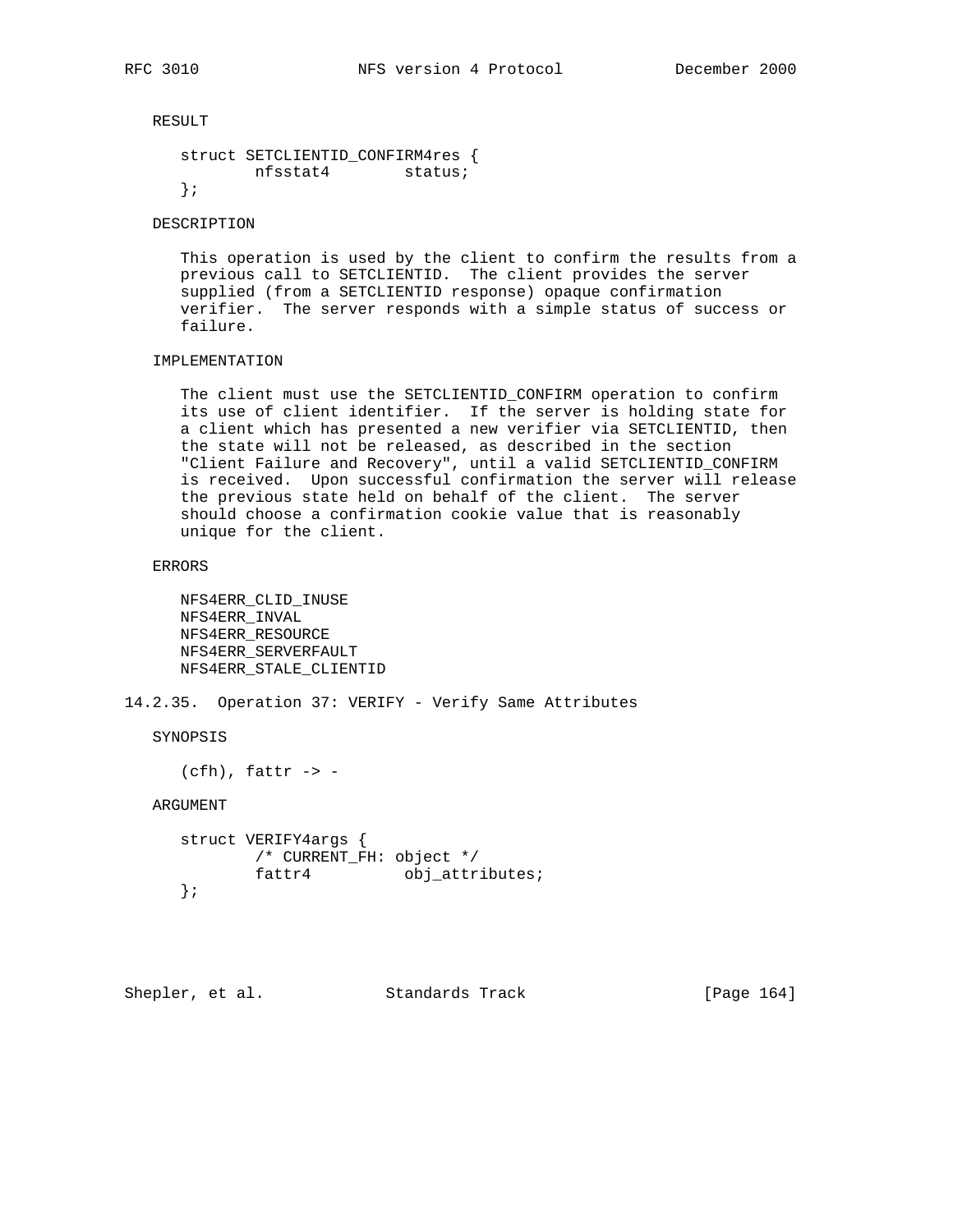RESULT

```
 struct SETCLIENTID_CONFIRM4res {
        nfsstat4 status;
 };
```
DESCRIPTION

 This operation is used by the client to confirm the results from a previous call to SETCLIENTID. The client provides the server supplied (from a SETCLIENTID response) opaque confirmation verifier. The server responds with a simple status of success or failure.

# IMPLEMENTATION

 The client must use the SETCLIENTID\_CONFIRM operation to confirm its use of client identifier. If the server is holding state for a client which has presented a new verifier via SETCLIENTID, then the state will not be released, as described in the section "Client Failure and Recovery", until a valid SETCLIENTID\_CONFIRM is received. Upon successful confirmation the server will release the previous state held on behalf of the client. The server should choose a confirmation cookie value that is reasonably unique for the client.

ERRORS

 NFS4ERR\_CLID\_INUSE NFS4ERR\_INVAL NFS4ERR\_RESOURCE NFS4ERR\_SERVERFAULT NFS4ERR\_STALE\_CLIENTID

14.2.35. Operation 37: VERIFY - Verify Same Attributes

SYNOPSIS

 $(cfh)$ , fattr -> -

ARGUMENT

```
 struct VERIFY4args {
       /* CURRENT_FH: object */
       fattr4 obj_attributes;
 };
```
Shepler, et al. Standards Track [Page 164]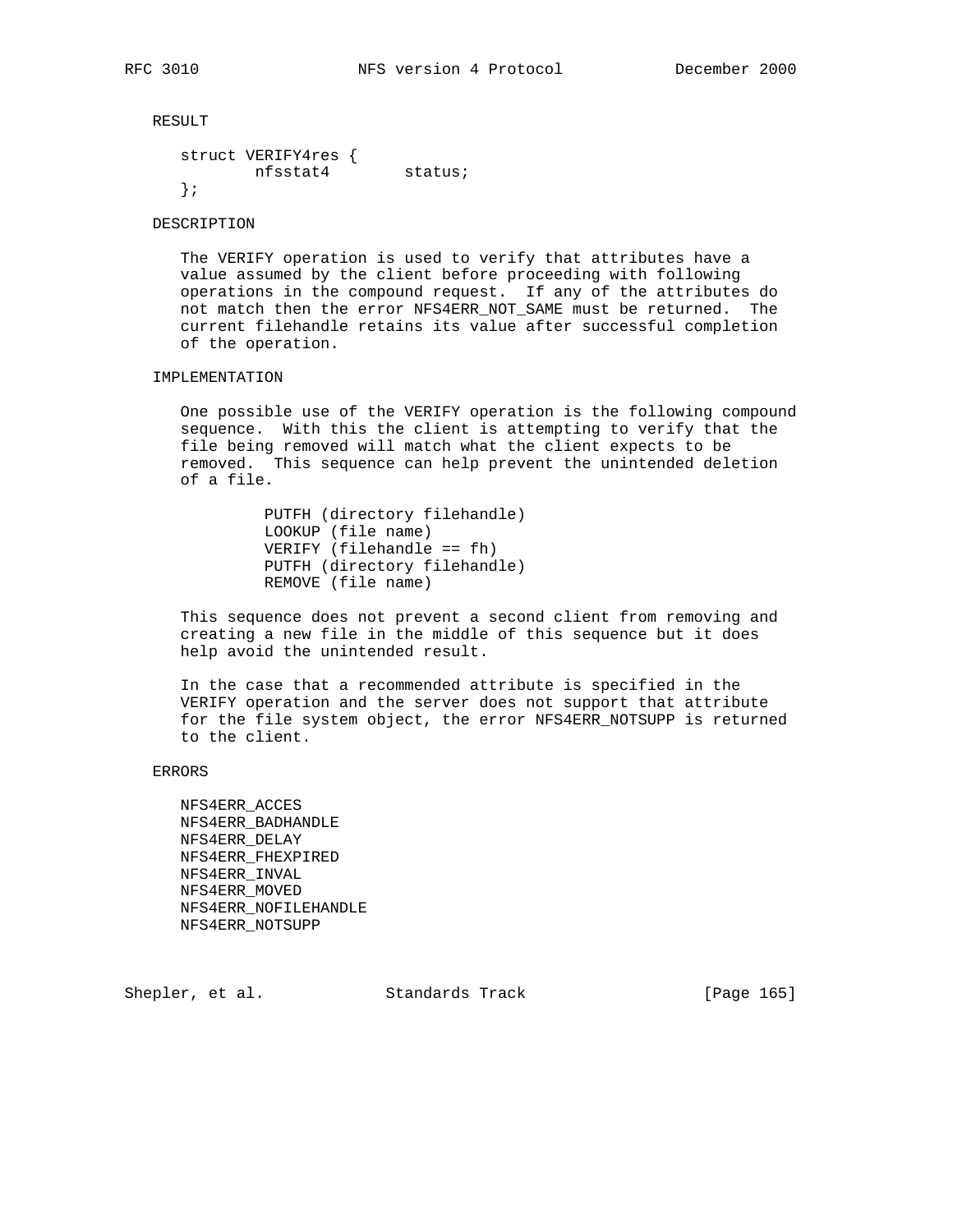RESULT

```
 struct VERIFY4res {
                                        n \frac{1}{2} \frac{1}{2} \frac{1}{2} \frac{1}{2} \frac{1}{2} \frac{1}{2} \frac{1}{2} \frac{1}{2} \frac{1}{2} \frac{1}{2} \frac{1}{2} \frac{1}{2} \frac{1}{2} \frac{1}{2} \frac{1}{2} \frac{1}{2} \frac{1}{2} \frac{1}{2} \frac{1}{2} \frac{1}{2} \frac{1}{2} \frac{1}{2 };
```
DESCRIPTION

 The VERIFY operation is used to verify that attributes have a value assumed by the client before proceeding with following operations in the compound request. If any of the attributes do not match then the error NFS4ERR\_NOT\_SAME must be returned. The current filehandle retains its value after successful completion of the operation.

### IMPLEMENTATION

 One possible use of the VERIFY operation is the following compound sequence. With this the client is attempting to verify that the file being removed will match what the client expects to be removed. This sequence can help prevent the unintended deletion of a file.

> PUTFH (directory filehandle) LOOKUP (file name) VERIFY (filehandle == fh) PUTFH (directory filehandle) REMOVE (file name)

 This sequence does not prevent a second client from removing and creating a new file in the middle of this sequence but it does help avoid the unintended result.

 In the case that a recommended attribute is specified in the VERIFY operation and the server does not support that attribute for the file system object, the error NFS4ERR\_NOTSUPP is returned to the client.

### ERRORS

 NFS4ERR\_ACCES NFS4ERR\_BADHANDLE NFS4ERR\_DELAY NFS4ERR\_FHEXPIRED NFS4ERR\_INVAL NFS4ERR\_MOVED NFS4ERR\_NOFILEHANDLE NFS4ERR\_NOTSUPP

Shepler, et al. Standards Track [Page 165]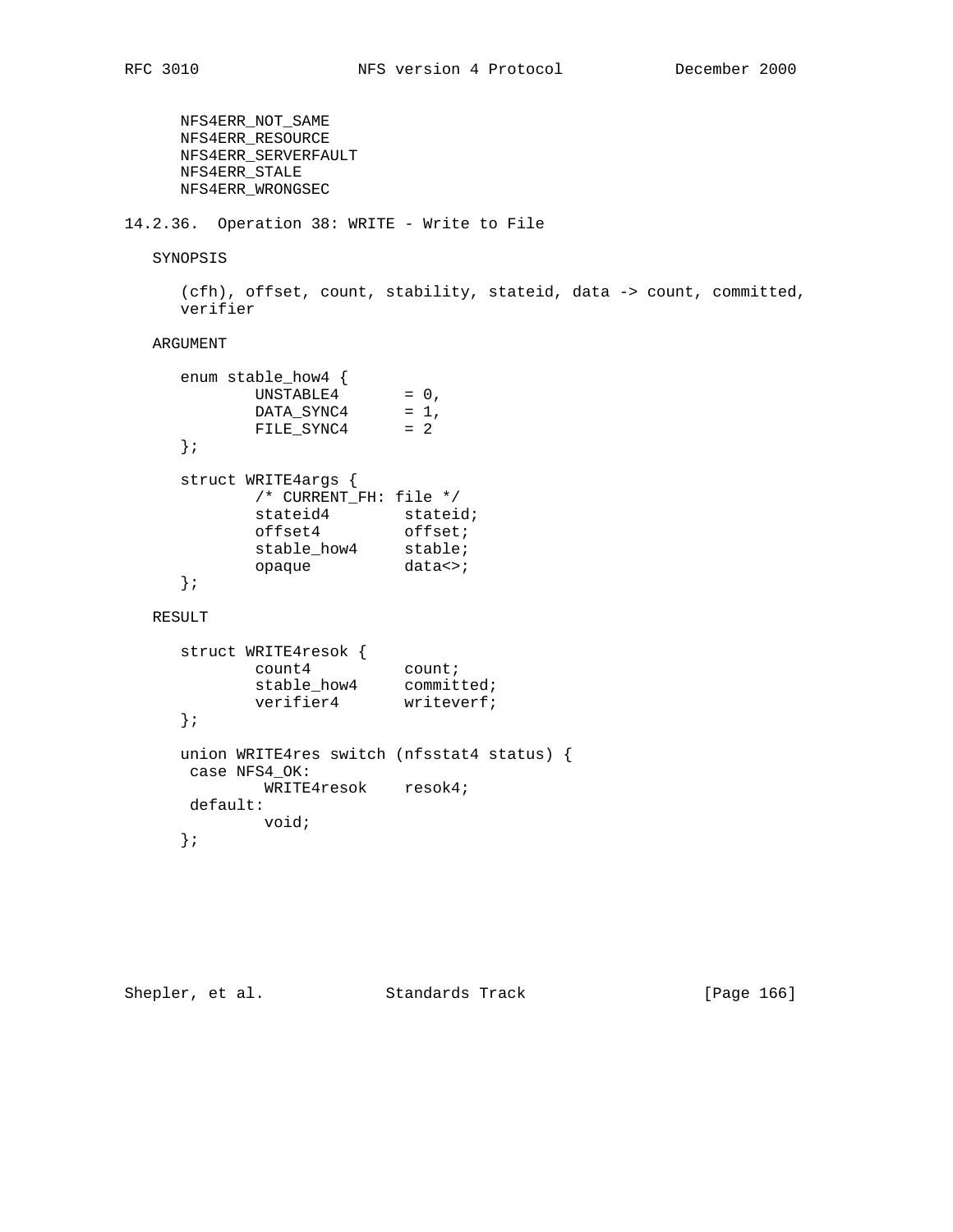NFS4ERR\_NOT\_SAME NFS4ERR\_RESOURCE NFS4ERR\_SERVERFAULT NFS4ERR\_STALE NFS4ERR\_WRONGSEC

14.2.36. Operation 38: WRITE - Write to File

SYNOPSIS

 (cfh), offset, count, stability, stateid, data -> count, committed, verifier

# ARGUMENT

| enum stable_how4 {     |                          |
|------------------------|--------------------------|
| UNSTABLE4              | $= 0$ ,                  |
| DATA SYNC4             | $= 1,$                   |
| FILE SYNC4             | $= 2$                    |
|                        |                          |
| struct WRITE4args {    |                          |
| /* CURRENT FH: file */ |                          |
| stateid4               | stateid;                 |
| offset4                | offset;                  |
| stable how4            | stable;                  |
| opaque                 | $data \leftrightarrow i$ |
|                        |                          |

RESULT

```
 struct WRITE4resok {
count4 count;
stable_how4 committed;
verifier4 writeverf;
     };
     union WRITE4res switch (nfsstat4 status) {
     case NFS4_OK:
           WRITE4resok resok4;
     default:
           void;
     };
```
Shepler, et al. Standards Track [Page 166]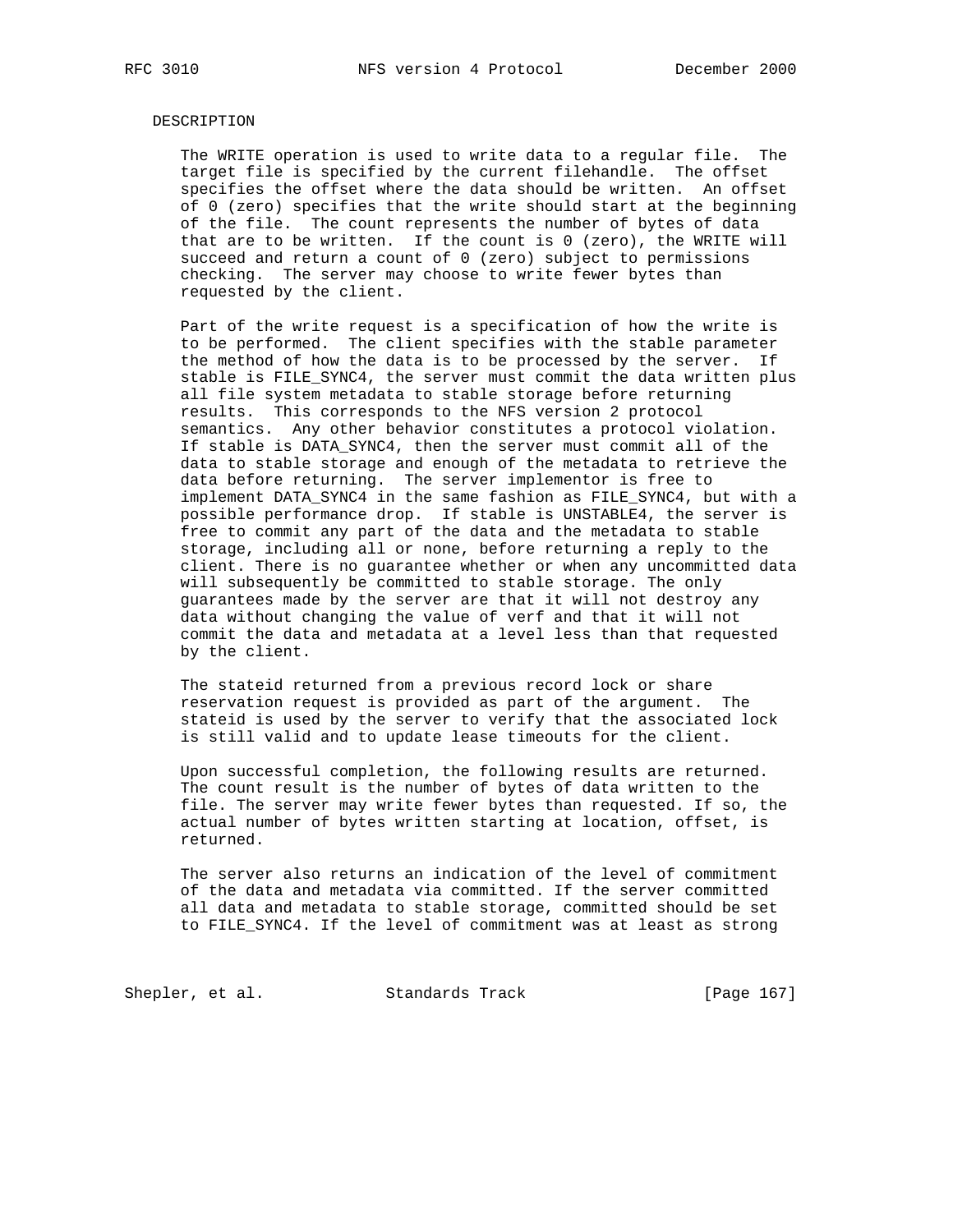### DESCRIPTION

 The WRITE operation is used to write data to a regular file. The target file is specified by the current filehandle. The offset specifies the offset where the data should be written. An offset of 0 (zero) specifies that the write should start at the beginning of the file. The count represents the number of bytes of data that are to be written. If the count is 0 (zero), the WRITE will succeed and return a count of 0 (zero) subject to permissions checking. The server may choose to write fewer bytes than requested by the client.

 Part of the write request is a specification of how the write is to be performed. The client specifies with the stable parameter the method of how the data is to be processed by the server. If stable is FILE\_SYNC4, the server must commit the data written plus all file system metadata to stable storage before returning results. This corresponds to the NFS version 2 protocol semantics. Any other behavior constitutes a protocol violation. If stable is DATA\_SYNC4, then the server must commit all of the data to stable storage and enough of the metadata to retrieve the data before returning. The server implementor is free to implement DATA\_SYNC4 in the same fashion as FILE\_SYNC4, but with a possible performance drop. If stable is UNSTABLE4, the server is free to commit any part of the data and the metadata to stable storage, including all or none, before returning a reply to the client. There is no guarantee whether or when any uncommitted data will subsequently be committed to stable storage. The only guarantees made by the server are that it will not destroy any data without changing the value of verf and that it will not commit the data and metadata at a level less than that requested by the client.

 The stateid returned from a previous record lock or share reservation request is provided as part of the argument. The stateid is used by the server to verify that the associated lock is still valid and to update lease timeouts for the client.

 Upon successful completion, the following results are returned. The count result is the number of bytes of data written to the file. The server may write fewer bytes than requested. If so, the actual number of bytes written starting at location, offset, is returned.

 The server also returns an indication of the level of commitment of the data and metadata via committed. If the server committed all data and metadata to stable storage, committed should be set to FILE\_SYNC4. If the level of commitment was at least as strong

Shepler, et al. Standards Track [Page 167]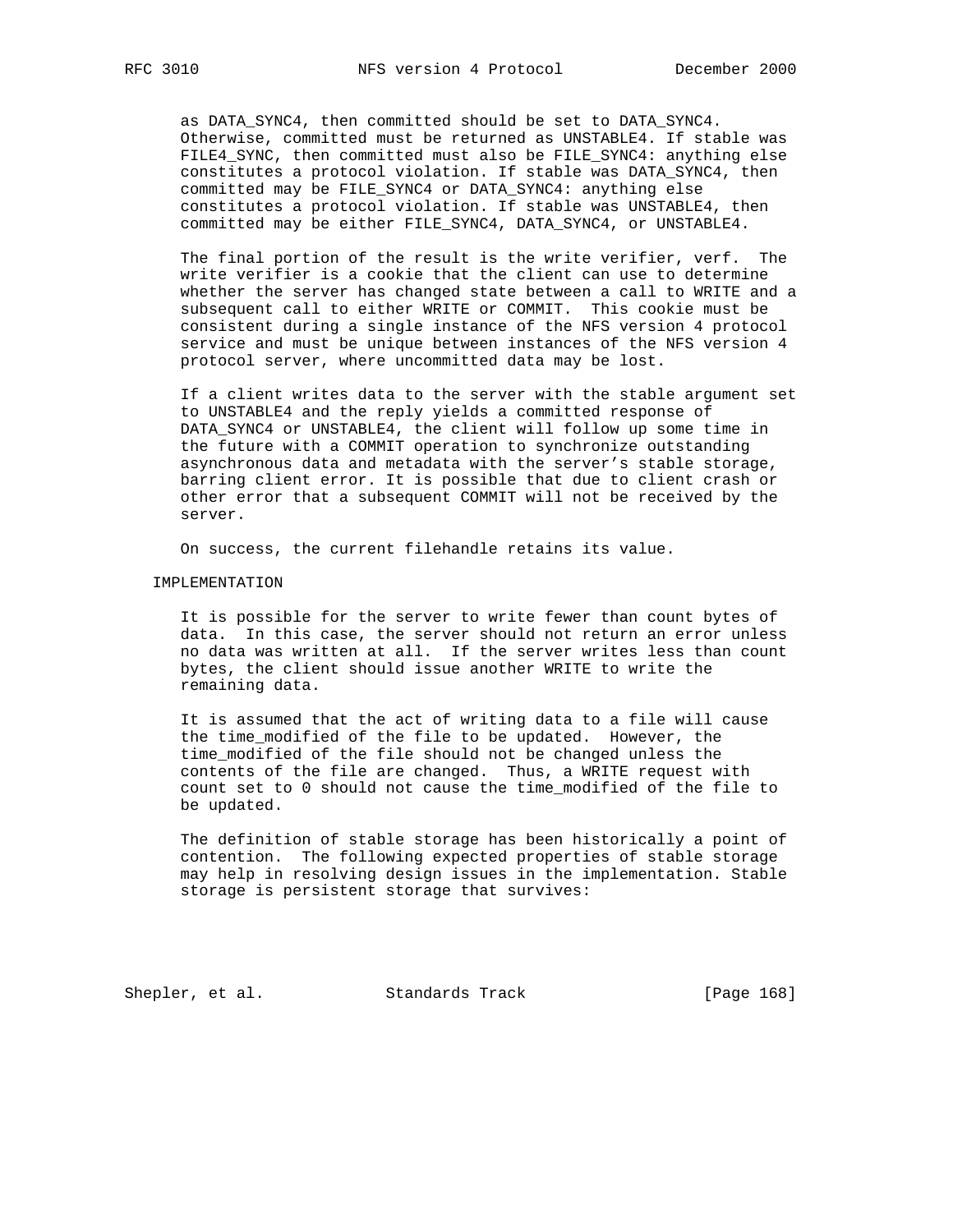as DATA\_SYNC4, then committed should be set to DATA\_SYNC4. Otherwise, committed must be returned as UNSTABLE4. If stable was FILE4\_SYNC, then committed must also be FILE\_SYNC4: anything else constitutes a protocol violation. If stable was DATA\_SYNC4, then committed may be FILE\_SYNC4 or DATA\_SYNC4: anything else constitutes a protocol violation. If stable was UNSTABLE4, then committed may be either FILE\_SYNC4, DATA\_SYNC4, or UNSTABLE4.

 The final portion of the result is the write verifier, verf. The write verifier is a cookie that the client can use to determine whether the server has changed state between a call to WRITE and a subsequent call to either WRITE or COMMIT. This cookie must be consistent during a single instance of the NFS version 4 protocol service and must be unique between instances of the NFS version 4 protocol server, where uncommitted data may be lost.

 If a client writes data to the server with the stable argument set to UNSTABLE4 and the reply yields a committed response of DATA\_SYNC4 or UNSTABLE4, the client will follow up some time in the future with a COMMIT operation to synchronize outstanding asynchronous data and metadata with the server's stable storage, barring client error. It is possible that due to client crash or other error that a subsequent COMMIT will not be received by the server.

On success, the current filehandle retains its value.

#### IMPLEMENTATION

 It is possible for the server to write fewer than count bytes of data. In this case, the server should not return an error unless no data was written at all. If the server writes less than count bytes, the client should issue another WRITE to write the remaining data.

 It is assumed that the act of writing data to a file will cause the time\_modified of the file to be updated. However, the time\_modified of the file should not be changed unless the contents of the file are changed. Thus, a WRITE request with count set to 0 should not cause the time\_modified of the file to be updated.

 The definition of stable storage has been historically a point of contention. The following expected properties of stable storage may help in resolving design issues in the implementation. Stable storage is persistent storage that survives:

Shepler, et al. Standards Track [Page 168]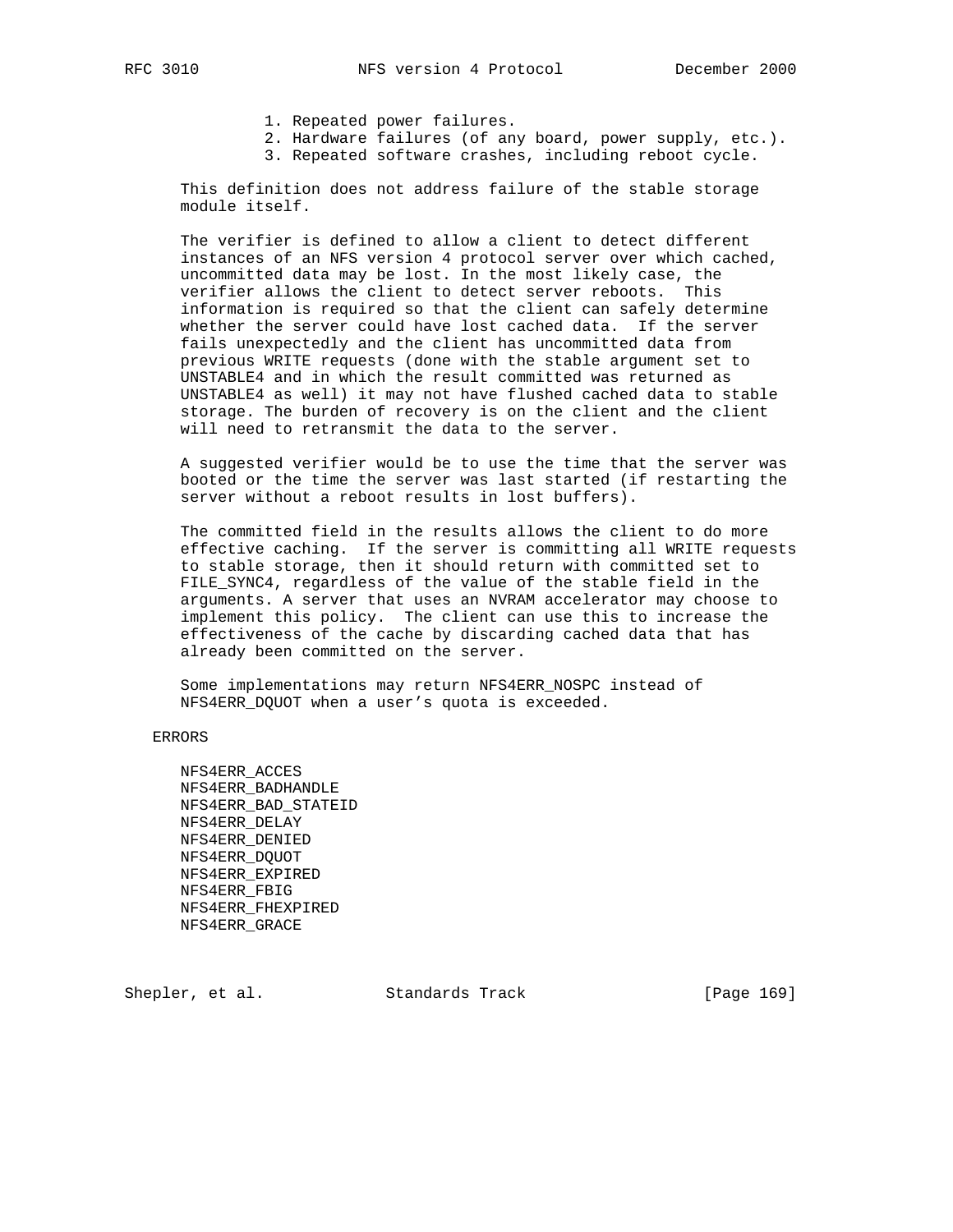- 1. Repeated power failures.
- 2. Hardware failures (of any board, power supply, etc.).
- 3. Repeated software crashes, including reboot cycle.

 This definition does not address failure of the stable storage module itself.

 The verifier is defined to allow a client to detect different instances of an NFS version 4 protocol server over which cached, uncommitted data may be lost. In the most likely case, the verifier allows the client to detect server reboots. This information is required so that the client can safely determine whether the server could have lost cached data. If the server fails unexpectedly and the client has uncommitted data from previous WRITE requests (done with the stable argument set to UNSTABLE4 and in which the result committed was returned as UNSTABLE4 as well) it may not have flushed cached data to stable storage. The burden of recovery is on the client and the client will need to retransmit the data to the server.

 A suggested verifier would be to use the time that the server was booted or the time the server was last started (if restarting the server without a reboot results in lost buffers).

 The committed field in the results allows the client to do more effective caching. If the server is committing all WRITE requests to stable storage, then it should return with committed set to FILE\_SYNC4, regardless of the value of the stable field in the arguments. A server that uses an NVRAM accelerator may choose to implement this policy. The client can use this to increase the effectiveness of the cache by discarding cached data that has already been committed on the server.

 Some implementations may return NFS4ERR\_NOSPC instead of NFS4ERR\_DQUOT when a user's quota is exceeded.

ERRORS

 NFS4ERR\_ACCES NFS4ERR\_BADHANDLE NFS4ERR\_BAD\_STATEID NFS4ERR\_DELAY NFS4ERR\_DENIED NFS4ERR\_DQUOT NFS4ERR\_EXPIRED NFS4ERR\_FBIG NFS4ERR\_FHEXPIRED NFS4ERR\_GRACE

Shepler, et al. Standards Track [Page 169]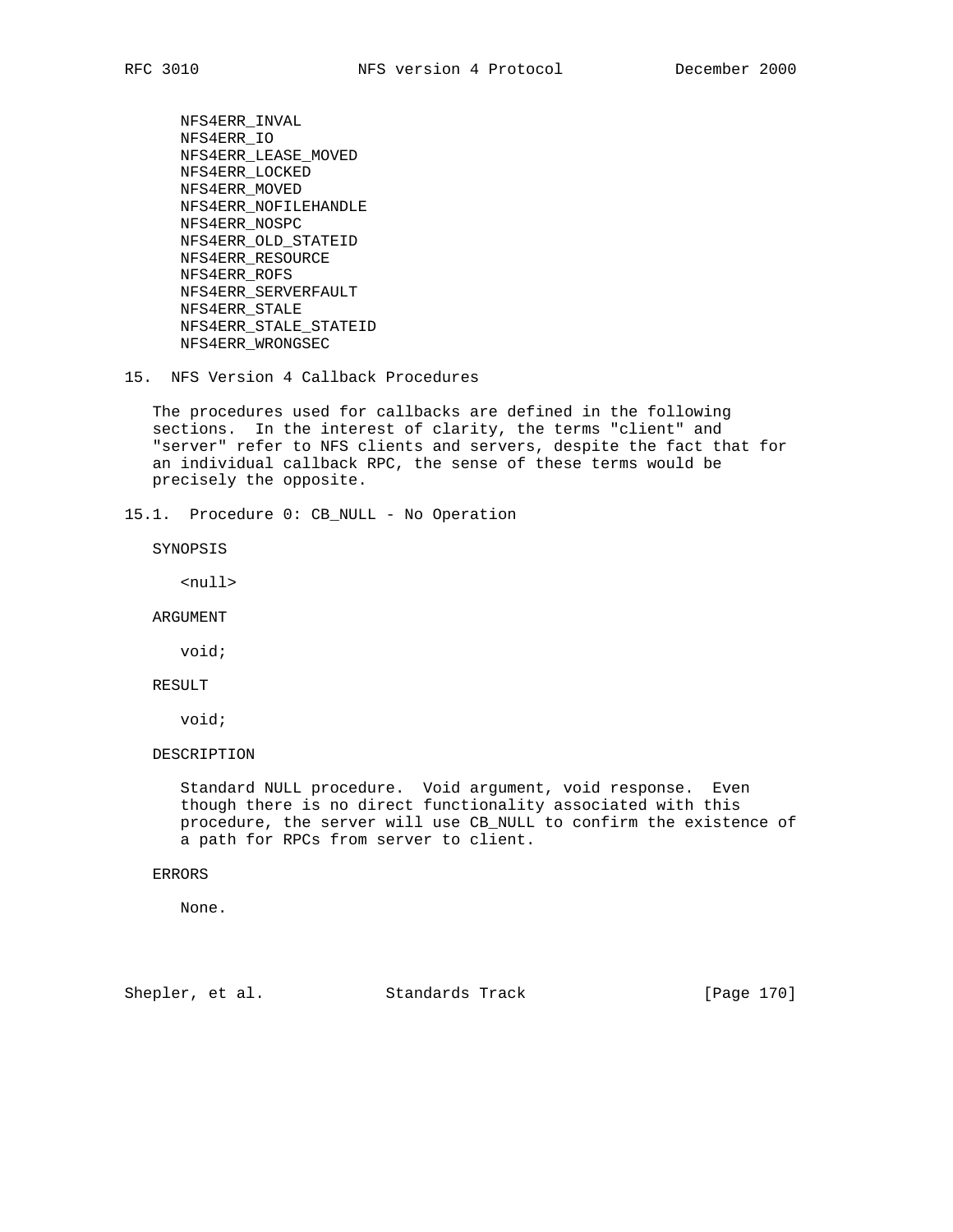NFS4ERR\_INVAL NFS4ERR\_IO NFS4ERR\_LEASE\_MOVED NFS4ERR\_LOCKED NFS4ERR\_MOVED NFS4ERR\_NOFILEHANDLE NFS4ERR\_NOSPC NFS4ERR\_OLD\_STATEID NFS4ERR\_RESOURCE NFS4ERR\_ROFS NFS4ERR\_SERVERFAULT NFS4ERR\_STALE NFS4ERR\_STALE\_STATEID NFS4ERR\_WRONGSEC

15. NFS Version 4 Callback Procedures

 The procedures used for callbacks are defined in the following sections. In the interest of clarity, the terms "client" and "server" refer to NFS clients and servers, despite the fact that for an individual callback RPC, the sense of these terms would be precisely the opposite.

15.1. Procedure 0: CB\_NULL - No Operation

SYNOPSIS

<null>

ARGUMENT

void;

RESULT

void;

DESCRIPTION

 Standard NULL procedure. Void argument, void response. Even though there is no direct functionality associated with this procedure, the server will use CB\_NULL to confirm the existence of a path for RPCs from server to client.

### ERRORS

None.

Shepler, et al. Standards Track [Page 170]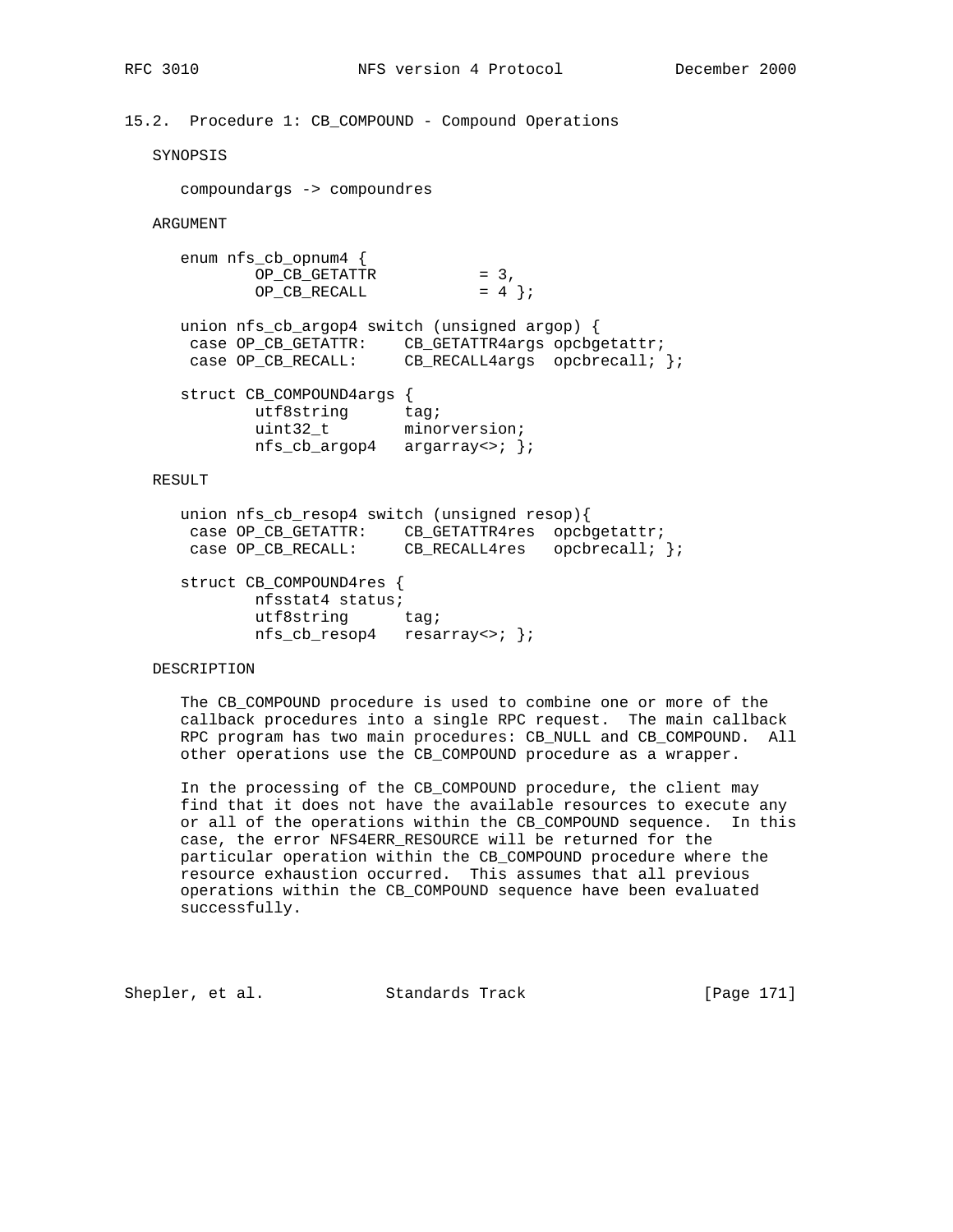# 15.2. Procedure 1: CB\_COMPOUND - Compound Operations

SYNOPSIS

compoundargs -> compoundres

ARGUMENT

| $enum nfs_cb_opnum4$ |        |          |
|----------------------|--------|----------|
| OP CB GETATTR        | $= 3.$ |          |
| OP CB RECALL         |        | $= 4$ }; |

| union $nfs_cb_argop4$ switch (unsigned argop) { |  |                                  |
|-------------------------------------------------|--|----------------------------------|
| case OP CB GETATTR:                             |  | CB GETATTR4args opcbgetattr;     |
| case OP CB RECALL:                              |  | CB RECALL4args opcbrecall; $ i $ |
|                                                 |  |                                  |

 struct CB\_COMPOUND4args { utf8string tag; uint32\_t minorversion; nfs\_cb\_argop4 argarray<>; };

## RESULT

 union nfs\_cb\_resop4 switch (unsigned resop){ case OP\_CB\_GETATTR: CB\_GETATTR4res opcbgetattr; case OP\_CB\_RECALL: CB\_RECALL4res opcbrecall; };

 struct CB\_COMPOUND4res { nfsstat4 status; utf8string tag; nfs\_cb\_resop4 resarray<>; };

### DESCRIPTION

 The CB\_COMPOUND procedure is used to combine one or more of the callback procedures into a single RPC request. The main callback RPC program has two main procedures: CB\_NULL and CB\_COMPOUND. All other operations use the CB\_COMPOUND procedure as a wrapper.

 In the processing of the CB\_COMPOUND procedure, the client may find that it does not have the available resources to execute any or all of the operations within the CB\_COMPOUND sequence. In this case, the error NFS4ERR\_RESOURCE will be returned for the particular operation within the CB\_COMPOUND procedure where the resource exhaustion occurred. This assumes that all previous operations within the CB\_COMPOUND sequence have been evaluated successfully.

Shepler, et al. Standards Track [Page 171]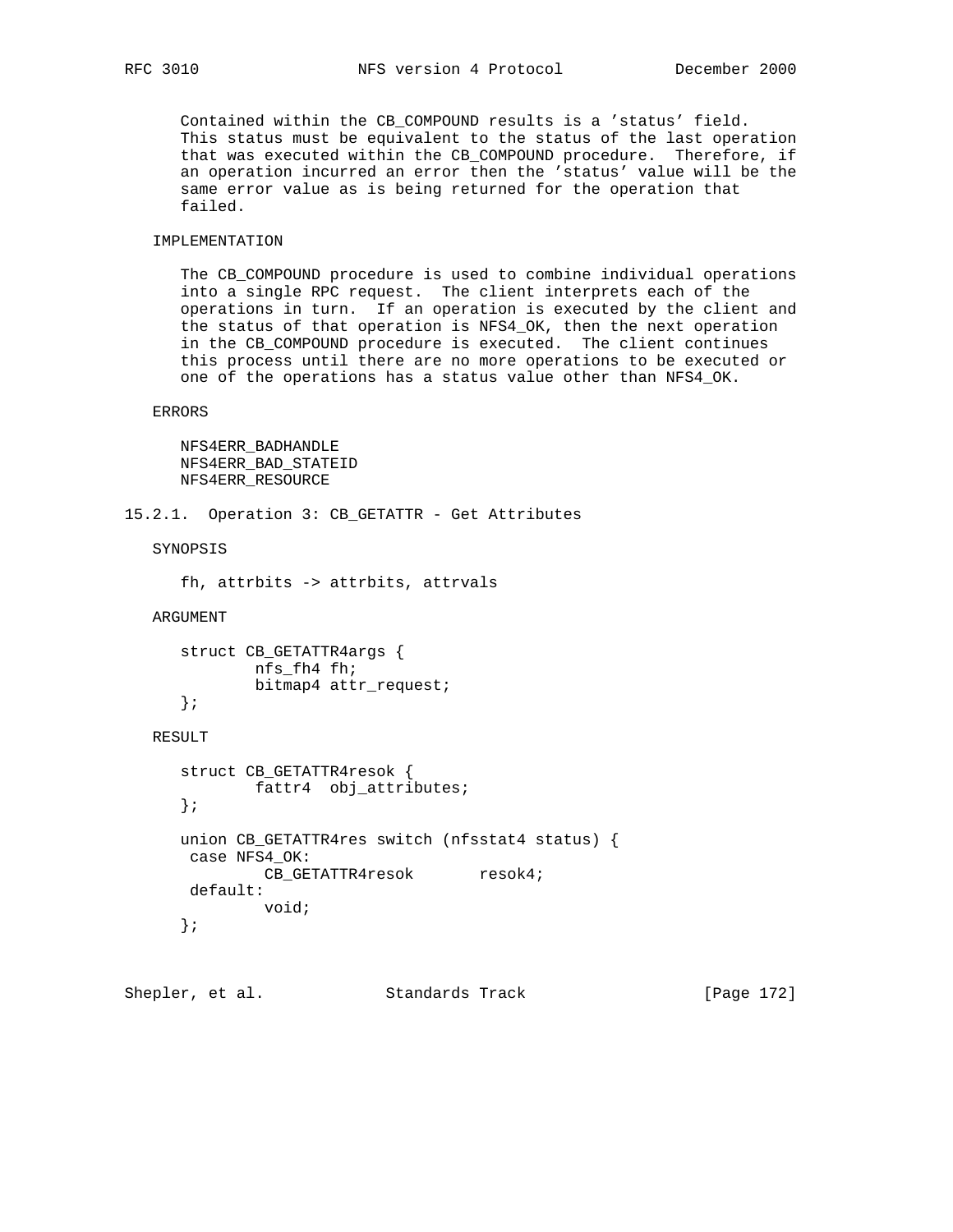Contained within the CB\_COMPOUND results is a 'status' field. This status must be equivalent to the status of the last operation that was executed within the CB\_COMPOUND procedure. Therefore, if an operation incurred an error then the 'status' value will be the same error value as is being returned for the operation that failed.

### IMPLEMENTATION

 The CB\_COMPOUND procedure is used to combine individual operations into a single RPC request. The client interprets each of the operations in turn. If an operation is executed by the client and the status of that operation is NFS4\_OK, then the next operation in the CB\_COMPOUND procedure is executed. The client continues this process until there are no more operations to be executed or one of the operations has a status value other than NFS4\_OK.

#### ERRORS

```
 NFS4ERR_BADHANDLE
 NFS4ERR_BAD_STATEID
 NFS4ERR_RESOURCE
```

```
15.2.1. Operation 3: CB_GETATTR - Get Attributes
```
SYNOPSIS

```
 fh, attrbits -> attrbits, attrvals
```
ARGUMENT

```
 struct CB_GETATTR4args {
        nfs_fh4 fh;
        bitmap4 attr_request;
 };
```
# RESULT

```
 struct CB_GETATTR4resok {
       fattr4 obj_attributes;
 };
 union CB_GETATTR4res switch (nfsstat4 status) {
 case NFS4_OK:
        CB_GETATTR4resok resok4;
 default:
         void;
 };
```
Shepler, et al. Standards Track [Page 172]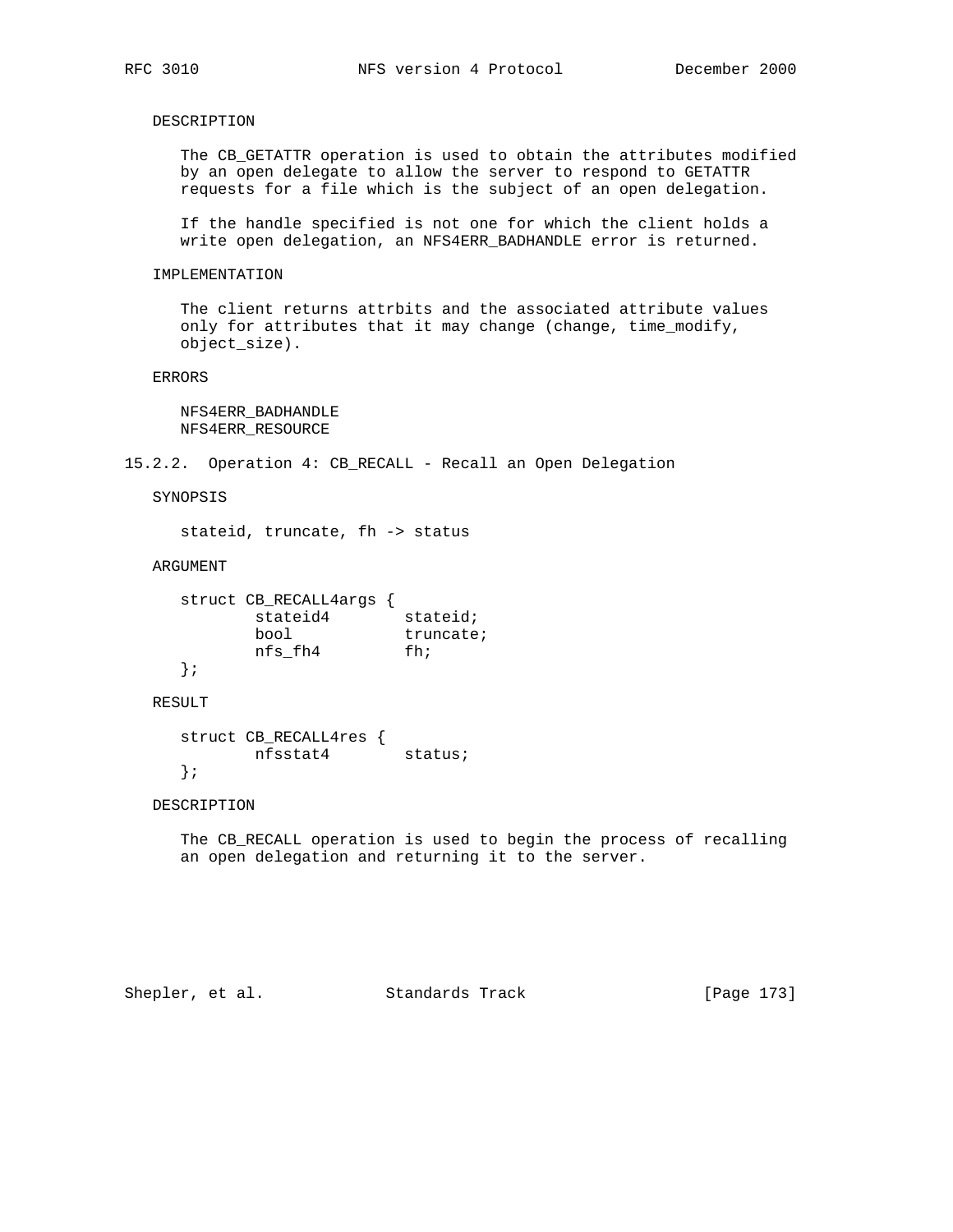DESCRIPTION

 The CB\_GETATTR operation is used to obtain the attributes modified by an open delegate to allow the server to respond to GETATTR requests for a file which is the subject of an open delegation.

 If the handle specified is not one for which the client holds a write open delegation, an NFS4ERR\_BADHANDLE error is returned.

### IMPLEMENTATION

 The client returns attrbits and the associated attribute values only for attributes that it may change (change, time\_modify, object\_size).

ERRORS

 NFS4ERR\_BADHANDLE NFS4ERR\_RESOURCE

## 15.2.2. Operation 4: CB\_RECALL - Recall an Open Delegation

SYNOPSIS

stateid, truncate, fh -> status

### ARGUMENT

| struct CB RECALL4args |           |
|-----------------------|-----------|
| stateid4              | stateid;  |
| bool                  | truncate; |
| nfs fh4               | fh;       |
|                       |           |

RESULT

```
 struct CB_RECALL4res {
       nfsstat4 status;
 };
```
## DESCRIPTION

 The CB\_RECALL operation is used to begin the process of recalling an open delegation and returning it to the server.

Shepler, et al. Standards Track [Page 173]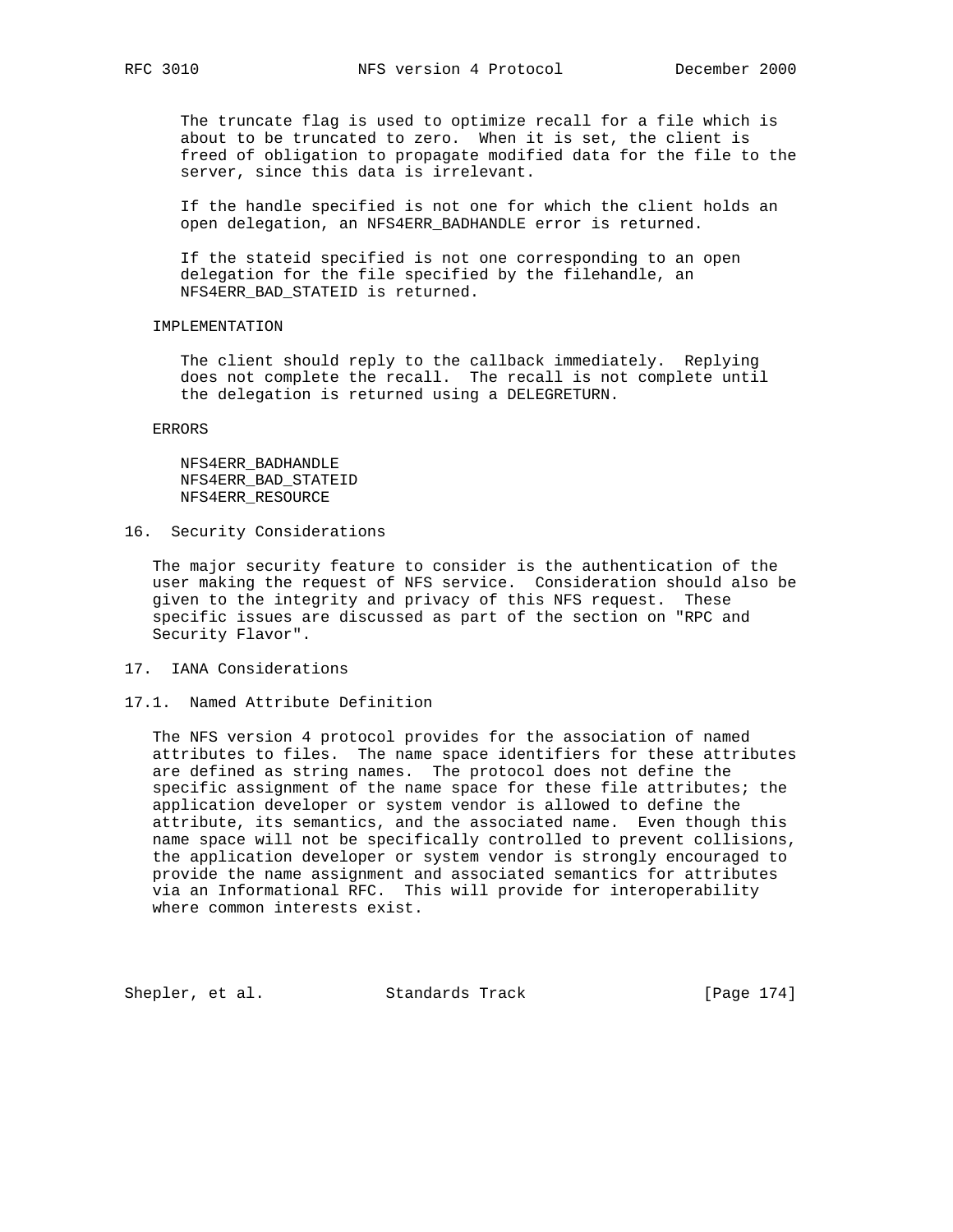The truncate flag is used to optimize recall for a file which is about to be truncated to zero. When it is set, the client is freed of obligation to propagate modified data for the file to the server, since this data is irrelevant.

 If the handle specified is not one for which the client holds an open delegation, an NFS4ERR\_BADHANDLE error is returned.

 If the stateid specified is not one corresponding to an open delegation for the file specified by the filehandle, an NFS4ERR\_BAD\_STATEID is returned.

## IMPLEMENTATION

 The client should reply to the callback immediately. Replying does not complete the recall. The recall is not complete until the delegation is returned using a DELEGRETURN.

ERRORS

 NFS4ERR\_BADHANDLE NFS4ERR\_BAD\_STATEID NFS4ERR\_RESOURCE

16. Security Considerations

 The major security feature to consider is the authentication of the user making the request of NFS service. Consideration should also be given to the integrity and privacy of this NFS request. These specific issues are discussed as part of the section on "RPC and Security Flavor".

17. IANA Considerations

## 17.1. Named Attribute Definition

 The NFS version 4 protocol provides for the association of named attributes to files. The name space identifiers for these attributes are defined as string names. The protocol does not define the specific assignment of the name space for these file attributes; the application developer or system vendor is allowed to define the attribute, its semantics, and the associated name. Even though this name space will not be specifically controlled to prevent collisions, the application developer or system vendor is strongly encouraged to provide the name assignment and associated semantics for attributes via an Informational RFC. This will provide for interoperability where common interests exist.

Shepler, et al. Standards Track [Page 174]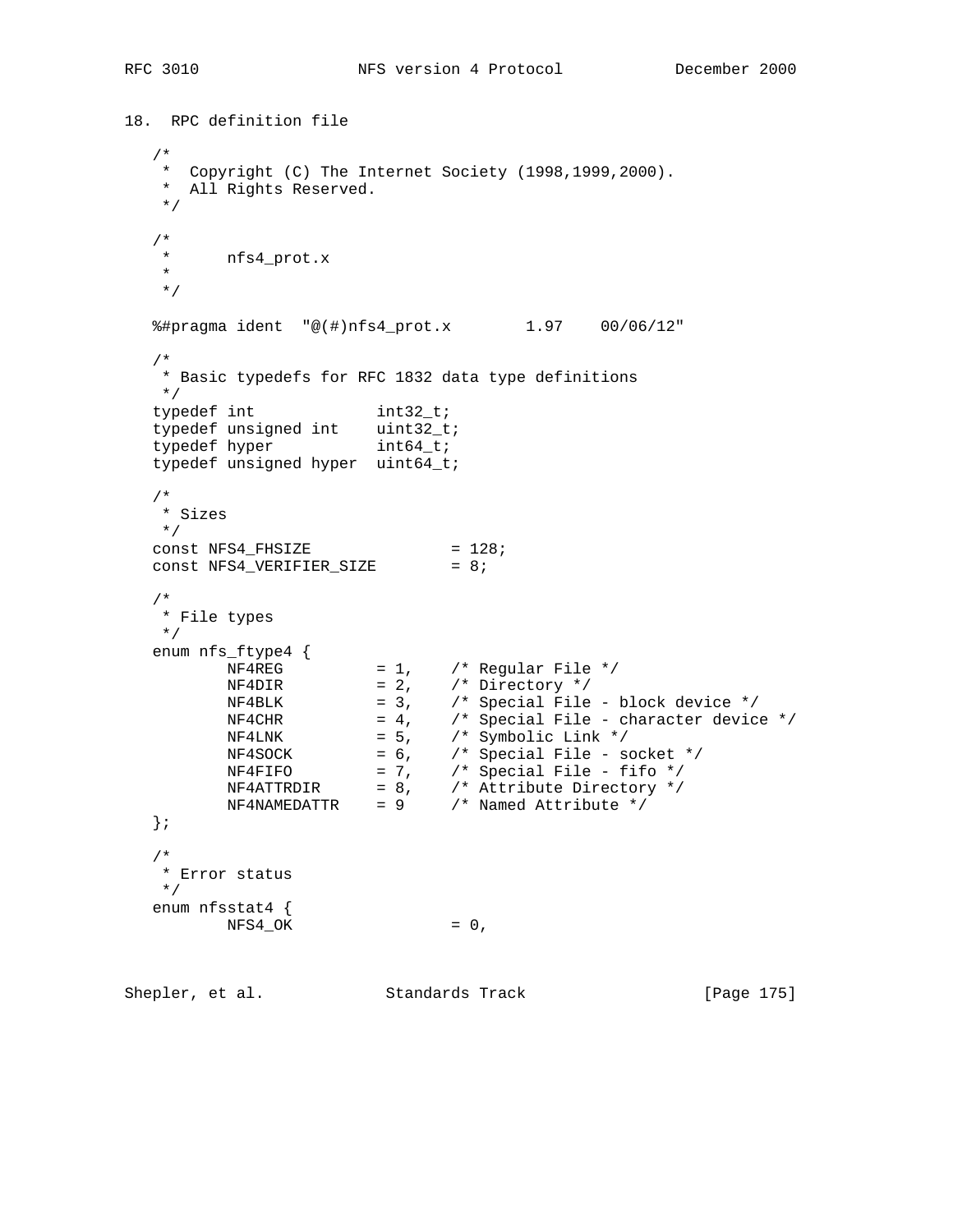```
18. RPC definition file
   /*
   * Copyright (C) The Internet Society (1998,1999,2000).
    * All Rights Reserved.
   */
  / *<br> \star * nfs4_prot.x
    *
   */
   %#pragma ident "@(#)nfs4_prot.x 1.97 00/06/12"
   /*
   * Basic typedefs for RFC 1832 data type definitions
   */
typedef int int32_t;
typedef unsigned int uint32_t;
typedef hyper int64_t;
   typedef unsigned hyper uint64_t;
   /*
   * Sizes
   */
const NFS4_FHSIZE = 128;
const NFS4_VERIFIER_SIZE = 8;
   /*
  * File types * */
 enum nfs_ftype4 {
NF4REG = 1, /* Regular File */NF4DIR = 2, /* Directory */ NF4BLK = 3, /* Special File - block device */
NFACHR = 4, /* Special File - character device */NF4LNK = 5, /* Symbolic Link */ NF4SOCK = 6, /* Special File - socket */
NFAFIFO = 7, /* Special File - fifo */
 NF4ATTRDIR = 8, /* Attribute Directory */
 NF4NAMEDATTR = 9 /* Named Attribute */
 };
   /*
   * Error status
   */
   enum nfsstat4 {
       NFS4_OK = 0,Shepler, et al. Standards Track [Page 175]
```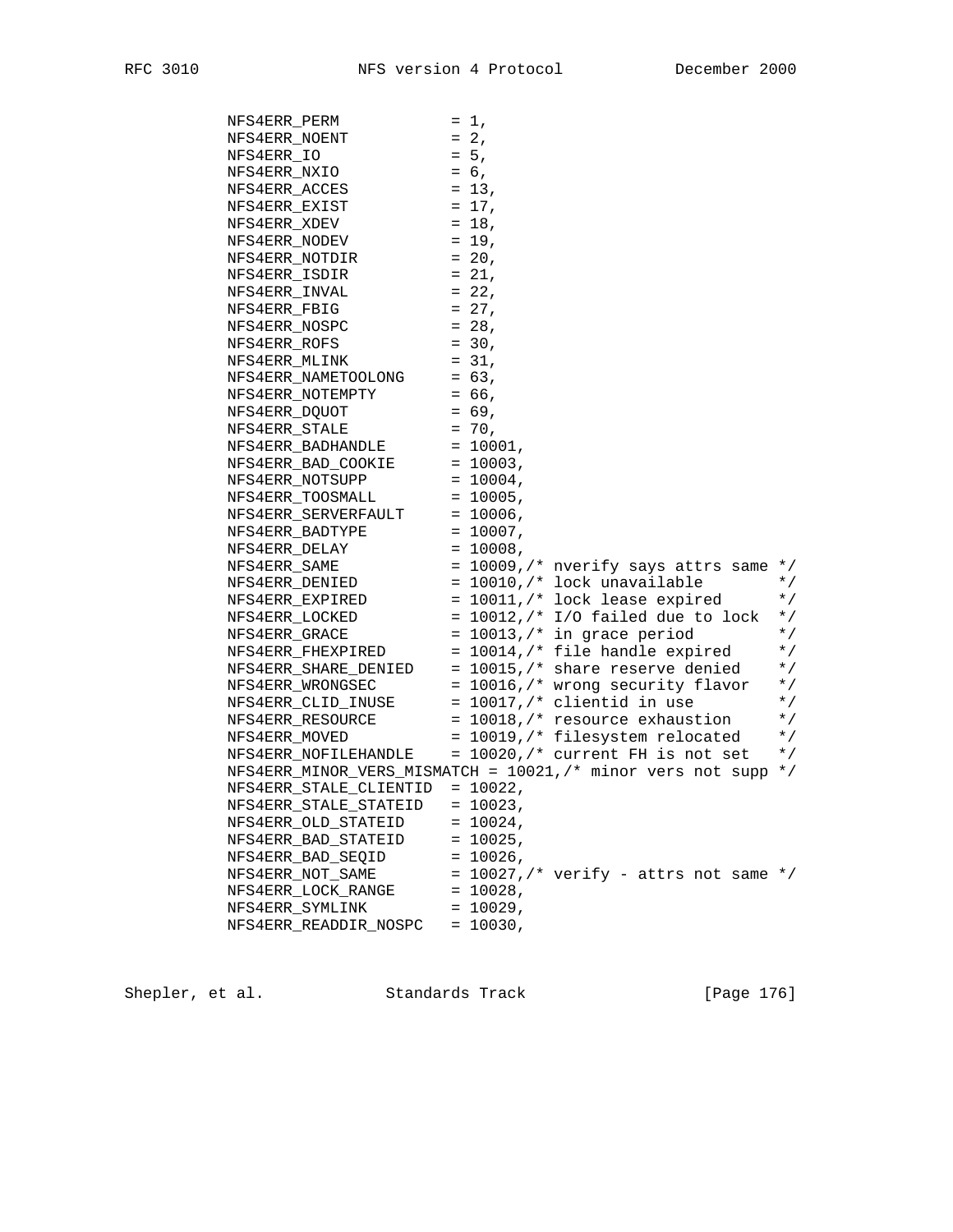| NFS4ERR PERM  |                                                                                                     | $= 1,$      |                                                                                                                   |           |
|---------------|-----------------------------------------------------------------------------------------------------|-------------|-------------------------------------------------------------------------------------------------------------------|-----------|
| NFS4ERR NOENT |                                                                                                     | $= 2,$      |                                                                                                                   |           |
| NFS4ERR IO    |                                                                                                     | $= 5,$      |                                                                                                                   |           |
| NFS4ERR_NXIO  |                                                                                                     | $= 6,$      |                                                                                                                   |           |
| NFS4ERR_ACCES |                                                                                                     | $= 13,$     |                                                                                                                   |           |
| NFS4ERR_EXIST |                                                                                                     | $= 17$ ,    |                                                                                                                   |           |
| NFS4ERR XDEV  |                                                                                                     | $= 18,$     |                                                                                                                   |           |
|               | NFS4ERR NODEV                                                                                       | $= 19$ ,    |                                                                                                                   |           |
|               | NFS4ERR NOTDIR                                                                                      | $= 20,$     |                                                                                                                   |           |
| NFS4ERR ISDIR |                                                                                                     | $= 21,$     |                                                                                                                   |           |
| NFS4ERR INVAL |                                                                                                     | $= 22,$     |                                                                                                                   |           |
| NFS4ERR FBIG  |                                                                                                     | $= 27,$     |                                                                                                                   |           |
| NFS4ERR NOSPC |                                                                                                     | $= 28$ ,    |                                                                                                                   |           |
| NFS4ERR ROFS  |                                                                                                     | $= 30,$     |                                                                                                                   |           |
| NFS4ERR MLINK |                                                                                                     | $= 31,$     |                                                                                                                   |           |
|               | $NFS4ERR_NAMETOODING = 63,$                                                                         |             |                                                                                                                   |           |
|               | NFS4ERR_NOTEMPTY                                                                                    | $= 66$ ,    |                                                                                                                   |           |
|               | NFS4ERR DOUOT                                                                                       | $= 69,$     |                                                                                                                   |           |
|               | NFS4ERR_STALE                                                                                       | $= 70,$     |                                                                                                                   |           |
|               | ${\tt NFS4ERR\_BADHANDLE} \hspace{1cm} = \hspace{1cm} 10001 \, ,$                                   |             |                                                                                                                   |           |
|               |                                                                                                     |             |                                                                                                                   |           |
|               | $\begin{tabular}{ll} NFS4ERR_BAD_COOKIE & = 10003\,, \\ NFS4ERR_NOTSUPP & = 10004\,, \end{tabular}$ |             |                                                                                                                   |           |
|               | $NFS4ERR_TOOSMALL = 10005,$                                                                         |             |                                                                                                                   |           |
|               | NFS4ERR SERVERFAULT = 10006,                                                                        |             |                                                                                                                   |           |
|               | NFS4ERR BADTYPE                                                                                     | $= 10007$ . |                                                                                                                   |           |
|               | NFS4ERR_DELAY                                                                                       | $= 10008,$  |                                                                                                                   |           |
| NFS4ERR_SAME  |                                                                                                     |             | = $10009$ , /* nverify says attrs same */                                                                         |           |
|               | NFS4ERR_DENIED                                                                                      |             | = 10010,/* lock unavailable                                                                                       | $\star$ / |
|               | NFS4ERR_EXPIRED                                                                                     |             | $= 10011$ , $\prime$ * lock lease expired                                                                         | $\star$ / |
|               | NFS4ERR LOCKED                                                                                      |             | = $10012$ , $\frac{*}{*}$ I/O failed due to lock                                                                  | $\star$ / |
|               | NFS4ERR_GRACE                                                                                       |             | $= 10013$ , /* in grace period                                                                                    | $\star$ / |
|               |                                                                                                     |             | $NFS4ERR_FHEXPIRED$ = 10014,/* file handle expired                                                                | $\star$ / |
|               |                                                                                                     |             | NFS4ERR_SHARE_DENIED = $10015$ , /* share reserve denied<br>NFS4ERR_WRONGSEC = $10016$ , /* wrong security flavor | $\star$ / |
|               |                                                                                                     |             |                                                                                                                   | $\star$ / |
|               | $NFS4ERR_CLID_INUSE$ = 10017,/* clientid in use                                                     |             |                                                                                                                   | $*$ /     |
|               |                                                                                                     |             | NFS4ERR RESOURCE $= 10018$ , $\prime$ * resource exhaustion                                                       | $\star$ / |
| NFS4ERR MOVED |                                                                                                     |             | = 10019,/* filesystem relocated                                                                                   | $\star$ / |
|               |                                                                                                     |             | NFS4ERR_NOFILEHANDLE = 10020, /* current FH is not set                                                            | $\star$ / |
|               |                                                                                                     |             | NFS4ERR_MINOR_VERS_MISMATCH = 10021,/* minor vers not supp */                                                     |           |
|               | NFS4ERR_STALE_CLIENTID = 10022,                                                                     |             |                                                                                                                   |           |
|               | NFS4ERR_STALE_STATEID = 10023,                                                                      |             |                                                                                                                   |           |
|               | NFS4ERR_OLD_STATEID                                                                                 | $= 10024,$  |                                                                                                                   |           |
|               | NFS4ERR_BAD_STATEID                                                                                 | $= 10025,$  |                                                                                                                   |           |
|               | NFS4ERR_BAD_SEQID                                                                                   | $= 10026$ , |                                                                                                                   |           |
|               | NFS4ERR_NOT_SAME                                                                                    |             | = $10027$ , /* verify - attrs not same */                                                                         |           |
|               | NFS4ERR_LOCK_RANGE                                                                                  | $= 10028,$  |                                                                                                                   |           |
|               | NFS4ERR_SYMLINK                                                                                     | $= 10029,$  |                                                                                                                   |           |
|               | NFS4ERR_READDIR_NOSPC                                                                               | $= 10030,$  |                                                                                                                   |           |
|               |                                                                                                     |             |                                                                                                                   |           |

Shepler, et al. Standards Track [Page 176]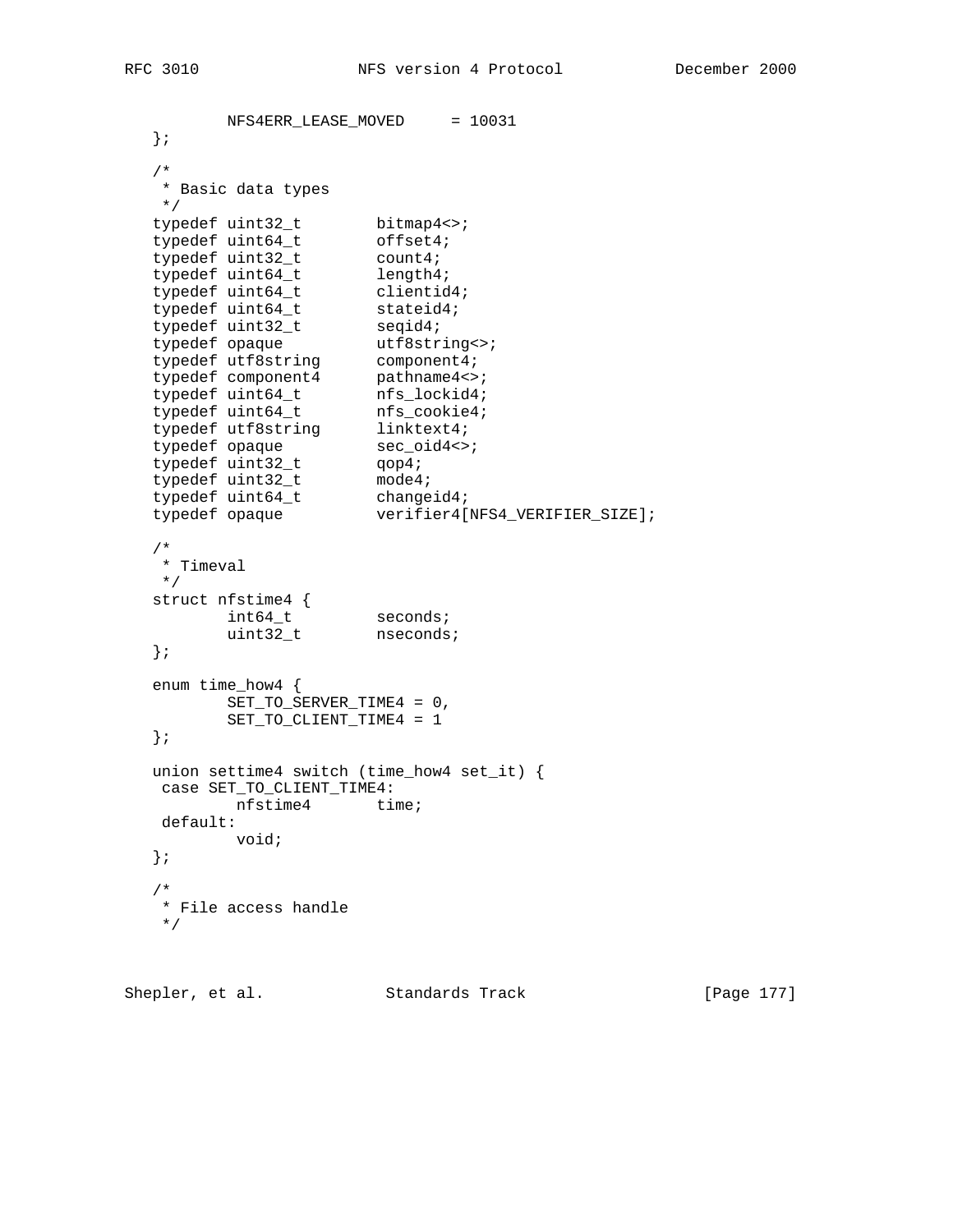```
NFS4ERR_LEASE_MOVED = 10031
   };
   /*
   * Basic data types
 */
typedef uint32_t bitmap4<>;
typedef uint64_t offset4;
typedef uint32_t count4;
typedef uint64_t length4;
typedef uint64_t clientid4;
typedef uint64_t stateid4;
typedef uint32_t seqid4;
typedef opaque butf8string<>;
typedef utf8string component4;
typedef component4 pathname4<>;
 typedef uint64_t nfs_lockid4;
typedef uint64_t nfs_cookie4;
typedef utf8string linktext4;
typedef opaque sec_oid4<>;
typedef uint32_t qop4;
 typedef uint32_t mode4;
typedef uint64_t changeid4;
 typedef opaque verifier4[NFS4_VERIFIER_SIZE];
   /*
   * Timeval
   */
 struct nfstime4 {
int64_t seconds;
uint32_t nseconds;
   };
   enum time_how4 {
    SET_TO_SERVER_TIME4 = 0,
        SET_TO_CLIENT_TIME4 = 1
   };
   union settime4 switch (time_how4 set_it) {
   case SET_TO_CLIENT_TIME4:
     nfstime4 time;
   default:
         void;
   };
   /*
   * File access handle
   */
```
Shepler, et al. Standards Track [Page 177]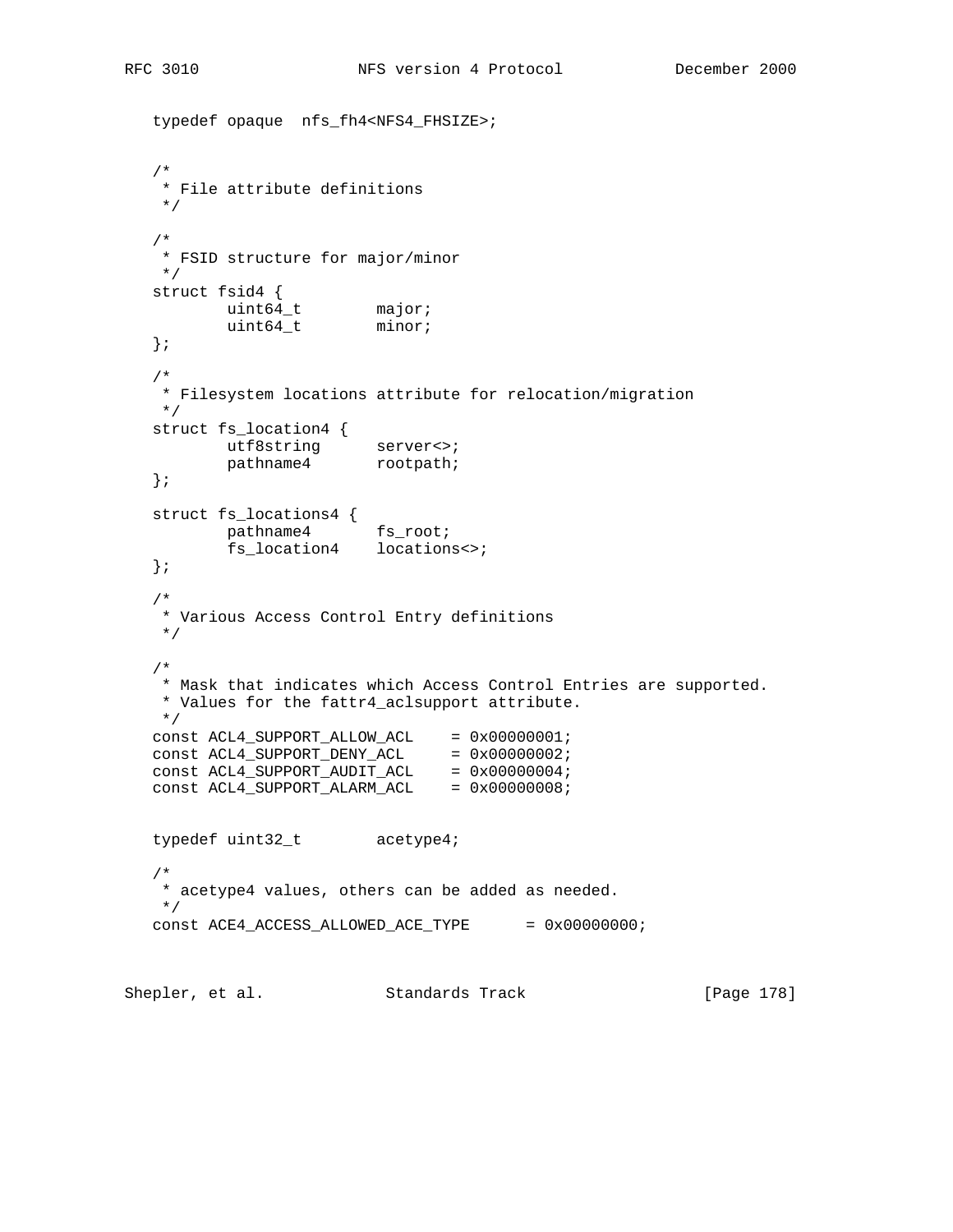typedef opaque nfs\_fh4<NFS4\_FHSIZE>;

```
 /*
    * File attribute definitions
    */
   /*
    * FSID structure for major/minor
    */
   struct fsid4 {
uint64_t major;
uint64_t minor;
   };
   /*
    * Filesystem locations attribute for relocation/migration
   */
   struct fs_location4 {
utf8string server<>;
pathname4 rootpath;
   };
   struct fs_locations4 {
pathname4 fs_root;
 fs_location4 locations<>;
   };
   /*
    * Various Access Control Entry definitions
    */
   /*
    * Mask that indicates which Access Control Entries are supported.
    * Values for the fattr4_aclsupport attribute.
    */
const ACL4_SUPPORT_ALLOW_ACL = 0x00000001;
const ACL4_SUPPORT_DENY_ACL = 0x00000002;
const ACL4_SUPPORT_AUDIT_ACL = 0x00000004;
const ACL4_SUPPORT_ALARM_ACL = 0x00000008;
   typedef uint32_t acetype4;
   /*
   * acetype4 values, others can be added as needed.
    */
  \texttt{const}\,\,\texttt{ACE4\_ACCESS\_ALLOWED\_ACE\_TYPE}\,\,\,=\,\,\texttt{0x0000000}\,;
```
Shepler, et al. Standards Track [Page 178]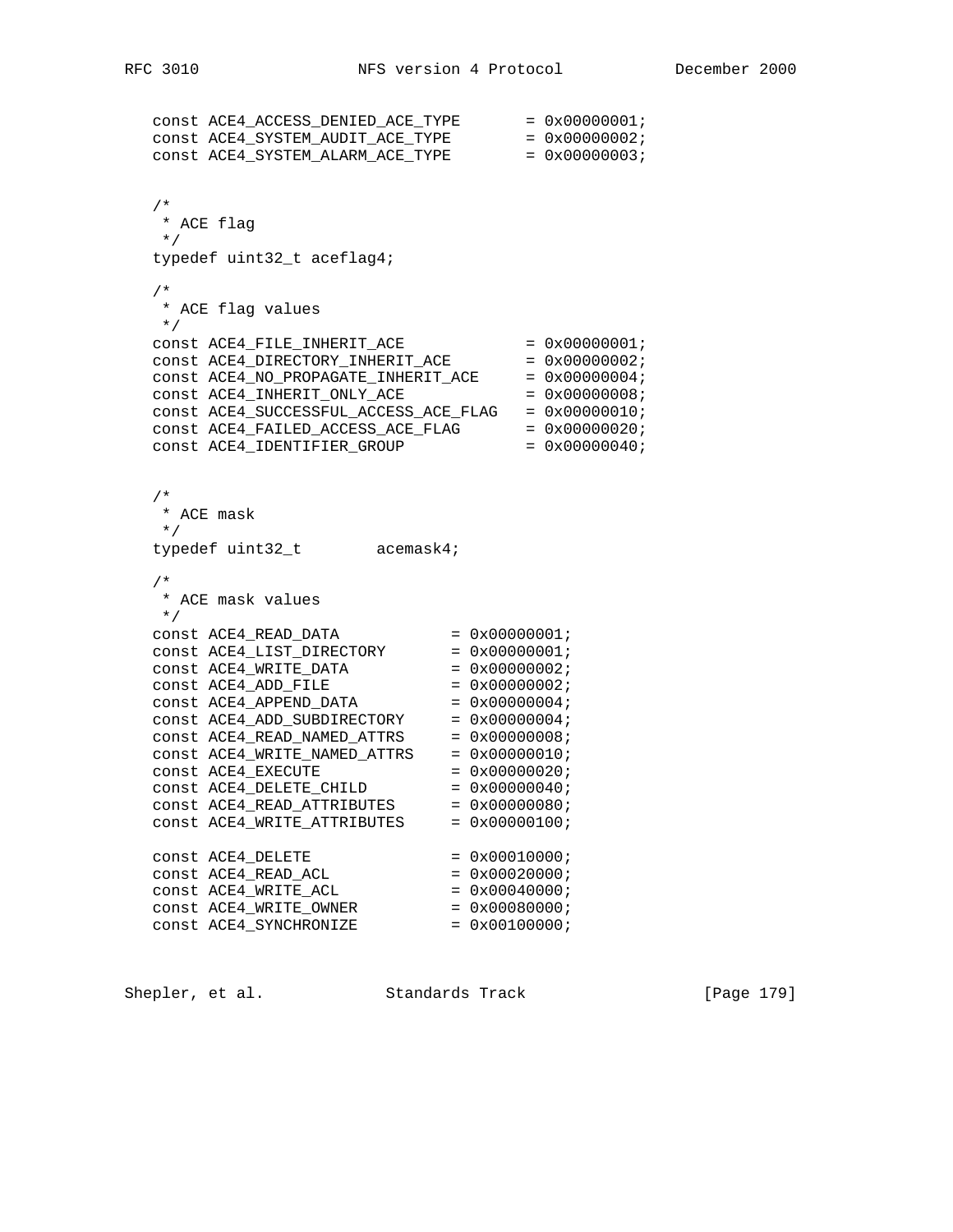```
const ACE4ACCESS DENIED ACE TYPE = 0x00000001;
const ACE4SYSTEMAUDITACETYPE = 0x00000002;
const ACE4 SYSTEM ALARM ACE TVPE = 0x00000003;
   /*
   * ACE flag
   */
   typedef uint32_t aceflag4;
   /*
  * ACE flag values
 */
const ACE4<sup>FILE</sup>INHERITACE = 0x00000001;
const ACE4<sup>_DIRECTORY_INHERIT_ACE</sub> = 0x00000002;</sup>
const ACE4_NO_PROPAGATE_NHERIT_ACE = 0x00000004;
const ACE4<sup>INHERIT</sub>ONLYACE = 0x00000008;</sup>
 const ACE4_SUCCESSFUL_ACCESS_ACE_FLAG = 0x00000010;
const ACE4FAILEDACCESSACEFLAG = 0x00000020;
const ACE4_IDENTIFIER_GROUP = 0x00000040;
   /*
   * ACE mask
   */
  typedef uint32_t acemask4;
   /*
   * ACE mask values
 */
const ACE4<sub>READ</sub>DATA = 0x00000001;
const ACE4<sup>LIST</sub>DirECTORY = 0x00000001;</sup>
const ACE4_WRITE_DATA = 0x00000002;
const ACE4_ADD_FILE = 0x00000002;
const ACE4_APPEND_DATA = 0x00000004;
const ACE4_ADD_SUBDIRECTORY = 0x00000004;
const ACE4_READ_NAMED_ATTRS = 0x00000008;
const ACE4_WRITE_NAMED_ATTRS = 0x00000010;
const ACE4 EXECUTE = 0x00000020;
const ACE4<sup>LETE</sup><sup>CHILD</sup> = 0x00000040;
const ACE4_READ_ATTRIBUTES = 0x00000080;
const ACE4_WRITE_ATTRIBUTES = 0x00000100;
const ACE4<sup>LETE</sup> = 0x00010000;
const ACE4<sup>READ</sup><sub>ACL</sub> = 0x00020000;
const ACE4_WRITE_ACL = 0x00040000;
const ACE4_WRITE_0WNER = 0x00080000;const ACE4_SYNCHRONIZE = 0x00100000i
```
Shepler, et al. Standards Track [Page 179]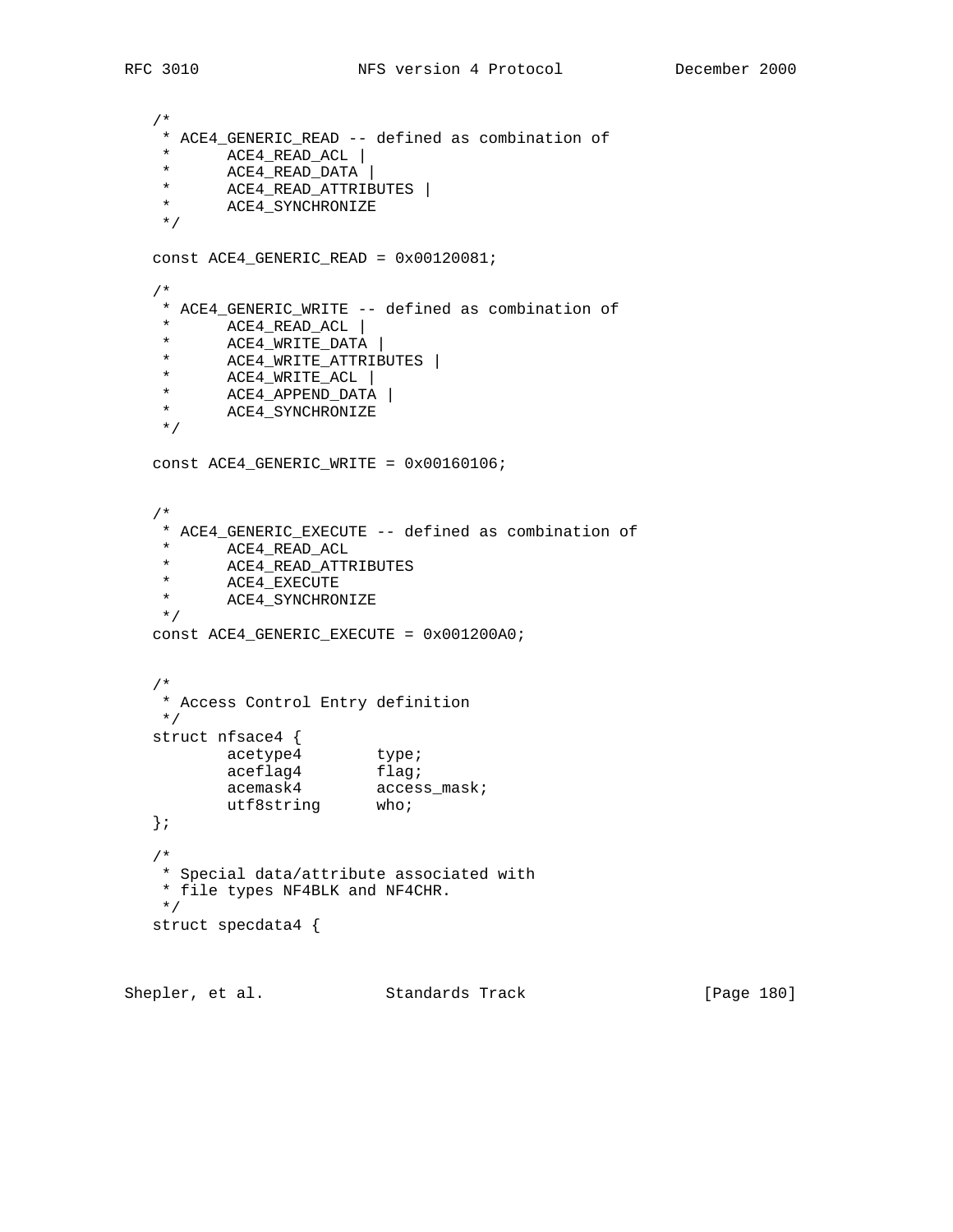```
 /*
    * ACE4_GENERIC_READ -- defined as combination of
    * ACE4_READ_ACL |
    * ACE4_READ_DATA |
   * ACE4_READ_ATTRIBUTES |<br>* ACE4_SYNCHRONIZE
         ACE4_SYNCHRONIZE
    */
   const ACE4_GENERIC_READ = 0x00120081;
   /*
    * ACE4_GENERIC_WRITE -- defined as combination of
   * ACE4_READ_ACL |<br>* ACE4_WRITE DATA
 * ACE4_WRITE_DATA |
 * ACE4_WRITE_ATTRIBUTES |
 * ACE4_WRITE_ACL |
 * ACE4_APPEND_DATA |
 * ACE4_SYNCHRONIZE
    */
   const ACE4_GENERIC_WRITE = 0x00160106;
   /*
    * ACE4_GENERIC_EXECUTE -- defined as combination of
    * ACE4_READ_ACL
   * ACE4_READ_ATTRIBUTES<br>* ACE4 EXECUTE
   * ACE4_EXECUTE<br>* ACE4 SYNCHROI
         ACE4_SYNCHRONIZE
    */
   const ACE4_GENERIC_EXECUTE = 0x001200A0;
   /*
    * Access Control Entry definition
    */
   struct nfsace4 {
acetype4 type;
aceflag4 flag;
 acemask4 access_mask;
utf8string who;
   };
   /*
    * Special data/attribute associated with
    * file types NF4BLK and NF4CHR.
    */
   struct specdata4 {
Shepler, et al. Standards Track [Page 180]
```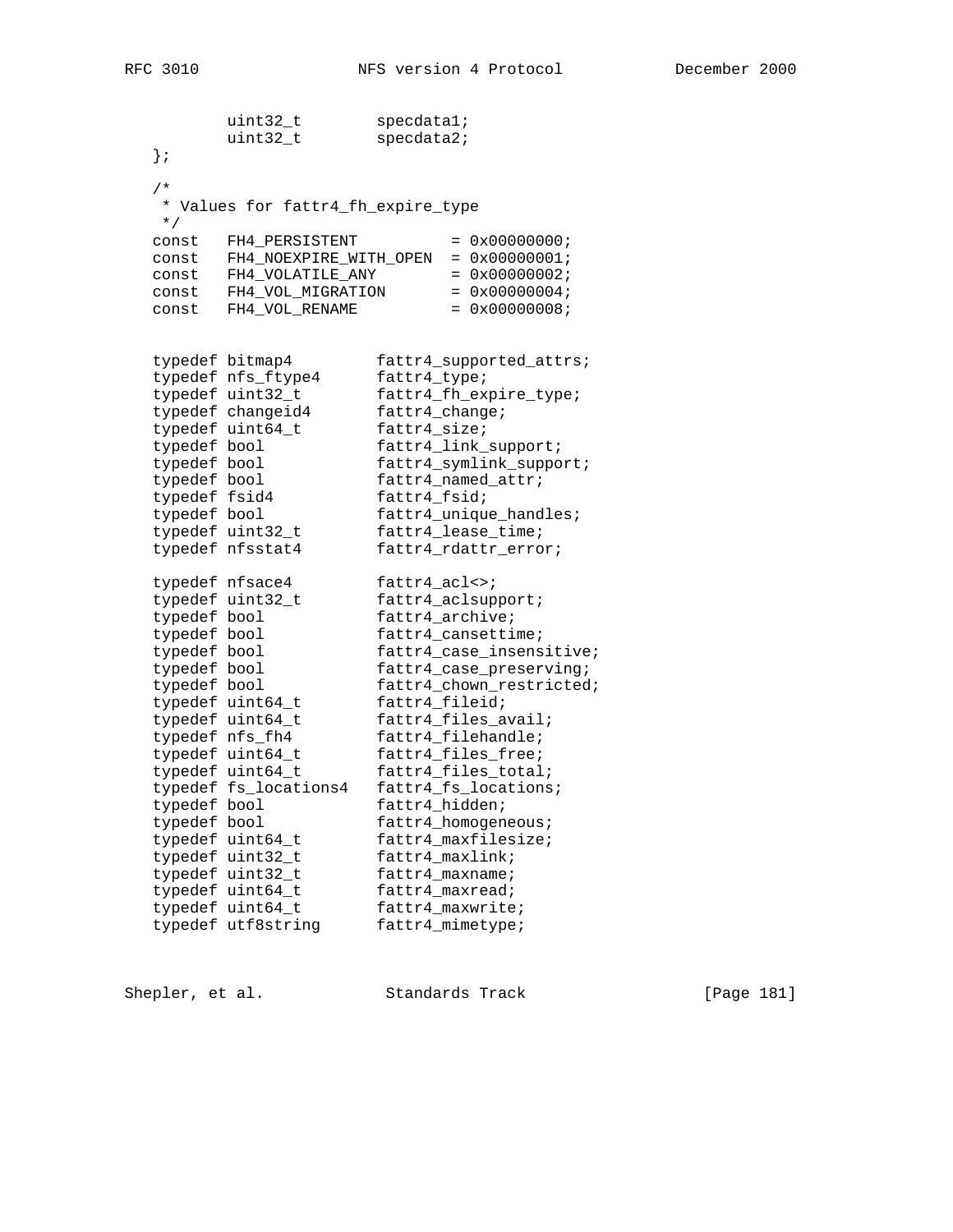|               | uint32_t                           | specdatal;                                           |
|---------------|------------------------------------|------------------------------------------------------|
|               | uint32_t                           | specdata2;                                           |
| $\}$ ;        |                                    |                                                      |
| $/$ *         |                                    |                                                      |
|               |                                    |                                                      |
| $\star$ /     | * Values for fattr4_fh_expire_type |                                                      |
| const         | FH4_PERSISTENT                     | $= 0x00000000;$                                      |
| const         | FH4_NOEXPIRE_WITH_OPEN             | $= 0x00000001;$                                      |
| const         | FH4_VOLATILE_ANY                   | $= 0x00000002;$                                      |
| const         | FH4_VOL_MIGRATION                  | $= 0x00000004;$                                      |
| const         | FH4_VOL_RENAME                     | $= 0x00000008;$                                      |
|               |                                    |                                                      |
|               |                                    |                                                      |
|               | typedef bitmap4                    | fattr4_supported_attrs;                              |
|               | typedef nfs_ftype4                 | fattr4_type;                                         |
|               | typedef uint32_t                   | fattr4_fh_expire_type;                               |
|               | typedef changeid4                  | fattr4_change;                                       |
|               | typedef uint64_t                   | fattr4_size;                                         |
| typedef bool  |                                    | fattr4_link_support;                                 |
| typedef bool  |                                    | fattr4_symlink_support;                              |
| typedef bool  |                                    | fattr4_named_attr;                                   |
| typedef fsid4 |                                    | fattr4_fsid;                                         |
| typedef bool  |                                    | fattr4_unique_handles;                               |
|               | typedef uint32_t                   | fattr4_lease_time;                                   |
|               | typedef nfsstat4                   | fattr4_rdattr_error;                                 |
|               | typedef nfsace4                    |                                                      |
|               | typedef uint32_t                   | $fatty4_acl \leftrightarrow i$<br>fattr4_aclsupport; |
| typedef bool  |                                    | fattr4_archive;                                      |
| typedef bool  |                                    | fattr4_cansettime;                                   |
| typedef bool  |                                    | fattr4_case_insensitive;                             |
| typedef bool  |                                    | fattr4_case_preserving;                              |
| typedef bool  |                                    | fattr4_chown_restricted;                             |
|               | typedef uint64_t                   | fattr4_fileid;                                       |
|               | typedef uint64_t                   | fattr4_files_avail;                                  |
|               | typedef nfs_fh4                    | fattr4_filehandle;                                   |
|               | typedef uint64_t                   | fattr4_files_free;                                   |
|               | typedef uint64_t                   | fattr4_files_total;                                  |
|               | typedef fs_locations4              | fattr4_fs_locations;                                 |
| typedef bool  |                                    | fattr4_hidden;                                       |
| typedef bool  |                                    | fattr4_homogeneous;                                  |
|               | typedef uint64_t                   | fattr4 maxfilesize;                                  |
|               | typedef uint32_t                   | fattr4 maxlink;                                      |
|               | typedef uint32_t                   | fattr4_maxname;                                      |
|               | typedef uint64_t                   | fattr4_maxread;                                      |
|               | typedef uint64_t                   | fattr4_maxwrite;                                     |
|               | typedef utf8string                 | fattr4_mimetype;                                     |

Shepler, et al. Standards Track [Page 181]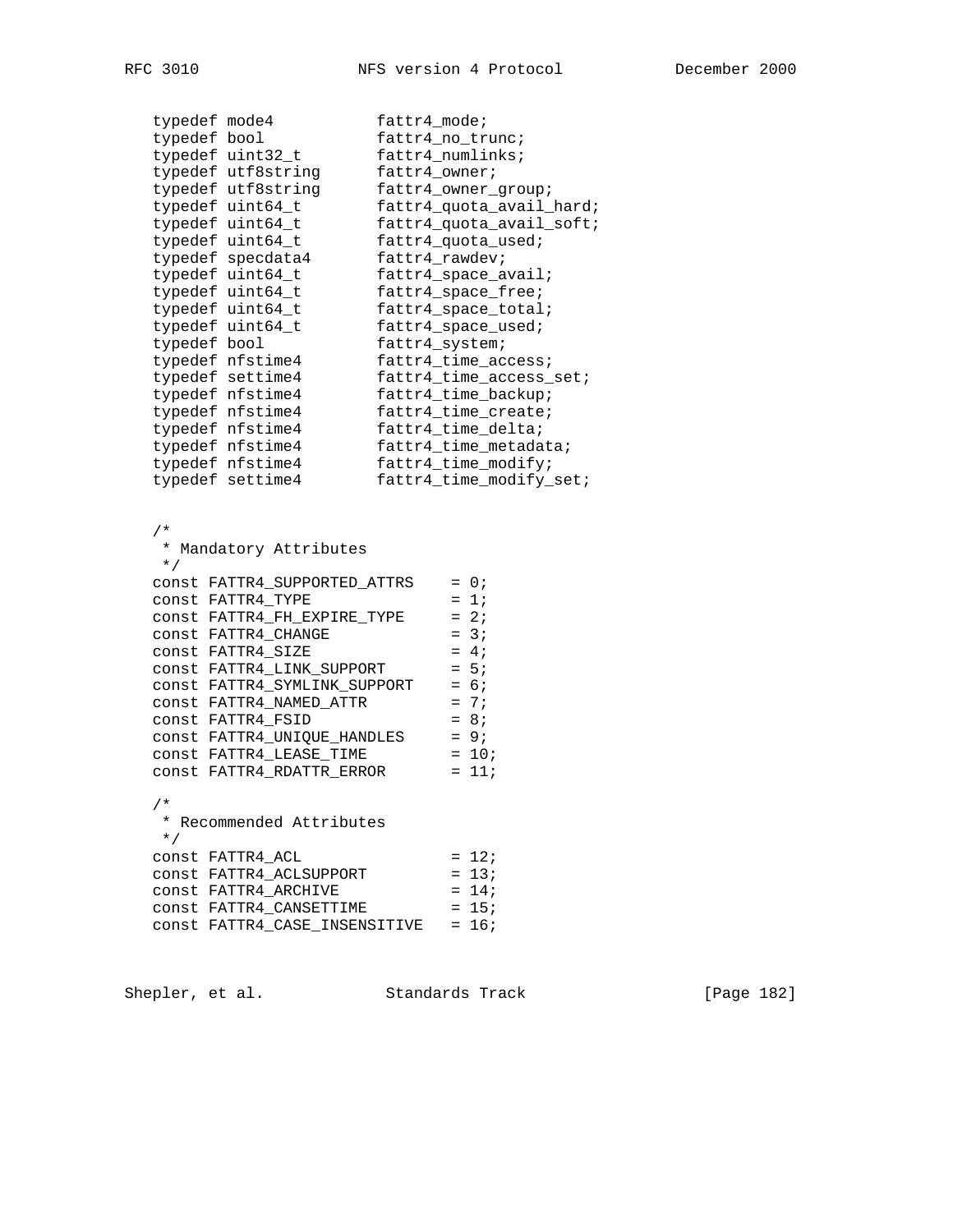| typedef mode4 |                                                                                                                                                                                                                                                                                                     | fattr4_mode;   |                                                                                                                        |
|---------------|-----------------------------------------------------------------------------------------------------------------------------------------------------------------------------------------------------------------------------------------------------------------------------------------------------|----------------|------------------------------------------------------------------------------------------------------------------------|
| typedef bool  |                                                                                                                                                                                                                                                                                                     |                | fattr4_no_trunc;                                                                                                       |
|               | typedef uint32_t                                                                                                                                                                                                                                                                                    |                | fattr4_numlinks;                                                                                                       |
|               | typedef utf8string                                                                                                                                                                                                                                                                                  | fattr4_owner;  |                                                                                                                        |
|               | typedef utf8string                                                                                                                                                                                                                                                                                  |                | fattr4_owner_group;                                                                                                    |
|               | typedef uint64_t                                                                                                                                                                                                                                                                                    |                | fattr4_quota_avail_hard;                                                                                               |
|               | typedef uint64_t                                                                                                                                                                                                                                                                                    |                | fattr4_quota_avail_soft;                                                                                               |
|               | typedef uint64_t                                                                                                                                                                                                                                                                                    |                | fattr4_quota_used;                                                                                                     |
|               | typedef specdata4                                                                                                                                                                                                                                                                                   | fattr4_rawdev; |                                                                                                                        |
|               | typedef uint64_t                                                                                                                                                                                                                                                                                    |                | fattr4_space_avail;                                                                                                    |
|               | typedef uint64_t                                                                                                                                                                                                                                                                                    |                | fattr4_space_free;                                                                                                     |
|               | typedef uint64_t                                                                                                                                                                                                                                                                                    |                | fattr4_space_total;                                                                                                    |
|               | typedef uint64_t                                                                                                                                                                                                                                                                                    |                | fattr4_space_used;                                                                                                     |
| typedef bool  |                                                                                                                                                                                                                                                                                                     | fattr4_system; |                                                                                                                        |
|               | typedef nfstime4                                                                                                                                                                                                                                                                                    |                | fattr4_time_access;                                                                                                    |
|               | typedef settime4                                                                                                                                                                                                                                                                                    |                | fattr4_time_access_set;                                                                                                |
|               | typedef nfstime4                                                                                                                                                                                                                                                                                    |                | fattr4_time_backup;                                                                                                    |
|               | typedef nfstime4                                                                                                                                                                                                                                                                                    |                | fattr4_time_create;                                                                                                    |
|               | typedef nfstime4                                                                                                                                                                                                                                                                                    |                | fattr4_time_delta;                                                                                                     |
|               | typedef nfstime4                                                                                                                                                                                                                                                                                    |                | fattr4_time_metadata;                                                                                                  |
|               | typedef nfstime4                                                                                                                                                                                                                                                                                    |                | fattr4_time_modify;                                                                                                    |
|               | typedef settime4                                                                                                                                                                                                                                                                                    |                | fattr4_time_modify_set;                                                                                                |
|               | CONSt FATTR4_SUPPORTED_ATTRS<br>const FATTR4_TYPE<br>CONSt FATTR4_FH_EXPIRE_TYPE<br>CONSt FATTR4_CHANGE<br>const FATTR4_SIZE<br>const FATTR4_LINK_SUPPORT<br>const FATTR4_SYMLINK_SUPPORT<br>CONSt FATTR4_NAMED_ATTR<br>const FATTR4_FSID<br>const FATTR4_UNIQUE_HANDLES<br>CONSt FATTR4_LEASE_TIME |                | $= 0;$<br>$= 1i$<br>$= 2i$<br>$= 3i$<br>$= 4;$<br>$= 5:$<br>$= 6;$<br>$= 7;$<br>$= 8i$<br>$= 9;$<br>$= 10;$<br>$= 11;$ |
| $/$ *         | CONSt FATTR4 RDATTR ERROR<br>* Recommended Attributes                                                                                                                                                                                                                                               |                |                                                                                                                        |
| $\star$ /     |                                                                                                                                                                                                                                                                                                     |                |                                                                                                                        |
|               | CONSt FATTR4_ACL                                                                                                                                                                                                                                                                                    |                | $= 12i$                                                                                                                |
|               | const FATTR4_ACLSUPPORT                                                                                                                                                                                                                                                                             |                | $= 13;$                                                                                                                |
|               |                                                                                                                                                                                                                                                                                                     |                |                                                                                                                        |
|               |                                                                                                                                                                                                                                                                                                     |                | $= 14;$                                                                                                                |
|               | CONSt FATTR4_ARCHIVE<br>CONSt FATTR4 CANSETTIME                                                                                                                                                                                                                                                     |                | $= 15;$                                                                                                                |
|               |                                                                                                                                                                                                                                                                                                     |                |                                                                                                                        |
|               | CONSt FATTR4 CASE INSENSITIVE                                                                                                                                                                                                                                                                       |                | $= 16;$                                                                                                                |

Shepler, et al. Standards Track [Page 182]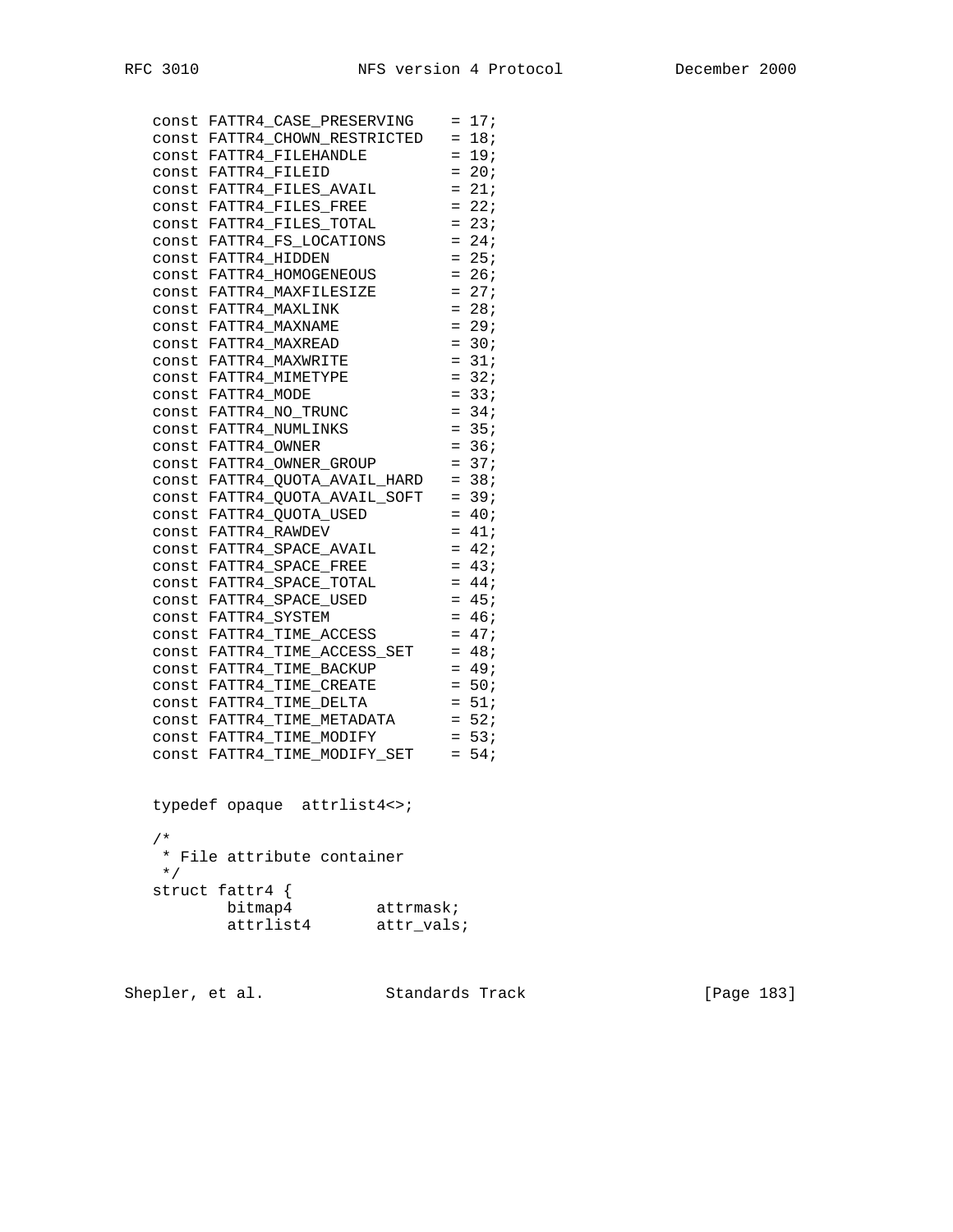|       |                    | const FATTR4_CASE_PRESERVING = 17;     |         |
|-------|--------------------|----------------------------------------|---------|
|       |                    | const FATTR4_CHOWN_RESTRICTED = 18;    |         |
|       |                    | CONSt FATTR4 FILEHANDLE                | $= 19i$ |
|       |                    | CONSt FATTR4 FILEID                    | $= 20;$ |
|       |                    | CONSt FATTR4 FILES AVAIL               | $= 21;$ |
|       |                    | CONSt FATTR4 FILES FREE                | $= 22i$ |
|       |                    | CONSt FATTR4_FILES_TOTAL               | $= 23i$ |
|       |                    | CONSt FATTR4_FS_LOCATIONS              | $= 24;$ |
|       |                    | const FATTR4_HIDDEN                    | $= 25;$ |
|       |                    | CONSt FATTR4_HOMOGENEOUS               | $= 26;$ |
|       |                    | CONSt FATTR4_MAXFILESIZE               | $= 27;$ |
|       |                    | CONSt FATTR4_MAXLINK                   | $= 28;$ |
|       |                    | CONSt FATTR4 MAXNAME                   | $= 29;$ |
|       |                    | CONSt FATTR4 MAXREAD                   | $= 30;$ |
|       |                    | CONSt FATTR4_MAXWRITE                  | $= 31;$ |
|       |                    | CONSt FATTR4 MIMETYPE                  | $= 32i$ |
|       | CONSt FATTR4 MODE  |                                        | $= 33;$ |
|       |                    | const FATTR4 NO TRUNC                  | $= 34;$ |
|       |                    | CONSt FATTR4_NUMLINKS                  | $= 35;$ |
|       | CONSt FATTR4 OWNER |                                        | $= 36;$ |
|       |                    | const FATTR4 OWNER GROUP               | $= 37i$ |
|       |                    | $const$ FATTR4_QUOTA_AVAIL_HARD = 38;  |         |
|       |                    | const FATTR4_QUOTA_AVAIL_SOFT = 39;    |         |
|       |                    | const FATTR4_QUOTA_USED                | $= 40;$ |
|       |                    | CONSt FATTR4_RAWDEV                    | $= 41;$ |
|       |                    | CONSt FATTR4_SPACE_AVAIL               | $= 42;$ |
|       |                    | CONSt FATTR4_SPACE_FREE                | $= 43;$ |
|       |                    | CONSt FATTR4_SPACE_TOTAL               | $= 44;$ |
|       |                    | CONSt FATTR4_SPACE_USED                | $= 45;$ |
|       |                    | CONSt FATTR4 SYSTEM                    | $= 46;$ |
|       |                    | CONSt FATTR4_TIME_ACCESS               | $= 47;$ |
| const |                    | FATTR4_TIME_ACCESS_SET                 | $= 48;$ |
|       |                    | const FATTR4 TIME BACKUP               | $= 49;$ |
|       |                    | CONSt FATTR4 TIME CREATE               | $= 50;$ |
|       |                    | CONSt FATTR4_TIME_DELTA                | $= 51;$ |
|       |                    | $const$ FATTR4_TIME_METADATA = $52i$   |         |
|       |                    | CONSt FATTR4 TIME MODIFY               | $= 53;$ |
|       |                    | $const$ $FATTR4_TIME_MODIFY_SET$ = 54; |         |
|       |                    |                                        |         |

 typedef opaque attrlist4<>; /\* \* File attribute container \*/ struct fattr4 { bitmap4 attrmask; attrlist4 attr\_vals;

Shepler, et al. Standards Track [Page 183]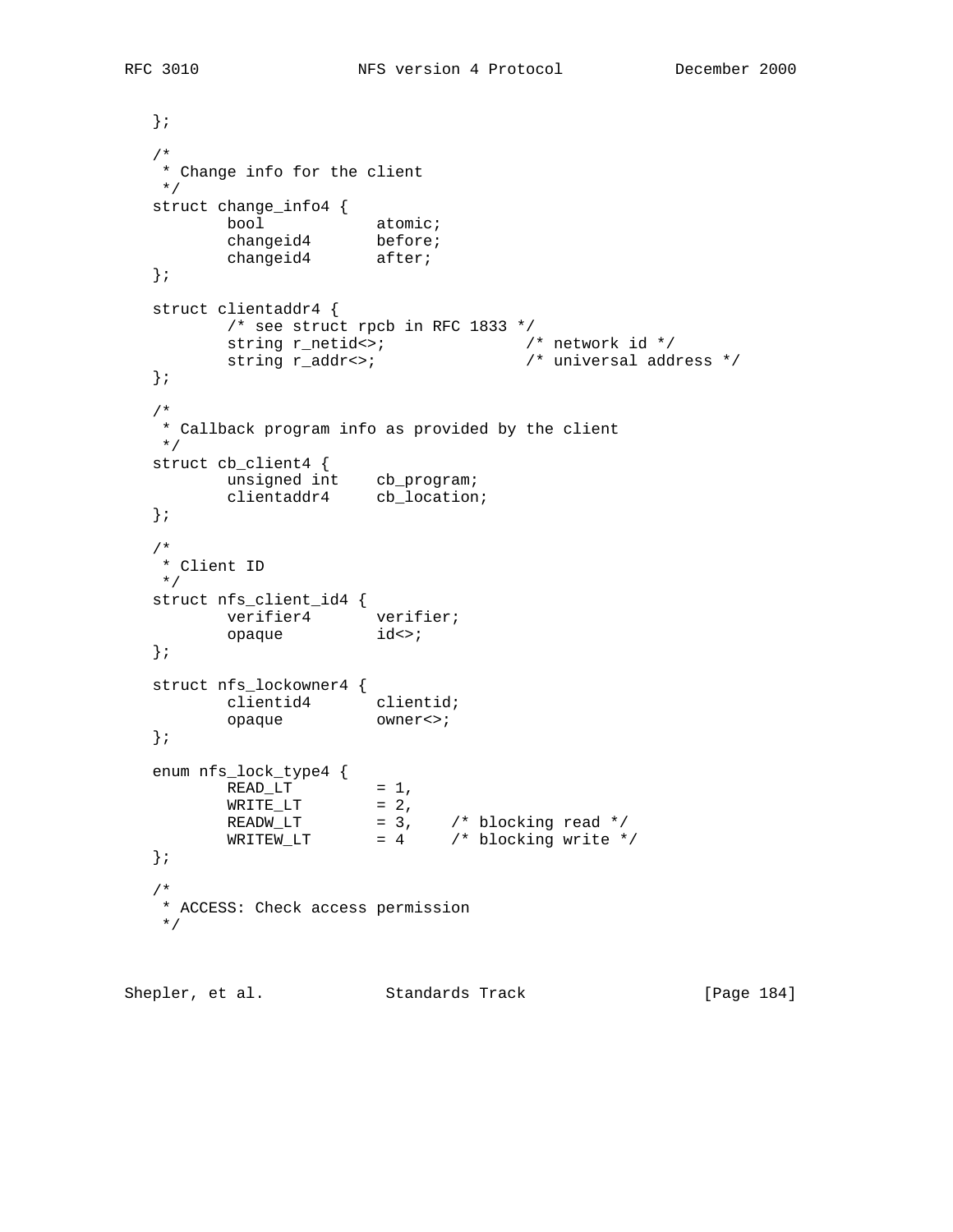}; /\* \* Change info for the client \*/ struct change\_info4 { bool atomic; changeid4 before; changeid4 after; }; struct clientaddr4 { /\* see struct rpcb in RFC 1833 \*/ string r\_netid<>;  $\sqrt{ }$  /\* network id \*/ string r\_addr<>; /\* universal address \*/ }; /\* \* Callback program info as provided by the client \*/ struct cb\_client4 { unsigned int cb\_program; clientaddr4 cb\_location; }; /\* \* Client ID \*/ struct nfs\_client\_id4 { verifier4 verifier; opaque  $id \leq i$  }; struct nfs\_lockowner4 { clientid4 clientid; opaque owner<>; }; enum nfs\_lock\_type4 {  $READ_LT$  = 1,  $\texttt{WRITE\_LT} \qquad \qquad = \; 2 \;,$  $READW_LT$  = 3,  $/*$  blocking read  $*/$  $WRITEW_LIT$  = 4 /\* blocking write \*/ }; /\* \* ACCESS: Check access permission \*/

Shepler, et al. Standards Track [Page 184]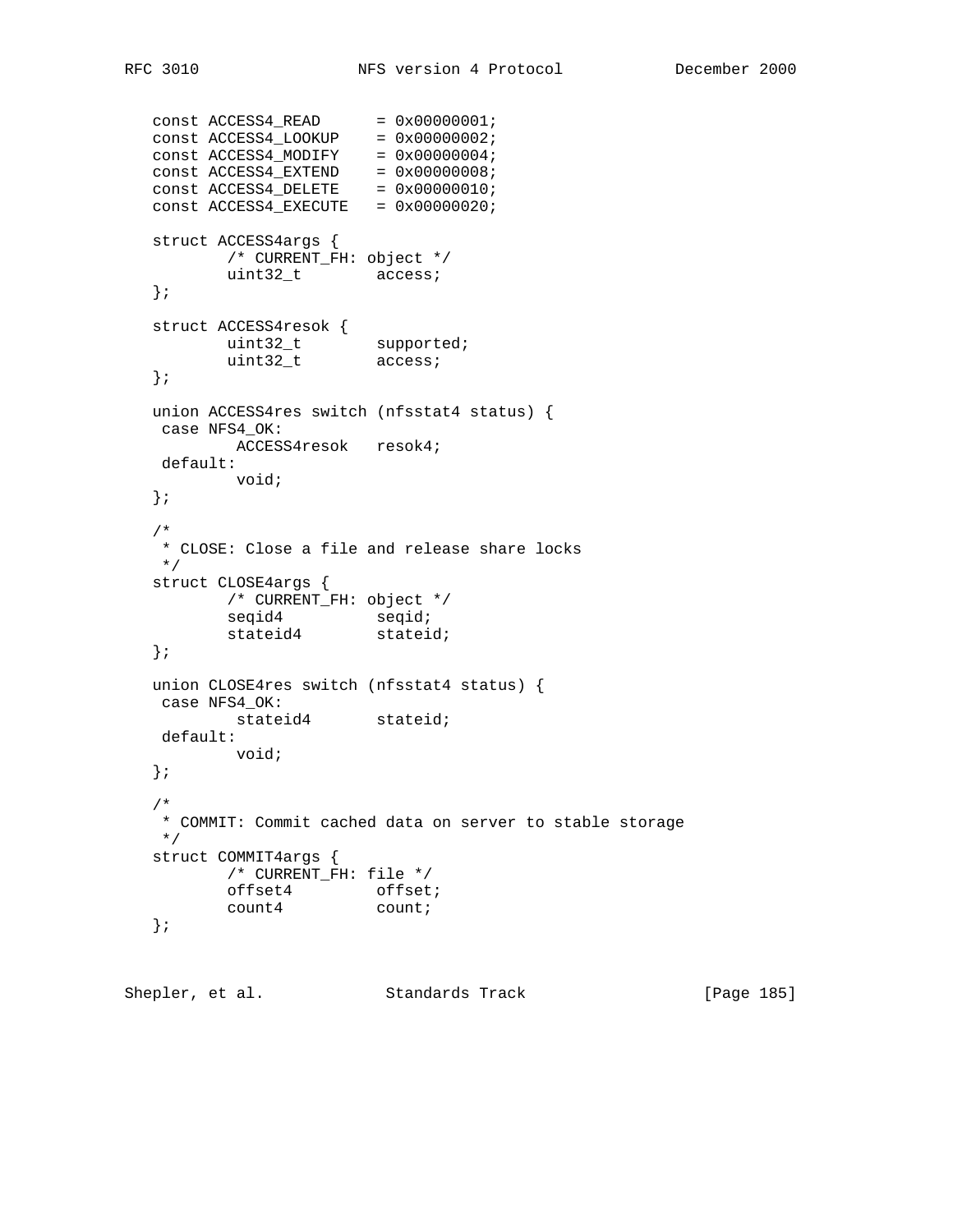```
const ACCESS4READ = 0x00000001;
const ACCESS4\_LOOKUP = 0x00000002;
const ACCESS4_MODIFY = 0x00000004;
const ACCESS4EXTEND = 0x00000008;
const ACCESS4DELETE = 0x00000010;
const ACCESS4EXECUTE = 0x00000020;
   struct ACCESS4args {
         /* CURRENT_FH: object */
         uint32_t access;
   };
 struct ACCESS4resok {
uint32_t supported;
uint32_t access;
   };
   union ACCESS4res switch (nfsstat4 status) {
   case NFS4_OK:
     ACCESS4resok resok4;
    default:
         void;
   };
   /*
   * CLOSE: Close a file and release share locks
   */
   struct CLOSE4args {
         /* CURRENT_FH: object */
seqid4 seqid;
stateid4 stateid;
   };
   union CLOSE4res switch (nfsstat4 status) {
   case NFS4_OK:
         stateid4 stateid;
   default:
         void;
   };
   /*
   * COMMIT: Commit cached data on server to stable storage
   */
   struct COMMIT4args {
         /* CURRENT_FH: file */
offset4 offset;
count4 count;
   };
```
Shepler, et al. Standards Track [Page 185]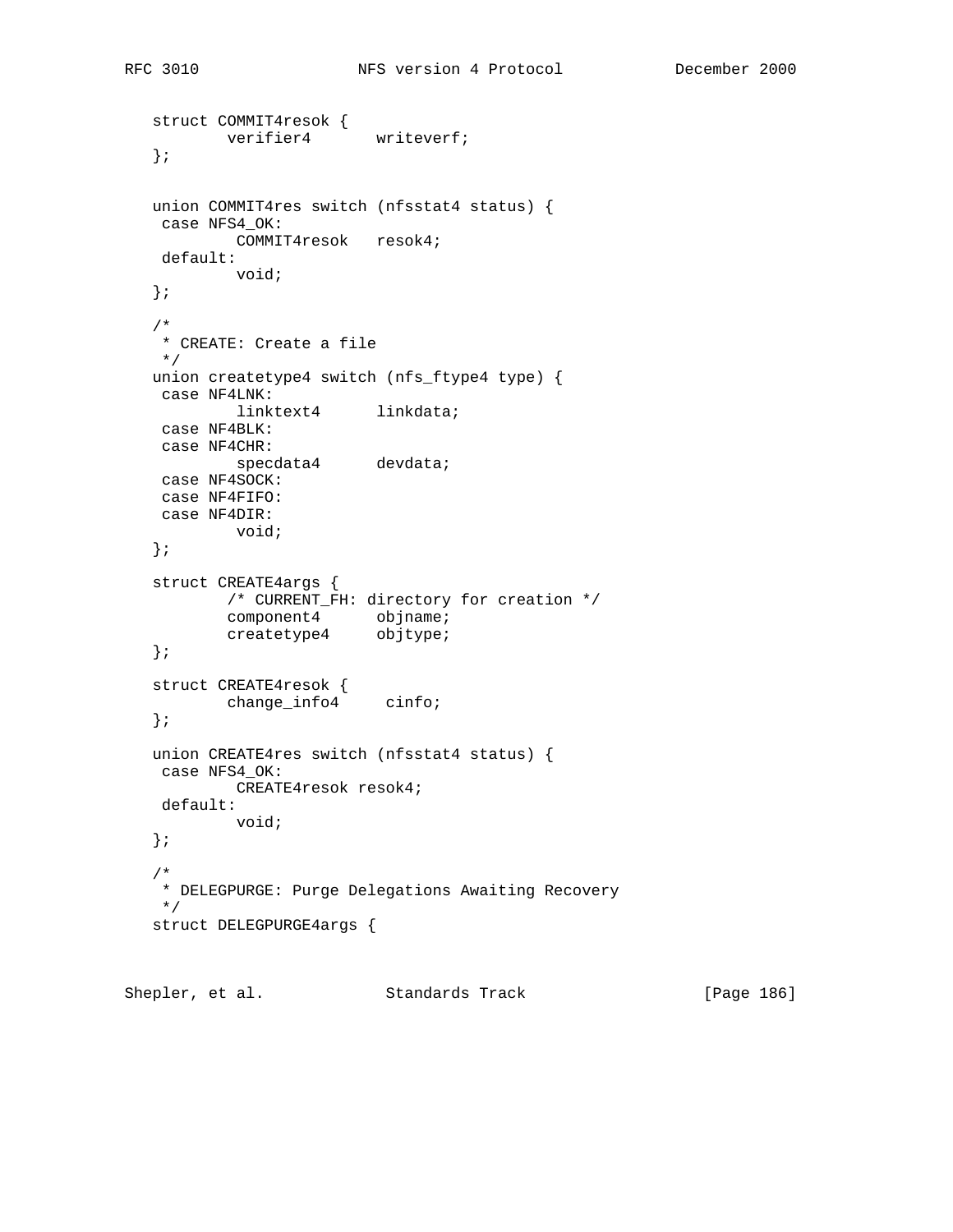```
 struct COMMIT4resok {
verifier4 writeverf;
   };
   union COMMIT4res switch (nfsstat4 status) {
   case NFS4_OK:
         COMMIT4resok resok4;
    default:
           void;
   };
   /*
   * CREATE: Create a file
   */
   union createtype4 switch (nfs_ftype4 type) {
   case NF4LNK:
          linktext4 linkdata;
    case NF4BLK:
    case NF4CHR:
          specdata4 devdata;
    case NF4SOCK:
    case NF4FIFO:
    case NF4DIR:
         void;
   };
   struct CREATE4args {
          /* CURRENT_FH: directory for creation */
component4 objname;
createtype4 objtype;
   };
 struct CREATE4resok {
change_info4 cinfo;
   };
   union CREATE4res switch (nfsstat4 status) {
   case NFS4_OK:
           CREATE4resok resok4;
    default:
          void;
   };
   /*
   * DELEGPURGE: Purge Delegations Awaiting Recovery
   */
   struct DELEGPURGE4args {
```
Shepler, et al. Standards Track [Page 186]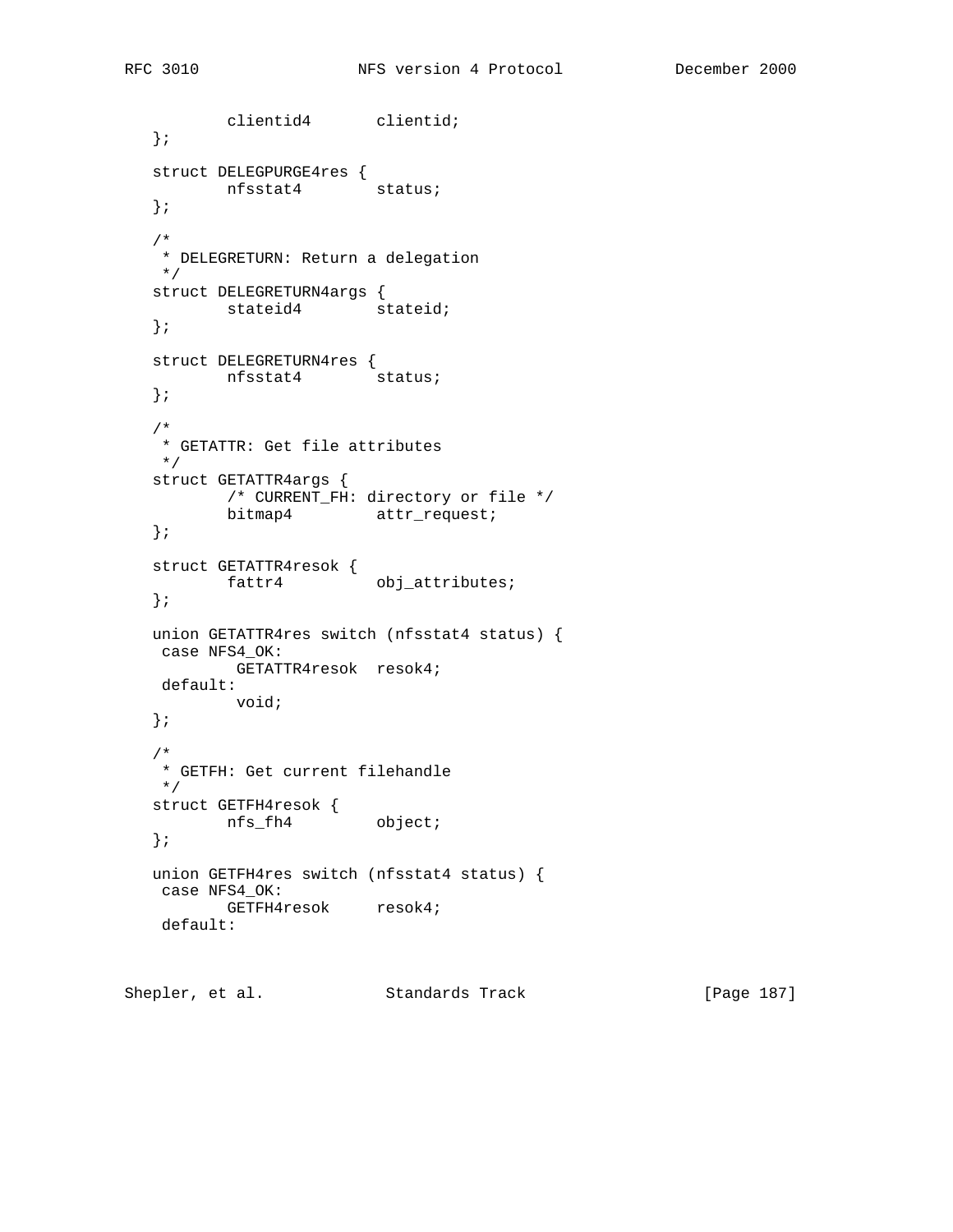```
 clientid4 clientid;
   };
   struct DELEGPURGE4res {
      nfsstat4 status;
   };
   /*
   * DELEGRETURN: Return a delegation
   */
   struct DELEGRETURN4args {
   stateid4 stateid;
   };
   struct DELEGRETURN4res {
    nfsstat4 status;
   };
   /*
   * GETATTR: Get file attributes
   */
   struct GETATTR4args {
          /* CURRENT_FH: directory or file */
          bitmap4 attr_request;
   };
   struct GETATTR4resok {
         fattr4 obj_attributes;
   };
   union GETATTR4res switch (nfsstat4 status) {
   case NFS4_OK:
        GETATTR4resok resok4;
    default:
          void;
   };
   /*
   * GETFH: Get current filehandle
   */
 struct GETFH4resok {
nfs_fh4 object;
   };
   union GETFH4res switch (nfsstat4 status) {
   case NFS4_OK:
     GETFH4resok resok4;
   default:
```
Shepler, et al. Standards Track [Page 187]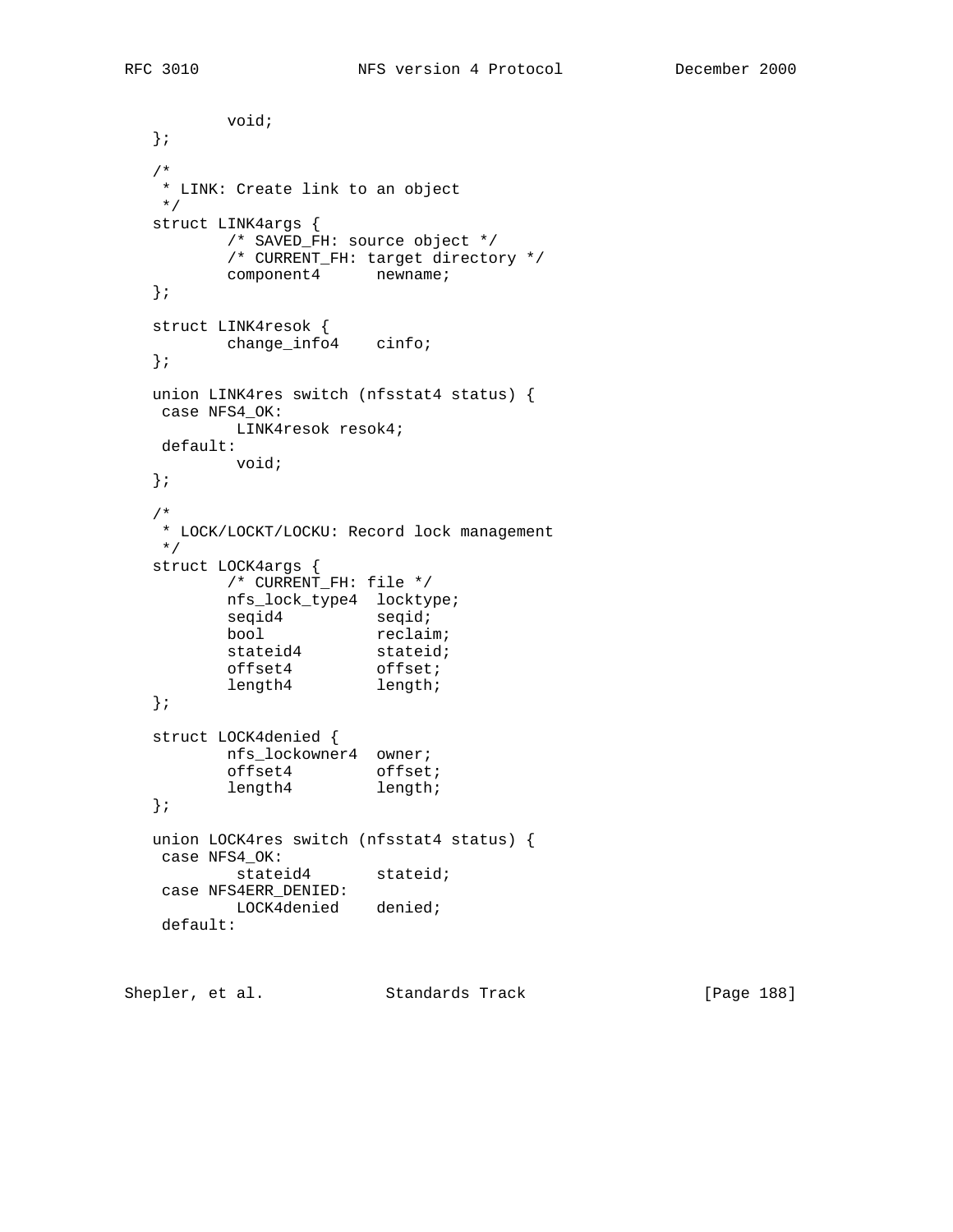void; }; /\* \* LINK: Create link to an object \*/ struct LINK4args { /\* SAVED\_FH: source object \*/ /\* CURRENT\_FH: target directory \*/ component4 newname; }; struct LINK4resok { change\_info4 cinfo; }; union LINK4res switch (nfsstat4 status) { case NFS4\_OK: LINK4resok resok4; default: void; }; /\* \* LOCK/LOCKT/LOCKU: Record lock management \*/ struct LOCK4args { /\* CURRENT\_FH: file \*/ nfs\_lock\_type4 locktype; seqid4 seqid; bool reclaim; stateid4 stateid; offset4 offset; length4 length; }; struct LOCK4denied { nfs\_lockowner4 owner; offset4 offset; length4 length; }; union LOCK4res switch (nfsstat4 status) { case NFS4\_OK: stateid4 stateid; case NFS4ERR\_DENIED: LOCK4denied denied; default:

Shepler, et al. Standards Track [Page 188]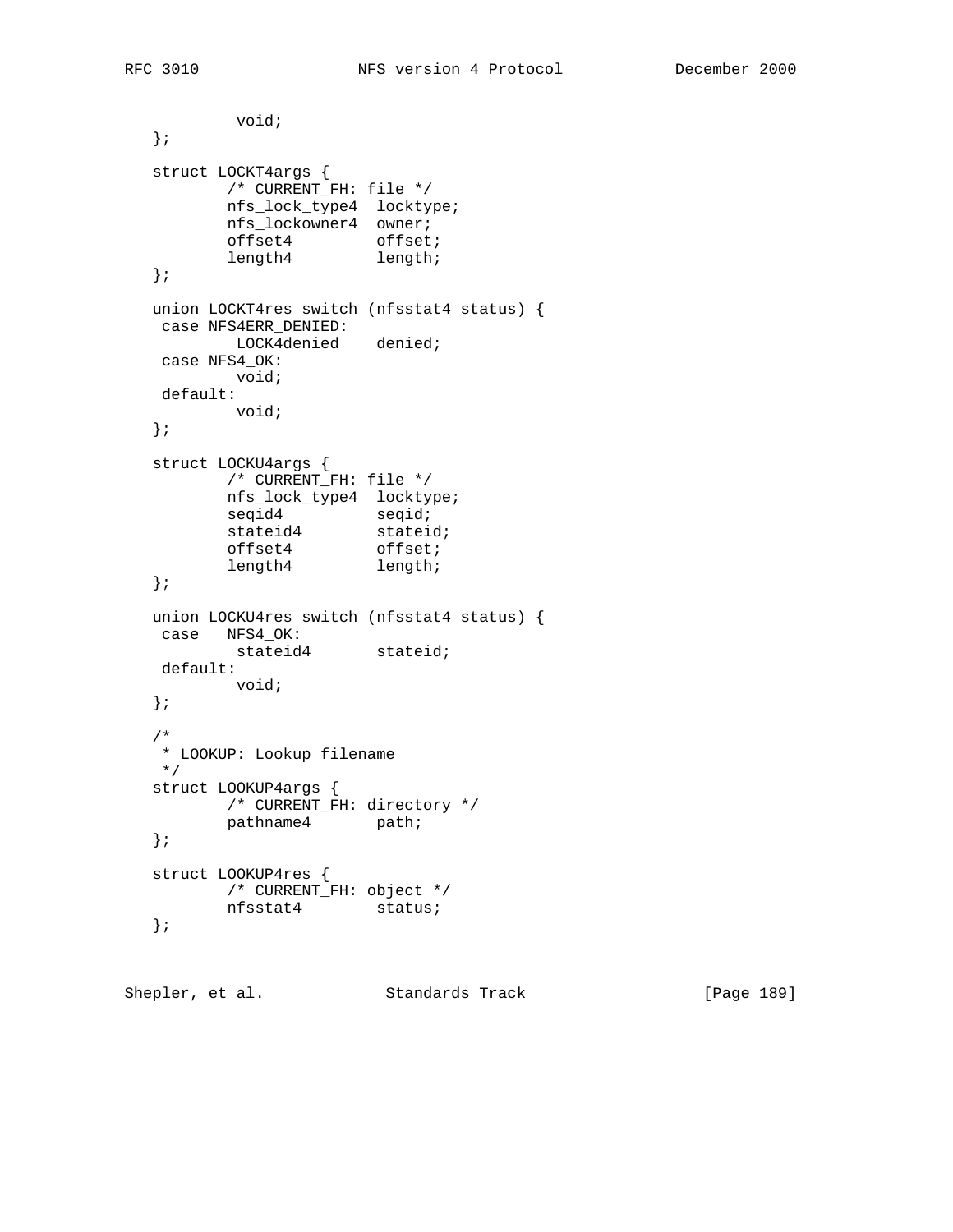```
 void;
   };
   struct LOCKT4args {
          /* CURRENT_FH: file */
          nfs_lock_type4 locktype;
          nfs_lockowner4 owner;
offset4 offset;
length4 length;
   };
   union LOCKT4res switch (nfsstat4 status) {
   case NFS4ERR_DENIED:
    LOCK4denied denied;
   case NFS4_OK:
     void;
    default:
          void;
   };
   struct LOCKU4args {
         /* CURRENT_FH: file */
          nfs_lock_type4 locktype;
seqid4 seqid;
stateid4 stateid;
offset4 offset;
length4 length;
   };
   union LOCKU4res switch (nfsstat4 status) {
   case NFS4_OK:
         stateid4 stateid;
   default:
         void;
   };
   /*
   * LOOKUP: Lookup filename
   */
   struct LOOKUP4args {
         /* CURRENT_FH: directory */
         pathname4 path;
   };
   struct LOOKUP4res {
         /* CURRENT_FH: object */
         nfsstat4 status;
   };
```
Shepler, et al. Standards Track [Page 189]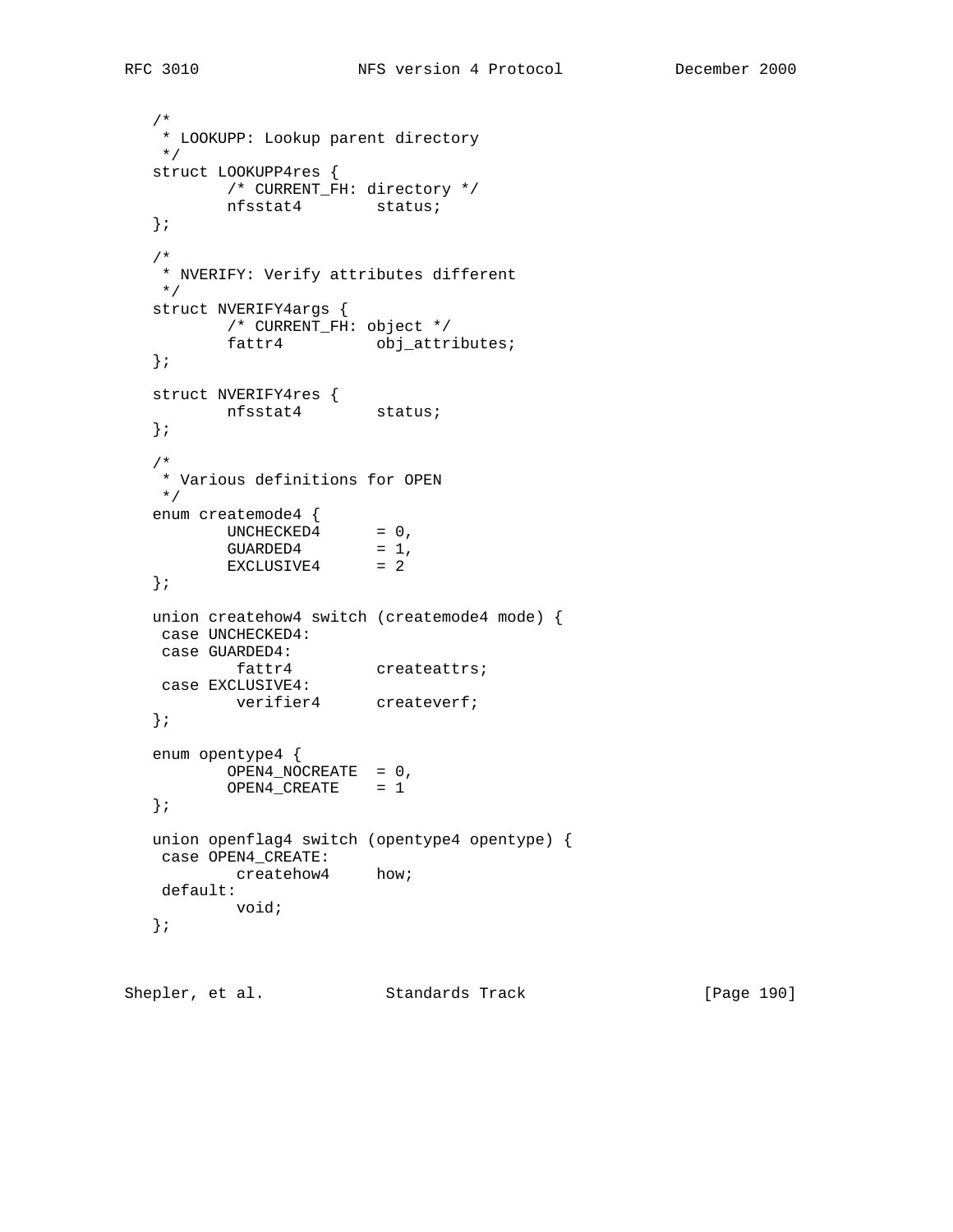```
 /*
   * LOOKUPP: Lookup parent directory
   */
   struct LOOKUPP4res {
         /* CURRENT_FH: directory */
          nfsstat4 status;
   };
   /*
   * NVERIFY: Verify attributes different
   */
   struct NVERIFY4args {
          /* CURRENT_FH: object */
         fattr4 obj_attributes;
   };
 struct NVERIFY4res {
 nfsstat4 status;
   };
   /*
   * Various definitions for OPEN
   */
   enum createmode4 {
UNCHECKED4 = 0,
GUARDED4 = 1,
EXCLUSIVE4 = 2
   };
   union createhow4 switch (createmode4 mode) {
   case UNCHECKED4:
   case GUARDED4:
         fattr4 createattrs;
   case EXCLUSIVE4:
        verifier4 createverf;
   };
   enum opentype4 {
  OPEN4_NOCREATE = 0,
         OPEN4_CREATE = 1
   };
   union openflag4 switch (opentype4 opentype) {
   case OPEN4_CREATE:
         createhow4 how;
   default:
          void;
   };
```
Shepler, et al. Standards Track [Page 190]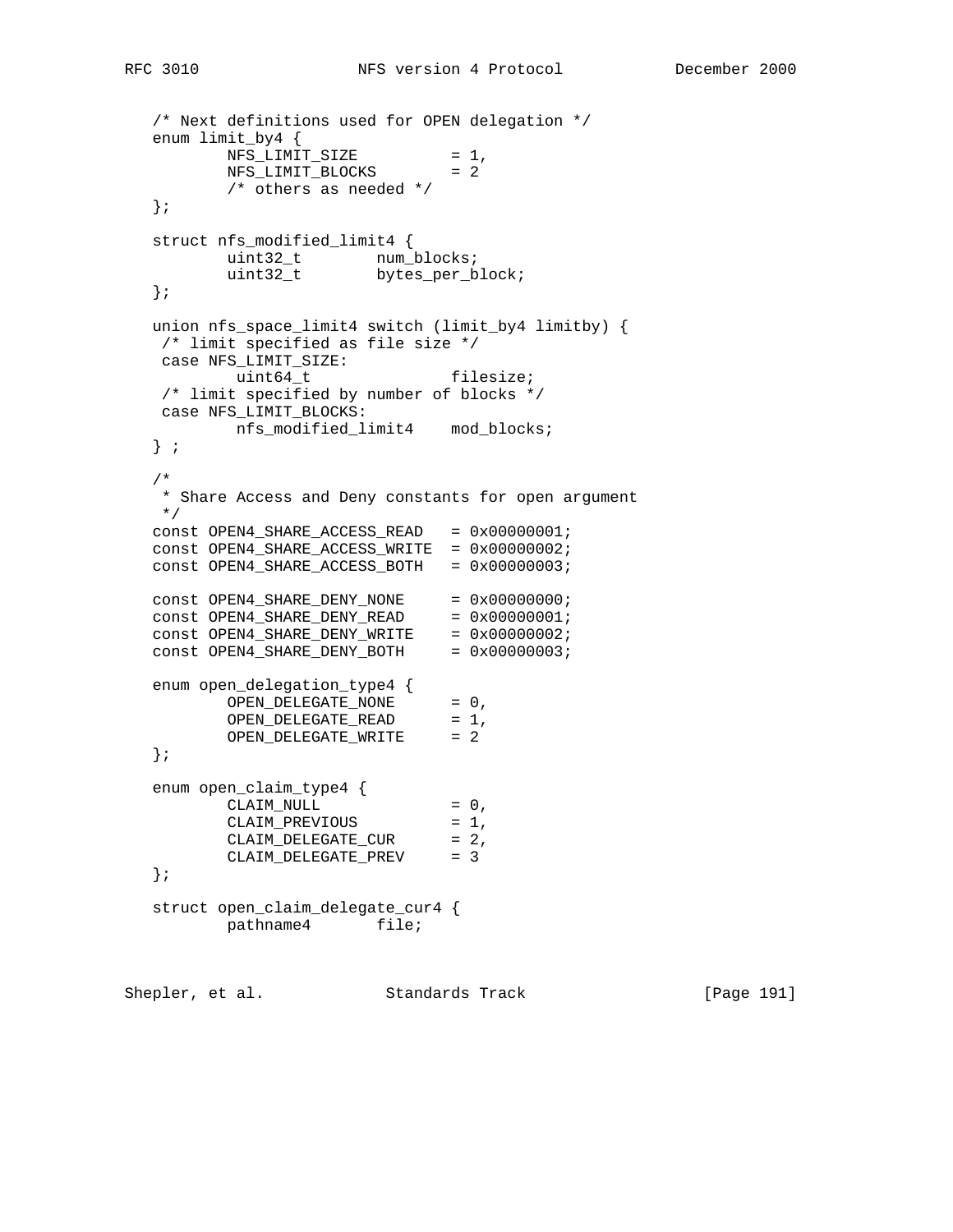```
 /* Next definitions used for OPEN delegation */
   enum limit_by4 {
NFS_LIMIT_SIZE = 1,
NFS_LIMIT_BLOCKS = 2
          /* others as needed */
   };
   struct nfs_modified_limit4 {
uint32_t num_blocks;
uint32_t bytes_per_block;
   };
  union nfs_space_limit4 switch (limit_by4 limitby) {<br>/* limit specified as file size */
 /* limit specified as file size */
 case NFS_LIMIT_SIZE:
uint64_t filesize;
   /* limit specified by number of blocks */
   case NFS_LIMIT_BLOCKS:
         nfs_modified_limit4 mod_blocks;
   } ;
   /*
   * Share Access and Deny constants for open argument
   */
   const OPEN4_SHARE_ACCESS_READ = 0x00000001;
  const OPEN4_SHARE_ACCESS_WRITE = 0x00000002;
  \overline{\text{const}} OPEN4_SHARE_ACCESS_BOTH = 0x00000003;
const OPEN4_SHARE_DENY_NONE = 0x00000000;
const OPEN4_SHARE_DENY_READ = 0x00000001;
const OPEN4_SHARE_DENY_WRITE = 0x00000002;
const OPEN4_SHARE_DENY_BOTH = 0x00000003;
 enum open_delegation_type4 {
OPEN_DELEGATE_NONE = 0,
OPEN_DELEGATE_READ = 1,
OPEN_DELEGATE_WRITE = 2
   };
 enum open_claim_type4 {
CLAIM_NULL = 0,
CLAIM_PREVIOUS = 1,
CLAIM_DELEGATE_CUR = 2,
 CLAIM_DELEGATE_PREV = 3
   };
   struct open_claim_delegate_cur4 {
         pathname4 file;
```
Shepler, et al. Standards Track [Page 191]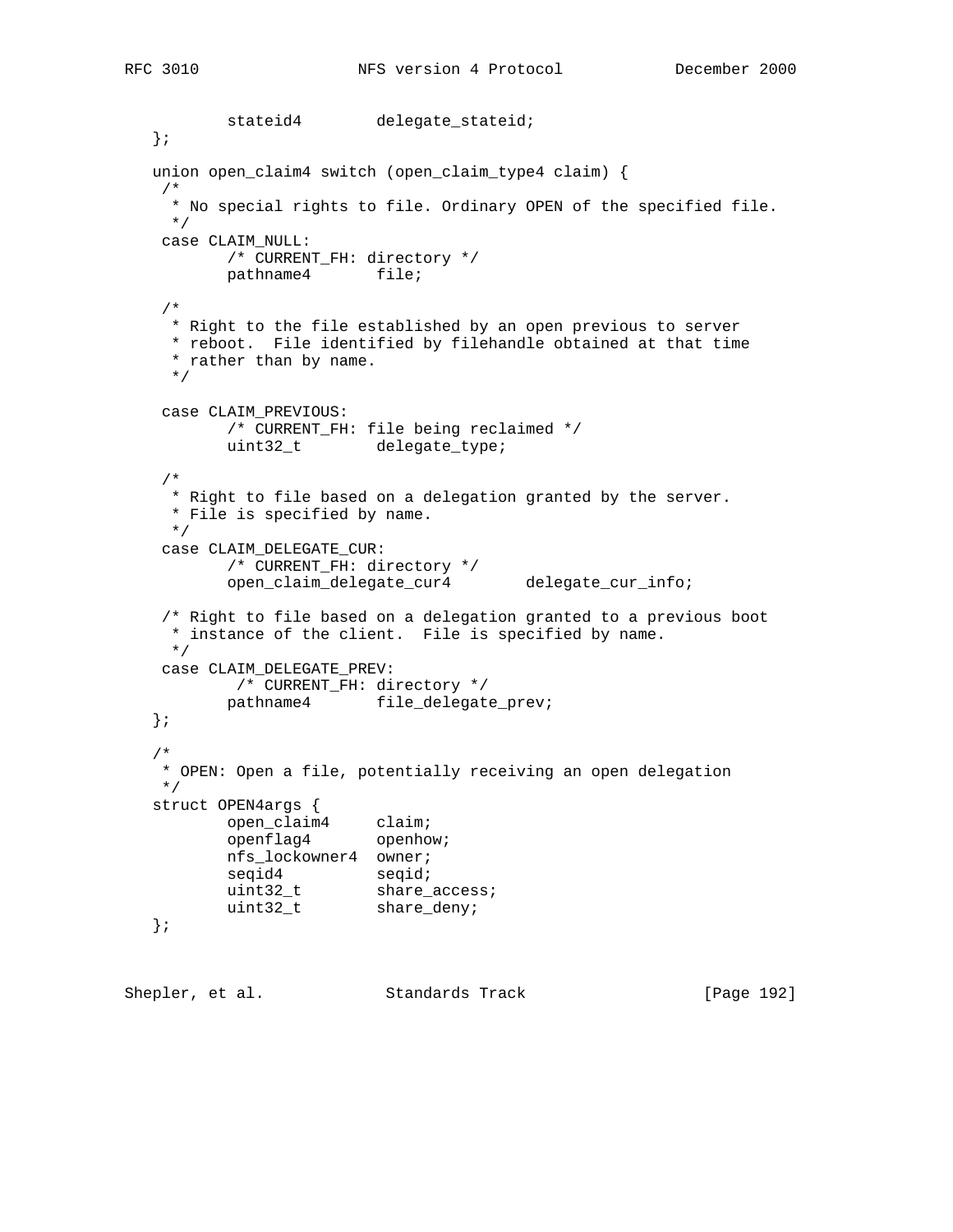```
stateid4 delegate_stateid;
   };
   union open_claim4 switch (open_claim_type4 claim) {
    /*
     * No special rights to file. Ordinary OPEN of the specified file.
     */
    case CLAIM_NULL:
          /* CURRENT_FH: directory */
          pathname4 file;
    /*
     * Right to the file established by an open previous to server
     * reboot. File identified by filehandle obtained at that time
     * rather than by name.
     */
    case CLAIM_PREVIOUS:
          /* CURRENT_FH: file being reclaimed */
          uint32_t delegate_type;
    /*
     * Right to file based on a delegation granted by the server.
     * File is specified by name.
     */
    case CLAIM_DELEGATE_CUR:
           /* CURRENT_FH: directory */
          open_claim_delegate_cur4 delegate_cur_info;
    /* Right to file based on a delegation granted to a previous boot
     * instance of the client. File is specified by name.
     */
    case CLAIM_DELEGATE_PREV:
           /* CURRENT_FH: directory */
          pathname4 file_delegate_prev;
   };
   /*
    * OPEN: Open a file, potentially receiving an open delegation
    */
   struct OPEN4args {
open_claim4 claim;
openflag4 openhow;
          nfs_lockowner4 owner;
seqid4 seqid;
uint32_t share_access;
uint32_t share_deny;
   };
```
Shepler, et al. Standards Track [Page 192]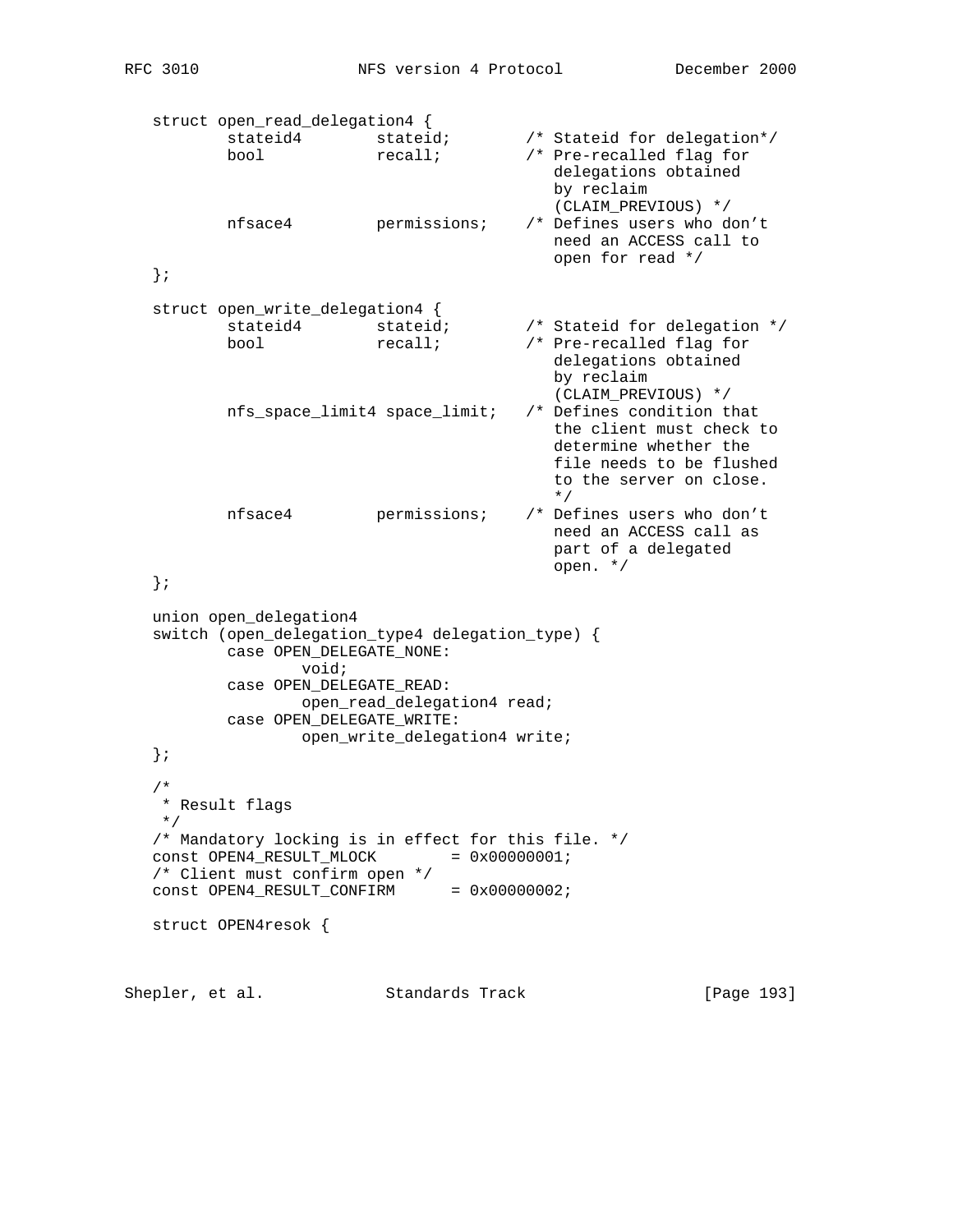struct open\_read\_delegation4 { stateid4 stateid;  $\qquad$  /\* Stateid for delegation\*/ bool recall;  $\sqrt{r}$  Pre-recalled flag for delegations obtained by reclaim (CLAIM\_PREVIOUS) \*/<br>/\* Defines users who don't nfsace4 permissions; need an ACCESS call to open for read \*/ }; struct open\_write\_delegation4 { stateid4 stateid;  $\frac{1}{2}$  /\* Stateid for delegation \*/ bool recall; /\* Pre-recalled flag for delegations obtained by reclaim (CLAIM\_PREVIOUS) \*/<br>/\* Defines condition that  $nfs\_space\_limit4$  space $\_limit$ ; the client must check to determine whether the file needs to be flushed to the server on close.  $\star/$  nfsace4 permissions; /\* Defines users who don't need an ACCESS call as part of a delegated open. \*/ }; union open\_delegation4 switch (open\_delegation\_type4 delegation\_type) { case OPEN\_DELEGATE\_NONE: void; case OPEN\_DELEGATE\_READ: open\_read\_delegation4 read; case OPEN\_DELEGATE\_WRITE: open\_write\_delegation4 write; }; /\* \* Result flags \*/ /\* Mandatory locking is in effect for this file. \*/  $const$  OPEN4\_RESULT\_MLOCK =  $0x00000001$ ; /\* Client must confirm open \*/  $const$  OPEN4\_RESULT\_CONFIRM =  $0x00000002$ ; struct OPEN4resok {

Shepler, et al. Standards Track [Page 193]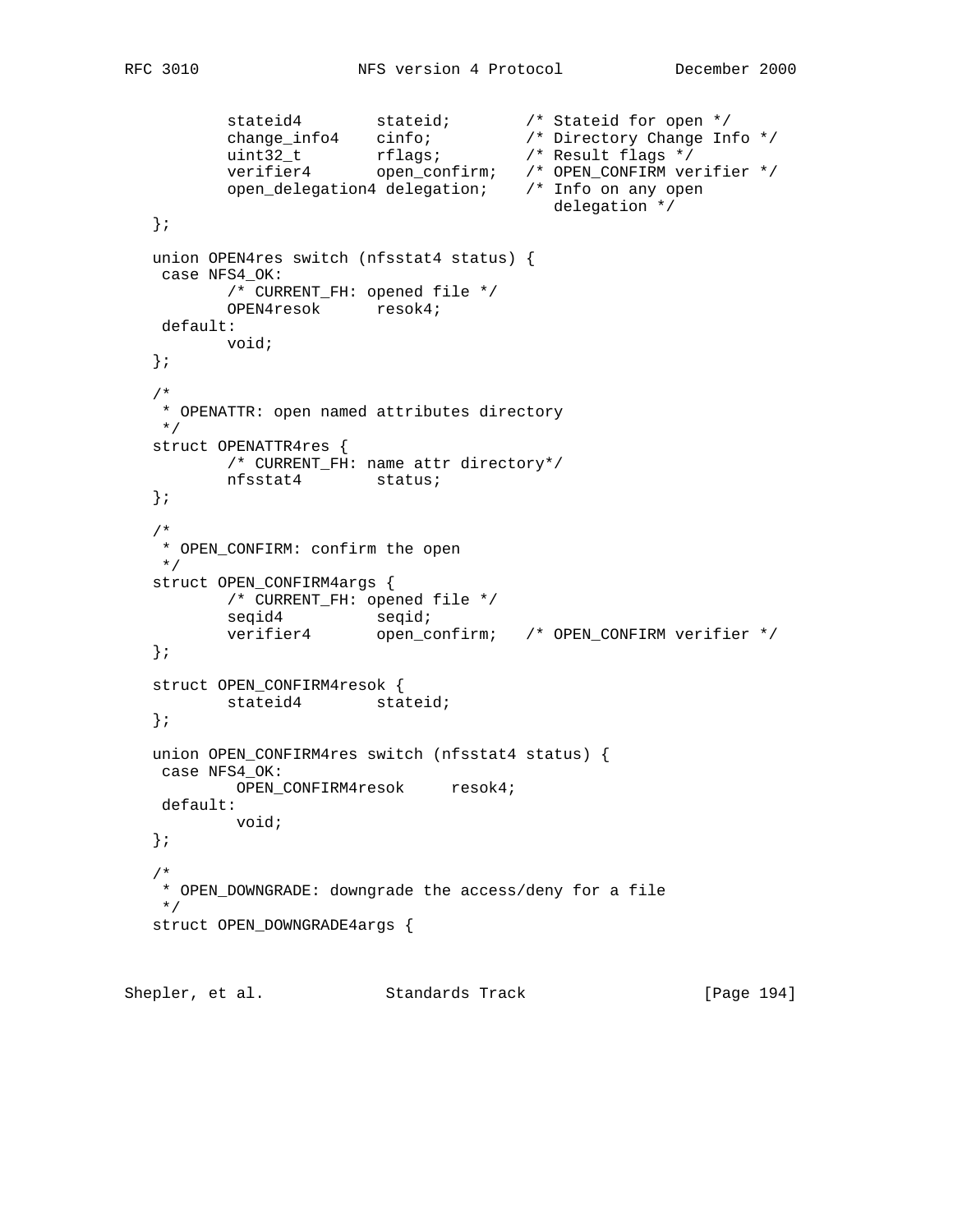```
 stateid4 stateid; /* Stateid for open */
 change_info4 cinfo; /* Directory Change Info */
 uint32_t rflags; /* Result flags */
 verifier4 open_confirm; /* OPEN_CONFIRM verifier */
          open_delegation4 delegation; /* Info on any open
                                        delegation */
   };
   union OPEN4res switch (nfsstat4 status) {
   case NFS4_OK:
          /* CURRENT_FH: opened file */
          OPEN4resok resok4;
    default:
         void;
   };
   /*
   * OPENATTR: open named attributes directory
   */
   struct OPENATTR4res {
         /* CURRENT_FH: name attr directory*/
          nfsstat4 status;
   };
   /*
   * OPEN_CONFIRM: confirm the open
   */
  struct OPEN CONFIRM4args {
          /* CURRENT_FH: opened file */
seqid4 seqid;
 verifier4 open_confirm; /* OPEN_CONFIRM verifier */
   };
  struct OPEN CONFIRM4resok {
         stateid4 stateid;
   };
   union OPEN_CONFIRM4res switch (nfsstat4 status) {
   case NFS4_OK:
          OPEN_CONFIRM4resok resok4;
   default:
          void;
   };
   /*
   * OPEN_DOWNGRADE: downgrade the access/deny for a file
   */
   struct OPEN_DOWNGRADE4args {
```
Shepler, et al. Standards Track [Page 194]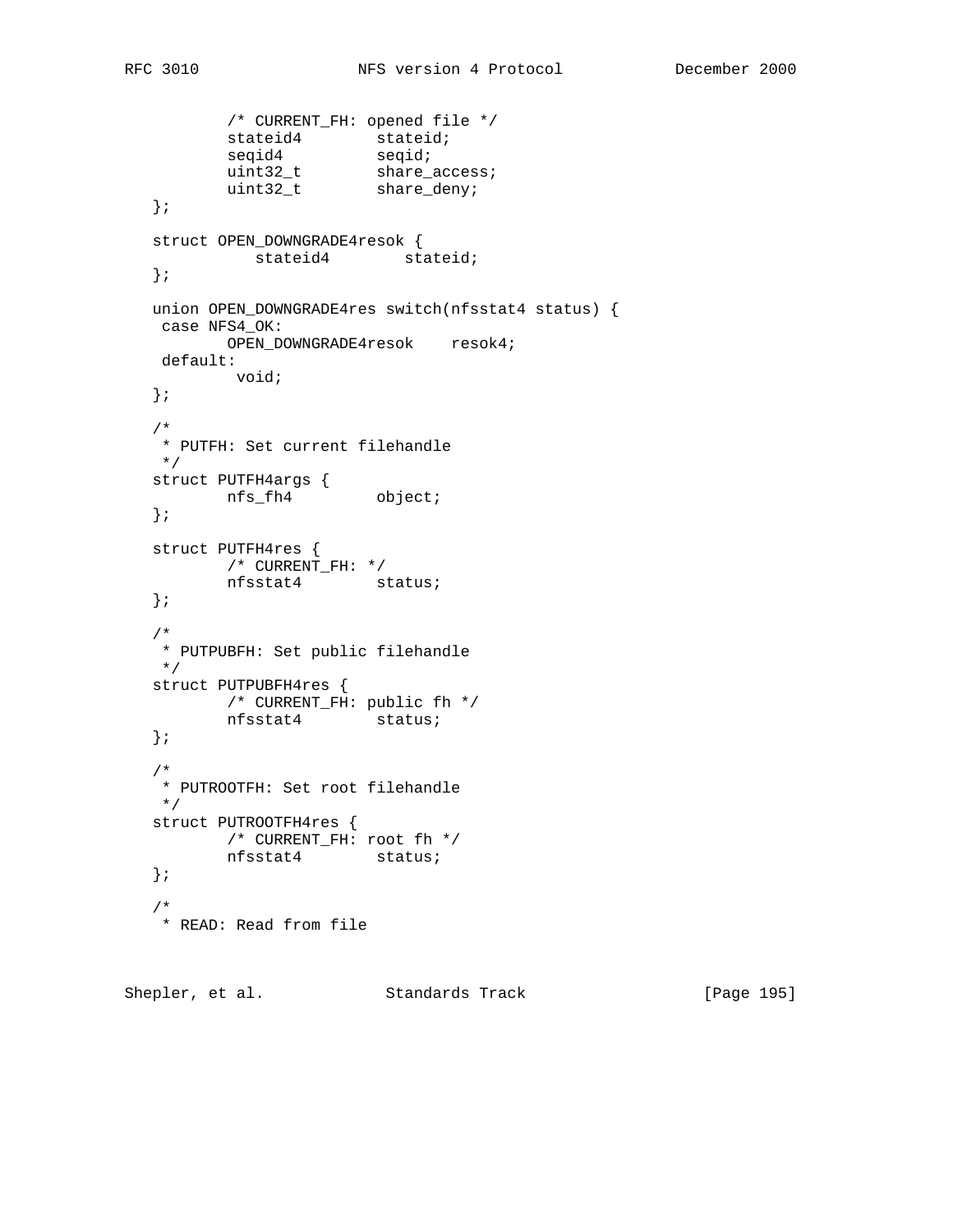```
 /* CURRENT_FH: opened file */
stateid4 stateid;
seqid4 seqid;
uint32_t share_access;
uint32_t share_deny;
   };
   struct OPEN_DOWNGRADE4resok {
        stateid4 stateid;
   };
   union OPEN_DOWNGRADE4res switch(nfsstat4 status) {
   case NFS4_OK:
    OPEN_DOWNGRADE4resok resok4;
   default:
         void;
   };
   /*
   * PUTFH: Set current filehandle
   */
 struct PUTFH4args {
nfs_fh4 object;
   };
   struct PUTFH4res {
         /* CURRENT_FH: */
         nfsstat4 status;
   };
   /*
   * PUTPUBFH: Set public filehandle
   */
   struct PUTPUBFH4res {
   /* CURRENT_FH: public fh */
        nfsstat4 status;
   };
   /*
   * PUTROOTFH: Set root filehandle
   */
   struct PUTROOTFH4res {
        /* CURRENT_FH: root fh */
         nfsstat4 status;
   };
 /*
   * READ: Read from file
```
Shepler, et al. Standards Track [Page 195]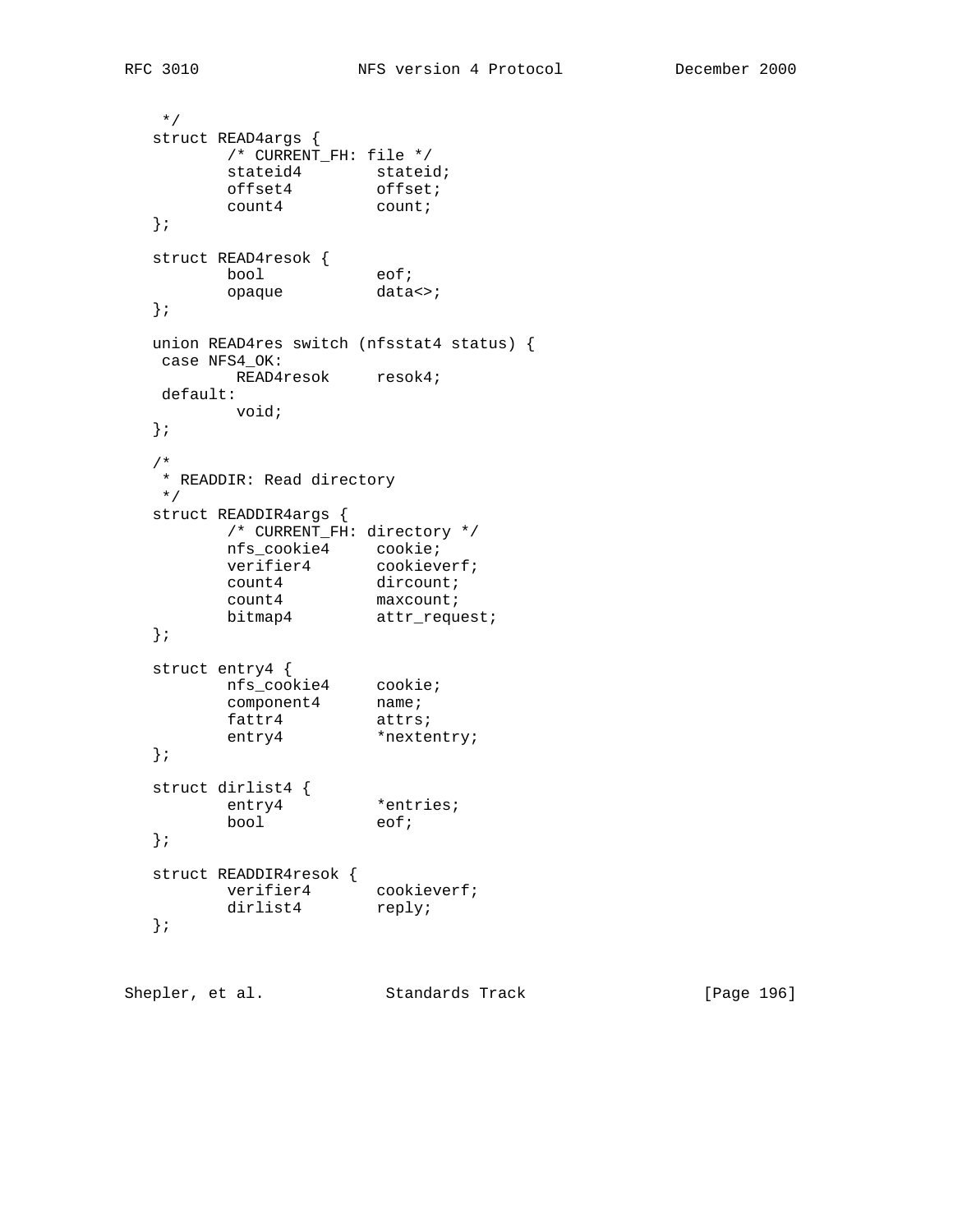```
 */
  struct READ4args {
       /* CURRENT_FH: file */
stateid4 stateid;
offset4 offset;
count4 count;
  };
 struct READ4resok {
bool eof;
opaque data<>;
  };
  union READ4res switch (nfsstat4 status) {
   case NFS4_OK:
      READ4resok resok4;
   default:
       void;
  };
  /*
   * READDIR: Read directory
   */
  struct READDIR4args {
        /* CURRENT_FH: directory */
 nfs_cookie4 cookie;
verifier4 cookieverf;
count4 dircount;
count4 maxcount;
bitmap4 attr_request;
  };
  struct entry4 {
 nfs_cookie4 cookie;
component4 name;
fattr4 attrs;
entry4 *nextentry;
  };
 struct dirlist4 {
entry4 *entries;
bool eof;
  };
  struct READDIR4resok {
verifier4 cookieverf;
dirlist4 reply;
  };
```
Shepler, et al. Standards Track [Page 196]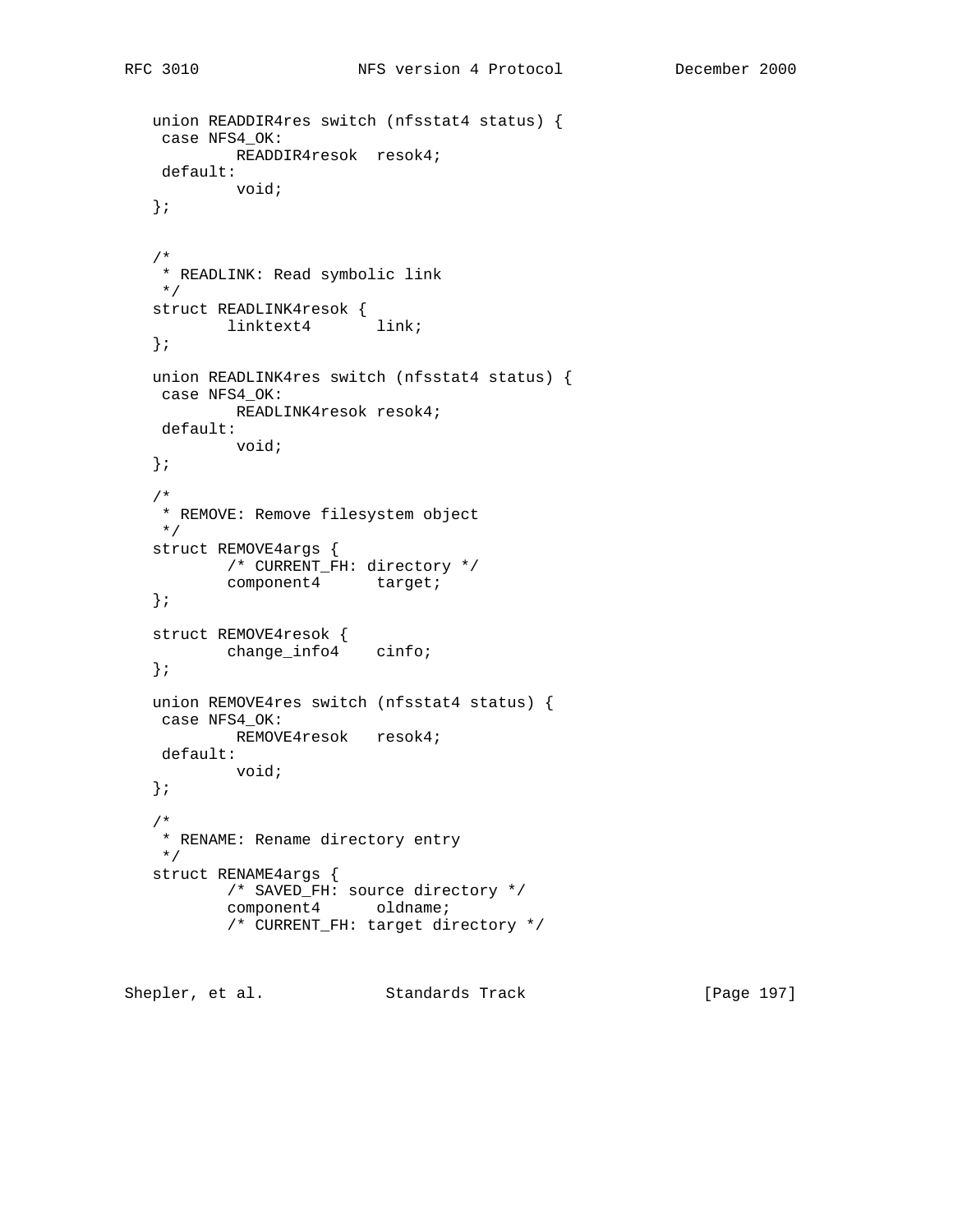```
 union READDIR4res switch (nfsstat4 status) {
 case NFS4_OK:
         READDIR4resok resok4;
  default:
        void;
 };
 /*
 * READLINK: Read symbolic link
 */
 struct READLINK4resok {
        linktext4 link;
 };
 union READLINK4res switch (nfsstat4 status) {
 case NFS4_OK:
      READLINK4resok resok4;
 default:
        void;
 };
 /*
 * REMOVE: Remove filesystem object
 */
 struct REMOVE4args {
        /* CURRENT_FH: directory */
        component4 target;
 };
 struct REMOVE4resok {
       change_info4 cinfo;
 };
 union REMOVE4res switch (nfsstat4 status) {
 case NFS4_OK:
       REMOVE4resok resok4;
 default:
        void;
 };
 /*
 * RENAME: Rename directory entry
 */
 struct RENAME4args {
         /* SAVED_FH: source directory */
        component4 oldname;
         /* CURRENT_FH: target directory */
```
Shepler, et al. Standards Track [Page 197]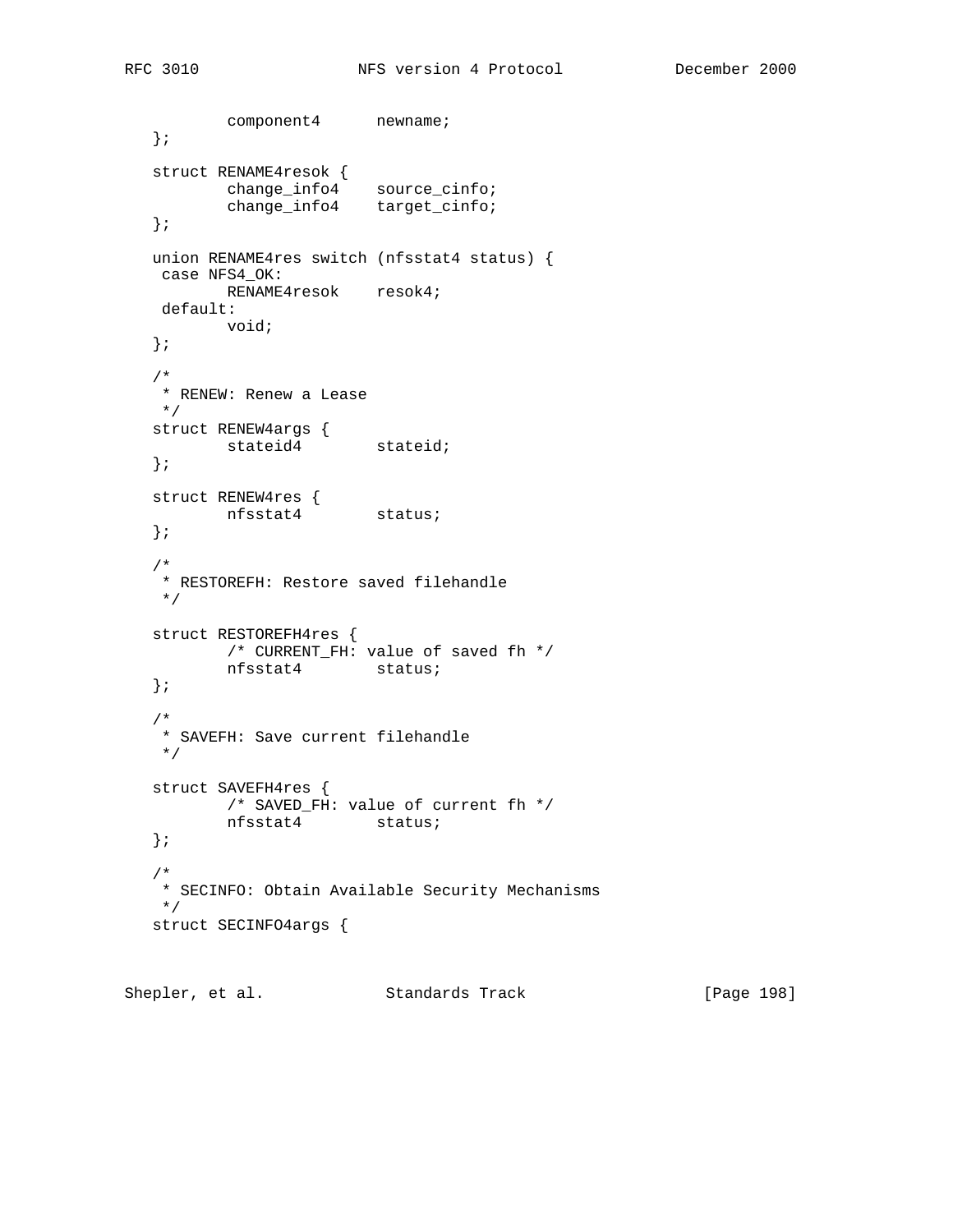```
component4 newname;
   };
   struct RENAME4resok {
 change_info4 source_cinfo;
 change_info4 target_cinfo;
   };
   union RENAME4res switch (nfsstat4 status) {
   case NFS4_OK:
         RENAME4resok resok4;
    default:
         void;
   };
   /*
   * RENEW: Renew a Lease
   */
 struct RENEW4args {
stateid4 stateid;
   };
 struct RENEW4res {
 nfsstat4 status;
   };
   /*
   * RESTOREFH: Restore saved filehandle
   */
   struct RESTOREFH4res {
         /* CURRENT_FH: value of saved fh */
          nfsstat4 status;
   };
   /*
   * SAVEFH: Save current filehandle
   */
   struct SAVEFH4res {
         /* SAVED_FH: value of current fh */
          nfsstat4 status;
   };
   /*
   * SECINFO: Obtain Available Security Mechanisms
   */
   struct SECINFO4args {
```
Shepler, et al. Standards Track [Page 198]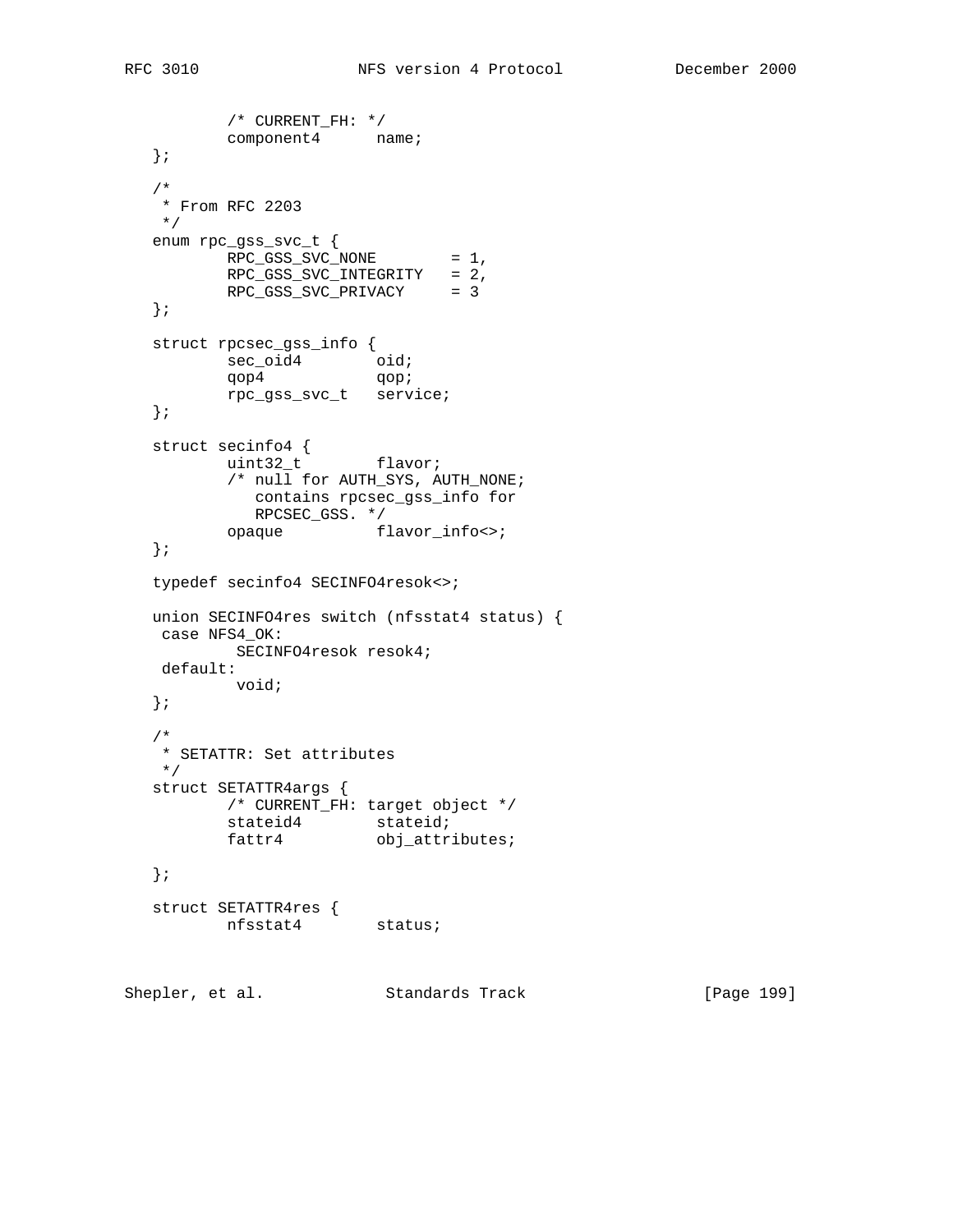```
 /* CURRENT_FH: */
          component4 name;
   };
   /*
   * From RFC 2203
   */
   enum rpc_gss_svc_t {
        RPC_GSS_SVC_NONE = 1,
          RPC_GSS_SVC_INTEGRITY = 2,
          RPC_GSS_SVC_PRIVACY = 3
   };
   struct rpcsec_gss_info {
sec_oid4 oid;
qop4 qop;
          rpc_gss_svc_t service;
   };
   struct secinfo4 {
         uint32_t flavor;
          /* null for AUTH_SYS, AUTH_NONE;
           contains rpcsec_gss_info for
         COILLATIN - F
          opaque flavor_info<>;
   };
   typedef secinfo4 SECINFO4resok<>;
   union SECINFO4res switch (nfsstat4 status) {
   case NFS4_OK:
        SECINFO4resok resok4;
    default:
          void;
   };
   /*
   * SETATTR: Set attributes
   */
   struct SETATTR4args {
         /* CURRENT_FH: target object */
stateid4 stateid;
fattr4 obj_attributes;
   };
 struct SETATTR4res {
 nfsstat4 status;
```
Shepler, et al. Standards Track [Page 199]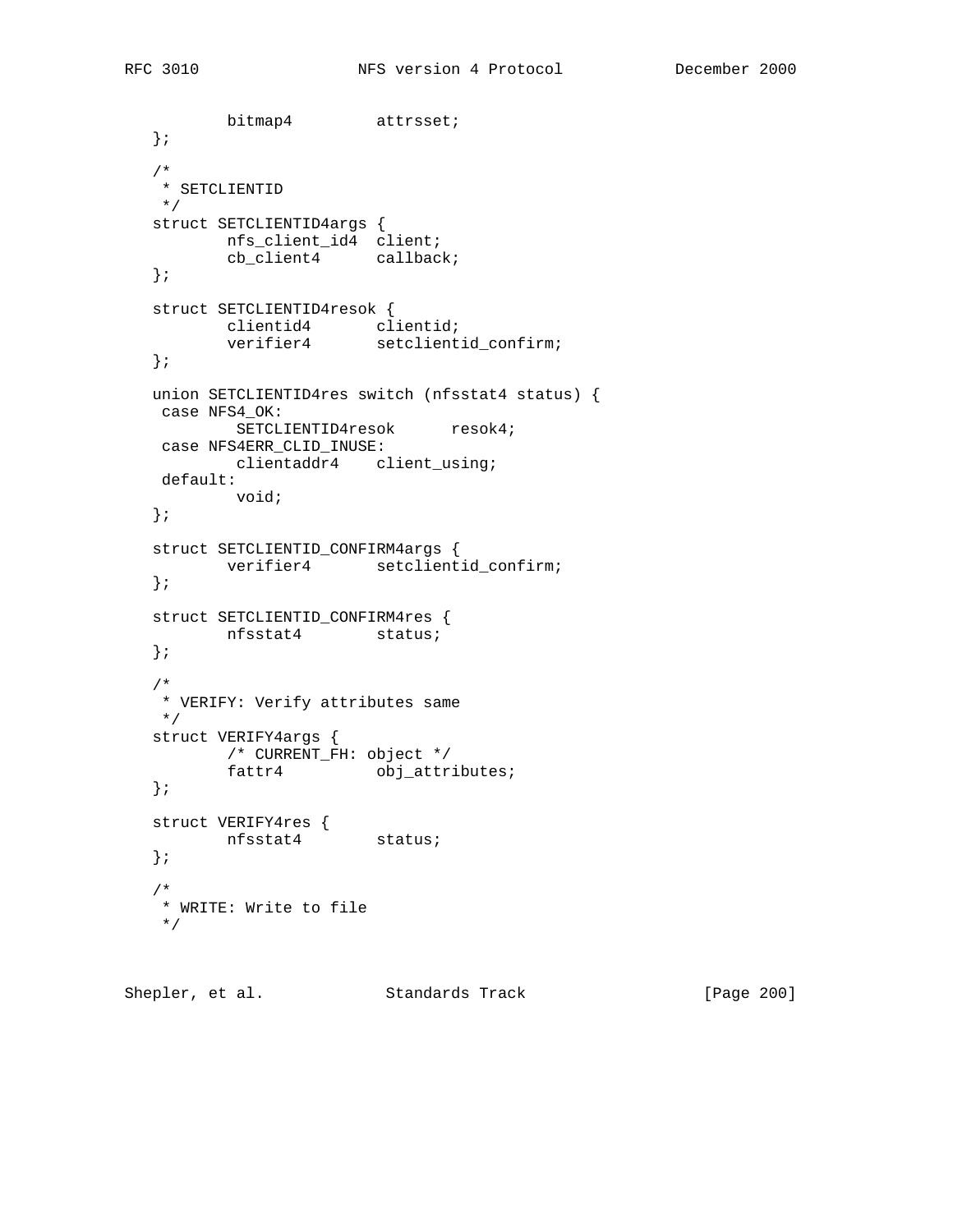```
 bitmap4 attrsset;
   };
   /*
   * SETCLIENTID
   */
   struct SETCLIENTID4args {
    nfs_client_id4 client;
         cb_client4 callback;
   };
   struct SETCLIENTID4resok {
 clientid4 clientid;
 verifier4 setclientid_confirm;
   };
   union SETCLIENTID4res switch (nfsstat4 status) {
   case NFS4_OK:
         SETCLIENTID4resok resok4;
   case NFS4ERR_CLID_INUSE:
        clientaddr4 client_using;
    default:
          void;
   };
   struct SETCLIENTID_CONFIRM4args {
          verifier4 setclientid_confirm;
   };
   struct SETCLIENTID_CONFIRM4res {
    nfsstat4 status;
   };
   /*
   * VERIFY: Verify attributes same
   */
   struct VERIFY4args {
         /* CURRENT_FH: object */
         fattr4 obj_attributes;
   };
 struct VERIFY4res {
 nfsstat4 status;
   };
   /*
   * WRITE: Write to file
   */
```
Shepler, et al. Standards Track [Page 200]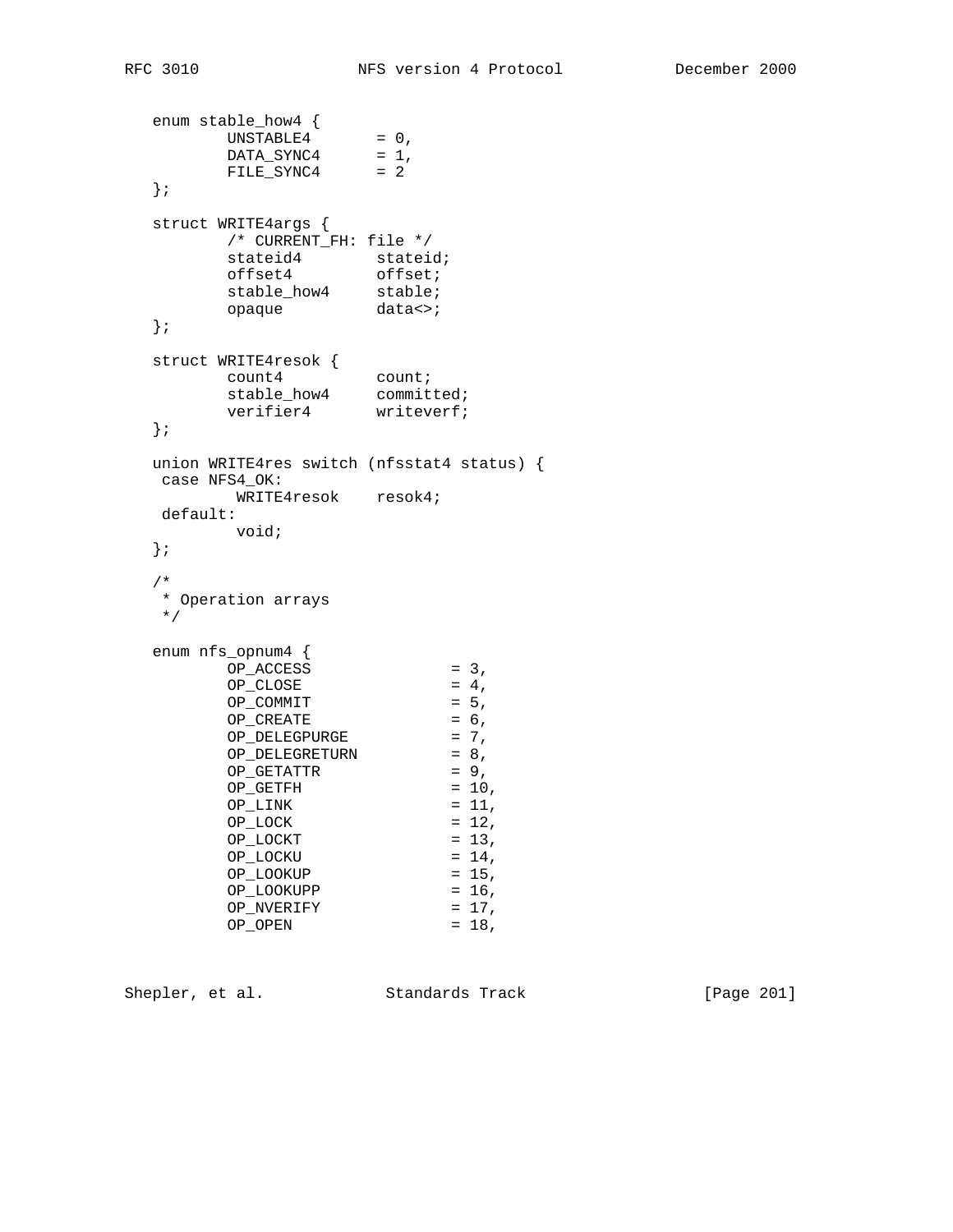```
 enum stable_how4 {
UNSTABLE4 = 0,DATA\_SYNC4 = 1,
 FILE_SYNC4 = 2
  };
  struct WRITE4args {
      /* CURRENT_FH: file */
stateid4 stateid;
offset4 offset;
stable_how4 stable;
opaque data<>;
  };
 struct WRITE4resok {
count4 count;
stable_how4 committed;
verifier4 writeverf;
  };
  union WRITE4res switch (nfsstat4 status) {
  case NFS4_OK:
   WRITE4resok resok4;
  default:
      void;
  };
  /*
  * Operation arrays
  */
  enum nfs_opnum4 {
OP\_ACCESS = 3,
OP\_CLOSE = 4,
OP\_COMMIT = 5,
OP_CREATE = 6,
OPDELEGPURGE = 7,
OP_DELEGRETURN = 8,
OP_{GETATTR} = 9,
OP_{GETFH} = 10,
OP_LINK = 11,OP\_LOCK = 12,
OP\_LOCKT = 13,
OP\_LOCKU = 14,
OP\_LOOKUP = 15,
OP\_LOOKUPP = 16,
OP_NVERIFY = 17,
OP\_OPEN = 18,
```
Shepler, et al. Standards Track [Page 201]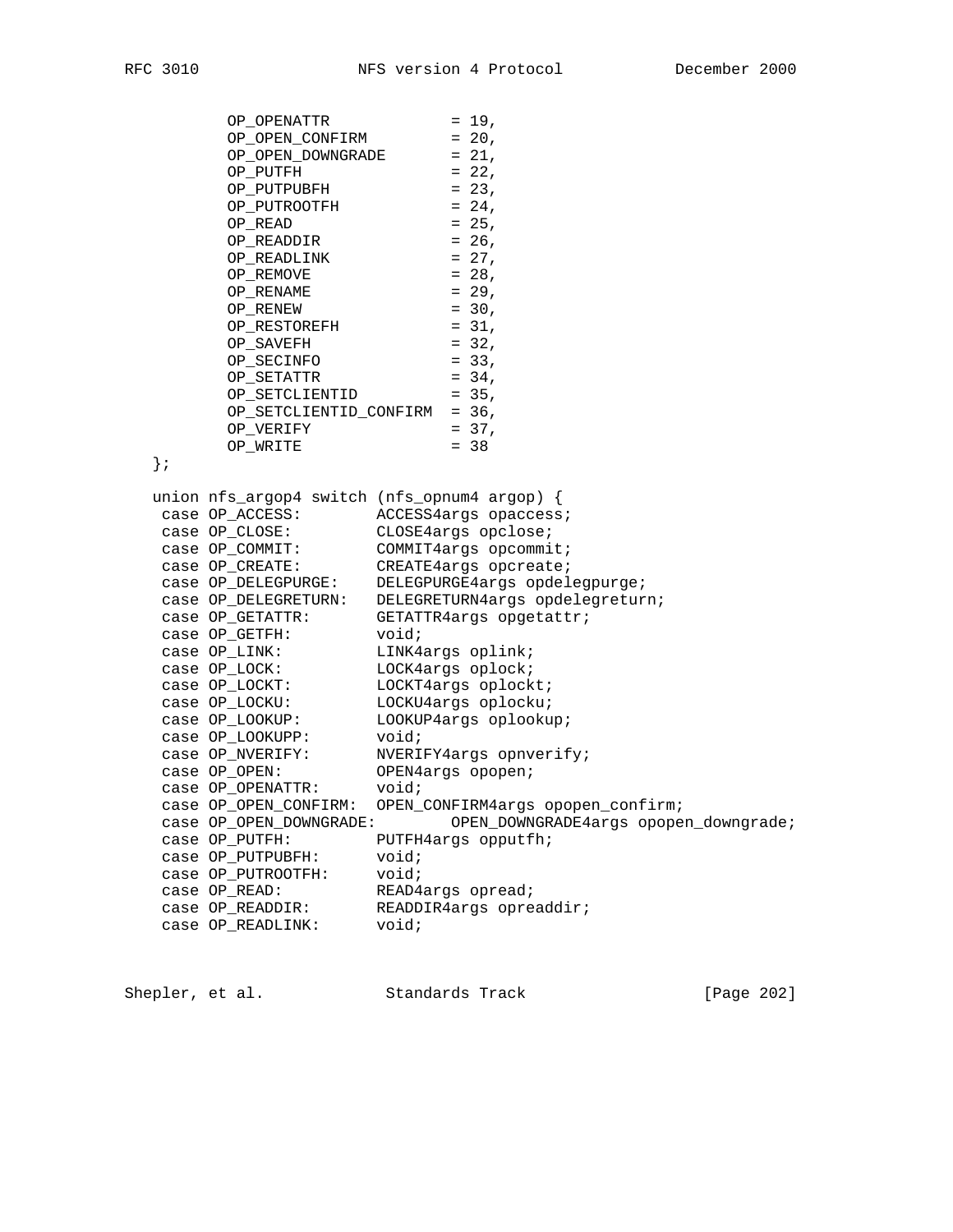| OP OPENATTR                                                         | $= 19$ ,                                                |
|---------------------------------------------------------------------|---------------------------------------------------------|
| OP OPEN CONFIRM                                                     | $= 20,$                                                 |
| OP_OPEN_DOWNGRADE                                                   | $= 21,$                                                 |
| OP_PUTFH                                                            | $= 22,$                                                 |
| OP_PUTPUBFH                                                         | $= 23,$                                                 |
| OP PUTROOTFH                                                        | $= 24$ ,                                                |
| OP READ                                                             | $= 25,$                                                 |
| OP_READDIR                                                          | $= 26,$                                                 |
| OP READLINK                                                         | $= 27,$                                                 |
| OP_REMOVE                                                           | $= 28,$                                                 |
| OP RENAME                                                           | $= 29,$                                                 |
| OP RENEW                                                            | $= 30,$                                                 |
| OP_RESTOREFH                                                        | $= 31,$                                                 |
| OP_SAVEFH                                                           | $= 32,$                                                 |
| OP SECINFO                                                          | $= 33,$                                                 |
| OP_SETATTR                                                          | $= 34,$                                                 |
| OP_SETCLIENTID                                                      | $= 35,$                                                 |
| OP_SETCLIENTID_CONFIRM = 36,                                        |                                                         |
| OP VERIFY                                                           | $= 37,$                                                 |
| OP_WRITE                                                            | $= 38$                                                  |
| $\}$ ;                                                              |                                                         |
|                                                                     |                                                         |
| union $nfs_{\text{argop4}}$ switch ( $nfs_{\text{opnum4}}$ argop) { |                                                         |
| case OP_ACCESS:                                                     | ACCESS4args opaccess;                                   |
| case OP_CLOSE:                                                      | CLOSE4args opclose;                                     |
| case OP_COMMIT:                                                     | COMMIT4args opcommit;                                   |
| case OP CREATE:                                                     | CREATE4args opcreate;                                   |
| case OP_DELEGPURGE:                                                 | DELEGPURGE4args opdelegpurge;                           |
| case OP_DELEGRETURN:                                                | DELEGRETURN4args opdelegreturn;                         |
| case OP GETATTR:                                                    | GETATTR4args opgetattr;                                 |
| case OP_GETFH:                                                      | void;                                                   |
| case OP_LINK:                                                       | LINK4args oplink;                                       |
| case OP_LOCK:                                                       | LOCK4args oplock;                                       |
| case OP_LOCKT:                                                      | LOCKT4args oplockt;                                     |
| case OP_LOCKU:                                                      | LOCKU4args oplocku;                                     |
| case OP LOOKUP:                                                     | LOOKUP4args oplookup;                                   |
| case OP_LOOKUPP:                                                    | void;                                                   |
| case OP_NVERIFY:                                                    | NVERIFY4args opnverify;                                 |
| case OP OPEN:                                                       | OPEN4args opopen;                                       |
| case OP_OPENATTR:                                                   | void;                                                   |
|                                                                     | case OP_OPEN_CONFIRM: OPEN_CONFIRM4args opopen_confirm; |
| case OP_OPEN_DOWNGRADE:                                             | OPEN_DOWNGRADE4args opopen_downgrade;                   |
| case OP_PUTFH:                                                      | PUTFH4args opputfh;                                     |
| case OP PUTPUBFH:                                                   | void;                                                   |
| case OP PUTROOTFH:                                                  | void;                                                   |
| case OP_READ:                                                       | READ4args opread;                                       |
| case OP_READDIR:                                                    | READDIR4args opreaddir;                                 |
| case OP READLINK:                                                   | void;                                                   |
|                                                                     |                                                         |

Shepler, et al. Standards Track [Page 202]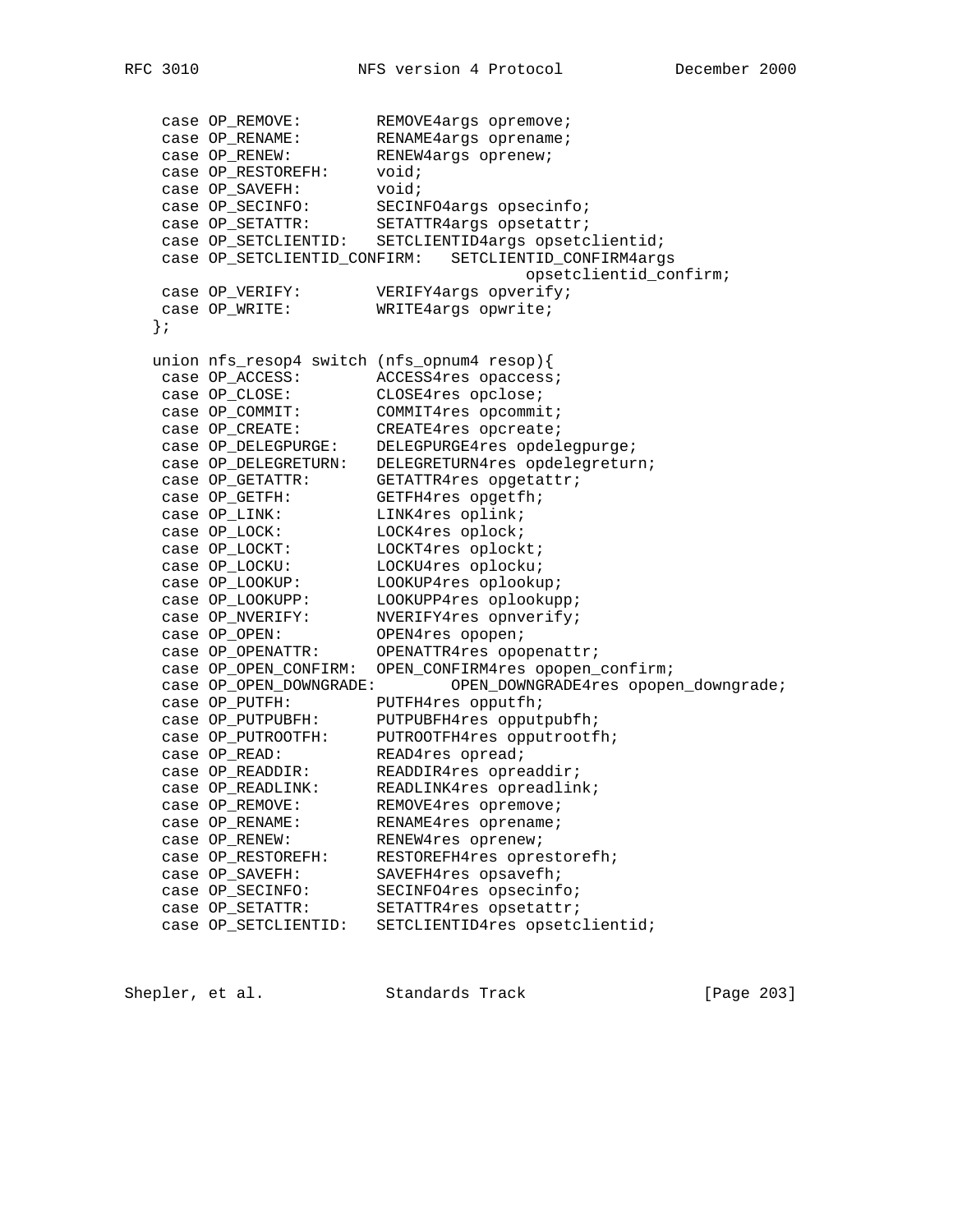case OP\_REMOVE: REMOVE4args opremove; case OP\_RENAME: RENAME4args oprename; case OP\_RENEW: RENEW4args oprenew; case OP\_RESTOREFH: void; case OP\_SAVEFH: void; case OP\_SECINFO: SECINFO4args opsecinfo; case OP\_SETATTR: SETATTR4args opsetattr; case OP\_SETCLIENTID: SETCLIENTID4args opsetclientid; case OP\_SETCLIENTID\_CONFIRM: SETCLIENTID\_CONFIRM4args opsetclientid\_confirm; case OP\_VERIFY: VERIFY4args opverify; case OP\_WRITE: WRITE4args opwrite; }; union nfs\_resop4 switch (nfs\_opnum4 resop){ case OP\_ACCESS: ACCESS4res opaccess; case OP\_CLOSE: CLOSE4res opclose; case OP\_COMMIT: COMMIT4res opcommit; case OP\_CREATE: CREATE4res opcreate; case OP\_DELEGPURGE: DELEGPURGE4res opdelegpurge; case OP\_DELEGRETURN: DELEGRETURN4res opdelegreturn; case OP\_GETATTR: GETATTR4res opgetattr; case OP\_GETFH: GETFH4res opgetfh; case OP\_LINK: LINK4res oplink; case OP\_LOCK: LOCK4res oplock; case OP\_LOCKT: LOCKT4res oplockt; case OP\_LOCKU: LOCKU4res oplocku; case OP\_LOOKUP: LOOKUP4res oplookup; case OP\_LOOKUPP: LOOKUPP4res oplookupp; case OP\_NVERIFY: NVERIFY4res opnverify; case OP\_OPEN: OPEN4res opopen; case OP\_OPENATTR: OPENATTR4res opopenattr; case OP\_OPEN\_CONFIRM: OPEN\_CONFIRM4res opopen\_confirm; case OP\_OPEN\_DOWNGRADE: OPEN\_DOWNGRADE4res opopen\_downgrade; case OP\_PUTFH: PUTFH4res opputfh; case OP\_PUTPUBFH: PUTPUBFH4res opputpubfh; case OP\_PUTROOTFH: PUTROOTFH4res opputrootfh; case OP\_READ: READ4res opread; case OP\_READDIR: READDIR4res opreaddir; case OP\_READLINK: READLINK4res opreadlink; case OP\_REMOVE: REMOVE4res opremove; case OP\_RENAME: RENAME4res oprename; case OP\_RENEW: RENEW4res oprenew; case OP\_RESTOREFH: RESTOREFH4res oprestorefh; case OP\_SAVEFH: SAVEFH4res opsavefh; case OP\_SECINFO: SECINFO4res opsecinfo; case OP\_SETATTR: SETATTR4res opsetattr; case OP\_SETCLIENTID: SETCLIENTID4res opsetclientid;

Shepler, et al. Standards Track [Page 203]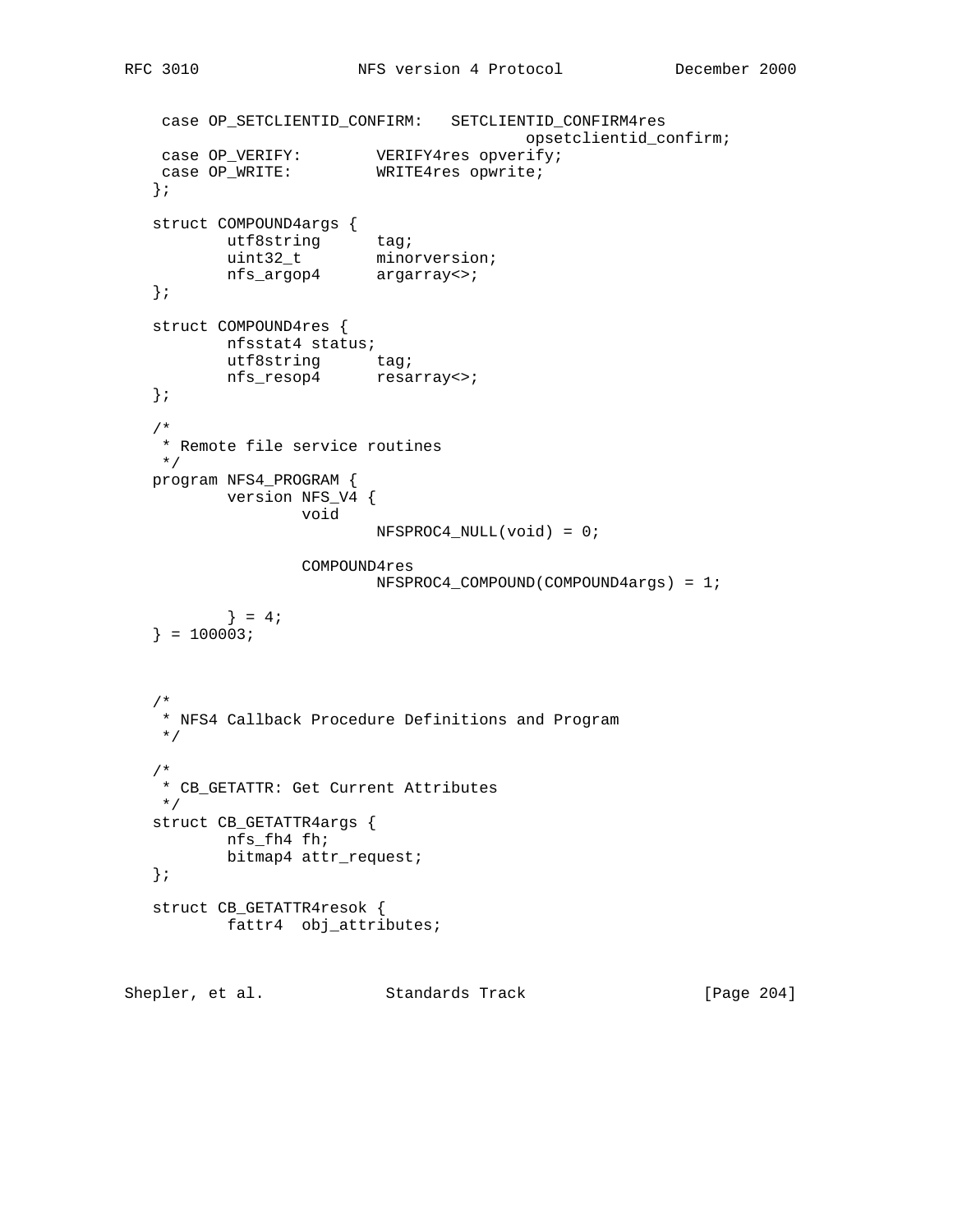```
 case OP_SETCLIENTID_CONFIRM: SETCLIENTID_CONFIRM4res
 opsetclientid_confirm;
 case OP_VERIFY: VERIFY4res opverify;
case OP_WRITE: WRITE4res opwrite;
   };
   struct COMPOUND4args {
utf8string tag;
 uint32_t minorversion;
 nfs_argop4 argarray<>;
   };
   struct COMPOUND4res {
     nfsstat4 status;
utf8string tag;
 nfs_resop4 resarray<>;
   };
   /*
   * Remote file service routines
   */
   program NFS4_PROGRAM {
         version NFS_V4 {
                 void
                       NFSPROC4_NULL(void) = 0;
                 COMPOUND4res
                       NFSPROC4_COMPOUND(COMPOUND4args) = 1;
         \} = 4;} = 100003; /*
    * NFS4 Callback Procedure Definitions and Program
    */
   /*
   * CB_GETATTR: Get Current Attributes
   */
   struct CB_GETATTR4args {
         nfs_fh4 fh;
         bitmap4 attr_request;
   };
   struct CB_GETATTR4resok {
          fattr4 obj_attributes;
```
Shepler, et al. Standards Track [Page 204]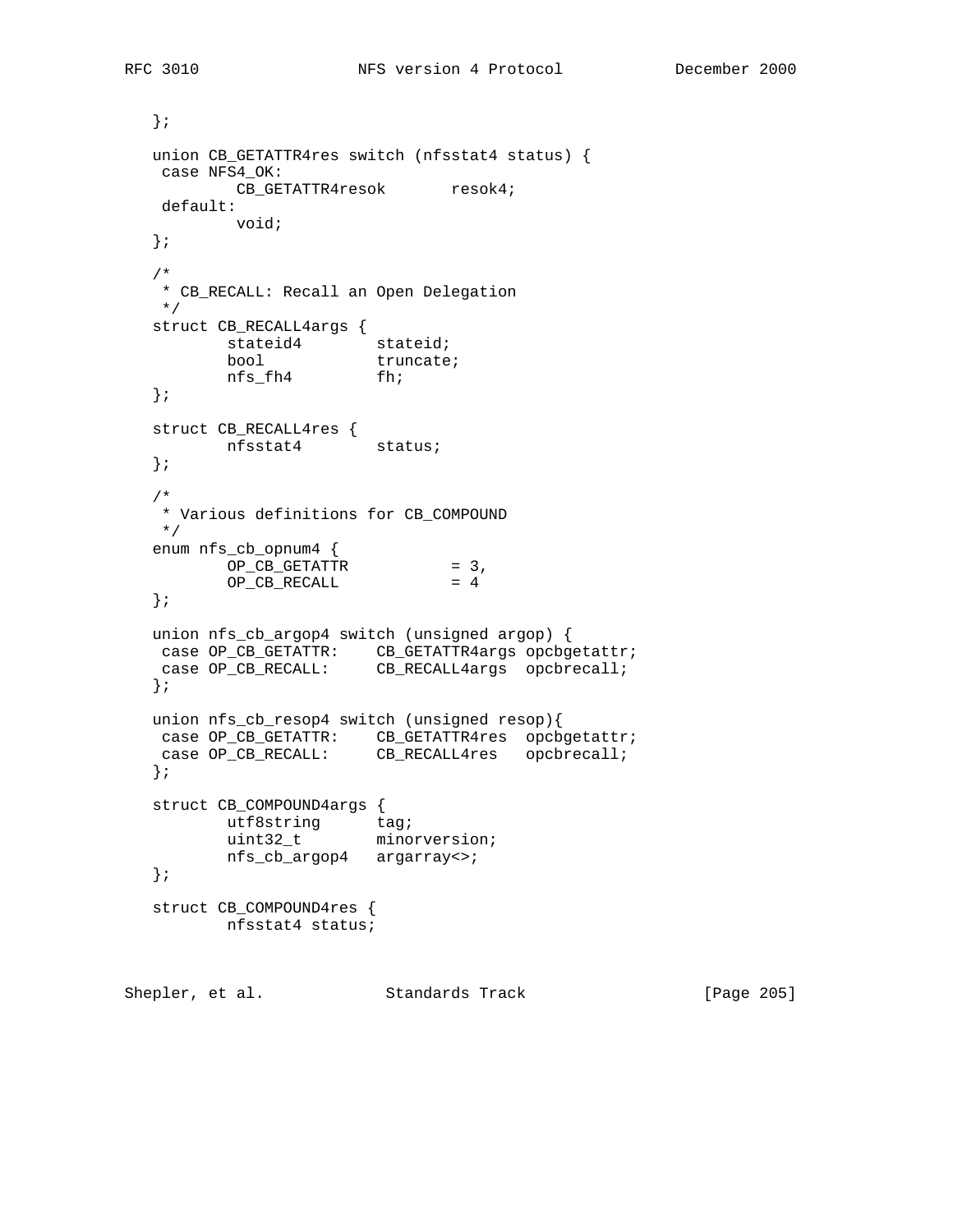```
 };
   union CB_GETATTR4res switch (nfsstat4 status) {
   case NFS4_OK:
         CB_GETATTR4resok resok4;
    default:
         void;
   };
   /*
   * CB_RECALL: Recall an Open Delegation
   */
   struct CB_RECALL4args {
stateid4 stateid;
bool truncate;
 nfs_fh4 fh;
   };
   struct CB_RECALL4res {
   nfsstat4 status;
   };
   /*
   * Various definitions for CB_COMPOUND
   */
   enum nfs_cb_opnum4 {
         OP_CB_GETATTR = 3,
        OP CB RECALL = 4 };
   union nfs_cb_argop4 switch (unsigned argop) {
 case OP_CB_GETATTR: CB_GETATTR4args opcbgetattr;
 case OP_CB_RECALL: CB_RECALL4args opcbrecall;
   };
   union nfs_cb_resop4 switch (unsigned resop){
 case OP_CB_GETATTR: CB_GETATTR4res opcbgetattr;
 case OP_CB_RECALL: CB_RECALL4res opcbrecall;
   };
   struct CB_COMPOUND4args {
utf8string tag;
 uint32_t minorversion;
         nfs_cb_argop4 argarray<>;
   };
   struct CB_COMPOUND4res {
         nfsstat4 status;
```
Shepler, et al. Standards Track [Page 205]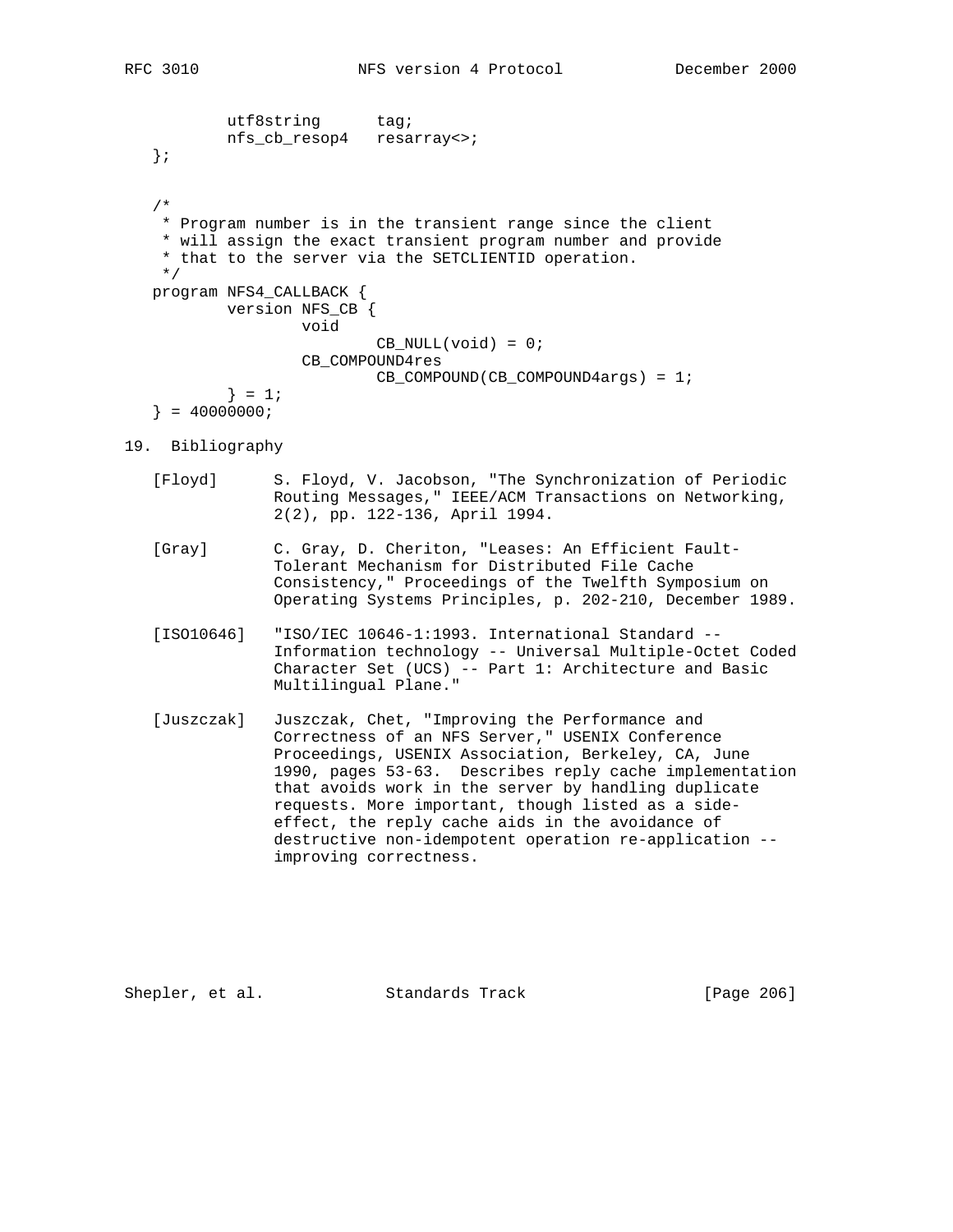```
utf8string tag;
         nfs_cb_resop4 resarray<>;
 };
 /*
  * Program number is in the transient range since the client
 * will assign the exact transient program number and provide
  * that to the server via the SETCLIENTID operation.
  */
 program NFS4_CALLBACK {
        version NFS_CB {
                 void
                        CB_NULL(void) = 0;
                 CB_COMPOUND4res
                        CB_COMPOUND(CB_COMPOUND4args) = 1;
        } = 1;} = 40000000i
```

```
19. Bibliography
```
- [Floyd] S. Floyd, V. Jacobson, "The Synchronization of Periodic Routing Messages," IEEE/ACM Transactions on Networking, 2(2), pp. 122-136, April 1994.
- [Gray] C. Gray, D. Cheriton, "Leases: An Efficient Fault- Tolerant Mechanism for Distributed File Cache Consistency," Proceedings of the Twelfth Symposium on Operating Systems Principles, p. 202-210, December 1989.
- [ISO10646] "ISO/IEC 10646-1:1993. International Standard -- Information technology -- Universal Multiple-Octet Coded Character Set (UCS) -- Part 1: Architecture and Basic Multilingual Plane."
- [Juszczak] Juszczak, Chet, "Improving the Performance and Correctness of an NFS Server," USENIX Conference Proceedings, USENIX Association, Berkeley, CA, June 1990, pages 53-63. Describes reply cache implementation that avoids work in the server by handling duplicate requests. More important, though listed as a side effect, the reply cache aids in the avoidance of destructive non-idempotent operation re-application - improving correctness.

Shepler, et al. Standards Track [Page 206]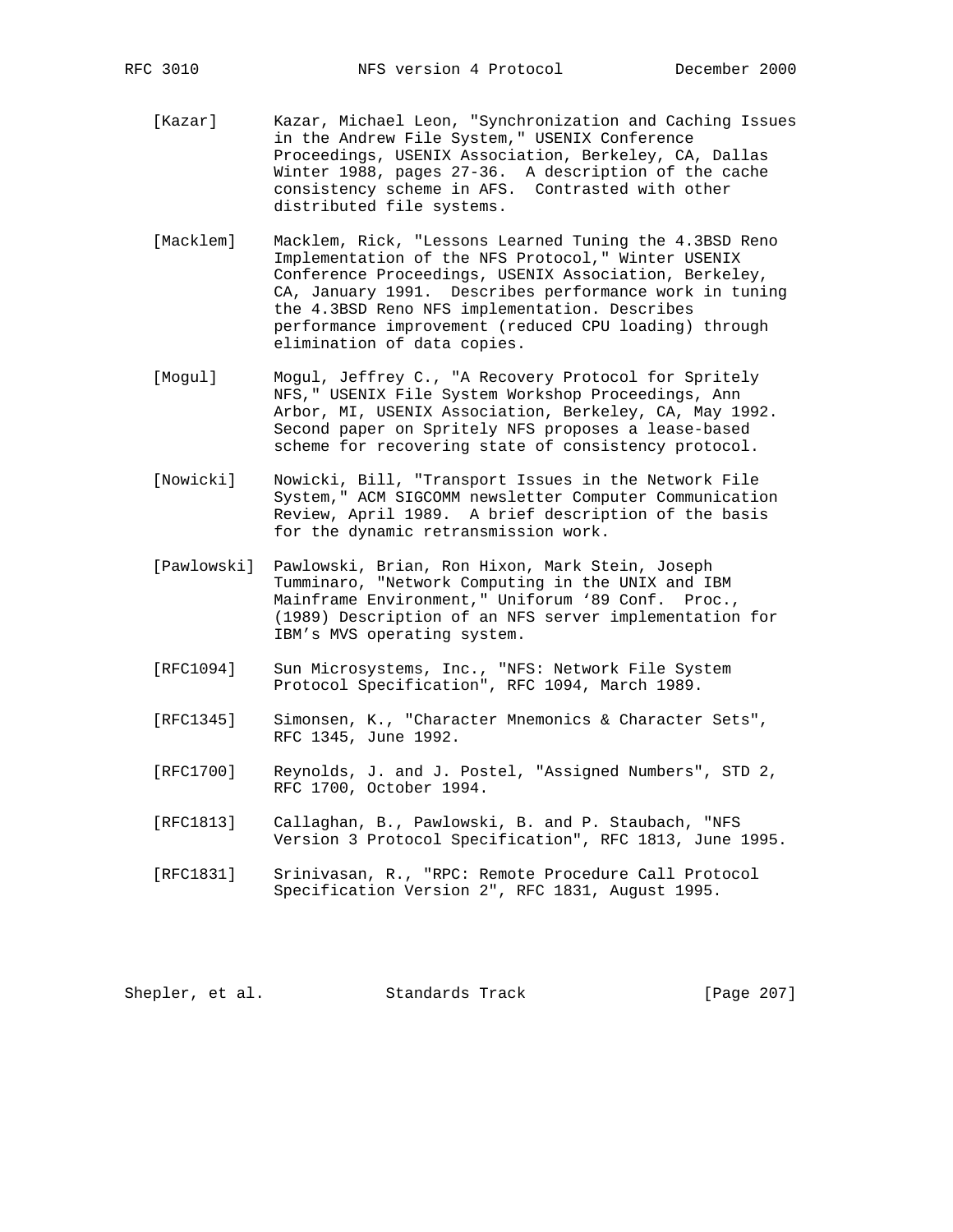- [Kazar] Kazar, Michael Leon, "Synchronization and Caching Issues in the Andrew File System," USENIX Conference Proceedings, USENIX Association, Berkeley, CA, Dallas Winter 1988, pages 27-36. A description of the cache consistency scheme in AFS. Contrasted with other distributed file systems.
- [Macklem] Macklem, Rick, "Lessons Learned Tuning the 4.3BSD Reno Implementation of the NFS Protocol," Winter USENIX Conference Proceedings, USENIX Association, Berkeley, CA, January 1991. Describes performance work in tuning the 4.3BSD Reno NFS implementation. Describes performance improvement (reduced CPU loading) through elimination of data copies.
- [Mogul] Mogul, Jeffrey C., "A Recovery Protocol for Spritely NFS," USENIX File System Workshop Proceedings, Ann Arbor, MI, USENIX Association, Berkeley, CA, May 1992. Second paper on Spritely NFS proposes a lease-based scheme for recovering state of consistency protocol.
- [Nowicki] Nowicki, Bill, "Transport Issues in the Network File System," ACM SIGCOMM newsletter Computer Communication Review, April 1989. A brief description of the basis for the dynamic retransmission work.
- [Pawlowski] Pawlowski, Brian, Ron Hixon, Mark Stein, Joseph Tumminaro, "Network Computing in the UNIX and IBM Mainframe Environment," Uniforum '89 Conf. Proc., (1989) Description of an NFS server implementation for IBM's MVS operating system.
- [RFC1094] Sun Microsystems, Inc., "NFS: Network File System Protocol Specification", RFC 1094, March 1989.
- [RFC1345] Simonsen, K., "Character Mnemonics & Character Sets", RFC 1345, June 1992.
- [RFC1700] Reynolds, J. and J. Postel, "Assigned Numbers", STD 2, RFC 1700, October 1994.
- [RFC1813] Callaghan, B., Pawlowski, B. and P. Staubach, "NFS Version 3 Protocol Specification", RFC 1813, June 1995.
- [RFC1831] Srinivasan, R., "RPC: Remote Procedure Call Protocol Specification Version 2", RFC 1831, August 1995.

Shepler, et al. Standards Track [Page 207]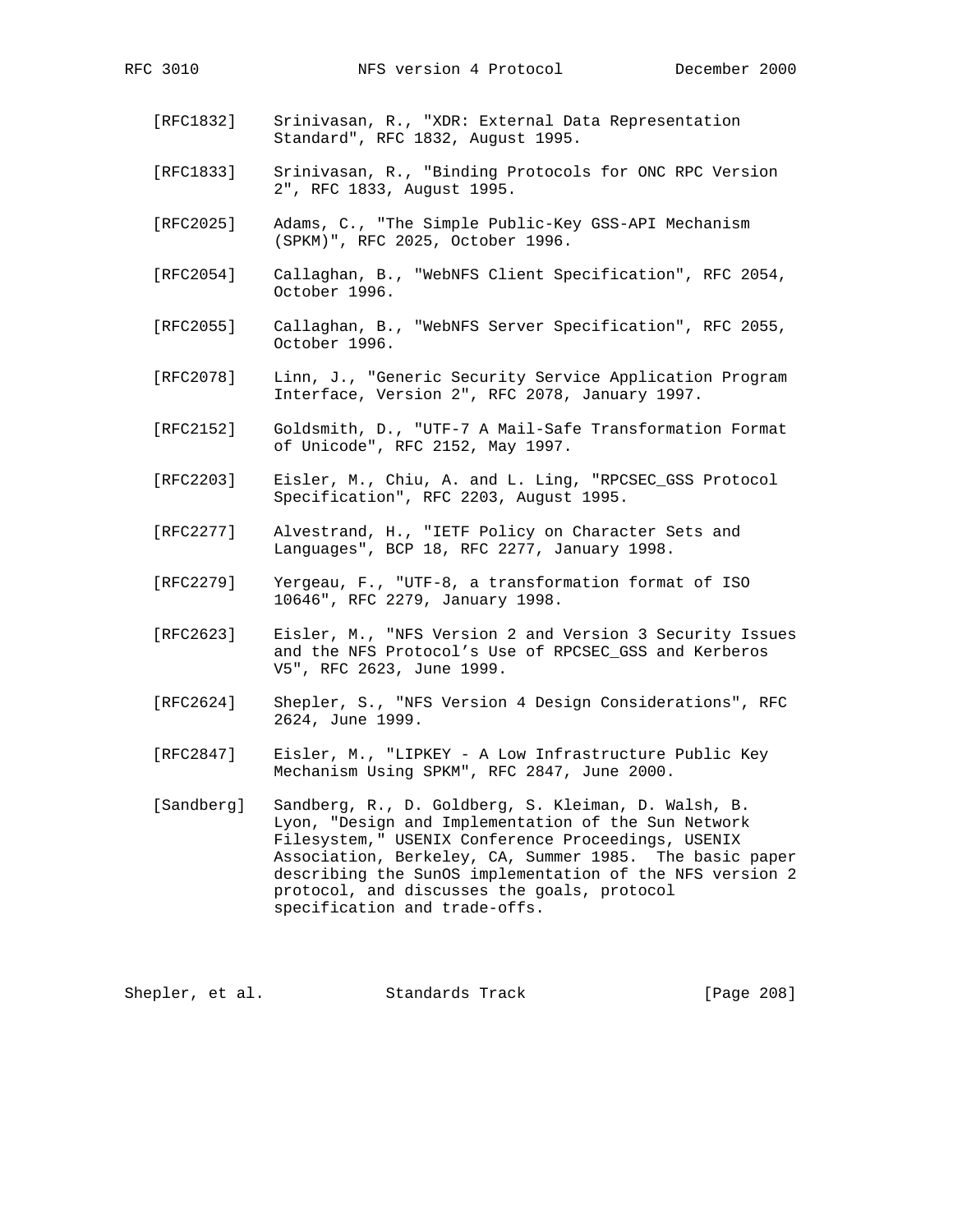- [RFC1832] Srinivasan, R., "XDR: External Data Representation Standard", RFC 1832, August 1995.
- [RFC1833] Srinivasan, R., "Binding Protocols for ONC RPC Version 2", RFC 1833, August 1995.
- [RFC2025] Adams, C., "The Simple Public-Key GSS-API Mechanism (SPKM)", RFC 2025, October 1996.
- [RFC2054] Callaghan, B., "WebNFS Client Specification", RFC 2054, October 1996.
- [RFC2055] Callaghan, B., "WebNFS Server Specification", RFC 2055, October 1996.
- [RFC2078] Linn, J., "Generic Security Service Application Program Interface, Version 2", RFC 2078, January 1997.
- [RFC2152] Goldsmith, D., "UTF-7 A Mail-Safe Transformation Format of Unicode", RFC 2152, May 1997.
- [RFC2203] Eisler, M., Chiu, A. and L. Ling, "RPCSEC\_GSS Protocol Specification", RFC 2203, August 1995.
- [RFC2277] Alvestrand, H., "IETF Policy on Character Sets and Languages", BCP 18, RFC 2277, January 1998.
- [RFC2279] Yergeau, F., "UTF-8, a transformation format of ISO 10646", RFC 2279, January 1998.
- [RFC2623] Eisler, M., "NFS Version 2 and Version 3 Security Issues and the NFS Protocol's Use of RPCSEC\_GSS and Kerberos V5", RFC 2623, June 1999.
- [RFC2624] Shepler, S., "NFS Version 4 Design Considerations", RFC 2624, June 1999.
- [RFC2847] Eisler, M., "LIPKEY A Low Infrastructure Public Key Mechanism Using SPKM", RFC 2847, June 2000.
- [Sandberg] Sandberg, R., D. Goldberg, S. Kleiman, D. Walsh, B. Lyon, "Design and Implementation of the Sun Network Filesystem," USENIX Conference Proceedings, USENIX Association, Berkeley, CA, Summer 1985. The basic paper describing the SunOS implementation of the NFS version 2 protocol, and discusses the goals, protocol specification and trade-offs.

Shepler, et al. Standards Track [Page 208]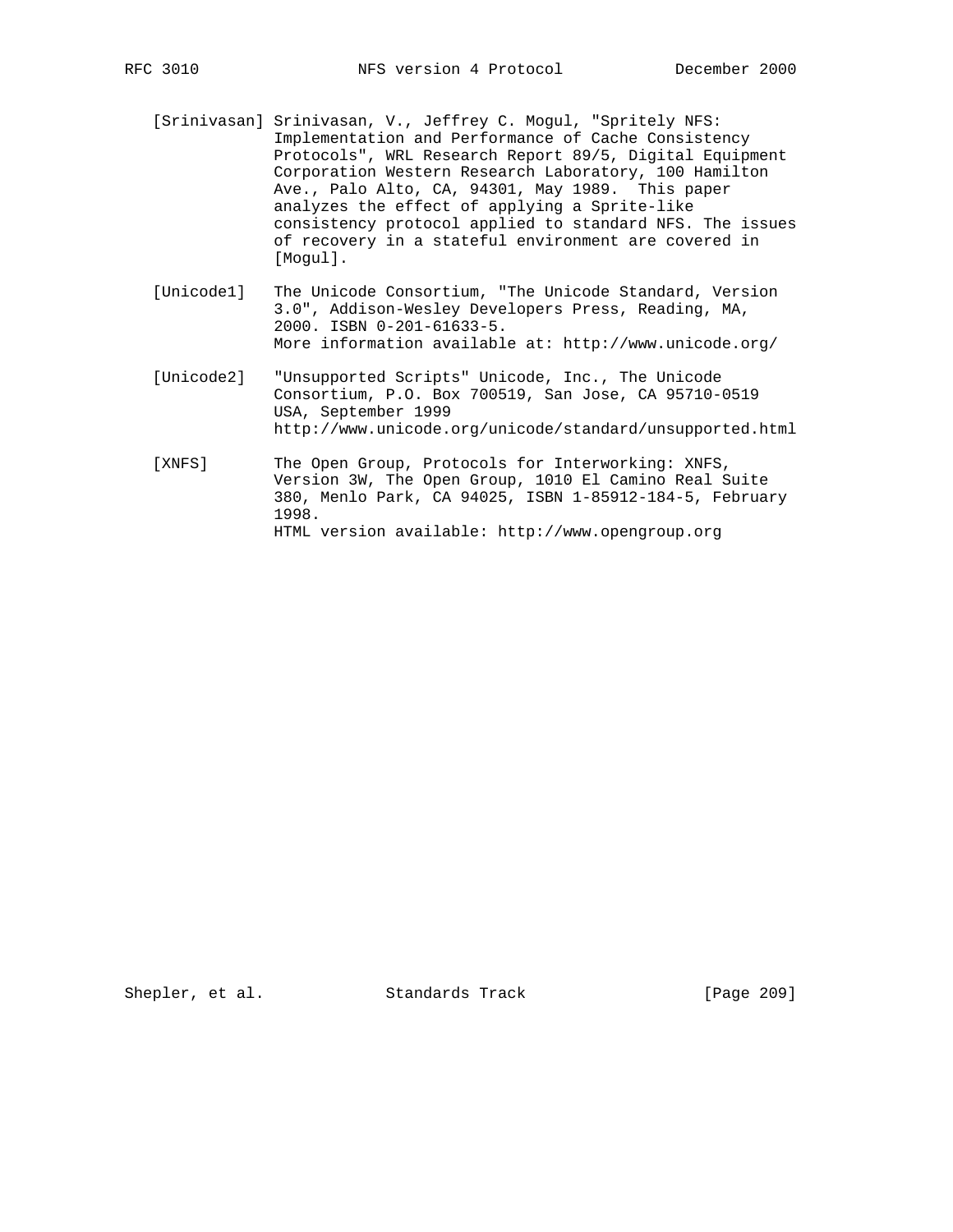- [Srinivasan] Srinivasan, V., Jeffrey C. Mogul, "Spritely NFS: Implementation and Performance of Cache Consistency Protocols", WRL Research Report 89/5, Digital Equipment Corporation Western Research Laboratory, 100 Hamilton Ave., Palo Alto, CA, 94301, May 1989. This paper analyzes the effect of applying a Sprite-like consistency protocol applied to standard NFS. The issues of recovery in a stateful environment are covered in [Mogul].
- [Unicode1] The Unicode Consortium, "The Unicode Standard, Version 3.0", Addison-Wesley Developers Press, Reading, MA, 2000. ISBN 0-201-61633-5. More information available at: http://www.unicode.org/
- [Unicode2] "Unsupported Scripts" Unicode, Inc., The Unicode Consortium, P.O. Box 700519, San Jose, CA 95710-0519 USA, September 1999 http://www.unicode.org/unicode/standard/unsupported.html
- [XNFS] The Open Group, Protocols for Interworking: XNFS, Version 3W, The Open Group, 1010 El Camino Real Suite 380, Menlo Park, CA 94025, ISBN 1-85912-184-5, February 1998. HTML version available: http://www.opengroup.org

Shepler, et al. Standards Track [Page 209]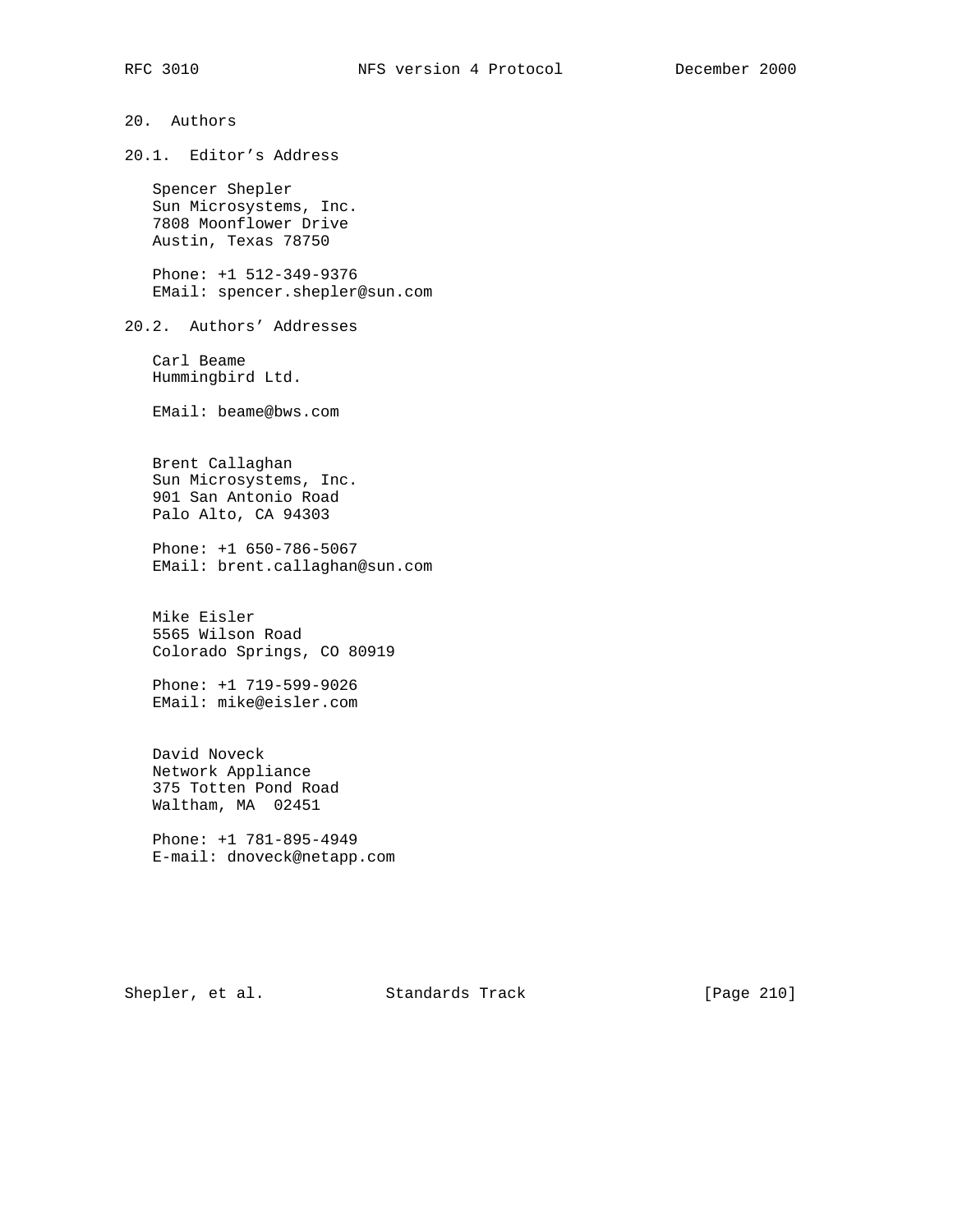## 20. Authors

20.1. Editor's Address

 Spencer Shepler Sun Microsystems, Inc. 7808 Moonflower Drive Austin, Texas 78750

 Phone: +1 512-349-9376 EMail: spencer.shepler@sun.com

20.2. Authors' Addresses

 Carl Beame Hummingbird Ltd.

EMail: beame@bws.com

 Brent Callaghan Sun Microsystems, Inc. 901 San Antonio Road Palo Alto, CA 94303

 Phone: +1 650-786-5067 EMail: brent.callaghan@sun.com

 Mike Eisler 5565 Wilson Road Colorado Springs, CO 80919

 Phone: +1 719-599-9026 EMail: mike@eisler.com

 David Noveck Network Appliance 375 Totten Pond Road Waltham, MA 02451

 Phone: +1 781-895-4949 E-mail: dnoveck@netapp.com

Shepler, et al. Standards Track [Page 210]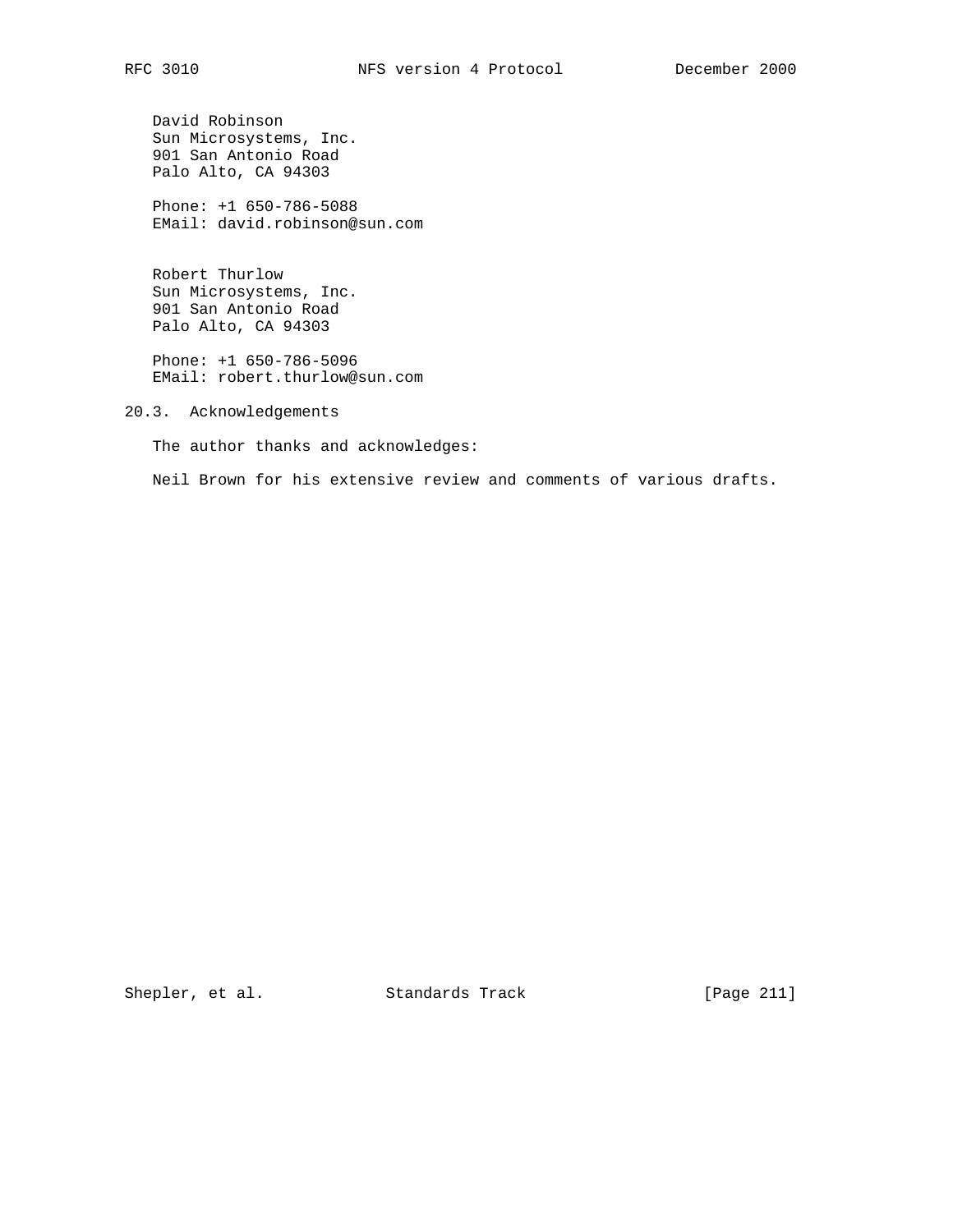David Robinson Sun Microsystems, Inc. 901 San Antonio Road Palo Alto, CA 94303

 Phone: +1 650-786-5088 EMail: david.robinson@sun.com

 Robert Thurlow Sun Microsystems, Inc. 901 San Antonio Road Palo Alto, CA 94303

 Phone: +1 650-786-5096 EMail: robert.thurlow@sun.com

20.3. Acknowledgements

The author thanks and acknowledges:

Neil Brown for his extensive review and comments of various drafts.

Shepler, et al. Standards Track [Page 211]